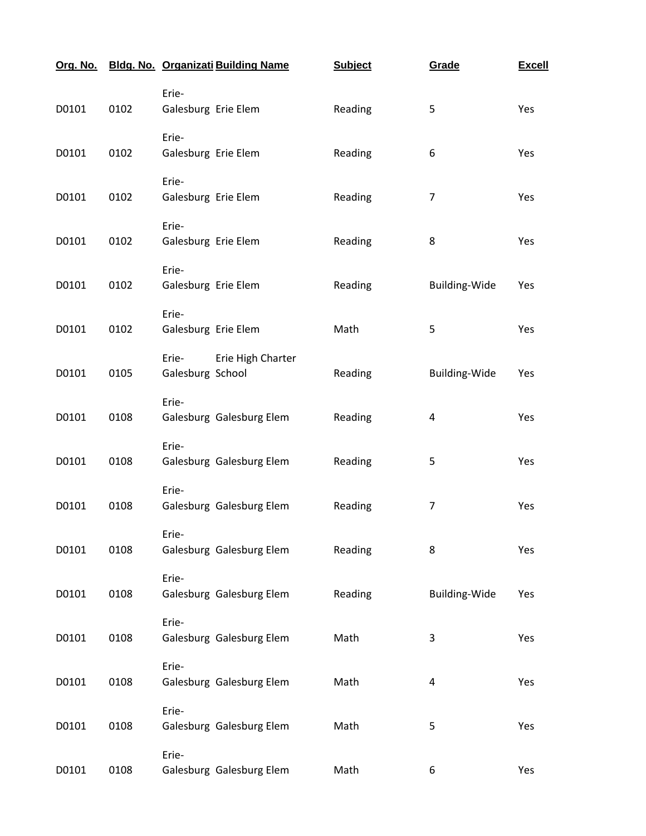| Org. No. |      | <b>Bldg. No. Organizati Building Name</b>      | <b>Subject</b> | Grade          | <b>Excell</b> |
|----------|------|------------------------------------------------|----------------|----------------|---------------|
| D0101    | 0102 | Erie-<br>Galesburg Erie Elem                   | Reading        | 5              | Yes           |
| D0101    | 0102 | Erie-<br>Galesburg Erie Elem                   | Reading        | 6              | Yes           |
| D0101    | 0102 | Erie-<br>Galesburg Erie Elem                   | Reading        | 7              | Yes           |
| D0101    | 0102 | Erie-<br>Galesburg Erie Elem                   | Reading        | 8              | Yes           |
| D0101    | 0102 | Erie-<br>Galesburg Erie Elem                   | Reading        | Building-Wide  | Yes           |
| D0101    | 0102 | Erie-<br>Galesburg Erie Elem                   | Math           | 5              | Yes           |
| D0101    | 0105 | Erie High Charter<br>Erie-<br>Galesburg School | Reading        | Building-Wide  | Yes           |
| D0101    | 0108 | Erie-<br>Galesburg Galesburg Elem              | Reading        | 4              | Yes           |
| D0101    | 0108 | Erie-<br>Galesburg Galesburg Elem              | Reading        | 5              | Yes           |
| D0101    | 0108 | Erie-<br>Galesburg Galesburg Elem              | Reading        | $\overline{7}$ | Yes           |
| D0101    | 0108 | Erie-<br>Galesburg Galesburg Elem              | Reading        | 8              | Yes           |
| D0101    | 0108 | Erie-<br>Galesburg Galesburg Elem              | Reading        | Building-Wide  | Yes           |
| D0101    | 0108 | Erie-<br>Galesburg Galesburg Elem              | Math           | 3              | Yes           |
| D0101    | 0108 | Erie-<br>Galesburg Galesburg Elem              | Math           | 4              | Yes           |
| D0101    | 0108 | Erie-<br>Galesburg Galesburg Elem              | Math           | 5              | Yes           |
| D0101    | 0108 | Erie-<br>Galesburg Galesburg Elem              | Math           | 6              | Yes           |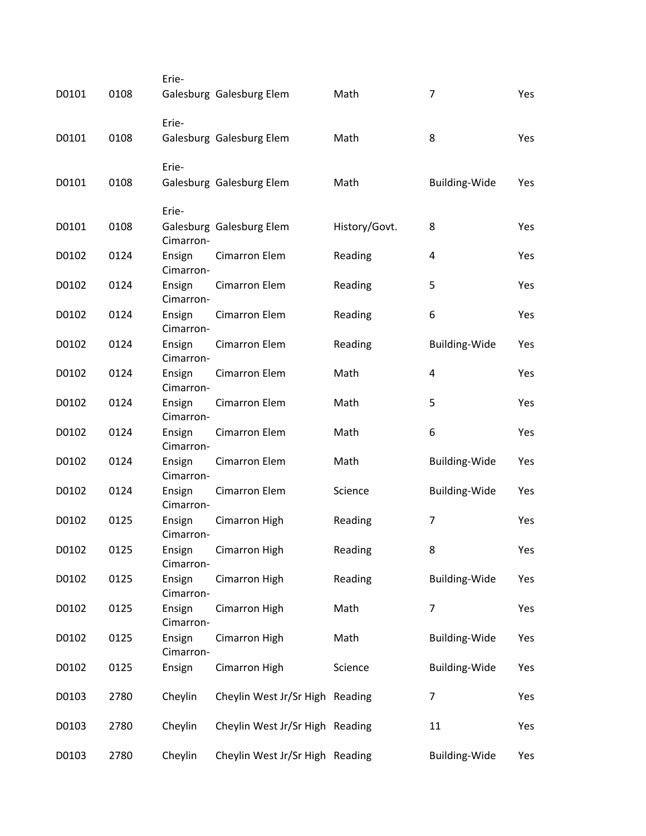|       |      | Erie-               |                                 |               |                         |     |
|-------|------|---------------------|---------------------------------|---------------|-------------------------|-----|
| D0101 | 0108 |                     | Galesburg Galesburg Elem        | Math          | 7                       | Yes |
|       |      | Erie-               |                                 |               |                         |     |
| D0101 | 0108 |                     | Galesburg Galesburg Elem        | Math          | 8                       | Yes |
|       |      | Erie-               |                                 |               |                         |     |
| D0101 | 0108 |                     | Galesburg Galesburg Elem        | Math          | Building-Wide           | Yes |
|       |      | Erie-               |                                 |               |                         |     |
| D0101 | 0108 | Cimarron-           | Galesburg Galesburg Elem        | History/Govt. | 8                       | Yes |
| D0102 | 0124 | Ensign<br>Cimarron- | <b>Cimarron Elem</b>            | Reading       | $\overline{\mathbf{4}}$ | Yes |
| D0102 | 0124 | Ensign<br>Cimarron- | Cimarron Elem                   | Reading       | 5                       | Yes |
| D0102 | 0124 | Ensign<br>Cimarron- | <b>Cimarron Elem</b>            | Reading       | $\,6\,$                 | Yes |
| D0102 | 0124 | Ensign<br>Cimarron- | <b>Cimarron Elem</b>            | Reading       | <b>Building-Wide</b>    | Yes |
| D0102 | 0124 | Ensign<br>Cimarron- | <b>Cimarron Elem</b>            | Math          | 4                       | Yes |
| D0102 | 0124 | Ensign<br>Cimarron- | <b>Cimarron Elem</b>            | Math          | 5                       | Yes |
| D0102 | 0124 | Ensign<br>Cimarron- | <b>Cimarron Elem</b>            | Math          | 6                       | Yes |
| D0102 | 0124 | Ensign<br>Cimarron- | <b>Cimarron Elem</b>            | Math          | <b>Building-Wide</b>    | Yes |
| D0102 | 0124 | Ensign<br>Cimarron- | <b>Cimarron Elem</b>            | Science       | <b>Building-Wide</b>    | Yes |
| D0102 | 0125 | Ensign<br>Cimarron- | Cimarron High                   | Reading       | 7                       | Yes |
| D0102 | 0125 | Ensign<br>Cimarron- | Cimarron High                   | Reading       | 8                       | Yes |
| D0102 | 0125 | Ensign<br>Cimarron- | Cimarron High                   | Reading       | <b>Building-Wide</b>    | Yes |
| D0102 | 0125 | Ensign<br>Cimarron- | Cimarron High                   | Math          | $\overline{7}$          | Yes |
| D0102 | 0125 | Ensign<br>Cimarron- | Cimarron High                   | Math          | <b>Building-Wide</b>    | Yes |
| D0102 | 0125 | Ensign              | Cimarron High                   | Science       | <b>Building-Wide</b>    | Yes |
| D0103 | 2780 | Cheylin             | Cheylin West Jr/Sr High Reading |               | 7                       | Yes |
| D0103 | 2780 | Cheylin             | Cheylin West Jr/Sr High Reading |               | 11                      | Yes |
| D0103 | 2780 | Cheylin             | Cheylin West Jr/Sr High Reading |               | <b>Building-Wide</b>    | Yes |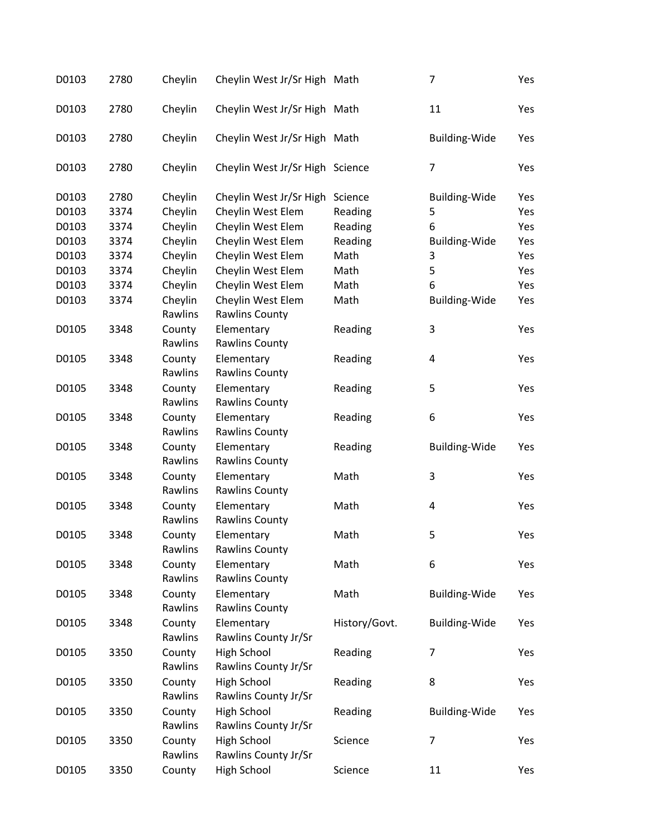| D0103 | 2780 | Cheylin | Cheylin West Jr/Sr High Math    |               | 7                    | Yes |
|-------|------|---------|---------------------------------|---------------|----------------------|-----|
| D0103 | 2780 | Cheylin | Cheylin West Jr/Sr High Math    |               | 11                   | Yes |
| D0103 | 2780 | Cheylin | Cheylin West Jr/Sr High Math    |               | <b>Building-Wide</b> | Yes |
| D0103 | 2780 | Cheylin | Cheylin West Jr/Sr High Science |               | $\overline{7}$       | Yes |
| D0103 | 2780 | Cheylin | Cheylin West Jr/Sr High         | Science       | <b>Building-Wide</b> | Yes |
| D0103 | 3374 | Cheylin | Cheylin West Elem               | Reading       | 5                    | Yes |
| D0103 | 3374 | Cheylin | Cheylin West Elem               | Reading       | 6                    | Yes |
| D0103 | 3374 | Cheylin | Cheylin West Elem               | Reading       | <b>Building-Wide</b> | Yes |
| D0103 | 3374 | Cheylin | Cheylin West Elem               | Math          | 3                    | Yes |
| D0103 | 3374 | Cheylin | Cheylin West Elem               | Math          | 5                    | Yes |
| D0103 | 3374 | Cheylin | Cheylin West Elem               | Math          | 6                    | Yes |
| D0103 | 3374 | Cheylin | Cheylin West Elem               | Math          | <b>Building-Wide</b> | Yes |
|       |      | Rawlins | <b>Rawlins County</b>           |               |                      |     |
| D0105 | 3348 | County  | Elementary                      | Reading       | 3                    | Yes |
|       |      | Rawlins | <b>Rawlins County</b>           |               |                      |     |
| D0105 | 3348 | County  | Elementary                      |               | 4                    | Yes |
|       |      | Rawlins | <b>Rawlins County</b>           | Reading       |                      |     |
|       |      |         |                                 |               | 5                    |     |
| D0105 | 3348 | County  | Elementary                      | Reading       |                      | Yes |
|       |      | Rawlins | <b>Rawlins County</b>           |               |                      |     |
| D0105 | 3348 | County  | Elementary                      | Reading       | 6                    | Yes |
|       |      | Rawlins | <b>Rawlins County</b>           |               |                      |     |
| D0105 | 3348 | County  | Elementary                      | Reading       | <b>Building-Wide</b> | Yes |
|       |      | Rawlins | <b>Rawlins County</b>           |               |                      |     |
| D0105 | 3348 | County  | Elementary                      | Math          | 3                    | Yes |
|       |      | Rawlins | <b>Rawlins County</b>           |               |                      |     |
| D0105 | 3348 | County  | Elementary                      | Math          | 4                    | Yes |
|       |      | Rawlins | <b>Rawlins County</b>           |               |                      |     |
| D0105 | 3348 | County  | Elementary                      | Math          | 5                    | Yes |
|       |      | Rawlins | <b>Rawlins County</b>           |               |                      |     |
| D0105 | 3348 | County  | Elementary                      | Math          | 6                    | Yes |
|       |      | Rawlins | <b>Rawlins County</b>           |               |                      |     |
| D0105 | 3348 | County  | Elementary                      | Math          | <b>Building-Wide</b> | Yes |
|       |      | Rawlins | <b>Rawlins County</b>           |               |                      |     |
| D0105 | 3348 | County  | Elementary                      | History/Govt. | Building-Wide        | Yes |
|       |      | Rawlins | Rawlins County Jr/Sr            |               |                      |     |
| D0105 | 3350 | County  | <b>High School</b>              | Reading       | $\overline{7}$       | Yes |
|       |      | Rawlins | Rawlins County Jr/Sr            |               |                      |     |
| D0105 | 3350 | County  | <b>High School</b>              | Reading       | 8                    | Yes |
|       |      | Rawlins | Rawlins County Jr/Sr            |               |                      |     |
| D0105 | 3350 | County  | High School                     | Reading       | Building-Wide        | Yes |
|       |      | Rawlins | Rawlins County Jr/Sr            |               |                      |     |
| D0105 | 3350 | County  | <b>High School</b>              | Science       | $\overline{7}$       | Yes |
|       |      | Rawlins | Rawlins County Jr/Sr            |               |                      |     |
| D0105 | 3350 | County  | <b>High School</b>              | Science       | 11                   | Yes |
|       |      |         |                                 |               |                      |     |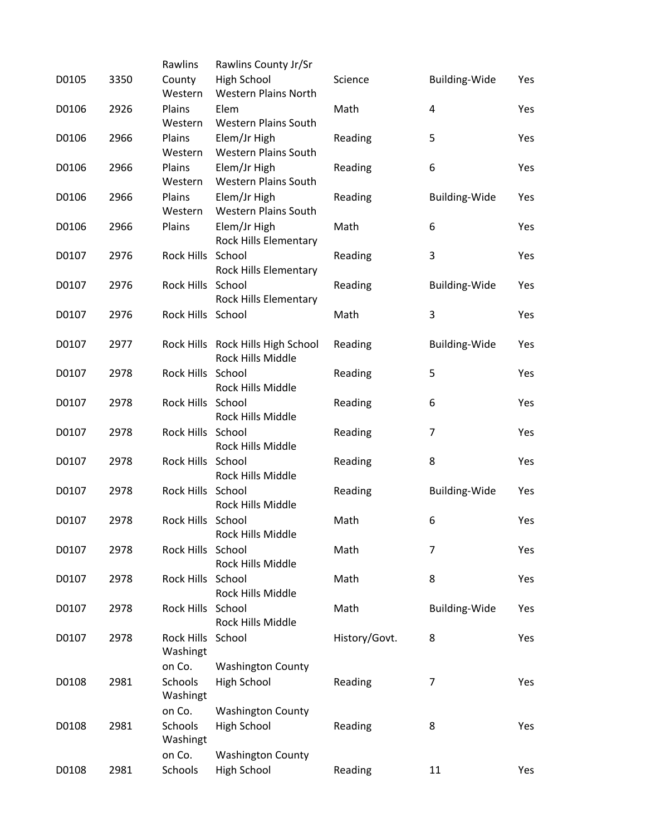|       |      | Rawlins             | Rawlins County Jr/Sr                                   |               |                      |     |
|-------|------|---------------------|--------------------------------------------------------|---------------|----------------------|-----|
| D0105 | 3350 | County<br>Western   | High School<br><b>Western Plains North</b>             | Science       | <b>Building-Wide</b> | Yes |
| D0106 | 2926 | Plains              | Elem                                                   | Math          | 4                    | Yes |
|       |      | Western             | <b>Western Plains South</b>                            |               |                      |     |
| D0106 | 2966 | Plains<br>Western   | Elem/Jr High<br><b>Western Plains South</b>            | Reading       | 5                    | Yes |
| D0106 | 2966 | Plains              | Elem/Jr High                                           | Reading       | 6                    | Yes |
|       |      | Western             | <b>Western Plains South</b>                            |               |                      |     |
| D0106 | 2966 | Plains              | Elem/Jr High                                           | Reading       | <b>Building-Wide</b> | Yes |
| D0106 | 2966 | Western<br>Plains   | Western Plains South<br>Elem/Jr High                   | Math          | 6                    | Yes |
|       |      |                     | Rock Hills Elementary                                  |               |                      |     |
| D0107 | 2976 | Rock Hills School   |                                                        | Reading       | 3                    | Yes |
|       |      |                     | Rock Hills Elementary                                  |               |                      |     |
| D0107 | 2976 | Rock Hills School   | Rock Hills Elementary                                  | Reading       | Building-Wide        | Yes |
| D0107 | 2976 | Rock Hills School   |                                                        | Math          | 3                    | Yes |
|       |      |                     |                                                        |               |                      |     |
| D0107 | 2977 |                     | Rock Hills Rock Hills High School<br>Rock Hills Middle | Reading       | <b>Building-Wide</b> | Yes |
| D0107 | 2978 | Rock Hills School   |                                                        | Reading       | 5                    | Yes |
|       |      |                     | Rock Hills Middle                                      |               |                      |     |
| D0107 | 2978 | Rock Hills School   | Rock Hills Middle                                      | Reading       | 6                    | Yes |
| D0107 | 2978 | Rock Hills School   |                                                        | Reading       | $\overline{7}$       | Yes |
|       |      |                     | Rock Hills Middle                                      |               |                      |     |
| D0107 | 2978 | Rock Hills School   |                                                        | Reading       | 8                    | Yes |
| D0107 | 2978 | Rock Hills School   | Rock Hills Middle                                      | Reading       | <b>Building-Wide</b> | Yes |
|       |      |                     | Rock Hills Middle                                      |               |                      |     |
| D0107 | 2978 | Rock Hills School   |                                                        | Math          | 6                    | Yes |
|       |      |                     | Rock Hills Middle<br>School                            |               |                      |     |
| D0107 | 2978 | <b>Rock Hills</b>   | Rock Hills Middle                                      | Math          | 7                    | Yes |
| D0107 | 2978 | Rock Hills School   |                                                        | Math          | 8                    | Yes |
|       |      |                     | Rock Hills Middle                                      |               |                      |     |
| D0107 | 2978 | Rock Hills School   | Rock Hills Middle                                      | Math          | <b>Building-Wide</b> | Yes |
| D0107 | 2978 | <b>Rock Hills</b>   | School                                                 | History/Govt. | 8                    | Yes |
|       |      | Washingt            |                                                        |               |                      |     |
|       |      | on Co.              | <b>Washington County</b>                               |               |                      |     |
| D0108 | 2981 | Schools<br>Washingt | <b>High School</b>                                     | Reading       | 7                    | Yes |
|       |      | on Co.              | <b>Washington County</b>                               |               |                      |     |
| D0108 | 2981 | Schools             | High School                                            | Reading       | 8                    | Yes |
|       |      | Washingt            |                                                        |               |                      |     |
| D0108 | 2981 | on Co.<br>Schools   | <b>Washington County</b><br><b>High School</b>         | Reading       | 11                   | Yes |
|       |      |                     |                                                        |               |                      |     |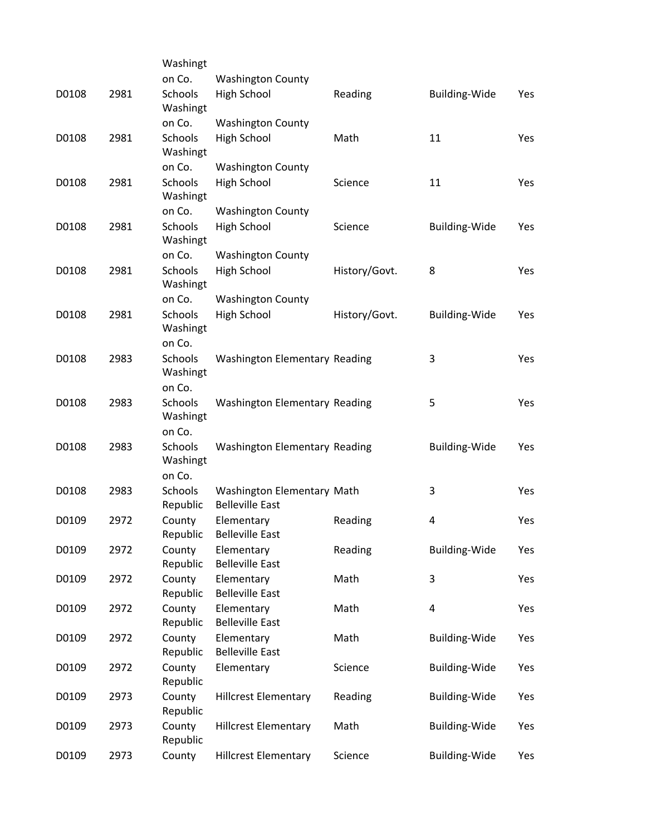|       |      | Washingt                      |                                                      |               |                      |     |
|-------|------|-------------------------------|------------------------------------------------------|---------------|----------------------|-----|
|       |      | on Co.                        | <b>Washington County</b>                             |               |                      |     |
| D0108 | 2981 | Schools<br>Washingt           | High School                                          | Reading       | <b>Building-Wide</b> | Yes |
|       |      | on Co.                        | <b>Washington County</b>                             |               |                      |     |
| D0108 | 2981 | Schools<br>Washingt           | <b>High School</b>                                   | Math          | 11                   | Yes |
|       |      | on Co.                        | <b>Washington County</b>                             |               |                      |     |
| D0108 | 2981 | Schools<br>Washingt           | High School                                          | Science       | 11                   | Yes |
|       |      | on Co.                        | <b>Washington County</b>                             |               |                      |     |
| D0108 | 2981 | Schools<br>Washingt           | <b>High School</b>                                   | Science       | <b>Building-Wide</b> | Yes |
|       |      | on Co.                        | <b>Washington County</b>                             |               |                      |     |
| D0108 | 2981 | Schools<br>Washingt           | High School                                          | History/Govt. | 8                    | Yes |
|       |      | on Co.                        | <b>Washington County</b>                             |               |                      |     |
| D0108 | 2981 | Schools<br>Washingt<br>on Co. | <b>High School</b>                                   | History/Govt. | <b>Building-Wide</b> | Yes |
| D0108 | 2983 | Schools                       | Washington Elementary Reading                        |               | 3                    | Yes |
|       |      | Washingt<br>on Co.            |                                                      |               |                      |     |
| D0108 | 2983 | Schools                       | Washington Elementary Reading                        |               | 5                    | Yes |
|       |      | Washingt<br>on Co.            |                                                      |               |                      |     |
| D0108 | 2983 | Schools                       | Washington Elementary Reading                        |               | <b>Building-Wide</b> | Yes |
|       |      | Washingt<br>on Co.            |                                                      |               |                      |     |
| D0108 | 2983 | Schools<br>Republic           | Washington Elementary Math<br><b>Belleville East</b> |               | 3                    | Yes |
| D0109 | 2972 | County<br>Republic            | Elementary<br><b>Belleville East</b>                 | Reading       | 4                    | Yes |
| D0109 | 2972 | County<br>Republic            | Elementary<br><b>Belleville East</b>                 | Reading       | <b>Building-Wide</b> | Yes |
| D0109 | 2972 | County<br>Republic            | Elementary<br><b>Belleville East</b>                 | Math          | 3                    | Yes |
| D0109 | 2972 | County<br>Republic            | Elementary<br><b>Belleville East</b>                 | Math          | 4                    | Yes |
| D0109 | 2972 | County<br>Republic            | Elementary<br><b>Belleville East</b>                 | Math          | <b>Building-Wide</b> | Yes |
| D0109 | 2972 | County<br>Republic            | Elementary                                           | Science       | Building-Wide        | Yes |
| D0109 | 2973 | County<br>Republic            | <b>Hillcrest Elementary</b>                          | Reading       | <b>Building-Wide</b> | Yes |
| D0109 | 2973 | County<br>Republic            | <b>Hillcrest Elementary</b>                          | Math          | <b>Building-Wide</b> | Yes |
| D0109 | 2973 | County                        | <b>Hillcrest Elementary</b>                          | Science       | <b>Building-Wide</b> | Yes |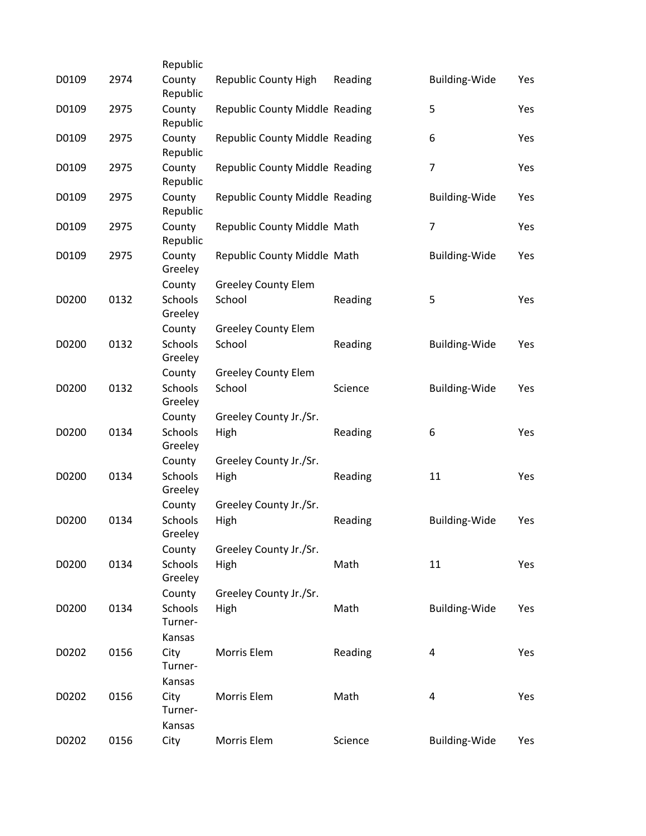|       |      | Republic                            |                                      |         |                      |     |
|-------|------|-------------------------------------|--------------------------------------|---------|----------------------|-----|
| D0109 | 2974 | County<br>Republic                  | Republic County High                 | Reading | <b>Building-Wide</b> | Yes |
| D0109 | 2975 | County<br>Republic                  | Republic County Middle Reading       |         | 5                    | Yes |
| D0109 | 2975 | County<br>Republic                  | Republic County Middle Reading       |         | 6                    | Yes |
| D0109 | 2975 | County<br>Republic                  | Republic County Middle Reading       |         | $\overline{7}$       | Yes |
| D0109 | 2975 | County<br>Republic                  | Republic County Middle Reading       |         | <b>Building-Wide</b> | Yes |
| D0109 | 2975 | County<br>Republic                  | Republic County Middle Math          |         | 7                    | Yes |
| D0109 | 2975 | County<br>Greeley                   | Republic County Middle Math          |         | <b>Building-Wide</b> | Yes |
| D0200 | 0132 | County<br><b>Schools</b><br>Greeley | <b>Greeley County Elem</b><br>School | Reading | 5                    | Yes |
| D0200 | 0132 | County<br>Schools<br>Greeley        | <b>Greeley County Elem</b><br>School | Reading | <b>Building-Wide</b> | Yes |
| D0200 | 0132 | County<br>Schools<br>Greeley        | <b>Greeley County Elem</b><br>School | Science | <b>Building-Wide</b> | Yes |
| D0200 | 0134 | County<br>Schools<br>Greeley        | Greeley County Jr./Sr.<br>High       | Reading | 6                    | Yes |
| D0200 | 0134 | County<br><b>Schools</b><br>Greeley | Greeley County Jr./Sr.<br>High       | Reading | 11                   | Yes |
| D0200 | 0134 | County<br>Schools<br>Greeley        | Greeley County Jr./Sr.<br>High       | Reading | Building-Wide        | Yes |
| D0200 | 0134 | County<br><b>Schools</b><br>Greeley | Greeley County Jr./Sr.<br>High       | Math    | 11                   | Yes |
| D0200 | 0134 | County<br>Schools<br>Turner-        | Greeley County Jr./Sr.<br>High       | Math    | Building-Wide        | Yes |
| D0202 | 0156 | Kansas<br>City<br>Turner-           | Morris Elem                          | Reading | 4                    | Yes |
| D0202 | 0156 | Kansas<br>City<br>Turner-<br>Kansas | Morris Elem                          | Math    | 4                    | Yes |
| D0202 | 0156 | City                                | Morris Elem                          | Science | <b>Building-Wide</b> | Yes |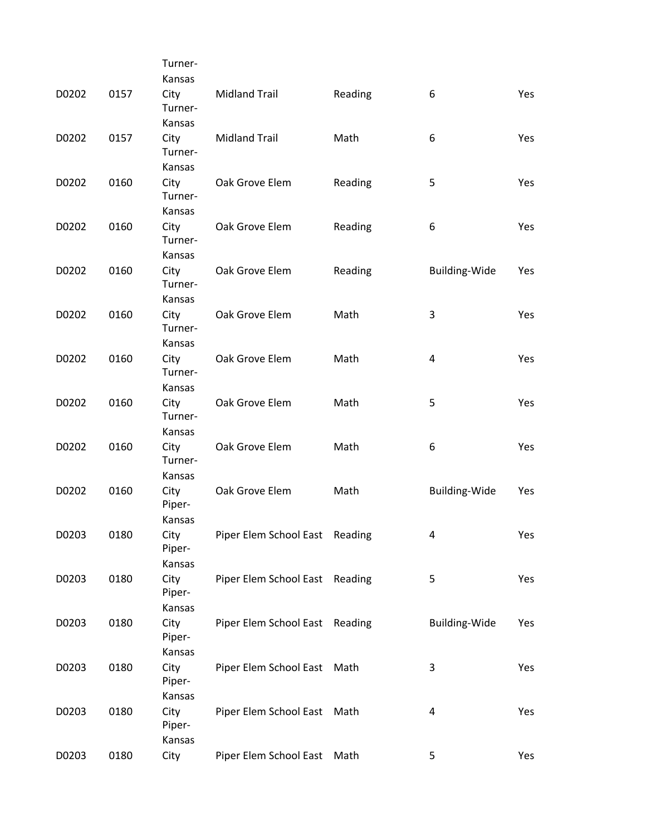|       |      | Turner-                   |                                |         |                      |            |
|-------|------|---------------------------|--------------------------------|---------|----------------------|------------|
|       |      | Kansas                    |                                |         |                      |            |
| D0202 | 0157 | City<br>Turner-<br>Kansas | <b>Midland Trail</b>           | Reading | 6                    | <b>Yes</b> |
| D0202 | 0157 | City<br>Turner-           | <b>Midland Trail</b>           | Math    | 6                    | Yes        |
|       |      | Kansas                    |                                |         |                      |            |
| D0202 | 0160 | City<br>Turner-           | Oak Grove Elem                 | Reading | 5                    | Yes        |
|       | 0160 | Kansas                    |                                |         |                      |            |
| D0202 |      | City<br>Turner-<br>Kansas | Oak Grove Elem                 | Reading | 6                    | Yes        |
| D0202 | 0160 | City<br>Turner-           | Oak Grove Elem                 | Reading | Building-Wide        | Yes        |
| D0202 | 0160 | Kansas<br>City            | Oak Grove Elem                 | Math    | 3                    | Yes        |
|       |      | Turner-<br>Kansas         |                                |         |                      |            |
| D0202 | 0160 | City                      | Oak Grove Elem                 | Math    | 4                    | Yes        |
|       |      | Turner-<br>Kansas         |                                |         |                      |            |
| D0202 | 0160 | City<br>Turner-           | Oak Grove Elem                 | Math    | 5                    | Yes        |
|       |      | Kansas                    |                                |         |                      |            |
| D0202 | 0160 | City<br>Turner-<br>Kansas | Oak Grove Elem                 | Math    | 6                    | Yes        |
| D0202 | 0160 | City                      | Oak Grove Elem                 | Math    | <b>Building-Wide</b> | Yes        |
|       |      | Piper-<br>Kansas          |                                |         |                      |            |
| D0203 | 0180 | City<br>Piper-            | Piper Elem School East Reading |         | 4                    | Yes        |
|       |      | Kansas                    |                                |         |                      |            |
| D0203 | 0180 | City<br>Piper-            | Piper Elem School East         | Reading | 5                    | Yes        |
|       |      | Kansas                    |                                |         |                      |            |
| D0203 | 0180 | City<br>Piper-<br>Kansas  | Piper Elem School East Reading |         | <b>Building-Wide</b> | Yes        |
| D0203 | 0180 | City                      | Piper Elem School East         | Math    | 3                    | Yes        |
|       |      | Piper-<br>Kansas          |                                |         |                      |            |
| D0203 | 0180 | City<br>Piper-<br>Kansas  | Piper Elem School East         | Math    | 4                    | Yes        |
| D0203 | 0180 | City                      | Piper Elem School East Math    |         | 5                    | Yes        |
|       |      |                           |                                |         |                      |            |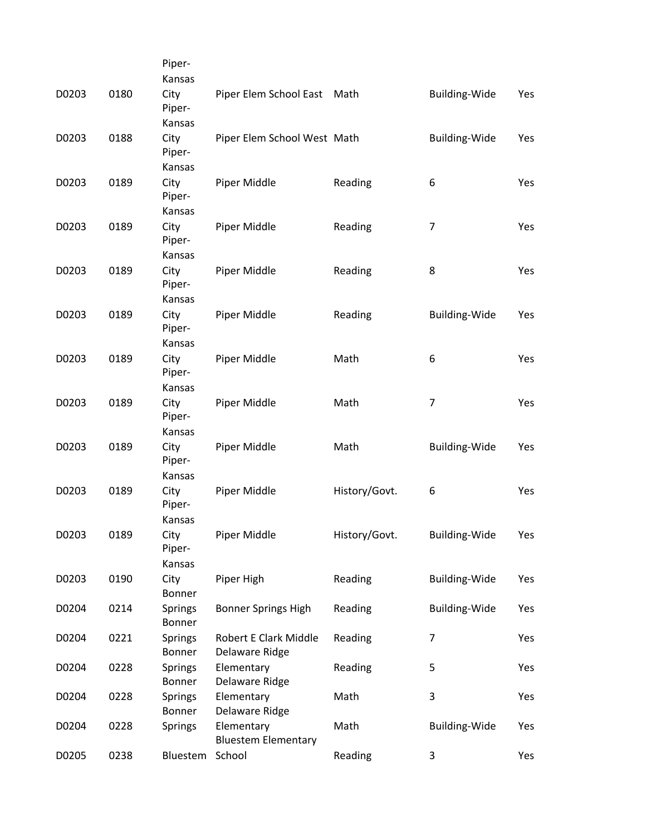|       |      | Piper-                   |                                          |               |                      |     |
|-------|------|--------------------------|------------------------------------------|---------------|----------------------|-----|
|       |      | Kansas                   |                                          |               |                      |     |
| D0203 | 0180 | City<br>Piper-           | Piper Elem School East Math              |               | <b>Building-Wide</b> | Yes |
|       |      | Kansas                   |                                          |               |                      |     |
| D0203 | 0188 | City<br>Piper-           | Piper Elem School West Math              |               | <b>Building-Wide</b> | Yes |
|       |      | Kansas                   |                                          |               |                      |     |
| D0203 | 0189 | City<br>Piper-           | Piper Middle                             | Reading       | 6                    | Yes |
|       |      | Kansas                   |                                          |               |                      |     |
| D0203 | 0189 | City                     | Piper Middle                             | Reading       | $\overline{7}$       | Yes |
|       |      | Piper-                   |                                          |               |                      |     |
|       |      | Kansas                   |                                          |               |                      |     |
| D0203 | 0189 | City<br>Piper-           | Piper Middle                             | Reading       | 8                    | Yes |
|       |      | Kansas                   |                                          |               |                      |     |
| D0203 | 0189 | City<br>Piper-           | Piper Middle                             | Reading       | <b>Building-Wide</b> | Yes |
|       |      | Kansas                   |                                          |               |                      |     |
| D0203 | 0189 | City<br>Piper-           | Piper Middle                             | Math          | 6                    | Yes |
|       |      | Kansas                   |                                          |               |                      |     |
| D0203 | 0189 | City<br>Piper-           | Piper Middle                             | Math          | 7                    | Yes |
|       |      | Kansas                   |                                          |               |                      |     |
| D0203 | 0189 | City<br>Piper-           | Piper Middle                             | Math          | <b>Building-Wide</b> | Yes |
|       |      | Kansas                   |                                          |               |                      |     |
| D0203 | 0189 | City<br>Piper-           | Piper Middle                             | History/Govt. | 6                    | Yes |
|       |      | Kansas                   |                                          |               |                      |     |
| D0203 | 0189 | City<br>Piper-           | Piper Middle                             | History/Govt. | <b>Building-Wide</b> | Yes |
|       |      | Kansas                   |                                          |               |                      |     |
| D0203 | 0190 | City<br>Bonner           | Piper High                               | Reading       | <b>Building-Wide</b> | Yes |
| D0204 | 0214 | Springs<br>Bonner        | <b>Bonner Springs High</b>               | Reading       | <b>Building-Wide</b> | Yes |
| D0204 | 0221 | <b>Springs</b><br>Bonner | Robert E Clark Middle<br>Delaware Ridge  | Reading       | 7                    | Yes |
| D0204 | 0228 | <b>Springs</b><br>Bonner | Elementary<br>Delaware Ridge             | Reading       | 5                    | Yes |
| D0204 | 0228 | <b>Springs</b>           | Elementary                               | Math          | 3                    | Yes |
|       |      | Bonner                   | Delaware Ridge                           |               |                      |     |
| D0204 | 0228 | <b>Springs</b>           | Elementary<br><b>Bluestem Elementary</b> | Math          | <b>Building-Wide</b> | Yes |
| D0205 | 0238 | Bluestem                 | School                                   | Reading       | 3                    | Yes |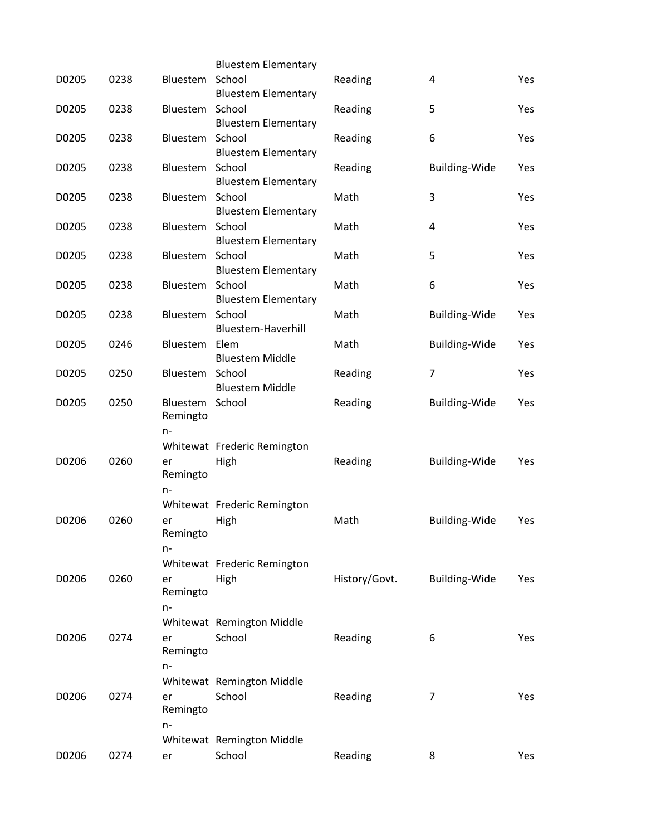|       |      |                                   | <b>Bluestem Elementary</b>           |               |                      |     |
|-------|------|-----------------------------------|--------------------------------------|---------------|----------------------|-----|
| D0205 | 0238 | Bluestem                          | School<br><b>Bluestem Elementary</b> | Reading       | 4                    | Yes |
| D0205 | 0238 | Bluestem School                   | <b>Bluestem Elementary</b>           | Reading       | 5                    | Yes |
| D0205 | 0238 | Bluestem School                   | <b>Bluestem Elementary</b>           | Reading       | 6                    | Yes |
| D0205 | 0238 | Bluestem School                   | <b>Bluestem Elementary</b>           | Reading       | <b>Building-Wide</b> | Yes |
| D0205 | 0238 | Bluestem School                   | <b>Bluestem Elementary</b>           | Math          | 3                    | Yes |
| D0205 | 0238 | Bluestem School                   | <b>Bluestem Elementary</b>           | Math          | 4                    | Yes |
| D0205 | 0238 | Bluestem School                   | <b>Bluestem Elementary</b>           | Math          | 5                    | Yes |
| D0205 | 0238 | Bluestem                          | School<br><b>Bluestem Elementary</b> | Math          | 6                    | Yes |
| D0205 | 0238 | Bluestem School                   | Bluestem-Haverhill                   | Math          | <b>Building-Wide</b> | Yes |
| D0205 | 0246 | Bluestem Elem                     | <b>Bluestem Middle</b>               | Math          | Building-Wide        | Yes |
| D0205 | 0250 | Bluestem School                   | <b>Bluestem Middle</b>               | Reading       | 7                    | Yes |
| D0205 | 0250 | Bluestem School<br>Remingto<br>n- |                                      | Reading       | <b>Building-Wide</b> | Yes |
|       |      |                                   | Whitewat Frederic Remington          |               |                      |     |
| D0206 | 0260 | er<br>Remingto<br>$n-$            | High                                 | Reading       | Building-Wide        | Yes |
|       |      |                                   | Whitewat Frederic Remington          |               |                      |     |
| D0206 | 0260 | er<br>Remingto<br>n-              | High                                 | Math          | Building-Wide        | Yes |
|       |      |                                   | Whitewat Frederic Remington          |               |                      |     |
| D0206 | 0260 | er<br>Remingto<br>$n-$            | High                                 | History/Govt. | Building-Wide        | Yes |
|       |      |                                   | Whitewat Remington Middle            |               |                      |     |
| D0206 | 0274 | er<br>Remingto                    | School                               | Reading       | 6                    | Yes |
|       |      | $n-$                              |                                      |               |                      |     |
|       |      |                                   | Whitewat Remington Middle            |               |                      |     |
| D0206 | 0274 | er<br>Remingto<br>n-              | School                               | Reading       | 7                    | Yes |
|       |      |                                   | Whitewat Remington Middle            |               |                      |     |
| D0206 | 0274 | er                                | School                               | Reading       | 8                    | Yes |
|       |      |                                   |                                      |               |                      |     |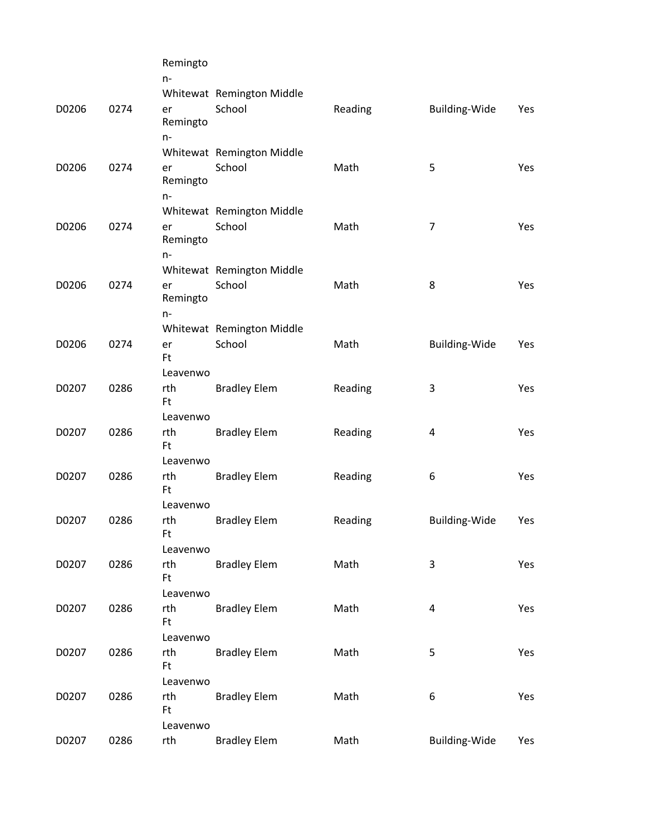|       |      | Remingto<br>$n -$ |                                     |         |                         |     |
|-------|------|-------------------|-------------------------------------|---------|-------------------------|-----|
|       |      |                   | Whitewat Remington Middle           |         |                         |     |
| D0206 | 0274 | er                | School                              | Reading | Building-Wide           | Yes |
|       |      | Remingto          |                                     |         |                         |     |
|       |      | $n-$              |                                     |         |                         |     |
|       |      |                   | Whitewat Remington Middle           |         |                         |     |
| D0206 | 0274 | er                | School                              | Math    | 5                       | Yes |
|       |      | Remingto          |                                     |         |                         |     |
|       |      | $n-$              | Whitewat Remington Middle           |         |                         |     |
| D0206 | 0274 | er                | School                              | Math    | $\overline{7}$          | Yes |
|       |      | Remingto          |                                     |         |                         |     |
|       |      | $n-$              |                                     |         |                         |     |
|       |      |                   | Whitewat Remington Middle           |         |                         |     |
| D0206 | 0274 | er                | School                              | Math    | 8                       | Yes |
|       |      | Remingto          |                                     |         |                         |     |
|       |      | $n-$              |                                     |         |                         |     |
| D0206 | 0274 |                   | Whitewat Remington Middle<br>School | Math    |                         |     |
|       |      | er<br>Ft          |                                     |         | Building-Wide           | Yes |
|       |      | Leavenwo          |                                     |         |                         |     |
| D0207 | 0286 | rth               | <b>Bradley Elem</b>                 | Reading | 3                       | Yes |
|       |      | Ft                |                                     |         |                         |     |
|       |      | Leavenwo          |                                     |         |                         |     |
| D0207 | 0286 | rth               | <b>Bradley Elem</b>                 | Reading | $\overline{\mathbf{4}}$ | Yes |
|       |      | Ft                |                                     |         |                         |     |
|       |      | Leavenwo          |                                     |         |                         |     |
| D0207 | 0286 | rth<br>Ft         | <b>Bradley Elem</b>                 | Reading | 6                       | Yes |
|       |      | Leavenwo          |                                     |         |                         |     |
| D0207 | 0286 | rth               | <b>Bradley Elem</b>                 | Reading | <b>Building-Wide</b>    | Yes |
|       |      | Ft                |                                     |         |                         |     |
|       |      | Leavenwo          |                                     |         |                         |     |
| D0207 | 0286 | rth               | <b>Bradley Elem</b>                 | Math    | 3                       | Yes |
|       |      | Ft                |                                     |         |                         |     |
|       |      | Leavenwo          |                                     |         |                         |     |
| D0207 | 0286 | rth<br>Ft         | <b>Bradley Elem</b>                 | Math    | 4                       | Yes |
|       |      | Leavenwo          |                                     |         |                         |     |
| D0207 | 0286 | rth               | <b>Bradley Elem</b>                 | Math    | 5                       | Yes |
|       |      | Ft                |                                     |         |                         |     |
|       |      | Leavenwo          |                                     |         |                         |     |
| D0207 | 0286 | rth               | <b>Bradley Elem</b>                 | Math    | 6                       | Yes |
|       |      | Ft                |                                     |         |                         |     |
|       |      | Leavenwo          |                                     |         |                         |     |
| D0207 | 0286 | rth               | <b>Bradley Elem</b>                 | Math    | Building-Wide           | Yes |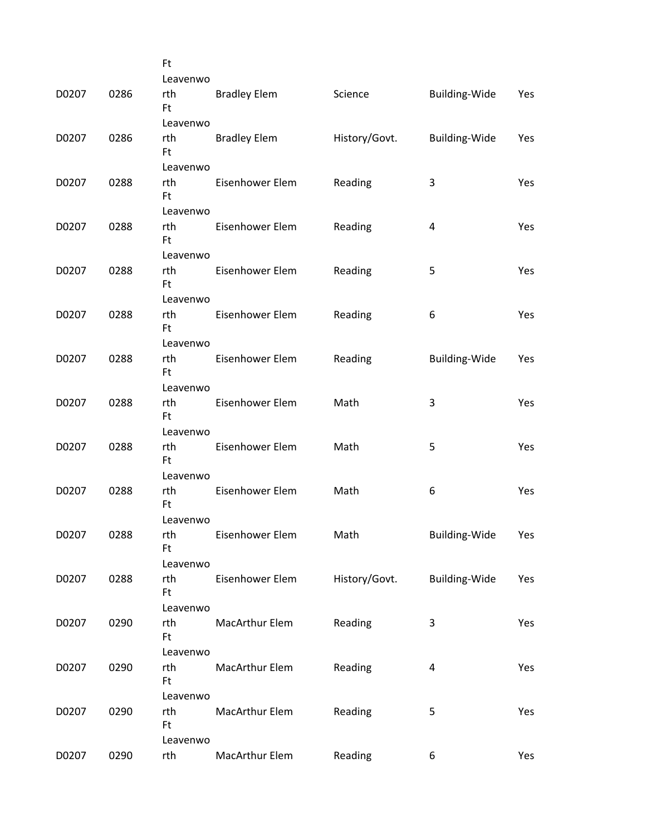|       |      | <b>Ft</b>        |                     |               |               |     |
|-------|------|------------------|---------------------|---------------|---------------|-----|
|       |      | Leavenwo         |                     |               |               |     |
| D0207 | 0286 | rth<br><b>Ft</b> | <b>Bradley Elem</b> | Science       | Building-Wide | Yes |
|       |      | Leavenwo         |                     |               |               |     |
| D0207 | 0286 | rth<br>Ft        | <b>Bradley Elem</b> | History/Govt. | Building-Wide | Yes |
|       |      | Leavenwo         |                     |               |               |     |
| D0207 | 0288 | rth<br>Ft.       | Eisenhower Elem     | Reading       | 3             | Yes |
|       |      | Leavenwo         |                     |               |               |     |
| D0207 | 0288 | rth<br>Ft        | Eisenhower Elem     | Reading       | 4             | Yes |
|       |      | Leavenwo         |                     |               |               |     |
| D0207 | 0288 | rth<br>Ft.       | Eisenhower Elem     | Reading       | 5             | Yes |
|       |      | Leavenwo         |                     |               |               |     |
| D0207 | 0288 | rth<br>Ft        | Eisenhower Elem     | Reading       | 6             | Yes |
|       |      | Leavenwo         |                     |               |               |     |
| D0207 | 0288 | rth<br>Ft.       | Eisenhower Elem     | Reading       | Building-Wide | Yes |
|       |      | Leavenwo         |                     |               |               |     |
| D0207 | 0288 | rth<br>Ft.       | Eisenhower Elem     | Math          | 3             | Yes |
|       |      | Leavenwo         |                     |               |               |     |
| D0207 | 0288 | rth<br><b>Ft</b> | Eisenhower Elem     | Math          | 5             | Yes |
|       |      | Leavenwo         |                     |               |               |     |
| D0207 | 0288 | rth<br>Ft        | Eisenhower Elem     | Math          | 6             | Yes |
|       |      | Leavenwo         |                     |               |               |     |
| D0207 | 0288 | rth<br><b>Ft</b> | Eisenhower Elem     | Math          | Building-Wide | Yes |
|       |      | Leavenwo         |                     |               |               |     |
| D0207 | 0288 | rth<br>Ft.       | Eisenhower Elem     | History/Govt. | Building-Wide | Yes |
|       |      | Leavenwo         |                     |               |               |     |
| D0207 | 0290 | rth<br><b>Ft</b> | MacArthur Elem      | Reading       | 3             | Yes |
|       |      | Leavenwo         |                     |               |               |     |
| D0207 | 0290 | rth<br><b>Ft</b> | MacArthur Elem      | Reading       | 4             | Yes |
|       |      | Leavenwo         |                     |               |               |     |
| D0207 | 0290 | rth<br><b>Ft</b> | MacArthur Elem      | Reading       | 5             | Yes |
|       |      | Leavenwo         |                     |               |               |     |
| D0207 | 0290 | rth              | MacArthur Elem      | Reading       | 6             | Yes |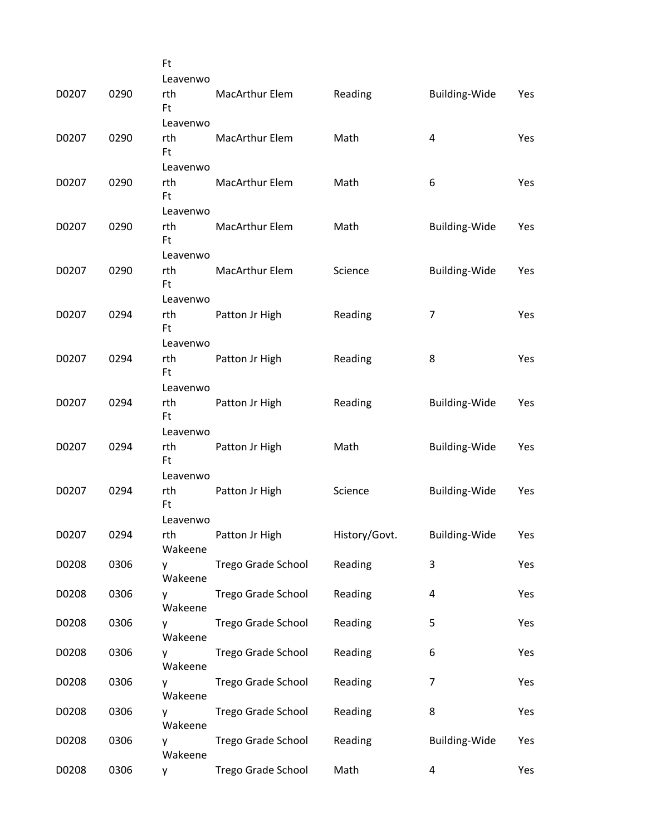|       |      | Ft               |                       |               |                      |     |
|-------|------|------------------|-----------------------|---------------|----------------------|-----|
|       |      | Leavenwo         |                       |               |                      |     |
| D0207 | 0290 | rth<br>Ft        | MacArthur Elem        | Reading       | <b>Building-Wide</b> | Yes |
|       |      | Leavenwo         |                       |               |                      |     |
| D0207 | 0290 | rth<br><b>Ft</b> | <b>MacArthur Elem</b> | Math          | 4                    | Yes |
|       |      | Leavenwo         |                       |               |                      |     |
| D0207 | 0290 | rth<br><b>Ft</b> | <b>MacArthur Elem</b> | Math          | 6                    | Yes |
|       |      | Leavenwo         |                       |               |                      |     |
| D0207 | 0290 | rth<br>Ft        | <b>MacArthur Elem</b> | Math          | <b>Building-Wide</b> | Yes |
|       |      | Leavenwo         |                       |               |                      |     |
| D0207 | 0290 | rth<br><b>Ft</b> | MacArthur Elem        | Science       | <b>Building-Wide</b> | Yes |
|       |      | Leavenwo         |                       |               |                      |     |
| D0207 | 0294 | rth<br>Ft        | Patton Jr High        | Reading       | $\overline{7}$       | Yes |
|       |      | Leavenwo         |                       |               |                      |     |
| D0207 | 0294 | rth<br><b>Ft</b> | Patton Jr High        | Reading       | 8                    | Yes |
|       | 0294 | Leavenwo         |                       |               |                      |     |
| D0207 |      | rth<br>Ft        | Patton Jr High        | Reading       | Building-Wide        | Yes |
| D0207 | 0294 | Leavenwo<br>rth  |                       | Math          |                      |     |
|       |      | <b>Ft</b>        | Patton Jr High        |               | <b>Building-Wide</b> | Yes |
| D0207 | 0294 | Leavenwo<br>rth  |                       | Science       |                      |     |
|       |      | Ft               | Patton Jr High        |               | <b>Building-Wide</b> | Yes |
| D0207 | 0294 | Leavenwo<br>rth  | Patton Jr High        | History/Govt. | <b>Building-Wide</b> | Yes |
|       |      | Wakeene          |                       |               |                      |     |
| D0208 | 0306 | ۷<br>Wakeene     | Trego Grade School    | Reading       | 3                    | Yes |
| D0208 | 0306 | y<br>Wakeene     | Trego Grade School    | Reading       | 4                    | Yes |
| D0208 | 0306 | y<br>Wakeene     | Trego Grade School    | Reading       | 5                    | Yes |
| D0208 | 0306 | у<br>Wakeene     | Trego Grade School    | Reading       | 6                    | Yes |
| D0208 | 0306 | y<br>Wakeene     | Trego Grade School    | Reading       | 7                    | Yes |
| D0208 | 0306 | У<br>Wakeene     | Trego Grade School    | Reading       | 8                    | Yes |
| D0208 | 0306 | у<br>Wakeene     | Trego Grade School    | Reading       | Building-Wide        | Yes |
| D0208 | 0306 | y                | Trego Grade School    | Math          | 4                    | Yes |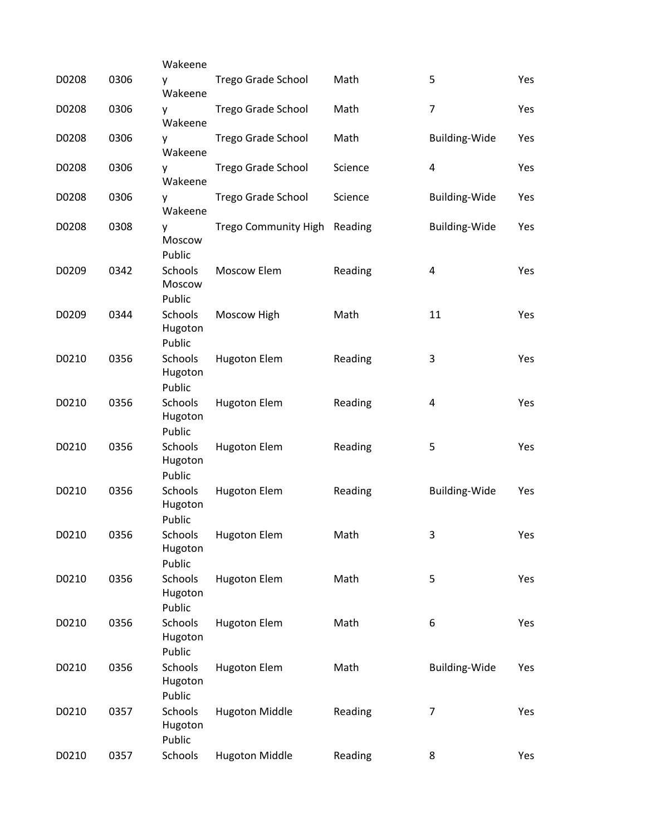|       |      | Wakeene                      |                              |         |                      |     |
|-------|------|------------------------------|------------------------------|---------|----------------------|-----|
| D0208 | 0306 | y<br>Wakeene                 | Trego Grade School           | Math    | 5                    | Yes |
| D0208 | 0306 | у<br>Wakeene                 | Trego Grade School           | Math    | $\overline{7}$       | Yes |
| D0208 | 0306 | у<br>Wakeene                 | <b>Trego Grade School</b>    | Math    | Building-Wide        | Yes |
| D0208 | 0306 | y<br>Wakeene                 | Trego Grade School           | Science | 4                    | Yes |
| D0208 | 0306 | у<br>Wakeene                 | <b>Trego Grade School</b>    | Science | <b>Building-Wide</b> | Yes |
| D0208 | 0308 | v<br>Moscow<br>Public        | Trego Community High Reading |         | <b>Building-Wide</b> | Yes |
| D0209 | 0342 | Schools<br>Moscow<br>Public  | Moscow Elem                  | Reading | 4                    | Yes |
| D0209 | 0344 | Schools<br>Hugoton<br>Public | Moscow High                  | Math    | 11                   | Yes |
| D0210 | 0356 | Schools<br>Hugoton<br>Public | <b>Hugoton Elem</b>          | Reading | 3                    | Yes |
| D0210 | 0356 | Schools<br>Hugoton<br>Public | <b>Hugoton Elem</b>          | Reading | 4                    | Yes |
| D0210 | 0356 | Schools<br>Hugoton<br>Public | <b>Hugoton Elem</b>          | Reading | 5                    | Yes |
| D0210 | 0356 | Schools<br>Hugoton<br>Public | <b>Hugoton Elem</b>          | Reading | Building-Wide        | Yes |
| D0210 | 0356 | Hugoton<br>Public            | Schools Hugoton Elem         | Math    | 3                    | Yes |
| D0210 | 0356 | Schools<br>Hugoton<br>Public | <b>Hugoton Elem</b>          | Math    | 5                    | Yes |
| D0210 | 0356 | Schools<br>Hugoton<br>Public | <b>Hugoton Elem</b>          | Math    | 6                    | Yes |
| D0210 | 0356 | Schools<br>Hugoton<br>Public | <b>Hugoton Elem</b>          | Math    | Building-Wide        | Yes |
| D0210 | 0357 | Schools<br>Hugoton<br>Public | <b>Hugoton Middle</b>        | Reading | $\overline{7}$       | Yes |
| D0210 | 0357 | Schools                      | <b>Hugoton Middle</b>        | Reading | 8                    | Yes |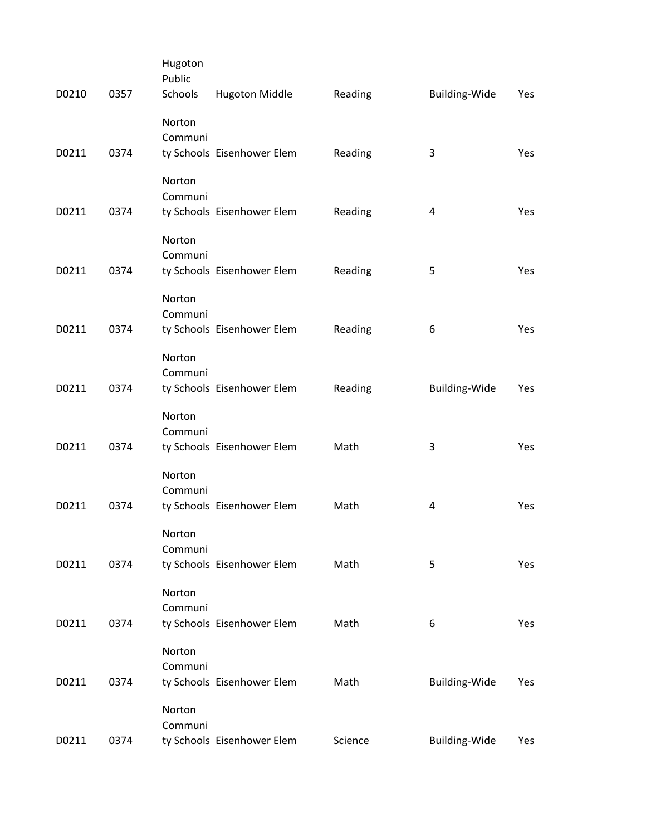| D0210 | 0357 | Hugoton<br>Public<br>Schools | <b>Hugoton Middle</b>      | Reading | Building-Wide | Yes |
|-------|------|------------------------------|----------------------------|---------|---------------|-----|
|       |      | Norton<br>Communi            |                            |         |               |     |
| D0211 | 0374 |                              | ty Schools Eisenhower Elem | Reading | 3             | Yes |
|       |      | Norton<br>Communi            |                            |         |               |     |
| D0211 | 0374 |                              | ty Schools Eisenhower Elem | Reading | 4             | Yes |
| D0211 | 0374 | Norton<br>Communi            |                            | Reading | 5             | Yes |
|       |      |                              | ty Schools Eisenhower Elem |         |               |     |
|       |      | Norton<br>Communi            |                            |         |               |     |
| D0211 | 0374 |                              | ty Schools Eisenhower Elem | Reading | 6             | Yes |
|       |      | Norton                       |                            |         |               |     |
|       |      | Communi                      |                            |         |               |     |
| D0211 | 0374 |                              | ty Schools Eisenhower Elem | Reading | Building-Wide | Yes |
|       |      | Norton                       |                            |         |               |     |
| D0211 | 0374 | Communi                      | ty Schools Eisenhower Elem | Math    | 3             | Yes |
|       |      |                              |                            |         |               |     |
|       |      | Norton                       |                            |         |               |     |
| D0211 | 0374 | Communi                      | ty Schools Eisenhower Elem | Math    | 4             | Yes |
|       |      |                              |                            |         |               |     |
|       |      | Norton                       |                            |         |               |     |
| D0211 | 0374 | Communi                      | ty Schools Eisenhower Elem | Math    | 5             | Yes |
|       |      |                              |                            |         |               |     |
|       |      | Norton<br>Communi            |                            |         |               |     |
| D0211 | 0374 |                              | ty Schools Eisenhower Elem | Math    | 6             | Yes |
|       |      |                              |                            |         |               |     |
|       |      | Norton<br>Communi            |                            |         |               |     |
| D0211 | 0374 |                              | ty Schools Eisenhower Elem | Math    | Building-Wide | Yes |
|       |      | Norton                       |                            |         |               |     |
|       |      | Communi                      |                            |         |               |     |
| D0211 | 0374 |                              | ty Schools Eisenhower Elem | Science | Building-Wide | Yes |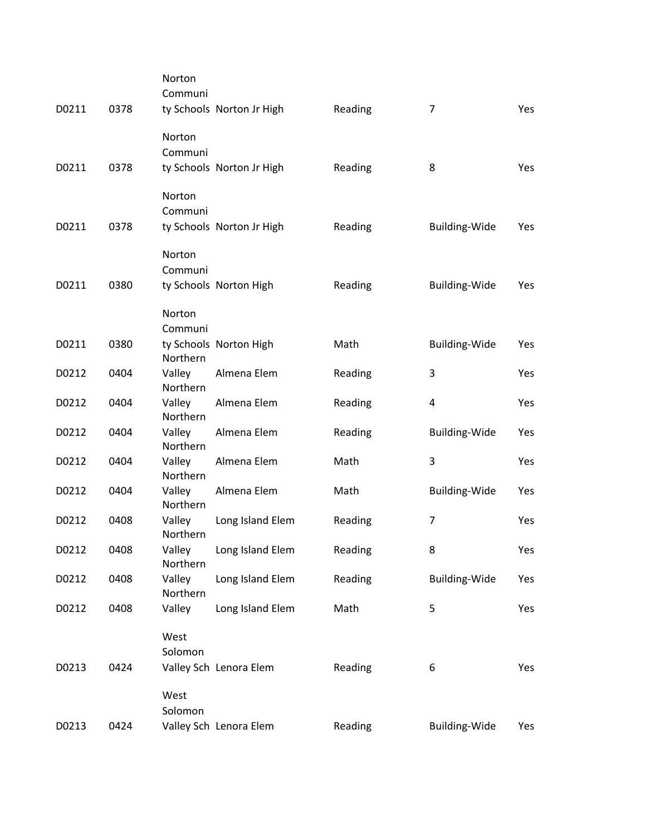| D0211 | 0378 | Norton<br>Communi  | ty Schools Norton Jr High | Reading | $\overline{7}$       | <b>Yes</b> |
|-------|------|--------------------|---------------------------|---------|----------------------|------------|
| D0211 | 0378 | Norton<br>Communi  | ty Schools Norton Jr High | Reading | 8                    | Yes        |
|       |      | Norton<br>Communi  |                           |         |                      |            |
| D0211 | 0378 |                    | ty Schools Norton Jr High | Reading | <b>Building-Wide</b> | Yes        |
|       |      | Norton<br>Communi  |                           |         |                      |            |
| D0211 | 0380 |                    | ty Schools Norton High    | Reading | Building-Wide        | Yes        |
|       |      | Norton<br>Communi  |                           |         |                      |            |
| D0211 | 0380 | Northern           | ty Schools Norton High    | Math    | Building-Wide        | Yes        |
| D0212 | 0404 | Valley<br>Northern | Almena Elem               | Reading | 3                    | Yes        |
| D0212 | 0404 | Valley<br>Northern | Almena Elem               | Reading | 4                    | Yes        |
| D0212 | 0404 | Valley<br>Northern | Almena Elem               | Reading | <b>Building-Wide</b> | Yes        |
| D0212 | 0404 | Valley<br>Northern | Almena Elem               | Math    | 3                    | Yes        |
| D0212 | 0404 | Valley<br>Northern | Almena Elem               | Math    | <b>Building-Wide</b> | Yes        |
| D0212 | 0408 | Valley<br>Northern | Long Island Elem          | Reading | $\overline{7}$       | <b>Yes</b> |
| D0212 | 0408 | Valley<br>Northern | Long Island Elem          | Reading | 8                    | Yes        |
| D0212 | 0408 | Valley<br>Northern | Long Island Elem          | Reading | Building-Wide        | Yes        |
| D0212 | 0408 | Valley             | Long Island Elem          | Math    | 5                    | Yes        |
|       |      | West<br>Solomon    |                           |         |                      |            |
| D0213 | 0424 |                    | Valley Sch Lenora Elem    | Reading | 6                    | Yes        |
|       |      | West<br>Solomon    |                           |         |                      |            |
| D0213 | 0424 |                    | Valley Sch Lenora Elem    | Reading | Building-Wide        | Yes        |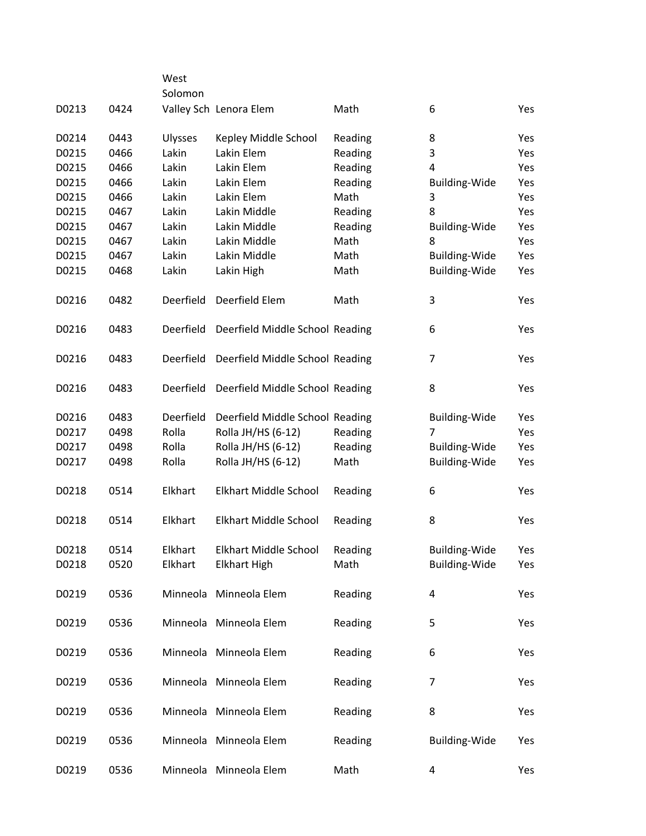|       |      | West           |                                 |         |                      |            |
|-------|------|----------------|---------------------------------|---------|----------------------|------------|
| D0213 | 0424 | Solomon        | Valley Sch Lenora Elem          | Math    | 6                    | <b>Yes</b> |
|       |      |                |                                 |         |                      |            |
| D0214 | 0443 | <b>Ulysses</b> | Kepley Middle School            | Reading | 8                    | Yes        |
| D0215 | 0466 | Lakin          | Lakin Elem                      | Reading | 3                    | Yes        |
| D0215 | 0466 | Lakin          | Lakin Elem                      | Reading | 4                    | Yes        |
| D0215 | 0466 | Lakin          | Lakin Elem                      | Reading | Building-Wide        | Yes        |
| D0215 | 0466 | Lakin          | Lakin Elem                      | Math    | 3                    | Yes        |
| D0215 | 0467 | Lakin          | Lakin Middle                    | Reading | 8                    | Yes        |
| D0215 | 0467 | Lakin          | Lakin Middle                    | Reading | <b>Building-Wide</b> | Yes        |
| D0215 | 0467 | Lakin          | Lakin Middle                    | Math    | 8                    | Yes        |
| D0215 | 0467 | Lakin          | Lakin Middle                    | Math    | Building-Wide        | Yes        |
| D0215 | 0468 | Lakin          | Lakin High                      | Math    | <b>Building-Wide</b> | Yes        |
|       |      |                |                                 |         |                      |            |
| D0216 | 0482 | Deerfield      | Deerfield Elem                  | Math    | 3                    | Yes        |
| D0216 | 0483 | Deerfield      | Deerfield Middle School Reading |         | 6                    | Yes        |
|       |      |                |                                 |         |                      |            |
| D0216 | 0483 | Deerfield      | Deerfield Middle School Reading |         | 7                    | Yes        |
| D0216 | 0483 | Deerfield      | Deerfield Middle School Reading |         | 8                    | Yes        |
| D0216 | 0483 | Deerfield      | Deerfield Middle School Reading |         | <b>Building-Wide</b> | Yes        |
| D0217 | 0498 | Rolla          | Rolla JH/HS (6-12)              | Reading | $\overline{7}$       | Yes        |
| D0217 | 0498 | Rolla          | Rolla JH/HS (6-12)              | Reading | <b>Building-Wide</b> | Yes        |
| D0217 | 0498 | Rolla          | Rolla JH/HS (6-12)              | Math    | <b>Building-Wide</b> | Yes        |
|       |      |                |                                 |         |                      |            |
| D0218 | 0514 | Elkhart        | <b>Elkhart Middle School</b>    | Reading | 6                    | Yes        |
| D0218 | 0514 | Elkhart        | Elkhart Middle School           | Reading | 8                    | Yes        |
|       |      |                |                                 |         |                      |            |
| D0218 | 0514 | Elkhart        | <b>Elkhart Middle School</b>    | Reading | Building-Wide        | Yes        |
| D0218 | 0520 | Elkhart        | <b>Elkhart High</b>             | Math    | Building-Wide        | Yes        |
|       |      |                |                                 |         |                      |            |
| D0219 | 0536 |                | Minneola Minneola Elem          | Reading | 4                    | Yes        |
|       |      |                |                                 |         |                      |            |
| D0219 | 0536 |                | Minneola Minneola Elem          | Reading | 5                    | Yes        |
|       |      |                |                                 |         |                      |            |
| D0219 | 0536 |                | Minneola Minneola Elem          | Reading | 6                    | Yes        |
|       |      |                |                                 |         |                      |            |
| D0219 | 0536 |                | Minneola Minneola Elem          | Reading | 7                    | Yes        |
|       |      |                |                                 |         |                      |            |
| D0219 | 0536 |                | Minneola Minneola Elem          | Reading | 8                    | Yes        |
|       |      |                |                                 |         |                      |            |
| D0219 | 0536 |                | Minneola Minneola Elem          | Reading | Building-Wide        | Yes        |
|       |      |                |                                 |         |                      |            |
| D0219 | 0536 |                | Minneola Minneola Elem          | Math    | 4                    | Yes        |
|       |      |                |                                 |         |                      |            |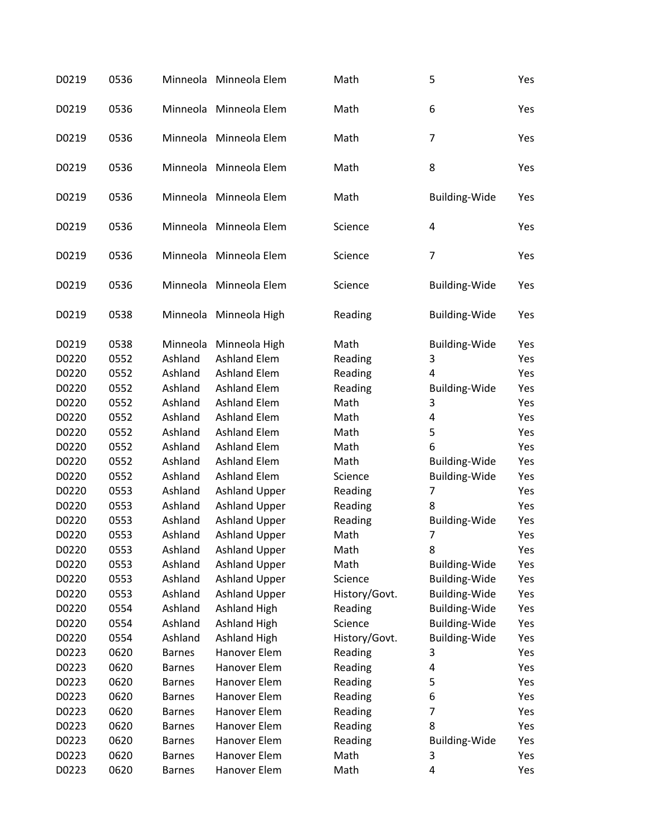| D0219 | 0536 |               | Minneola Minneola Elem | Math          | 5                    | Yes |
|-------|------|---------------|------------------------|---------------|----------------------|-----|
| D0219 | 0536 |               | Minneola Minneola Elem | Math          | 6                    | Yes |
| D0219 | 0536 |               | Minneola Minneola Elem | Math          | $\overline{7}$       | Yes |
| D0219 | 0536 |               | Minneola Minneola Elem | Math          | 8                    | Yes |
| D0219 | 0536 |               | Minneola Minneola Elem | Math          | Building-Wide        | Yes |
| D0219 | 0536 |               | Minneola Minneola Elem | Science       | 4                    | Yes |
| D0219 | 0536 | Minneola      | Minneola Elem          | Science       | $\overline{7}$       | Yes |
| D0219 | 0536 |               | Minneola Minneola Elem | Science       | <b>Building-Wide</b> | Yes |
| D0219 | 0538 |               | Minneola Minneola High | Reading       | <b>Building-Wide</b> | Yes |
| D0219 | 0538 | Minneola      | Minneola High          | Math          | <b>Building-Wide</b> | Yes |
| D0220 | 0552 | Ashland       | <b>Ashland Elem</b>    | Reading       | 3                    | Yes |
| D0220 | 0552 | Ashland       | <b>Ashland Elem</b>    | Reading       | 4                    | Yes |
| D0220 | 0552 | Ashland       | <b>Ashland Elem</b>    | Reading       | <b>Building-Wide</b> | Yes |
| D0220 | 0552 | Ashland       | <b>Ashland Elem</b>    | Math          | 3                    | Yes |
| D0220 | 0552 | Ashland       | <b>Ashland Elem</b>    | Math          | 4                    | Yes |
| D0220 | 0552 | Ashland       | <b>Ashland Elem</b>    | Math          | 5                    | Yes |
| D0220 | 0552 | Ashland       | <b>Ashland Elem</b>    | Math          | 6                    | Yes |
| D0220 | 0552 | Ashland       | <b>Ashland Elem</b>    | Math          | <b>Building-Wide</b> | Yes |
| D0220 | 0552 | Ashland       | <b>Ashland Elem</b>    | Science       | <b>Building-Wide</b> | Yes |
| D0220 | 0553 | Ashland       | <b>Ashland Upper</b>   | Reading       | $\overline{7}$       | Yes |
| D0220 | 0553 | Ashland       | <b>Ashland Upper</b>   | Reading       | 8                    | Yes |
| D0220 | 0553 | Ashland       | <b>Ashland Upper</b>   | Reading       | <b>Building-Wide</b> | Yes |
| D0220 | 0553 | Ashland       | <b>Ashland Upper</b>   | Math          | $\overline{7}$       | Yes |
| D0220 | 0553 | Ashland       | <b>Ashland Upper</b>   | Math          | 8                    | Yes |
| D0220 | 0553 | Ashland       | <b>Ashland Upper</b>   | Math          | <b>Building-Wide</b> | Yes |
| D0220 | 0553 | Ashland       | <b>Ashland Upper</b>   | Science       | <b>Building-Wide</b> | Yes |
| D0220 | 0553 | Ashland       | <b>Ashland Upper</b>   | History/Govt. | <b>Building-Wide</b> | Yes |
| D0220 | 0554 | Ashland       | <b>Ashland High</b>    | Reading       | <b>Building-Wide</b> | Yes |
| D0220 | 0554 | Ashland       | <b>Ashland High</b>    | Science       | Building-Wide        | Yes |
| D0220 | 0554 | Ashland       | <b>Ashland High</b>    | History/Govt. | Building-Wide        | Yes |
| D0223 | 0620 | <b>Barnes</b> | Hanover Elem           | Reading       | 3                    | Yes |
| D0223 | 0620 | <b>Barnes</b> | Hanover Elem           | Reading       | 4                    | Yes |
| D0223 | 0620 | <b>Barnes</b> | Hanover Elem           | Reading       | 5                    | Yes |
| D0223 | 0620 | <b>Barnes</b> | Hanover Elem           | Reading       | 6                    | Yes |
| D0223 | 0620 | <b>Barnes</b> | Hanover Elem           | Reading       | 7                    | Yes |
| D0223 | 0620 | <b>Barnes</b> | Hanover Elem           | Reading       | 8                    | Yes |
| D0223 | 0620 | <b>Barnes</b> | Hanover Elem           | Reading       | <b>Building-Wide</b> | Yes |
| D0223 | 0620 | <b>Barnes</b> | Hanover Elem           | Math          | 3                    | Yes |
| D0223 | 0620 | <b>Barnes</b> | Hanover Elem           | Math          | 4                    | Yes |
|       |      |               |                        |               |                      |     |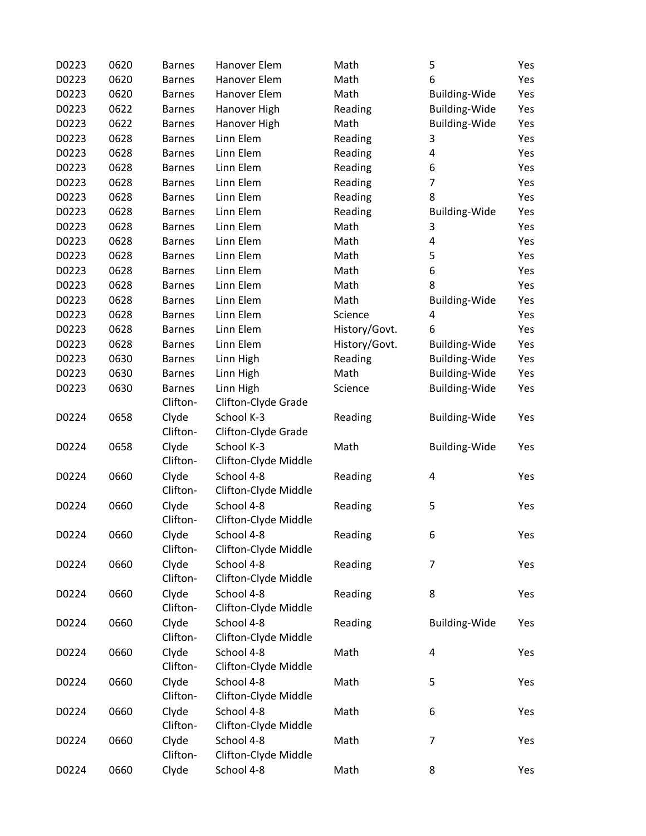| D0223 | 0620 | <b>Barnes</b> | Hanover Elem         | Math          | 5                    | Yes |
|-------|------|---------------|----------------------|---------------|----------------------|-----|
| D0223 | 0620 | <b>Barnes</b> | Hanover Elem         | Math          | 6                    | Yes |
| D0223 | 0620 | <b>Barnes</b> | Hanover Elem         | Math          | <b>Building-Wide</b> | Yes |
| D0223 | 0622 | <b>Barnes</b> | Hanover High         | Reading       | <b>Building-Wide</b> | Yes |
| D0223 | 0622 | <b>Barnes</b> | Hanover High         | Math          | <b>Building-Wide</b> | Yes |
| D0223 | 0628 | <b>Barnes</b> | Linn Elem            | Reading       | 3                    | Yes |
| D0223 | 0628 | <b>Barnes</b> | Linn Elem            | Reading       | 4                    | Yes |
| D0223 | 0628 | <b>Barnes</b> | Linn Elem            | Reading       | 6                    | Yes |
| D0223 | 0628 | <b>Barnes</b> | Linn Elem            | Reading       | 7                    | Yes |
| D0223 | 0628 | <b>Barnes</b> | Linn Elem            | Reading       | 8                    | Yes |
| D0223 | 0628 | <b>Barnes</b> | Linn Elem            | Reading       | <b>Building-Wide</b> | Yes |
| D0223 | 0628 | <b>Barnes</b> | Linn Elem            | Math          | 3                    | Yes |
| D0223 | 0628 | <b>Barnes</b> | Linn Elem            | Math          | 4                    | Yes |
| D0223 | 0628 | <b>Barnes</b> | Linn Elem            | Math          | 5                    | Yes |
| D0223 | 0628 | <b>Barnes</b> | Linn Elem            | Math          | 6                    | Yes |
| D0223 | 0628 | <b>Barnes</b> | Linn Elem            | Math          | 8                    | Yes |
| D0223 | 0628 | <b>Barnes</b> | Linn Elem            | Math          | <b>Building-Wide</b> | Yes |
| D0223 | 0628 | <b>Barnes</b> | Linn Elem            | Science       | 4                    | Yes |
| D0223 | 0628 | <b>Barnes</b> | Linn Elem            | History/Govt. | 6                    | Yes |
| D0223 | 0628 | <b>Barnes</b> | Linn Elem            | History/Govt. | <b>Building-Wide</b> | Yes |
| D0223 | 0630 | <b>Barnes</b> | Linn High            | Reading       | <b>Building-Wide</b> | Yes |
| D0223 | 0630 | <b>Barnes</b> | Linn High            | Math          | Building-Wide        | Yes |
| D0223 | 0630 | <b>Barnes</b> | Linn High            | Science       | <b>Building-Wide</b> | Yes |
|       |      | Clifton-      | Clifton-Clyde Grade  |               |                      |     |
| D0224 | 0658 | Clyde         | School K-3           | Reading       | <b>Building-Wide</b> | Yes |
|       |      | Clifton-      | Clifton-Clyde Grade  |               |                      |     |
| D0224 | 0658 | Clyde         | School K-3           | Math          | <b>Building-Wide</b> | Yes |
|       |      | Clifton-      | Clifton-Clyde Middle |               |                      |     |
| D0224 | 0660 | Clyde         | School 4-8           | Reading       | 4                    | Yes |
|       |      | Clifton-      | Clifton-Clyde Middle |               |                      |     |
| D0224 | 0660 | Clyde         | School 4-8           | Reading       | 5                    | Yes |
|       |      | Clifton-      | Clifton-Clyde Middle |               |                      |     |
| D0224 | 0660 | Clyde         | School 4-8           | Reading       | 6                    | Yes |
|       |      | Clifton-      | Clifton-Clyde Middle |               |                      |     |
| D0224 | 0660 | Clyde         | School 4-8           | Reading       | $\overline{7}$       | Yes |
|       |      | Clifton-      | Clifton-Clyde Middle |               |                      |     |
| D0224 | 0660 | Clyde         | School 4-8           | Reading       | 8                    | Yes |
|       |      | Clifton-      | Clifton-Clyde Middle |               |                      |     |
| D0224 | 0660 | Clyde         | School 4-8           | Reading       | Building-Wide        | Yes |
|       |      | Clifton-      | Clifton-Clyde Middle |               |                      |     |
| D0224 | 0660 | Clyde         | School 4-8           | Math          | 4                    | Yes |
|       |      | Clifton-      | Clifton-Clyde Middle |               |                      |     |
| D0224 | 0660 | Clyde         | School 4-8           | Math          | 5                    | Yes |
|       |      | Clifton-      | Clifton-Clyde Middle |               |                      |     |
| D0224 | 0660 | Clyde         | School 4-8           | Math          | 6                    | Yes |
|       |      | Clifton-      | Clifton-Clyde Middle |               |                      |     |
| D0224 | 0660 | Clyde         | School 4-8           | Math          | $\overline{7}$       | Yes |
|       |      | Clifton-      | Clifton-Clyde Middle |               |                      |     |
| D0224 | 0660 | Clyde         | School 4-8           | Math          | 8                    | Yes |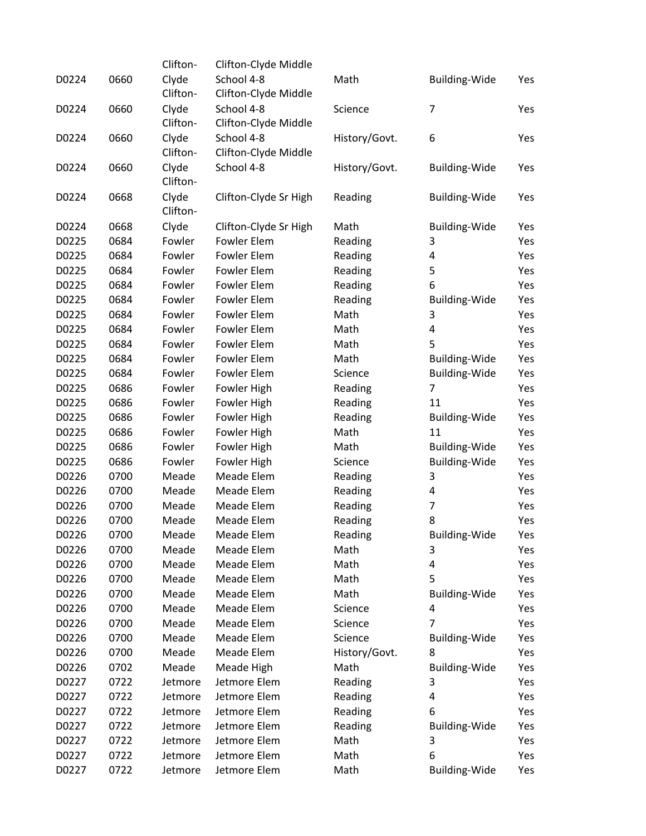|       |      | Clifton- | Clifton-Clyde Middle  |                    |                      |     |
|-------|------|----------|-----------------------|--------------------|----------------------|-----|
| D0224 | 0660 | Clyde    | School 4-8            | Math               | <b>Building-Wide</b> | Yes |
|       |      | Clifton- | Clifton-Clyde Middle  |                    |                      |     |
| D0224 | 0660 | Clyde    | School 4-8            | Science            | $\overline{7}$       | Yes |
|       |      | Clifton- | Clifton-Clyde Middle  |                    |                      |     |
| D0224 | 0660 | Clyde    | School 4-8            | History/Govt.      | 6                    | Yes |
|       |      | Clifton- | Clifton-Clyde Middle  |                    |                      |     |
| D0224 | 0660 | Clyde    | School 4-8            | History/Govt.      | <b>Building-Wide</b> | Yes |
|       |      | Clifton- |                       |                    |                      |     |
| D0224 | 0668 | Clyde    | Clifton-Clyde Sr High | Reading            | <b>Building-Wide</b> | Yes |
|       |      | Clifton- |                       |                    |                      |     |
| D0224 | 0668 | Clyde    | Clifton-Clyde Sr High | Math               | <b>Building-Wide</b> | Yes |
| D0225 | 0684 | Fowler   | Fowler Elem           | Reading            | 3                    | Yes |
| D0225 | 0684 | Fowler   | Fowler Elem           | Reading            | 4                    | Yes |
| D0225 | 0684 | Fowler   | Fowler Elem           | Reading            | 5                    | Yes |
| D0225 | 0684 | Fowler   | Fowler Elem           | Reading            | 6                    | Yes |
| D0225 | 0684 | Fowler   | Fowler Elem           | Reading            | <b>Building-Wide</b> | Yes |
| D0225 | 0684 | Fowler   | Fowler Elem           | Math               | 3                    | Yes |
| D0225 | 0684 | Fowler   | Fowler Elem           | Math               | 4                    | Yes |
| D0225 | 0684 | Fowler   | Fowler Elem           | Math               | 5                    | Yes |
| D0225 | 0684 | Fowler   | Fowler Elem           | Math               | <b>Building-Wide</b> | Yes |
| D0225 | 0684 | Fowler   | Fowler Elem           | Science            | <b>Building-Wide</b> | Yes |
| D0225 | 0686 | Fowler   | Fowler High           | Reading            | $\overline{7}$       | Yes |
| D0225 | 0686 | Fowler   | Fowler High           | Reading            | 11                   | Yes |
| D0225 | 0686 | Fowler   | Fowler High           | Reading            | <b>Building-Wide</b> | Yes |
| D0225 | 0686 | Fowler   | Fowler High           | Math               | 11                   | Yes |
| D0225 | 0686 | Fowler   | Fowler High           | Math               | Building-Wide        | Yes |
| D0225 | 0686 | Fowler   | Fowler High           | Science            | <b>Building-Wide</b> | Yes |
| D0226 | 0700 | Meade    | Meade Elem            | Reading            | 3                    | Yes |
| D0226 | 0700 | Meade    | Meade Elem            | Reading            | 4                    | Yes |
| D0226 | 0700 | Meade    | Meade Elem            |                    | 7                    | Yes |
| D0226 | 0700 | Meade    | Meade Elem            | Reading            | 8                    | Yes |
| D0226 | 0700 | Meade    | Meade Elem            | Reading<br>Reading | Building-Wide        | Yes |
| D0226 |      |          |                       |                    |                      |     |
|       | 0700 | Meade    | Meade Elem            | Math               | 3                    | Yes |
| D0226 | 0700 | Meade    | Meade Elem            | Math               | 4                    | Yes |
| D0226 | 0700 | Meade    | Meade Elem            | Math               | 5                    | Yes |
| D0226 | 0700 | Meade    | Meade Elem            | Math               | <b>Building-Wide</b> | Yes |
| D0226 | 0700 | Meade    | Meade Elem            | Science            | 4                    | Yes |
| D0226 | 0700 | Meade    | Meade Elem            | Science            | 7                    | Yes |
| D0226 | 0700 | Meade    | Meade Elem            | Science            | <b>Building-Wide</b> | Yes |
| D0226 | 0700 | Meade    | Meade Elem            | History/Govt.      | 8                    | Yes |
| D0226 | 0702 | Meade    | Meade High            | Math               | <b>Building-Wide</b> | Yes |
| D0227 | 0722 | Jetmore  | Jetmore Elem          | Reading            | 3                    | Yes |
| D0227 | 0722 | Jetmore  | Jetmore Elem          | Reading            | 4                    | Yes |
| D0227 | 0722 | Jetmore  | Jetmore Elem          | Reading            | 6                    | Yes |
| D0227 | 0722 | Jetmore  | Jetmore Elem          | Reading            | <b>Building-Wide</b> | Yes |
| D0227 | 0722 | Jetmore  | Jetmore Elem          | Math               | 3                    | Yes |
| D0227 | 0722 | Jetmore  | Jetmore Elem          | Math               | 6                    | Yes |
| D0227 | 0722 | Jetmore  | Jetmore Elem          | Math               | Building-Wide        | Yes |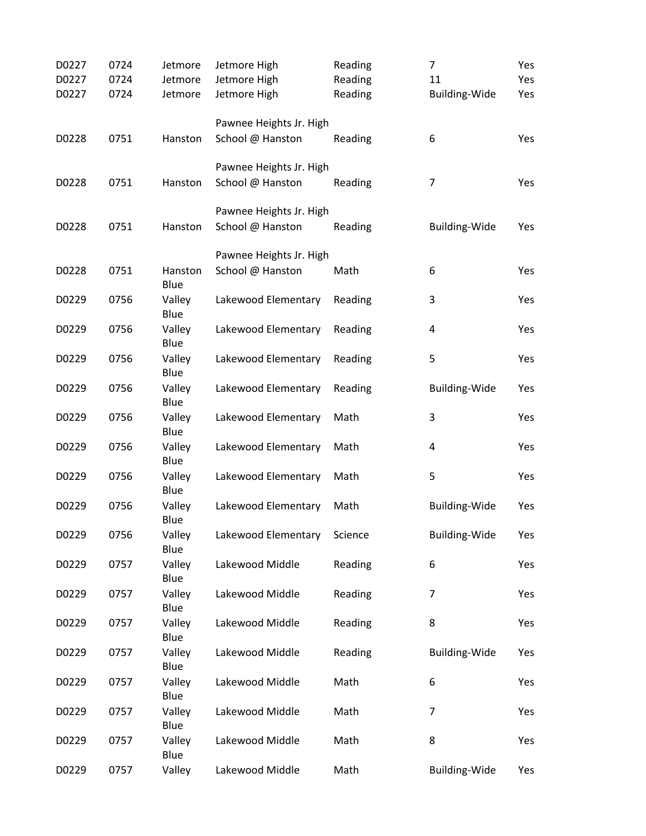| D0227 | 0724 | Jetmore        | Jetmore High            | Reading | $\overline{7}$       | Yes |
|-------|------|----------------|-------------------------|---------|----------------------|-----|
| D0227 | 0724 | Jetmore        | Jetmore High            | Reading | 11                   | Yes |
| D0227 | 0724 | Jetmore        | Jetmore High            | Reading | <b>Building-Wide</b> | Yes |
|       |      |                |                         |         |                      |     |
|       |      |                | Pawnee Heights Jr. High |         |                      |     |
| D0228 | 0751 | Hanston        | School @ Hanston        | Reading | 6                    | Yes |
|       |      |                | Pawnee Heights Jr. High |         |                      |     |
| D0228 | 0751 | Hanston        | School @ Hanston        | Reading | $\overline{7}$       | Yes |
|       |      |                |                         |         |                      |     |
|       |      |                | Pawnee Heights Jr. High |         |                      |     |
| D0228 | 0751 | Hanston        | School @ Hanston        | Reading | <b>Building-Wide</b> | Yes |
|       |      |                |                         |         |                      |     |
|       |      |                | Pawnee Heights Jr. High |         |                      |     |
| D0228 | 0751 | Hanston        | School @ Hanston        | Math    | 6                    | Yes |
|       |      | Blue           |                         |         |                      |     |
| D0229 | 0756 | Valley         | Lakewood Elementary     | Reading | 3                    | Yes |
|       |      | Blue           |                         |         |                      |     |
| D0229 | 0756 | Valley<br>Blue | Lakewood Elementary     | Reading | $\pmb{4}$            | Yes |
| D0229 | 0756 | Valley         | Lakewood Elementary     | Reading | 5                    | Yes |
|       |      | Blue           |                         |         |                      |     |
| D0229 | 0756 | Valley         | Lakewood Elementary     | Reading | <b>Building-Wide</b> | Yes |
|       |      | Blue           |                         |         |                      |     |
| D0229 | 0756 | Valley         | Lakewood Elementary     | Math    | 3                    | Yes |
|       |      | Blue           |                         |         |                      |     |
| D0229 | 0756 | Valley         | Lakewood Elementary     | Math    | $\pmb{4}$            | Yes |
|       |      | Blue           |                         |         |                      |     |
| D0229 | 0756 | Valley         | Lakewood Elementary     | Math    | 5                    | Yes |
|       |      | Blue           |                         |         |                      |     |
| D0229 | 0756 | Valley<br>Blue | Lakewood Elementary     | Math    | <b>Building-Wide</b> | Yes |
| D0229 | 0756 | Valley         | Lakewood Elementary     | Science | <b>Building-Wide</b> | Yes |
|       |      | Blue           |                         |         |                      |     |
| D0229 | 0757 | Valley         | Lakewood Middle         | Reading | 6                    | Yes |
|       |      | Blue           |                         |         |                      |     |
| D0229 | 0757 | Valley         | Lakewood Middle         | Reading | $\overline{7}$       | Yes |
|       |      | Blue           |                         |         |                      |     |
| D0229 | 0757 | Valley         | Lakewood Middle         | Reading | 8                    | Yes |
|       |      | Blue           |                         |         |                      |     |
| D0229 | 0757 | Valley         | Lakewood Middle         | Reading | <b>Building-Wide</b> | Yes |
|       |      | Blue           |                         |         |                      |     |
| D0229 | 0757 | Valley<br>Blue | Lakewood Middle         | Math    | 6                    | Yes |
| D0229 | 0757 | Valley         | Lakewood Middle         | Math    | 7                    | Yes |
|       |      | Blue           |                         |         |                      |     |
| D0229 | 0757 | Valley         | Lakewood Middle         | Math    | 8                    | Yes |
|       |      | Blue           |                         |         |                      |     |
| D0229 | 0757 | Valley         | Lakewood Middle         | Math    | <b>Building-Wide</b> | Yes |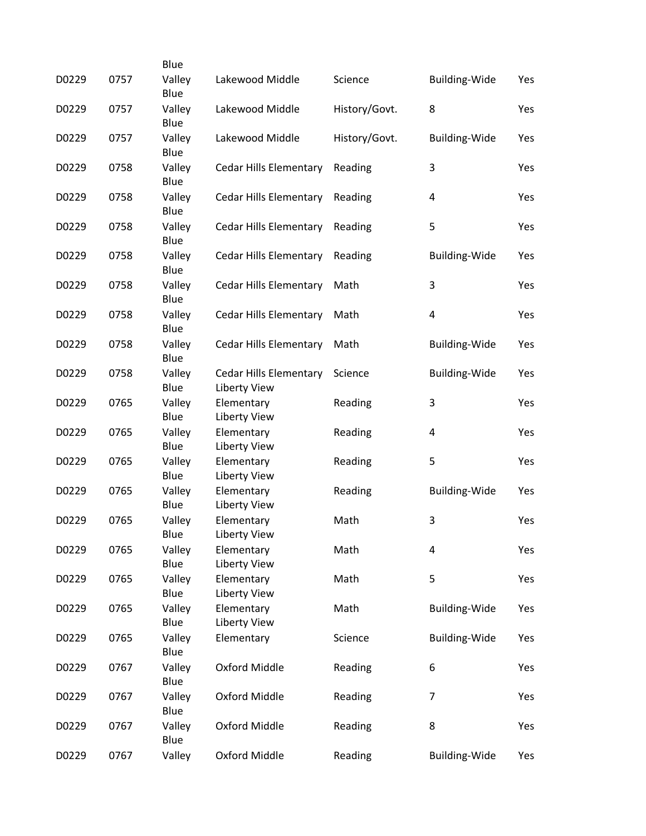|       |      | Blue           |                                        |               |                      |     |
|-------|------|----------------|----------------------------------------|---------------|----------------------|-----|
| D0229 | 0757 | Valley<br>Blue | Lakewood Middle                        | Science       | <b>Building-Wide</b> | Yes |
| D0229 | 0757 | Valley<br>Blue | Lakewood Middle                        | History/Govt. | 8                    | Yes |
| D0229 | 0757 | Valley<br>Blue | Lakewood Middle                        | History/Govt. | <b>Building-Wide</b> | Yes |
| D0229 | 0758 | Valley<br>Blue | <b>Cedar Hills Elementary</b>          | Reading       | 3                    | Yes |
| D0229 | 0758 | Valley<br>Blue | <b>Cedar Hills Elementary</b>          | Reading       | 4                    | Yes |
| D0229 | 0758 | Valley<br>Blue | Cedar Hills Elementary                 | Reading       | 5                    | Yes |
| D0229 | 0758 | Valley<br>Blue | <b>Cedar Hills Elementary</b>          | Reading       | <b>Building-Wide</b> | Yes |
| D0229 | 0758 | Valley<br>Blue | <b>Cedar Hills Elementary</b>          | Math          | 3                    | Yes |
| D0229 | 0758 | Valley<br>Blue | <b>Cedar Hills Elementary</b>          | Math          | 4                    | Yes |
| D0229 | 0758 | Valley<br>Blue | <b>Cedar Hills Elementary</b>          | Math          | <b>Building-Wide</b> | Yes |
| D0229 | 0758 | Valley<br>Blue | Cedar Hills Elementary<br>Liberty View | Science       | <b>Building-Wide</b> | Yes |
| D0229 | 0765 | Valley<br>Blue | Elementary<br><b>Liberty View</b>      | Reading       | 3                    | Yes |
| D0229 | 0765 | Valley<br>Blue | Elementary<br>Liberty View             | Reading       | 4                    | Yes |
| D0229 | 0765 | Valley<br>Blue | Elementary<br>Liberty View             | Reading       | 5                    | Yes |
| D0229 | 0765 | Valley<br>Blue | Elementary<br><b>Liberty View</b>      | Reading       | <b>Building-Wide</b> | Yes |
| D0229 | 0765 | Valley<br>Blue | Elementary<br><b>Liberty View</b>      | Math          | 3                    | Yes |
| D0229 | 0765 | Valley<br>Blue | Elementary<br><b>Liberty View</b>      | Math          | 4                    | Yes |
| D0229 | 0765 | Valley<br>Blue | Elementary<br><b>Liberty View</b>      | Math          | 5                    | Yes |
| D0229 | 0765 | Valley<br>Blue | Elementary<br>Liberty View             | Math          | <b>Building-Wide</b> | Yes |
| D0229 | 0765 | Valley<br>Blue | Elementary                             | Science       | <b>Building-Wide</b> | Yes |
| D0229 | 0767 | Valley<br>Blue | Oxford Middle                          | Reading       | 6                    | Yes |
| D0229 | 0767 | Valley<br>Blue | Oxford Middle                          | Reading       | $\overline{7}$       | Yes |
| D0229 | 0767 | Valley<br>Blue | Oxford Middle                          | Reading       | 8                    | Yes |
| D0229 | 0767 | Valley         | Oxford Middle                          | Reading       | <b>Building-Wide</b> | Yes |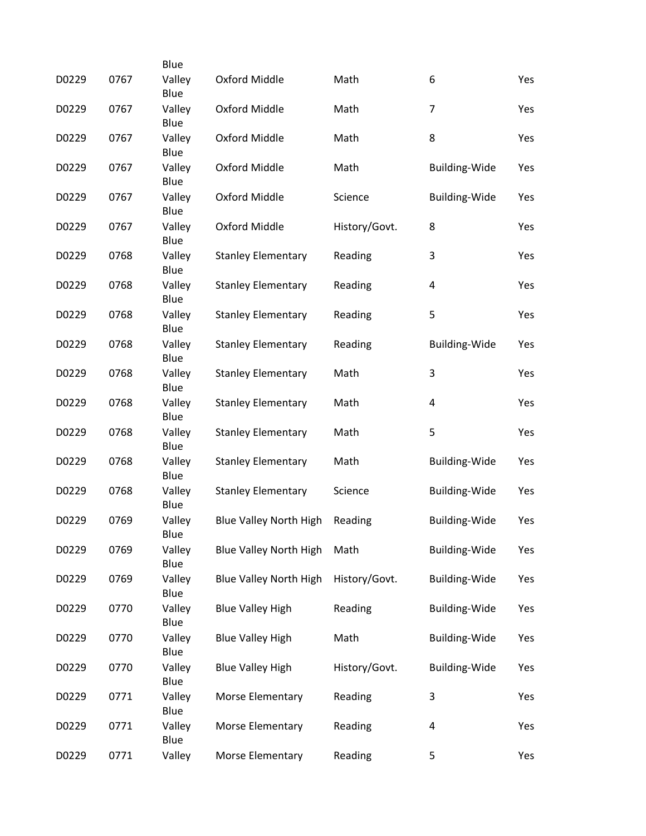|       |      | Blue           |                               |               |                         |     |
|-------|------|----------------|-------------------------------|---------------|-------------------------|-----|
| D0229 | 0767 | Valley<br>Blue | Oxford Middle                 | Math          | 6                       | Yes |
| D0229 | 0767 | Valley<br>Blue | Oxford Middle                 | Math          | $\overline{7}$          | Yes |
| D0229 | 0767 | Valley<br>Blue | Oxford Middle                 | Math          | 8                       | Yes |
| D0229 | 0767 | Valley<br>Blue | Oxford Middle                 | Math          | <b>Building-Wide</b>    | Yes |
| D0229 | 0767 | Valley<br>Blue | Oxford Middle                 | Science       | Building-Wide           | Yes |
| D0229 | 0767 | Valley<br>Blue | Oxford Middle                 | History/Govt. | 8                       | Yes |
| D0229 | 0768 | Valley<br>Blue | <b>Stanley Elementary</b>     | Reading       | 3                       | Yes |
| D0229 | 0768 | Valley<br>Blue | <b>Stanley Elementary</b>     | Reading       | 4                       | Yes |
| D0229 | 0768 | Valley<br>Blue | <b>Stanley Elementary</b>     | Reading       | 5                       | Yes |
| D0229 | 0768 | Valley<br>Blue | <b>Stanley Elementary</b>     | Reading       | <b>Building-Wide</b>    | Yes |
| D0229 | 0768 | Valley<br>Blue | <b>Stanley Elementary</b>     | Math          | 3                       | Yes |
| D0229 | 0768 | Valley<br>Blue | <b>Stanley Elementary</b>     | Math          | $\overline{\mathbf{4}}$ | Yes |
| D0229 | 0768 | Valley<br>Blue | <b>Stanley Elementary</b>     | Math          | 5                       | Yes |
| D0229 | 0768 | Valley<br>Blue | <b>Stanley Elementary</b>     | Math          | <b>Building-Wide</b>    | Yes |
| D0229 | 0768 | Valley<br>Blue | <b>Stanley Elementary</b>     | Science       | <b>Building-Wide</b>    | Yes |
| D0229 | 0769 | Valley<br>Blue | <b>Blue Valley North High</b> | Reading       | Building-Wide           | Yes |
| D0229 | 0769 | Valley<br>Blue | <b>Blue Valley North High</b> | Math          | <b>Building-Wide</b>    | Yes |
| D0229 | 0769 | Valley<br>Blue | <b>Blue Valley North High</b> | History/Govt. | <b>Building-Wide</b>    | Yes |
| D0229 | 0770 | Valley<br>Blue | <b>Blue Valley High</b>       | Reading       | Building-Wide           | Yes |
| D0229 | 0770 | Valley<br>Blue | <b>Blue Valley High</b>       | Math          | <b>Building-Wide</b>    | Yes |
| D0229 | 0770 | Valley<br>Blue | <b>Blue Valley High</b>       | History/Govt. | Building-Wide           | Yes |
| D0229 | 0771 | Valley<br>Blue | Morse Elementary              | Reading       | 3                       | Yes |
| D0229 | 0771 | Valley<br>Blue | Morse Elementary              | Reading       | 4                       | Yes |
| D0229 | 0771 | Valley         | Morse Elementary              | Reading       | 5                       | Yes |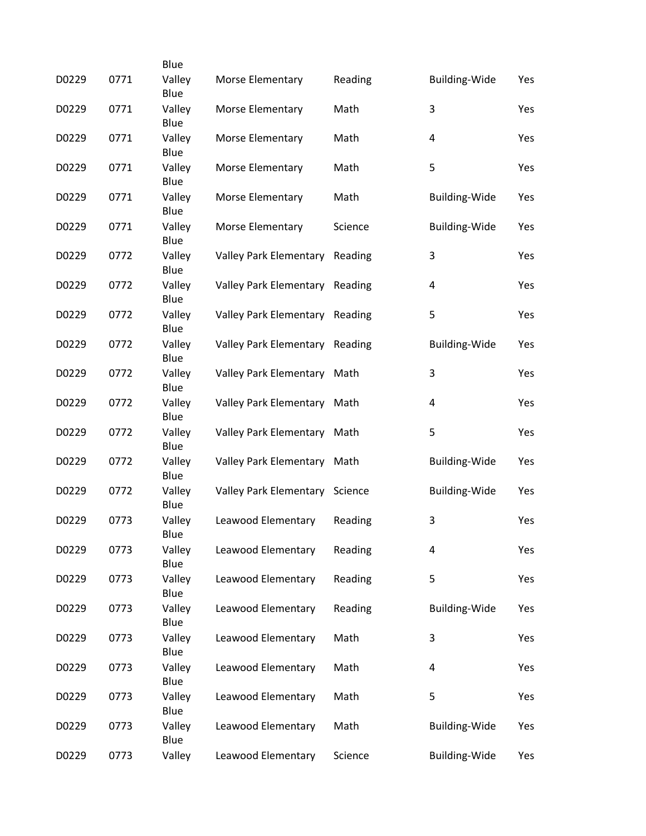|       |      | Blue           |                               |         |                         |     |
|-------|------|----------------|-------------------------------|---------|-------------------------|-----|
| D0229 | 0771 | Valley<br>Blue | Morse Elementary              | Reading | <b>Building-Wide</b>    | Yes |
| D0229 | 0771 | Valley<br>Blue | Morse Elementary              | Math    | 3                       | Yes |
| D0229 | 0771 | Valley<br>Blue | Morse Elementary              | Math    | $\overline{\mathbf{4}}$ | Yes |
| D0229 | 0771 | Valley<br>Blue | Morse Elementary              | Math    | 5                       | Yes |
| D0229 | 0771 | Valley<br>Blue | Morse Elementary              | Math    | <b>Building-Wide</b>    | Yes |
| D0229 | 0771 | Valley<br>Blue | Morse Elementary              | Science | <b>Building-Wide</b>    | Yes |
| D0229 | 0772 | Valley<br>Blue | <b>Valley Park Elementary</b> | Reading | 3                       | Yes |
| D0229 | 0772 | Valley<br>Blue | <b>Valley Park Elementary</b> | Reading | 4                       | Yes |
| D0229 | 0772 | Valley<br>Blue | Valley Park Elementary        | Reading | 5                       | Yes |
| D0229 | 0772 | Valley<br>Blue | <b>Valley Park Elementary</b> | Reading | <b>Building-Wide</b>    | Yes |
| D0229 | 0772 | Valley<br>Blue | Valley Park Elementary Math   |         | 3                       | Yes |
| D0229 | 0772 | Valley<br>Blue | Valley Park Elementary        | Math    | 4                       | Yes |
| D0229 | 0772 | Valley<br>Blue | Valley Park Elementary Math   |         | 5                       | Yes |
| D0229 | 0772 | Valley<br>Blue | <b>Valley Park Elementary</b> | Math    | <b>Building-Wide</b>    | Yes |
| D0229 | 0772 | Valley<br>Blue | <b>Valley Park Elementary</b> | Science | <b>Building-Wide</b>    | Yes |
| D0229 | 0773 | Valley<br>Blue | Leawood Elementary            | Reading | 3                       | Yes |
| D0229 | 0773 | Valley<br>Blue | Leawood Elementary            | Reading | 4                       | Yes |
| D0229 | 0773 | Valley<br>Blue | Leawood Elementary            | Reading | 5                       | Yes |
| D0229 | 0773 | Valley<br>Blue | Leawood Elementary            | Reading | <b>Building-Wide</b>    | Yes |
| D0229 | 0773 | Valley<br>Blue | Leawood Elementary            | Math    | 3                       | Yes |
| D0229 | 0773 | Valley<br>Blue | Leawood Elementary            | Math    | $\overline{\mathbf{4}}$ | Yes |
| D0229 | 0773 | Valley<br>Blue | Leawood Elementary            | Math    | 5                       | Yes |
| D0229 | 0773 | Valley<br>Blue | Leawood Elementary            | Math    | <b>Building-Wide</b>    | Yes |
| D0229 | 0773 | Valley         | Leawood Elementary            | Science | <b>Building-Wide</b>    | Yes |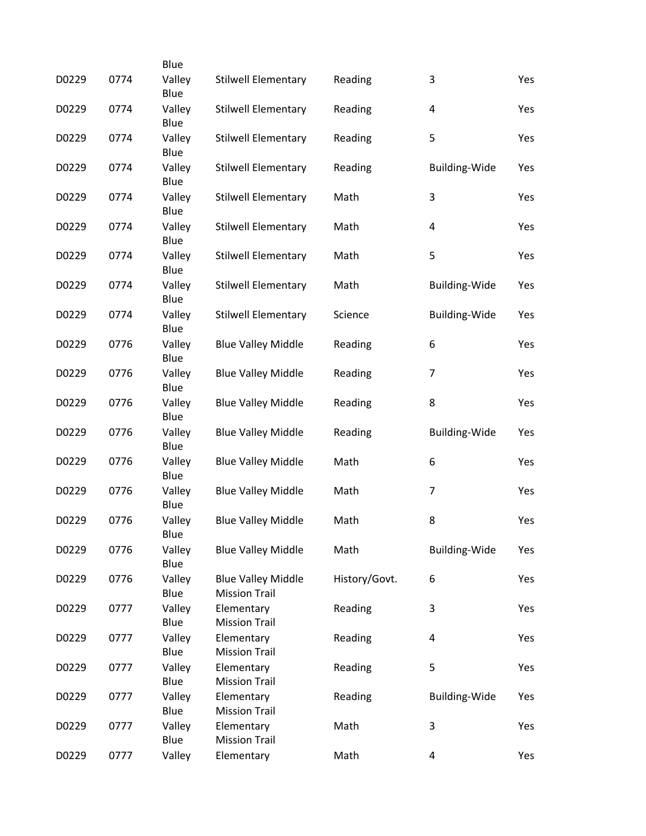|       |      | Blue           |                                                   |               |                         |     |
|-------|------|----------------|---------------------------------------------------|---------------|-------------------------|-----|
| D0229 | 0774 | Valley<br>Blue | <b>Stilwell Elementary</b>                        | Reading       | 3                       | Yes |
| D0229 | 0774 | Valley<br>Blue | <b>Stilwell Elementary</b>                        | Reading       | $\overline{\mathbf{4}}$ | Yes |
| D0229 | 0774 | Valley<br>Blue | <b>Stilwell Elementary</b>                        | Reading       | 5                       | Yes |
| D0229 | 0774 | Valley<br>Blue | <b>Stilwell Elementary</b>                        | Reading       | <b>Building-Wide</b>    | Yes |
| D0229 | 0774 | Valley<br>Blue | <b>Stilwell Elementary</b>                        | Math          | 3                       | Yes |
| D0229 | 0774 | Valley<br>Blue | <b>Stilwell Elementary</b>                        | Math          | 4                       | Yes |
| D0229 | 0774 | Valley<br>Blue | <b>Stilwell Elementary</b>                        | Math          | 5                       | Yes |
| D0229 | 0774 | Valley<br>Blue | <b>Stilwell Elementary</b>                        | Math          | <b>Building-Wide</b>    | Yes |
| D0229 | 0774 | Valley<br>Blue | <b>Stilwell Elementary</b>                        | Science       | Building-Wide           | Yes |
| D0229 | 0776 | Valley<br>Blue | <b>Blue Valley Middle</b>                         | Reading       | 6                       | Yes |
| D0229 | 0776 | Valley<br>Blue | <b>Blue Valley Middle</b>                         | Reading       | 7                       | Yes |
| D0229 | 0776 | Valley<br>Blue | <b>Blue Valley Middle</b>                         | Reading       | 8                       | Yes |
| D0229 | 0776 | Valley<br>Blue | <b>Blue Valley Middle</b>                         | Reading       | <b>Building-Wide</b>    | Yes |
| D0229 | 0776 | Valley<br>Blue | <b>Blue Valley Middle</b>                         | Math          | 6                       | Yes |
| D0229 | 0776 | Valley<br>Blue | <b>Blue Valley Middle</b>                         | Math          | 7                       | Yes |
| D0229 | 0776 | Valley<br>Blue | <b>Blue Valley Middle</b>                         | Math          | 8                       | Yes |
| D0229 | 0776 | Valley<br>Blue | <b>Blue Valley Middle</b>                         | Math          | <b>Building-Wide</b>    | Yes |
| D0229 | 0776 | Valley<br>Blue | <b>Blue Valley Middle</b><br><b>Mission Trail</b> | History/Govt. | 6                       | Yes |
| D0229 | 0777 | Valley<br>Blue | Elementary<br><b>Mission Trail</b>                | Reading       | 3                       | Yes |
| D0229 | 0777 | Valley<br>Blue | Elementary<br><b>Mission Trail</b>                | Reading       | 4                       | Yes |
| D0229 | 0777 | Valley<br>Blue | Elementary<br><b>Mission Trail</b>                | Reading       | 5                       | Yes |
| D0229 | 0777 | Valley<br>Blue | Elementary<br><b>Mission Trail</b>                | Reading       | <b>Building-Wide</b>    | Yes |
| D0229 | 0777 | Valley<br>Blue | Elementary<br><b>Mission Trail</b>                | Math          | 3                       | Yes |
| D0229 | 0777 | Valley         | Elementary                                        | Math          | 4                       | Yes |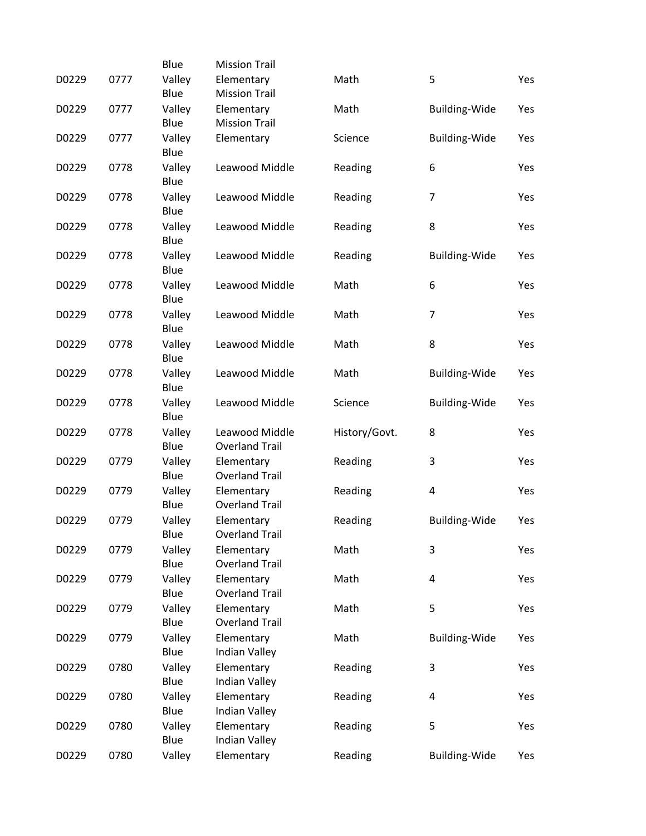|       |      | Blue           | <b>Mission Trail</b>                    |               |                      |     |
|-------|------|----------------|-----------------------------------------|---------------|----------------------|-----|
| D0229 | 0777 | Valley<br>Blue | Elementary<br><b>Mission Trail</b>      | Math          | 5                    | Yes |
| D0229 | 0777 | Valley<br>Blue | Elementary<br><b>Mission Trail</b>      | Math          | <b>Building-Wide</b> | Yes |
| D0229 | 0777 | Valley         | Elementary                              | Science       | Building-Wide        | Yes |
| D0229 | 0778 | Blue<br>Valley | Leawood Middle                          | Reading       | 6                    | Yes |
| D0229 | 0778 | Blue<br>Valley | Leawood Middle                          | Reading       | $\overline{7}$       | Yes |
| D0229 | 0778 | Blue<br>Valley | Leawood Middle                          | Reading       | 8                    | Yes |
| D0229 | 0778 | Blue<br>Valley | Leawood Middle                          | Reading       | <b>Building-Wide</b> | Yes |
| D0229 | 0778 | Blue<br>Valley | Leawood Middle                          | Math          | 6                    | Yes |
| D0229 | 0778 | Blue<br>Valley | Leawood Middle                          | Math          | $\overline{7}$       | Yes |
|       |      | Blue           |                                         |               |                      |     |
| D0229 | 0778 | Valley<br>Blue | Leawood Middle                          | Math          | 8                    | Yes |
| D0229 | 0778 | Valley<br>Blue | Leawood Middle                          | Math          | <b>Building-Wide</b> | Yes |
| D0229 | 0778 | Valley<br>Blue | Leawood Middle                          | Science       | <b>Building-Wide</b> | Yes |
| D0229 | 0778 | Valley<br>Blue | Leawood Middle<br><b>Overland Trail</b> | History/Govt. | 8                    | Yes |
| D0229 | 0779 | Valley<br>Blue | Elementary<br><b>Overland Trail</b>     | Reading       | 3                    | Yes |
| D0229 | 0779 | Valley<br>Blue | Elementary<br><b>Overland Trail</b>     | Reading       | 4                    | Yes |
| D0229 | 0779 | Valley<br>Blue | Elementary<br><b>Overland Trail</b>     | Reading       | Building-Wide        | Yes |
| D0229 | 0779 | Valley<br>Blue | Elementary<br><b>Overland Trail</b>     | Math          | 3                    | Yes |
| D0229 | 0779 | Valley<br>Blue | Elementary<br><b>Overland Trail</b>     | Math          | 4                    | Yes |
| D0229 | 0779 | Valley         | Elementary                              | Math          | 5                    | Yes |
| D0229 | 0779 | Blue<br>Valley | <b>Overland Trail</b><br>Elementary     | Math          | <b>Building-Wide</b> | Yes |
| D0229 | 0780 | Blue<br>Valley | Indian Valley<br>Elementary             | Reading       | 3                    | Yes |
| D0229 | 0780 | Blue<br>Valley | Indian Valley<br>Elementary             | Reading       | 4                    | Yes |
| D0229 | 0780 | Blue<br>Valley | Indian Valley<br>Elementary             | Reading       | 5                    | Yes |
| D0229 | 0780 | Blue<br>Valley | Indian Valley<br>Elementary             | Reading       | <b>Building-Wide</b> | Yes |
|       |      |                |                                         |               |                      |     |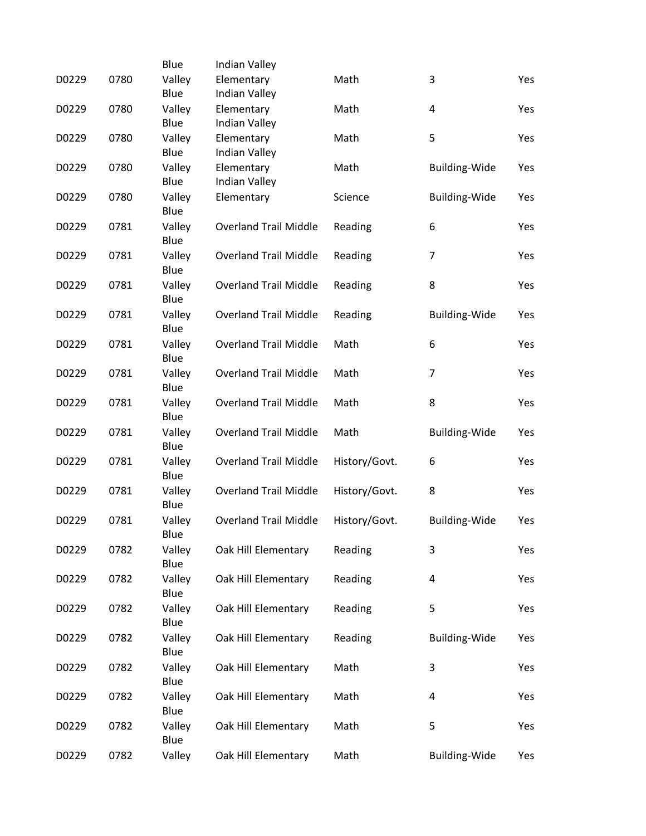|       |      | Blue           | Indian Valley                      |               |                         |     |
|-------|------|----------------|------------------------------------|---------------|-------------------------|-----|
| D0229 | 0780 | Valley<br>Blue | Elementary<br>Indian Valley        | Math          | 3                       | Yes |
| D0229 | 0780 | Valley         | Elementary                         | Math          | $\overline{\mathbf{4}}$ | Yes |
| D0229 | 0780 | Blue<br>Valley | Indian Valley<br>Elementary        | Math          | 5                       | Yes |
| D0229 | 0780 | Blue<br>Valley | Indian Valley<br>Elementary        | Math          | <b>Building-Wide</b>    | Yes |
| D0229 | 0780 | Blue<br>Valley | <b>Indian Valley</b><br>Elementary | Science       | <b>Building-Wide</b>    | Yes |
|       |      | Blue           |                                    |               |                         |     |
| D0229 | 0781 | Valley<br>Blue | <b>Overland Trail Middle</b>       | Reading       | 6                       | Yes |
| D0229 | 0781 | Valley<br>Blue | <b>Overland Trail Middle</b>       | Reading       | $\overline{7}$          | Yes |
| D0229 | 0781 | Valley<br>Blue | <b>Overland Trail Middle</b>       | Reading       | 8                       | Yes |
| D0229 | 0781 | Valley<br>Blue | <b>Overland Trail Middle</b>       | Reading       | <b>Building-Wide</b>    | Yes |
| D0229 | 0781 | Valley<br>Blue | <b>Overland Trail Middle</b>       | Math          | 6                       | Yes |
| D0229 | 0781 | Valley<br>Blue | <b>Overland Trail Middle</b>       | Math          | 7                       | Yes |
| D0229 | 0781 | Valley         | <b>Overland Trail Middle</b>       | Math          | 8                       | Yes |
| D0229 | 0781 | Blue<br>Valley | <b>Overland Trail Middle</b>       | Math          | Building-Wide           | Yes |
| D0229 | 0781 | Blue<br>Valley | <b>Overland Trail Middle</b>       | History/Govt. | 6                       | Yes |
| D0229 | 0781 | Blue<br>Valley | <b>Overland Trail Middle</b>       | History/Govt. | 8                       | Yes |
| D0229 | 0781 | Blue<br>Valley | <b>Overland Trail Middle</b>       | History/Govt. | <b>Building-Wide</b>    | Yes |
| D0229 | 0782 | Blue<br>Valley | Oak Hill Elementary                | Reading       | 3                       | Yes |
| D0229 | 0782 | Blue<br>Valley | Oak Hill Elementary                | Reading       | 4                       | Yes |
| D0229 | 0782 | Blue<br>Valley | Oak Hill Elementary                | Reading       | 5                       | Yes |
| D0229 | 0782 | Blue<br>Valley | Oak Hill Elementary                | Reading       | <b>Building-Wide</b>    | Yes |
| D0229 | 0782 | Blue<br>Valley | Oak Hill Elementary                | Math          | 3                       | Yes |
| D0229 | 0782 | Blue<br>Valley | Oak Hill Elementary                | Math          | 4                       | Yes |
|       |      | Blue           |                                    |               |                         |     |
| D0229 | 0782 | Valley<br>Blue | Oak Hill Elementary                | Math          | 5                       | Yes |
| D0229 | 0782 | Valley         | Oak Hill Elementary                | Math          | <b>Building-Wide</b>    | Yes |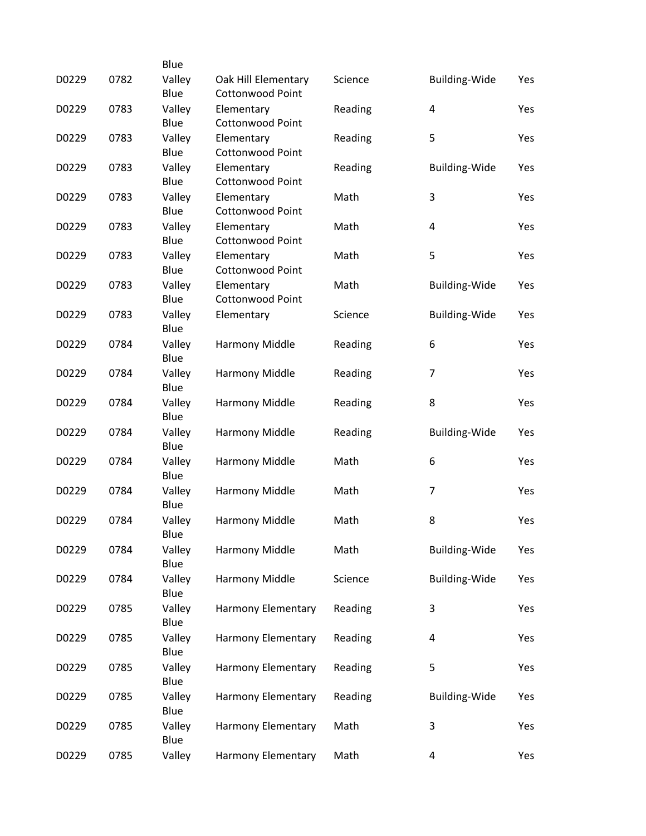|       |      | Blue                   |                                                |         |                      |     |
|-------|------|------------------------|------------------------------------------------|---------|----------------------|-----|
| D0229 | 0782 | Valley<br>Blue         | Oak Hill Elementary<br><b>Cottonwood Point</b> | Science | <b>Building-Wide</b> | Yes |
| D0229 | 0783 | Valley<br>Blue         | Elementary<br><b>Cottonwood Point</b>          | Reading | 4                    | Yes |
| D0229 | 0783 | Valley                 | Elementary                                     | Reading | 5                    | Yes |
| D0229 | 0783 | Blue<br>Valley         | <b>Cottonwood Point</b><br>Elementary          | Reading | <b>Building-Wide</b> | Yes |
| D0229 | 0783 | Blue<br>Valley         | <b>Cottonwood Point</b><br>Elementary          | Math    | 3                    | Yes |
| D0229 | 0783 | Blue<br>Valley         | <b>Cottonwood Point</b><br>Elementary          | Math    | 4                    | Yes |
|       |      | Blue                   | <b>Cottonwood Point</b>                        |         |                      |     |
| D0229 | 0783 | Valley<br>Blue         | Elementary<br><b>Cottonwood Point</b>          | Math    | 5                    | Yes |
| D0229 | 0783 | Valley<br>Blue         | Elementary<br><b>Cottonwood Point</b>          | Math    | <b>Building-Wide</b> | Yes |
| D0229 | 0783 | Valley<br>Blue         | Elementary                                     | Science | <b>Building-Wide</b> | Yes |
| D0229 | 0784 | Valley<br>Blue         | Harmony Middle                                 | Reading | 6                    | Yes |
| D0229 | 0784 | Valley<br>Blue         | Harmony Middle                                 | Reading | $\overline{7}$       | Yes |
| D0229 | 0784 | Valley<br>Blue         | Harmony Middle                                 | Reading | 8                    | Yes |
| D0229 | 0784 | Valley                 | Harmony Middle                                 | Reading | <b>Building-Wide</b> | Yes |
| D0229 | 0784 | Blue<br>Valley<br>Blue | Harmony Middle                                 | Math    | 6                    | Yes |
| D0229 | 0784 | Valley<br>Blue         | Harmony Middle                                 | Math    | 7                    | Yes |
| D0229 | 0784 | Valley                 | Harmony Middle                                 | Math    | 8                    | Yes |
| D0229 | 0784 | Blue<br>Valley         | Harmony Middle                                 | Math    | <b>Building-Wide</b> | Yes |
| D0229 | 0784 | Blue<br>Valley         | Harmony Middle                                 | Science | <b>Building-Wide</b> | Yes |
| D0229 | 0785 | Blue<br>Valley         | Harmony Elementary                             | Reading | 3                    | Yes |
| D0229 | 0785 | Blue<br>Valley         | Harmony Elementary                             | Reading | 4                    | Yes |
| D0229 | 0785 | Blue<br>Valley         | Harmony Elementary                             | Reading | 5                    | Yes |
| D0229 | 0785 | Blue<br>Valley         | Harmony Elementary                             | Reading | <b>Building-Wide</b> | Yes |
| D0229 | 0785 | Blue<br>Valley         | Harmony Elementary                             | Math    | 3                    | Yes |
| D0229 | 0785 | Blue<br>Valley         | Harmony Elementary                             | Math    | 4                    | Yes |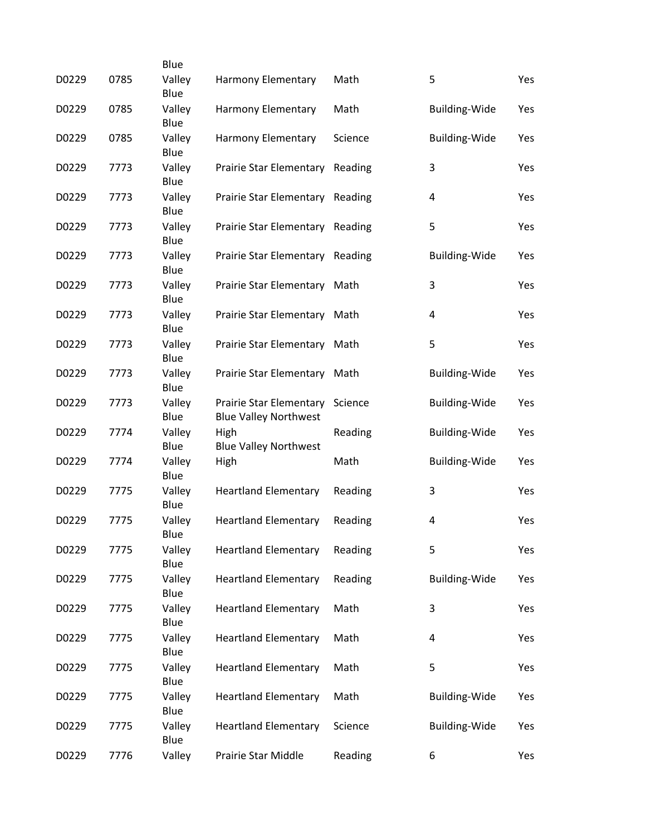|       |      | Blue           |                                                         |         |                         |     |
|-------|------|----------------|---------------------------------------------------------|---------|-------------------------|-----|
| D0229 | 0785 | Valley<br>Blue | <b>Harmony Elementary</b>                               | Math    | 5                       | Yes |
| D0229 | 0785 | Valley<br>Blue | Harmony Elementary                                      | Math    | <b>Building-Wide</b>    | Yes |
| D0229 | 0785 | Valley<br>Blue | Harmony Elementary                                      | Science | <b>Building-Wide</b>    | Yes |
| D0229 | 7773 | Valley<br>Blue | Prairie Star Elementary Reading                         |         | 3                       | Yes |
| D0229 | 7773 | Valley<br>Blue | Prairie Star Elementary Reading                         |         | $\overline{\mathbf{4}}$ | Yes |
| D0229 | 7773 | Valley<br>Blue | Prairie Star Elementary Reading                         |         | 5                       | Yes |
| D0229 | 7773 | Valley<br>Blue | Prairie Star Elementary Reading                         |         | <b>Building-Wide</b>    | Yes |
| D0229 | 7773 | Valley<br>Blue | Prairie Star Elementary Math                            |         | 3                       | Yes |
| D0229 | 7773 | Valley<br>Blue | Prairie Star Elementary Math                            |         | 4                       | Yes |
| D0229 | 7773 | Valley<br>Blue | Prairie Star Elementary Math                            |         | 5                       | Yes |
| D0229 | 7773 | Valley<br>Blue | Prairie Star Elementary Math                            |         | <b>Building-Wide</b>    | Yes |
| D0229 | 7773 | Valley<br>Blue | Prairie Star Elementary<br><b>Blue Valley Northwest</b> | Science | <b>Building-Wide</b>    | Yes |
| D0229 | 7774 | Valley<br>Blue | High<br><b>Blue Valley Northwest</b>                    | Reading | <b>Building-Wide</b>    | Yes |
| D0229 | 7774 | Valley<br>Blue | High                                                    | Math    | <b>Building-Wide</b>    | Yes |
| D0229 | 7775 | Valley<br>Blue | <b>Heartland Elementary</b>                             | Reading | 3                       | Yes |
| D0229 | 7775 | Valley<br>Blue | <b>Heartland Elementary</b>                             | Reading | $\overline{\mathbf{4}}$ | Yes |
| D0229 | 7775 | Valley<br>Blue | <b>Heartland Elementary</b>                             | Reading | 5                       | Yes |
| D0229 | 7775 | Valley<br>Blue | <b>Heartland Elementary</b>                             | Reading | <b>Building-Wide</b>    | Yes |
| D0229 | 7775 | Valley<br>Blue | <b>Heartland Elementary</b>                             | Math    | 3                       | Yes |
| D0229 | 7775 | Valley<br>Blue | <b>Heartland Elementary</b>                             | Math    | 4                       | Yes |
| D0229 | 7775 | Valley<br>Blue | <b>Heartland Elementary</b>                             | Math    | 5                       | Yes |
| D0229 | 7775 | Valley<br>Blue | <b>Heartland Elementary</b>                             | Math    | <b>Building-Wide</b>    | Yes |
| D0229 | 7775 | Valley<br>Blue | <b>Heartland Elementary</b>                             | Science | <b>Building-Wide</b>    | Yes |
| D0229 | 7776 | Valley         | Prairie Star Middle                                     | Reading | 6                       | Yes |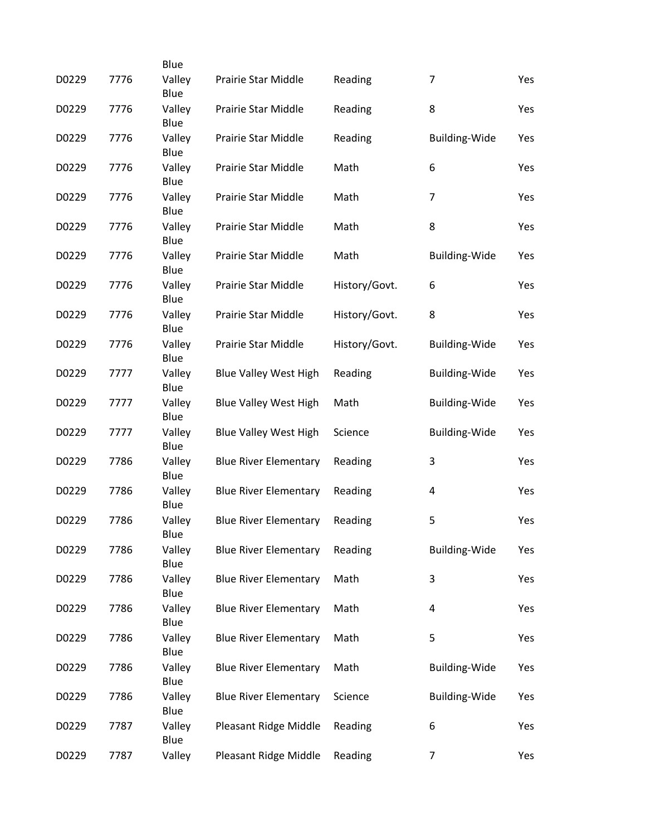|       |      | Blue           |                              |               |                      |     |
|-------|------|----------------|------------------------------|---------------|----------------------|-----|
| D0229 | 7776 | Valley<br>Blue | Prairie Star Middle          | Reading       | $\overline{7}$       | Yes |
| D0229 | 7776 | Valley<br>Blue | Prairie Star Middle          | Reading       | 8                    | Yes |
| D0229 | 7776 | Valley<br>Blue | Prairie Star Middle          | Reading       | <b>Building-Wide</b> | Yes |
| D0229 | 7776 | Valley<br>Blue | Prairie Star Middle          | Math          | 6                    | Yes |
| D0229 | 7776 | Valley<br>Blue | Prairie Star Middle          | Math          | $\overline{7}$       | Yes |
| D0229 | 7776 | Valley<br>Blue | Prairie Star Middle          | Math          | 8                    | Yes |
| D0229 | 7776 | Valley<br>Blue | Prairie Star Middle          | Math          | <b>Building-Wide</b> | Yes |
| D0229 | 7776 | Valley<br>Blue | Prairie Star Middle          | History/Govt. | 6                    | Yes |
| D0229 | 7776 | Valley<br>Blue | Prairie Star Middle          | History/Govt. | 8                    | Yes |
| D0229 | 7776 | Valley<br>Blue | Prairie Star Middle          | History/Govt. | <b>Building-Wide</b> | Yes |
| D0229 | 7777 | Valley<br>Blue | <b>Blue Valley West High</b> | Reading       | <b>Building-Wide</b> | Yes |
| D0229 | 7777 | Valley<br>Blue | <b>Blue Valley West High</b> | Math          | <b>Building-Wide</b> | Yes |
| D0229 | 7777 | Valley<br>Blue | <b>Blue Valley West High</b> | Science       | <b>Building-Wide</b> | Yes |
| D0229 | 7786 | Valley<br>Blue | <b>Blue River Elementary</b> | Reading       | 3                    | Yes |
| D0229 | 7786 | Valley<br>Blue | <b>Blue River Elementary</b> | Reading       | 4                    | Yes |
| D0229 | 7786 | Valley<br>Blue | <b>Blue River Elementary</b> | Reading       | 5                    | Yes |
| D0229 | 7786 | Valley<br>Blue | <b>Blue River Elementary</b> | Reading       | Building-Wide        | Yes |
| D0229 | 7786 | Valley<br>Blue | <b>Blue River Elementary</b> | Math          | 3                    | Yes |
| D0229 | 7786 | Valley<br>Blue | <b>Blue River Elementary</b> | Math          | 4                    | Yes |
| D0229 | 7786 | Valley<br>Blue | <b>Blue River Elementary</b> | Math          | 5                    | Yes |
| D0229 | 7786 | Valley<br>Blue | <b>Blue River Elementary</b> | Math          | <b>Building-Wide</b> | Yes |
| D0229 | 7786 | Valley<br>Blue | <b>Blue River Elementary</b> | Science       | <b>Building-Wide</b> | Yes |
| D0229 | 7787 | Valley<br>Blue | Pleasant Ridge Middle        | Reading       | 6                    | Yes |
| D0229 | 7787 | Valley         | Pleasant Ridge Middle        | Reading       | 7                    | Yes |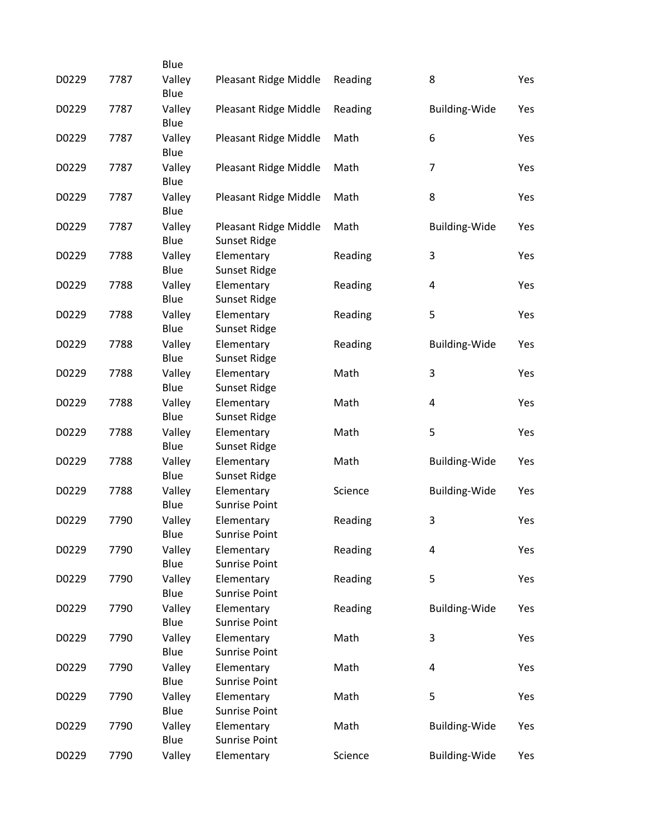|       |      | Blue           |                                    |         |                      |     |
|-------|------|----------------|------------------------------------|---------|----------------------|-----|
| D0229 | 7787 | Valley<br>Blue | Pleasant Ridge Middle              | Reading | 8                    | Yes |
| D0229 | 7787 | Valley         | Pleasant Ridge Middle              | Reading | <b>Building-Wide</b> | Yes |
|       |      | Blue           |                                    |         |                      |     |
| D0229 | 7787 | Valley         | Pleasant Ridge Middle              | Math    | 6                    | Yes |
|       |      | Blue           |                                    |         |                      |     |
| D0229 | 7787 | Valley         | Pleasant Ridge Middle              | Math    | 7                    | Yes |
|       |      | Blue           |                                    |         |                      |     |
| D0229 | 7787 | Valley         | Pleasant Ridge Middle              | Math    | 8                    | Yes |
|       |      | Blue           |                                    |         |                      |     |
| D0229 | 7787 | Valley         | Pleasant Ridge Middle              | Math    | <b>Building-Wide</b> | Yes |
|       |      | Blue           | Sunset Ridge                       |         |                      |     |
| D0229 | 7788 | Valley         | Elementary                         | Reading | 3                    | Yes |
|       |      | Blue           | <b>Sunset Ridge</b>                |         |                      |     |
| D0229 | 7788 | Valley         | Elementary                         | Reading | 4                    | Yes |
|       |      | Blue           | <b>Sunset Ridge</b>                |         |                      |     |
| D0229 | 7788 | Valley         | Elementary                         | Reading | 5                    | Yes |
|       |      | Blue           | Sunset Ridge                       |         |                      |     |
| D0229 | 7788 | Valley         | Elementary                         | Reading | <b>Building-Wide</b> | Yes |
|       |      | Blue           | <b>Sunset Ridge</b>                |         |                      |     |
| D0229 | 7788 | Valley         | Elementary                         | Math    | 3                    | Yes |
|       |      | Blue           | Sunset Ridge                       |         |                      |     |
| D0229 | 7788 | Valley         | Elementary                         | Math    | 4                    | Yes |
|       |      | Blue           | <b>Sunset Ridge</b>                |         |                      |     |
| D0229 | 7788 | Valley         | Elementary                         | Math    | 5                    | Yes |
|       |      | Blue           | Sunset Ridge                       |         |                      |     |
| D0229 | 7788 | Valley<br>Blue | Elementary                         | Math    | <b>Building-Wide</b> | Yes |
|       |      |                | Sunset Ridge                       |         |                      |     |
| D0229 | 7788 | Valley<br>Blue | Elementary<br><b>Sunrise Point</b> | Science | <b>Building-Wide</b> | Yes |
|       |      |                |                                    |         |                      |     |
| D0229 | 7790 | Valley<br>Blue | Elementary<br><b>Sunrise Point</b> | Reading | 3                    | Yes |
| D0229 | 7790 | Valley         | Elementary                         | Reading | $\overline{4}$       | Yes |
|       |      | Blue           | <b>Sunrise Point</b>               |         |                      |     |
| D0229 | 7790 | Valley         | Elementary                         | Reading | 5                    | Yes |
|       |      | Blue           | <b>Sunrise Point</b>               |         |                      |     |
| D0229 | 7790 | Valley         | Elementary                         | Reading | <b>Building-Wide</b> | Yes |
|       |      | Blue           | <b>Sunrise Point</b>               |         |                      |     |
| D0229 | 7790 | Valley         | Elementary                         | Math    | 3                    | Yes |
|       |      | Blue           | <b>Sunrise Point</b>               |         |                      |     |
| D0229 | 7790 | Valley         | Elementary                         | Math    | 4                    | Yes |
|       |      | Blue           | <b>Sunrise Point</b>               |         |                      |     |
| D0229 | 7790 | Valley         | Elementary                         | Math    | 5                    | Yes |
|       |      | Blue           | <b>Sunrise Point</b>               |         |                      |     |
| D0229 | 7790 | Valley         | Elementary                         | Math    | <b>Building-Wide</b> | Yes |
|       |      | Blue           | <b>Sunrise Point</b>               |         |                      |     |
| D0229 | 7790 | Valley         | Elementary                         | Science | <b>Building-Wide</b> | Yes |
|       |      |                |                                    |         |                      |     |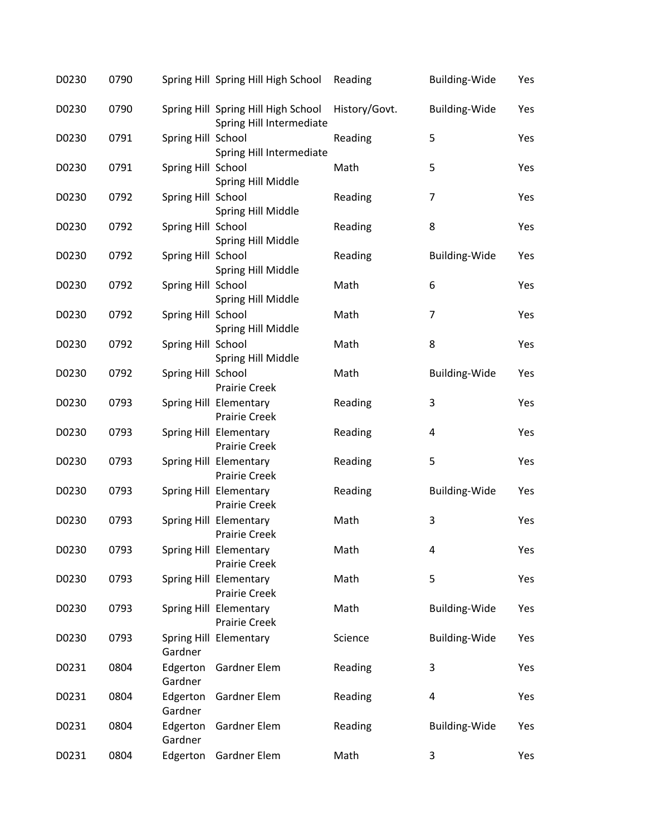| D0230 | 0790 |                     | Spring Hill Spring Hill High School                             | Reading       | <b>Building-Wide</b>    | Yes |
|-------|------|---------------------|-----------------------------------------------------------------|---------------|-------------------------|-----|
| D0230 | 0790 |                     | Spring Hill Spring Hill High School<br>Spring Hill Intermediate | History/Govt. | <b>Building-Wide</b>    | Yes |
| D0230 | 0791 | Spring Hill School  | Spring Hill Intermediate                                        | Reading       | 5                       | Yes |
| D0230 | 0791 | Spring Hill School  | Spring Hill Middle                                              | Math          | 5                       | Yes |
| D0230 | 0792 | Spring Hill School  | Spring Hill Middle                                              | Reading       | $\overline{7}$          | Yes |
| D0230 | 0792 | Spring Hill School  | Spring Hill Middle                                              | Reading       | 8                       | Yes |
| D0230 | 0792 | Spring Hill School  | Spring Hill Middle                                              | Reading       | <b>Building-Wide</b>    | Yes |
| D0230 | 0792 | Spring Hill School  | Spring Hill Middle                                              | Math          | 6                       | Yes |
| D0230 | 0792 | Spring Hill School  | Spring Hill Middle                                              | Math          | 7                       | Yes |
| D0230 | 0792 | Spring Hill School  | Spring Hill Middle                                              | Math          | 8                       | Yes |
| D0230 | 0792 | Spring Hill School  | <b>Prairie Creek</b>                                            | Math          | <b>Building-Wide</b>    | Yes |
| D0230 | 0793 |                     | Spring Hill Elementary<br><b>Prairie Creek</b>                  | Reading       | 3                       | Yes |
| D0230 | 0793 |                     | Spring Hill Elementary<br><b>Prairie Creek</b>                  | Reading       | $\overline{\mathbf{4}}$ | Yes |
| D0230 | 0793 |                     | Spring Hill Elementary<br><b>Prairie Creek</b>                  | Reading       | 5                       | Yes |
| D0230 | 0793 |                     | Spring Hill Elementary<br><b>Prairie Creek</b>                  | Reading       | <b>Building-Wide</b>    | Yes |
| D0230 | 0793 |                     | Spring Hill Elementary<br>Prairie Creek                         | Math          | 3                       | Yes |
| D0230 | 0793 |                     | Spring Hill Elementary<br>Prairie Creek                         | Math          | 4                       | Yes |
| D0230 | 0793 |                     | Spring Hill Elementary<br><b>Prairie Creek</b>                  | Math          | 5                       | Yes |
| D0230 | 0793 |                     | Spring Hill Elementary<br><b>Prairie Creek</b>                  | Math          | <b>Building-Wide</b>    | Yes |
| D0230 | 0793 | Gardner             | Spring Hill Elementary                                          | Science       | <b>Building-Wide</b>    | Yes |
| D0231 | 0804 | Edgerton<br>Gardner | Gardner Elem                                                    | Reading       | 3                       | Yes |
| D0231 | 0804 | Edgerton<br>Gardner | Gardner Elem                                                    | Reading       | 4                       | Yes |
| D0231 | 0804 | Edgerton<br>Gardner | Gardner Elem                                                    | Reading       | <b>Building-Wide</b>    | Yes |
| D0231 | 0804 | Edgerton            | Gardner Elem                                                    | Math          | 3                       | Yes |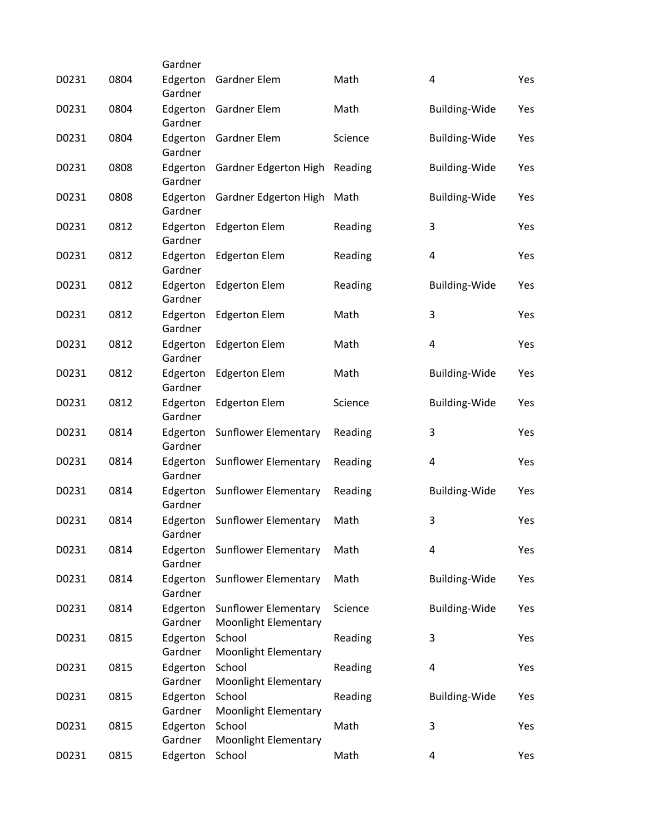|       |      | Gardner             |                                       |         |                         |     |
|-------|------|---------------------|---------------------------------------|---------|-------------------------|-----|
| D0231 | 0804 | Edgerton<br>Gardner | Gardner Elem                          | Math    | 4                       | Yes |
| D0231 | 0804 | Edgerton            | Gardner Elem                          | Math    | <b>Building-Wide</b>    | Yes |
|       |      | Gardner             |                                       |         |                         |     |
| D0231 | 0804 | Edgerton            | Gardner Elem                          | Science | <b>Building-Wide</b>    | Yes |
|       |      | Gardner             |                                       |         |                         |     |
| D0231 | 0808 | Edgerton            | Gardner Edgerton High                 | Reading | <b>Building-Wide</b>    | Yes |
|       |      | Gardner             |                                       |         |                         |     |
| D0231 | 0808 | Edgerton<br>Gardner | Gardner Edgerton High                 | Math    | <b>Building-Wide</b>    | Yes |
| D0231 | 0812 | Edgerton            | <b>Edgerton Elem</b>                  | Reading | 3                       | Yes |
|       |      | Gardner             |                                       |         |                         |     |
| D0231 | 0812 | Edgerton            | <b>Edgerton Elem</b>                  | Reading | 4                       | Yes |
|       |      | Gardner             |                                       |         |                         |     |
| D0231 | 0812 | Edgerton            | <b>Edgerton Elem</b>                  | Reading | <b>Building-Wide</b>    | Yes |
|       |      | Gardner             |                                       |         |                         |     |
| D0231 | 0812 | Edgerton<br>Gardner | <b>Edgerton Elem</b>                  | Math    | 3                       | Yes |
| D0231 | 0812 | Edgerton            | <b>Edgerton Elem</b>                  | Math    | $\overline{\mathbf{4}}$ | Yes |
|       |      | Gardner             |                                       |         |                         |     |
| D0231 | 0812 | Edgerton            | <b>Edgerton Elem</b>                  | Math    | <b>Building-Wide</b>    | Yes |
|       |      | Gardner             |                                       |         |                         |     |
| D0231 | 0812 | Edgerton            | <b>Edgerton Elem</b>                  | Science | <b>Building-Wide</b>    | Yes |
|       | 0814 | Gardner             |                                       |         | 3                       |     |
| D0231 |      | Edgerton<br>Gardner | <b>Sunflower Elementary</b>           | Reading |                         | Yes |
| D0231 | 0814 | Edgerton            | <b>Sunflower Elementary</b>           | Reading | 4                       | Yes |
|       |      | Gardner             |                                       |         |                         |     |
| D0231 | 0814 | Edgerton            | <b>Sunflower Elementary</b>           | Reading | <b>Building-Wide</b>    | Yes |
|       |      | Gardner             |                                       |         |                         |     |
| D0231 | 0814 | Edgerton            | <b>Sunflower Elementary</b>           | Math    | 3                       | Yes |
| D0231 | 0814 | Gardner<br>Edgerton | <b>Sunflower Elementary</b>           | Math    | $\overline{\mathbf{4}}$ | Yes |
|       |      | Gardner             |                                       |         |                         |     |
| D0231 | 0814 | Edgerton            | <b>Sunflower Elementary</b>           | Math    | <b>Building-Wide</b>    | Yes |
|       |      | Gardner             |                                       |         |                         |     |
| D0231 | 0814 | Edgerton            | <b>Sunflower Elementary</b>           | Science | Building-Wide           | Yes |
|       |      | Gardner             | Moonlight Elementary                  |         |                         |     |
| D0231 | 0815 | Edgerton            | School                                | Reading | 3                       | Yes |
|       |      | Gardner             | Moonlight Elementary                  |         |                         |     |
| D0231 | 0815 | Edgerton<br>Gardner | School<br><b>Moonlight Elementary</b> | Reading | 4                       | Yes |
| D0231 | 0815 | Edgerton            | School                                | Reading | <b>Building-Wide</b>    | Yes |
|       |      | Gardner             | Moonlight Elementary                  |         |                         |     |
| D0231 | 0815 | Edgerton            | School                                | Math    | 3                       | Yes |
|       |      | Gardner             | Moonlight Elementary                  |         |                         |     |
| D0231 | 0815 | Edgerton            | School                                | Math    | 4                       | Yes |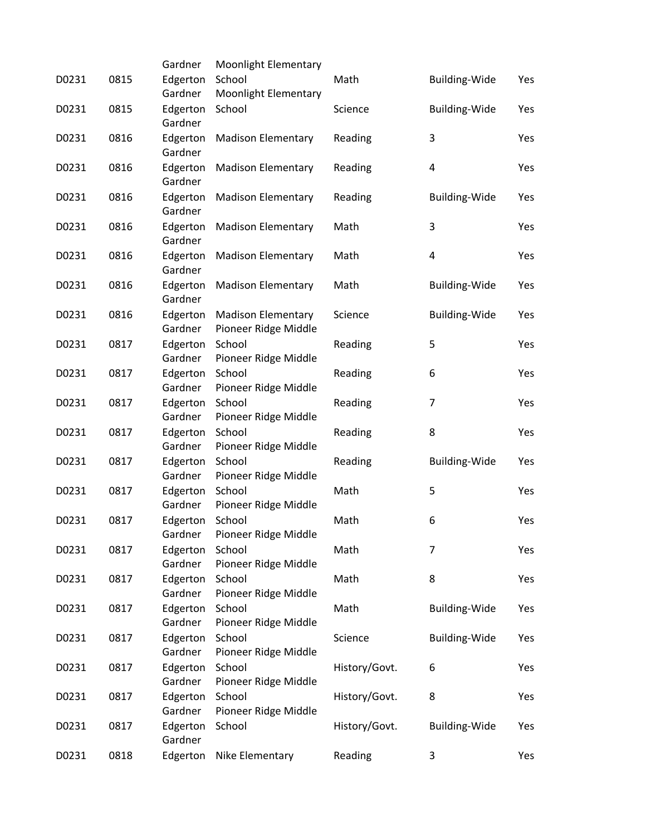|       |      | Gardner             | Moonlight Elementary           |               |                      |     |
|-------|------|---------------------|--------------------------------|---------------|----------------------|-----|
| D0231 | 0815 | Edgerton            | School                         | Math          | <b>Building-Wide</b> | Yes |
|       |      | Gardner             | Moonlight Elementary           |               |                      |     |
| D0231 | 0815 | Edgerton            | School                         | Science       | <b>Building-Wide</b> | Yes |
|       |      | Gardner             |                                |               |                      |     |
| D0231 | 0816 | Edgerton            | <b>Madison Elementary</b>      | Reading       | 3                    | Yes |
|       |      | Gardner             |                                |               |                      |     |
| D0231 | 0816 | Edgerton            | <b>Madison Elementary</b>      | Reading       | 4                    | Yes |
|       |      | Gardner             |                                |               |                      |     |
| D0231 | 0816 | Edgerton            | <b>Madison Elementary</b>      | Reading       | Building-Wide        | Yes |
|       |      | Gardner             |                                |               |                      |     |
| D0231 | 0816 | Edgerton            | <b>Madison Elementary</b>      | Math          | 3                    | Yes |
|       |      | Gardner             |                                |               |                      |     |
| D0231 | 0816 | Edgerton            | <b>Madison Elementary</b>      | Math          | 4                    | Yes |
|       |      | Gardner             |                                |               |                      |     |
| D0231 | 0816 | Edgerton            | <b>Madison Elementary</b>      | Math          | <b>Building-Wide</b> | Yes |
|       |      | Gardner             |                                |               |                      |     |
| D0231 | 0816 | Edgerton            | <b>Madison Elementary</b>      | Science       | <b>Building-Wide</b> | Yes |
|       |      | Gardner             | Pioneer Ridge Middle           |               |                      |     |
| D0231 | 0817 | Edgerton            | School                         | Reading       | 5                    | Yes |
|       |      | Gardner             | Pioneer Ridge Middle           |               |                      |     |
| D0231 | 0817 | Edgerton            | School                         | Reading       | 6                    | Yes |
|       |      | Gardner             | Pioneer Ridge Middle           |               |                      |     |
| D0231 | 0817 | Edgerton            | School                         | Reading       | $\overline{7}$       | Yes |
|       |      | Gardner             | Pioneer Ridge Middle           |               |                      |     |
| D0231 | 0817 | Edgerton            | School                         | Reading       | 8                    | Yes |
|       |      | Gardner             | Pioneer Ridge Middle           |               |                      |     |
| D0231 | 0817 | Edgerton            | School                         | Reading       | <b>Building-Wide</b> | Yes |
|       |      | Gardner             | Pioneer Ridge Middle           |               |                      |     |
| D0231 | 0817 | Edgerton            | School                         | Math          | 5                    | Yes |
|       |      | Gardner             | Pioneer Ridge Middle           |               |                      |     |
| D0231 | 0817 | Edgerton            | School                         | Math          | 6                    | Yes |
|       |      | Gardner             | Pioneer Ridge Middle           |               |                      |     |
| D0231 | 0817 | Edgerton            | School                         | Math          | 7                    | Yes |
|       |      | Gardner             | Pioneer Ridge Middle           |               |                      |     |
| D0231 | 0817 | Edgerton            | School                         | Math          | 8                    | Yes |
|       |      | Gardner             | Pioneer Ridge Middle           |               |                      |     |
| D0231 | 0817 | Edgerton            | School                         | Math          | Building-Wide        | Yes |
|       |      | Gardner             | Pioneer Ridge Middle           |               |                      |     |
| D0231 | 0817 | Edgerton            | School                         | Science       | <b>Building-Wide</b> | Yes |
|       |      | Gardner             | Pioneer Ridge Middle<br>School |               |                      |     |
| D0231 | 0817 | Edgerton            |                                | History/Govt. | 6                    | Yes |
|       |      | Gardner             | Pioneer Ridge Middle           |               |                      |     |
| D0231 | 0817 | Edgerton<br>Gardner | School<br>Pioneer Ridge Middle | History/Govt. | 8                    | Yes |
| D0231 | 0817 | Edgerton            | School                         | History/Govt. | <b>Building-Wide</b> | Yes |
|       |      | Gardner             |                                |               |                      |     |
| D0231 | 0818 | Edgerton            | Nike Elementary                | Reading       | 3                    | Yes |
|       |      |                     |                                |               |                      |     |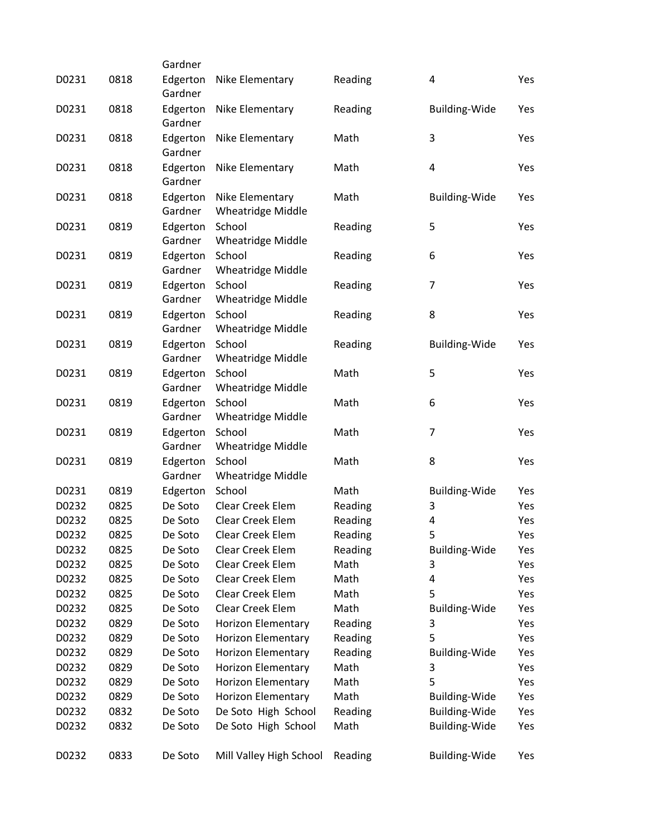|       |      | Gardner  |                           |         |                      |     |
|-------|------|----------|---------------------------|---------|----------------------|-----|
| D0231 | 0818 | Edgerton | Nike Elementary           | Reading | 4                    | Yes |
|       |      | Gardner  |                           |         |                      |     |
| D0231 | 0818 | Edgerton | Nike Elementary           | Reading | Building-Wide        | Yes |
|       |      | Gardner  |                           |         |                      |     |
| D0231 | 0818 | Edgerton | Nike Elementary           | Math    | 3                    | Yes |
|       |      | Gardner  |                           |         |                      |     |
| D0231 | 0818 | Edgerton | Nike Elementary           | Math    | 4                    | Yes |
|       |      | Gardner  |                           |         |                      |     |
| D0231 | 0818 | Edgerton | Nike Elementary           | Math    | <b>Building-Wide</b> | Yes |
|       |      | Gardner  | <b>Wheatridge Middle</b>  |         |                      |     |
| D0231 | 0819 | Edgerton | School                    | Reading | 5                    | Yes |
|       |      | Gardner  | <b>Wheatridge Middle</b>  |         |                      |     |
| D0231 | 0819 | Edgerton | School                    | Reading | 6                    | Yes |
|       |      | Gardner  | <b>Wheatridge Middle</b>  |         |                      |     |
| D0231 | 0819 | Edgerton | School                    | Reading | $\overline{7}$       | Yes |
|       |      | Gardner  | <b>Wheatridge Middle</b>  |         |                      |     |
| D0231 | 0819 | Edgerton | School                    | Reading | 8                    | Yes |
|       |      | Gardner  | Wheatridge Middle         |         |                      |     |
| D0231 | 0819 | Edgerton | School                    | Reading | <b>Building-Wide</b> | Yes |
|       |      | Gardner  | <b>Wheatridge Middle</b>  |         |                      |     |
| D0231 | 0819 | Edgerton | School                    | Math    | 5                    | Yes |
|       |      | Gardner  | <b>Wheatridge Middle</b>  |         |                      |     |
| D0231 | 0819 | Edgerton | School                    | Math    | 6                    | Yes |
|       |      | Gardner  | <b>Wheatridge Middle</b>  |         |                      |     |
| D0231 | 0819 | Edgerton | School                    | Math    | $\overline{7}$       | Yes |
|       |      | Gardner  | <b>Wheatridge Middle</b>  |         |                      |     |
| D0231 | 0819 | Edgerton | School                    | Math    | 8                    | Yes |
|       |      | Gardner  | <b>Wheatridge Middle</b>  |         |                      |     |
| D0231 | 0819 | Edgerton | School                    | Math    | <b>Building-Wide</b> | Yes |
| D0232 | 0825 | De Soto  | Clear Creek Elem          | Reading | 3                    | Yes |
| D0232 | 0825 | De Soto  | Clear Creek Elem          | Reading | $\overline{4}$       | Yes |
| D0232 | 0825 | De Soto  | Clear Creek Elem          | Reading | 5                    | Yes |
| D0232 | 0825 | De Soto  | Clear Creek Elem          | Reading | <b>Building-Wide</b> | Yes |
| D0232 | 0825 | De Soto  | Clear Creek Elem          | Math    | 3                    | Yes |
| D0232 | 0825 | De Soto  | Clear Creek Elem          | Math    | 4                    | Yes |
| D0232 | 0825 | De Soto  | Clear Creek Elem          | Math    | 5                    | Yes |
| D0232 | 0825 | De Soto  | Clear Creek Elem          | Math    | <b>Building-Wide</b> | Yes |
| D0232 | 0829 | De Soto  | <b>Horizon Elementary</b> | Reading | 3                    | Yes |
| D0232 | 0829 | De Soto  | <b>Horizon Elementary</b> | Reading | 5                    | Yes |
| D0232 | 0829 | De Soto  | <b>Horizon Elementary</b> | Reading | <b>Building-Wide</b> | Yes |
| D0232 | 0829 | De Soto  | Horizon Elementary        | Math    | 3                    | Yes |
| D0232 | 0829 | De Soto  | Horizon Elementary        | Math    | 5                    | Yes |
| D0232 | 0829 | De Soto  | <b>Horizon Elementary</b> | Math    | <b>Building-Wide</b> | Yes |
| D0232 | 0832 | De Soto  | De Soto High School       | Reading | <b>Building-Wide</b> | Yes |
| D0232 | 0832 | De Soto  | De Soto High School       | Math    | <b>Building-Wide</b> | Yes |
|       |      |          |                           |         |                      |     |
| D0232 | 0833 | De Soto  | Mill Valley High School   | Reading | Building-Wide        | Yes |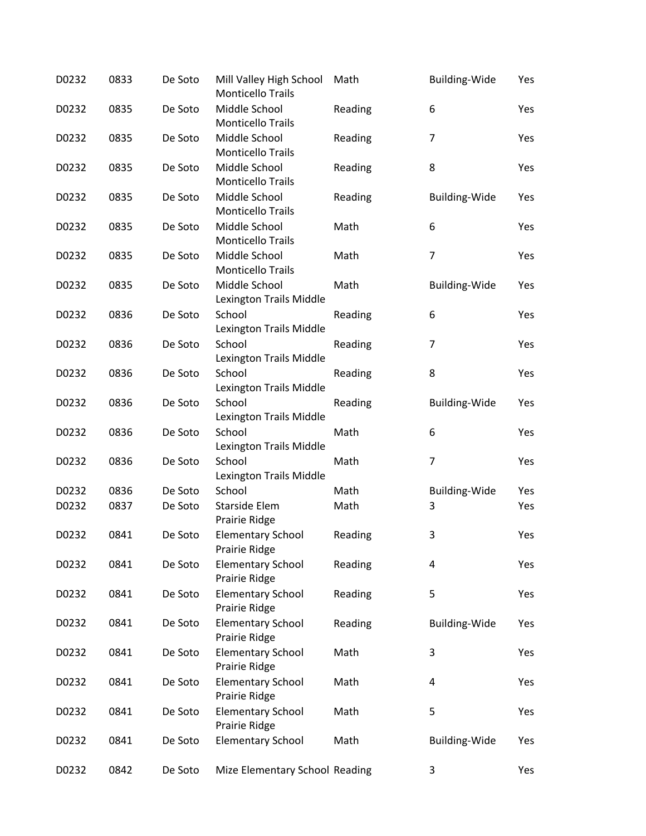| D0232 | 0833 | De Soto | Mill Valley High School<br><b>Monticello Trails</b> | Math    | Building-Wide        | Yes |
|-------|------|---------|-----------------------------------------------------|---------|----------------------|-----|
| D0232 | 0835 | De Soto | Middle School<br><b>Monticello Trails</b>           | Reading | 6                    | Yes |
| D0232 | 0835 | De Soto | Middle School<br><b>Monticello Trails</b>           | Reading | 7                    | Yes |
| D0232 | 0835 | De Soto | Middle School<br><b>Monticello Trails</b>           | Reading | 8                    | Yes |
| D0232 | 0835 | De Soto | Middle School<br><b>Monticello Trails</b>           | Reading | <b>Building-Wide</b> | Yes |
| D0232 | 0835 | De Soto | Middle School<br><b>Monticello Trails</b>           | Math    | 6                    | Yes |
| D0232 | 0835 | De Soto | Middle School<br><b>Monticello Trails</b>           | Math    | $\overline{7}$       | Yes |
| D0232 | 0835 | De Soto | Middle School<br>Lexington Trails Middle            | Math    | <b>Building-Wide</b> | Yes |
| D0232 | 0836 | De Soto | School<br>Lexington Trails Middle                   | Reading | 6                    | Yes |
| D0232 | 0836 | De Soto | School<br>Lexington Trails Middle                   | Reading | 7                    | Yes |
| D0232 | 0836 | De Soto | School<br>Lexington Trails Middle                   | Reading | 8                    | Yes |
| D0232 | 0836 | De Soto | School<br>Lexington Trails Middle                   | Reading | <b>Building-Wide</b> | Yes |
| D0232 | 0836 | De Soto | School<br>Lexington Trails Middle                   | Math    | 6                    | Yes |
| D0232 | 0836 | De Soto | School<br>Lexington Trails Middle                   | Math    | $\overline{7}$       | Yes |
| D0232 | 0836 | De Soto | School                                              | Math    | Building-Wide        | Yes |
| D0232 | 0837 | De Soto | Starside Elem<br>Prairie Ridge                      | Math    | 3                    | Yes |
| D0232 | 0841 | De Soto | <b>Elementary School</b><br>Prairie Ridge           | Reading | 3                    | Yes |
| D0232 | 0841 | De Soto | <b>Elementary School</b><br>Prairie Ridge           | Reading | 4                    | Yes |
| D0232 | 0841 | De Soto | <b>Elementary School</b><br>Prairie Ridge           | Reading | 5                    | Yes |
| D0232 | 0841 | De Soto | <b>Elementary School</b><br>Prairie Ridge           | Reading | <b>Building-Wide</b> | Yes |
| D0232 | 0841 | De Soto | <b>Elementary School</b><br>Prairie Ridge           | Math    | 3                    | Yes |
| D0232 | 0841 | De Soto | <b>Elementary School</b><br>Prairie Ridge           | Math    | 4                    | Yes |
| D0232 | 0841 | De Soto | <b>Elementary School</b><br>Prairie Ridge           | Math    | 5                    | Yes |
| D0232 | 0841 | De Soto | <b>Elementary School</b>                            | Math    | <b>Building-Wide</b> | Yes |
| D0232 | 0842 | De Soto | Mize Elementary School Reading                      |         | 3                    | Yes |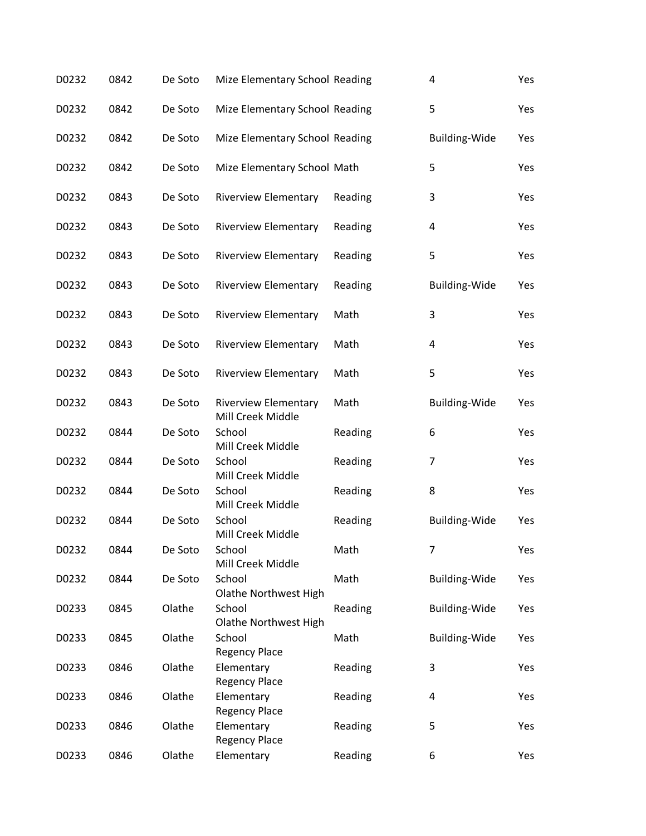| D0232 | 0842 | De Soto | Mize Elementary School Reading                   |         | 4                    | Yes |
|-------|------|---------|--------------------------------------------------|---------|----------------------|-----|
| D0232 | 0842 | De Soto | Mize Elementary School Reading                   |         | 5                    | Yes |
| D0232 | 0842 | De Soto | Mize Elementary School Reading                   |         | <b>Building-Wide</b> | Yes |
| D0232 | 0842 | De Soto | Mize Elementary School Math                      |         | 5                    | Yes |
| D0232 | 0843 | De Soto | <b>Riverview Elementary</b>                      | Reading | 3                    | Yes |
| D0232 | 0843 | De Soto | <b>Riverview Elementary</b>                      | Reading | 4                    | Yes |
| D0232 | 0843 | De Soto | <b>Riverview Elementary</b>                      | Reading | 5                    | Yes |
| D0232 | 0843 | De Soto | <b>Riverview Elementary</b>                      | Reading | <b>Building-Wide</b> | Yes |
| D0232 | 0843 | De Soto | <b>Riverview Elementary</b>                      | Math    | 3                    | Yes |
| D0232 | 0843 | De Soto | <b>Riverview Elementary</b>                      | Math    | 4                    | Yes |
| D0232 | 0843 | De Soto | <b>Riverview Elementary</b>                      | Math    | 5                    | Yes |
| D0232 | 0843 | De Soto | <b>Riverview Elementary</b>                      | Math    | <b>Building-Wide</b> | Yes |
| D0232 | 0844 | De Soto | Mill Creek Middle<br>School<br>Mill Creek Middle | Reading | 6                    | Yes |
| D0232 | 0844 | De Soto | School<br>Mill Creek Middle                      | Reading | 7                    | Yes |
| D0232 | 0844 | De Soto | School<br>Mill Creek Middle                      | Reading | 8                    | Yes |
| D0232 | 0844 | De Soto | School<br>Mill Creek Middle                      | Reading | Building-Wide        | Yes |
| D0232 | 0844 | De Soto | School<br>Mill Creek Middle                      | Math    |                      | Yes |
| D0232 | 0844 | De Soto | School<br>Olathe Northwest High                  | Math    | <b>Building-Wide</b> | Yes |
| D0233 | 0845 | Olathe  | School<br>Olathe Northwest High                  | Reading | <b>Building-Wide</b> | Yes |
| D0233 | 0845 | Olathe  | School<br><b>Regency Place</b>                   | Math    | <b>Building-Wide</b> | Yes |
| D0233 | 0846 | Olathe  | Elementary<br><b>Regency Place</b>               | Reading | 3                    | Yes |
| D0233 | 0846 | Olathe  | Elementary<br>Regency Place                      | Reading | 4                    | Yes |
| D0233 | 0846 | Olathe  | Elementary<br><b>Regency Place</b>               | Reading | 5                    | Yes |
| D0233 | 0846 | Olathe  | Elementary                                       | Reading | 6                    | Yes |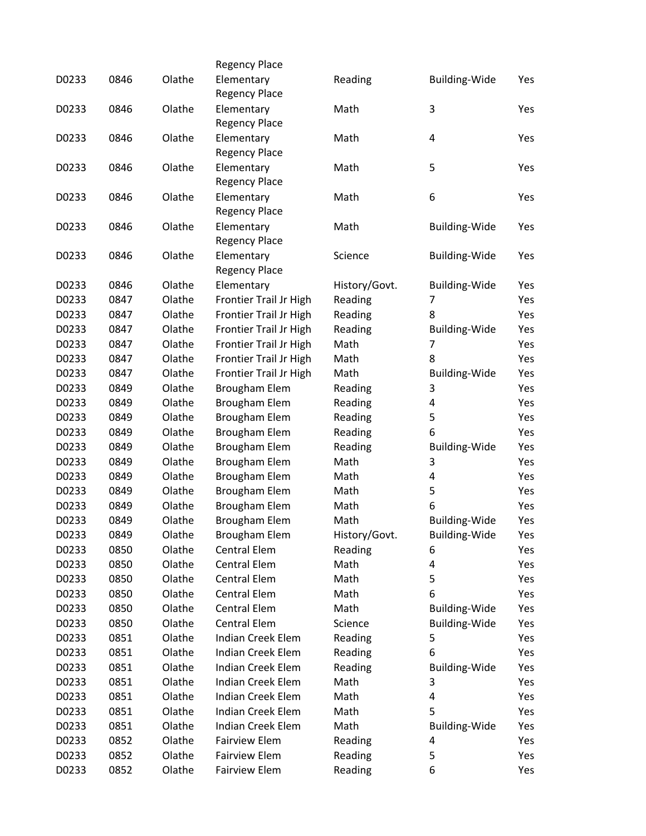|       |      |        | <b>Regency Place</b>               |               |                      |     |
|-------|------|--------|------------------------------------|---------------|----------------------|-----|
| D0233 | 0846 | Olathe | Elementary<br><b>Regency Place</b> | Reading       | Building-Wide        | Yes |
| D0233 | 0846 | Olathe | Elementary<br><b>Regency Place</b> | Math          | 3                    | Yes |
| D0233 | 0846 | Olathe | Elementary<br><b>Regency Place</b> | Math          | 4                    | Yes |
| D0233 | 0846 | Olathe | Elementary<br><b>Regency Place</b> | Math          | 5                    | Yes |
| D0233 | 0846 | Olathe | Elementary<br><b>Regency Place</b> | Math          | 6                    | Yes |
| D0233 | 0846 | Olathe | Elementary<br><b>Regency Place</b> | Math          | <b>Building-Wide</b> | Yes |
| D0233 | 0846 | Olathe | Elementary<br><b>Regency Place</b> | Science       | <b>Building-Wide</b> | Yes |
| D0233 | 0846 | Olathe | Elementary                         | History/Govt. | Building-Wide        | Yes |
| D0233 | 0847 | Olathe | Frontier Trail Jr High             | Reading       | 7                    | Yes |
| D0233 | 0847 | Olathe | Frontier Trail Jr High             | Reading       | 8                    | Yes |
| D0233 | 0847 | Olathe | <b>Frontier Trail Jr High</b>      | Reading       | Building-Wide        | Yes |
| D0233 | 0847 | Olathe | Frontier Trail Jr High             | Math          | 7                    | Yes |
| D0233 | 0847 | Olathe | <b>Frontier Trail Jr High</b>      | Math          | 8                    | Yes |
| D0233 | 0847 | Olathe | Frontier Trail Jr High             | Math          | <b>Building-Wide</b> | Yes |
| D0233 | 0849 | Olathe | Brougham Elem                      | Reading       | 3                    | Yes |
| D0233 | 0849 | Olathe | Brougham Elem                      | Reading       | 4                    | Yes |
| D0233 | 0849 | Olathe | Brougham Elem                      | Reading       | 5                    | Yes |
| D0233 | 0849 | Olathe | Brougham Elem                      | Reading       | 6                    | Yes |
| D0233 | 0849 | Olathe | Brougham Elem                      | Reading       | Building-Wide        | Yes |
| D0233 | 0849 | Olathe | Brougham Elem                      | Math          | 3                    | Yes |
| D0233 | 0849 | Olathe | Brougham Elem                      | Math          | 4                    | Yes |
| D0233 | 0849 | Olathe | <b>Brougham Elem</b>               | Math          | 5                    | Yes |
| D0233 | 0849 | Olathe | <b>Brougham Elem</b>               | Math          | 6                    | Yes |
| D0233 | 0849 | Olathe | <b>Brougham Elem</b>               | Math          | Building-Wide        | Yes |
| D0233 | 0849 | Olathe | <b>Brougham Elem</b>               | History/Govt. | <b>Building-Wide</b> | Yes |
| D0233 | 0850 | Olathe | Central Elem                       | Reading       | 6                    | Yes |
| D0233 | 0850 | Olathe | Central Elem                       | Math          | 4                    | Yes |
| D0233 | 0850 | Olathe | Central Elem                       | Math          | 5                    | Yes |
| D0233 | 0850 | Olathe | Central Elem                       | Math          | 6                    | Yes |
| D0233 | 0850 | Olathe | Central Elem                       | Math          | Building-Wide        | Yes |
| D0233 | 0850 | Olathe | <b>Central Elem</b>                | Science       | <b>Building-Wide</b> | Yes |
| D0233 | 0851 | Olathe | <b>Indian Creek Elem</b>           | Reading       | 5                    | Yes |
| D0233 | 0851 | Olathe | <b>Indian Creek Elem</b>           | Reading       | 6                    | Yes |
| D0233 | 0851 | Olathe | Indian Creek Elem                  | Reading       | <b>Building-Wide</b> | Yes |
| D0233 | 0851 | Olathe | Indian Creek Elem                  | Math          | 3                    | Yes |
| D0233 | 0851 | Olathe | <b>Indian Creek Elem</b>           | Math          | 4                    | Yes |
| D0233 | 0851 | Olathe | <b>Indian Creek Elem</b>           | Math          | 5                    | Yes |
| D0233 | 0851 | Olathe | <b>Indian Creek Elem</b>           | Math          | <b>Building-Wide</b> | Yes |
| D0233 | 0852 | Olathe | <b>Fairview Elem</b>               | Reading       | 4                    | Yes |
| D0233 | 0852 | Olathe | <b>Fairview Elem</b>               | Reading       | 5                    | Yes |
| D0233 | 0852 | Olathe | <b>Fairview Elem</b>               | Reading       | 6                    | Yes |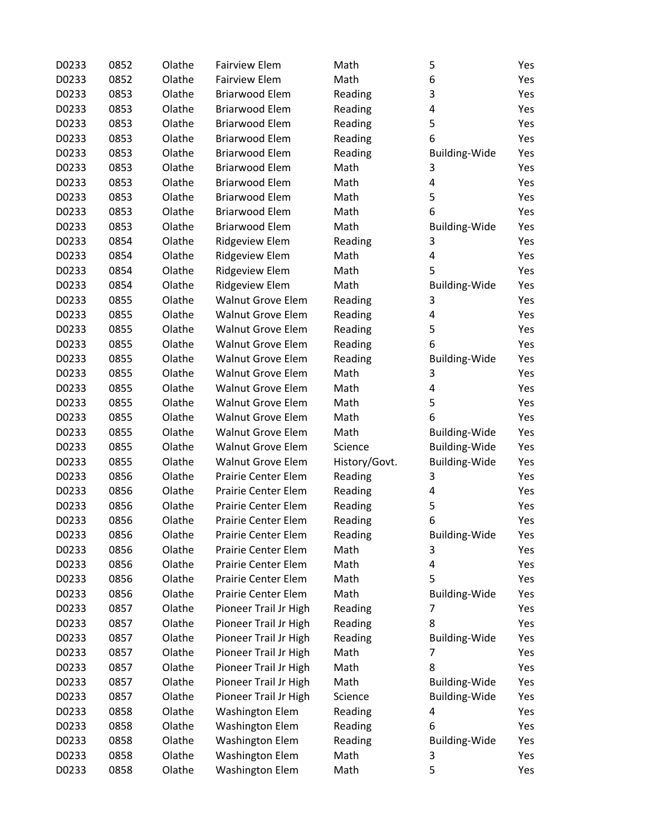| D0233 | 0852 | Olathe | <b>Fairview Elem</b>       | Math          | 5                    | Yes |
|-------|------|--------|----------------------------|---------------|----------------------|-----|
| D0233 | 0852 | Olathe | <b>Fairview Elem</b>       | Math          | 6                    | Yes |
| D0233 | 0853 | Olathe | <b>Briarwood Elem</b>      | Reading       | 3                    | Yes |
| D0233 | 0853 | Olathe | <b>Briarwood Elem</b>      | Reading       | 4                    | Yes |
| D0233 | 0853 | Olathe | <b>Briarwood Elem</b>      | Reading       | 5                    | Yes |
| D0233 | 0853 | Olathe | <b>Briarwood Elem</b>      | Reading       | 6                    | Yes |
| D0233 | 0853 | Olathe | <b>Briarwood Elem</b>      | Reading       | Building-Wide        | Yes |
| D0233 | 0853 | Olathe | <b>Briarwood Elem</b>      | Math          | 3                    | Yes |
| D0233 | 0853 | Olathe | <b>Briarwood Elem</b>      | Math          | 4                    | Yes |
| D0233 | 0853 | Olathe | <b>Briarwood Elem</b>      | Math          | 5                    | Yes |
| D0233 | 0853 | Olathe | <b>Briarwood Elem</b>      | Math          | 6                    | Yes |
| D0233 | 0853 | Olathe | <b>Briarwood Elem</b>      | Math          | <b>Building-Wide</b> | Yes |
| D0233 | 0854 | Olathe | Ridgeview Elem             | Reading       | 3                    | Yes |
| D0233 | 0854 | Olathe | Ridgeview Elem             | Math          | 4                    | Yes |
| D0233 | 0854 | Olathe | Ridgeview Elem             | Math          | 5                    | Yes |
| D0233 | 0854 | Olathe | Ridgeview Elem             | Math          | <b>Building-Wide</b> | Yes |
| D0233 | 0855 | Olathe | <b>Walnut Grove Elem</b>   | Reading       | 3                    | Yes |
| D0233 | 0855 | Olathe | <b>Walnut Grove Elem</b>   | Reading       | 4                    | Yes |
| D0233 | 0855 | Olathe | <b>Walnut Grove Elem</b>   | Reading       | 5                    | Yes |
| D0233 | 0855 | Olathe | <b>Walnut Grove Elem</b>   | Reading       | 6                    | Yes |
| D0233 | 0855 | Olathe | <b>Walnut Grove Elem</b>   | Reading       | Building-Wide        | Yes |
| D0233 | 0855 | Olathe | <b>Walnut Grove Elem</b>   | Math          | 3                    | Yes |
| D0233 | 0855 | Olathe | <b>Walnut Grove Elem</b>   | Math          | 4                    | Yes |
| D0233 | 0855 | Olathe | <b>Walnut Grove Elem</b>   | Math          | 5                    | Yes |
| D0233 | 0855 | Olathe | <b>Walnut Grove Elem</b>   | Math          | 6                    | Yes |
| D0233 | 0855 | Olathe | <b>Walnut Grove Elem</b>   | Math          | Building-Wide        | Yes |
| D0233 | 0855 | Olathe | <b>Walnut Grove Elem</b>   | Science       | <b>Building-Wide</b> | Yes |
| D0233 | 0855 | Olathe | <b>Walnut Grove Elem</b>   | History/Govt. | <b>Building-Wide</b> | Yes |
| D0233 | 0856 | Olathe | Prairie Center Elem        | Reading       | 3                    | Yes |
| D0233 | 0856 | Olathe | <b>Prairie Center Elem</b> | Reading       | 4                    | Yes |
| D0233 | 0856 | Olathe | Prairie Center Elem        | Reading       | 5                    | Yes |
| D0233 | 0856 | Olathe | <b>Prairie Center Elem</b> | Reading       | 6                    | Yes |
| D0233 | 0856 | Olathe | Prairie Center Elem        | Reading       | <b>Building-Wide</b> | Yes |
| D0233 | 0856 | Olathe | Prairie Center Elem        | Math          | 3                    | Yes |
| D0233 | 0856 | Olathe | <b>Prairie Center Elem</b> | Math          | 4                    | Yes |
| D0233 | 0856 | Olathe | <b>Prairie Center Elem</b> | Math          | 5                    | Yes |
| D0233 | 0856 | Olathe | <b>Prairie Center Elem</b> | Math          | <b>Building-Wide</b> | Yes |
| D0233 | 0857 | Olathe | Pioneer Trail Jr High      | Reading       | 7                    | Yes |
| D0233 | 0857 | Olathe | Pioneer Trail Jr High      | Reading       | 8                    | Yes |
| D0233 | 0857 | Olathe | Pioneer Trail Jr High      | Reading       | <b>Building-Wide</b> | Yes |
| D0233 | 0857 | Olathe | Pioneer Trail Jr High      | Math          | 7                    | Yes |
| D0233 | 0857 | Olathe | Pioneer Trail Jr High      | Math          | 8                    | Yes |
| D0233 | 0857 | Olathe | Pioneer Trail Jr High      | Math          | Building-Wide        | Yes |
| D0233 | 0857 | Olathe | Pioneer Trail Jr High      | Science       | <b>Building-Wide</b> | Yes |
| D0233 | 0858 | Olathe | <b>Washington Elem</b>     | Reading       | 4                    | Yes |
| D0233 | 0858 | Olathe | <b>Washington Elem</b>     | Reading       | 6                    | Yes |
| D0233 | 0858 | Olathe | <b>Washington Elem</b>     | Reading       | <b>Building-Wide</b> | Yes |
| D0233 | 0858 | Olathe | <b>Washington Elem</b>     | Math          | 3                    | Yes |
| D0233 | 0858 | Olathe | <b>Washington Elem</b>     | Math          | 5                    | Yes |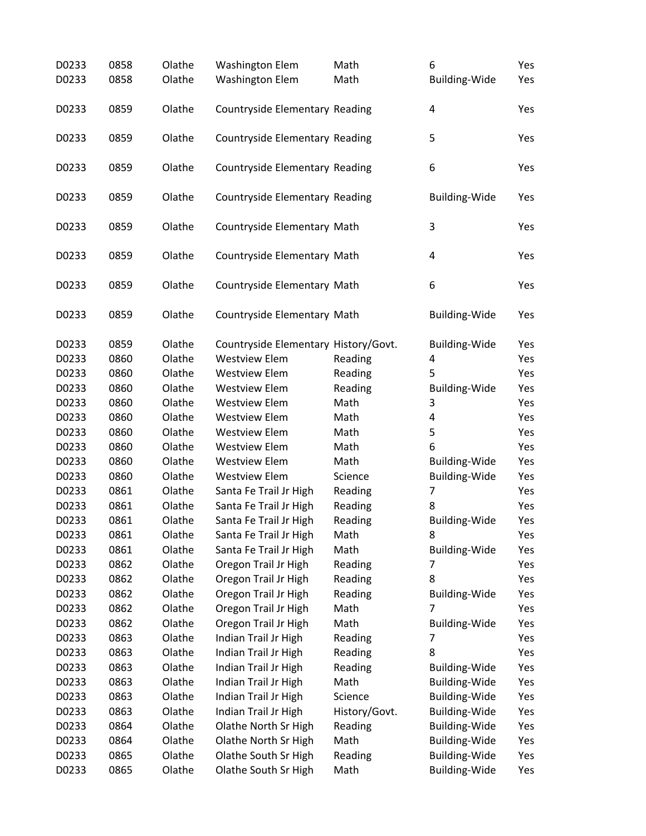| D0233 | 0858         | Olathe | <b>Washington Elem</b>               | Math          | 6                                            | Yes        |
|-------|--------------|--------|--------------------------------------|---------------|----------------------------------------------|------------|
| D0233 | 0858         | Olathe | <b>Washington Elem</b>               | Math          | <b>Building-Wide</b>                         | Yes        |
|       |              |        |                                      |               |                                              |            |
| D0233 | 0859         | Olathe | Countryside Elementary Reading       |               | 4                                            | Yes        |
|       |              |        |                                      |               |                                              |            |
| D0233 | 0859         | Olathe | Countryside Elementary Reading       |               | 5                                            | Yes        |
|       |              |        |                                      |               |                                              |            |
| D0233 | 0859         | Olathe | Countryside Elementary Reading       |               | 6                                            | Yes        |
|       |              |        |                                      |               |                                              |            |
| D0233 | 0859         | Olathe | Countryside Elementary Reading       |               | <b>Building-Wide</b>                         | Yes        |
| D0233 | 0859         | Olathe | Countryside Elementary Math          |               | 3                                            | Yes        |
|       |              |        |                                      |               |                                              |            |
| D0233 | 0859         | Olathe | Countryside Elementary Math          |               | $\overline{\mathbf{4}}$                      | Yes        |
|       |              |        |                                      |               |                                              |            |
| D0233 | 0859         | Olathe | Countryside Elementary Math          |               | 6                                            | Yes        |
|       |              |        |                                      |               |                                              |            |
| D0233 | 0859         | Olathe | Countryside Elementary Math          |               | <b>Building-Wide</b>                         | Yes        |
|       |              |        |                                      |               |                                              |            |
| D0233 | 0859         | Olathe | Countryside Elementary History/Govt. |               | <b>Building-Wide</b>                         | Yes        |
| D0233 | 0860         | Olathe | <b>Westview Elem</b>                 | Reading       | 4                                            | Yes        |
| D0233 | 0860         | Olathe | <b>Westview Elem</b>                 | Reading       | 5                                            | Yes        |
| D0233 | 0860         | Olathe | <b>Westview Elem</b>                 | Reading       | <b>Building-Wide</b>                         | Yes        |
| D0233 | 0860         | Olathe | <b>Westview Elem</b>                 | Math          | 3                                            | Yes        |
| D0233 | 0860         | Olathe | <b>Westview Elem</b>                 | Math          | 4                                            | Yes        |
| D0233 | 0860         | Olathe | <b>Westview Elem</b>                 | Math          | 5                                            | Yes        |
| D0233 | 0860         | Olathe | <b>Westview Elem</b>                 | Math          | 6                                            | Yes        |
| D0233 | 0860         | Olathe | <b>Westview Elem</b>                 | Math          | <b>Building-Wide</b>                         | Yes        |
| D0233 | 0860         | Olathe | <b>Westview Elem</b>                 | Science       | <b>Building-Wide</b>                         | Yes        |
| D0233 | 0861         | Olathe | Santa Fe Trail Jr High               | Reading       | 7                                            | Yes        |
| D0233 | 0861         | Olathe | Santa Fe Trail Jr High               | Reading       | 8                                            | Yes        |
| D0233 | 0861         | Olathe | Santa Fe Trail Jr High               | Reading       | <b>Building-Wide</b>                         | Yes        |
| D0233 | 0861         | Olathe | Santa Fe Trail Jr High               | Math          | 8                                            | Yes        |
| D0233 | 0861         | Olathe | Santa Fe Trail Jr High               | Math          | <b>Building-Wide</b>                         | Yes        |
| D0233 | 0862         | Olathe | Oregon Trail Jr High                 | Reading       | 7                                            | Yes        |
| D0233 | 0862         | Olathe | Oregon Trail Jr High                 | Reading       | 8                                            | Yes        |
| D0233 | 0862         | Olathe | Oregon Trail Jr High                 | Reading       | <b>Building-Wide</b>                         | Yes        |
| D0233 | 0862         | Olathe | Oregon Trail Jr High                 | Math          | 7                                            | Yes        |
| D0233 | 0862         | Olathe | Oregon Trail Jr High                 | Math          | <b>Building-Wide</b>                         | Yes        |
| D0233 | 0863         | Olathe | Indian Trail Jr High                 | Reading       | 7                                            | Yes        |
| D0233 | 0863         | Olathe | Indian Trail Jr High                 | Reading       | 8                                            | Yes        |
| D0233 | 0863         | Olathe | Indian Trail Jr High                 | Reading       | <b>Building-Wide</b>                         | Yes        |
| D0233 | 0863         | Olathe | Indian Trail Jr High                 | Math          | <b>Building-Wide</b>                         | Yes        |
| D0233 | 0863         | Olathe | Indian Trail Jr High                 | Science       | <b>Building-Wide</b>                         | Yes        |
| D0233 |              | Olathe |                                      |               |                                              |            |
| D0233 | 0863<br>0864 | Olathe | Indian Trail Jr High                 | History/Govt. | <b>Building-Wide</b><br><b>Building-Wide</b> | Yes<br>Yes |
|       |              |        | Olathe North Sr High                 | Reading       |                                              |            |
| D0233 | 0864         | Olathe | Olathe North Sr High                 | Math          | <b>Building-Wide</b>                         | Yes        |
| D0233 | 0865         | Olathe | Olathe South Sr High                 | Reading       | <b>Building-Wide</b>                         | Yes        |
| D0233 | 0865         | Olathe | Olathe South Sr High                 | Math          | <b>Building-Wide</b>                         | Yes        |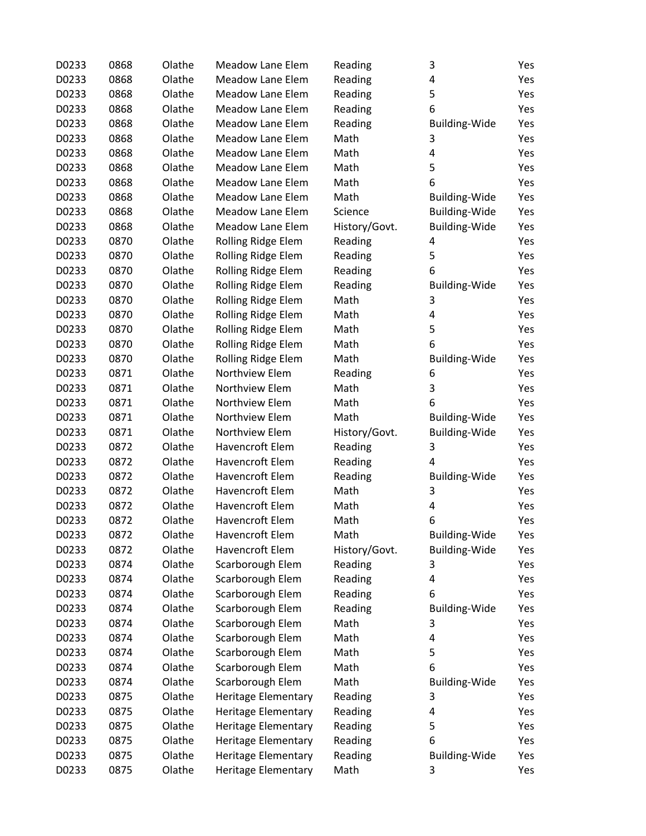| D0233 | 0868 | Olathe | Meadow Lane Elem           | Reading       | 3                    | Yes |
|-------|------|--------|----------------------------|---------------|----------------------|-----|
| D0233 | 0868 | Olathe | <b>Meadow Lane Elem</b>    | Reading       | 4                    | Yes |
| D0233 | 0868 | Olathe | <b>Meadow Lane Elem</b>    | Reading       | 5                    | Yes |
| D0233 | 0868 | Olathe | <b>Meadow Lane Elem</b>    | Reading       | 6                    | Yes |
| D0233 | 0868 | Olathe | <b>Meadow Lane Elem</b>    | Reading       | <b>Building-Wide</b> | Yes |
| D0233 | 0868 | Olathe | <b>Meadow Lane Elem</b>    | Math          | 3                    | Yes |
|       |      | Olathe | <b>Meadow Lane Elem</b>    | Math          | 4                    | Yes |
| D0233 | 0868 |        |                            | Math          |                      |     |
| D0233 | 0868 | Olathe | <b>Meadow Lane Elem</b>    |               | 5                    | Yes |
| D0233 | 0868 | Olathe | <b>Meadow Lane Elem</b>    | Math          | 6                    | Yes |
| D0233 | 0868 | Olathe | <b>Meadow Lane Elem</b>    | Math          | Building-Wide        | Yes |
| D0233 | 0868 | Olathe | <b>Meadow Lane Elem</b>    | Science       | <b>Building-Wide</b> | Yes |
| D0233 | 0868 | Olathe | Meadow Lane Elem           | History/Govt. | <b>Building-Wide</b> | Yes |
| D0233 | 0870 | Olathe | Rolling Ridge Elem         | Reading       | 4                    | Yes |
| D0233 | 0870 | Olathe | Rolling Ridge Elem         | Reading       | 5                    | Yes |
| D0233 | 0870 | Olathe | Rolling Ridge Elem         | Reading       | 6                    | Yes |
| D0233 | 0870 | Olathe | Rolling Ridge Elem         | Reading       | <b>Building-Wide</b> | Yes |
| D0233 | 0870 | Olathe | Rolling Ridge Elem         | Math          | 3                    | Yes |
| D0233 | 0870 | Olathe | Rolling Ridge Elem         | Math          | 4                    | Yes |
| D0233 | 0870 | Olathe | Rolling Ridge Elem         | Math          | 5                    | Yes |
| D0233 | 0870 | Olathe | Rolling Ridge Elem         | Math          | 6                    | Yes |
| D0233 | 0870 | Olathe | Rolling Ridge Elem         | Math          | Building-Wide        | Yes |
| D0233 | 0871 | Olathe | Northview Elem             | Reading       | 6                    | Yes |
| D0233 | 0871 | Olathe | Northview Elem             | Math          | 3                    | Yes |
| D0233 | 0871 | Olathe | Northview Elem             | Math          | 6                    | Yes |
| D0233 | 0871 | Olathe | Northview Elem             | Math          | <b>Building-Wide</b> | Yes |
| D0233 | 0871 | Olathe | Northview Elem             | History/Govt. | Building-Wide        | Yes |
| D0233 | 0872 | Olathe | Havencroft Elem            | Reading       | 3                    | Yes |
| D0233 | 0872 | Olathe | Havencroft Elem            | Reading       | 4                    | Yes |
| D0233 | 0872 | Olathe | Havencroft Elem            | Reading       | <b>Building-Wide</b> | Yes |
| D0233 | 0872 | Olathe | Havencroft Elem            | Math          | 3                    | Yes |
| D0233 | 0872 | Olathe | Havencroft Elem            | Math          | 4                    | Yes |
| D0233 | 0872 | Olathe | Havencroft Elem            | Math          | 6                    | Yes |
| D0233 | 0872 | Olathe | Havencroft Elem            | Math          | <b>Building-Wide</b> | Yes |
| D0233 | 0872 | Olathe | Havencroft Elem            | History/Govt. | <b>Building-Wide</b> | Yes |
| D0233 | 0874 | Olathe | Scarborough Elem           | Reading       | 3                    | Yes |
| D0233 | 0874 | Olathe | Scarborough Elem           | Reading       | 4                    | Yes |
| D0233 | 0874 | Olathe | Scarborough Elem           | Reading       | 6                    | Yes |
| D0233 | 0874 | Olathe | Scarborough Elem           | Reading       | <b>Building-Wide</b> | Yes |
| D0233 | 0874 | Olathe | Scarborough Elem           | Math          | 3                    | Yes |
| D0233 | 0874 | Olathe | Scarborough Elem           | Math          | 4                    | Yes |
| D0233 | 0874 | Olathe | Scarborough Elem           | Math          | 5                    | Yes |
| D0233 | 0874 | Olathe | Scarborough Elem           | Math          | 6                    | Yes |
| D0233 | 0874 | Olathe | Scarborough Elem           | Math          | <b>Building-Wide</b> | Yes |
| D0233 | 0875 | Olathe | <b>Heritage Elementary</b> | Reading       | 3                    | Yes |
| D0233 | 0875 | Olathe | Heritage Elementary        | Reading       | 4                    | Yes |
| D0233 | 0875 | Olathe | <b>Heritage Elementary</b> | Reading       | 5                    | Yes |
| D0233 | 0875 | Olathe | <b>Heritage Elementary</b> | Reading       | 6                    | Yes |
| D0233 | 0875 | Olathe | <b>Heritage Elementary</b> | Reading       | Building-Wide        | Yes |
| D0233 | 0875 | Olathe | <b>Heritage Elementary</b> | Math          | 3                    | Yes |
|       |      |        |                            |               |                      |     |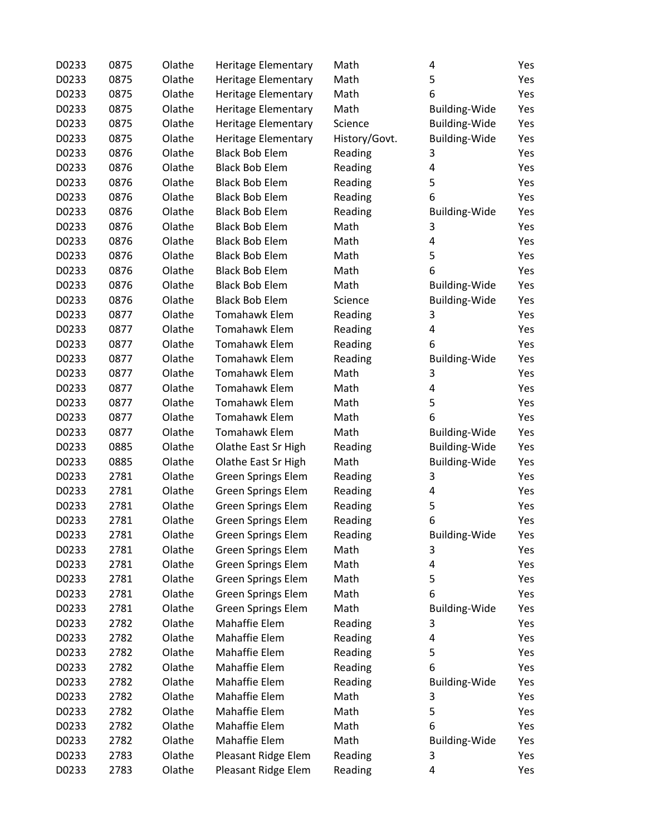| D0233 | 0875 | Olathe | <b>Heritage Elementary</b> | Math          | 4                    | Yes |
|-------|------|--------|----------------------------|---------------|----------------------|-----|
| D0233 | 0875 | Olathe | <b>Heritage Elementary</b> | Math          | 5                    | Yes |
| D0233 | 0875 | Olathe | <b>Heritage Elementary</b> | Math          | 6                    | Yes |
| D0233 | 0875 | Olathe | Heritage Elementary        | Math          | Building-Wide        | Yes |
| D0233 | 0875 | Olathe | <b>Heritage Elementary</b> | Science       | <b>Building-Wide</b> | Yes |
| D0233 | 0875 | Olathe | Heritage Elementary        | History/Govt. | <b>Building-Wide</b> | Yes |
| D0233 | 0876 | Olathe | <b>Black Bob Elem</b>      | Reading       | 3                    | Yes |
| D0233 | 0876 | Olathe | <b>Black Bob Elem</b>      | Reading       | 4                    | Yes |
| D0233 | 0876 | Olathe | <b>Black Bob Elem</b>      | Reading       | 5                    | Yes |
| D0233 | 0876 | Olathe | <b>Black Bob Elem</b>      | Reading       | 6                    | Yes |
| D0233 | 0876 | Olathe | <b>Black Bob Elem</b>      | Reading       | <b>Building-Wide</b> | Yes |
| D0233 | 0876 | Olathe | <b>Black Bob Elem</b>      | Math          | 3                    | Yes |
| D0233 | 0876 | Olathe | <b>Black Bob Elem</b>      | Math          | 4                    | Yes |
| D0233 | 0876 | Olathe | <b>Black Bob Elem</b>      | Math          | 5                    | Yes |
| D0233 | 0876 | Olathe | <b>Black Bob Elem</b>      | Math          | 6                    | Yes |
| D0233 | 0876 | Olathe | <b>Black Bob Elem</b>      | Math          | <b>Building-Wide</b> | Yes |
| D0233 | 0876 | Olathe | <b>Black Bob Elem</b>      | Science       | <b>Building-Wide</b> | Yes |
| D0233 | 0877 | Olathe | <b>Tomahawk Elem</b>       | Reading       | 3                    | Yes |
| D0233 | 0877 | Olathe | <b>Tomahawk Elem</b>       | Reading       | 4                    | Yes |
| D0233 | 0877 | Olathe | <b>Tomahawk Elem</b>       | Reading       | 6                    | Yes |
| D0233 | 0877 | Olathe | <b>Tomahawk Elem</b>       | Reading       | <b>Building-Wide</b> | Yes |
| D0233 | 0877 | Olathe | <b>Tomahawk Elem</b>       | Math          | 3                    | Yes |
| D0233 | 0877 | Olathe | <b>Tomahawk Elem</b>       | Math          | 4                    | Yes |
| D0233 | 0877 | Olathe | <b>Tomahawk Elem</b>       | Math          | 5                    | Yes |
| D0233 | 0877 | Olathe | <b>Tomahawk Elem</b>       | Math          | 6                    | Yes |
| D0233 | 0877 | Olathe | <b>Tomahawk Elem</b>       | Math          | <b>Building-Wide</b> | Yes |
| D0233 | 0885 | Olathe | Olathe East Sr High        | Reading       | <b>Building-Wide</b> | Yes |
| D0233 | 0885 | Olathe | Olathe East Sr High        | Math          | <b>Building-Wide</b> | Yes |
| D0233 | 2781 | Olathe | <b>Green Springs Elem</b>  | Reading       | 3                    | Yes |
| D0233 | 2781 | Olathe | Green Springs Elem         | Reading       | 4                    | Yes |
| D0233 | 2781 | Olathe | <b>Green Springs Elem</b>  | Reading       | 5                    | Yes |
| D0233 | 2781 | Olathe | <b>Green Springs Elem</b>  | Reading       | 6                    | Yes |
| D0233 | 2781 | Olathe | <b>Green Springs Elem</b>  | Reading       | Building-Wide        | Yes |
| D0233 | 2781 | Olathe | <b>Green Springs Elem</b>  | Math          | 3                    | Yes |
| D0233 | 2781 | Olathe | <b>Green Springs Elem</b>  | Math          | 4                    | Yes |
| D0233 | 2781 | Olathe | <b>Green Springs Elem</b>  | Math          | 5                    | Yes |
| D0233 | 2781 | Olathe | <b>Green Springs Elem</b>  | Math          | 6                    | Yes |
| D0233 | 2781 | Olathe | <b>Green Springs Elem</b>  | Math          | <b>Building-Wide</b> | Yes |
| D0233 | 2782 | Olathe | Mahaffie Elem              | Reading       | 3                    | Yes |
| D0233 | 2782 | Olathe | Mahaffie Elem              | Reading       | 4                    | Yes |
| D0233 | 2782 | Olathe | Mahaffie Elem              | Reading       | 5                    | Yes |
| D0233 | 2782 | Olathe | Mahaffie Elem              | Reading       | 6                    | Yes |
| D0233 | 2782 | Olathe | Mahaffie Elem              | Reading       | <b>Building-Wide</b> | Yes |
| D0233 | 2782 | Olathe | Mahaffie Elem              | Math          | 3                    | Yes |
| D0233 | 2782 | Olathe | Mahaffie Elem              | Math          | 5                    | Yes |
| D0233 | 2782 | Olathe | Mahaffie Elem              | Math          | 6                    | Yes |
| D0233 | 2782 | Olathe | Mahaffie Elem              | Math          | <b>Building-Wide</b> | Yes |
| D0233 | 2783 | Olathe | Pleasant Ridge Elem        | Reading       | 3                    | Yes |
| D0233 | 2783 | Olathe | Pleasant Ridge Elem        | Reading       | 4                    | Yes |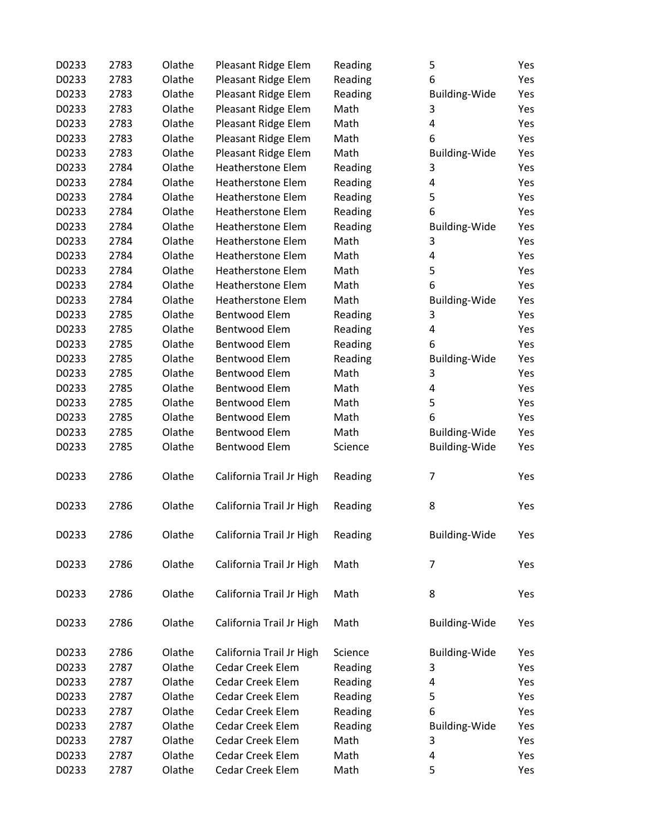| D0233 | 2783 | Olathe | Pleasant Ridge Elem      | Reading | 5                    | Yes |
|-------|------|--------|--------------------------|---------|----------------------|-----|
| D0233 | 2783 | Olathe | Pleasant Ridge Elem      | Reading | 6                    | Yes |
| D0233 | 2783 | Olathe | Pleasant Ridge Elem      | Reading | <b>Building-Wide</b> | Yes |
| D0233 | 2783 | Olathe | Pleasant Ridge Elem      | Math    | 3                    | Yes |
| D0233 | 2783 | Olathe | Pleasant Ridge Elem      | Math    | 4                    | Yes |
| D0233 | 2783 | Olathe | Pleasant Ridge Elem      | Math    | 6                    | Yes |
| D0233 | 2783 | Olathe | Pleasant Ridge Elem      | Math    |                      | Yes |
|       |      |        | <b>Heatherstone Elem</b> |         | <b>Building-Wide</b> |     |
| D0233 | 2784 | Olathe |                          | Reading | 3                    | Yes |
| D0233 | 2784 | Olathe | Heatherstone Elem        | Reading | 4                    | Yes |
| D0233 | 2784 | Olathe | <b>Heatherstone Elem</b> | Reading | 5                    | Yes |
| D0233 | 2784 | Olathe | <b>Heatherstone Elem</b> | Reading | 6                    | Yes |
| D0233 | 2784 | Olathe | <b>Heatherstone Elem</b> | Reading | <b>Building-Wide</b> | Yes |
| D0233 | 2784 | Olathe | <b>Heatherstone Elem</b> | Math    | 3                    | Yes |
| D0233 | 2784 | Olathe | <b>Heatherstone Elem</b> | Math    | 4                    | Yes |
| D0233 | 2784 | Olathe | <b>Heatherstone Elem</b> | Math    | 5                    | Yes |
| D0233 | 2784 | Olathe | <b>Heatherstone Elem</b> | Math    | 6                    | Yes |
| D0233 | 2784 | Olathe | <b>Heatherstone Elem</b> | Math    | <b>Building-Wide</b> | Yes |
| D0233 | 2785 | Olathe | Bentwood Elem            | Reading | 3                    | Yes |
| D0233 | 2785 | Olathe | Bentwood Elem            | Reading | 4                    | Yes |
| D0233 | 2785 | Olathe | Bentwood Elem            | Reading | 6                    | Yes |
| D0233 | 2785 | Olathe | Bentwood Elem            | Reading | <b>Building-Wide</b> | Yes |
| D0233 | 2785 | Olathe | Bentwood Elem            | Math    | 3                    | Yes |
| D0233 | 2785 | Olathe | Bentwood Elem            | Math    | 4                    | Yes |
| D0233 | 2785 | Olathe | Bentwood Elem            | Math    | 5                    | Yes |
| D0233 | 2785 | Olathe | Bentwood Elem            | Math    | 6                    | Yes |
| D0233 | 2785 | Olathe | Bentwood Elem            | Math    | Building-Wide        | Yes |
| D0233 | 2785 | Olathe | Bentwood Elem            | Science | Building-Wide        | Yes |
|       |      |        |                          |         |                      |     |
| D0233 | 2786 | Olathe | California Trail Jr High | Reading | 7                    | Yes |
| D0233 | 2786 | Olathe | California Trail Jr High | Reading | 8                    | Yes |
| D0233 | 2786 | Olathe | California Trail Jr High | Reading | Building-Wide        | Yes |
| D0233 | 2786 | Olathe | California Trail Jr High | Math    | 7                    | Yes |
| D0233 | 2786 | Olathe | California Trail Jr High | Math    | 8                    | Yes |
| D0233 | 2786 | Olathe | California Trail Jr High | Math    | Building-Wide        | Yes |
| D0233 | 2786 | Olathe | California Trail Jr High | Science | <b>Building-Wide</b> | Yes |
| D0233 | 2787 | Olathe | <b>Cedar Creek Elem</b>  | Reading | 3                    | Yes |
| D0233 | 2787 | Olathe | Cedar Creek Elem         | Reading | 4                    | Yes |
| D0233 | 2787 | Olathe | <b>Cedar Creek Elem</b>  | Reading | 5                    | Yes |
| D0233 | 2787 | Olathe | Cedar Creek Elem         | Reading | 6                    | Yes |
| D0233 | 2787 | Olathe | Cedar Creek Elem         | Reading | <b>Building-Wide</b> | Yes |
| D0233 | 2787 | Olathe | <b>Cedar Creek Elem</b>  | Math    | 3                    | Yes |
| D0233 | 2787 | Olathe | Cedar Creek Elem         | Math    | 4                    | Yes |
| D0233 | 2787 | Olathe | Cedar Creek Elem         | Math    | 5                    | Yes |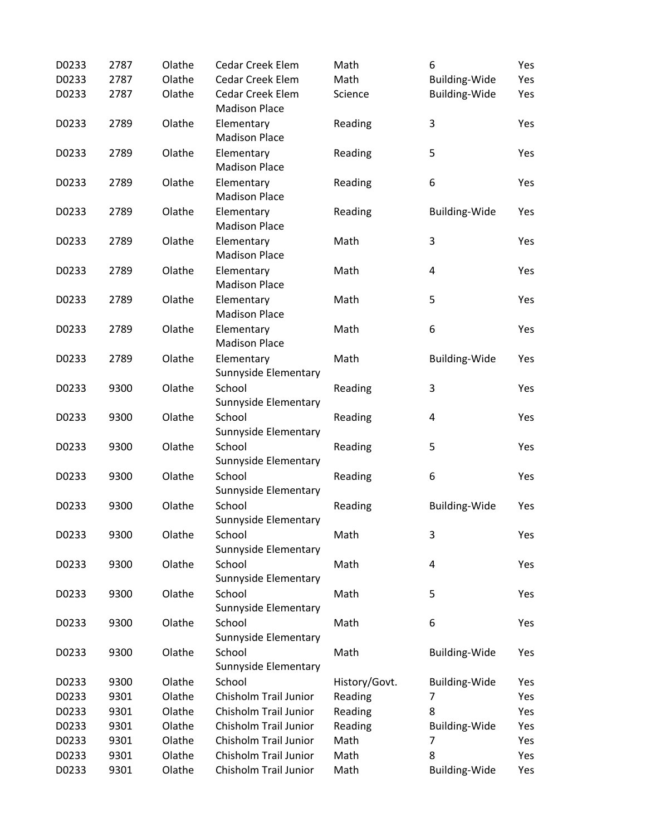| D0233 | 2787 | Olathe | <b>Cedar Creek Elem</b>                  | Math          | 6                       | Yes |
|-------|------|--------|------------------------------------------|---------------|-------------------------|-----|
| D0233 | 2787 | Olathe | <b>Cedar Creek Elem</b>                  | Math          | <b>Building-Wide</b>    | Yes |
| D0233 | 2787 | Olathe | Cedar Creek Elem<br><b>Madison Place</b> | Science       | <b>Building-Wide</b>    | Yes |
| D0233 | 2789 | Olathe | Elementary<br><b>Madison Place</b>       | Reading       | 3                       | Yes |
| D0233 | 2789 | Olathe | Elementary<br><b>Madison Place</b>       | Reading       | 5                       | Yes |
| D0233 | 2789 | Olathe | Elementary<br><b>Madison Place</b>       | Reading       | 6                       | Yes |
| D0233 | 2789 | Olathe | Elementary<br><b>Madison Place</b>       | Reading       | <b>Building-Wide</b>    | Yes |
| D0233 | 2789 | Olathe | Elementary<br><b>Madison Place</b>       | Math          | 3                       | Yes |
| D0233 | 2789 | Olathe | Elementary<br><b>Madison Place</b>       | Math          | $\overline{\mathbf{4}}$ | Yes |
| D0233 | 2789 | Olathe | Elementary<br><b>Madison Place</b>       | Math          | 5                       | Yes |
| D0233 | 2789 | Olathe | Elementary<br><b>Madison Place</b>       | Math          | 6                       | Yes |
| D0233 | 2789 | Olathe | Elementary<br>Sunnyside Elementary       | Math          | <b>Building-Wide</b>    | Yes |
| D0233 | 9300 | Olathe | School<br>Sunnyside Elementary           | Reading       | 3                       | Yes |
| D0233 | 9300 | Olathe | School<br>Sunnyside Elementary           | Reading       | $\overline{\mathbf{4}}$ | Yes |
| D0233 | 9300 | Olathe | School<br>Sunnyside Elementary           | Reading       | 5                       | Yes |
| D0233 | 9300 | Olathe | School<br>Sunnyside Elementary           | Reading       | 6                       | Yes |
| D0233 | 9300 | Olathe | School<br>Sunnyside Elementary           | Reading       | <b>Building-Wide</b>    | Yes |
| D0233 | 9300 | Olathe | School<br>Sunnyside Elementary           | Math          | 3                       | Yes |
| D0233 | 9300 | Olathe | School<br>Sunnyside Elementary           | Math          | $\pmb{4}$               | Yes |
| D0233 | 9300 | Olathe | School<br>Sunnyside Elementary           | Math          | 5                       | Yes |
| D0233 | 9300 | Olathe | School<br>Sunnyside Elementary           | Math          | 6                       | Yes |
| D0233 | 9300 | Olathe | School<br>Sunnyside Elementary           | Math          | Building-Wide           | Yes |
| D0233 | 9300 | Olathe | School                                   | History/Govt. | <b>Building-Wide</b>    | Yes |
| D0233 | 9301 | Olathe | Chisholm Trail Junior                    | Reading       | 7                       | Yes |
| D0233 | 9301 | Olathe | Chisholm Trail Junior                    | Reading       | 8                       | Yes |
| D0233 | 9301 | Olathe | Chisholm Trail Junior                    | Reading       | <b>Building-Wide</b>    | Yes |
| D0233 | 9301 | Olathe | Chisholm Trail Junior                    | Math          | 7                       | Yes |
| D0233 | 9301 | Olathe | Chisholm Trail Junior                    | Math          | 8                       | Yes |
| D0233 | 9301 | Olathe | Chisholm Trail Junior                    | Math          | <b>Building-Wide</b>    | Yes |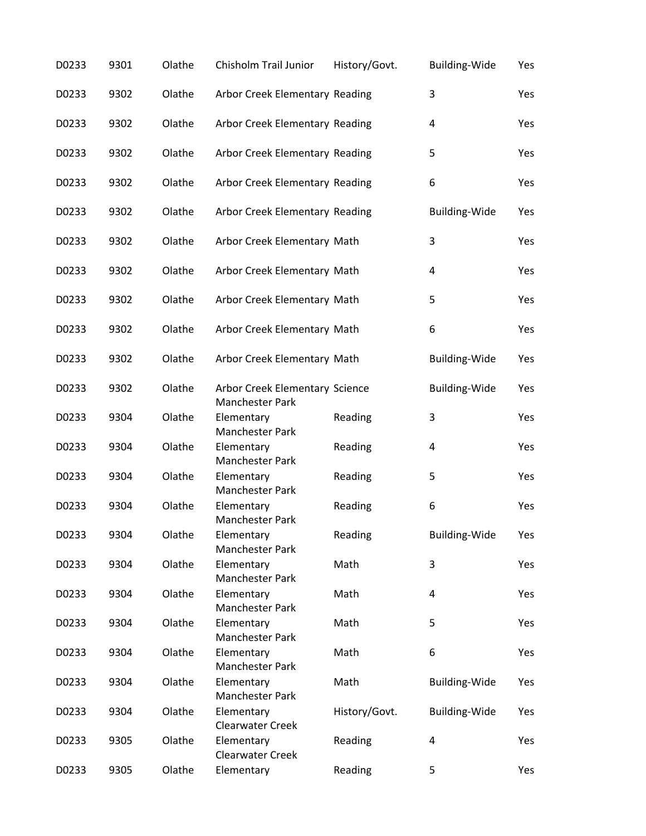| D0233 | 9301 | Olathe | Chisholm Trail Junior                             | History/Govt. | <b>Building-Wide</b>    | Yes |
|-------|------|--------|---------------------------------------------------|---------------|-------------------------|-----|
| D0233 | 9302 | Olathe | Arbor Creek Elementary Reading                    |               | $\mathsf 3$             | Yes |
| D0233 | 9302 | Olathe | Arbor Creek Elementary Reading                    |               | 4                       | Yes |
| D0233 | 9302 | Olathe | Arbor Creek Elementary Reading                    |               | 5                       | Yes |
| D0233 | 9302 | Olathe | Arbor Creek Elementary Reading                    |               | 6                       | Yes |
| D0233 | 9302 | Olathe | Arbor Creek Elementary Reading                    |               | Building-Wide           | Yes |
| D0233 | 9302 | Olathe | Arbor Creek Elementary Math                       |               | 3                       | Yes |
| D0233 | 9302 | Olathe | Arbor Creek Elementary Math                       |               | $\pmb{4}$               | Yes |
| D0233 | 9302 | Olathe | Arbor Creek Elementary Math                       |               | 5                       | Yes |
| D0233 | 9302 | Olathe | Arbor Creek Elementary Math                       |               | 6                       | Yes |
| D0233 | 9302 | Olathe | Arbor Creek Elementary Math                       |               | <b>Building-Wide</b>    | Yes |
| D0233 | 9302 | Olathe | Arbor Creek Elementary Science<br>Manchester Park |               | <b>Building-Wide</b>    | Yes |
| D0233 | 9304 | Olathe | Elementary<br>Manchester Park                     | Reading       | 3                       | Yes |
| D0233 | 9304 | Olathe | Elementary<br>Manchester Park                     | Reading       | $\overline{\mathbf{4}}$ | Yes |
| D0233 | 9304 | Olathe | Elementary<br>Manchester Park                     | Reading       | 5                       | Yes |
| D0233 | 9304 | Olathe | Elementary<br>Manchester Park                     | Reading       | 6                       | Yes |
| D0233 | 9304 | Olathe | Elementary<br>Manchester Park                     | Reading       | <b>Building-Wide</b>    | Yes |
| D0233 | 9304 | Olathe | Elementary<br>Manchester Park                     | Math          | $\mathsf 3$             | Yes |
| D0233 | 9304 | Olathe | Elementary<br>Manchester Park                     | Math          | 4                       | Yes |
| D0233 | 9304 | Olathe | Elementary<br>Manchester Park                     | Math          | 5                       | Yes |
| D0233 | 9304 | Olathe | Elementary<br><b>Manchester Park</b>              | Math          | 6                       | Yes |
| D0233 | 9304 | Olathe | Elementary<br>Manchester Park                     | Math          | <b>Building-Wide</b>    | Yes |
| D0233 | 9304 | Olathe | Elementary<br><b>Clearwater Creek</b>             | History/Govt. | Building-Wide           | Yes |
| D0233 | 9305 | Olathe | Elementary<br><b>Clearwater Creek</b>             | Reading       | $\overline{\mathbf{4}}$ | Yes |
| D0233 | 9305 | Olathe | Elementary                                        | Reading       | 5                       | Yes |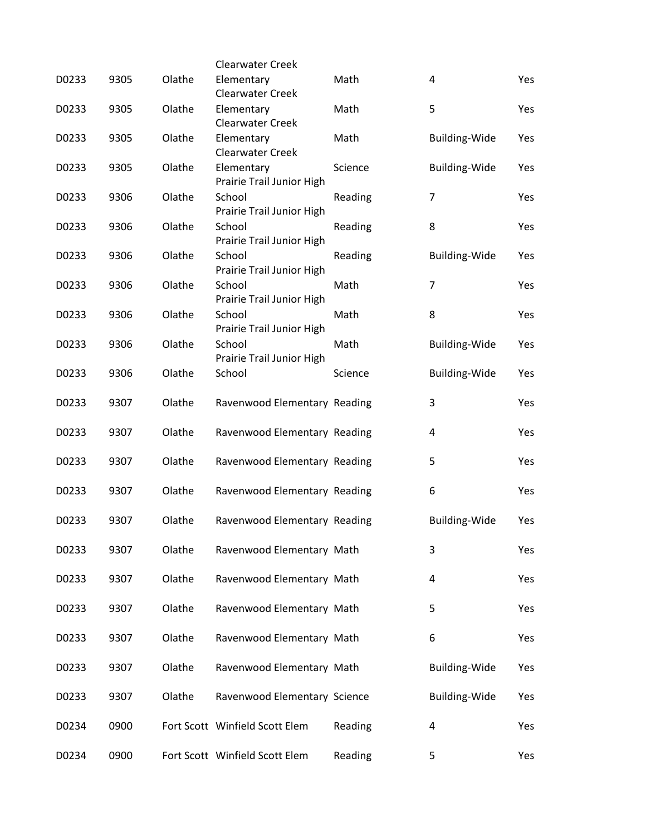|       |      |        | <b>Clearwater Creek</b>                 |         |                      |     |
|-------|------|--------|-----------------------------------------|---------|----------------------|-----|
| D0233 | 9305 | Olathe | Elementary<br><b>Clearwater Creek</b>   | Math    | 4                    | Yes |
| D0233 | 9305 | Olathe | Elementary<br><b>Clearwater Creek</b>   | Math    | 5                    | Yes |
| D0233 | 9305 | Olathe | Elementary<br><b>Clearwater Creek</b>   | Math    | Building-Wide        | Yes |
| D0233 | 9305 | Olathe | Elementary<br>Prairie Trail Junior High | Science | Building-Wide        | Yes |
| D0233 | 9306 | Olathe | School<br>Prairie Trail Junior High     | Reading | 7                    | Yes |
| D0233 | 9306 | Olathe | School<br>Prairie Trail Junior High     | Reading | 8                    | Yes |
| D0233 | 9306 | Olathe | School<br>Prairie Trail Junior High     | Reading | <b>Building-Wide</b> | Yes |
| D0233 | 9306 | Olathe | School<br>Prairie Trail Junior High     | Math    | 7                    | Yes |
| D0233 | 9306 | Olathe | School<br>Prairie Trail Junior High     | Math    | 8                    | Yes |
| D0233 | 9306 | Olathe | School<br>Prairie Trail Junior High     | Math    | <b>Building-Wide</b> | Yes |
| D0233 | 9306 | Olathe | School                                  | Science | Building-Wide        | Yes |
| D0233 | 9307 | Olathe | Ravenwood Elementary Reading            |         | 3                    | Yes |
| D0233 | 9307 | Olathe | Ravenwood Elementary Reading            |         | 4                    | Yes |
| D0233 | 9307 | Olathe | Ravenwood Elementary Reading            |         | 5                    | Yes |
| D0233 | 9307 | Olathe | Ravenwood Elementary Reading            |         | 6                    | Yes |
| D0233 | 9307 | Olathe | Ravenwood Elementary Reading            |         | <b>Building-Wide</b> | Yes |
| D0233 | 9307 | Olathe | Ravenwood Elementary Math               |         | 3                    | Yes |
| D0233 | 9307 | Olathe | Ravenwood Elementary Math               |         | 4                    | Yes |
| D0233 | 9307 | Olathe | Ravenwood Elementary Math               |         | 5                    | Yes |
| D0233 | 9307 | Olathe | Ravenwood Elementary Math               |         | 6                    | Yes |
| D0233 | 9307 | Olathe | Ravenwood Elementary Math               |         | <b>Building-Wide</b> | Yes |
| D0233 | 9307 | Olathe | Ravenwood Elementary Science            |         | Building-Wide        | Yes |
| D0234 | 0900 |        | Fort Scott Winfield Scott Elem          | Reading | 4                    | Yes |
| D0234 | 0900 |        | Fort Scott Winfield Scott Elem          | Reading | 5                    | Yes |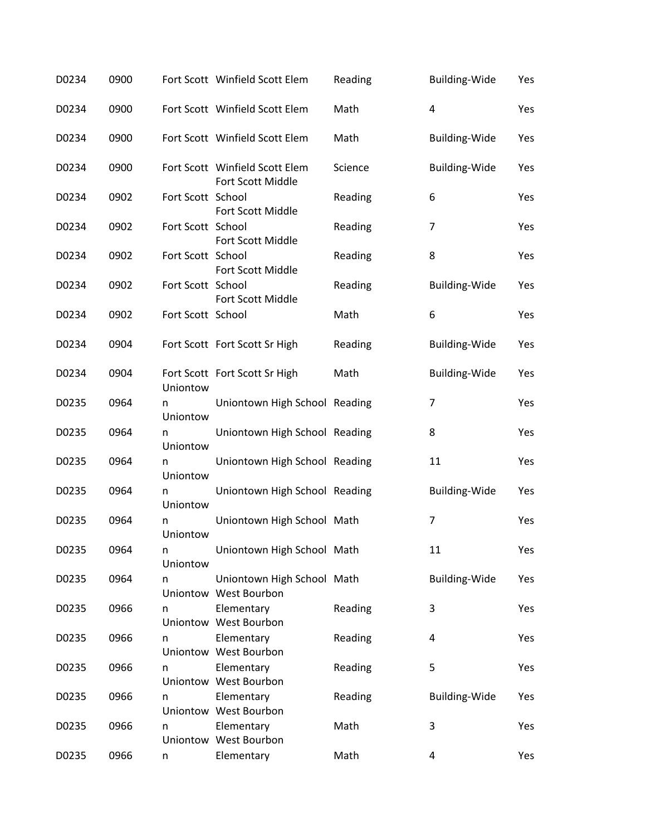| D0234 | 0900 |                   | Fort Scott Winfield Scott Elem                      | Reading | Building-Wide        | Yes |
|-------|------|-------------------|-----------------------------------------------------|---------|----------------------|-----|
| D0234 | 0900 |                   | Fort Scott Winfield Scott Elem                      | Math    | 4                    | Yes |
| D0234 | 0900 |                   | Fort Scott Winfield Scott Elem                      | Math    | Building-Wide        | Yes |
| D0234 | 0900 |                   | Fort Scott Winfield Scott Elem<br>Fort Scott Middle | Science | Building-Wide        | Yes |
| D0234 | 0902 | Fort Scott School | Fort Scott Middle                                   | Reading | 6                    | Yes |
| D0234 | 0902 | Fort Scott School | Fort Scott Middle                                   | Reading | 7                    | Yes |
| D0234 | 0902 | Fort Scott School | Fort Scott Middle                                   | Reading | 8                    | Yes |
| D0234 | 0902 | Fort Scott School | Fort Scott Middle                                   | Reading | <b>Building-Wide</b> | Yes |
| D0234 | 0902 | Fort Scott School |                                                     | Math    | 6                    | Yes |
| D0234 | 0904 |                   | Fort Scott Fort Scott Sr High                       | Reading | Building-Wide        | Yes |
| D0234 | 0904 | Uniontow          | Fort Scott Fort Scott Sr High                       | Math    | Building-Wide        | Yes |
| D0235 | 0964 | n<br>Uniontow     | Uniontown High School Reading                       |         | 7                    | Yes |
| D0235 | 0964 | n<br>Uniontow     | Uniontown High School Reading                       |         | 8                    | Yes |
| D0235 | 0964 | n<br>Uniontow     | Uniontown High School Reading                       |         | 11                   | Yes |
| D0235 | 0964 | n<br>Uniontow     | Uniontown High School Reading                       |         | Building-Wide        | Yes |
| D0235 | 0964 | n<br>Uniontow     | Uniontown High School Math                          |         | 7                    | Yes |
| D0235 | 0964 | n<br>Uniontow     | Uniontown High School Math                          |         | 11                   | Yes |
| D0235 | 0964 | n                 | Uniontown High School Math<br>Uniontow West Bourbon |         | <b>Building-Wide</b> | Yes |
| D0235 | 0966 | n                 | Elementary<br>Uniontow West Bourbon                 | Reading | 3                    | Yes |
| D0235 | 0966 | n                 | Elementary<br>Uniontow West Bourbon                 | Reading | 4                    | Yes |
| D0235 | 0966 | n                 | Elementary<br>Uniontow West Bourbon                 | Reading | 5                    | Yes |
| D0235 | 0966 | n                 | Elementary<br>Uniontow West Bourbon                 | Reading | <b>Building-Wide</b> | Yes |
| D0235 | 0966 | n                 | Elementary<br>Uniontow West Bourbon                 | Math    | 3                    | Yes |
| D0235 | 0966 | n                 | Elementary                                          | Math    | 4                    | Yes |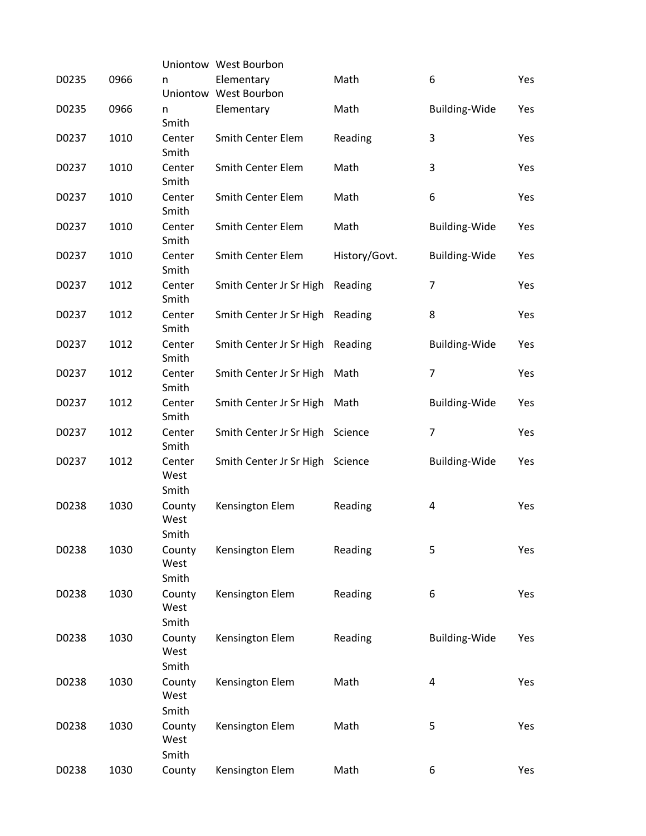|       |      |                         | Uniontow West Bourbon               |               |                      |     |
|-------|------|-------------------------|-------------------------------------|---------------|----------------------|-----|
| D0235 | 0966 | n                       | Elementary<br>Uniontow West Bourbon | Math          | 6                    | Yes |
| D0235 | 0966 | n<br>Smith              | Elementary                          | Math          | Building-Wide        | Yes |
| D0237 | 1010 | Center<br>Smith         | Smith Center Elem                   | Reading       | 3                    | Yes |
| D0237 | 1010 | Center<br>Smith         | Smith Center Elem                   | Math          | 3                    | Yes |
| D0237 | 1010 | Center<br>Smith         | <b>Smith Center Elem</b>            | Math          | 6                    | Yes |
| D0237 | 1010 | Center<br>Smith         | <b>Smith Center Elem</b>            | Math          | <b>Building-Wide</b> | Yes |
| D0237 | 1010 | Center<br>Smith         | Smith Center Elem                   | History/Govt. | <b>Building-Wide</b> | Yes |
| D0237 | 1012 | Center<br>Smith         | Smith Center Jr Sr High             | Reading       | $\overline{7}$       | Yes |
| D0237 | 1012 | Center<br>Smith         | Smith Center Jr Sr High             | Reading       | 8                    | Yes |
| D0237 | 1012 | Center<br>Smith         | Smith Center Jr Sr High             | Reading       | <b>Building-Wide</b> | Yes |
| D0237 | 1012 | Center<br>Smith         | Smith Center Jr Sr High             | Math          | $\overline{7}$       | Yes |
| D0237 | 1012 | Center<br>Smith         | Smith Center Jr Sr High             | Math          | <b>Building-Wide</b> | Yes |
| D0237 | 1012 | Center<br>Smith         | Smith Center Jr Sr High             | Science       | $\overline{7}$       | Yes |
| D0237 | 1012 | Center<br>West<br>Smith | Smith Center Jr Sr High             | Science       | Building-Wide        | Yes |
| D0238 | 1030 | County<br>West<br>Smith | Kensington Elem                     | Reading       | 4                    | Yes |
| D0238 | 1030 | County<br>West<br>Smith | Kensington Elem                     | Reading       | 5                    | Yes |
| D0238 | 1030 | County<br>West<br>Smith | Kensington Elem                     | Reading       | 6                    | Yes |
| D0238 | 1030 | County<br>West<br>Smith | Kensington Elem                     | Reading       | <b>Building-Wide</b> | Yes |
| D0238 | 1030 | County<br>West<br>Smith | Kensington Elem                     | Math          | 4                    | Yes |
| D0238 | 1030 | County<br>West<br>Smith | Kensington Elem                     | Math          | 5                    | Yes |
| D0238 | 1030 | County                  | Kensington Elem                     | Math          | 6                    | Yes |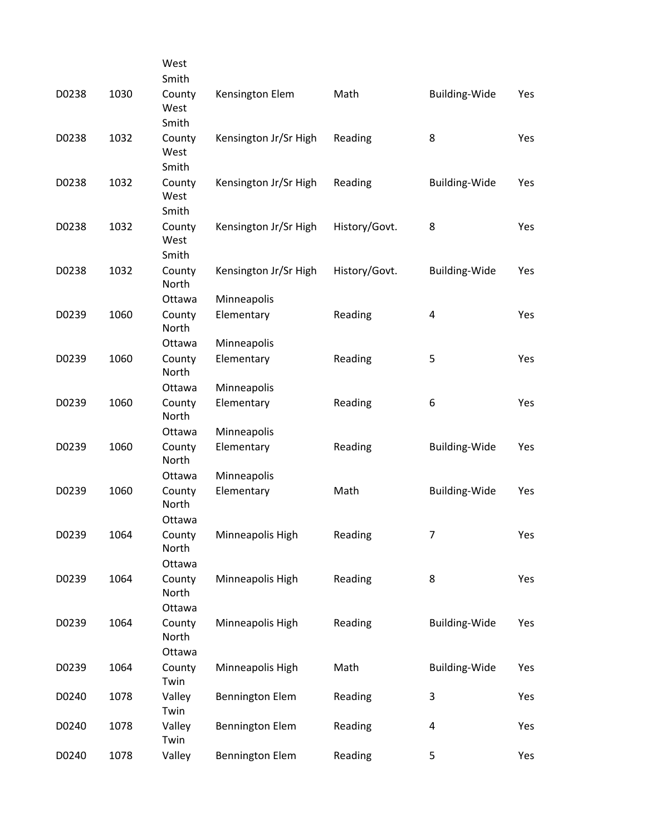|       |      | West            |                        |               |                      |     |
|-------|------|-----------------|------------------------|---------------|----------------------|-----|
|       |      | Smith           |                        |               |                      |     |
| D0238 | 1030 | County<br>West  | Kensington Elem        | Math          | <b>Building-Wide</b> | Yes |
|       |      | Smith           |                        |               |                      |     |
| D0238 | 1032 | County<br>West  | Kensington Jr/Sr High  | Reading       | 8                    | Yes |
|       |      | Smith           |                        |               |                      |     |
| D0238 | 1032 | County<br>West  | Kensington Jr/Sr High  | Reading       | <b>Building-Wide</b> | Yes |
|       |      | Smith           |                        |               |                      |     |
| D0238 | 1032 | County<br>West  | Kensington Jr/Sr High  | History/Govt. | 8                    | Yes |
|       |      | Smith           |                        |               |                      |     |
| D0238 | 1032 | County<br>North | Kensington Jr/Sr High  | History/Govt. | <b>Building-Wide</b> | Yes |
|       |      | Ottawa          | Minneapolis            |               |                      |     |
| D0239 | 1060 | County<br>North | Elementary             | Reading       | 4                    | Yes |
|       |      | Ottawa          | Minneapolis            |               |                      |     |
| D0239 | 1060 | County<br>North | Elementary             | Reading       | 5                    | Yes |
|       |      | Ottawa          | Minneapolis            |               |                      |     |
| D0239 | 1060 | County<br>North | Elementary             | Reading       | 6                    | Yes |
|       |      | Ottawa          | Minneapolis            |               |                      |     |
| D0239 | 1060 | County<br>North | Elementary             | Reading       | <b>Building-Wide</b> | Yes |
|       |      | Ottawa          | Minneapolis            |               |                      |     |
| D0239 | 1060 | County<br>North | Elementary             | Math          | Building-Wide        | Yes |
|       |      | Ottawa          |                        |               |                      |     |
| D0239 | 1064 | County<br>North | Minneapolis High       | Reading       | 7                    | Yes |
|       |      | Ottawa          |                        |               |                      |     |
| D0239 | 1064 | County<br>North | Minneapolis High       | Reading       | 8                    | Yes |
|       |      | Ottawa          |                        |               |                      |     |
| D0239 | 1064 | County<br>North | Minneapolis High       | Reading       | Building-Wide        | Yes |
|       |      | Ottawa          |                        |               |                      |     |
| D0239 | 1064 | County<br>Twin  | Minneapolis High       | Math          | Building-Wide        | Yes |
| D0240 | 1078 | Valley<br>Twin  | <b>Bennington Elem</b> | Reading       | $\mathbf{3}$         | Yes |
| D0240 | 1078 | Valley<br>Twin  | <b>Bennington Elem</b> | Reading       | 4                    | Yes |
| D0240 | 1078 | Valley          | <b>Bennington Elem</b> | Reading       | 5                    | Yes |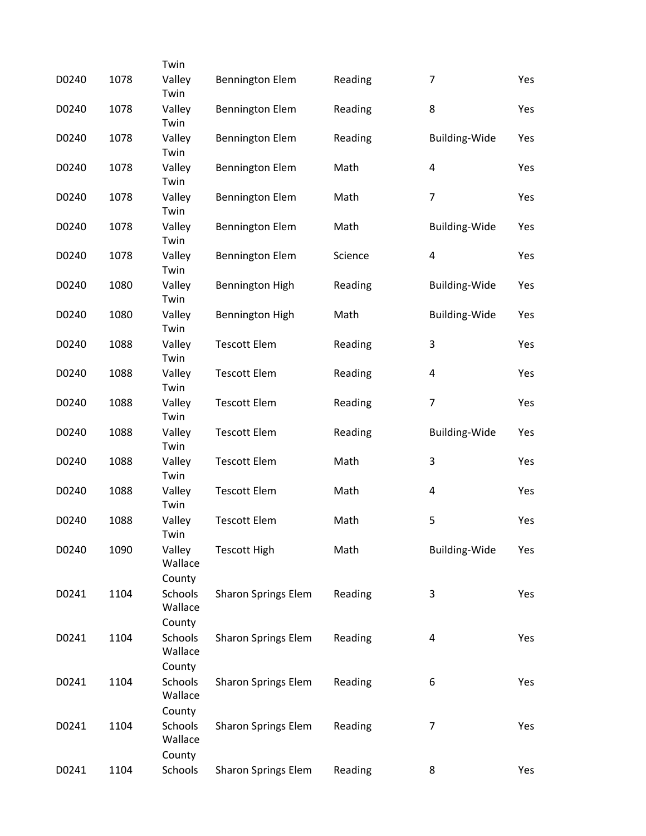|       |      | Twin                                |                            |         |                      |     |
|-------|------|-------------------------------------|----------------------------|---------|----------------------|-----|
| D0240 | 1078 | Valley<br>Twin                      | <b>Bennington Elem</b>     | Reading | 7                    | Yes |
| D0240 | 1078 | Valley<br>Twin                      | <b>Bennington Elem</b>     | Reading | 8                    | Yes |
| D0240 | 1078 | Valley<br>Twin                      | <b>Bennington Elem</b>     | Reading | <b>Building-Wide</b> | Yes |
| D0240 | 1078 | Valley<br>Twin                      | <b>Bennington Elem</b>     | Math    | 4                    | Yes |
| D0240 | 1078 | Valley<br>Twin                      | <b>Bennington Elem</b>     | Math    | $\overline{7}$       | Yes |
| D0240 | 1078 | Valley<br>Twin                      | <b>Bennington Elem</b>     | Math    | <b>Building-Wide</b> | Yes |
| D0240 | 1078 | Valley<br>Twin                      | <b>Bennington Elem</b>     | Science | 4                    | Yes |
| D0240 | 1080 | Valley<br>Twin                      | Bennington High            | Reading | <b>Building-Wide</b> | Yes |
| D0240 | 1080 | Valley<br>Twin                      | <b>Bennington High</b>     | Math    | <b>Building-Wide</b> | Yes |
| D0240 | 1088 | Valley<br>Twin                      | <b>Tescott Elem</b>        | Reading | 3                    | Yes |
| D0240 | 1088 | Valley<br>Twin                      | <b>Tescott Elem</b>        | Reading | 4                    | Yes |
| D0240 | 1088 | Valley<br>Twin                      | <b>Tescott Elem</b>        | Reading | $\overline{7}$       | Yes |
| D0240 | 1088 | Valley<br>Twin                      | <b>Tescott Elem</b>        | Reading | <b>Building-Wide</b> | Yes |
| D0240 | 1088 | Valley<br>Twin                      | <b>Tescott Elem</b>        | Math    | 3                    | Yes |
| D0240 | 1088 | Valley<br>Twin                      | <b>Tescott Elem</b>        | Math    | 4                    | Yes |
| D0240 | 1088 | Valley<br>Twin                      | <b>Tescott Elem</b>        | Math    | 5                    | Yes |
| D0240 | 1090 | Valley<br>Wallace<br>County         | <b>Tescott High</b>        | Math    | <b>Building-Wide</b> | Yes |
| D0241 | 1104 | Schools<br>Wallace<br>County        | <b>Sharon Springs Elem</b> | Reading | 3                    | Yes |
| D0241 | 1104 | <b>Schools</b><br>Wallace<br>County | <b>Sharon Springs Elem</b> | Reading | 4                    | Yes |
| D0241 | 1104 | Schools<br>Wallace<br>County        | <b>Sharon Springs Elem</b> | Reading | 6                    | Yes |
| D0241 | 1104 | Schools<br>Wallace<br>County        | <b>Sharon Springs Elem</b> | Reading | $\overline{7}$       | Yes |
| D0241 | 1104 | Schools                             | <b>Sharon Springs Elem</b> | Reading | 8                    | Yes |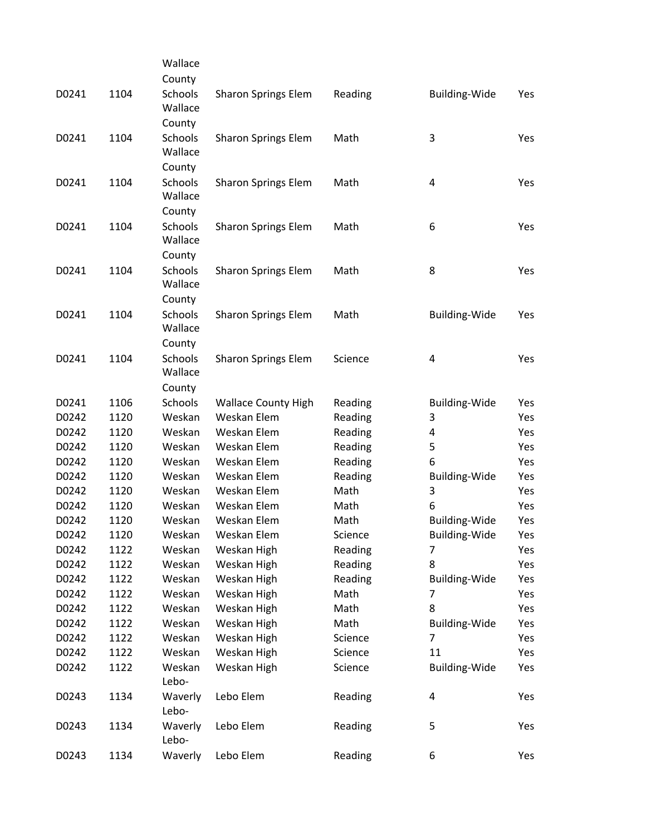|       |      | Wallace            |                            |         |                      |     |
|-------|------|--------------------|----------------------------|---------|----------------------|-----|
|       |      | County             |                            |         |                      |     |
| D0241 | 1104 | Schools<br>Wallace | Sharon Springs Elem        | Reading | <b>Building-Wide</b> | Yes |
|       |      | County             |                            |         |                      |     |
| D0241 | 1104 | Schools            | <b>Sharon Springs Elem</b> | Math    | 3                    | Yes |
|       |      | Wallace            |                            |         |                      |     |
|       |      | County             |                            |         |                      |     |
| D0241 | 1104 | Schools            | <b>Sharon Springs Elem</b> | Math    | 4                    | Yes |
|       |      | Wallace            |                            |         |                      |     |
|       |      | County             |                            |         |                      |     |
| D0241 | 1104 | Schools            | <b>Sharon Springs Elem</b> | Math    | 6                    | Yes |
|       |      | Wallace            |                            |         |                      |     |
|       |      | County             |                            |         |                      |     |
| D0241 | 1104 | Schools            | <b>Sharon Springs Elem</b> | Math    | 8                    | Yes |
|       |      | Wallace            |                            |         |                      |     |
|       |      | County             |                            |         |                      |     |
| D0241 | 1104 | Schools            | <b>Sharon Springs Elem</b> | Math    | <b>Building-Wide</b> | Yes |
|       |      | Wallace            |                            |         |                      |     |
|       |      | County             |                            |         |                      |     |
| D0241 | 1104 | Schools            | <b>Sharon Springs Elem</b> | Science | 4                    | Yes |
|       |      | Wallace            |                            |         |                      |     |
|       |      | County             |                            |         |                      |     |
| D0241 | 1106 | Schools            | <b>Wallace County High</b> | Reading | <b>Building-Wide</b> | Yes |
| D0242 | 1120 | Weskan             | Weskan Elem                | Reading | 3                    | Yes |
| D0242 | 1120 | Weskan             | Weskan Elem                | Reading | 4                    | Yes |
| D0242 | 1120 | Weskan             | Weskan Elem                | Reading | 5                    | Yes |
| D0242 | 1120 | Weskan             | Weskan Elem                | Reading | 6                    | Yes |
| D0242 | 1120 | Weskan             | Weskan Elem                | Reading | Building-Wide        | Yes |
| D0242 | 1120 | Weskan             | Weskan Elem                | Math    | 3                    | Yes |
| D0242 | 1120 | Weskan             | Weskan Elem                | Math    | 6                    | Yes |
| D0242 | 1120 | Weskan             | Weskan Elem                | Math    | Building-Wide        | Yes |
| D0242 | 1120 | Weskan             | Weskan Elem                | Science | <b>Building-Wide</b> | Yes |
| D0242 | 1122 | Weskan             | Weskan High                | Reading | 7                    | Yes |
| D0242 | 1122 | Weskan             | Weskan High                | Reading | 8                    | Yes |
| D0242 | 1122 | Weskan             | Weskan High                | Reading | <b>Building-Wide</b> | Yes |
| D0242 | 1122 | Weskan             | Weskan High                | Math    | 7                    | Yes |
| D0242 | 1122 | Weskan             | Weskan High                | Math    | 8                    | Yes |
| D0242 | 1122 | Weskan             | Weskan High                | Math    | Building-Wide        | Yes |
| D0242 | 1122 | Weskan             | Weskan High                | Science | 7                    | Yes |
| D0242 | 1122 | Weskan             | Weskan High                | Science | 11                   | Yes |
| D0242 | 1122 | Weskan             | Weskan High                | Science | <b>Building-Wide</b> | Yes |
|       |      | Lebo-              |                            |         |                      |     |
| D0243 | 1134 | Waverly            | Lebo Elem                  | Reading | 4                    | Yes |
|       |      | Lebo-              |                            |         |                      |     |
| D0243 | 1134 | Waverly            | Lebo Elem                  | Reading | 5                    | Yes |
|       |      | Lebo-              |                            |         |                      |     |
| D0243 | 1134 | Waverly            | Lebo Elem                  | Reading | 6                    | Yes |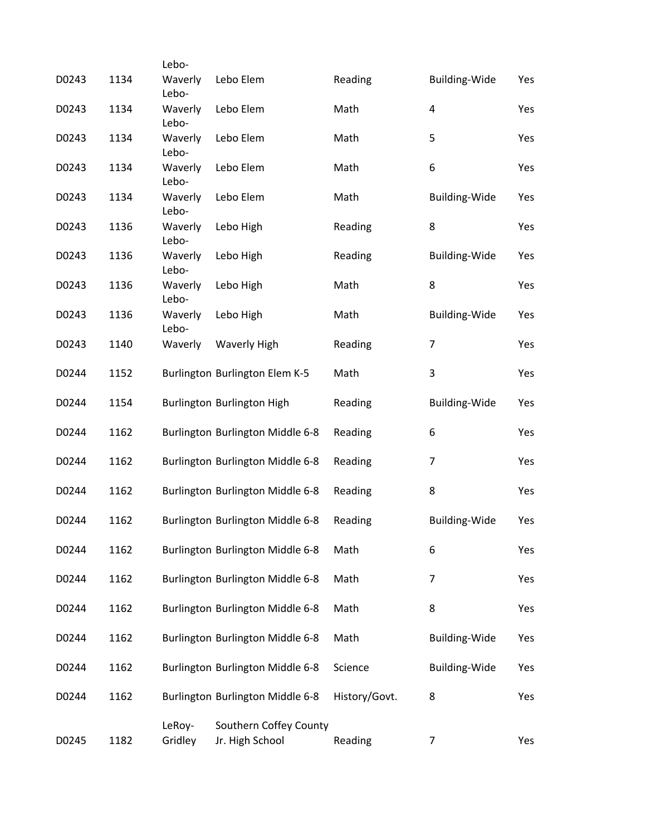|       |      | Lebo-             |                                           |               |                      |     |
|-------|------|-------------------|-------------------------------------------|---------------|----------------------|-----|
| D0243 | 1134 | Waverly<br>Lebo-  | Lebo Elem                                 | Reading       | <b>Building-Wide</b> | Yes |
| D0243 | 1134 | Waverly<br>Lebo-  | Lebo Elem                                 | Math          | $\overline{a}$       | Yes |
| D0243 | 1134 | Waverly<br>Lebo-  | Lebo Elem                                 | Math          | 5                    | Yes |
| D0243 | 1134 | Waverly<br>Lebo-  | Lebo Elem                                 | Math          | 6                    | Yes |
| D0243 | 1134 | Waverly<br>Lebo-  | Lebo Elem                                 | Math          | <b>Building-Wide</b> | Yes |
| D0243 | 1136 | Waverly<br>Lebo-  | Lebo High                                 | Reading       | 8                    | Yes |
| D0243 | 1136 | Waverly<br>Lebo-  | Lebo High                                 | Reading       | <b>Building-Wide</b> | Yes |
| D0243 | 1136 | Waverly<br>Lebo-  | Lebo High                                 | Math          | 8                    | Yes |
| D0243 | 1136 | Waverly<br>Lebo-  | Lebo High                                 | Math          | <b>Building-Wide</b> | Yes |
| D0243 | 1140 | Waverly           | <b>Waverly High</b>                       | Reading       | $\overline{7}$       | Yes |
| D0244 | 1152 |                   | Burlington Burlington Elem K-5            | Math          | 3                    | Yes |
| D0244 | 1154 |                   | Burlington Burlington High                | Reading       | <b>Building-Wide</b> | Yes |
| D0244 | 1162 |                   | Burlington Burlington Middle 6-8          | Reading       | 6                    | Yes |
| D0244 | 1162 |                   | Burlington Burlington Middle 6-8          | Reading       | 7                    | Yes |
| D0244 | 1162 |                   | Burlington Burlington Middle 6-8          | Reading       | 8                    | Yes |
| D0244 | 1162 |                   | Burlington Burlington Middle 6-8          | Reading       | <b>Building-Wide</b> | Yes |
| D0244 | 1162 |                   | Burlington Burlington Middle 6-8          | Math          | 6                    | Yes |
| D0244 | 1162 |                   | Burlington Burlington Middle 6-8          | Math          | 7                    | Yes |
| D0244 | 1162 |                   | Burlington Burlington Middle 6-8          | Math          | 8                    | Yes |
| D0244 | 1162 |                   | Burlington Burlington Middle 6-8          | Math          | Building-Wide        | Yes |
| D0244 | 1162 |                   | Burlington Burlington Middle 6-8          | Science       | <b>Building-Wide</b> | Yes |
| D0244 | 1162 |                   | Burlington Burlington Middle 6-8          | History/Govt. | 8                    | Yes |
| D0245 | 1182 | LeRoy-<br>Gridley | Southern Coffey County<br>Jr. High School | Reading       | 7                    | Yes |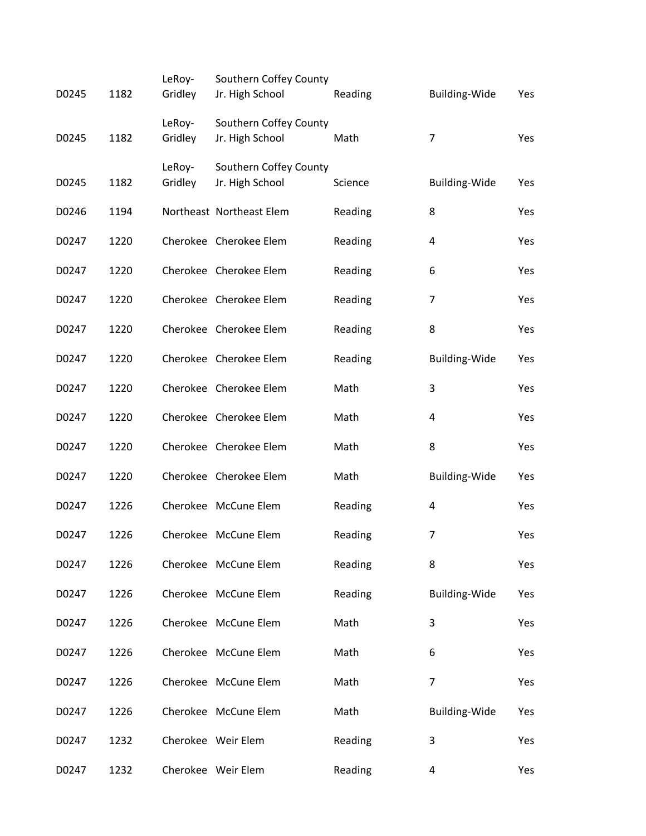|       |      | LeRoy-  | Southern Coffey County   |         |                      |     |
|-------|------|---------|--------------------------|---------|----------------------|-----|
| D0245 | 1182 | Gridley | Jr. High School          | Reading | <b>Building-Wide</b> | Yes |
|       |      | LeRoy-  | Southern Coffey County   |         |                      |     |
| D0245 | 1182 | Gridley | Jr. High School          | Math    | $\overline{7}$       | Yes |
|       |      | LeRoy-  | Southern Coffey County   |         |                      |     |
| D0245 | 1182 | Gridley | Jr. High School          | Science | <b>Building-Wide</b> | Yes |
| D0246 | 1194 |         | Northeast Northeast Elem | Reading | 8                    | Yes |
| D0247 | 1220 |         | Cherokee Cherokee Elem   | Reading | 4                    | Yes |
| D0247 | 1220 |         | Cherokee Cherokee Elem   | Reading | 6                    | Yes |
| D0247 | 1220 |         | Cherokee Cherokee Elem   | Reading | $\overline{7}$       | Yes |
| D0247 | 1220 |         | Cherokee Cherokee Elem   | Reading | 8                    | Yes |
| D0247 | 1220 |         | Cherokee Cherokee Elem   | Reading | Building-Wide        | Yes |
| D0247 | 1220 |         | Cherokee Cherokee Elem   | Math    | 3                    | Yes |
| D0247 | 1220 |         | Cherokee Cherokee Elem   | Math    | 4                    | Yes |
| D0247 | 1220 |         | Cherokee Cherokee Elem   | Math    | 8                    | Yes |
| D0247 | 1220 |         | Cherokee Cherokee Elem   | Math    | <b>Building-Wide</b> | Yes |
| D0247 | 1226 |         | Cherokee McCune Elem     | Reading | 4                    | Yes |
| D0247 | 1226 |         | Cherokee McCune Elem     | Reading | $\overline{7}$       | Yes |
| D0247 | 1226 |         | Cherokee McCune Elem     | Reading | 8                    | Yes |
| D0247 | 1226 |         | Cherokee McCune Elem     | Reading | Building-Wide        | Yes |
| D0247 | 1226 |         | Cherokee McCune Elem     | Math    | 3                    | Yes |
| D0247 | 1226 |         | Cherokee McCune Elem     | Math    | 6                    | Yes |
| D0247 | 1226 |         | Cherokee McCune Elem     | Math    | 7                    | Yes |
| D0247 | 1226 |         | Cherokee McCune Elem     | Math    | <b>Building-Wide</b> | Yes |
| D0247 | 1232 |         | Cherokee Weir Elem       | Reading | 3                    | Yes |
| D0247 | 1232 |         | Cherokee Weir Elem       | Reading | 4                    | Yes |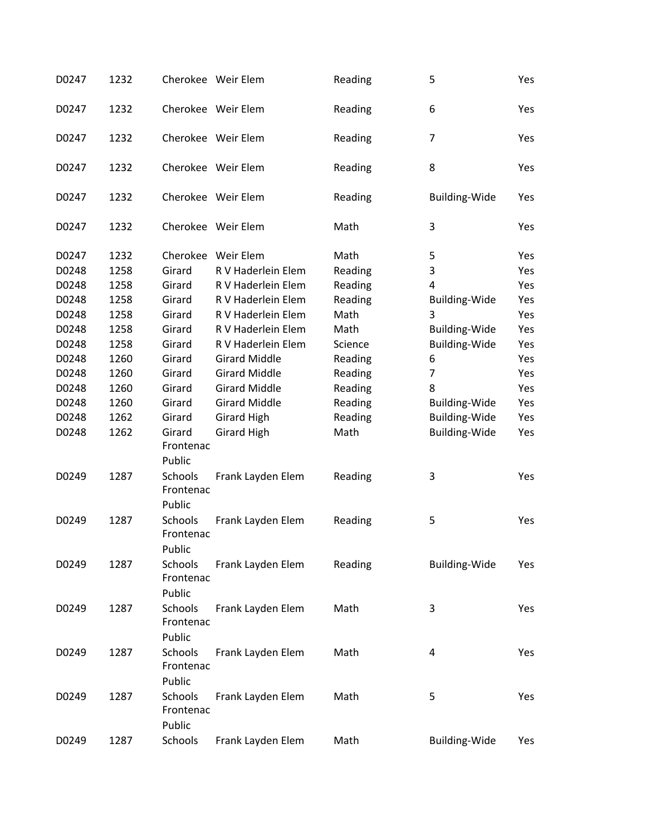| D0247 | 1232 |                                | Cherokee Weir Elem   | Reading | 5                    | Yes |
|-------|------|--------------------------------|----------------------|---------|----------------------|-----|
| D0247 | 1232 |                                | Cherokee Weir Elem   | Reading | 6                    | Yes |
| D0247 | 1232 |                                | Cherokee Weir Elem   | Reading | $\overline{7}$       | Yes |
| D0247 | 1232 |                                | Cherokee Weir Elem   | Reading | 8                    | Yes |
| D0247 | 1232 |                                | Cherokee Weir Elem   | Reading | <b>Building-Wide</b> | Yes |
| D0247 | 1232 |                                | Cherokee Weir Elem   | Math    | 3                    | Yes |
| D0247 | 1232 |                                | Cherokee Weir Elem   | Math    | 5                    | Yes |
| D0248 | 1258 | Girard                         | R V Haderlein Elem   | Reading | 3                    | Yes |
| D0248 | 1258 | Girard                         | R V Haderlein Elem   | Reading | 4                    | Yes |
| D0248 | 1258 | Girard                         | R V Haderlein Elem   | Reading | <b>Building-Wide</b> | Yes |
| D0248 | 1258 | Girard                         | R V Haderlein Elem   | Math    | 3                    | Yes |
| D0248 | 1258 | Girard                         | R V Haderlein Elem   | Math    | <b>Building-Wide</b> | Yes |
| D0248 | 1258 | Girard                         | R V Haderlein Elem   | Science | <b>Building-Wide</b> | Yes |
| D0248 | 1260 | Girard                         | <b>Girard Middle</b> | Reading | 6                    | Yes |
| D0248 | 1260 | Girard                         | <b>Girard Middle</b> | Reading | $\overline{7}$       | Yes |
| D0248 | 1260 | Girard                         | <b>Girard Middle</b> |         | 8                    |     |
|       |      |                                |                      | Reading |                      | Yes |
| D0248 | 1260 | Girard                         | <b>Girard Middle</b> | Reading | <b>Building-Wide</b> | Yes |
| D0248 | 1262 | Girard                         | <b>Girard High</b>   | Reading | <b>Building-Wide</b> | Yes |
| D0248 | 1262 | Girard<br>Frontenac<br>Public  | <b>Girard High</b>   | Math    | <b>Building-Wide</b> | Yes |
| D0249 | 1287 | Schools<br>Frontenac<br>Public | Frank Layden Elem    | Reading | 3                    | Yes |
| D0249 | 1287 | Schools<br>Frontenac<br>Public | Frank Layden Elem    | Reading | 5                    | Yes |
| D0249 | 1287 | Schools<br>Frontenac<br>Public | Frank Layden Elem    | Reading | <b>Building-Wide</b> | Yes |
| D0249 | 1287 | Schools<br>Frontenac           | Frank Layden Elem    | Math    | 3                    | Yes |
| D0249 | 1287 | Public<br>Schools              | Frank Layden Elem    | Math    | 4                    | Yes |
|       |      | Frontenac<br>Public            |                      |         |                      |     |
| D0249 | 1287 | Schools<br>Frontenac<br>Public | Frank Layden Elem    | Math    | 5                    | Yes |
| D0249 | 1287 | Schools                        | Frank Layden Elem    | Math    | <b>Building-Wide</b> | Yes |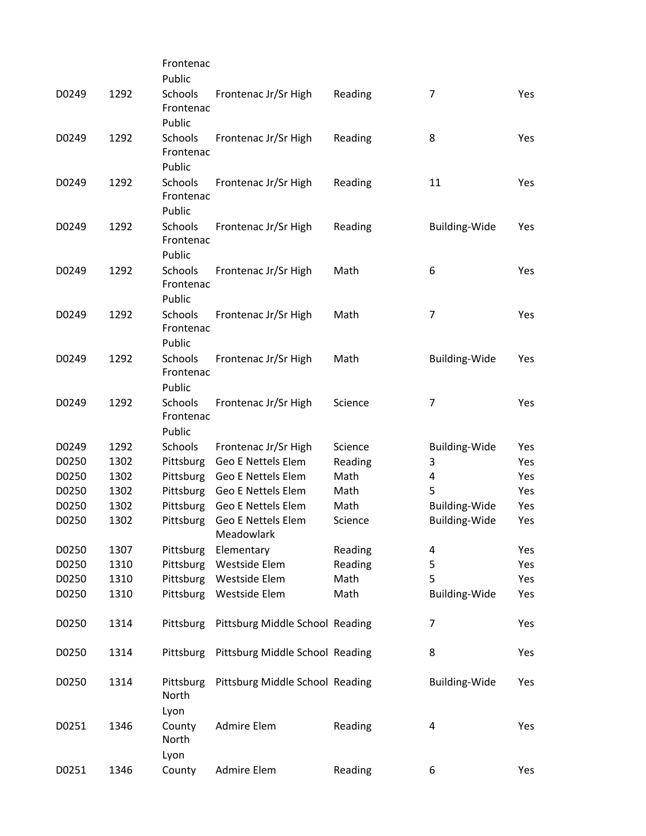|       |      | Frontenac                             |                                 |         |                         |     |
|-------|------|---------------------------------------|---------------------------------|---------|-------------------------|-----|
|       |      | Public                                |                                 |         |                         |     |
| D0249 | 1292 | Schools<br>Frontenac                  | Frontenac Jr/Sr High            | Reading | $\overline{7}$          | Yes |
|       |      | Public                                |                                 |         |                         |     |
| D0249 | 1292 | Schools<br>Frontenac                  | Frontenac Jr/Sr High            | Reading | 8                       | Yes |
|       |      | Public                                |                                 |         |                         |     |
| D0249 | 1292 | Schools<br>Frontenac                  | Frontenac Jr/Sr High            | Reading | 11                      | Yes |
|       |      | Public                                |                                 |         |                         |     |
| D0249 | 1292 | Schools<br>Frontenac<br>Public        | Frontenac Jr/Sr High            | Reading | <b>Building-Wide</b>    | Yes |
| D0249 | 1292 | Schools<br>Frontenac                  | Frontenac Jr/Sr High            | Math    | 6                       | Yes |
|       |      | Public                                |                                 |         |                         |     |
| D0249 | 1292 | <b>Schools</b><br>Frontenac<br>Public | Frontenac Jr/Sr High            | Math    | $\overline{7}$          | Yes |
| D0249 | 1292 | <b>Schools</b>                        | Frontenac Jr/Sr High            | Math    | <b>Building-Wide</b>    | Yes |
|       |      | Frontenac<br>Public                   |                                 |         |                         |     |
| D0249 | 1292 | <b>Schools</b><br>Frontenac<br>Public | Frontenac Jr/Sr High            | Science | 7                       | Yes |
| D0249 | 1292 | <b>Schools</b>                        | Frontenac Jr/Sr High            | Science | <b>Building-Wide</b>    | Yes |
| D0250 | 1302 | Pittsburg                             | <b>Geo E Nettels Elem</b>       | Reading | 3                       | Yes |
| D0250 | 1302 | Pittsburg                             | Geo E Nettels Elem              | Math    | $\overline{\mathbf{4}}$ | Yes |
| D0250 | 1302 | Pittsburg                             | Geo E Nettels Elem              | Math    | 5                       | Yes |
| D0250 | 1302 | Pittsburg                             | <b>Geo E Nettels Elem</b>       | Math    | Building-Wide           | Yes |
| D0250 | 1302 | Pittsburg                             | Geo E Nettels Elem              | Science | Building-Wide           | Yes |
|       |      |                                       | Meadowlark                      |         |                         |     |
| D0250 | 1307 | Pittsburg                             | Elementary                      | Reading | $\overline{\mathbf{4}}$ | Yes |
| D0250 | 1310 | Pittsburg                             | Westside Elem                   | Reading | 5                       | Yes |
| D0250 | 1310 | Pittsburg                             | Westside Elem                   | Math    | 5                       | Yes |
| D0250 | 1310 | Pittsburg                             | Westside Elem                   | Math    | <b>Building-Wide</b>    | Yes |
|       |      |                                       |                                 |         |                         |     |
| D0250 | 1314 | Pittsburg                             | Pittsburg Middle School Reading |         | 7                       | Yes |
| D0250 | 1314 | Pittsburg                             | Pittsburg Middle School Reading |         | 8                       | Yes |
| D0250 | 1314 | Pittsburg<br>North<br>Lyon            | Pittsburg Middle School Reading |         | <b>Building-Wide</b>    | Yes |
| D0251 | 1346 | County<br>North<br>Lyon               | Admire Elem                     | Reading | 4                       | Yes |
| D0251 | 1346 | County                                | Admire Elem                     | Reading | 6                       | Yes |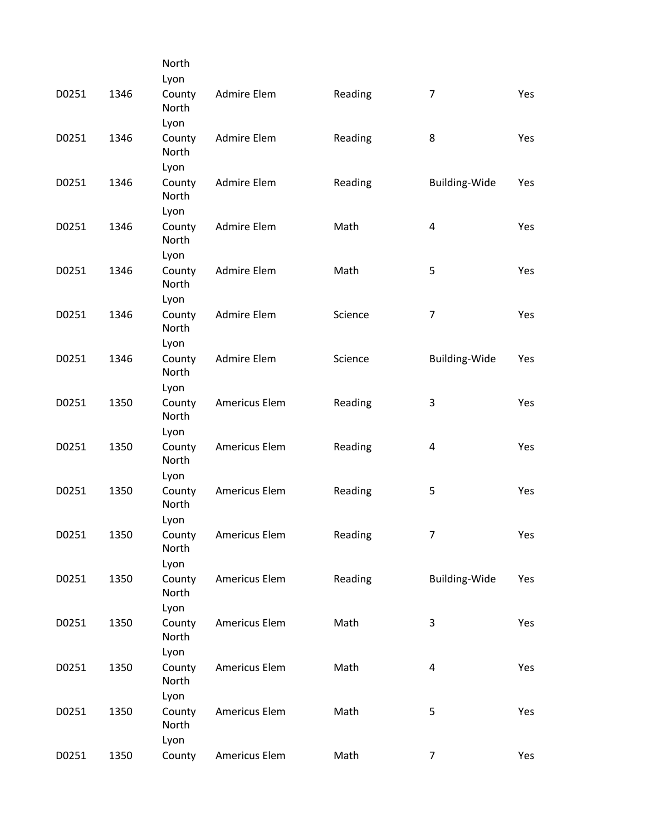|       |      | North                   |                    |         |                      |     |
|-------|------|-------------------------|--------------------|---------|----------------------|-----|
|       |      | Lyon                    |                    |         |                      |     |
| D0251 | 1346 | County<br>North         | Admire Elem        | Reading | $\overline{7}$       | Yes |
|       |      | Lyon                    |                    |         |                      |     |
| D0251 | 1346 | County<br>North<br>Lyon | <b>Admire Elem</b> | Reading | 8                    | Yes |
| D0251 | 1346 |                         | Admire Elem        |         |                      |     |
|       |      | County<br>North<br>Lyon |                    | Reading | Building-Wide        | Yes |
| D0251 | 1346 | County                  | Admire Elem        | Math    | $\pmb{4}$            | Yes |
|       |      | North<br>Lyon           |                    |         |                      |     |
| D0251 | 1346 | County                  | Admire Elem        | Math    | 5                    | Yes |
|       |      | North<br>Lyon           |                    |         |                      |     |
| D0251 | 1346 | County                  | Admire Elem        | Science | $\overline{7}$       | Yes |
|       |      | North<br>Lyon           |                    |         |                      |     |
| D0251 | 1346 | County                  | <b>Admire Elem</b> | Science | <b>Building-Wide</b> | Yes |
|       |      | North<br>Lyon           |                    |         |                      |     |
| D0251 | 1350 | County                  | Americus Elem      | Reading | 3                    | Yes |
|       |      | North<br>Lyon           |                    |         |                      |     |
| D0251 | 1350 | County                  | Americus Elem      | Reading | 4                    | Yes |
|       |      | North<br>Lyon           |                    |         |                      |     |
| D0251 | 1350 | County                  | Americus Elem      | Reading | 5                    | Yes |
|       |      | North<br>Lyon           |                    |         |                      |     |
| D0251 | 1350 | County                  | Americus Elem      | Reading | 7                    | Yes |
|       |      | North<br>Lyon           |                    |         |                      |     |
| D0251 | 1350 | County                  | Americus Elem      | Reading | Building-Wide        | Yes |
|       |      | North                   |                    |         |                      |     |
|       |      | Lyon                    |                    |         |                      |     |
| D0251 | 1350 | County<br>North         | Americus Elem      | Math    | 3                    | Yes |
|       |      | Lyon                    |                    |         |                      |     |
| D0251 | 1350 | County                  | Americus Elem      | Math    | 4                    | Yes |
|       |      | North                   |                    |         |                      |     |
|       |      | Lyon                    |                    |         |                      |     |
| D0251 | 1350 | County<br>North         | Americus Elem      | Math    | 5                    | Yes |
|       |      | Lyon                    |                    |         |                      |     |
| D0251 | 1350 | County                  | Americus Elem      | Math    | $\overline{7}$       | Yes |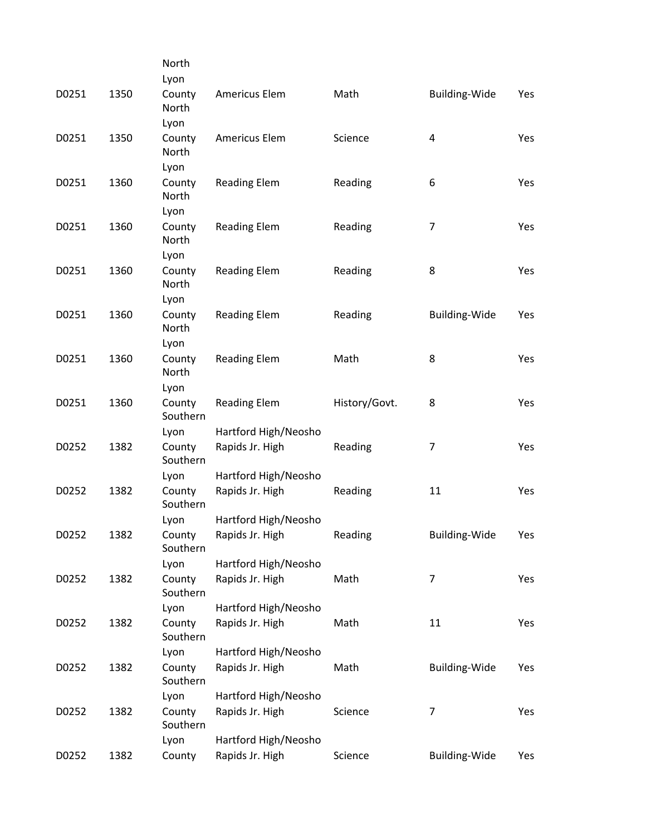|       |      | North                   |                      |               |                      |     |
|-------|------|-------------------------|----------------------|---------------|----------------------|-----|
|       |      | Lyon                    |                      |               |                      |     |
| D0251 | 1350 | County<br>North         | Americus Elem        | Math          | <b>Building-Wide</b> | Yes |
|       |      | Lyon                    |                      |               |                      |     |
| D0251 | 1350 | County<br>North         | Americus Elem        | Science       | 4                    | Yes |
|       |      | Lyon                    |                      |               |                      |     |
| D0251 | 1360 | County<br>North         | <b>Reading Elem</b>  | Reading       | 6                    | Yes |
|       |      | Lyon                    |                      |               |                      |     |
| D0251 | 1360 | County<br>North<br>Lyon | <b>Reading Elem</b>  | Reading       | $\overline{7}$       | Yes |
| D0251 | 1360 | County                  | <b>Reading Elem</b>  | Reading       | 8                    | Yes |
|       |      | North<br>Lyon           |                      |               |                      |     |
| D0251 | 1360 | County                  | <b>Reading Elem</b>  | Reading       | <b>Building-Wide</b> | Yes |
|       |      | North<br>Lyon           |                      |               |                      |     |
| D0251 | 1360 | County                  | <b>Reading Elem</b>  | Math          | 8                    | Yes |
|       |      | North<br>Lyon           |                      |               |                      |     |
| D0251 | 1360 | County                  | <b>Reading Elem</b>  | History/Govt. | 8                    | Yes |
|       |      | Southern                |                      |               |                      |     |
|       |      | Lyon                    | Hartford High/Neosho |               |                      |     |
| D0252 | 1382 | County<br>Southern      | Rapids Jr. High      | Reading       | 7                    | Yes |
|       |      | Lyon                    | Hartford High/Neosho |               |                      |     |
| D0252 | 1382 | County<br>Southern      | Rapids Jr. High      | Reading       | 11                   | Yes |
|       |      | Lyon                    | Hartford High/Neosho |               |                      |     |
| D0252 | 1382 | County<br>Southern      | Rapids Jr. High      | Reading       | Building-Wide        | Yes |
|       |      | Lyon                    | Hartford High/Neosho |               |                      |     |
| D0252 | 1382 | County<br>Southern      | Rapids Jr. High      | Math          | $\overline{7}$       | Yes |
|       |      | Lyon                    | Hartford High/Neosho |               |                      |     |
| D0252 | 1382 | County<br>Southern      | Rapids Jr. High      | Math          | 11                   | Yes |
|       |      | Lyon                    | Hartford High/Neosho |               |                      |     |
| D0252 | 1382 | County<br>Southern      | Rapids Jr. High      | Math          | <b>Building-Wide</b> | Yes |
|       |      | Lyon                    | Hartford High/Neosho |               |                      |     |
| D0252 | 1382 | County<br>Southern      | Rapids Jr. High      | Science       | $\overline{7}$       | Yes |
|       |      | Lyon                    | Hartford High/Neosho |               |                      |     |
| D0252 | 1382 | County                  | Rapids Jr. High      | Science       | Building-Wide        | Yes |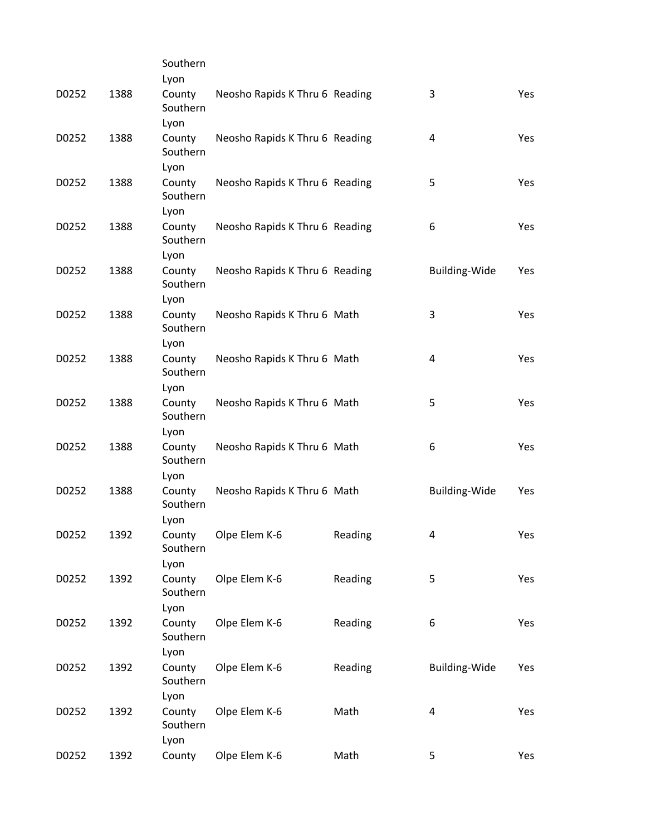|       |      | Southern                   |                                |         |                      |            |
|-------|------|----------------------------|--------------------------------|---------|----------------------|------------|
|       |      | Lyon                       |                                |         |                      |            |
| D0252 | 1388 | County<br>Southern<br>Lyon | Neosho Rapids K Thru 6 Reading |         | 3                    | Yes        |
| D0252 | 1388 | County<br>Southern         | Neosho Rapids K Thru 6 Reading |         | 4                    | Yes        |
|       |      | Lyon                       |                                |         |                      |            |
| D0252 | 1388 | County<br>Southern         | Neosho Rapids K Thru 6 Reading |         | 5                    | Yes        |
|       |      | Lyon                       |                                |         |                      |            |
| D0252 | 1388 | County<br>Southern<br>Lyon | Neosho Rapids K Thru 6 Reading |         | 6                    | Yes        |
| D0252 | 1388 | County<br>Southern         | Neosho Rapids K Thru 6 Reading |         | Building-Wide        | Yes        |
|       |      | Lyon                       |                                |         |                      |            |
| D0252 | 1388 | County<br>Southern         | Neosho Rapids K Thru 6 Math    |         | 3                    | Yes        |
|       |      | Lyon                       |                                |         |                      |            |
| D0252 | 1388 | County<br>Southern<br>Lyon | Neosho Rapids K Thru 6 Math    |         | 4                    | Yes        |
| D0252 | 1388 | County                     | Neosho Rapids K Thru 6 Math    |         | 5                    | <b>Yes</b> |
|       |      | Southern<br>Lyon           |                                |         |                      |            |
| D0252 | 1388 | County<br>Southern         | Neosho Rapids K Thru 6 Math    |         | 6                    | <b>Yes</b> |
|       |      | Lyon                       |                                |         |                      |            |
| D0252 | 1388 | County<br>Southern         | Neosho Rapids K Thru 6 Math    |         | Building-Wide        | Yes        |
|       |      | Lyon                       |                                |         |                      |            |
| D0252 | 1392 | County<br>Southern         | Olpe Elem K-6                  | Reading | 4                    | Yes        |
|       |      | Lyon                       |                                |         |                      |            |
| D0252 | 1392 | County<br>Southern<br>Lyon | Olpe Elem K-6                  | Reading | 5                    | Yes        |
| D0252 | 1392 | County                     | Olpe Elem K-6                  | Reading | 6                    | Yes        |
|       |      | Southern<br>Lyon           |                                |         |                      |            |
| D0252 | 1392 | County<br>Southern         | Olpe Elem K-6                  | Reading | <b>Building-Wide</b> | Yes        |
|       |      | Lyon                       |                                |         |                      |            |
| D0252 | 1392 | County<br>Southern<br>Lyon | Olpe Elem K-6                  | Math    | 4                    | Yes        |
| D0252 | 1392 | County                     | Olpe Elem K-6                  | Math    | 5                    | Yes        |
|       |      |                            |                                |         |                      |            |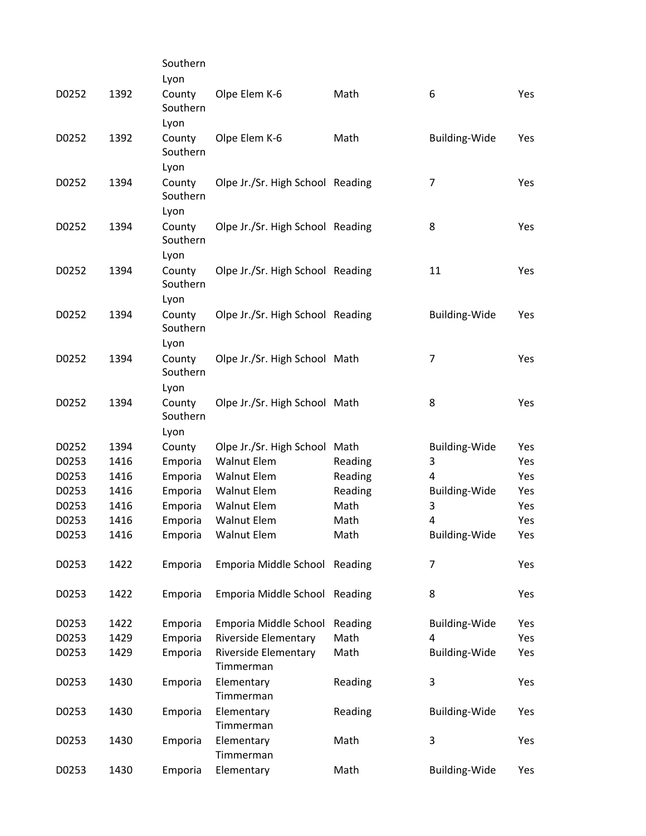|       |      | Southern           |                                  |         |                      |            |
|-------|------|--------------------|----------------------------------|---------|----------------------|------------|
|       |      | Lyon               |                                  |         |                      |            |
| D0252 | 1392 | County<br>Southern | Olpe Elem K-6                    | Math    | 6                    | Yes        |
|       |      | Lyon               |                                  |         |                      |            |
| D0252 | 1392 | County<br>Southern | Olpe Elem K-6                    | Math    | <b>Building-Wide</b> | Yes        |
|       |      | Lyon               |                                  |         |                      |            |
| D0252 | 1394 | County<br>Southern | Olpe Jr./Sr. High School Reading |         | 7                    | Yes        |
|       |      | Lyon               |                                  |         |                      |            |
| D0252 | 1394 | County<br>Southern | Olpe Jr./Sr. High School Reading |         | 8                    | Yes        |
|       |      | Lyon               |                                  |         |                      |            |
| D0252 | 1394 | County<br>Southern | Olpe Jr./Sr. High School Reading |         | 11                   | Yes        |
|       |      | Lyon               |                                  |         |                      |            |
| D0252 | 1394 | County<br>Southern | Olpe Jr./Sr. High School Reading |         | <b>Building-Wide</b> | Yes        |
|       |      | Lyon               |                                  |         |                      |            |
| D0252 | 1394 | County<br>Southern | Olpe Jr./Sr. High School Math    |         | 7                    | <b>Yes</b> |
|       |      | Lyon               |                                  |         |                      |            |
| D0252 | 1394 | County<br>Southern | Olpe Jr./Sr. High School Math    |         | 8                    | Yes        |
|       |      | Lyon               |                                  |         |                      |            |
| D0252 | 1394 | County             | Olpe Jr./Sr. High School Math    |         | <b>Building-Wide</b> | Yes        |
| D0253 | 1416 | Emporia            | <b>Walnut Elem</b>               | Reading | 3                    | Yes        |
| D0253 | 1416 | Emporia            | <b>Walnut Elem</b>               | Reading | 4                    | Yes        |
| D0253 | 1416 | Emporia            | <b>Walnut Elem</b>               | Reading | Building-Wide        | Yes        |
| D0253 | 1416 | Emporia            | <b>Walnut Elem</b>               | Math    | 3                    | Yes        |
| D0253 | 1416 | Emporia            | <b>Walnut Elem</b>               | Math    | 4                    | Yes        |
| D0253 | 1416 | Emporia            | <b>Walnut Elem</b>               | Math    | <b>Building-Wide</b> | Yes        |
| D0253 | 1422 | Emporia            | Emporia Middle School Reading    |         | $\overline{7}$       | Yes        |
| D0253 | 1422 | Emporia            | Emporia Middle School            | Reading | 8                    | Yes        |
| D0253 | 1422 | Emporia            | Emporia Middle School            | Reading | <b>Building-Wide</b> | Yes        |
| D0253 | 1429 | Emporia            | <b>Riverside Elementary</b>      | Math    | 4                    | Yes        |
| D0253 | 1429 | Emporia            | Riverside Elementary             | Math    | Building-Wide        | Yes        |
|       |      |                    | Timmerman                        |         |                      |            |
| D0253 | 1430 | Emporia            | Elementary<br>Timmerman          | Reading | 3                    | Yes        |
| D0253 | 1430 | Emporia            | Elementary<br>Timmerman          | Reading | <b>Building-Wide</b> | Yes        |
| D0253 | 1430 | Emporia            | Elementary<br>Timmerman          | Math    | 3                    | Yes        |
| D0253 | 1430 | Emporia            | Elementary                       | Math    | <b>Building-Wide</b> | Yes        |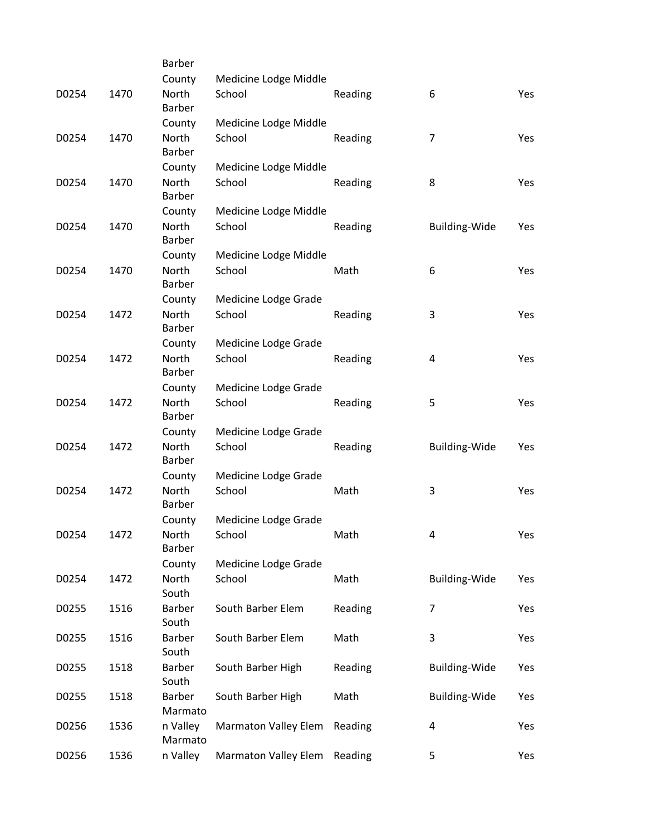|       |      | <b>Barber</b>            |                             |         |                      |     |
|-------|------|--------------------------|-----------------------------|---------|----------------------|-----|
|       |      | County                   | Medicine Lodge Middle       |         |                      |     |
| D0254 | 1470 | North<br>Barber          | School                      | Reading | 6                    | Yes |
|       |      | County                   | Medicine Lodge Middle       |         |                      |     |
| D0254 | 1470 | North<br><b>Barber</b>   | School                      | Reading | $\overline{7}$       | Yes |
|       |      | County                   | Medicine Lodge Middle       |         |                      |     |
| D0254 | 1470 | North<br>Barber          | School                      | Reading | 8                    | Yes |
|       |      | County                   | Medicine Lodge Middle       |         |                      |     |
| D0254 | 1470 | North<br><b>Barber</b>   | School                      | Reading | <b>Building-Wide</b> | Yes |
|       |      | County                   | Medicine Lodge Middle       |         |                      |     |
| D0254 | 1470 | North<br>Barber          | School                      | Math    | 6                    | Yes |
|       |      | County                   | Medicine Lodge Grade        |         |                      |     |
| D0254 | 1472 | North<br><b>Barber</b>   | School                      | Reading | 3                    | Yes |
|       |      | County                   | Medicine Lodge Grade        |         |                      |     |
| D0254 | 1472 | North<br><b>Barber</b>   | School                      | Reading | 4                    | Yes |
|       |      | County                   | Medicine Lodge Grade        |         |                      |     |
| D0254 | 1472 | North<br><b>Barber</b>   | School                      | Reading | 5                    | Yes |
|       |      | County                   | Medicine Lodge Grade        |         |                      |     |
| D0254 | 1472 | North<br><b>Barber</b>   | School                      | Reading | <b>Building-Wide</b> | Yes |
|       |      | County                   | Medicine Lodge Grade        |         |                      |     |
| D0254 | 1472 | North<br><b>Barber</b>   | School                      | Math    | 3                    | Yes |
|       |      | County                   | Medicine Lodge Grade        |         |                      |     |
| D0254 | 1472 | North<br><b>Barber</b>   | School                      | Math    | 4                    | Yes |
|       |      | County                   | Medicine Lodge Grade        |         |                      |     |
| D0254 | 1472 | North<br>South           | School                      | Math    | Building-Wide        | Yes |
| D0255 | 1516 | Barber<br>South          | South Barber Elem           | Reading | $\overline{7}$       | Yes |
| D0255 | 1516 | <b>Barber</b><br>South   | South Barber Elem           | Math    | 3                    | Yes |
| D0255 | 1518 | <b>Barber</b><br>South   | South Barber High           | Reading | Building-Wide        | Yes |
| D0255 | 1518 | <b>Barber</b><br>Marmato | South Barber High           | Math    | <b>Building-Wide</b> | Yes |
| D0256 | 1536 | n Valley<br>Marmato      | <b>Marmaton Valley Elem</b> | Reading | 4                    | Yes |
| D0256 | 1536 | n Valley                 | <b>Marmaton Valley Elem</b> | Reading | 5                    | Yes |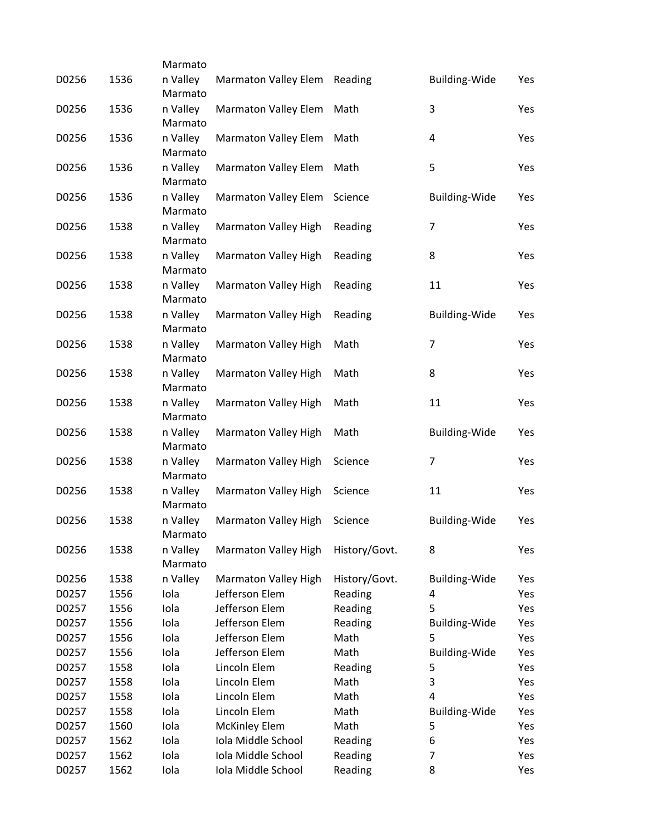|       |      | Marmato             |                             |               |                      |     |
|-------|------|---------------------|-----------------------------|---------------|----------------------|-----|
| D0256 | 1536 | n Valley<br>Marmato | Marmaton Valley Elem        | Reading       | <b>Building-Wide</b> | Yes |
| D0256 | 1536 | n Valley<br>Marmato | <b>Marmaton Valley Elem</b> | Math          | 3                    | Yes |
| D0256 | 1536 | n Valley<br>Marmato | <b>Marmaton Valley Elem</b> | Math          | 4                    | Yes |
| D0256 | 1536 | n Valley<br>Marmato | <b>Marmaton Valley Elem</b> | Math          | 5                    | Yes |
| D0256 | 1536 | n Valley<br>Marmato | <b>Marmaton Valley Elem</b> | Science       | <b>Building-Wide</b> | Yes |
| D0256 | 1538 | n Valley<br>Marmato | Marmaton Valley High        | Reading       | 7                    | Yes |
| D0256 | 1538 | n Valley<br>Marmato | Marmaton Valley High        | Reading       | 8                    | Yes |
| D0256 | 1538 | n Valley<br>Marmato | Marmaton Valley High        | Reading       | 11                   | Yes |
| D0256 | 1538 | n Valley<br>Marmato | Marmaton Valley High        | Reading       | <b>Building-Wide</b> | Yes |
| D0256 | 1538 | n Valley<br>Marmato | Marmaton Valley High        | Math          | $\overline{7}$       | Yes |
| D0256 | 1538 | n Valley<br>Marmato | Marmaton Valley High        | Math          | 8                    | Yes |
| D0256 | 1538 | n Valley<br>Marmato | Marmaton Valley High        | Math          | 11                   | Yes |
| D0256 | 1538 | n Valley<br>Marmato | Marmaton Valley High        | Math          | <b>Building-Wide</b> | Yes |
| D0256 | 1538 | n Valley<br>Marmato | Marmaton Valley High        | Science       | 7                    | Yes |
| D0256 | 1538 | n Valley<br>Marmato | <b>Marmaton Valley High</b> | Science       | 11                   | Yes |
| D0256 | 1538 | n Valley<br>Marmato | Marmaton Valley High        | Science       | <b>Building-Wide</b> | Yes |
| D0256 | 1538 | n Valley<br>Marmato | Marmaton Valley High        | History/Govt. | 8                    | Yes |
| D0256 | 1538 | n Valley            | Marmaton Valley High        | History/Govt. | <b>Building-Wide</b> | Yes |
| D0257 | 1556 | Iola                | Jefferson Elem              | Reading       | 4                    | Yes |
| D0257 | 1556 | Iola                | Jefferson Elem              | Reading       | 5                    | Yes |
| D0257 | 1556 | Iola                | Jefferson Elem              | Reading       | <b>Building-Wide</b> | Yes |
| D0257 | 1556 | Iola                | Jefferson Elem              | Math          | 5                    | Yes |
| D0257 | 1556 | Iola                | Jefferson Elem              | Math          | <b>Building-Wide</b> | Yes |
| D0257 | 1558 | Iola                | Lincoln Elem                | Reading       | 5                    | Yes |
| D0257 | 1558 | Iola                | Lincoln Elem                | Math          | 3                    | Yes |
| D0257 | 1558 | Iola                | Lincoln Elem                | Math          | 4                    | Yes |
| D0257 | 1558 | Iola                | Lincoln Elem                | Math          | <b>Building-Wide</b> | Yes |
| D0257 | 1560 | Iola                | <b>McKinley Elem</b>        | Math          | 5                    | Yes |
| D0257 | 1562 | Iola                | Iola Middle School          | Reading       | 6                    | Yes |
| D0257 | 1562 | Iola                | Iola Middle School          | Reading       | 7                    | Yes |
| D0257 | 1562 | Iola                | Iola Middle School          | Reading       | 8                    | Yes |
|       |      |                     |                             |               |                      |     |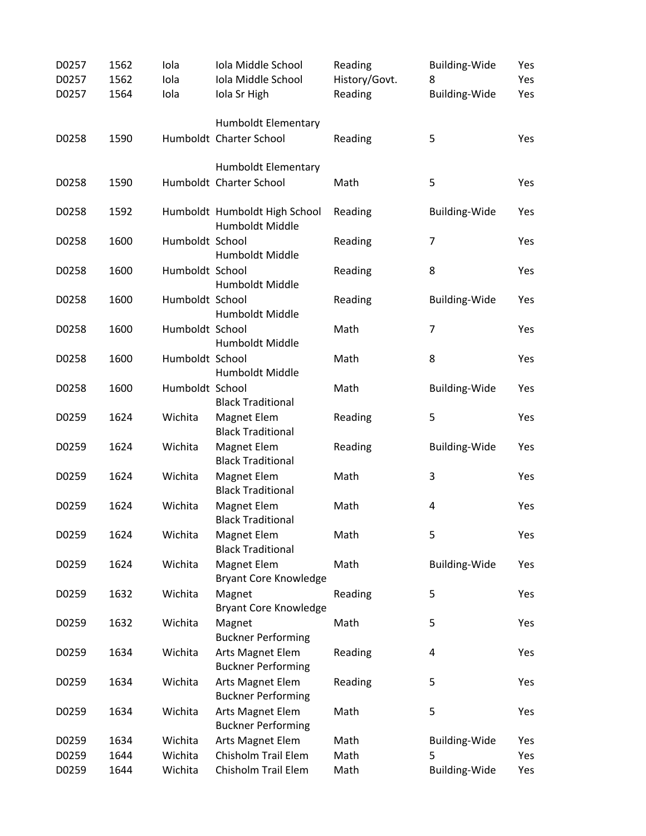| D0257 | 1562 | Iola            | Iola Middle School                               | Reading       | <b>Building-Wide</b>    | Yes |
|-------|------|-----------------|--------------------------------------------------|---------------|-------------------------|-----|
| D0257 | 1562 | Iola            | Iola Middle School                               | History/Govt. | 8                       | Yes |
| D0257 | 1564 | Iola            | Iola Sr High                                     | Reading       | <b>Building-Wide</b>    | Yes |
|       |      |                 | Humboldt Elementary                              |               |                         |     |
| D0258 | 1590 |                 | Humboldt Charter School                          | Reading       | 5                       | Yes |
|       |      |                 | Humboldt Elementary                              |               |                         |     |
| D0258 | 1590 |                 | Humboldt Charter School                          | Math          | 5                       | Yes |
| D0258 | 1592 |                 | Humboldt Humboldt High School<br>Humboldt Middle | Reading       | <b>Building-Wide</b>    | Yes |
| D0258 | 1600 | Humboldt School | Humboldt Middle                                  | Reading       | $\overline{7}$          | Yes |
| D0258 | 1600 | Humboldt School | Humboldt Middle                                  | Reading       | 8                       | Yes |
| D0258 | 1600 | Humboldt School | Humboldt Middle                                  | Reading       | <b>Building-Wide</b>    | Yes |
| D0258 | 1600 | Humboldt School | Humboldt Middle                                  | Math          | $\overline{7}$          | Yes |
| D0258 | 1600 | Humboldt School | Humboldt Middle                                  | Math          | 8                       | Yes |
| D0258 | 1600 | Humboldt School | <b>Black Traditional</b>                         | Math          | Building-Wide           | Yes |
| D0259 | 1624 | Wichita         | <b>Magnet Elem</b><br><b>Black Traditional</b>   | Reading       | 5                       | Yes |
| D0259 | 1624 | Wichita         | Magnet Elem<br><b>Black Traditional</b>          | Reading       | <b>Building-Wide</b>    | Yes |
| D0259 | 1624 | Wichita         | <b>Magnet Elem</b><br><b>Black Traditional</b>   | Math          | 3                       | Yes |
| D0259 | 1624 | Wichita         | Magnet Elem<br><b>Black Traditional</b>          | Math          | $\overline{\mathbf{4}}$ | Yes |
| D0259 | 1624 | Wichita         | Magnet Elem<br><b>Black Traditional</b>          | Math          | 5                       | Yes |
| D0259 | 1624 | Wichita         | Magnet Elem<br><b>Bryant Core Knowledge</b>      | Math          | <b>Building-Wide</b>    | Yes |
| D0259 | 1632 | Wichita         | Magnet<br><b>Bryant Core Knowledge</b>           | Reading       | 5                       | Yes |
| D0259 | 1632 | Wichita         | Magnet<br><b>Buckner Performing</b>              | Math          | 5                       | Yes |
| D0259 | 1634 | Wichita         | Arts Magnet Elem<br><b>Buckner Performing</b>    | Reading       | 4                       | Yes |
| D0259 | 1634 | Wichita         | Arts Magnet Elem<br><b>Buckner Performing</b>    | Reading       | 5                       | Yes |
| D0259 | 1634 | Wichita         | Arts Magnet Elem<br><b>Buckner Performing</b>    | Math          | 5                       | Yes |
| D0259 | 1634 | Wichita         | Arts Magnet Elem                                 | Math          | <b>Building-Wide</b>    | Yes |
| D0259 | 1644 | Wichita         | <b>Chisholm Trail Elem</b>                       | Math          | 5                       | Yes |
| D0259 | 1644 | Wichita         | Chisholm Trail Elem                              | Math          | <b>Building-Wide</b>    | Yes |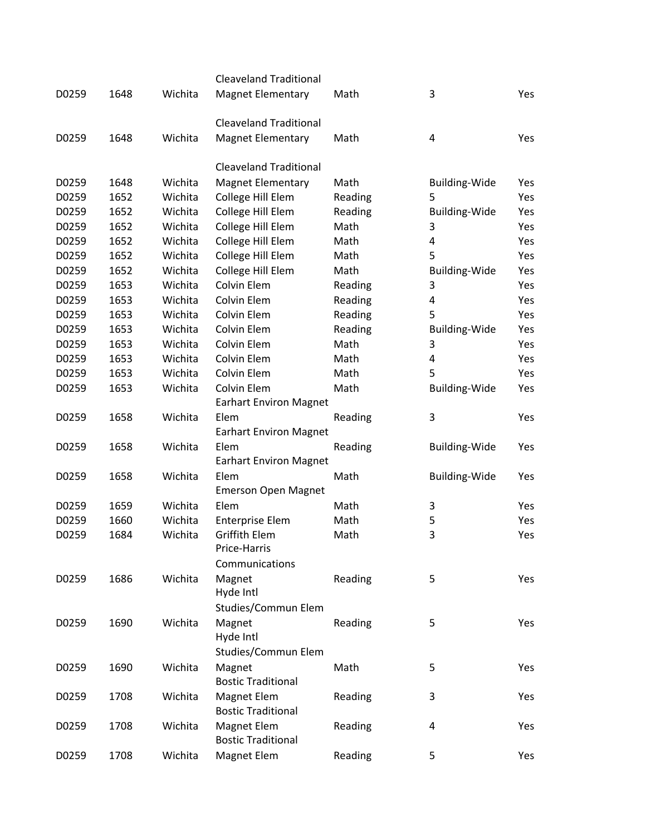|       |      |         | <b>Cleaveland Traditional</b> |         |                      |     |
|-------|------|---------|-------------------------------|---------|----------------------|-----|
| D0259 | 1648 | Wichita | <b>Magnet Elementary</b>      | Math    | 3                    | Yes |
|       |      |         | <b>Cleaveland Traditional</b> |         |                      |     |
| D0259 | 1648 | Wichita | <b>Magnet Elementary</b>      | Math    | 4                    | Yes |
|       |      |         | <b>Cleaveland Traditional</b> |         |                      |     |
| D0259 | 1648 | Wichita | <b>Magnet Elementary</b>      | Math    | <b>Building-Wide</b> | Yes |
| D0259 | 1652 | Wichita | College Hill Elem             | Reading | 5                    | Yes |
| D0259 | 1652 | Wichita | College Hill Elem             | Reading | <b>Building-Wide</b> | Yes |
| D0259 | 1652 | Wichita | College Hill Elem             | Math    | 3                    | Yes |
| D0259 | 1652 | Wichita | College Hill Elem             | Math    | 4                    | Yes |
| D0259 | 1652 | Wichita | College Hill Elem             | Math    | 5                    | Yes |
| D0259 | 1652 | Wichita | College Hill Elem             | Math    | <b>Building-Wide</b> | Yes |
| D0259 | 1653 | Wichita | Colvin Elem                   | Reading | 3                    | Yes |
| D0259 | 1653 | Wichita | Colvin Elem                   | Reading | 4                    | Yes |
| D0259 | 1653 | Wichita | Colvin Elem                   | Reading | 5                    | Yes |
| D0259 | 1653 | Wichita | Colvin Elem                   | Reading | <b>Building-Wide</b> | Yes |
| D0259 | 1653 | Wichita | Colvin Elem                   | Math    | 3                    | Yes |
| D0259 | 1653 | Wichita | Colvin Elem                   | Math    | 4                    | Yes |
| D0259 | 1653 | Wichita | Colvin Elem                   | Math    | 5                    | Yes |
| D0259 | 1653 | Wichita | Colvin Elem                   | Math    | <b>Building-Wide</b> | Yes |
|       |      |         | <b>Earhart Environ Magnet</b> |         |                      |     |
| D0259 | 1658 | Wichita | Elem                          | Reading | 3                    | Yes |
|       |      |         | <b>Earhart Environ Magnet</b> |         |                      |     |
| D0259 | 1658 | Wichita | Elem                          | Reading | <b>Building-Wide</b> | Yes |
|       |      |         | <b>Earhart Environ Magnet</b> |         |                      |     |
| D0259 | 1658 | Wichita | Elem                          | Math    | <b>Building-Wide</b> | Yes |
|       |      |         | <b>Emerson Open Magnet</b>    |         |                      |     |
| D0259 | 1659 | Wichita | Elem                          | Math    | 3                    | Yes |
| D0259 | 1660 | Wichita | <b>Enterprise Elem</b>        | Math    | 5                    | Yes |
| D0259 | 1684 | Wichita | <b>Griffith Elem</b>          | Math    | 3                    | Yes |
|       |      |         | Price-Harris                  |         |                      |     |
|       |      |         | Communications                |         |                      |     |
| D0259 | 1686 | Wichita | Magnet                        | Reading | 5                    | Yes |
|       |      |         | Hyde Intl                     |         |                      |     |
|       |      |         | Studies/Commun Elem           |         |                      |     |
| D0259 | 1690 | Wichita | Magnet                        | Reading | 5                    | Yes |
|       |      |         | Hyde Intl                     |         |                      |     |
|       |      |         | Studies/Commun Elem           |         |                      |     |
| D0259 | 1690 | Wichita | Magnet                        | Math    | 5                    | Yes |
|       |      |         | <b>Bostic Traditional</b>     |         |                      |     |
| D0259 | 1708 | Wichita | Magnet Elem                   | Reading | 3                    | Yes |
|       |      |         | <b>Bostic Traditional</b>     |         |                      |     |
| D0259 | 1708 | Wichita | Magnet Elem                   | Reading | 4                    | Yes |
|       |      |         | <b>Bostic Traditional</b>     |         |                      |     |
| D0259 | 1708 | Wichita | Magnet Elem                   | Reading | 5                    | Yes |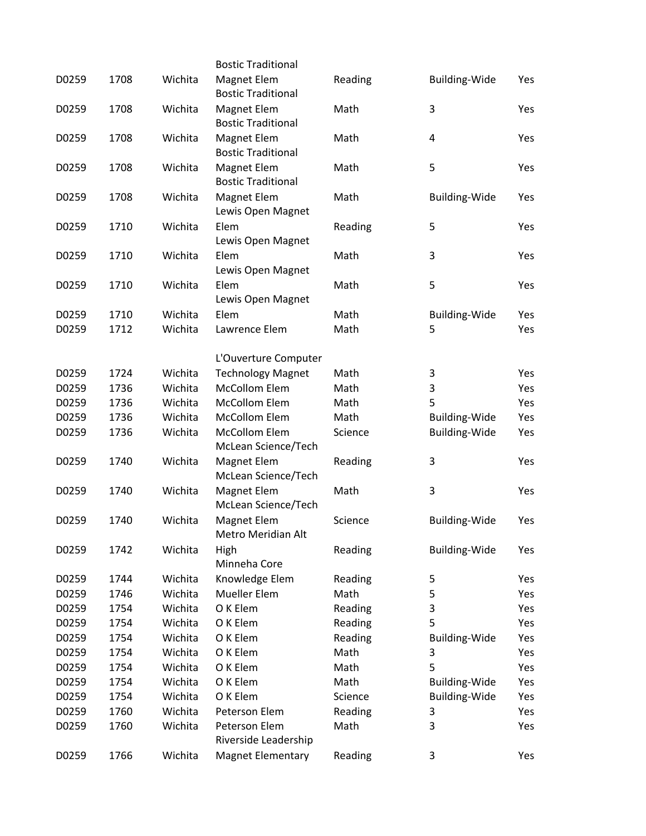|       |      |         | <b>Bostic Traditional</b>                   |         |                      |     |
|-------|------|---------|---------------------------------------------|---------|----------------------|-----|
| D0259 | 1708 | Wichita | Magnet Elem<br><b>Bostic Traditional</b>    | Reading | <b>Building-Wide</b> | Yes |
| D0259 | 1708 | Wichita | Magnet Elem<br><b>Bostic Traditional</b>    | Math    | 3                    | Yes |
| D0259 | 1708 | Wichita | Magnet Elem<br><b>Bostic Traditional</b>    | Math    | 4                    | Yes |
| D0259 | 1708 | Wichita | Magnet Elem<br><b>Bostic Traditional</b>    | Math    | 5                    | Yes |
| D0259 | 1708 | Wichita | Magnet Elem<br>Lewis Open Magnet            | Math    | <b>Building-Wide</b> | Yes |
| D0259 | 1710 | Wichita | Elem<br>Lewis Open Magnet                   | Reading | 5                    | Yes |
| D0259 | 1710 | Wichita | Elem<br>Lewis Open Magnet                   | Math    | 3                    | Yes |
| D0259 | 1710 | Wichita | Elem<br>Lewis Open Magnet                   | Math    | 5                    | Yes |
| D0259 | 1710 | Wichita | Elem                                        | Math    | <b>Building-Wide</b> | Yes |
| D0259 | 1712 | Wichita | Lawrence Elem                               | Math    | 5                    | Yes |
|       |      |         | L'Ouverture Computer                        |         |                      |     |
| D0259 | 1724 | Wichita | <b>Technology Magnet</b>                    | Math    | 3                    | Yes |
| D0259 | 1736 | Wichita | <b>McCollom Elem</b>                        | Math    | 3                    | Yes |
| D0259 | 1736 | Wichita | <b>McCollom Elem</b>                        | Math    | 5                    | Yes |
| D0259 | 1736 | Wichita | <b>McCollom Elem</b>                        | Math    | <b>Building-Wide</b> | Yes |
| D0259 | 1736 | Wichita | <b>McCollom Elem</b><br>McLean Science/Tech | Science | Building-Wide        | Yes |
| D0259 | 1740 | Wichita | Magnet Elem<br>McLean Science/Tech          | Reading | 3                    | Yes |
| D0259 | 1740 | Wichita | Magnet Elem<br>McLean Science/Tech          | Math    | 3                    | Yes |
| D0259 | 1740 | Wichita | Magnet Elem<br>Metro Meridian Alt           | Science | <b>Building-Wide</b> | Yes |
| D0259 | 1742 | Wichita | High<br>Minneha Core                        | Reading | <b>Building-Wide</b> | Yes |
| D0259 | 1744 | Wichita | Knowledge Elem                              | Reading | 5                    | Yes |
| D0259 | 1746 | Wichita | <b>Mueller Elem</b>                         | Math    | 5                    | Yes |
| D0259 | 1754 | Wichita | O K Elem                                    | Reading | 3                    | Yes |
| D0259 | 1754 | Wichita | O K Elem                                    | Reading | 5                    | Yes |
| D0259 | 1754 | Wichita | O K Elem                                    | Reading | <b>Building-Wide</b> | Yes |
| D0259 | 1754 | Wichita | O K Elem                                    | Math    | 3                    | Yes |
| D0259 | 1754 | Wichita | O K Elem                                    | Math    | 5                    | Yes |
| D0259 | 1754 | Wichita | O K Elem                                    | Math    | <b>Building-Wide</b> | Yes |
| D0259 | 1754 | Wichita | O K Elem                                    | Science | Building-Wide        | Yes |
| D0259 | 1760 | Wichita | Peterson Elem                               | Reading | 3                    | Yes |
| D0259 | 1760 | Wichita | Peterson Elem<br>Riverside Leadership       | Math    | 3                    | Yes |
| D0259 | 1766 | Wichita | <b>Magnet Elementary</b>                    | Reading | 3                    | Yes |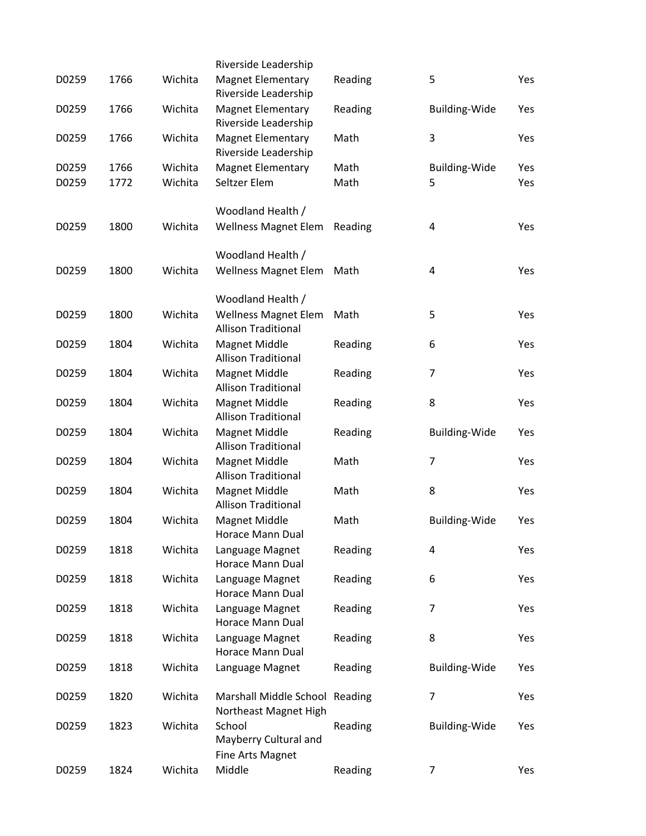|       |      |         | Riverside Leadership                               |         |                         |     |
|-------|------|---------|----------------------------------------------------|---------|-------------------------|-----|
| D0259 | 1766 | Wichita | <b>Magnet Elementary</b><br>Riverside Leadership   | Reading | 5                       | Yes |
| D0259 | 1766 | Wichita | <b>Magnet Elementary</b><br>Riverside Leadership   | Reading | <b>Building-Wide</b>    | Yes |
| D0259 | 1766 | Wichita | <b>Magnet Elementary</b><br>Riverside Leadership   | Math    | 3                       | Yes |
| D0259 | 1766 | Wichita | <b>Magnet Elementary</b>                           | Math    | Building-Wide           | Yes |
| D0259 | 1772 | Wichita | Seltzer Elem                                       | Math    | 5                       | Yes |
|       |      |         |                                                    |         |                         |     |
|       |      |         | Woodland Health /                                  |         |                         |     |
| D0259 | 1800 | Wichita | <b>Wellness Magnet Elem</b>                        | Reading | 4                       | Yes |
|       |      |         | Woodland Health /                                  |         |                         |     |
| D0259 | 1800 | Wichita | Wellness Magnet Elem                               | Math    | $\overline{\mathbf{4}}$ | Yes |
|       |      |         |                                                    |         |                         |     |
|       |      |         | Woodland Health /                                  |         |                         |     |
| D0259 | 1800 | Wichita | <b>Wellness Magnet Elem</b>                        | Math    | 5                       | Yes |
|       |      |         | <b>Allison Traditional</b>                         |         |                         |     |
| D0259 | 1804 | Wichita | <b>Magnet Middle</b>                               | Reading | 6                       | Yes |
|       |      |         | <b>Allison Traditional</b>                         |         |                         |     |
| D0259 | 1804 | Wichita | <b>Magnet Middle</b>                               | Reading | 7                       | Yes |
|       |      |         | <b>Allison Traditional</b>                         |         |                         |     |
| D0259 | 1804 | Wichita | <b>Magnet Middle</b><br><b>Allison Traditional</b> | Reading | 8                       | Yes |
| D0259 | 1804 | Wichita | <b>Magnet Middle</b>                               | Reading | <b>Building-Wide</b>    | Yes |
|       |      |         | <b>Allison Traditional</b>                         |         |                         |     |
| D0259 | 1804 | Wichita | <b>Magnet Middle</b>                               | Math    | 7                       | Yes |
|       |      |         | <b>Allison Traditional</b>                         |         |                         |     |
| D0259 | 1804 | Wichita | <b>Magnet Middle</b>                               | Math    | 8                       | Yes |
|       |      |         | <b>Allison Traditional</b>                         |         |                         |     |
| D0259 | 1804 | Wichita | <b>Magnet Middle</b>                               | Math    | <b>Building-Wide</b>    | Yes |
|       |      |         | Horace Mann Dual                                   |         |                         |     |
| D0259 | 1818 | Wichita | Language Magnet                                    | Reading | 4                       | Yes |
|       |      |         | Horace Mann Dual                                   |         |                         |     |
| D0259 | 1818 | Wichita | Language Magnet<br>Horace Mann Dual                | Reading | 6                       | Yes |
| D0259 | 1818 | Wichita | Language Magnet                                    | Reading | 7                       | Yes |
|       |      |         | Horace Mann Dual                                   |         |                         |     |
| D0259 | 1818 | Wichita | Language Magnet                                    | Reading | 8                       | Yes |
|       |      |         | Horace Mann Dual                                   |         |                         |     |
| D0259 | 1818 | Wichita | Language Magnet                                    | Reading | <b>Building-Wide</b>    | Yes |
|       |      |         |                                                    |         |                         |     |
| D0259 | 1820 | Wichita | Marshall Middle School Reading                     |         | 7                       | Yes |
|       |      |         | Northeast Magnet High                              |         |                         |     |
| D0259 | 1823 | Wichita | School<br>Mayberry Cultural and                    | Reading | <b>Building-Wide</b>    | Yes |
|       |      |         | Fine Arts Magnet                                   |         |                         |     |
| D0259 | 1824 | Wichita | Middle                                             | Reading | 7                       | Yes |
|       |      |         |                                                    |         |                         |     |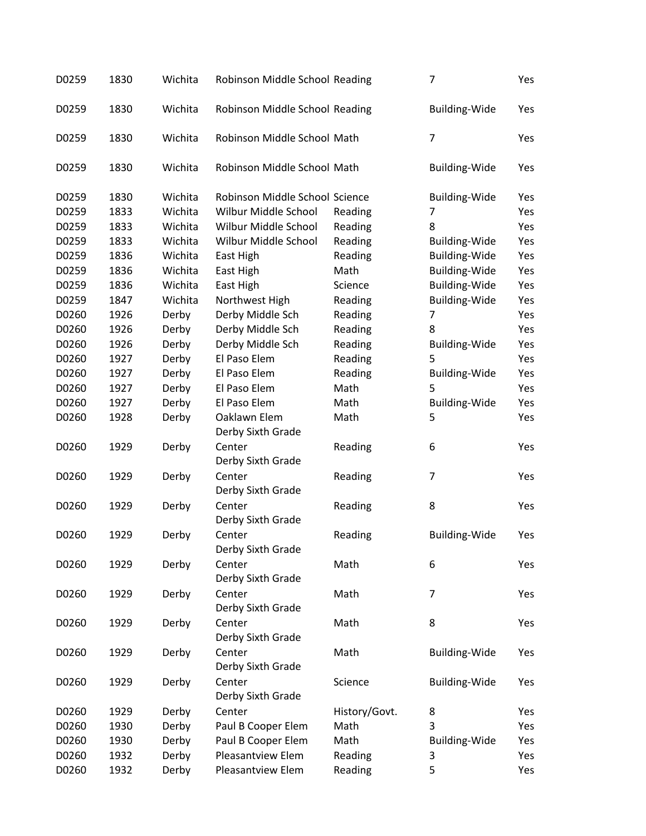| D0259 | 1830 | Wichita | Robinson Middle School Reading |               | 7                    | Yes |
|-------|------|---------|--------------------------------|---------------|----------------------|-----|
| D0259 | 1830 | Wichita | Robinson Middle School Reading |               | <b>Building-Wide</b> | Yes |
| D0259 | 1830 | Wichita | Robinson Middle School Math    |               | $\overline{7}$       | Yes |
| D0259 | 1830 | Wichita | Robinson Middle School Math    |               | <b>Building-Wide</b> | Yes |
| D0259 | 1830 | Wichita | Robinson Middle School Science |               | <b>Building-Wide</b> | Yes |
| D0259 | 1833 | Wichita | Wilbur Middle School           | Reading       | 7                    | Yes |
| D0259 | 1833 | Wichita | Wilbur Middle School           | Reading       | 8                    | Yes |
| D0259 | 1833 | Wichita | Wilbur Middle School           | Reading       | <b>Building-Wide</b> | Yes |
| D0259 | 1836 | Wichita | East High                      | Reading       | Building-Wide        | Yes |
| D0259 | 1836 | Wichita | East High                      | Math          | <b>Building-Wide</b> | Yes |
| D0259 | 1836 | Wichita | East High                      | Science       | Building-Wide        | Yes |
| D0259 | 1847 | Wichita | Northwest High                 | Reading       | <b>Building-Wide</b> | Yes |
| D0260 | 1926 | Derby   | Derby Middle Sch               | Reading       | 7                    | Yes |
| D0260 | 1926 | Derby   | Derby Middle Sch               | Reading       | 8                    | Yes |
| D0260 | 1926 | Derby   | Derby Middle Sch               | Reading       | <b>Building-Wide</b> | Yes |
| D0260 | 1927 | Derby   | El Paso Elem                   | Reading       | 5                    | Yes |
| D0260 | 1927 | Derby   | El Paso Elem                   | Reading       | Building-Wide        | Yes |
| D0260 | 1927 | Derby   | El Paso Elem                   | Math          | 5                    | Yes |
| D0260 | 1927 | Derby   | El Paso Elem                   | Math          | Building-Wide        | Yes |
| D0260 | 1928 | Derby   | Oaklawn Elem                   | Math          | 5                    | Yes |
|       |      |         | Derby Sixth Grade              |               |                      |     |
| D0260 | 1929 | Derby   | Center                         | Reading       | 6                    | Yes |
|       |      |         | Derby Sixth Grade              |               |                      |     |
| D0260 | 1929 | Derby   | Center                         | Reading       | $\overline{7}$       | Yes |
|       |      |         | Derby Sixth Grade              |               |                      |     |
| D0260 | 1929 | Derby   | Center                         | Reading       | 8                    | Yes |
|       |      |         | Derby Sixth Grade              |               |                      |     |
| D0260 | 1929 | Derby   | Center                         | Reading       | Building-Wide        | Yes |
|       |      |         | Derby Sixth Grade              |               |                      |     |
| D0260 | 1929 | Derby   | Center                         | Math          | 6                    | Yes |
|       |      |         | Derby Sixth Grade              |               |                      |     |
| D0260 | 1929 | Derby   | Center                         | Math          | 7                    | Yes |
|       |      |         | Derby Sixth Grade              |               |                      |     |
| D0260 | 1929 | Derby   | Center                         | Math          | 8                    | Yes |
|       |      |         | Derby Sixth Grade              |               |                      |     |
| D0260 | 1929 | Derby   | Center                         | Math          | Building-Wide        | Yes |
|       |      |         | Derby Sixth Grade              |               |                      |     |
| D0260 | 1929 | Derby   | Center                         | Science       | <b>Building-Wide</b> | Yes |
|       |      |         | Derby Sixth Grade              |               |                      |     |
| D0260 | 1929 | Derby   | Center                         | History/Govt. | 8                    | Yes |
| D0260 | 1930 | Derby   | Paul B Cooper Elem             | Math          | 3                    | Yes |
| D0260 | 1930 | Derby   | Paul B Cooper Elem             | Math          | Building-Wide        | Yes |
| D0260 | 1932 | Derby   | Pleasantview Elem              | Reading       | 3                    | Yes |
| D0260 | 1932 | Derby   | Pleasantview Elem              | Reading       | 5                    | Yes |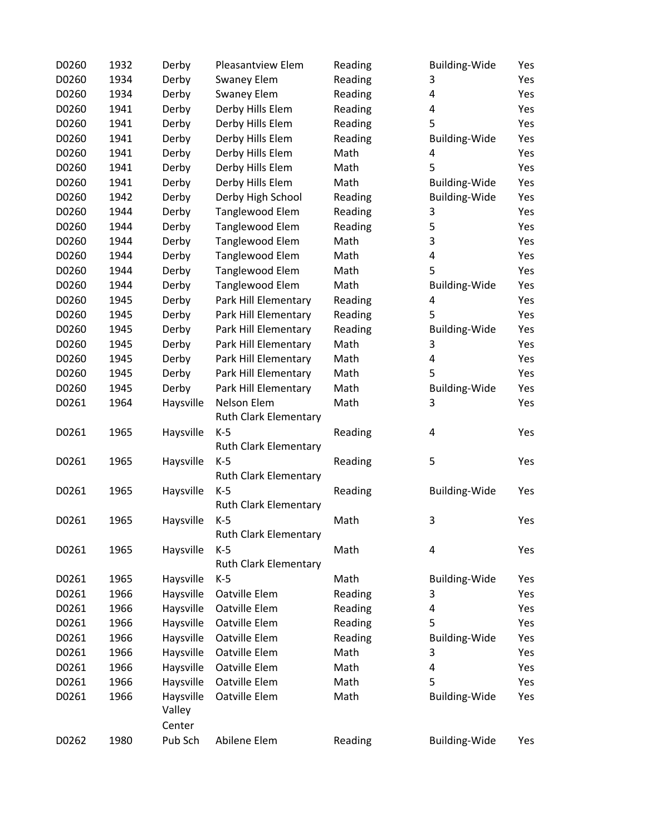| D0260 | 1932 | Derby     | Pleasantview Elem            | Reading | <b>Building-Wide</b> | Yes |
|-------|------|-----------|------------------------------|---------|----------------------|-----|
| D0260 | 1934 | Derby     | <b>Swaney Elem</b>           | Reading | 3                    | Yes |
| D0260 | 1934 | Derby     | Swaney Elem                  | Reading | 4                    | Yes |
| D0260 | 1941 | Derby     | Derby Hills Elem             | Reading | 4                    | Yes |
| D0260 | 1941 | Derby     | Derby Hills Elem             | Reading | 5                    | Yes |
| D0260 | 1941 | Derby     | Derby Hills Elem             | Reading | <b>Building-Wide</b> | Yes |
| D0260 | 1941 | Derby     | Derby Hills Elem             | Math    | 4                    | Yes |
| D0260 | 1941 | Derby     | Derby Hills Elem             | Math    | 5                    | Yes |
| D0260 | 1941 | Derby     | Derby Hills Elem             | Math    | <b>Building-Wide</b> | Yes |
| D0260 | 1942 | Derby     | Derby High School            | Reading | <b>Building-Wide</b> | Yes |
| D0260 | 1944 | Derby     | Tanglewood Elem              | Reading | 3                    | Yes |
| D0260 | 1944 | Derby     | Tanglewood Elem              | Reading | 5                    | Yes |
| D0260 | 1944 | Derby     | Tanglewood Elem              | Math    | 3                    | Yes |
| D0260 | 1944 | Derby     | Tanglewood Elem              | Math    | 4                    | Yes |
| D0260 | 1944 | Derby     | Tanglewood Elem              | Math    | 5                    | Yes |
| D0260 | 1944 | Derby     | Tanglewood Elem              | Math    | <b>Building-Wide</b> | Yes |
| D0260 | 1945 | Derby     | Park Hill Elementary         | Reading | 4                    | Yes |
| D0260 | 1945 | Derby     | Park Hill Elementary         | Reading | 5                    | Yes |
| D0260 | 1945 | Derby     | Park Hill Elementary         | Reading | <b>Building-Wide</b> | Yes |
| D0260 | 1945 | Derby     | Park Hill Elementary         | Math    | 3                    | Yes |
| D0260 | 1945 | Derby     | Park Hill Elementary         | Math    | 4                    | Yes |
| D0260 | 1945 | Derby     | Park Hill Elementary         | Math    | 5                    | Yes |
| D0260 | 1945 | Derby     | Park Hill Elementary         | Math    | Building-Wide        | Yes |
| D0261 | 1964 | Haysville | Nelson Elem                  | Math    | 3                    | Yes |
|       |      |           | Ruth Clark Elementary        |         |                      |     |
| D0261 | 1965 | Haysville | $K-5$                        | Reading | 4                    | Yes |
|       |      |           | <b>Ruth Clark Elementary</b> |         |                      |     |
| D0261 | 1965 | Haysville | $K-5$                        | Reading | 5                    | Yes |
|       |      |           | <b>Ruth Clark Elementary</b> |         |                      |     |
| D0261 | 1965 | Haysville | $K-5$                        | Reading | Building-Wide        | Yes |
|       |      |           | <b>Ruth Clark Elementary</b> |         |                      |     |
| D0261 | 1965 | Haysville | $K-5$                        | Math    | 3                    | Yes |
|       |      |           | <b>Ruth Clark Elementary</b> |         |                      |     |
| D0261 | 1965 | Haysville | $K-5$                        | Math    | 4                    | Yes |
|       |      |           | <b>Ruth Clark Elementary</b> |         |                      |     |
| D0261 | 1965 | Haysville | $K-5$                        | Math    | <b>Building-Wide</b> | Yes |
| D0261 | 1966 | Haysville | Oatville Elem                | Reading | 3                    | Yes |
| D0261 | 1966 | Haysville | Oatville Elem                | Reading | 4                    | Yes |
| D0261 | 1966 | Haysville | Oatville Elem                | Reading | 5                    | Yes |
| D0261 | 1966 | Haysville | Oatville Elem                | Reading | <b>Building-Wide</b> | Yes |
| D0261 | 1966 | Haysville | Oatville Elem                | Math    | 3                    | Yes |
| D0261 | 1966 | Haysville | Oatville Elem                | Math    | 4                    | Yes |
| D0261 | 1966 | Haysville | Oatville Elem                | Math    | 5                    | Yes |
| D0261 | 1966 | Haysville | Oatville Elem                | Math    | <b>Building-Wide</b> | Yes |
|       |      | Valley    |                              |         |                      |     |
|       |      | Center    |                              |         |                      |     |
| D0262 | 1980 | Pub Sch   | Abilene Elem                 | Reading | Building-Wide        | Yes |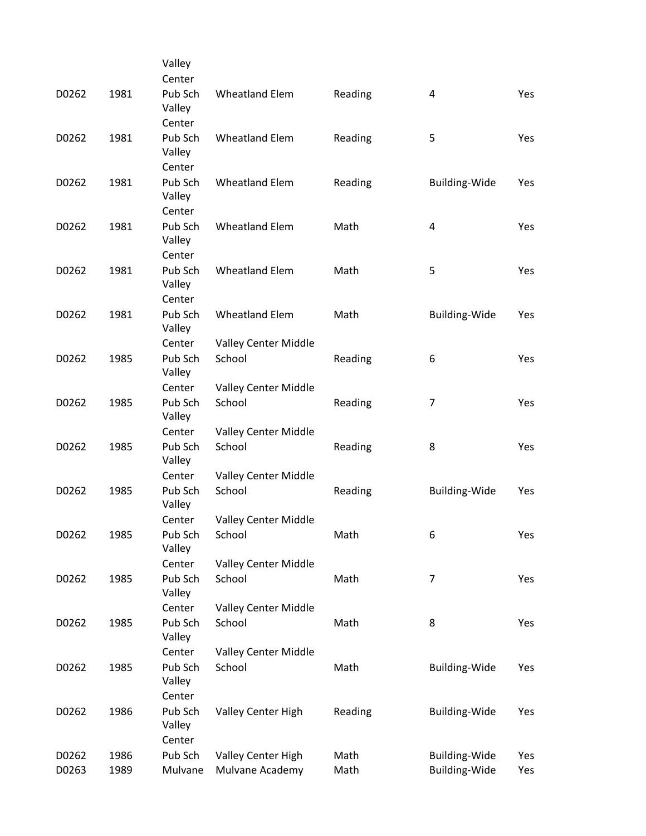|       |      | Valley                      |                       |         |                      |     |
|-------|------|-----------------------------|-----------------------|---------|----------------------|-----|
|       |      | Center                      |                       |         |                      |     |
| D0262 | 1981 | Pub Sch<br>Valley           | <b>Wheatland Elem</b> | Reading | 4                    | Yes |
|       |      | Center                      |                       |         |                      |     |
| D0262 | 1981 | Pub Sch<br>Valley           | <b>Wheatland Elem</b> | Reading | 5                    | Yes |
|       |      | Center                      |                       |         |                      |     |
| D0262 | 1981 | Pub Sch<br>Valley           | <b>Wheatland Elem</b> | Reading | Building-Wide        | Yes |
|       |      | Center                      |                       |         |                      |     |
| D0262 | 1981 | Pub Sch<br>Valley           | <b>Wheatland Elem</b> | Math    | 4                    | Yes |
|       |      | Center                      |                       |         |                      |     |
| D0262 | 1981 | Pub Sch<br>Valley<br>Center | <b>Wheatland Elem</b> | Math    | 5                    | Yes |
|       |      | Pub Sch                     |                       |         |                      |     |
| D0262 | 1981 | Valley                      | <b>Wheatland Elem</b> | Math    | <b>Building-Wide</b> | Yes |
|       |      | Center                      | Valley Center Middle  |         |                      |     |
| D0262 | 1985 | Pub Sch<br>Valley           | School                | Reading | 6                    | Yes |
|       |      | Center                      | Valley Center Middle  |         |                      |     |
| D0262 | 1985 | Pub Sch<br>Valley           | School                | Reading | 7                    | Yes |
|       |      | Center                      | Valley Center Middle  |         |                      |     |
| D0262 | 1985 | Pub Sch<br>Valley           | School                | Reading | 8                    | Yes |
|       |      | Center                      | Valley Center Middle  |         |                      |     |
| D0262 | 1985 | Pub Sch<br>Valley           | School                | Reading | <b>Building-Wide</b> | Yes |
|       |      | Center                      | Valley Center Middle  |         |                      |     |
| D0262 | 1985 | Pub Sch<br>Valley           | School                | Math    | 6                    | Yes |
|       |      | Center                      | Valley Center Middle  |         |                      |     |
| D0262 | 1985 | Pub Sch<br>Valley           | School                | Math    | $\overline{7}$       | Yes |
|       |      | Center                      | Valley Center Middle  |         |                      |     |
| D0262 | 1985 | Pub Sch<br>Valley           | School                | Math    | 8                    | Yes |
|       |      | Center                      | Valley Center Middle  |         |                      |     |
| D0262 | 1985 | Pub Sch<br>Valley           | School                | Math    | <b>Building-Wide</b> | Yes |
|       |      | Center                      |                       |         |                      |     |
| D0262 | 1986 | Pub Sch<br>Valley<br>Center | Valley Center High    | Reading | <b>Building-Wide</b> | Yes |
| D0262 | 1986 | Pub Sch                     | Valley Center High    | Math    | <b>Building-Wide</b> | Yes |
| D0263 | 1989 | Mulvane                     | Mulvane Academy       | Math    | <b>Building-Wide</b> | Yes |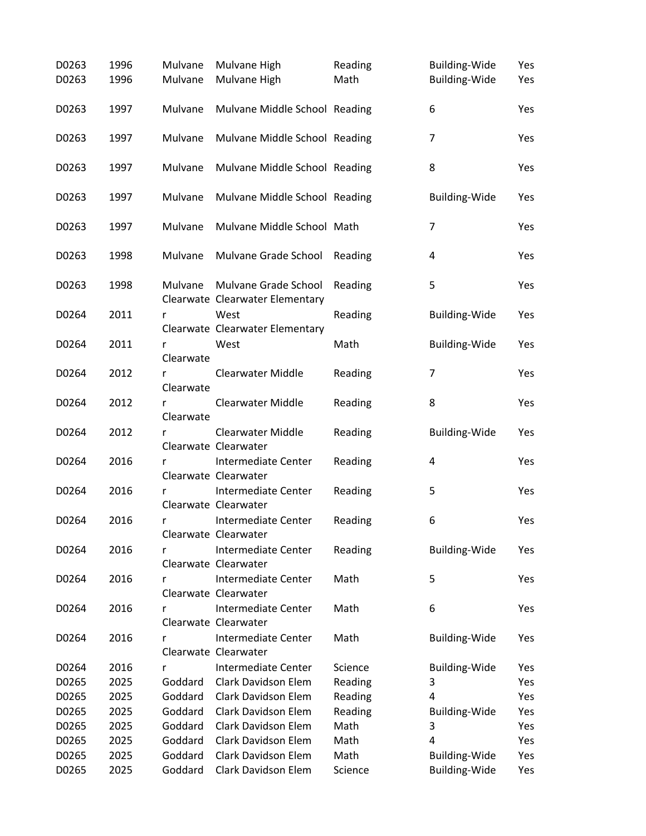| D0263 | 1996 | Mulvane        | Mulvane High                                | Reading | <b>Building-Wide</b> | Yes |
|-------|------|----------------|---------------------------------------------|---------|----------------------|-----|
| D0263 | 1996 | Mulvane        | Mulvane High                                | Math    | <b>Building-Wide</b> | Yes |
| D0263 | 1997 | Mulvane        | Mulvane Middle School Reading               |         | 6                    | Yes |
| D0263 | 1997 | Mulvane        | Mulvane Middle School Reading               |         | 7                    | Yes |
| D0263 | 1997 | Mulvane        | Mulvane Middle School Reading               |         | 8                    | Yes |
| D0263 | 1997 | Mulvane        | Mulvane Middle School Reading               |         | Building-Wide        | Yes |
| D0263 | 1997 | Mulvane        | Mulvane Middle School Math                  |         | $\overline{7}$       | Yes |
| D0263 | 1998 | Mulvane        | Mulvane Grade School                        | Reading | 4                    | Yes |
| D0263 | 1998 | Mulvane        | Mulvane Grade School                        | Reading | 5                    | Yes |
|       |      |                | Clearwate Clearwater Elementary             |         |                      |     |
| D0264 | 2011 | r              | West<br>Clearwate Clearwater Elementary     | Reading | <b>Building-Wide</b> | Yes |
| D0264 | 2011 | r              | West                                        | Math    | <b>Building-Wide</b> | Yes |
| D0264 | 2012 | Clearwate<br>r | Clearwater Middle                           | Reading | 7                    | Yes |
|       |      | Clearwate      |                                             |         |                      |     |
| D0264 | 2012 | r<br>Clearwate | <b>Clearwater Middle</b>                    | Reading | 8                    | Yes |
| D0264 | 2012 | r              | <b>Clearwater Middle</b>                    | Reading | <b>Building-Wide</b> | Yes |
|       |      |                | Clearwate Clearwater                        |         |                      |     |
| D0264 | 2016 | r              | Intermediate Center<br>Clearwate Clearwater | Reading | 4                    | Yes |
| D0264 | 2016 | r              | Intermediate Center                         | Reading | 5                    | Yes |
|       |      |                | Clearwate Clearwater                        |         |                      |     |
| D0264 | 2016 | r              | Intermediate Center                         | Reading | 6                    | Yes |
|       |      |                | Clearwate Clearwater                        |         |                      |     |
| D0264 | 2016 | r              | Intermediate Center                         | Reading | Building-Wide        | Yes |
|       |      |                | Clearwate Clearwater<br>Intermediate Center |         |                      |     |
| D0264 | 2016 | r              | Clearwate Clearwater                        | Math    | 5                    | Yes |
| D0264 | 2016 | r              | Intermediate Center                         | Math    | 6                    | Yes |
|       |      |                | Clearwate Clearwater                        |         |                      |     |
| D0264 | 2016 | r              | Intermediate Center                         | Math    | <b>Building-Wide</b> | Yes |
|       |      |                | Clearwate Clearwater                        |         |                      |     |
| D0264 | 2016 | r              | Intermediate Center                         | Science | <b>Building-Wide</b> | Yes |
| D0265 | 2025 | Goddard        | Clark Davidson Elem                         | Reading | 3                    | Yes |
| D0265 | 2025 | Goddard        | <b>Clark Davidson Elem</b>                  | Reading | 4                    | Yes |
| D0265 | 2025 | Goddard        | Clark Davidson Elem                         | Reading | <b>Building-Wide</b> | Yes |
| D0265 | 2025 | Goddard        | Clark Davidson Elem                         | Math    | 3                    | Yes |
| D0265 | 2025 | Goddard        | Clark Davidson Elem                         | Math    | 4                    | Yes |
| D0265 | 2025 | Goddard        | Clark Davidson Elem                         | Math    | <b>Building-Wide</b> | Yes |
| D0265 | 2025 | Goddard        | Clark Davidson Elem                         | Science | <b>Building-Wide</b> | Yes |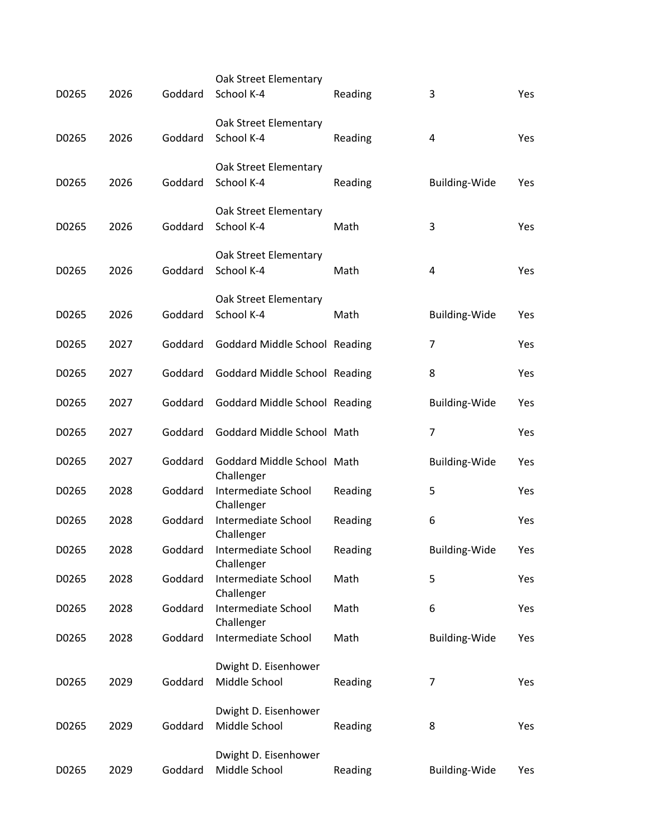| D0265 | 2026 | Goddard | Oak Street Elementary<br>School K-4      | Reading | 3                    | Yes |
|-------|------|---------|------------------------------------------|---------|----------------------|-----|
|       |      |         | Oak Street Elementary                    |         |                      |     |
| D0265 | 2026 | Goddard | School K-4                               | Reading | 4                    | Yes |
| D0265 | 2026 | Goddard | Oak Street Elementary<br>School K-4      | Reading | <b>Building-Wide</b> | Yes |
|       |      |         | Oak Street Elementary                    |         |                      |     |
| D0265 | 2026 | Goddard | School K-4                               | Math    | 3                    | Yes |
| D0265 | 2026 | Goddard | Oak Street Elementary<br>School K-4      | Math    | 4                    | Yes |
|       |      |         | Oak Street Elementary                    |         |                      |     |
| D0265 | 2026 | Goddard | School K-4                               | Math    | <b>Building-Wide</b> | Yes |
| D0265 | 2027 | Goddard | Goddard Middle School Reading            |         | 7                    | Yes |
| D0265 | 2027 | Goddard | Goddard Middle School Reading            |         | 8                    | Yes |
| D0265 | 2027 | Goddard | <b>Goddard Middle School Reading</b>     |         | <b>Building-Wide</b> | Yes |
| D0265 | 2027 | Goddard | Goddard Middle School Math               |         | 7                    | Yes |
| D0265 | 2027 | Goddard | Goddard Middle School Math<br>Challenger |         | <b>Building-Wide</b> | Yes |
| D0265 | 2028 | Goddard | Intermediate School<br>Challenger        | Reading | 5                    | Yes |
| D0265 | 2028 | Goddard | Intermediate School<br>Challenger        | Reading | 6                    | Yes |
| D0265 | 2028 | Goddard | Intermediate School<br>Challenger        | Reading | <b>Building-Wide</b> | Yes |
| D0265 | 2028 | Goddard | Intermediate School<br>Challenger        | Math    | 5                    | Yes |
| D0265 | 2028 | Goddard | Intermediate School<br>Challenger        | Math    | 6                    | Yes |
| D0265 | 2028 | Goddard | Intermediate School                      | Math    | <b>Building-Wide</b> | Yes |
| D0265 | 2029 | Goddard | Dwight D. Eisenhower<br>Middle School    | Reading | 7                    | Yes |
|       |      |         | Dwight D. Eisenhower                     |         |                      |     |
| D0265 | 2029 | Goddard | Middle School                            | Reading | 8                    | Yes |
|       |      |         | Dwight D. Eisenhower                     |         |                      |     |
| D0265 | 2029 | Goddard | Middle School                            | Reading | <b>Building-Wide</b> | Yes |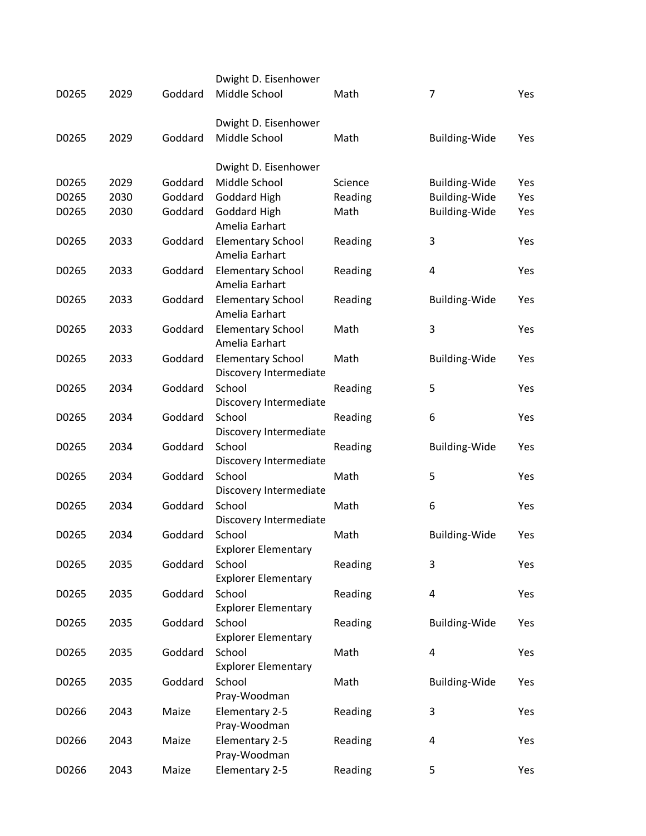|       |      |         | Dwight D. Eisenhower                               |         |                           |     |
|-------|------|---------|----------------------------------------------------|---------|---------------------------|-----|
| D0265 | 2029 | Goddard | Middle School                                      | Math    | 7                         | Yes |
|       |      |         | Dwight D. Eisenhower                               |         |                           |     |
| D0265 | 2029 | Goddard | Middle School                                      | Math    | <b>Building-Wide</b>      | Yes |
|       |      |         | Dwight D. Eisenhower                               |         |                           |     |
| D0265 | 2029 | Goddard | Middle School                                      | Science | <b>Building-Wide</b>      | Yes |
| D0265 | 2030 | Goddard | <b>Goddard High</b>                                | Reading | Building-Wide             | Yes |
| D0265 | 2030 | Goddard | <b>Goddard High</b><br>Amelia Earhart              | Math    | Building-Wide             | Yes |
| D0265 | 2033 | Goddard | <b>Elementary School</b><br>Amelia Earhart         | Reading | 3                         | Yes |
| D0265 | 2033 | Goddard | <b>Elementary School</b><br>Amelia Earhart         | Reading | $\pmb{4}$                 | Yes |
| D0265 | 2033 | Goddard | <b>Elementary School</b><br>Amelia Earhart         | Reading | <b>Building-Wide</b>      | Yes |
| D0265 | 2033 | Goddard | <b>Elementary School</b><br>Amelia Earhart         | Math    | 3                         | Yes |
| D0265 | 2033 | Goddard | <b>Elementary School</b><br>Discovery Intermediate | Math    | <b>Building-Wide</b>      | Yes |
| D0265 | 2034 | Goddard | School<br>Discovery Intermediate                   | Reading | 5                         | Yes |
| D0265 | 2034 | Goddard | School<br>Discovery Intermediate                   | Reading | 6                         | Yes |
| D0265 | 2034 | Goddard | School<br>Discovery Intermediate                   | Reading | <b>Building-Wide</b>      | Yes |
| D0265 | 2034 | Goddard | School<br>Discovery Intermediate                   | Math    | 5                         | Yes |
| D0265 | 2034 | Goddard | School<br>Discovery Intermediate                   | Math    | 6                         | Yes |
| D0265 | 2034 | Goddard | School<br><b>Explorer Elementary</b>               | Math    | <b>Building-Wide</b>      | Yes |
| D0265 | 2035 | Goddard | School<br><b>Explorer Elementary</b>               | Reading | 3                         | Yes |
| D0265 | 2035 | Goddard | School<br><b>Explorer Elementary</b>               | Reading | $\overline{\mathbf{4}}$   | Yes |
| D0265 | 2035 | Goddard | School<br><b>Explorer Elementary</b>               | Reading | Building-Wide             | Yes |
| D0265 | 2035 | Goddard | School<br><b>Explorer Elementary</b>               | Math    | $\overline{\mathbf{4}}$   | Yes |
| D0265 | 2035 | Goddard | School<br>Pray-Woodman                             | Math    | Building-Wide             | Yes |
| D0266 | 2043 | Maize   | Elementary 2-5<br>Pray-Woodman                     | Reading | $\ensuremath{\mathsf{3}}$ | Yes |
| D0266 | 2043 | Maize   | Elementary 2-5<br>Pray-Woodman                     | Reading | 4                         | Yes |
| D0266 | 2043 | Maize   | Elementary 2-5                                     | Reading | 5                         | Yes |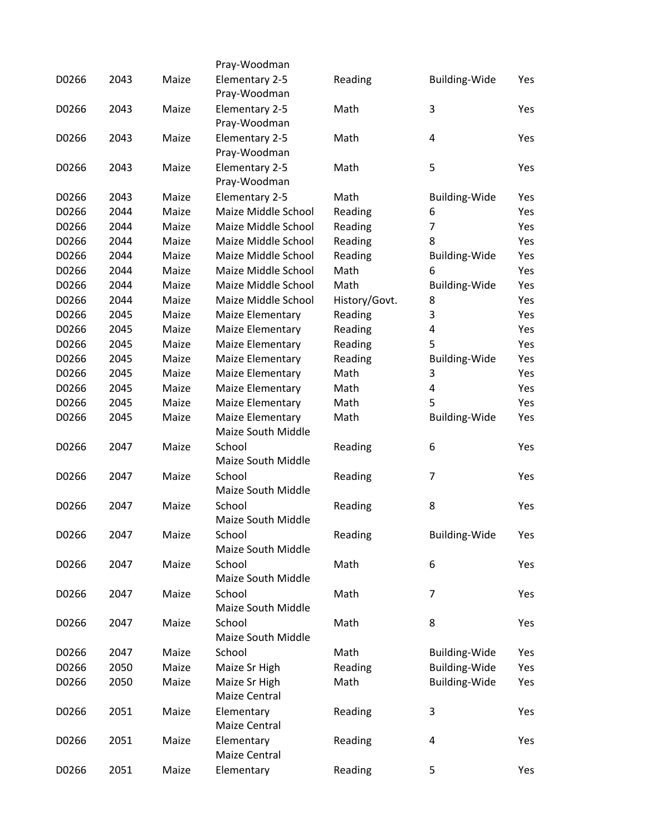|       |      |       | Pray-Woodman                           |               |                      |     |
|-------|------|-------|----------------------------------------|---------------|----------------------|-----|
| D0266 | 2043 | Maize | Elementary 2-5                         | Reading       | <b>Building-Wide</b> | Yes |
|       |      |       | Pray-Woodman                           |               |                      |     |
| D0266 | 2043 | Maize | Elementary 2-5                         | Math          | 3                    | Yes |
|       |      |       | Pray-Woodman                           |               |                      |     |
| D0266 | 2043 | Maize | Elementary 2-5                         | Math          | 4                    | Yes |
|       |      |       | Pray-Woodman                           |               |                      |     |
| D0266 | 2043 | Maize | Elementary 2-5                         | Math          | 5                    | Yes |
|       |      |       | Pray-Woodman                           |               |                      |     |
| D0266 | 2043 | Maize | Elementary 2-5                         | Math          | <b>Building-Wide</b> | Yes |
| D0266 | 2044 | Maize | Maize Middle School                    | Reading       | 6                    | Yes |
| D0266 | 2044 | Maize | Maize Middle School                    | Reading       | 7                    | Yes |
| D0266 | 2044 | Maize | Maize Middle School                    | Reading       | 8                    | Yes |
| D0266 | 2044 | Maize | Maize Middle School                    | Reading       | <b>Building-Wide</b> | Yes |
| D0266 | 2044 | Maize | Maize Middle School                    | Math          | 6                    | Yes |
| D0266 | 2044 | Maize | Maize Middle School                    | Math          | <b>Building-Wide</b> | Yes |
| D0266 | 2044 | Maize | Maize Middle School                    | History/Govt. | 8                    | Yes |
| D0266 | 2045 | Maize | Maize Elementary                       | Reading       | 3                    | Yes |
| D0266 | 2045 | Maize | Maize Elementary                       | Reading       | 4                    | Yes |
| D0266 | 2045 | Maize | Maize Elementary                       | Reading       | 5                    | Yes |
| D0266 | 2045 | Maize | Maize Elementary                       | Reading       | <b>Building-Wide</b> | Yes |
| D0266 | 2045 | Maize | Maize Elementary                       | Math          | 3                    | Yes |
| D0266 | 2045 | Maize | Maize Elementary                       | Math          | 4                    | Yes |
| D0266 | 2045 | Maize | Maize Elementary                       | Math          | 5                    | Yes |
| D0266 | 2045 | Maize |                                        |               |                      | Yes |
|       |      |       | Maize Elementary<br>Maize South Middle | Math          | <b>Building-Wide</b> |     |
|       |      |       |                                        |               |                      |     |
| D0266 | 2047 | Maize | School                                 | Reading       | 6                    | Yes |
|       |      |       | <b>Maize South Middle</b>              |               |                      |     |
| D0266 | 2047 | Maize | School                                 | Reading       | $\overline{7}$       | Yes |
|       |      |       | <b>Maize South Middle</b>              |               |                      |     |
| D0266 | 2047 | Maize | School                                 | Reading       | 8                    | Yes |
|       |      |       | <b>Maize South Middle</b>              |               |                      |     |
| D0266 | 2047 | Maize | School                                 | Reading       | <b>Building-Wide</b> | Yes |
|       |      |       | Maize South Middle                     |               |                      |     |
| D0266 | 2047 | Maize | School                                 | Math          | 6                    | Yes |
|       |      |       | Maize South Middle                     |               |                      |     |
| D0266 | 2047 | Maize | School                                 | Math          | 7                    | Yes |
|       |      |       | Maize South Middle                     |               |                      |     |
| D0266 | 2047 | Maize | School                                 | Math          | 8                    | Yes |
|       |      |       | Maize South Middle                     |               |                      |     |
| D0266 | 2047 | Maize | School                                 | Math          | <b>Building-Wide</b> | Yes |
| D0266 | 2050 | Maize | Maize Sr High                          | Reading       | <b>Building-Wide</b> | Yes |
| D0266 | 2050 | Maize | Maize Sr High                          | Math          | Building-Wide        | Yes |
|       |      |       | Maize Central                          |               |                      |     |
| D0266 | 2051 | Maize | Elementary                             | Reading       | 3                    | Yes |
|       |      |       | Maize Central                          |               |                      |     |
| D0266 | 2051 | Maize | Elementary                             | Reading       | 4                    | Yes |
|       |      |       | Maize Central                          |               |                      |     |
| D0266 | 2051 | Maize | Elementary                             | Reading       | 5                    | Yes |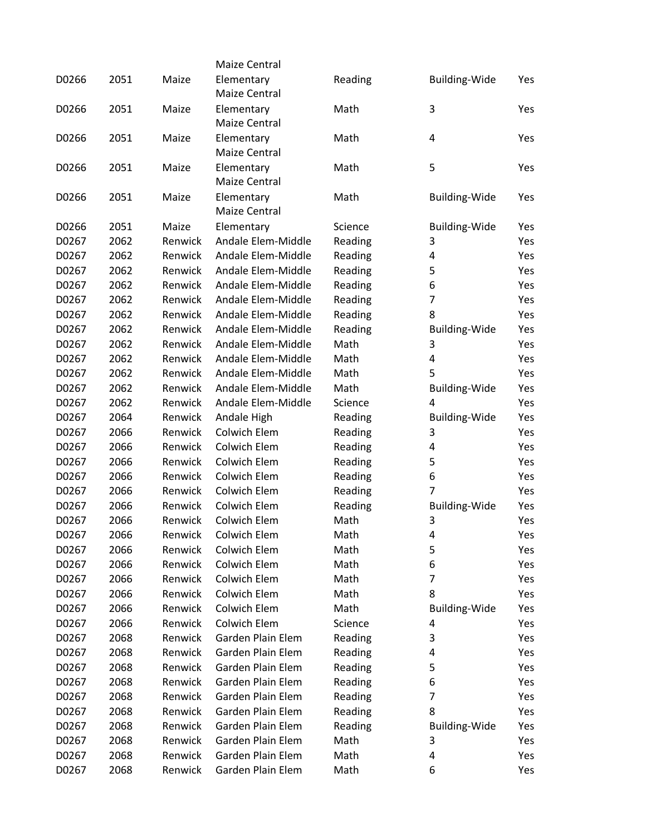|       |      |         | Maize Central       |         |                      |     |
|-------|------|---------|---------------------|---------|----------------------|-----|
| D0266 | 2051 | Maize   | Elementary          | Reading | <b>Building-Wide</b> | Yes |
|       |      |         | Maize Central       |         |                      |     |
| D0266 | 2051 | Maize   | Elementary          | Math    | 3                    | Yes |
|       |      |         | Maize Central       |         |                      |     |
| D0266 | 2051 | Maize   | Elementary          | Math    | 4                    | Yes |
|       |      |         | Maize Central       |         |                      |     |
| D0266 | 2051 | Maize   | Elementary          | Math    | 5                    | Yes |
|       |      |         | Maize Central       |         |                      |     |
| D0266 | 2051 | Maize   | Elementary          | Math    | <b>Building-Wide</b> | Yes |
|       |      |         | Maize Central       |         |                      |     |
| D0266 | 2051 | Maize   | Elementary          | Science | <b>Building-Wide</b> | Yes |
| D0267 | 2062 | Renwick | Andale Elem-Middle  | Reading | 3                    | Yes |
| D0267 | 2062 | Renwick | Andale Elem-Middle  | Reading | 4                    | Yes |
| D0267 | 2062 | Renwick | Andale Elem-Middle  | Reading | 5                    | Yes |
| D0267 | 2062 | Renwick | Andale Elem-Middle  | Reading | 6                    | Yes |
| D0267 | 2062 | Renwick | Andale Elem-Middle  | Reading | $\overline{7}$       | Yes |
| D0267 | 2062 | Renwick | Andale Elem-Middle  | Reading | 8                    | Yes |
| D0267 | 2062 | Renwick | Andale Elem-Middle  | Reading | <b>Building-Wide</b> | Yes |
| D0267 | 2062 | Renwick | Andale Elem-Middle  | Math    | 3                    | Yes |
| D0267 | 2062 | Renwick | Andale Elem-Middle  | Math    | 4                    | Yes |
| D0267 | 2062 | Renwick | Andale Elem-Middle  | Math    | 5                    | Yes |
| D0267 | 2062 | Renwick | Andale Elem-Middle  | Math    | <b>Building-Wide</b> | Yes |
| D0267 | 2062 | Renwick | Andale Elem-Middle  | Science | 4                    | Yes |
| D0267 | 2064 | Renwick | Andale High         | Reading | <b>Building-Wide</b> | Yes |
| D0267 | 2066 | Renwick | Colwich Elem        | Reading | 3                    | Yes |
| D0267 | 2066 | Renwick | <b>Colwich Elem</b> | Reading | 4                    | Yes |
| D0267 | 2066 | Renwick | <b>Colwich Elem</b> | Reading | 5                    | Yes |
| D0267 | 2066 | Renwick | <b>Colwich Elem</b> | Reading | 6                    | Yes |
| D0267 | 2066 | Renwick | <b>Colwich Elem</b> | Reading | 7                    | Yes |
| D0267 | 2066 | Renwick | <b>Colwich Elem</b> | Reading | <b>Building-Wide</b> | Yes |
| D0267 | 2066 | Renwick | Colwich Elem        | Math    | 3                    | Yes |
| D0267 | 2066 | Renwick | Colwich Elem        | Math    | 4                    | Yes |
| D0267 | 2066 | Renwick | <b>Colwich Elem</b> | Math    | 5                    | Yes |
| D0267 | 2066 | Renwick | Colwich Elem        | Math    | 6                    | Yes |
| D0267 | 2066 | Renwick | Colwich Elem        | Math    | 7                    | Yes |
| D0267 | 2066 | Renwick | Colwich Elem        | Math    | 8                    | Yes |
| D0267 | 2066 | Renwick | Colwich Elem        | Math    | <b>Building-Wide</b> | Yes |
| D0267 | 2066 | Renwick | <b>Colwich Elem</b> | Science | 4                    | Yes |
| D0267 | 2068 | Renwick | Garden Plain Elem   | Reading | 3                    | Yes |
| D0267 | 2068 | Renwick | Garden Plain Elem   | Reading | 4                    | Yes |
| D0267 | 2068 | Renwick | Garden Plain Elem   | Reading | 5                    | Yes |
| D0267 | 2068 | Renwick | Garden Plain Elem   | Reading | 6                    | Yes |
| D0267 | 2068 | Renwick | Garden Plain Elem   | Reading | 7                    | Yes |
| D0267 | 2068 | Renwick | Garden Plain Elem   | Reading | 8                    | Yes |
| D0267 | 2068 | Renwick | Garden Plain Elem   | Reading | <b>Building-Wide</b> | Yes |
| D0267 | 2068 | Renwick | Garden Plain Elem   | Math    | 3                    | Yes |
| D0267 | 2068 | Renwick | Garden Plain Elem   | Math    | 4                    | Yes |
| D0267 | 2068 | Renwick | Garden Plain Elem   | Math    | 6                    | Yes |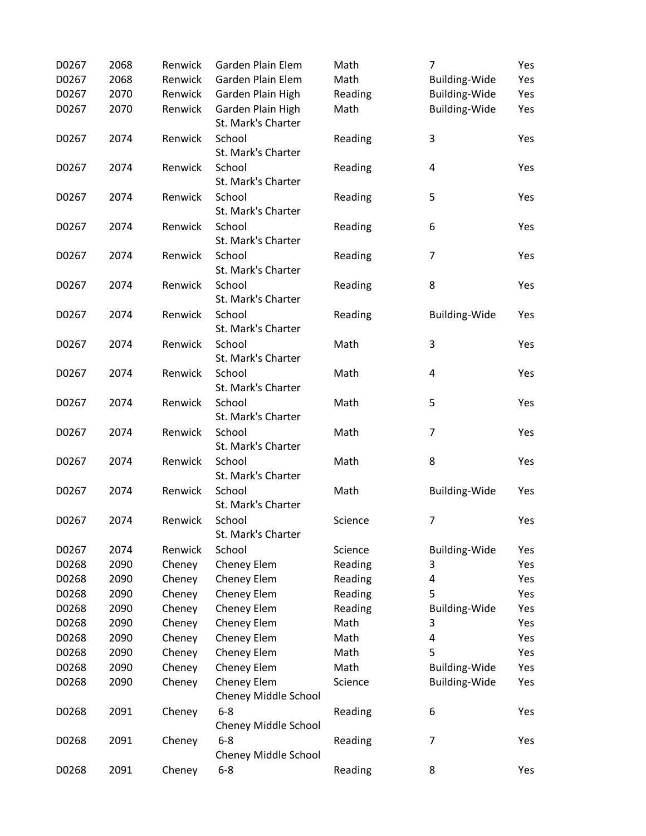| D0267 | 2068 | Renwick | Garden Plain Elem                       | Math    | $\overline{7}$          | Yes |
|-------|------|---------|-----------------------------------------|---------|-------------------------|-----|
| D0267 | 2068 | Renwick | Garden Plain Elem                       | Math    | <b>Building-Wide</b>    | Yes |
| D0267 | 2070 | Renwick | Garden Plain High                       | Reading | <b>Building-Wide</b>    | Yes |
| D0267 | 2070 | Renwick | Garden Plain High<br>St. Mark's Charter | Math    | <b>Building-Wide</b>    | Yes |
| D0267 | 2074 | Renwick | School<br>St. Mark's Charter            | Reading | 3                       | Yes |
| D0267 | 2074 | Renwick | School<br>St. Mark's Charter            | Reading | $\overline{\mathbf{4}}$ | Yes |
| D0267 | 2074 | Renwick | School<br>St. Mark's Charter            | Reading | 5                       | Yes |
| D0267 | 2074 | Renwick | School<br>St. Mark's Charter            | Reading | 6                       | Yes |
| D0267 | 2074 | Renwick | School<br>St. Mark's Charter            | Reading | $\overline{7}$          | Yes |
| D0267 | 2074 | Renwick | School<br>St. Mark's Charter            | Reading | 8                       | Yes |
| D0267 | 2074 | Renwick | School<br>St. Mark's Charter            | Reading | <b>Building-Wide</b>    | Yes |
| D0267 | 2074 | Renwick | School<br>St. Mark's Charter            | Math    | 3                       | Yes |
| D0267 | 2074 | Renwick | School<br>St. Mark's Charter            | Math    | $\overline{\mathbf{4}}$ | Yes |
| D0267 | 2074 | Renwick | School<br>St. Mark's Charter            | Math    | 5                       | Yes |
| D0267 | 2074 | Renwick | School<br>St. Mark's Charter            | Math    | $\overline{7}$          | Yes |
| D0267 | 2074 | Renwick | School<br>St. Mark's Charter            | Math    | 8                       | Yes |
| D0267 | 2074 | Renwick | School<br>St. Mark's Charter            | Math    | <b>Building-Wide</b>    | Yes |
| D0267 | 2074 | Renwick | School<br>St. Mark's Charter            | Science | $\overline{7}$          | Yes |
| D0267 | 2074 | Renwick | School                                  | Science | <b>Building-Wide</b>    | Yes |
| D0268 | 2090 | Cheney  | Cheney Elem                             | Reading | 3                       | Yes |
| D0268 | 2090 | Cheney  | Cheney Elem                             | Reading | 4                       | Yes |
| D0268 | 2090 | Cheney  | Cheney Elem                             | Reading | 5                       | Yes |
| D0268 | 2090 | Cheney  | Cheney Elem                             | Reading | <b>Building-Wide</b>    | Yes |
| D0268 | 2090 | Cheney  | Cheney Elem                             | Math    | 3                       | Yes |
| D0268 | 2090 | Cheney  | Cheney Elem                             | Math    | 4                       | Yes |
| D0268 | 2090 | Cheney  | Cheney Elem                             | Math    | 5                       | Yes |
| D0268 | 2090 | Cheney  | Cheney Elem                             | Math    | <b>Building-Wide</b>    | Yes |
| D0268 | 2090 | Cheney  | Cheney Elem<br>Cheney Middle School     | Science | <b>Building-Wide</b>    | Yes |
| D0268 | 2091 | Cheney  | $6 - 8$<br>Cheney Middle School         | Reading | 6                       | Yes |
| D0268 | 2091 | Cheney  | $6 - 8$<br>Cheney Middle School         | Reading | 7                       | Yes |
| D0268 | 2091 | Cheney  | $6 - 8$                                 | Reading | 8                       | Yes |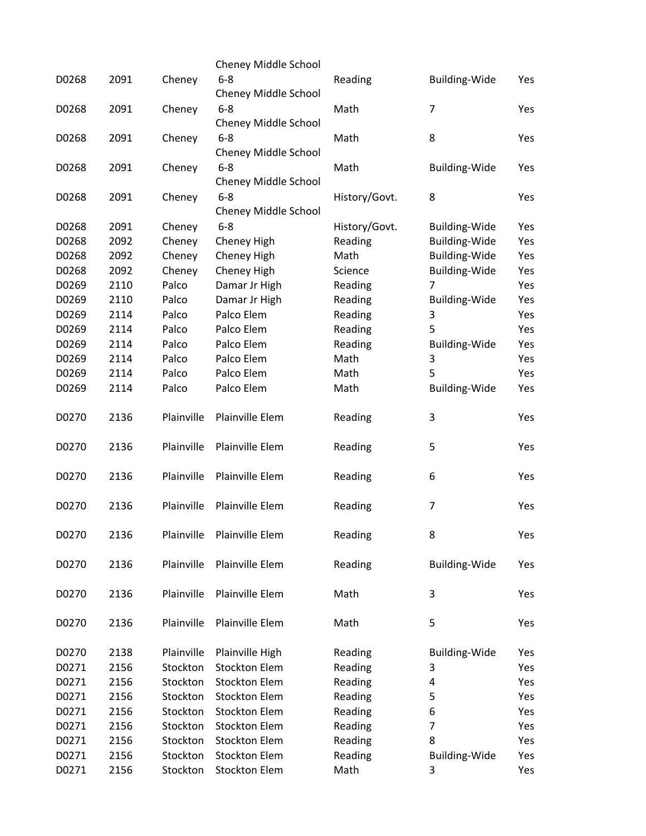|       |      |            | Cheney Middle School                   |               |                      |     |
|-------|------|------------|----------------------------------------|---------------|----------------------|-----|
| D0268 | 2091 | Cheney     | $6 - 8$                                | Reading       | Building-Wide        | Yes |
|       |      |            | Cheney Middle School                   |               |                      |     |
| D0268 | 2091 | Cheney     | $6 - 8$<br><b>Cheney Middle School</b> | Math          | $\overline{7}$       | Yes |
| D0268 | 2091 | Cheney     | $6 - 8$                                | Math          | 8                    | Yes |
|       |      |            | Cheney Middle School                   |               |                      |     |
| D0268 | 2091 | Cheney     | $6 - 8$<br>Cheney Middle School        | Math          | Building-Wide        | Yes |
| D0268 | 2091 | Cheney     | $6 - 8$                                | History/Govt. | 8                    | Yes |
|       |      |            | Cheney Middle School                   |               |                      |     |
| D0268 | 2091 | Cheney     | $6 - 8$                                | History/Govt. | <b>Building-Wide</b> | Yes |
| D0268 | 2092 | Cheney     | Cheney High                            | Reading       | <b>Building-Wide</b> | Yes |
| D0268 | 2092 | Cheney     | Cheney High                            | Math          | Building-Wide        | Yes |
| D0268 | 2092 | Cheney     | Cheney High                            | Science       | Building-Wide        | Yes |
| D0269 | 2110 | Palco      | Damar Jr High                          | Reading       | 7                    | Yes |
| D0269 | 2110 | Palco      | Damar Jr High                          | Reading       | <b>Building-Wide</b> | Yes |
| D0269 | 2114 | Palco      | Palco Elem                             | Reading       | 3                    | Yes |
| D0269 | 2114 | Palco      | Palco Elem                             | Reading       | 5                    | Yes |
| D0269 | 2114 | Palco      | Palco Elem                             | Reading       | Building-Wide        | Yes |
| D0269 | 2114 | Palco      | Palco Elem                             | Math          | 3                    | Yes |
| D0269 | 2114 | Palco      | Palco Elem                             | Math          | 5                    | Yes |
| D0269 | 2114 | Palco      | Palco Elem                             | Math          | <b>Building-Wide</b> | Yes |
|       |      |            |                                        |               |                      |     |
| D0270 | 2136 | Plainville | Plainville Elem                        | Reading       | 3                    | Yes |
| D0270 | 2136 | Plainville | Plainville Elem                        | Reading       | 5                    | Yes |
| D0270 | 2136 | Plainville | Plainville Elem                        | Reading       | 6                    | Yes |
| D0270 | 2136 | Plainville | Plainville Elem                        | Reading       | 7                    | Yes |
| D0270 | 2136 | Plainville | Plainville Elem                        | Reading       | 8                    | Yes |
| D0270 | 2136 | Plainville | Plainville Elem                        | Reading       | <b>Building-Wide</b> | Yes |
| D0270 | 2136 | Plainville | Plainville Elem                        | Math          | 3                    | Yes |
| D0270 | 2136 | Plainville | Plainville Elem                        | Math          | 5                    | Yes |
| D0270 | 2138 | Plainville | Plainville High                        | Reading       | <b>Building-Wide</b> | Yes |
| D0271 | 2156 | Stockton   | <b>Stockton Elem</b>                   | Reading       | 3                    | Yes |
| D0271 | 2156 | Stockton   | <b>Stockton Elem</b>                   | Reading       | 4                    | Yes |
| D0271 | 2156 | Stockton   | <b>Stockton Elem</b>                   | Reading       | 5                    | Yes |
| D0271 | 2156 | Stockton   | <b>Stockton Elem</b>                   | Reading       | 6                    | Yes |
| D0271 | 2156 | Stockton   | <b>Stockton Elem</b>                   | Reading       | $\overline{7}$       | Yes |
| D0271 | 2156 | Stockton   | <b>Stockton Elem</b>                   | Reading       | 8                    | Yes |
| D0271 | 2156 | Stockton   | <b>Stockton Elem</b>                   | Reading       | <b>Building-Wide</b> | Yes |
| D0271 | 2156 | Stockton   | <b>Stockton Elem</b>                   | Math          | 3                    | Yes |
|       |      |            |                                        |               |                      |     |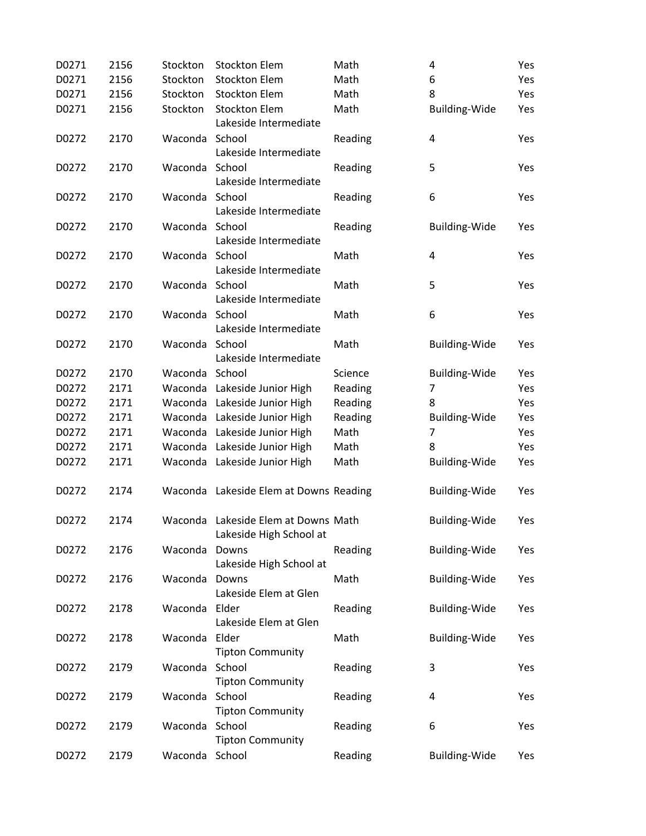| D0271 | 2156 | Stockton       | <b>Stockton Elem</b>                                           | Math    | 4                       | Yes |
|-------|------|----------------|----------------------------------------------------------------|---------|-------------------------|-----|
| D0271 | 2156 | Stockton       | <b>Stockton Elem</b>                                           | Math    | 6                       | Yes |
| D0271 | 2156 | Stockton       | <b>Stockton Elem</b>                                           | Math    | 8                       | Yes |
| D0271 | 2156 | Stockton       | <b>Stockton Elem</b><br>Lakeside Intermediate                  | Math    | <b>Building-Wide</b>    | Yes |
| D0272 | 2170 | Waconda        | School<br>Lakeside Intermediate                                | Reading | $\overline{\mathbf{4}}$ | Yes |
| D0272 | 2170 | Waconda        | School<br>Lakeside Intermediate                                | Reading | 5                       | Yes |
| D0272 | 2170 | Waconda School | Lakeside Intermediate                                          | Reading | 6                       | Yes |
| D0272 | 2170 | Waconda School | Lakeside Intermediate                                          | Reading | <b>Building-Wide</b>    | Yes |
| D0272 | 2170 | Waconda School | Lakeside Intermediate                                          | Math    | $\overline{\mathbf{4}}$ | Yes |
| D0272 | 2170 | Waconda School | Lakeside Intermediate                                          | Math    | 5                       | Yes |
| D0272 | 2170 | Waconda School | Lakeside Intermediate                                          | Math    | 6                       | Yes |
| D0272 | 2170 | Waconda        | School<br>Lakeside Intermediate                                | Math    | <b>Building-Wide</b>    | Yes |
| D0272 | 2170 | Waconda School |                                                                | Science | <b>Building-Wide</b>    | Yes |
| D0272 | 2171 |                | Waconda Lakeside Junior High                                   | Reading | $\overline{7}$          | Yes |
| D0272 | 2171 |                | Waconda Lakeside Junior High                                   | Reading | 8                       | Yes |
| D0272 | 2171 |                | Waconda Lakeside Junior High                                   | Reading | <b>Building-Wide</b>    | Yes |
| D0272 | 2171 |                | Waconda Lakeside Junior High                                   | Math    | 7                       | Yes |
| D0272 | 2171 |                | Waconda Lakeside Junior High                                   | Math    | 8                       | Yes |
| D0272 | 2171 |                | Waconda Lakeside Junior High                                   | Math    | <b>Building-Wide</b>    | Yes |
| D0272 | 2174 |                | Waconda Lakeside Elem at Downs Reading                         |         | <b>Building-Wide</b>    | Yes |
| D0272 | 2174 |                | Waconda Lakeside Elem at Downs Math<br>Lakeside High School at |         | <b>Building-Wide</b>    | Yes |
| D0272 | 2176 | Waconda        | Downs<br>Lakeside High School at                               | Reading | <b>Building-Wide</b>    | Yes |
| D0272 | 2176 | Waconda        | Downs<br>Lakeside Elem at Glen                                 | Math    | <b>Building-Wide</b>    | Yes |
| D0272 | 2178 | Waconda Elder  | Lakeside Elem at Glen                                          | Reading | <b>Building-Wide</b>    | Yes |
| D0272 | 2178 | Waconda Elder  | <b>Tipton Community</b>                                        | Math    | <b>Building-Wide</b>    | Yes |
| D0272 | 2179 | Waconda        | School<br><b>Tipton Community</b>                              | Reading | 3                       | Yes |
| D0272 | 2179 | Waconda        | School<br><b>Tipton Community</b>                              | Reading | 4                       | Yes |
| D0272 | 2179 | Waconda School | <b>Tipton Community</b>                                        | Reading | 6                       | Yes |
| D0272 | 2179 | Waconda School |                                                                | Reading | <b>Building-Wide</b>    | Yes |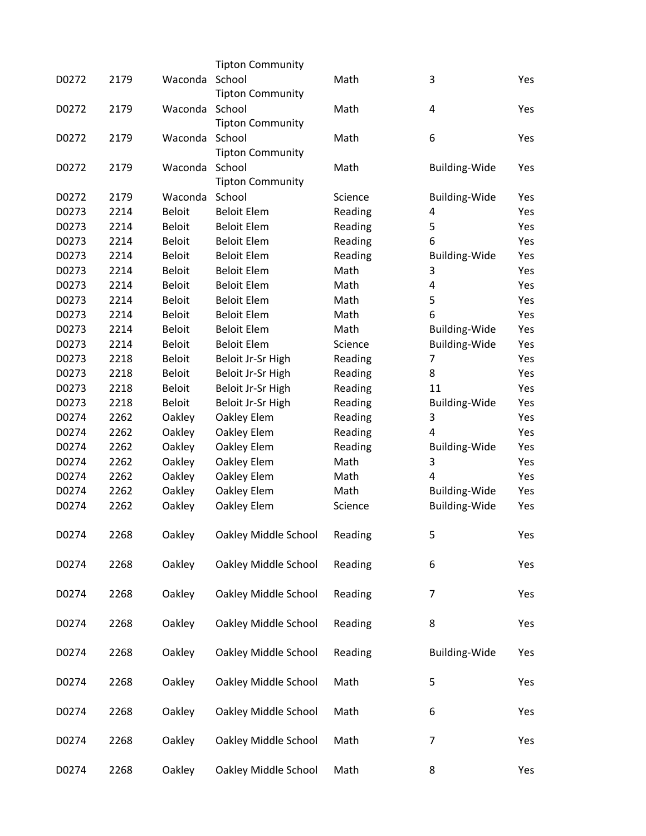|       |      |               | <b>Tipton Community</b> |         |                           |     |
|-------|------|---------------|-------------------------|---------|---------------------------|-----|
| D0272 | 2179 | Waconda       | School                  | Math    | 3                         | Yes |
|       |      |               | <b>Tipton Community</b> |         |                           |     |
| D0272 | 2179 | Waconda       | School                  | Math    | 4                         | Yes |
|       |      |               | <b>Tipton Community</b> |         |                           |     |
| D0272 | 2179 | Waconda       | School                  | Math    | 6                         | Yes |
|       |      |               | <b>Tipton Community</b> |         |                           |     |
| D0272 | 2179 | Waconda       | School                  | Math    | <b>Building-Wide</b>      | Yes |
|       |      |               | <b>Tipton Community</b> |         |                           |     |
| D0272 | 2179 | Waconda       | School                  | Science | <b>Building-Wide</b>      | Yes |
| D0273 | 2214 | <b>Beloit</b> | <b>Beloit Elem</b>      | Reading | 4                         | Yes |
| D0273 | 2214 | <b>Beloit</b> | <b>Beloit Elem</b>      | Reading | 5                         | Yes |
| D0273 | 2214 | <b>Beloit</b> | <b>Beloit Elem</b>      | Reading | 6                         | Yes |
| D0273 | 2214 | <b>Beloit</b> | <b>Beloit Elem</b>      | Reading | <b>Building-Wide</b>      | Yes |
| D0273 | 2214 | <b>Beloit</b> | <b>Beloit Elem</b>      | Math    | 3                         | Yes |
| D0273 | 2214 | <b>Beloit</b> | <b>Beloit Elem</b>      | Math    | 4                         | Yes |
| D0273 | 2214 | <b>Beloit</b> | <b>Beloit Elem</b>      | Math    | 5                         | Yes |
| D0273 | 2214 | <b>Beloit</b> | <b>Beloit Elem</b>      | Math    | 6                         | Yes |
| D0273 | 2214 | <b>Beloit</b> | <b>Beloit Elem</b>      | Math    | <b>Building-Wide</b>      | Yes |
| D0273 | 2214 | <b>Beloit</b> | <b>Beloit Elem</b>      | Science | Building-Wide             | Yes |
| D0273 | 2218 | <b>Beloit</b> | Beloit Jr-Sr High       | Reading | 7                         | Yes |
| D0273 | 2218 | Beloit        | Beloit Jr-Sr High       | Reading | 8                         | Yes |
| D0273 | 2218 | <b>Beloit</b> | Beloit Jr-Sr High       | Reading | 11                        | Yes |
| D0273 | 2218 | <b>Beloit</b> | Beloit Jr-Sr High       |         |                           | Yes |
| D0274 | 2262 |               |                         | Reading | <b>Building-Wide</b><br>3 | Yes |
|       | 2262 | Oakley        | Oakley Elem             | Reading | 4                         | Yes |
| D0274 |      | Oakley        | Oakley Elem             | Reading |                           |     |
| D0274 | 2262 | Oakley        | Oakley Elem             | Reading | <b>Building-Wide</b>      | Yes |
| D0274 | 2262 | Oakley        | Oakley Elem             | Math    | 3                         | Yes |
| D0274 | 2262 | Oakley        | Oakley Elem             | Math    | 4                         | Yes |
| D0274 | 2262 | Oakley        | Oakley Elem             | Math    | Building-Wide             | Yes |
| D0274 | 2262 | Oakley        | Oakley Elem             | Science | Building-Wide             | Yes |
| D0274 | 2268 | Oakley        | Oakley Middle School    | Reading | 5                         | Yes |
| D0274 | 2268 | Oakley        | Oakley Middle School    | Reading | 6                         | Yes |
| D0274 | 2268 | Oakley        | Oakley Middle School    | Reading | 7                         | Yes |
| D0274 | 2268 | Oakley        | Oakley Middle School    | Reading | 8                         | Yes |
| D0274 | 2268 | Oakley        | Oakley Middle School    | Reading | <b>Building-Wide</b>      | Yes |
| D0274 | 2268 | Oakley        | Oakley Middle School    | Math    | 5                         | Yes |
| D0274 | 2268 | Oakley        | Oakley Middle School    | Math    | 6                         | Yes |
| D0274 | 2268 | Oakley        | Oakley Middle School    | Math    | 7                         | Yes |
| D0274 | 2268 | Oakley        | Oakley Middle School    | Math    | 8                         | Yes |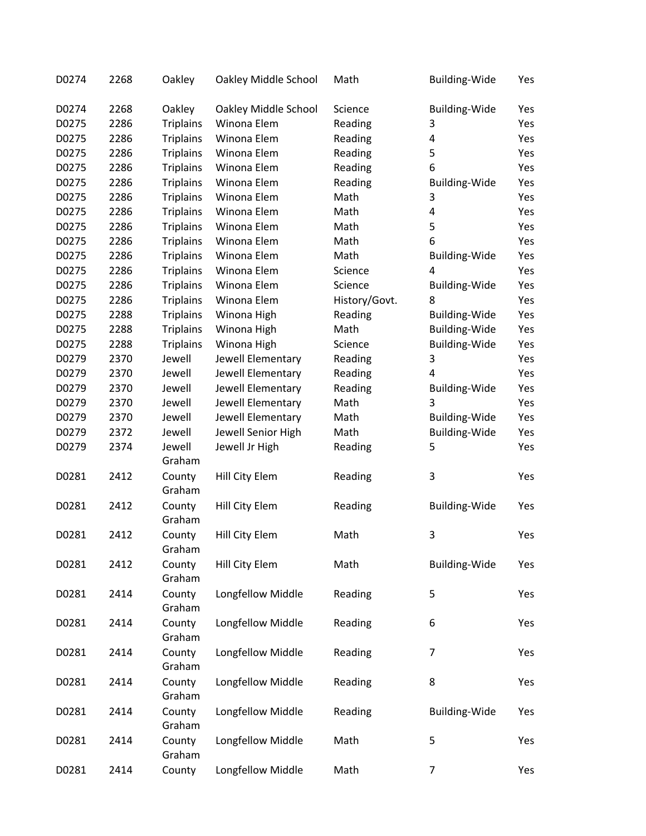| D0274 | 2268 | Oakley           | Oakley Middle School | Math          | Building-Wide        | Yes |
|-------|------|------------------|----------------------|---------------|----------------------|-----|
| D0274 | 2268 | Oakley           | Oakley Middle School | Science       | <b>Building-Wide</b> | Yes |
| D0275 | 2286 | <b>Triplains</b> | Winona Elem          | Reading       | 3                    | Yes |
| D0275 | 2286 | <b>Triplains</b> | Winona Elem          | Reading       | 4                    | Yes |
| D0275 | 2286 | <b>Triplains</b> | Winona Elem          | Reading       | 5                    | Yes |
| D0275 | 2286 | <b>Triplains</b> | Winona Elem          | Reading       | 6                    | Yes |
| D0275 | 2286 | <b>Triplains</b> | Winona Elem          | Reading       | <b>Building-Wide</b> | Yes |
| D0275 | 2286 | <b>Triplains</b> | Winona Elem          | Math          | 3                    | Yes |
| D0275 | 2286 | <b>Triplains</b> | Winona Elem          | Math          | $\overline{4}$       | Yes |
| D0275 | 2286 | <b>Triplains</b> | Winona Elem          | Math          | 5                    | Yes |
| D0275 | 2286 | <b>Triplains</b> | Winona Elem          | Math          | 6                    | Yes |
| D0275 | 2286 | <b>Triplains</b> | Winona Elem          | Math          | <b>Building-Wide</b> | Yes |
| D0275 | 2286 | <b>Triplains</b> | Winona Elem          | Science       | 4                    | Yes |
| D0275 | 2286 | <b>Triplains</b> | Winona Elem          | Science       | <b>Building-Wide</b> | Yes |
| D0275 | 2286 | <b>Triplains</b> | Winona Elem          | History/Govt. | 8                    | Yes |
| D0275 | 2288 | <b>Triplains</b> | Winona High          | Reading       | <b>Building-Wide</b> | Yes |
| D0275 | 2288 | <b>Triplains</b> | Winona High          | Math          | Building-Wide        | Yes |
| D0275 | 2288 | <b>Triplains</b> | Winona High          | Science       | Building-Wide        | Yes |
| D0279 | 2370 | Jewell           | Jewell Elementary    | Reading       | 3                    | Yes |
| D0279 | 2370 | Jewell           | Jewell Elementary    | Reading       | $\overline{4}$       | Yes |
| D0279 | 2370 | Jewell           | Jewell Elementary    | Reading       | <b>Building-Wide</b> | Yes |
| D0279 | 2370 | Jewell           | Jewell Elementary    | Math          | 3                    | Yes |
| D0279 | 2370 | Jewell           | Jewell Elementary    | Math          | <b>Building-Wide</b> | Yes |
| D0279 | 2372 | Jewell           | Jewell Senior High   | Math          | Building-Wide        | Yes |
| D0279 | 2374 | Jewell           | Jewell Jr High       | Reading       | 5                    | Yes |
|       |      | Graham           |                      |               |                      |     |
| D0281 | 2412 | County           | Hill City Elem       | Reading       | 3                    | Yes |
|       |      | Graham           |                      |               |                      |     |
| D0281 | 2412 | County           | Hill City Elem       | Reading       | Building-Wide        | Yes |
|       |      | Graham           |                      |               |                      |     |
| D0281 | 2412 | County           | Hill City Elem       | Math          | 3                    | Yes |
|       |      | Graham           |                      |               |                      |     |
| D0281 | 2412 | County           | Hill City Elem       | Math          | Building-Wide        | Yes |
|       |      | Graham           |                      |               |                      |     |
| D0281 | 2414 | County           | Longfellow Middle    | Reading       | 5                    | Yes |
|       |      | Graham           |                      |               |                      |     |
| D0281 | 2414 | County           | Longfellow Middle    | Reading       | 6                    | Yes |
|       |      | Graham           |                      |               |                      |     |
| D0281 | 2414 | County           | Longfellow Middle    | Reading       | 7                    | Yes |
|       |      | Graham           |                      |               |                      |     |
| D0281 | 2414 | County           | Longfellow Middle    | Reading       | 8                    | Yes |
|       |      | Graham           |                      |               |                      |     |
| D0281 | 2414 | County           | Longfellow Middle    | Reading       | Building-Wide        | Yes |
|       |      | Graham           |                      |               |                      |     |
| D0281 | 2414 | County           | Longfellow Middle    | Math          | 5                    | Yes |
|       |      | Graham           |                      |               |                      |     |
| D0281 | 2414 | County           | Longfellow Middle    | Math          | $\overline{7}$       | Yes |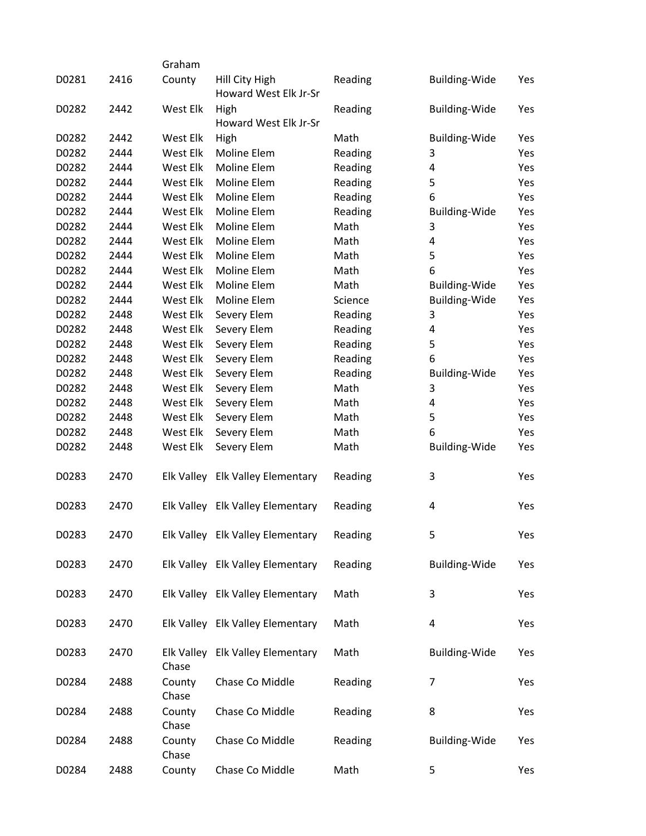|       |      | Graham              |                                         |         |                      |     |
|-------|------|---------------------|-----------------------------------------|---------|----------------------|-----|
| D0281 | 2416 | County              | Hill City High<br>Howard West Elk Jr-Sr | Reading | <b>Building-Wide</b> | Yes |
| D0282 | 2442 | West Elk            | High<br>Howard West Elk Jr-Sr           | Reading | <b>Building-Wide</b> | Yes |
| D0282 | 2442 | West Elk            | High                                    | Math    | <b>Building-Wide</b> | Yes |
| D0282 | 2444 | West Elk            | Moline Elem                             | Reading | 3                    | Yes |
| D0282 | 2444 | West Elk            | Moline Elem                             | Reading | 4                    | Yes |
| D0282 | 2444 | West Elk            | Moline Elem                             | Reading | 5                    | Yes |
| D0282 | 2444 | West Elk            | Moline Elem                             | Reading | 6                    | Yes |
| D0282 | 2444 | West Elk            | Moline Elem                             | Reading | <b>Building-Wide</b> | Yes |
| D0282 | 2444 | West Elk            | Moline Elem                             | Math    | 3                    | Yes |
| D0282 | 2444 | West Elk            | Moline Elem                             | Math    | 4                    | Yes |
| D0282 | 2444 | West Elk            | Moline Elem                             | Math    | 5                    | Yes |
| D0282 | 2444 | West Elk            | Moline Elem                             | Math    | 6                    | Yes |
| D0282 | 2444 | West Elk            | Moline Elem                             | Math    | <b>Building-Wide</b> | Yes |
| D0282 | 2444 | West Elk            | Moline Elem                             | Science | <b>Building-Wide</b> | Yes |
| D0282 | 2448 | West Elk            | Severy Elem                             | Reading | 3                    | Yes |
| D0282 | 2448 | West Elk            | Severy Elem                             | Reading | 4                    | Yes |
| D0282 | 2448 | West Elk            | Severy Elem                             | Reading | 5                    | Yes |
| D0282 | 2448 | West Elk            | Severy Elem                             | Reading | 6                    | Yes |
| D0282 | 2448 | West Elk            | Severy Elem                             | Reading | <b>Building-Wide</b> | Yes |
| D0282 | 2448 | West Elk            | Severy Elem                             | Math    | 3                    | Yes |
| D0282 | 2448 | West Elk            | Severy Elem                             | Math    | 4                    | Yes |
| D0282 | 2448 | West Elk            | Severy Elem                             | Math    | 5                    | Yes |
| D0282 | 2448 | West Elk            | Severy Elem                             | Math    | 6                    | Yes |
| D0282 | 2448 | West Elk            | Severy Elem                             | Math    | <b>Building-Wide</b> | Yes |
| D0283 | 2470 |                     | Elk Valley Elk Valley Elementary        | Reading | 3                    | Yes |
| D0283 | 2470 |                     | Elk Valley Elk Valley Elementary        | Reading | 4                    | Yes |
| D0283 | 2470 |                     | Elk Valley Elk Valley Elementary        | Reading | 5                    | Yes |
| D0283 | 2470 |                     | Elk Valley Elk Valley Elementary        | Reading | Building-Wide        | Yes |
| D0283 | 2470 |                     | Elk Valley Elk Valley Elementary        | Math    | 3                    | Yes |
| D0283 | 2470 |                     | Elk Valley Elk Valley Elementary        | Math    | 4                    | Yes |
| D0283 | 2470 | Elk Valley<br>Chase | <b>Elk Valley Elementary</b>            | Math    | Building-Wide        | Yes |
| D0284 | 2488 | County<br>Chase     | Chase Co Middle                         | Reading | 7                    | Yes |
| D0284 | 2488 | County<br>Chase     | Chase Co Middle                         | Reading | 8                    | Yes |
| D0284 | 2488 | County<br>Chase     | Chase Co Middle                         | Reading | <b>Building-Wide</b> | Yes |
| D0284 | 2488 | County              | Chase Co Middle                         | Math    | 5                    | Yes |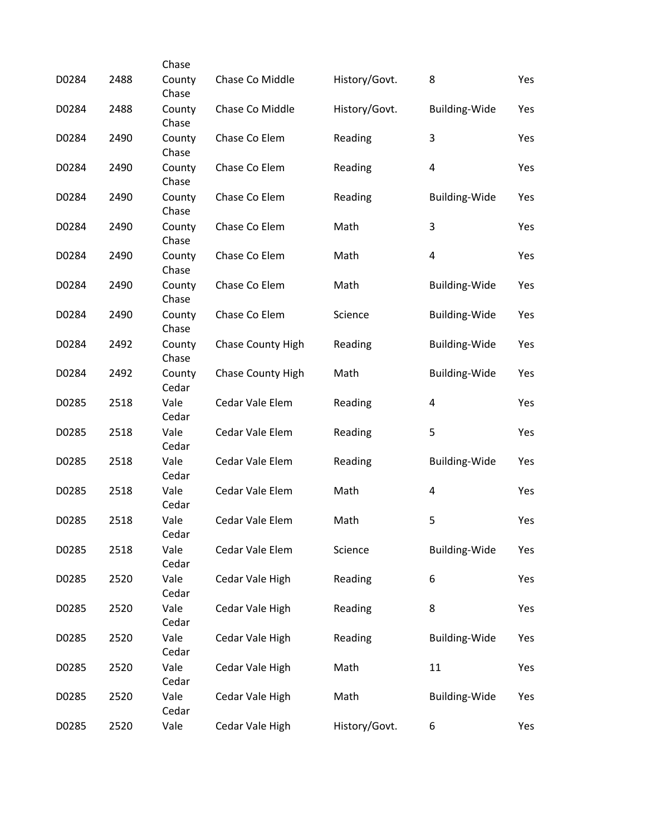|       |      | Chase           |                   |               |                         |     |
|-------|------|-----------------|-------------------|---------------|-------------------------|-----|
| D0284 | 2488 | County<br>Chase | Chase Co Middle   | History/Govt. | 8                       | Yes |
| D0284 | 2488 | County<br>Chase | Chase Co Middle   | History/Govt. | <b>Building-Wide</b>    | Yes |
| D0284 | 2490 | County<br>Chase | Chase Co Elem     | Reading       | 3                       | Yes |
| D0284 | 2490 | County<br>Chase | Chase Co Elem     | Reading       | $\overline{\mathbf{4}}$ | Yes |
| D0284 | 2490 | County<br>Chase | Chase Co Elem     | Reading       | <b>Building-Wide</b>    | Yes |
| D0284 | 2490 | County<br>Chase | Chase Co Elem     | Math          | 3                       | Yes |
| D0284 | 2490 | County<br>Chase | Chase Co Elem     | Math          | $\pmb{4}$               | Yes |
| D0284 | 2490 | County<br>Chase | Chase Co Elem     | Math          | <b>Building-Wide</b>    | Yes |
| D0284 | 2490 | County<br>Chase | Chase Co Elem     | Science       | <b>Building-Wide</b>    | Yes |
| D0284 | 2492 | County<br>Chase | Chase County High | Reading       | <b>Building-Wide</b>    | Yes |
| D0284 | 2492 | County<br>Cedar | Chase County High | Math          | <b>Building-Wide</b>    | Yes |
| D0285 | 2518 | Vale<br>Cedar   | Cedar Vale Elem   | Reading       | $\overline{\mathbf{4}}$ | Yes |
| D0285 | 2518 | Vale<br>Cedar   | Cedar Vale Elem   | Reading       | 5                       | Yes |
| D0285 | 2518 | Vale<br>Cedar   | Cedar Vale Elem   | Reading       | <b>Building-Wide</b>    | Yes |
| D0285 | 2518 | Vale<br>Cedar   | Cedar Vale Elem   | Math          | 4                       | Yes |
| D0285 | 2518 | Vale<br>Cedar   | Cedar Vale Elem   | Math          | 5                       | Yes |
| D0285 | 2518 | Vale<br>Cedar   | Cedar Vale Elem   | Science       | <b>Building-Wide</b>    | Yes |
| D0285 | 2520 | Vale<br>Cedar   | Cedar Vale High   | Reading       | 6                       | Yes |
| D0285 | 2520 | Vale<br>Cedar   | Cedar Vale High   | Reading       | 8                       | Yes |
| D0285 | 2520 | Vale<br>Cedar   | Cedar Vale High   | Reading       | <b>Building-Wide</b>    | Yes |
| D0285 | 2520 | Vale<br>Cedar   | Cedar Vale High   | Math          | 11                      | Yes |
| D0285 | 2520 | Vale<br>Cedar   | Cedar Vale High   | Math          | <b>Building-Wide</b>    | Yes |
| D0285 | 2520 | Vale            | Cedar Vale High   | History/Govt. | 6                       | Yes |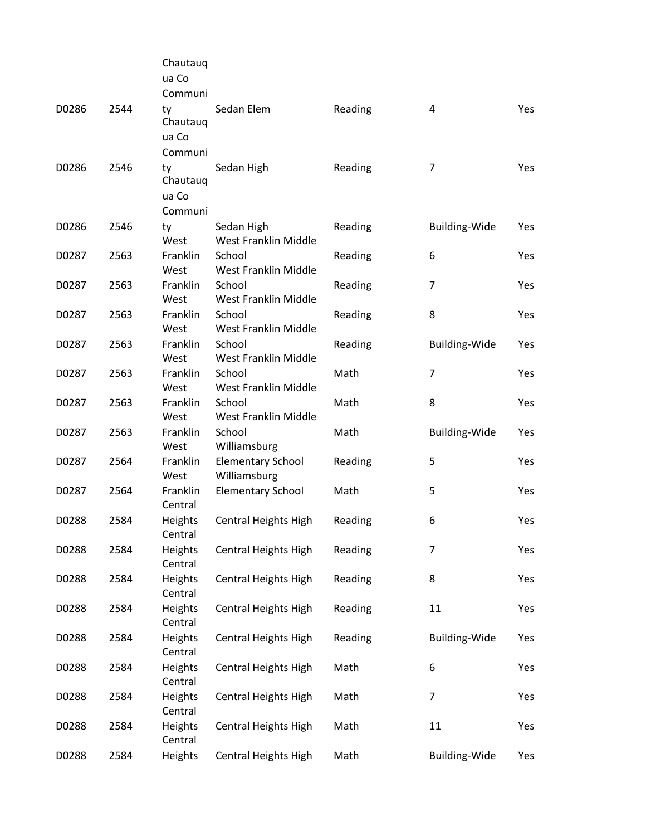|       |      | Chautauq<br>ua Co |                             |         |                      |     |
|-------|------|-------------------|-----------------------------|---------|----------------------|-----|
|       |      | Communi           |                             |         |                      |     |
| D0286 | 2544 | ty<br>Chautauq    | Sedan Elem                  | Reading | 4                    | Yes |
|       |      | ua Co             |                             |         |                      |     |
|       |      | Communi           |                             |         |                      |     |
| D0286 | 2546 | ty<br>Chautauq    | Sedan High                  | Reading | 7                    | Yes |
|       |      | ua Co             |                             |         |                      |     |
|       |      | Communi           |                             |         |                      |     |
| D0286 | 2546 | ty                | Sedan High                  | Reading | <b>Building-Wide</b> | Yes |
|       |      | West              | West Franklin Middle        |         |                      |     |
| D0287 | 2563 | Franklin          | School                      | Reading | 6                    | Yes |
|       |      | West              | West Franklin Middle        |         |                      |     |
| D0287 | 2563 | Franklin          | School                      | Reading | $\overline{7}$       | Yes |
|       |      | West              | West Franklin Middle        |         |                      |     |
| D0287 | 2563 | Franklin          | School                      | Reading | 8                    | Yes |
|       |      | West              | West Franklin Middle        |         |                      |     |
| D0287 | 2563 | Franklin          | School                      | Reading | <b>Building-Wide</b> | Yes |
|       |      | West              | West Franklin Middle        |         |                      |     |
| D0287 | 2563 | Franklin          | School                      | Math    | $\overline{7}$       | Yes |
|       |      | West              | West Franklin Middle        |         |                      |     |
| D0287 | 2563 | Franklin          | School                      | Math    | 8                    | Yes |
|       |      | West              | West Franklin Middle        |         |                      |     |
| D0287 | 2563 | Franklin          | School                      | Math    | <b>Building-Wide</b> | Yes |
|       |      | West              | Williamsburg                |         |                      |     |
| D0287 | 2564 | Franklin          | <b>Elementary School</b>    | Reading | 5                    | Yes |
|       |      | West              | Williamsburg                |         |                      |     |
| D0287 | 2564 | Franklin          | <b>Elementary School</b>    | Math    | 5                    | Yes |
|       |      | Central           |                             |         |                      |     |
| D0288 | 2584 | Heights           | Central Heights High        | Reading | 6                    | Yes |
|       |      | Central           |                             |         |                      |     |
| D0288 | 2584 | Heights           | Central Heights High        | Reading | $\overline{7}$       | Yes |
|       |      | Central           |                             |         |                      |     |
| D0288 | 2584 | Heights           | <b>Central Heights High</b> | Reading | 8                    | Yes |
|       |      | Central           |                             |         |                      |     |
| D0288 | 2584 | Heights           | <b>Central Heights High</b> | Reading | 11                   | Yes |
|       |      | Central           |                             |         |                      |     |
| D0288 | 2584 | Heights           | <b>Central Heights High</b> | Reading | <b>Building-Wide</b> | Yes |
|       |      | Central           |                             |         |                      |     |
| D0288 | 2584 | Heights           | <b>Central Heights High</b> | Math    | 6                    | Yes |
|       |      | Central           |                             |         |                      |     |
| D0288 | 2584 | Heights           | <b>Central Heights High</b> | Math    | $\overline{7}$       | Yes |
|       |      | Central           |                             |         |                      |     |
| D0288 | 2584 | Heights           | <b>Central Heights High</b> | Math    | 11                   | Yes |
|       |      | Central           |                             |         |                      |     |
| D0288 | 2584 | Heights           | Central Heights High        | Math    | <b>Building-Wide</b> | Yes |
|       |      |                   |                             |         |                      |     |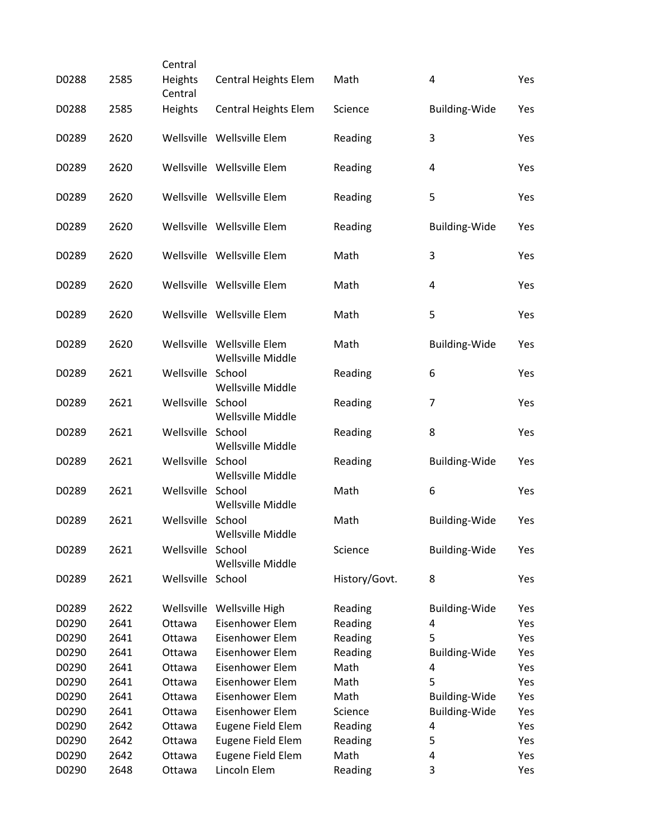|       |      | Central            |                                                 |               |                      |     |
|-------|------|--------------------|-------------------------------------------------|---------------|----------------------|-----|
| D0288 | 2585 | Heights<br>Central | Central Heights Elem                            | Math          | 4                    | Yes |
| D0288 | 2585 | Heights            | Central Heights Elem                            | Science       | <b>Building-Wide</b> | Yes |
| D0289 | 2620 |                    | Wellsville Wellsville Elem                      | Reading       | 3                    | Yes |
| D0289 | 2620 |                    | Wellsville Wellsville Elem                      | Reading       | 4                    | Yes |
| D0289 | 2620 |                    | Wellsville Wellsville Elem                      | Reading       | 5                    | Yes |
| D0289 | 2620 |                    | Wellsville Wellsville Elem                      | Reading       | <b>Building-Wide</b> | Yes |
| D0289 | 2620 |                    | Wellsville Wellsville Elem                      | Math          | 3                    | Yes |
| D0289 | 2620 |                    | Wellsville Wellsville Elem                      | Math          | 4                    | Yes |
| D0289 | 2620 |                    | Wellsville Wellsville Elem                      | Math          | 5                    | Yes |
| D0289 | 2620 |                    | Wellsville Wellsville Elem<br>Wellsville Middle | Math          | Building-Wide        | Yes |
| D0289 | 2621 | Wellsville School  | Wellsville Middle                               | Reading       | 6                    | Yes |
| D0289 | 2621 | Wellsville School  | Wellsville Middle                               | Reading       | $\overline{7}$       | Yes |
| D0289 | 2621 | Wellsville School  | Wellsville Middle                               | Reading       | 8                    | Yes |
| D0289 | 2621 | Wellsville School  | Wellsville Middle                               | Reading       | <b>Building-Wide</b> | Yes |
| D0289 | 2621 | Wellsville School  | Wellsville Middle                               | Math          | 6                    | Yes |
| D0289 | 2621 | Wellsville School  | Wellsville Middle                               | Math          | <b>Building-Wide</b> | Yes |
| D0289 | 2621 | Wellsville         | School<br>Wellsville Middle                     | Science       | <b>Building-Wide</b> | Yes |
| D0289 | 2621 | Wellsville School  |                                                 | History/Govt. | 8                    | Yes |
| D0289 | 2622 | Wellsville         | Wellsville High                                 | Reading       | Building-Wide        | Yes |
| D0290 | 2641 | Ottawa             | Eisenhower Elem                                 | Reading       | 4                    | Yes |
| D0290 | 2641 | Ottawa             | Eisenhower Elem                                 | Reading       | 5                    | Yes |
| D0290 | 2641 | Ottawa             | Eisenhower Elem                                 | Reading       | <b>Building-Wide</b> | Yes |
| D0290 | 2641 | Ottawa             | Eisenhower Elem                                 | Math          | 4                    | Yes |
| D0290 | 2641 | Ottawa             | Eisenhower Elem                                 | Math          | 5                    | Yes |
| D0290 | 2641 | Ottawa             | Eisenhower Elem                                 | Math          | <b>Building-Wide</b> | Yes |
| D0290 | 2641 | Ottawa             | Eisenhower Elem                                 | Science       | <b>Building-Wide</b> | Yes |
| D0290 | 2642 | Ottawa             | Eugene Field Elem                               | Reading       | 4                    | Yes |
| D0290 | 2642 | Ottawa             | Eugene Field Elem                               | Reading       | 5                    | Yes |
| D0290 | 2642 | Ottawa             | Eugene Field Elem                               | Math          | 4                    | Yes |
| D0290 | 2648 | Ottawa             | Lincoln Elem                                    | Reading       | 3                    | Yes |
|       |      |                    |                                                 |               |                      |     |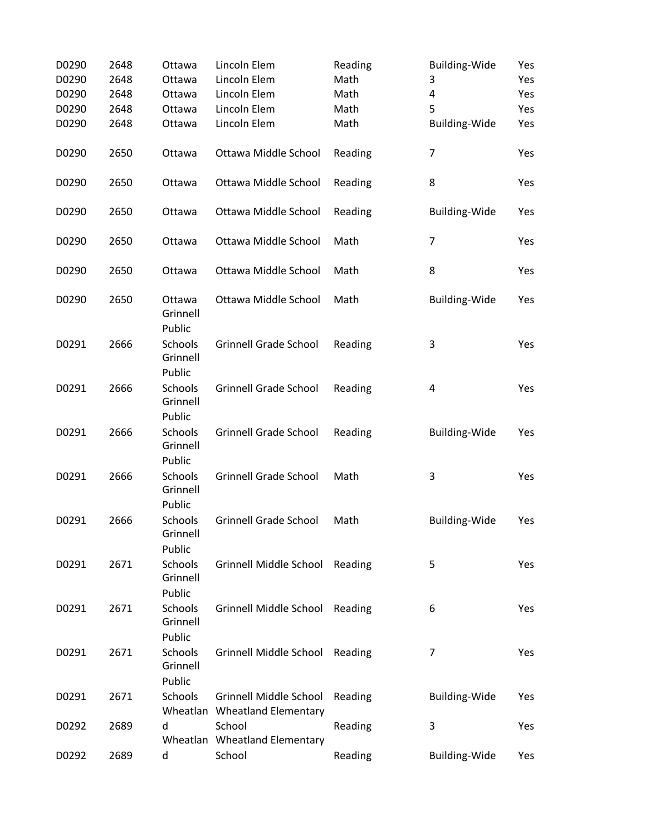| D0290 | 2648 | Ottawa                        | Lincoln Elem                                            | Reading | <b>Building-Wide</b> | Yes |
|-------|------|-------------------------------|---------------------------------------------------------|---------|----------------------|-----|
| D0290 | 2648 | Ottawa                        | Lincoln Elem                                            | Math    | 3                    | Yes |
| D0290 | 2648 | Ottawa                        | Lincoln Elem                                            | Math    | 4                    | Yes |
| D0290 | 2648 | Ottawa                        | Lincoln Elem                                            | Math    | 5                    | Yes |
| D0290 | 2648 | Ottawa                        | Lincoln Elem                                            | Math    | Building-Wide        | Yes |
| D0290 | 2650 | Ottawa                        | Ottawa Middle School                                    | Reading | 7                    | Yes |
| D0290 | 2650 | Ottawa                        | Ottawa Middle School                                    | Reading | 8                    | Yes |
| D0290 | 2650 | Ottawa                        | Ottawa Middle School                                    | Reading | <b>Building-Wide</b> | Yes |
| D0290 | 2650 | Ottawa                        | Ottawa Middle School                                    | Math    | $\overline{7}$       | Yes |
| D0290 | 2650 | Ottawa                        | Ottawa Middle School                                    | Math    | 8                    | Yes |
| D0290 | 2650 | Ottawa<br>Grinnell<br>Public  | Ottawa Middle School                                    | Math    | <b>Building-Wide</b> | Yes |
| D0291 | 2666 | Schools<br>Grinnell<br>Public | <b>Grinnell Grade School</b>                            | Reading | 3                    | Yes |
| D0291 | 2666 | Schools<br>Grinnell<br>Public | <b>Grinnell Grade School</b>                            | Reading | 4                    | Yes |
| D0291 | 2666 | Schools<br>Grinnell<br>Public | <b>Grinnell Grade School</b>                            | Reading | <b>Building-Wide</b> | Yes |
| D0291 | 2666 | Schools<br>Grinnell<br>Public | <b>Grinnell Grade School</b>                            | Math    | 3                    | Yes |
| D0291 | 2666 | Schools<br>Grinnell<br>Public | <b>Grinnell Grade School</b>                            | Math    | <b>Building-Wide</b> | Yes |
| D0291 | 2671 | Schools<br>Grinnell<br>Public | Grinnell Middle School Reading                          |         | 5                    | Yes |
| D0291 | 2671 | Schools<br>Grinnell<br>Public | Grinnell Middle School Reading                          |         | 6                    | Yes |
| D0291 | 2671 | Schools<br>Grinnell<br>Public | Grinnell Middle School Reading                          |         | 7                    | Yes |
| D0291 | 2671 | Schools                       | Grinnell Middle School<br>Wheatlan Wheatland Elementary | Reading | <b>Building-Wide</b> | Yes |
| D0292 | 2689 | d                             | School<br>Wheatlan Wheatland Elementary                 | Reading | 3                    | Yes |
| D0292 | 2689 | d                             | School                                                  | Reading | Building-Wide        | Yes |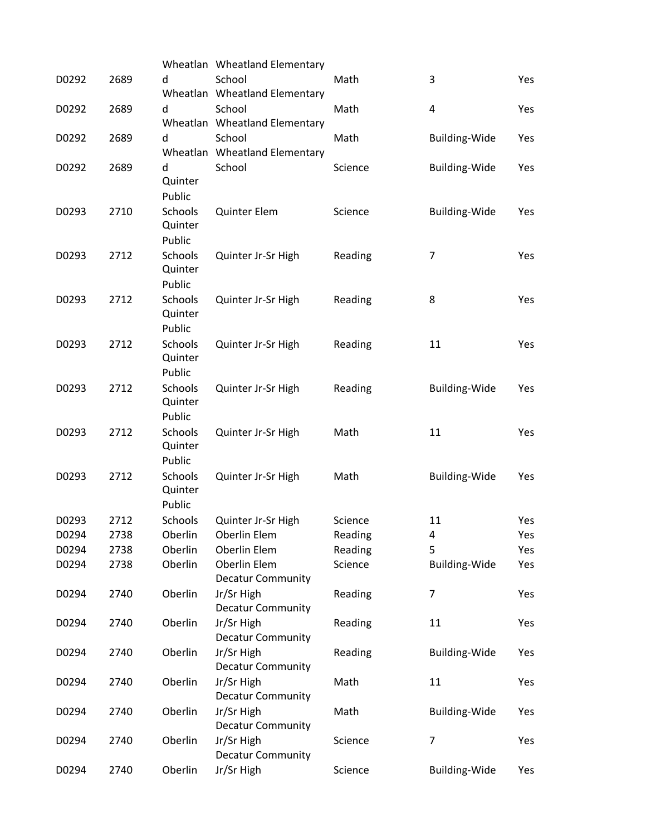|       |      |                    | Wheatlan Wheatland Elementary           |         |                      |     |
|-------|------|--------------------|-----------------------------------------|---------|----------------------|-----|
| D0292 | 2689 | d                  | School                                  | Math    | 3                    | Yes |
|       |      |                    | Wheatlan Wheatland Elementary           |         |                      |     |
| D0292 | 2689 | d                  | School                                  | Math    | 4                    | Yes |
|       |      |                    | Wheatlan Wheatland Elementary           |         |                      |     |
| D0292 | 2689 | d                  | School                                  | Math    | <b>Building-Wide</b> | Yes |
| D0292 | 2689 | d                  | Wheatlan Wheatland Elementary<br>School | Science |                      |     |
|       |      | Quinter            |                                         |         | <b>Building-Wide</b> | Yes |
|       |      | Public             |                                         |         |                      |     |
| D0293 | 2710 | Schools            | Quinter Elem                            | Science | <b>Building-Wide</b> | Yes |
|       |      | Quinter            |                                         |         |                      |     |
|       |      | Public             |                                         |         |                      |     |
| D0293 | 2712 | Schools            | Quinter Jr-Sr High                      | Reading | 7                    | Yes |
|       |      | Quinter            |                                         |         |                      |     |
|       |      | Public             |                                         |         |                      |     |
| D0293 | 2712 | Schools            | Quinter Jr-Sr High                      | Reading | 8                    | Yes |
|       |      | Quinter<br>Public  |                                         |         |                      |     |
| D0293 | 2712 | Schools            | Quinter Jr-Sr High                      | Reading | 11                   | Yes |
|       |      | Quinter            |                                         |         |                      |     |
|       |      | Public             |                                         |         |                      |     |
| D0293 | 2712 | Schools            | Quinter Jr-Sr High                      | Reading | <b>Building-Wide</b> | Yes |
|       |      | Quinter            |                                         |         |                      |     |
|       |      | Public             |                                         |         |                      |     |
| D0293 | 2712 | Schools            | Quinter Jr-Sr High                      | Math    | 11                   | Yes |
|       |      | Quinter            |                                         |         |                      |     |
|       |      | Public             |                                         |         |                      |     |
| D0293 | 2712 | Schools<br>Quinter | Quinter Jr-Sr High                      | Math    | <b>Building-Wide</b> | Yes |
|       |      | Public             |                                         |         |                      |     |
| D0293 | 2712 | Schools            | Quinter Jr-Sr High                      | Science | 11                   | Yes |
| D0294 | 2738 | Oberlin            | Oberlin Elem                            | Reading | 4                    | Yes |
| D0294 | 2738 | Oberlin            | Oberlin Elem                            | Reading | 5                    | Yes |
| D0294 | 2738 | Oberlin            | Oberlin Elem                            | Science | <b>Building-Wide</b> | Yes |
|       |      |                    | <b>Decatur Community</b>                |         |                      |     |
| D0294 | 2740 | Oberlin            | Jr/Sr High                              | Reading | 7                    | Yes |
|       |      |                    | <b>Decatur Community</b>                |         |                      |     |
| D0294 | 2740 | Oberlin            | Jr/Sr High                              | Reading | 11                   | Yes |
| D0294 | 2740 | Oberlin            | <b>Decatur Community</b><br>Jr/Sr High  | Reading | <b>Building-Wide</b> | Yes |
|       |      |                    | <b>Decatur Community</b>                |         |                      |     |
| D0294 | 2740 | Oberlin            | Jr/Sr High                              | Math    | 11                   | Yes |
|       |      |                    | <b>Decatur Community</b>                |         |                      |     |
| D0294 | 2740 | Oberlin            | Jr/Sr High                              | Math    | <b>Building-Wide</b> | Yes |
|       |      |                    | <b>Decatur Community</b>                |         |                      |     |
| D0294 | 2740 | Oberlin            | Jr/Sr High                              | Science | 7                    | Yes |
|       |      |                    | <b>Decatur Community</b>                |         |                      |     |
| D0294 | 2740 | Oberlin            | Jr/Sr High                              | Science | <b>Building-Wide</b> | Yes |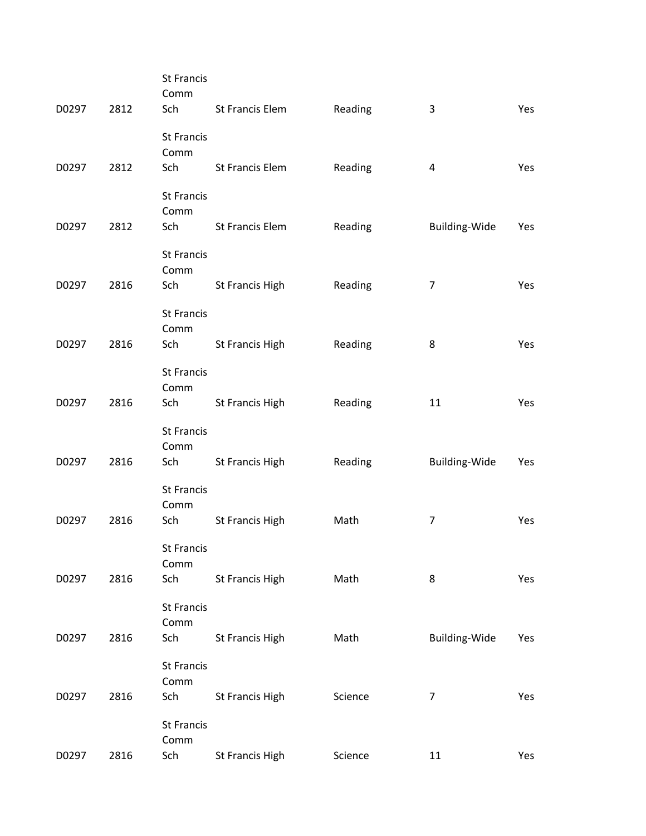| D0297 | 2812 | <b>St Francis</b><br>Comm<br>Sch | <b>St Francis Elem</b> | Reading | 3              | Yes |
|-------|------|----------------------------------|------------------------|---------|----------------|-----|
| D0297 | 2812 | <b>St Francis</b><br>Comm<br>Sch | <b>St Francis Elem</b> | Reading | 4              | Yes |
|       |      | <b>St Francis</b>                |                        |         |                |     |
|       |      | Comm                             |                        |         |                |     |
| D0297 | 2812 | Sch                              | St Francis Elem        | Reading | Building-Wide  | Yes |
|       |      | <b>St Francis</b><br>Comm        |                        |         |                |     |
| D0297 | 2816 | Sch                              | <b>St Francis High</b> | Reading | $\overline{7}$ | Yes |
|       |      | <b>St Francis</b><br>Comm        |                        |         |                |     |
| D0297 | 2816 | Sch                              | St Francis High        | Reading | 8              | Yes |
|       |      | <b>St Francis</b>                |                        |         |                |     |
| D0297 | 2816 | Comm<br>Sch                      | St Francis High        | Reading | 11             | Yes |
|       |      | <b>St Francis</b>                |                        |         |                |     |
| D0297 | 2816 | Comm<br>Sch                      | St Francis High        | Reading | Building-Wide  | Yes |
|       |      | <b>St Francis</b>                |                        |         |                |     |
|       |      | Comm                             |                        |         |                |     |
| D0297 | 2816 | Sch                              | <b>St Francis High</b> | Math    | $\overline{7}$ | Yes |
|       |      | <b>St Francis</b><br>Comm        |                        |         |                |     |
| D0297 | 2816 | Sch                              | St Francis High        | Math    | 8              | Yes |
|       |      | <b>St Francis</b>                |                        |         |                |     |
| D0297 | 2816 | Comm<br>Sch                      | St Francis High        | Math    | Building-Wide  | Yes |
|       |      | <b>St Francis</b>                |                        |         |                |     |
| D0297 | 2816 | Comm<br>Sch                      | St Francis High        | Science | $\overline{7}$ | Yes |
|       |      | <b>St Francis</b>                |                        |         |                |     |
|       |      | Comm                             |                        |         |                |     |
| D0297 | 2816 | Sch                              | St Francis High        | Science | 11             | Yes |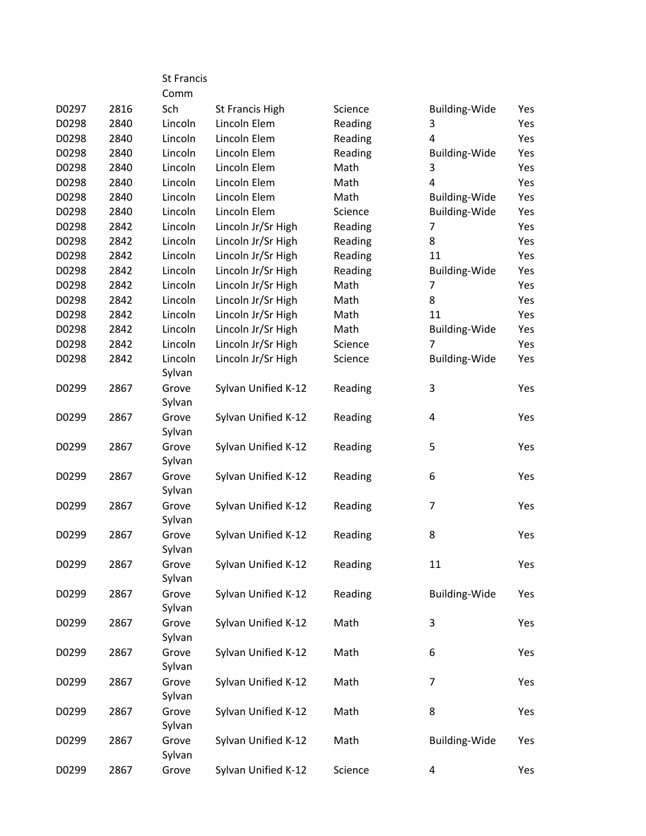|       |      | <b>St Francis</b> |                     |         |                      |     |
|-------|------|-------------------|---------------------|---------|----------------------|-----|
|       |      | Comm              |                     |         |                      |     |
| D0297 | 2816 | Sch               | St Francis High     | Science | <b>Building-Wide</b> | Yes |
| D0298 | 2840 | Lincoln           | Lincoln Elem        | Reading | 3                    | Yes |
| D0298 | 2840 | Lincoln           | Lincoln Elem        | Reading | 4                    | Yes |
| D0298 | 2840 | Lincoln           | Lincoln Elem        | Reading | <b>Building-Wide</b> | Yes |
| D0298 | 2840 | Lincoln           | Lincoln Elem        | Math    | 3                    | Yes |
| D0298 | 2840 | Lincoln           | Lincoln Elem        | Math    | 4                    | Yes |
| D0298 | 2840 | Lincoln           | Lincoln Elem        | Math    | <b>Building-Wide</b> | Yes |
| D0298 | 2840 | Lincoln           | Lincoln Elem        | Science | Building-Wide        | Yes |
| D0298 | 2842 | Lincoln           | Lincoln Jr/Sr High  | Reading | 7                    | Yes |
| D0298 | 2842 | Lincoln           | Lincoln Jr/Sr High  | Reading | 8                    | Yes |
| D0298 | 2842 | Lincoln           | Lincoln Jr/Sr High  | Reading | 11                   | Yes |
| D0298 | 2842 | Lincoln           | Lincoln Jr/Sr High  | Reading | <b>Building-Wide</b> | Yes |
| D0298 | 2842 | Lincoln           | Lincoln Jr/Sr High  | Math    | 7                    | Yes |
| D0298 | 2842 | Lincoln           | Lincoln Jr/Sr High  | Math    | 8                    | Yes |
| D0298 | 2842 | Lincoln           | Lincoln Jr/Sr High  | Math    | 11                   | Yes |
| D0298 | 2842 | Lincoln           | Lincoln Jr/Sr High  | Math    | <b>Building-Wide</b> | Yes |
| D0298 | 2842 | Lincoln           | Lincoln Jr/Sr High  | Science | $\overline{7}$       | Yes |
| D0298 | 2842 | Lincoln           | Lincoln Jr/Sr High  | Science | <b>Building-Wide</b> | Yes |
|       |      | Sylvan            |                     |         |                      |     |
| D0299 | 2867 | Grove             | Sylvan Unified K-12 | Reading | 3                    | Yes |
|       |      | Sylvan            |                     |         |                      |     |
| D0299 | 2867 | Grove             | Sylvan Unified K-12 | Reading | 4                    | Yes |
|       |      | Sylvan            |                     |         |                      |     |
| D0299 | 2867 | Grove             | Sylvan Unified K-12 | Reading | 5                    | Yes |
|       |      | Sylvan            |                     |         |                      |     |
| D0299 | 2867 | Grove             | Sylvan Unified K-12 | Reading | 6                    | Yes |
|       |      | Sylvan            |                     |         |                      |     |
| D0299 | 2867 | Grove             | Sylvan Unified K-12 | Reading | 7                    | Yes |
|       |      | Sylvan            |                     |         |                      |     |
| D0299 | 2867 | Grove             | Sylvan Unified K-12 | Reading | 8                    | Yes |
|       |      | Sylvan            |                     |         |                      |     |
| D0299 | 2867 | Grove             | Sylvan Unified K-12 | Reading | 11                   | Yes |
|       |      | Sylvan            |                     |         |                      |     |
| D0299 | 2867 | Grove             | Sylvan Unified K-12 | Reading | Building-Wide        | Yes |
|       |      | Sylvan            |                     |         |                      |     |
| D0299 | 2867 | Grove             | Sylvan Unified K-12 | Math    | 3                    | Yes |
|       |      | Sylvan            |                     |         |                      |     |
| D0299 | 2867 | Grove             | Sylvan Unified K-12 | Math    | 6                    | Yes |
|       |      | Sylvan            |                     |         |                      |     |
| D0299 | 2867 | Grove             | Sylvan Unified K-12 | Math    | $\overline{7}$       | Yes |
|       |      | Sylvan            |                     |         |                      |     |
| D0299 | 2867 | Grove             | Sylvan Unified K-12 | Math    | 8                    | Yes |
|       |      | Sylvan            |                     |         |                      |     |
| D0299 | 2867 | Grove             | Sylvan Unified K-12 | Math    | Building-Wide        | Yes |
|       |      | Sylvan            |                     |         |                      |     |
| D0299 | 2867 | Grove             | Sylvan Unified K-12 | Science | 4                    | Yes |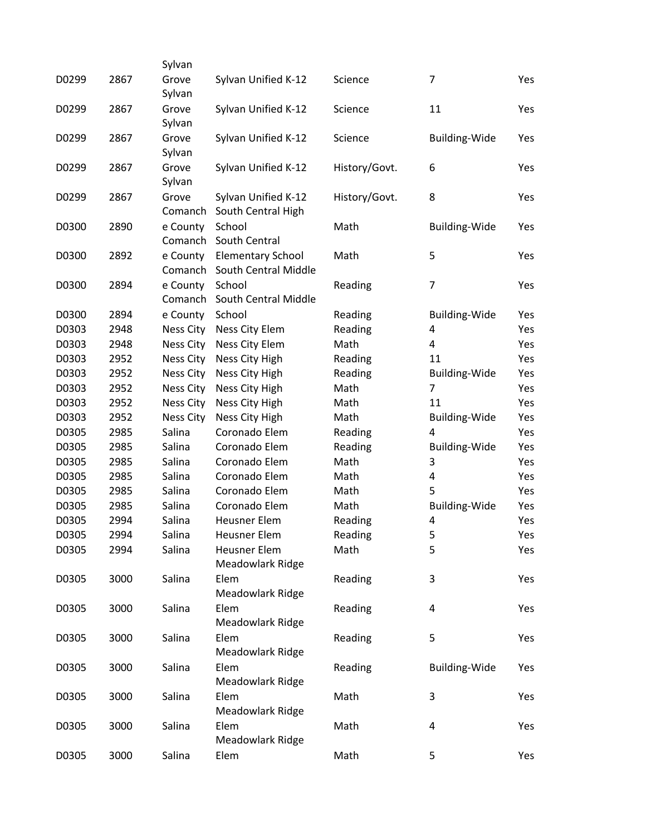| D0299 | 2867 | Sylvan<br>Grove<br>Sylvan | Sylvan Unified K-12                              | Science       | 7                    | Yes |
|-------|------|---------------------------|--------------------------------------------------|---------------|----------------------|-----|
| D0299 | 2867 | Grove<br>Sylvan           | Sylvan Unified K-12                              | Science       | 11                   | Yes |
| D0299 | 2867 | Grove<br>Sylvan           | Sylvan Unified K-12                              | Science       | <b>Building-Wide</b> | Yes |
| D0299 | 2867 | Grove<br>Sylvan           | Sylvan Unified K-12                              | History/Govt. | 6                    | Yes |
| D0299 | 2867 | Grove<br>Comanch          | Sylvan Unified K-12<br>South Central High        | History/Govt. | 8                    | Yes |
| D0300 | 2890 | e County<br>Comanch       | School<br>South Central                          | Math          | <b>Building-Wide</b> | Yes |
| D0300 | 2892 | e County<br>Comanch       | <b>Elementary School</b><br>South Central Middle | Math          | 5                    | Yes |
| D0300 | 2894 | e County<br>Comanch       | School<br>South Central Middle                   | Reading       | 7                    | Yes |
| D0300 | 2894 | e County                  | School                                           | Reading       | <b>Building-Wide</b> | Yes |
| D0303 | 2948 | Ness City                 | <b>Ness City Elem</b>                            | Reading       | 4                    | Yes |
| D0303 | 2948 | Ness City                 | Ness City Elem                                   | Math          | 4                    | Yes |
| D0303 | 2952 | <b>Ness City</b>          | Ness City High                                   | Reading       | 11                   | Yes |
| D0303 | 2952 | <b>Ness City</b>          | Ness City High                                   | Reading       | Building-Wide        | Yes |
| D0303 | 2952 | <b>Ness City</b>          | Ness City High                                   | Math          | $\overline{7}$       | Yes |
| D0303 | 2952 | Ness City                 | Ness City High                                   | Math          | 11                   | Yes |
| D0303 | 2952 | <b>Ness City</b>          | Ness City High                                   | Math          | <b>Building-Wide</b> | Yes |
| D0305 | 2985 | Salina                    | Coronado Elem                                    | Reading       | $\overline{a}$       | Yes |
| D0305 | 2985 | Salina                    | Coronado Elem                                    | Reading       | <b>Building-Wide</b> | Yes |
| D0305 | 2985 | Salina                    | Coronado Elem                                    | Math          | 3                    | Yes |
| D0305 | 2985 | Salina                    | Coronado Elem                                    | Math          | 4                    | Yes |
| D0305 | 2985 | Salina                    | Coronado Elem                                    | Math          | 5                    | Yes |
| D0305 | 2985 | Salina                    | Coronado Elem                                    | Math          | <b>Building-Wide</b> | Yes |
| D0305 | 2994 | Salina                    | <b>Heusner Elem</b>                              | Reading       | 4                    | Yes |
| D0305 | 2994 | Salina                    | <b>Heusner Elem</b>                              | Reading       | 5                    | Yes |
| D0305 | 2994 | Salina                    | <b>Heusner Elem</b><br>Meadowlark Ridge          | Math          | 5                    | Yes |
| D0305 | 3000 | Salina                    | Elem<br>Meadowlark Ridge                         | Reading       | 3                    | Yes |
| D0305 | 3000 | Salina                    | Elem<br>Meadowlark Ridge                         | Reading       | 4                    | Yes |
| D0305 | 3000 | Salina                    | Elem<br>Meadowlark Ridge                         | Reading       | 5                    | Yes |
| D0305 | 3000 | Salina                    | Elem<br>Meadowlark Ridge                         | Reading       | <b>Building-Wide</b> | Yes |
| D0305 | 3000 | Salina                    | Elem<br>Meadowlark Ridge                         | Math          | 3                    | Yes |
| D0305 | 3000 | Salina                    | Elem<br>Meadowlark Ridge                         | Math          | 4                    | Yes |
| D0305 | 3000 | Salina                    | Elem                                             | Math          | 5                    | Yes |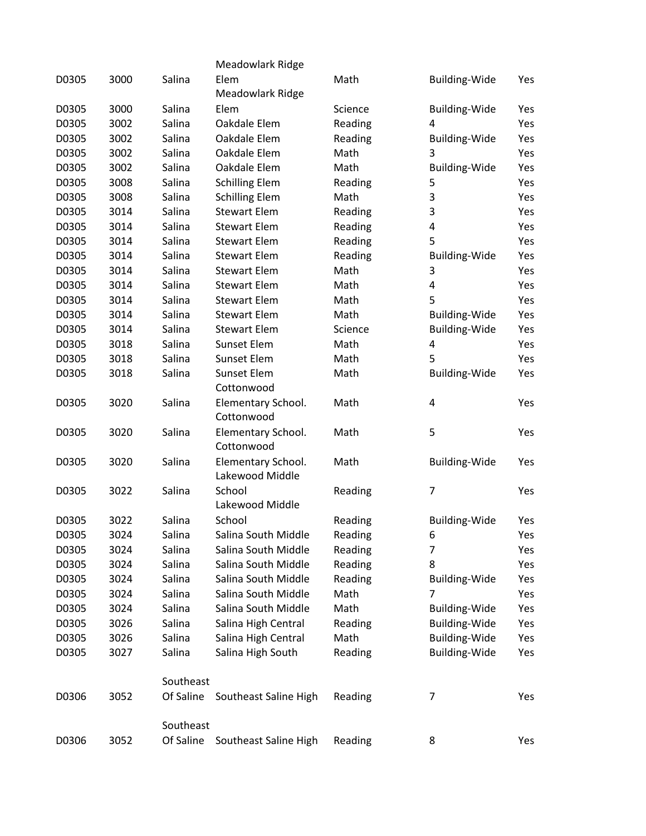|       |      |           | Meadowlark Ridge      |         |                      |     |
|-------|------|-----------|-----------------------|---------|----------------------|-----|
| D0305 | 3000 | Salina    | Elem                  | Math    | <b>Building-Wide</b> | Yes |
|       |      |           | Meadowlark Ridge      |         |                      |     |
| D0305 | 3000 | Salina    | Elem                  | Science | Building-Wide        | Yes |
| D0305 | 3002 | Salina    | Oakdale Elem          | Reading | 4                    | Yes |
| D0305 | 3002 | Salina    | Oakdale Elem          | Reading | <b>Building-Wide</b> | Yes |
| D0305 | 3002 | Salina    | Oakdale Elem          | Math    | 3                    | Yes |
| D0305 | 3002 | Salina    | Oakdale Elem          | Math    | <b>Building-Wide</b> | Yes |
| D0305 | 3008 | Salina    | <b>Schilling Elem</b> | Reading | 5                    | Yes |
| D0305 | 3008 | Salina    | <b>Schilling Elem</b> | Math    | 3                    | Yes |
| D0305 | 3014 | Salina    | <b>Stewart Elem</b>   | Reading | 3                    | Yes |
| D0305 | 3014 | Salina    | <b>Stewart Elem</b>   | Reading | 4                    | Yes |
| D0305 | 3014 | Salina    | <b>Stewart Elem</b>   | Reading | 5                    | Yes |
| D0305 | 3014 | Salina    | <b>Stewart Elem</b>   | Reading | Building-Wide        | Yes |
| D0305 | 3014 | Salina    | <b>Stewart Elem</b>   | Math    | 3                    | Yes |
| D0305 | 3014 | Salina    | <b>Stewart Elem</b>   | Math    | 4                    | Yes |
| D0305 | 3014 | Salina    | <b>Stewart Elem</b>   | Math    | 5                    | Yes |
| D0305 | 3014 | Salina    | <b>Stewart Elem</b>   | Math    | <b>Building-Wide</b> | Yes |
| D0305 | 3014 | Salina    | <b>Stewart Elem</b>   | Science | <b>Building-Wide</b> | Yes |
| D0305 | 3018 | Salina    | Sunset Elem           | Math    | 4                    | Yes |
| D0305 | 3018 | Salina    | <b>Sunset Elem</b>    | Math    | 5                    | Yes |
| D0305 | 3018 | Salina    | <b>Sunset Elem</b>    | Math    | <b>Building-Wide</b> | Yes |
|       |      |           | Cottonwood            |         |                      |     |
| D0305 | 3020 | Salina    | Elementary School.    | Math    | 4                    | Yes |
|       |      |           | Cottonwood            |         |                      |     |
| D0305 | 3020 | Salina    | Elementary School.    | Math    | 5                    | Yes |
|       |      |           | Cottonwood            |         |                      |     |
| D0305 | 3020 | Salina    | Elementary School.    | Math    | <b>Building-Wide</b> | Yes |
|       |      |           | Lakewood Middle       |         |                      |     |
| D0305 | 3022 | Salina    | School                | Reading | $\overline{7}$       | Yes |
|       |      |           | Lakewood Middle       |         |                      |     |
| D0305 | 3022 | Salina    | School                | Reading | <b>Building-Wide</b> | Yes |
| D0305 | 3024 | Salina    | Salina South Middle   | Reading | 6                    | Yes |
| D0305 | 3024 | Salina    | Salina South Middle   | Reading | $\overline{7}$       | Yes |
| D0305 | 3024 | Salina    | Salina South Middle   | Reading | 8                    | Yes |
| D0305 | 3024 | Salina    | Salina South Middle   | Reading | <b>Building-Wide</b> | Yes |
| D0305 | 3024 | Salina    | Salina South Middle   | Math    | 7                    | Yes |
| D0305 | 3024 | Salina    | Salina South Middle   | Math    | <b>Building-Wide</b> | Yes |
| D0305 | 3026 | Salina    | Salina High Central   | Reading | <b>Building-Wide</b> | Yes |
| D0305 | 3026 | Salina    | Salina High Central   | Math    | <b>Building-Wide</b> | Yes |
| D0305 | 3027 | Salina    | Salina High South     | Reading | <b>Building-Wide</b> | Yes |
|       |      | Southeast |                       |         |                      |     |
| D0306 | 3052 | Of Saline |                       | Reading | 7                    |     |
|       |      |           | Southeast Saline High |         |                      | Yes |
|       |      | Southeast |                       |         |                      |     |
| D0306 | 3052 | Of Saline | Southeast Saline High | Reading | 8                    | Yes |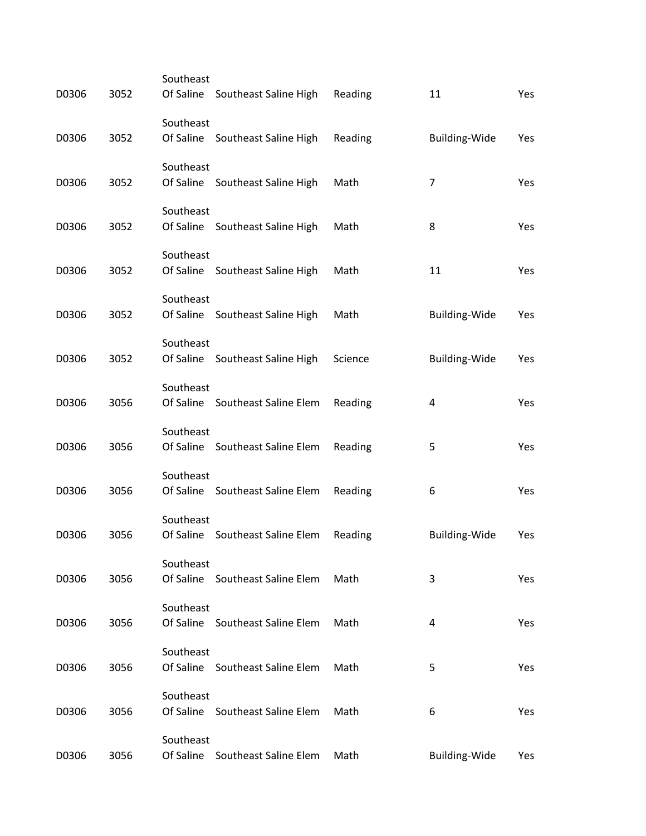| D0306 | 3052 | Southeast<br>Of Saline | Southeast Saline High           | Reading | 11                   | Yes |
|-------|------|------------------------|---------------------------------|---------|----------------------|-----|
|       |      | Southeast              |                                 |         |                      |     |
| D0306 | 3052 | Of Saline              | Southeast Saline High           | Reading | Building-Wide        | Yes |
|       |      | Southeast              |                                 |         |                      |     |
| D0306 | 3052 |                        | Of Saline Southeast Saline High | Math    | 7                    | Yes |
| D0306 | 3052 | Southeast              | Of Saline Southeast Saline High | Math    | 8                    | Yes |
|       |      |                        |                                 |         |                      |     |
| D0306 | 3052 | Southeast              | Of Saline Southeast Saline High | Math    | 11                   | Yes |
|       |      | Southeast              |                                 |         |                      |     |
| D0306 | 3052 |                        | Of Saline Southeast Saline High | Math    | Building-Wide        | Yes |
|       |      | Southeast              |                                 |         |                      |     |
| D0306 | 3052 |                        | Of Saline Southeast Saline High | Science | <b>Building-Wide</b> | Yes |
| D0306 | 3056 | Southeast              | Of Saline Southeast Saline Elem | Reading | 4                    | Yes |
|       |      | Southeast              |                                 |         |                      |     |
| D0306 | 3056 |                        | Of Saline Southeast Saline Elem | Reading | 5                    | Yes |
|       |      | Southeast              |                                 |         |                      |     |
| D0306 | 3056 |                        | Of Saline Southeast Saline Elem | Reading | 6                    | Yes |
| D0306 | 3056 | Southeast              | Of Saline Southeast Saline Elem | Reading | Building-Wide        | Yes |
|       |      | Southeast              |                                 |         |                      |     |
| D0306 | 3056 |                        | Of Saline Southeast Saline Elem | Math    | 3                    | Yes |
|       |      | Southeast              |                                 |         |                      |     |
| D0306 | 3056 |                        | Of Saline Southeast Saline Elem | Math    | 4                    | Yes |
| D0306 | 3056 | Southeast              | Of Saline Southeast Saline Elem | Math    | 5                    | Yes |
|       |      |                        |                                 |         |                      |     |
| D0306 | 3056 | Southeast              | Of Saline Southeast Saline Elem | Math    | 6                    | Yes |
|       |      | Southeast              |                                 |         |                      |     |
| D0306 | 3056 |                        | Of Saline Southeast Saline Elem | Math    | Building-Wide        | Yes |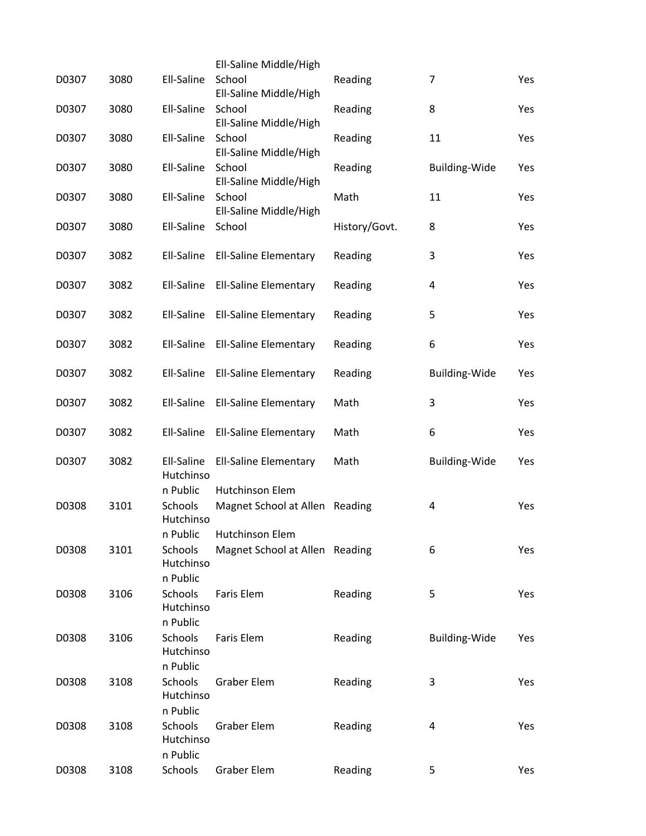|       |      |                                              | Ell-Saline Middle/High                            |               |                      |     |
|-------|------|----------------------------------------------|---------------------------------------------------|---------------|----------------------|-----|
| D0307 | 3080 | Ell-Saline                                   | School<br>Ell-Saline Middle/High                  | Reading       | 7                    | Yes |
| D0307 | 3080 | Ell-Saline                                   | School<br>Ell-Saline Middle/High                  | Reading       | 8                    | Yes |
| D0307 | 3080 | Ell-Saline                                   | School<br>Ell-Saline Middle/High                  | Reading       | 11                   | Yes |
| D0307 | 3080 | Ell-Saline                                   | School<br>Ell-Saline Middle/High                  | Reading       | <b>Building-Wide</b> | Yes |
| D0307 | 3080 | Ell-Saline                                   | School<br>Ell-Saline Middle/High                  | Math          | 11                   | Yes |
| D0307 | 3080 | Ell-Saline                                   | School                                            | History/Govt. | 8                    | Yes |
| D0307 | 3082 | Ell-Saline                                   | <b>Ell-Saline Elementary</b>                      | Reading       | 3                    | Yes |
| D0307 | 3082 | Ell-Saline                                   | <b>Ell-Saline Elementary</b>                      | Reading       | 4                    | Yes |
| D0307 | 3082 | Ell-Saline                                   | <b>Ell-Saline Elementary</b>                      | Reading       | 5                    | Yes |
| D0307 | 3082 | Ell-Saline                                   | <b>Ell-Saline Elementary</b>                      | Reading       | 6                    | Yes |
| D0307 | 3082 | Ell-Saline                                   | <b>Ell-Saline Elementary</b>                      | Reading       | Building-Wide        | Yes |
| D0307 | 3082 | Ell-Saline                                   | <b>Ell-Saline Elementary</b>                      | Math          | 3                    | Yes |
| D0307 | 3082 | Ell-Saline                                   | <b>Ell-Saline Elementary</b>                      | Math          | 6                    | Yes |
| D0307 | 3082 | Ell-Saline<br>Hutchinso                      | <b>Ell-Saline Elementary</b>                      | Math          | Building-Wide        | Yes |
| D0308 | 3101 | n Public<br>Schools<br>Hutchinso             | Hutchinson Elem<br>Magnet School at Allen Reading |               | 4                    | Yes |
| D0308 | 3101 | n Public<br>Schools<br>Hutchinso<br>n Public | Hutchinson Elem<br>Magnet School at Allen Reading |               | 6                    | Yes |
| D0308 | 3106 | <b>Schools</b><br>Hutchinso<br>n Public      | <b>Faris Elem</b>                                 | Reading       | 5                    | Yes |
| D0308 | 3106 | Schools<br>Hutchinso<br>n Public             | Faris Elem                                        | Reading       | <b>Building-Wide</b> | Yes |
| D0308 | 3108 | Schools<br>Hutchinso<br>n Public             | <b>Graber Elem</b>                                | Reading       | 3                    | Yes |
| D0308 | 3108 | Schools<br>Hutchinso<br>n Public             | <b>Graber Elem</b>                                | Reading       | 4                    | Yes |
| D0308 | 3108 | Schools                                      | <b>Graber Elem</b>                                | Reading       | 5                    | Yes |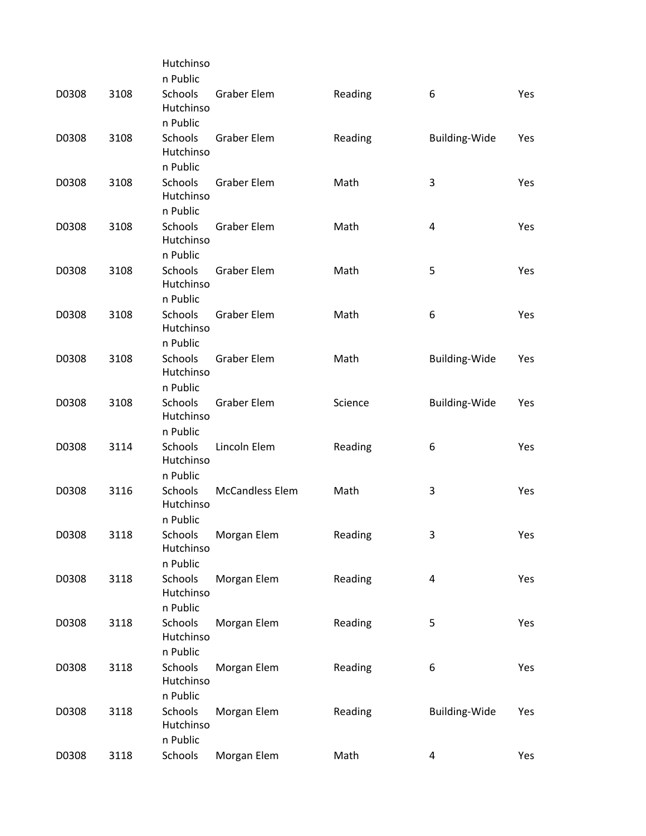|       |      | Hutchinso                        |                        |         |                      |     |
|-------|------|----------------------------------|------------------------|---------|----------------------|-----|
|       |      | n Public                         |                        |         |                      |     |
| D0308 | 3108 | Schools<br>Hutchinso             | <b>Graber Elem</b>     | Reading | 6                    | Yes |
|       |      | n Public                         |                        |         |                      |     |
| D0308 | 3108 | Schools<br>Hutchinso             | <b>Graber Elem</b>     | Reading | Building-Wide        | Yes |
|       |      | n Public                         |                        |         |                      |     |
| D0308 | 3108 | Schools<br>Hutchinso             | <b>Graber Elem</b>     | Math    | 3                    | Yes |
|       |      | n Public                         |                        |         |                      |     |
| D0308 | 3108 | Schools<br>Hutchinso<br>n Public | <b>Graber Elem</b>     | Math    | 4                    | Yes |
| D0308 | 3108 | Schools                          | <b>Graber Elem</b>     | Math    | 5                    | Yes |
|       |      | Hutchinso<br>n Public            |                        |         |                      |     |
| D0308 | 3108 | <b>Schools</b>                   | <b>Graber Elem</b>     | Math    | 6                    | Yes |
|       |      | Hutchinso                        |                        |         |                      |     |
|       |      | n Public                         |                        |         |                      |     |
| D0308 | 3108 | Schools<br>Hutchinso             | <b>Graber Elem</b>     | Math    | <b>Building-Wide</b> | Yes |
|       |      | n Public                         |                        |         |                      |     |
| D0308 | 3108 | Schools<br>Hutchinso             | <b>Graber Elem</b>     | Science | <b>Building-Wide</b> | Yes |
|       |      | n Public                         |                        |         |                      |     |
| D0308 | 3114 | Schools<br>Hutchinso             | Lincoln Elem           | Reading | 6                    | Yes |
|       |      | n Public                         |                        |         |                      |     |
| D0308 | 3116 | Schools<br>Hutchinso<br>n Public | <b>McCandless Elem</b> | Math    | 3                    | Yes |
| D0308 | 3118 | Schools                          |                        | Reading | 3                    | Yes |
|       |      | Hutchinso<br>n Public            | Morgan Elem            |         |                      |     |
| D0308 | 3118 | Schools                          | Morgan Elem            | Reading | 4                    | Yes |
|       |      | Hutchinso<br>n Public            |                        |         |                      |     |
| D0308 | 3118 | Schools                          | Morgan Elem            | Reading | 5                    | Yes |
|       |      | Hutchinso<br>n Public            |                        |         |                      |     |
| D0308 | 3118 | Schools                          | Morgan Elem            | Reading | 6                    | Yes |
|       |      | Hutchinso<br>n Public            |                        |         |                      |     |
| D0308 | 3118 | Schools                          | Morgan Elem            | Reading | <b>Building-Wide</b> | Yes |
|       |      | Hutchinso<br>n Public            |                        |         |                      |     |
| D0308 | 3118 | Schools                          | Morgan Elem            | Math    | 4                    | Yes |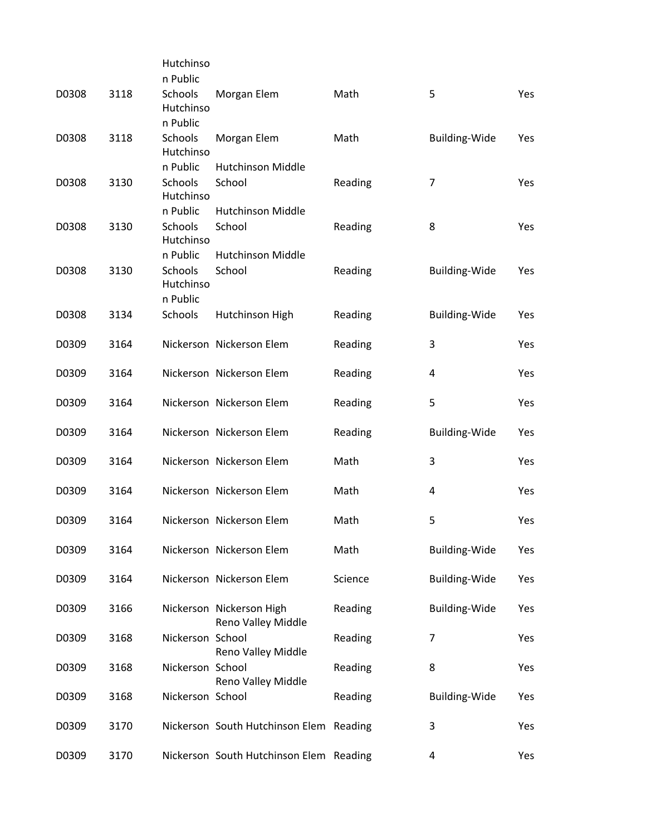|       |      | Hutchinso            |                                                |         |                      |     |
|-------|------|----------------------|------------------------------------------------|---------|----------------------|-----|
|       |      | n Public             |                                                |         |                      |     |
| D0308 | 3118 | Schools<br>Hutchinso | Morgan Elem                                    | Math    | 5                    | Yes |
|       |      | n Public             |                                                |         |                      |     |
| D0308 | 3118 | Schools<br>Hutchinso | Morgan Elem                                    | Math    | Building-Wide        | Yes |
|       |      | n Public             | <b>Hutchinson Middle</b>                       |         |                      |     |
| D0308 | 3130 | Schools<br>Hutchinso | School                                         | Reading | 7                    | Yes |
|       |      | n Public             | <b>Hutchinson Middle</b>                       |         |                      |     |
| D0308 | 3130 | Schools<br>Hutchinso | School                                         | Reading | 8                    | Yes |
|       |      | n Public             | <b>Hutchinson Middle</b>                       |         |                      |     |
| D0308 | 3130 | Schools<br>Hutchinso | School                                         | Reading | Building-Wide        | Yes |
|       |      | n Public             |                                                |         |                      |     |
| D0308 | 3134 | Schools              | Hutchinson High                                | Reading | Building-Wide        | Yes |
| D0309 | 3164 |                      | Nickerson Nickerson Elem                       | Reading | 3                    | Yes |
| D0309 | 3164 |                      | Nickerson Nickerson Elem                       | Reading | 4                    | Yes |
| D0309 | 3164 |                      | Nickerson Nickerson Elem                       | Reading | 5                    | Yes |
| D0309 | 3164 |                      | Nickerson Nickerson Elem                       | Reading | Building-Wide        | Yes |
| D0309 | 3164 |                      | Nickerson Nickerson Elem                       | Math    | 3                    | Yes |
| D0309 | 3164 |                      | Nickerson Nickerson Elem                       | Math    | 4                    | Yes |
| D0309 | 3164 |                      | Nickerson Nickerson Elem                       | Math    | 5                    | Yes |
| D0309 | 3164 |                      | Nickerson Nickerson Elem                       | Math    | <b>Building-Wide</b> | Yes |
| D0309 | 3164 |                      | Nickerson Nickerson Elem                       | Science | <b>Building-Wide</b> | Yes |
| D0309 | 3166 |                      | Nickerson Nickerson High<br>Reno Valley Middle | Reading | Building-Wide        | Yes |
| D0309 | 3168 | Nickerson School     | Reno Valley Middle                             | Reading | 7                    | Yes |
| D0309 | 3168 | Nickerson School     | Reno Valley Middle                             | Reading | 8                    | Yes |
| D0309 | 3168 | Nickerson School     |                                                | Reading | <b>Building-Wide</b> | Yes |
| D0309 | 3170 |                      | Nickerson South Hutchinson Elem Reading        |         | 3                    | Yes |
| D0309 | 3170 |                      | Nickerson South Hutchinson Elem Reading        |         | 4                    | Yes |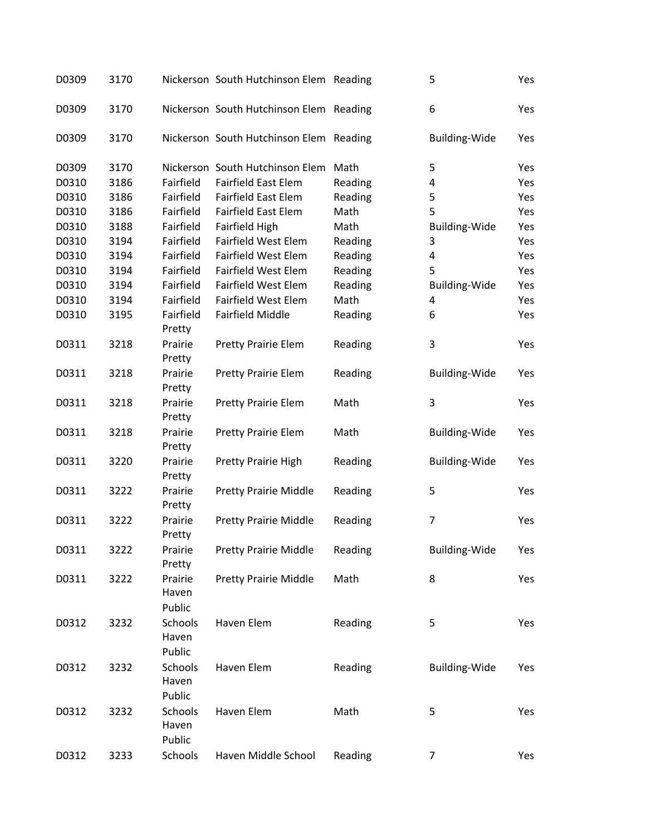| D0309 | 3170 |                            | Nickerson South Hutchinson Elem Reading |         | 5                    | Yes |
|-------|------|----------------------------|-----------------------------------------|---------|----------------------|-----|
| D0309 | 3170 |                            | Nickerson South Hutchinson Elem Reading |         | 6                    | Yes |
| D0309 | 3170 |                            | Nickerson South Hutchinson Elem Reading |         | <b>Building-Wide</b> | Yes |
| D0309 | 3170 |                            | Nickerson South Hutchinson Elem         | Math    | 5                    | Yes |
| D0310 | 3186 | Fairfield                  | <b>Fairfield East Elem</b>              | Reading | 4                    | Yes |
| D0310 | 3186 | Fairfield                  | <b>Fairfield East Elem</b>              | Reading | 5                    | Yes |
| D0310 | 3186 | Fairfield                  | <b>Fairfield East Elem</b>              | Math    | 5                    | Yes |
| D0310 | 3188 | Fairfield                  | Fairfield High                          | Math    | <b>Building-Wide</b> | Yes |
| D0310 | 3194 | Fairfield                  | <b>Fairfield West Elem</b>              | Reading | 3                    | Yes |
| D0310 | 3194 | Fairfield                  | <b>Fairfield West Elem</b>              | Reading | 4                    | Yes |
| D0310 | 3194 | Fairfield                  | <b>Fairfield West Elem</b>              | Reading | 5                    | Yes |
| D0310 | 3194 | Fairfield                  | Fairfield West Elem                     | Reading | <b>Building-Wide</b> | Yes |
| D0310 | 3194 | Fairfield                  | <b>Fairfield West Elem</b>              | Math    | 4                    | Yes |
| D0310 | 3195 | Fairfield<br>Pretty        | Fairfield Middle                        | Reading | 6                    | Yes |
| D0311 | 3218 | Prairie<br>Pretty          | <b>Pretty Prairie Elem</b>              | Reading | 3                    | Yes |
| D0311 | 3218 | Prairie<br>Pretty          | <b>Pretty Prairie Elem</b>              | Reading | <b>Building-Wide</b> | Yes |
| D0311 | 3218 | Prairie<br>Pretty          | <b>Pretty Prairie Elem</b>              | Math    | 3                    | Yes |
| D0311 | 3218 | Prairie<br>Pretty          | <b>Pretty Prairie Elem</b>              | Math    | <b>Building-Wide</b> | Yes |
| D0311 | 3220 | Prairie<br>Pretty          | Pretty Prairie High                     | Reading | <b>Building-Wide</b> | Yes |
| D0311 | 3222 | Prairie<br>Pretty          | <b>Pretty Prairie Middle</b>            | Reading | 5                    | Yes |
| D0311 | 3222 | Prairie<br>Pretty          | <b>Pretty Prairie Middle</b>            | Reading | 7                    | Yes |
| D0311 | 3222 | Prairie<br>Pretty          | <b>Pretty Prairie Middle</b>            | Reading | <b>Building-Wide</b> | Yes |
| D0311 | 3222 | Prairie<br>Haven<br>Public | <b>Pretty Prairie Middle</b>            | Math    | 8                    | Yes |
| D0312 | 3232 | Schools<br>Haven<br>Public | Haven Elem                              | Reading | 5                    | Yes |
| D0312 | 3232 | Schools<br>Haven<br>Public | Haven Elem                              | Reading | <b>Building-Wide</b> | Yes |
| D0312 | 3232 | Schools<br>Haven<br>Public | Haven Elem                              | Math    | 5                    | Yes |
| D0312 | 3233 | Schools                    | Haven Middle School                     | Reading | 7                    | Yes |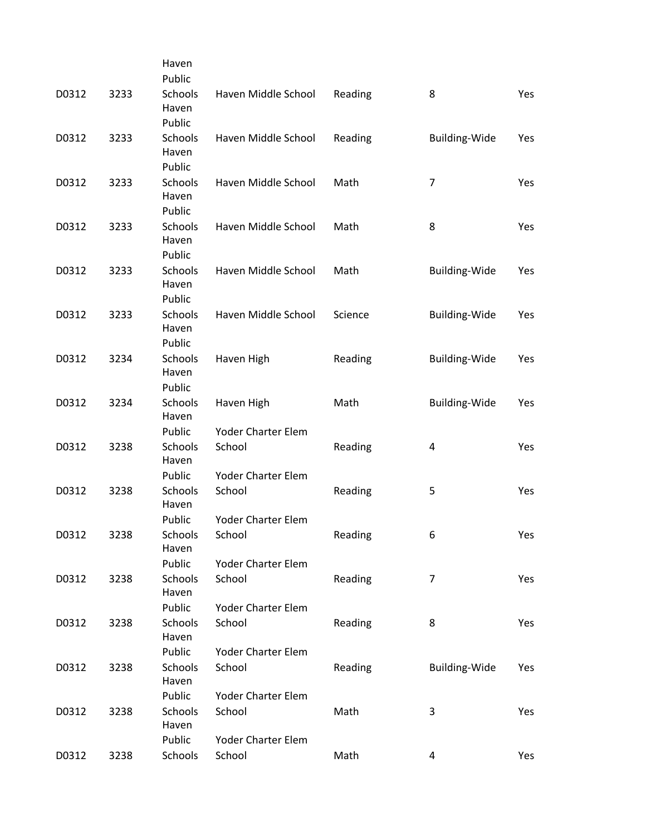|       |      | Haven                      |                     |         |                      |     |
|-------|------|----------------------------|---------------------|---------|----------------------|-----|
|       |      | Public                     |                     |         |                      |     |
| D0312 | 3233 | Schools<br>Haven           | Haven Middle School | Reading | 8                    | Yes |
|       |      | Public                     |                     |         |                      |     |
| D0312 | 3233 | Schools<br>Haven<br>Public | Haven Middle School | Reading | Building-Wide        | Yes |
|       |      |                            |                     |         |                      |     |
| D0312 | 3233 | Schools<br>Haven<br>Public | Haven Middle School | Math    | $\overline{7}$       | Yes |
|       |      |                            |                     |         |                      |     |
| D0312 | 3233 | Schools<br>Haven<br>Public | Haven Middle School | Math    | 8                    | Yes |
| D0312 | 3233 | Schools                    | Haven Middle School | Math    | <b>Building-Wide</b> | Yes |
|       |      | Haven<br>Public            |                     |         |                      |     |
| D0312 | 3233 | Schools                    | Haven Middle School | Science | <b>Building-Wide</b> | Yes |
|       |      | Haven                      |                     |         |                      |     |
|       |      | Public                     |                     |         |                      |     |
| D0312 | 3234 | Schools                    | Haven High          | Reading | Building-Wide        | Yes |
|       |      | Haven                      |                     |         |                      |     |
|       |      | Public                     |                     |         |                      |     |
| D0312 | 3234 | Schools<br>Haven           | Haven High          | Math    | <b>Building-Wide</b> | Yes |
|       |      | Public                     | Yoder Charter Elem  |         |                      |     |
| D0312 | 3238 | Schools<br>Haven           | School              | Reading | 4                    | Yes |
|       |      | Public                     | Yoder Charter Elem  |         |                      |     |
| D0312 | 3238 | Schools<br>Haven           | School              | Reading | 5                    | Yes |
|       |      | Public                     | Yoder Charter Elem  |         |                      |     |
| D0312 | 3238 | Schools<br>Haven           | School              | Reading | 6                    | Yes |
|       |      | Public                     | Yoder Charter Elem  |         |                      |     |
| D0312 | 3238 | Schools<br>Haven           | School              | Reading | 7                    | Yes |
|       |      | Public                     | Yoder Charter Elem  |         |                      |     |
| D0312 | 3238 | Schools<br>Haven           | School              | Reading | 8                    | Yes |
|       |      | Public                     | Yoder Charter Elem  |         |                      |     |
| D0312 | 3238 | Schools<br>Haven           | School              | Reading | <b>Building-Wide</b> | Yes |
|       |      | Public                     | Yoder Charter Elem  |         |                      |     |
| D0312 | 3238 | Schools<br>Haven           | School              | Math    | 3                    | Yes |
|       |      | Public                     | Yoder Charter Elem  |         |                      |     |
| D0312 | 3238 | Schools                    | School              | Math    | 4                    | Yes |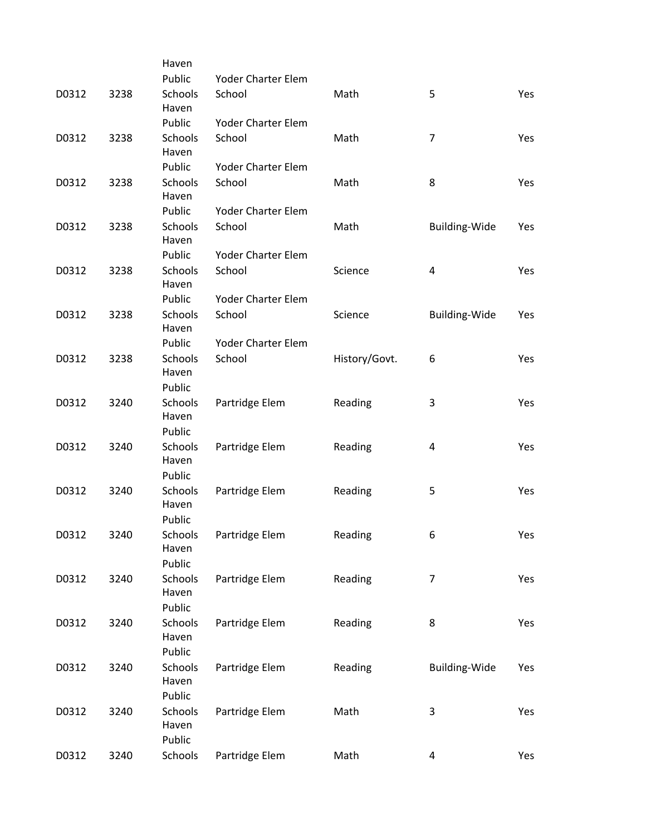|      | Haven                                        |                                                                                                                                                                   |                                                                                                                              |                                                                                         |                                                                       |
|------|----------------------------------------------|-------------------------------------------------------------------------------------------------------------------------------------------------------------------|------------------------------------------------------------------------------------------------------------------------------|-----------------------------------------------------------------------------------------|-----------------------------------------------------------------------|
|      | Public                                       | Yoder Charter Elem                                                                                                                                                |                                                                                                                              |                                                                                         |                                                                       |
| 3238 | Schools<br>Haven                             | School                                                                                                                                                            | Math                                                                                                                         | 5                                                                                       | Yes                                                                   |
|      | Public                                       | Yoder Charter Elem                                                                                                                                                |                                                                                                                              |                                                                                         |                                                                       |
| 3238 | Schools<br>Haven                             | School                                                                                                                                                            | Math                                                                                                                         | $\overline{7}$                                                                          | Yes                                                                   |
|      | Public                                       | Yoder Charter Elem                                                                                                                                                |                                                                                                                              |                                                                                         |                                                                       |
| 3238 | Schools<br>Haven                             | School                                                                                                                                                            | Math                                                                                                                         | 8                                                                                       | Yes                                                                   |
|      | Public                                       | Yoder Charter Elem                                                                                                                                                |                                                                                                                              |                                                                                         |                                                                       |
| 3238 | Schools<br>Haven                             | School                                                                                                                                                            | Math                                                                                                                         | Building-Wide                                                                           | Yes                                                                   |
|      | Public                                       | Yoder Charter Elem                                                                                                                                                |                                                                                                                              |                                                                                         |                                                                       |
| 3238 | Schools<br>Haven                             | School                                                                                                                                                            | Science                                                                                                                      | 4                                                                                       | Yes                                                                   |
|      | Public                                       | Yoder Charter Elem                                                                                                                                                |                                                                                                                              |                                                                                         |                                                                       |
| 3238 | Haven                                        |                                                                                                                                                                   |                                                                                                                              |                                                                                         | Yes                                                                   |
|      | Public                                       | Yoder Charter Elem                                                                                                                                                |                                                                                                                              |                                                                                         |                                                                       |
| 3238 | Haven                                        |                                                                                                                                                                   |                                                                                                                              | 6                                                                                       | Yes                                                                   |
|      |                                              |                                                                                                                                                                   |                                                                                                                              |                                                                                         | Yes                                                                   |
|      | Haven                                        |                                                                                                                                                                   |                                                                                                                              |                                                                                         |                                                                       |
|      |                                              |                                                                                                                                                                   |                                                                                                                              |                                                                                         | Yes                                                                   |
|      | Haven                                        |                                                                                                                                                                   |                                                                                                                              |                                                                                         |                                                                       |
|      |                                              |                                                                                                                                                                   |                                                                                                                              |                                                                                         | Yes                                                                   |
|      | Haven                                        |                                                                                                                                                                   |                                                                                                                              |                                                                                         |                                                                       |
|      |                                              |                                                                                                                                                                   |                                                                                                                              |                                                                                         | Yes                                                                   |
|      | Haven<br>Public                              |                                                                                                                                                                   |                                                                                                                              |                                                                                         |                                                                       |
| 3240 | Schools                                      | Partridge Elem                                                                                                                                                    | Reading                                                                                                                      | 7                                                                                       | Yes                                                                   |
|      | Haven                                        |                                                                                                                                                                   |                                                                                                                              |                                                                                         |                                                                       |
|      | Public                                       |                                                                                                                                                                   |                                                                                                                              |                                                                                         |                                                                       |
| 3240 | Schools<br>Haven                             | Partridge Elem                                                                                                                                                    | Reading                                                                                                                      | 8                                                                                       | Yes                                                                   |
|      |                                              |                                                                                                                                                                   |                                                                                                                              |                                                                                         |                                                                       |
|      | Haven                                        |                                                                                                                                                                   |                                                                                                                              |                                                                                         | Yes                                                                   |
|      |                                              |                                                                                                                                                                   |                                                                                                                              |                                                                                         |                                                                       |
|      | Haven                                        |                                                                                                                                                                   |                                                                                                                              |                                                                                         | Yes                                                                   |
| 3240 | Schools                                      | Partridge Elem                                                                                                                                                    | Math                                                                                                                         | 4                                                                                       | Yes                                                                   |
|      | 3240<br>3240<br>3240<br>3240<br>3240<br>3240 | Schools<br><b>Schools</b><br>Public<br>Schools<br>Public<br>Schools<br>Public<br>Schools<br>Public<br>Schools<br>Public<br>Schools<br>Public<br>Schools<br>Public | School<br>School<br>Partridge Elem<br>Partridge Elem<br>Partridge Elem<br>Partridge Elem<br>Partridge Elem<br>Partridge Elem | Science<br>History/Govt.<br>Reading<br>Reading<br>Reading<br>Reading<br>Reading<br>Math | <b>Building-Wide</b><br>3<br>4<br>5<br>6<br><b>Building-Wide</b><br>3 |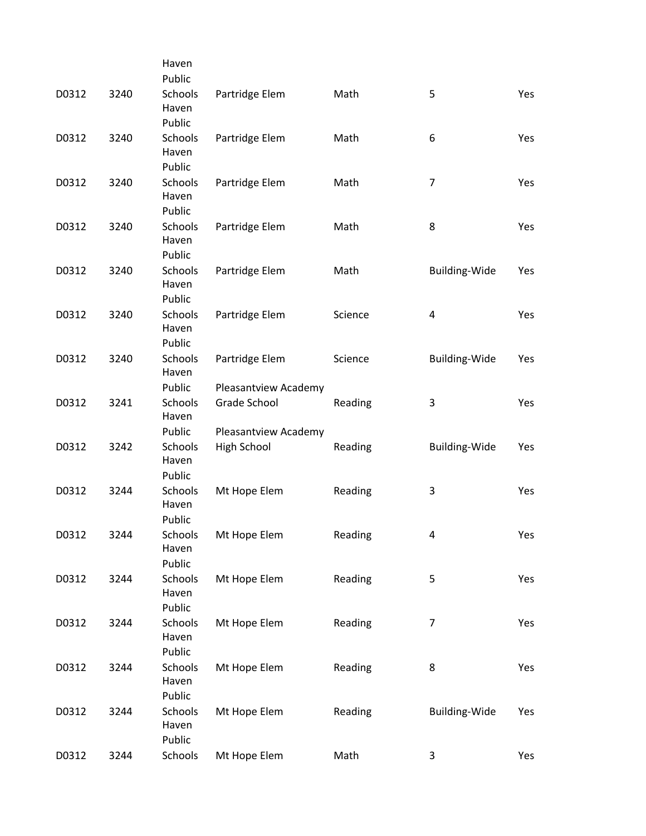|       |      | Haven                                |                      |         |                      |     |
|-------|------|--------------------------------------|----------------------|---------|----------------------|-----|
|       |      | Public                               |                      |         |                      |     |
| D0312 | 3240 | Schools<br>Haven<br>Public           | Partridge Elem       | Math    | 5                    | Yes |
| D0312 | 3240 | Schools<br>Haven                     | Partridge Elem       | Math    | 6                    | Yes |
| D0312 | 3240 | Public<br>Schools<br>Haven           | Partridge Elem       | Math    | $\overline{7}$       | Yes |
| D0312 | 3240 | Public<br>Schools<br>Haven<br>Public | Partridge Elem       | Math    | 8                    | Yes |
| D0312 | 3240 | Schools<br>Haven<br>Public           | Partridge Elem       | Math    | <b>Building-Wide</b> | Yes |
| D0312 | 3240 | Schools<br>Haven<br>Public           | Partridge Elem       | Science | 4                    | Yes |
| D0312 | 3240 | Schools<br>Haven                     | Partridge Elem       | Science | <b>Building-Wide</b> | Yes |
|       |      | Public                               | Pleasantview Academy |         |                      |     |
| D0312 | 3241 | Schools<br>Haven                     | Grade School         | Reading | 3                    | Yes |
|       |      | Public                               | Pleasantview Academy |         |                      |     |
| D0312 | 3242 | Schools<br>Haven<br>Public           | High School          | Reading | <b>Building-Wide</b> | Yes |
| D0312 | 3244 | Schools<br>Haven<br>Public           | Mt Hope Elem         | Reading | 3                    | Yes |
| D0312 | 3244 | Schools<br>Haven<br>Public           | Mt Hope Elem         | Reading | 4                    | Yes |
| D0312 | 3244 | Schools<br>Haven<br>Public           | Mt Hope Elem         | Reading | 5                    | Yes |
| D0312 | 3244 | Schools<br>Haven<br>Public           | Mt Hope Elem         | Reading | 7                    | Yes |
| D0312 | 3244 | Schools<br>Haven                     | Mt Hope Elem         | Reading | 8                    | Yes |
| D0312 | 3244 | Public<br>Schools<br>Haven<br>Public | Mt Hope Elem         | Reading | <b>Building-Wide</b> | Yes |
| D0312 | 3244 | Schools                              | Mt Hope Elem         | Math    | 3                    | Yes |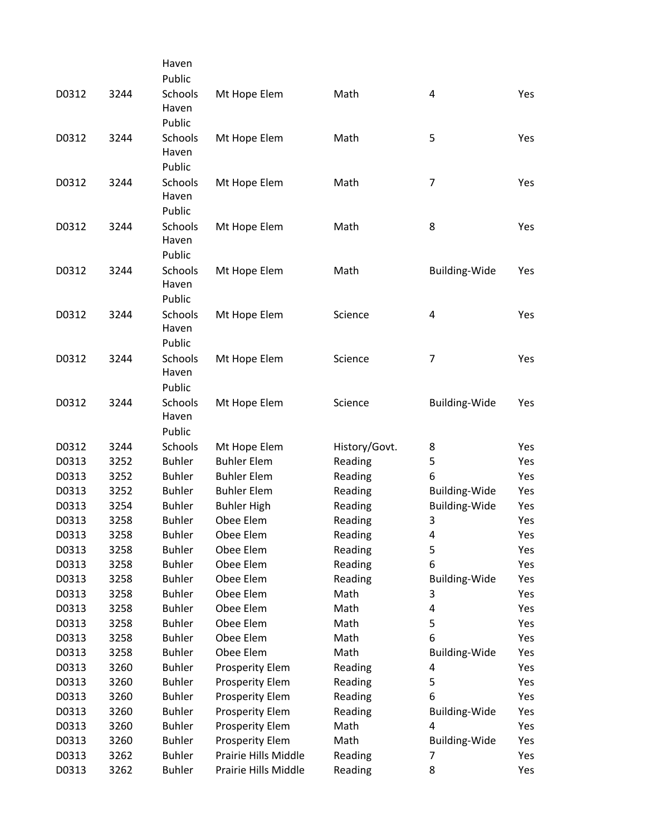|                |              | Haven                          |                                 |                    |                           |            |
|----------------|--------------|--------------------------------|---------------------------------|--------------------|---------------------------|------------|
|                |              | Public                         |                                 |                    |                           |            |
| D0312          | 3244         | Schools<br>Haven               | Mt Hope Elem                    | Math               | $\overline{\mathbf{4}}$   | Yes        |
|                |              | Public                         |                                 |                    |                           |            |
| D0312          | 3244         | <b>Schools</b>                 | Mt Hope Elem                    | Math               | 5                         | Yes        |
|                |              | Haven                          |                                 |                    |                           |            |
|                |              | Public                         |                                 |                    |                           |            |
| D0312          | 3244         | Schools                        | Mt Hope Elem                    | Math               | 7                         | Yes        |
|                |              | Haven                          |                                 |                    |                           |            |
|                |              | Public                         |                                 |                    |                           |            |
| D0312          | 3244         | Schools                        | Mt Hope Elem                    | Math               | 8                         | Yes        |
|                |              | Haven                          |                                 |                    |                           |            |
|                |              | Public                         |                                 |                    |                           |            |
| D0312          | 3244         | Schools                        | Mt Hope Elem                    | Math               | <b>Building-Wide</b>      | Yes        |
|                |              | Haven                          |                                 |                    |                           |            |
|                |              | Public                         |                                 |                    |                           |            |
| D0312          | 3244         | Schools                        | Mt Hope Elem                    | Science            | 4                         | Yes        |
|                |              | Haven                          |                                 |                    |                           |            |
|                |              | Public                         |                                 |                    |                           |            |
| D0312          | 3244         | Schools                        | Mt Hope Elem                    | Science            | 7                         | Yes        |
|                |              | Haven                          |                                 |                    |                           |            |
|                |              | Public                         |                                 |                    |                           |            |
| D0312          | 3244         | Schools                        | Mt Hope Elem                    | Science            | <b>Building-Wide</b>      | Yes        |
|                |              | Haven                          |                                 |                    |                           |            |
|                |              | Public                         |                                 |                    |                           |            |
| D0312          | 3244         | Schools                        | Mt Hope Elem                    | History/Govt.      | 8                         | Yes        |
| D0313          | 3252         | <b>Buhler</b>                  | <b>Buhler Elem</b>              | Reading            | 5                         | Yes        |
| D0313          | 3252         | <b>Buhler</b>                  | <b>Buhler Elem</b>              | Reading            | 6                         | Yes        |
| D0313          | 3252         | <b>Buhler</b>                  | <b>Buhler Elem</b>              | Reading            | <b>Building-Wide</b>      | Yes        |
| D0313          | 3254         | <b>Buhler</b>                  | <b>Buhler High</b><br>Obee Elem | Reading            | <b>Building-Wide</b><br>3 | Yes        |
| D0313<br>D0313 | 3258<br>3258 | <b>Buhler</b><br><b>Buhler</b> | Obee Elem                       | Reading<br>Reading |                           | Yes<br>Yes |
| D0313          | 3258         | <b>Buhler</b>                  | Obee Elem                       | Reading            | 4<br>5                    | Yes        |
| D0313          | 3258         | <b>Buhler</b>                  | Obee Elem                       | Reading            | 6                         | Yes        |
| D0313          | 3258         | <b>Buhler</b>                  | Obee Elem                       | Reading            | <b>Building-Wide</b>      | Yes        |
| D0313          | 3258         | <b>Buhler</b>                  | Obee Elem                       | Math               | 3                         | Yes        |
| D0313          | 3258         | <b>Buhler</b>                  | Obee Elem                       | Math               | 4                         | Yes        |
| D0313          | 3258         | <b>Buhler</b>                  | Obee Elem                       | Math               | 5                         | Yes        |
| D0313          | 3258         | <b>Buhler</b>                  | Obee Elem                       | Math               | 6                         | Yes        |
| D0313          | 3258         | <b>Buhler</b>                  | Obee Elem                       | Math               | <b>Building-Wide</b>      | Yes        |
| D0313          | 3260         | <b>Buhler</b>                  | <b>Prosperity Elem</b>          | Reading            | 4                         | Yes        |
| D0313          | 3260         | <b>Buhler</b>                  | Prosperity Elem                 | Reading            | 5                         | Yes        |
| D0313          | 3260         | <b>Buhler</b>                  | Prosperity Elem                 | Reading            | 6                         | Yes        |
| D0313          | 3260         | <b>Buhler</b>                  | Prosperity Elem                 | Reading            | <b>Building-Wide</b>      | Yes        |
| D0313          | 3260         | <b>Buhler</b>                  | <b>Prosperity Elem</b>          | Math               | 4                         | Yes        |
| D0313          | 3260         | <b>Buhler</b>                  | Prosperity Elem                 | Math               | <b>Building-Wide</b>      | Yes        |
| D0313          | 3262         | <b>Buhler</b>                  | Prairie Hills Middle            | Reading            | 7                         | Yes        |
| D0313          | 3262         | <b>Buhler</b>                  | Prairie Hills Middle            | Reading            | 8                         | Yes        |
|                |              |                                |                                 |                    |                           |            |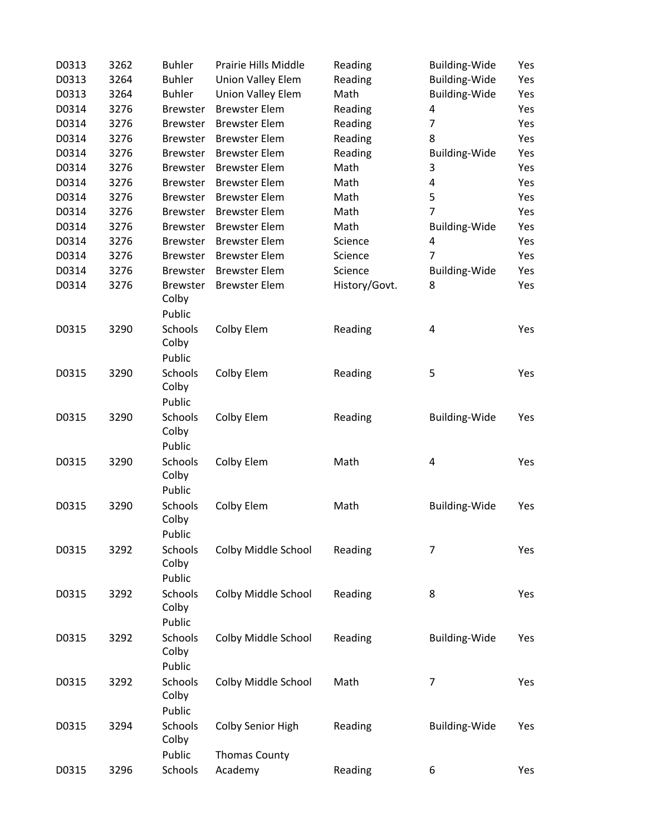| D0313 | 3262 | <b>Buhler</b>   | Prairie Hills Middle     | Reading       | <b>Building-Wide</b> | Yes |
|-------|------|-----------------|--------------------------|---------------|----------------------|-----|
| D0313 | 3264 | <b>Buhler</b>   | <b>Union Valley Elem</b> | Reading       | <b>Building-Wide</b> | Yes |
| D0313 | 3264 | <b>Buhler</b>   | Union Valley Elem        | Math          | <b>Building-Wide</b> | Yes |
| D0314 | 3276 | <b>Brewster</b> | <b>Brewster Elem</b>     | Reading       | 4                    | Yes |
| D0314 | 3276 | <b>Brewster</b> | <b>Brewster Elem</b>     | Reading       | $\overline{7}$       | Yes |
| D0314 | 3276 | <b>Brewster</b> | <b>Brewster Elem</b>     | Reading       | 8                    | Yes |
| D0314 | 3276 | <b>Brewster</b> | <b>Brewster Elem</b>     | Reading       | <b>Building-Wide</b> | Yes |
| D0314 | 3276 | <b>Brewster</b> | <b>Brewster Elem</b>     | Math          | 3                    | Yes |
| D0314 | 3276 | <b>Brewster</b> | <b>Brewster Elem</b>     | Math          | 4                    | Yes |
| D0314 | 3276 | <b>Brewster</b> | <b>Brewster Elem</b>     | Math          | 5                    | Yes |
| D0314 | 3276 | <b>Brewster</b> | <b>Brewster Elem</b>     | Math          | 7                    | Yes |
| D0314 | 3276 | <b>Brewster</b> | <b>Brewster Elem</b>     | Math          | <b>Building-Wide</b> | Yes |
| D0314 | 3276 | <b>Brewster</b> | <b>Brewster Elem</b>     | Science       | 4                    | Yes |
| D0314 | 3276 | <b>Brewster</b> | <b>Brewster Elem</b>     | Science       | 7                    | Yes |
| D0314 | 3276 | <b>Brewster</b> | <b>Brewster Elem</b>     | Science       | <b>Building-Wide</b> | Yes |
| D0314 | 3276 | <b>Brewster</b> | <b>Brewster Elem</b>     | History/Govt. | 8                    | Yes |
|       |      | Colby           |                          |               |                      |     |
|       |      | Public          |                          |               |                      |     |
| D0315 | 3290 | Schools         | Colby Elem               | Reading       | 4                    | Yes |
|       |      | Colby           |                          |               |                      |     |
|       |      | Public          |                          |               |                      |     |
| D0315 | 3290 | Schools         | Colby Elem               | Reading       | 5                    | Yes |
|       |      | Colby           |                          |               |                      |     |
|       |      | Public          |                          |               |                      |     |
| D0315 | 3290 | Schools         | Colby Elem               | Reading       | <b>Building-Wide</b> | Yes |
|       |      | Colby           |                          |               |                      |     |
|       |      | Public          |                          |               |                      |     |
| D0315 | 3290 | Schools         | Colby Elem               | Math          | 4                    | Yes |
|       |      | Colby           |                          |               |                      |     |
|       |      | Public          |                          |               |                      |     |
| D0315 | 3290 | Schools         | Colby Elem               | Math          | Building-Wide        | Yes |
|       |      | Colby           |                          |               |                      |     |
|       |      | Public          |                          |               |                      |     |
| D0315 | 3292 | Schools         | Colby Middle School      | Reading       | 7                    | Yes |
|       |      | Colby           |                          |               |                      |     |
|       |      | Public          |                          |               |                      |     |
| D0315 | 3292 | Schools         | Colby Middle School      | Reading       | 8                    | Yes |
|       |      | Colby           |                          |               |                      |     |
|       |      | Public          |                          |               |                      |     |
| D0315 | 3292 | Schools         | Colby Middle School      | Reading       | <b>Building-Wide</b> | Yes |
|       |      | Colby           |                          |               |                      |     |
|       |      | Public          |                          |               |                      |     |
| D0315 | 3292 | Schools         | Colby Middle School      | Math          | 7                    | Yes |
|       |      | Colby           |                          |               |                      |     |
|       |      | Public          |                          |               |                      |     |
| D0315 | 3294 | Schools         | Colby Senior High        | Reading       | <b>Building-Wide</b> | Yes |
|       |      | Colby           |                          |               |                      |     |
|       |      | Public          | <b>Thomas County</b>     |               |                      |     |
| D0315 | 3296 | Schools         | Academy                  | Reading       | 6                    | Yes |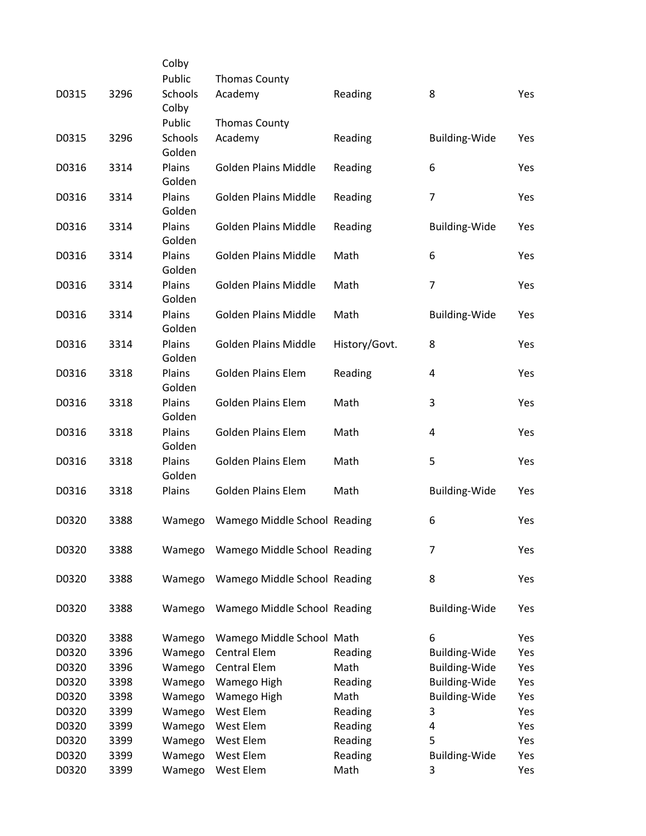|       |      | Colby             |                              |               |                      |     |
|-------|------|-------------------|------------------------------|---------------|----------------------|-----|
|       |      | Public            | <b>Thomas County</b>         |               |                      |     |
| D0315 | 3296 | Schools<br>Colby  | Academy                      | Reading       | 8                    | Yes |
|       |      | Public            | <b>Thomas County</b>         |               |                      |     |
| D0315 | 3296 | Schools<br>Golden | Academy                      | Reading       | <b>Building-Wide</b> | Yes |
| D0316 | 3314 | Plains<br>Golden  | Golden Plains Middle         | Reading       | 6                    | Yes |
| D0316 | 3314 | Plains<br>Golden  | <b>Golden Plains Middle</b>  | Reading       | $\overline{7}$       | Yes |
| D0316 | 3314 | Plains<br>Golden  | Golden Plains Middle         | Reading       | <b>Building-Wide</b> | Yes |
| D0316 | 3314 | Plains<br>Golden  | <b>Golden Plains Middle</b>  | Math          | 6                    | Yes |
| D0316 | 3314 | Plains<br>Golden  | <b>Golden Plains Middle</b>  | Math          | 7                    | Yes |
| D0316 | 3314 | Plains<br>Golden  | <b>Golden Plains Middle</b>  | Math          | <b>Building-Wide</b> | Yes |
| D0316 | 3314 | Plains<br>Golden  | <b>Golden Plains Middle</b>  | History/Govt. | 8                    | Yes |
| D0316 | 3318 | Plains<br>Golden  | <b>Golden Plains Elem</b>    | Reading       | 4                    | Yes |
| D0316 | 3318 | Plains<br>Golden  | Golden Plains Elem           | Math          | 3                    | Yes |
| D0316 | 3318 | Plains<br>Golden  | <b>Golden Plains Elem</b>    | Math          | 4                    | Yes |
| D0316 | 3318 | Plains<br>Golden  | <b>Golden Plains Elem</b>    | Math          | 5                    | Yes |
| D0316 | 3318 | Plains            | <b>Golden Plains Elem</b>    | Math          | <b>Building-Wide</b> | Yes |
| D0320 | 3388 | Wamego            | Wamego Middle School Reading |               | 6                    | Yes |
| D0320 | 3388 | Wamego            | Wamego Middle School Reading |               | 7                    | Yes |
| D0320 | 3388 | Wamego            | Wamego Middle School Reading |               | 8                    | Yes |
| D0320 | 3388 | Wamego            | Wamego Middle School Reading |               | <b>Building-Wide</b> | Yes |
| D0320 | 3388 | Wamego            | Wamego Middle School Math    |               | 6                    | Yes |
| D0320 | 3396 | Wamego            | <b>Central Elem</b>          | Reading       | Building-Wide        | Yes |
| D0320 | 3396 | Wamego            | <b>Central Elem</b>          | Math          | Building-Wide        | Yes |
| D0320 | 3398 | Wamego            | Wamego High                  | Reading       | Building-Wide        | Yes |
| D0320 | 3398 | Wamego            | Wamego High                  | Math          | Building-Wide        | Yes |
| D0320 | 3399 | Wamego            | West Elem                    | Reading       | 3                    | Yes |
| D0320 | 3399 | Wamego            | West Elem                    | Reading       | 4                    | Yes |
| D0320 | 3399 | Wamego            | West Elem                    | Reading       | 5                    | Yes |
| D0320 | 3399 | Wamego            | West Elem                    | Reading       | <b>Building-Wide</b> | Yes |
| D0320 | 3399 | Wamego            | West Elem                    | Math          | 3                    | Yes |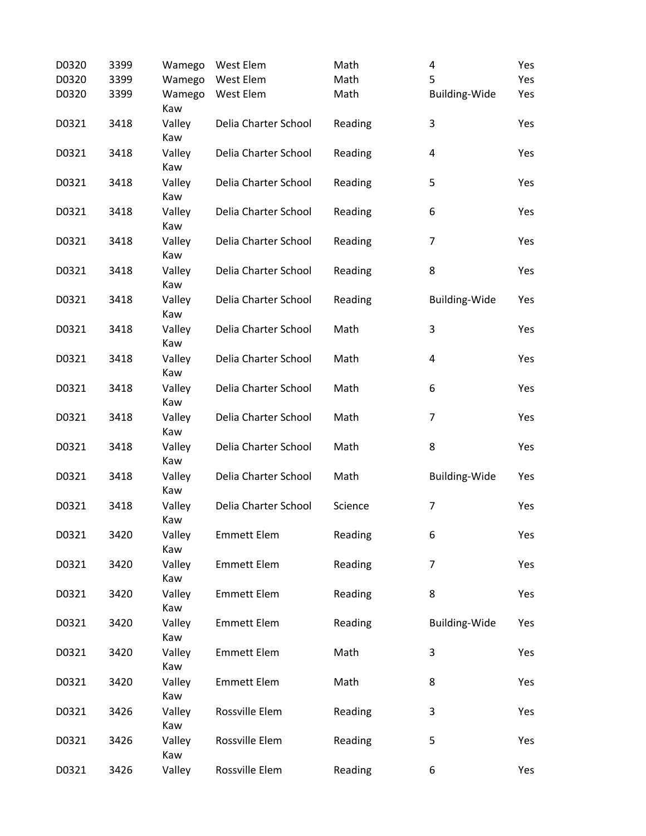| D0320 | 3399 | Wamego        | West Elem            | Math    | 4                       | Yes |
|-------|------|---------------|----------------------|---------|-------------------------|-----|
| D0320 | 3399 | Wamego        | West Elem            | Math    | 5                       | Yes |
| D0320 | 3399 | Wamego<br>Kaw | West Elem            | Math    | <b>Building-Wide</b>    | Yes |
| D0321 | 3418 | Valley<br>Kaw | Delia Charter School | Reading | 3                       | Yes |
| D0321 | 3418 | Valley<br>Kaw | Delia Charter School | Reading | 4                       | Yes |
| D0321 | 3418 | Valley<br>Kaw | Delia Charter School | Reading | 5                       | Yes |
| D0321 | 3418 | Valley<br>Kaw | Delia Charter School | Reading | 6                       | Yes |
| D0321 | 3418 | Valley<br>Kaw | Delia Charter School | Reading | $\overline{7}$          | Yes |
| D0321 | 3418 | Valley<br>Kaw | Delia Charter School | Reading | 8                       | Yes |
| D0321 | 3418 | Valley<br>Kaw | Delia Charter School | Reading | Building-Wide           | Yes |
| D0321 | 3418 | Valley<br>Kaw | Delia Charter School | Math    | 3                       | Yes |
| D0321 | 3418 | Valley<br>Kaw | Delia Charter School | Math    | $\overline{\mathbf{4}}$ | Yes |
| D0321 | 3418 | Valley<br>Kaw | Delia Charter School | Math    | 6                       | Yes |
| D0321 | 3418 | Valley<br>Kaw | Delia Charter School | Math    | $\overline{7}$          | Yes |
| D0321 | 3418 | Valley<br>Kaw | Delia Charter School | Math    | 8                       | Yes |
| D0321 | 3418 | Valley<br>Kaw | Delia Charter School | Math    | <b>Building-Wide</b>    | Yes |
| D0321 | 3418 | Valley<br>Kaw | Delia Charter School | Science | $\overline{7}$          | Yes |
| D0321 | 3420 | Valley<br>Kaw | <b>Emmett Elem</b>   | Reading | 6                       | Yes |
| D0321 | 3420 | Valley<br>Kaw | <b>Emmett Elem</b>   | Reading | $\overline{7}$          | Yes |
| D0321 | 3420 | Valley<br>Kaw | <b>Emmett Elem</b>   | Reading | 8                       | Yes |
| D0321 | 3420 | Valley<br>Kaw | <b>Emmett Elem</b>   | Reading | <b>Building-Wide</b>    | Yes |
| D0321 | 3420 | Valley<br>Kaw | <b>Emmett Elem</b>   | Math    | 3                       | Yes |
| D0321 | 3420 | Valley<br>Kaw | <b>Emmett Elem</b>   | Math    | 8                       | Yes |
| D0321 | 3426 | Valley<br>Kaw | Rossville Elem       | Reading | 3                       | Yes |
| D0321 | 3426 | Valley<br>Kaw | Rossville Elem       | Reading | 5                       | Yes |
| D0321 | 3426 | Valley        | Rossville Elem       | Reading | 6                       | Yes |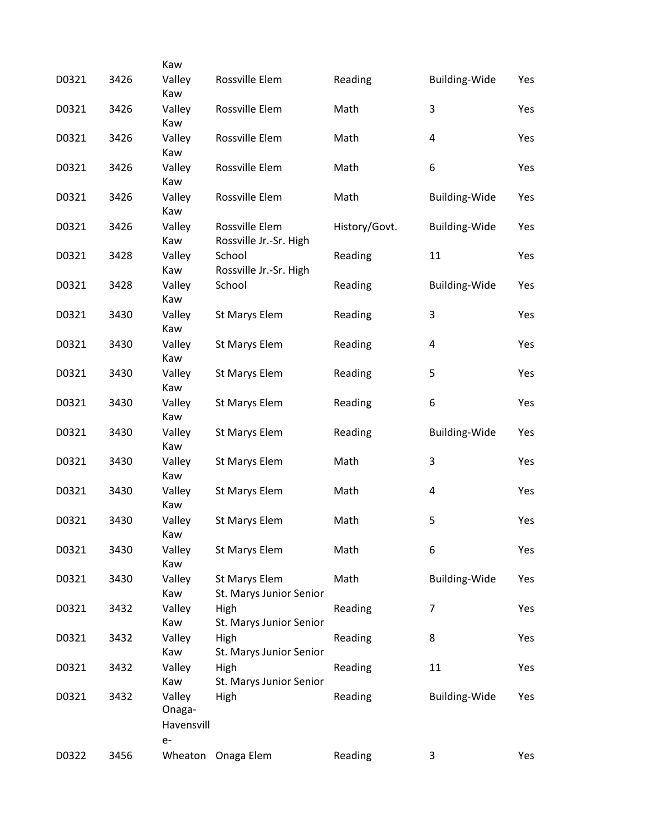| D0321 | 3426 | Kaw<br>Valley                          | Rossville Elem                           | Reading       | <b>Building-Wide</b> | Yes |
|-------|------|----------------------------------------|------------------------------------------|---------------|----------------------|-----|
|       |      | Kaw                                    |                                          |               |                      |     |
| D0321 | 3426 | Valley<br>Kaw                          | Rossville Elem                           | Math          | 3                    | Yes |
| D0321 | 3426 | Valley                                 | Rossville Elem                           | Math          | 4                    | Yes |
| D0321 | 3426 | Kaw<br>Valley<br>Kaw                   | Rossville Elem                           | Math          | 6                    | Yes |
| D0321 | 3426 | Valley<br>Kaw                          | Rossville Elem                           | Math          | <b>Building-Wide</b> | Yes |
| D0321 | 3426 | Valley<br>Kaw                          | Rossville Elem<br>Rossville Jr.-Sr. High | History/Govt. | <b>Building-Wide</b> | Yes |
| D0321 | 3428 | Valley<br>Kaw                          | School<br>Rossville Jr.-Sr. High         | Reading       | 11                   | Yes |
| D0321 | 3428 | Valley<br>Kaw                          | School                                   | Reading       | <b>Building-Wide</b> | Yes |
| D0321 | 3430 | Valley<br>Kaw                          | St Marys Elem                            | Reading       | 3                    | Yes |
| D0321 | 3430 | Valley<br>Kaw                          | St Marys Elem                            | Reading       | 4                    | Yes |
| D0321 | 3430 | Valley<br>Kaw                          | St Marys Elem                            | Reading       | 5                    | Yes |
| D0321 | 3430 | Valley<br>Kaw                          | St Marys Elem                            | Reading       | 6                    | Yes |
| D0321 | 3430 | Valley<br>Kaw                          | St Marys Elem                            | Reading       | <b>Building-Wide</b> | Yes |
| D0321 | 3430 | Valley<br>Kaw                          | St Marys Elem                            | Math          | 3                    | Yes |
| D0321 | 3430 | Valley<br>Kaw                          | St Marys Elem                            | Math          | 4                    | Yes |
| D0321 | 3430 | Valley<br>Kaw                          | <b>St Marys Elem</b>                     | Math          | 5                    | Yes |
| D0321 | 3430 | Valley<br>Kaw                          | St Marys Elem                            | Math          | 6                    | Yes |
| D0321 | 3430 | Valley<br>Kaw                          | St Marys Elem<br>St. Marys Junior Senior | Math          | Building-Wide        | Yes |
| D0321 | 3432 | Valley<br>Kaw                          | High<br>St. Marys Junior Senior          | Reading       | $\overline{7}$       | Yes |
| D0321 | 3432 | Valley<br>Kaw                          | High<br>St. Marys Junior Senior          | Reading       | 8                    | Yes |
| D0321 | 3432 | Valley<br>Kaw                          | High<br>St. Marys Junior Senior          | Reading       | 11                   | Yes |
| D0321 | 3432 | Valley<br>Onaga-<br>Havensvill<br>$e-$ | High                                     | Reading       | <b>Building-Wide</b> | Yes |
| D0322 | 3456 |                                        | Wheaton Onaga Elem                       | Reading       | 3                    | Yes |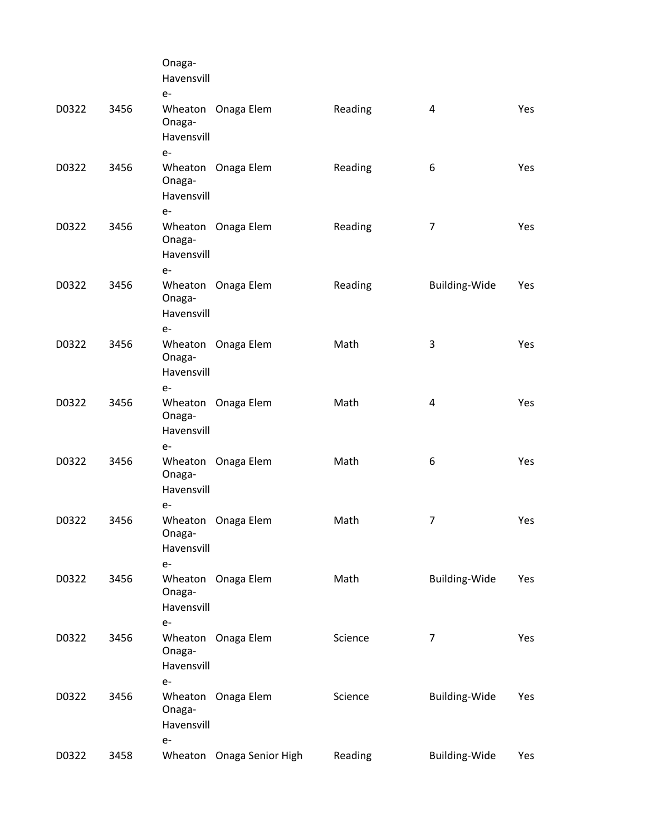|       |      | Onaga-<br>Havensvill<br>$e-$ |                           |         |                |     |
|-------|------|------------------------------|---------------------------|---------|----------------|-----|
| D0322 | 3456 | Onaga-<br>Havensvill<br>$e-$ | Wheaton Onaga Elem        | Reading | 4              | Yes |
| D0322 | 3456 | Onaga-<br>Havensvill<br>$e-$ | Wheaton Onaga Elem        | Reading | 6              | Yes |
| D0322 | 3456 | Onaga-<br>Havensvill<br>$e-$ | Wheaton Onaga Elem        | Reading | $\overline{7}$ | Yes |
| D0322 | 3456 | Onaga-<br>Havensvill<br>$e-$ | Wheaton Onaga Elem        | Reading | Building-Wide  | Yes |
| D0322 | 3456 | Onaga-<br>Havensvill<br>$e-$ | Wheaton Onaga Elem        | Math    | 3              | Yes |
| D0322 | 3456 | Onaga-<br>Havensvill<br>$e-$ | Wheaton Onaga Elem        | Math    | 4              | Yes |
| D0322 | 3456 | Onaga-<br>Havensvill<br>$e-$ | Wheaton Onaga Elem        | Math    | 6              | Yes |
| D0322 | 3456 | Onaga-<br>Havensvill<br>$e-$ | Wheaton Onaga Elem        | Math    | 7              | Yes |
| D0322 | 3456 | Onaga-<br>Havensvill<br>$e-$ | Wheaton Onaga Elem        | Math    | Building-Wide  | Yes |
| D0322 | 3456 | Onaga-<br>Havensvill<br>$e-$ | Wheaton Onaga Elem        | Science | $\overline{7}$ | Yes |
| D0322 | 3456 | Onaga-<br>Havensvill<br>$e-$ | Wheaton Onaga Elem        | Science | Building-Wide  | Yes |
| D0322 | 3458 |                              | Wheaton Onaga Senior High | Reading | Building-Wide  | Yes |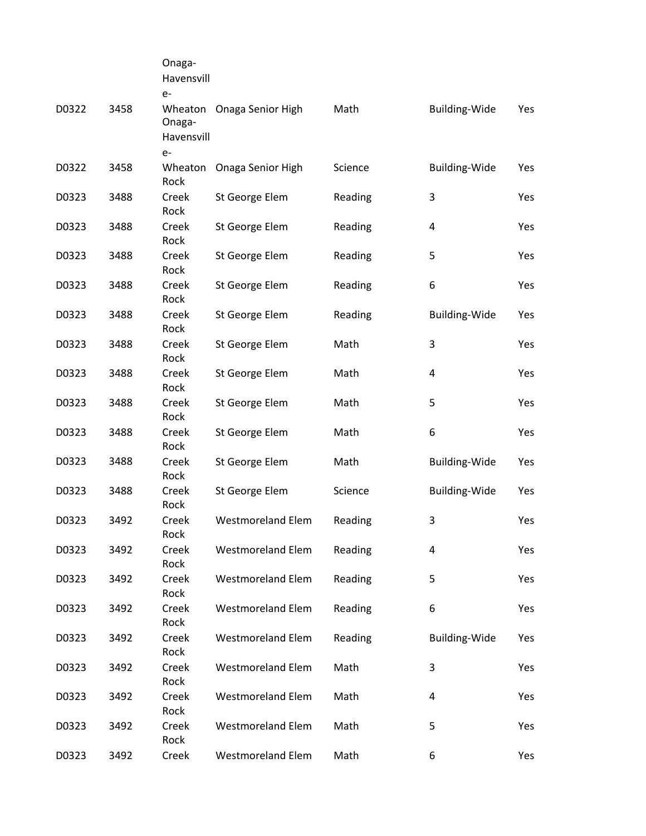|       |      | Onaga-<br>Havensvill<br>$e-$            |                          |         |                      |     |
|-------|------|-----------------------------------------|--------------------------|---------|----------------------|-----|
| D0322 | 3458 | Wheaton<br>Onaga-<br>Havensvill<br>$e-$ | Onaga Senior High        | Math    | <b>Building-Wide</b> | Yes |
| D0322 | 3458 | Wheaton<br>Rock                         | Onaga Senior High        | Science | Building-Wide        | Yes |
| D0323 | 3488 | Creek<br>Rock                           | St George Elem           | Reading | 3                    | Yes |
| D0323 | 3488 | Creek<br>Rock                           | St George Elem           | Reading | 4                    | Yes |
| D0323 | 3488 | Creek<br>Rock                           | St George Elem           | Reading | 5                    | Yes |
| D0323 | 3488 | Creek<br>Rock                           | St George Elem           | Reading | 6                    | Yes |
| D0323 | 3488 | Creek<br>Rock                           | St George Elem           | Reading | <b>Building-Wide</b> | Yes |
| D0323 | 3488 | Creek<br>Rock                           | St George Elem           | Math    | 3                    | Yes |
| D0323 | 3488 | Creek<br>Rock                           | St George Elem           | Math    | 4                    | Yes |
| D0323 | 3488 | Creek<br>Rock                           | St George Elem           | Math    | 5                    | Yes |
| D0323 | 3488 | Creek<br>Rock                           | St George Elem           | Math    | 6                    | Yes |
| D0323 | 3488 | Creek<br>Rock                           | St George Elem           | Math    | <b>Building-Wide</b> | Yes |
| D0323 | 3488 | Creek<br>Rock                           | St George Elem           | Science | <b>Building-Wide</b> | Yes |
| D0323 | 3492 | Creek<br>Rock                           | <b>Westmoreland Elem</b> | Reading | 3                    | Yes |
| D0323 | 3492 | Creek<br>Rock                           | <b>Westmoreland Elem</b> | Reading | 4                    | Yes |
| D0323 | 3492 | Creek<br>Rock                           | <b>Westmoreland Elem</b> | Reading | 5                    | Yes |
| D0323 | 3492 | Creek<br>Rock                           | <b>Westmoreland Elem</b> | Reading | 6                    | Yes |
| D0323 | 3492 | Creek<br>Rock                           | <b>Westmoreland Elem</b> | Reading | <b>Building-Wide</b> | Yes |
| D0323 | 3492 | Creek<br>Rock                           | <b>Westmoreland Elem</b> | Math    | 3                    | Yes |
| D0323 | 3492 | Creek<br>Rock                           | <b>Westmoreland Elem</b> | Math    | 4                    | Yes |
| D0323 | 3492 | Creek<br>Rock                           | <b>Westmoreland Elem</b> | Math    | 5                    | Yes |
| D0323 | 3492 | Creek                                   | <b>Westmoreland Elem</b> | Math    | 6                    | Yes |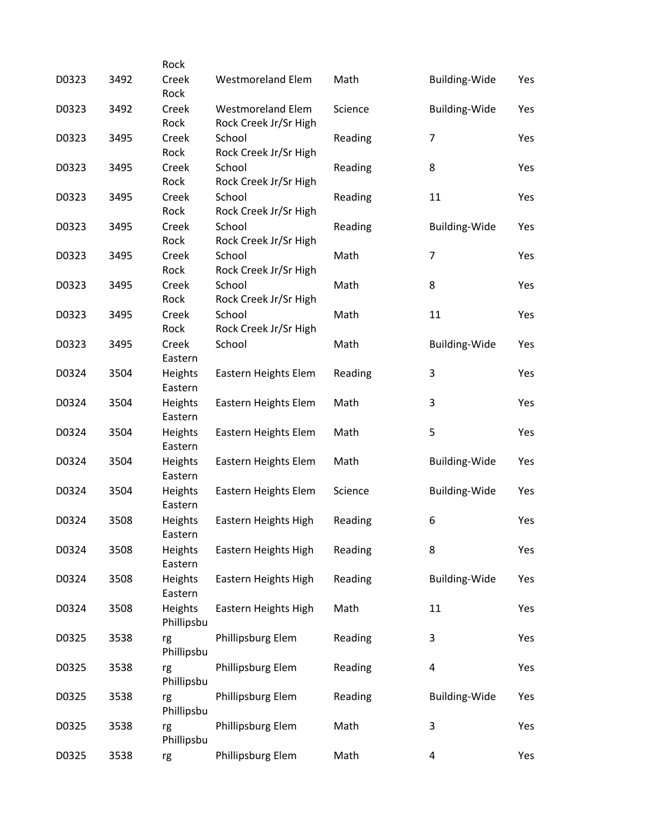|       |      | Rock                  |                                                   |         |                         |     |
|-------|------|-----------------------|---------------------------------------------------|---------|-------------------------|-----|
| D0323 | 3492 | Creek<br>Rock         | <b>Westmoreland Elem</b>                          | Math    | <b>Building-Wide</b>    | Yes |
| D0323 | 3492 | Creek<br>Rock         | <b>Westmoreland Elem</b><br>Rock Creek Jr/Sr High | Science | <b>Building-Wide</b>    | Yes |
| D0323 | 3495 | Creek<br>Rock         | School<br>Rock Creek Jr/Sr High                   | Reading | $\overline{7}$          | Yes |
| D0323 | 3495 | Creek<br>Rock         | School<br>Rock Creek Jr/Sr High                   | Reading | 8                       | Yes |
| D0323 | 3495 | Creek<br>Rock         | School<br>Rock Creek Jr/Sr High                   | Reading | 11                      | Yes |
| D0323 | 3495 | Creek<br>Rock         | School<br>Rock Creek Jr/Sr High                   | Reading | <b>Building-Wide</b>    | Yes |
| D0323 | 3495 | Creek<br>Rock         | School<br>Rock Creek Jr/Sr High                   | Math    | $\overline{\mathbf{z}}$ | Yes |
| D0323 | 3495 | Creek<br>Rock         | School<br>Rock Creek Jr/Sr High                   | Math    | 8                       | Yes |
| D0323 | 3495 | Creek<br>Rock         | School<br>Rock Creek Jr/Sr High                   | Math    | 11                      | Yes |
| D0323 | 3495 | Creek<br>Eastern      | School                                            | Math    | <b>Building-Wide</b>    | Yes |
| D0324 | 3504 | Heights<br>Eastern    | Eastern Heights Elem                              | Reading | 3                       | Yes |
| D0324 | 3504 | Heights<br>Eastern    | Eastern Heights Elem                              | Math    | 3                       | Yes |
| D0324 | 3504 | Heights<br>Eastern    | Eastern Heights Elem                              | Math    | 5                       | Yes |
| D0324 | 3504 | Heights<br>Eastern    | Eastern Heights Elem                              | Math    | <b>Building-Wide</b>    | Yes |
| D0324 | 3504 | Heights<br>Eastern    | Eastern Heights Elem                              | Science | <b>Building-Wide</b>    | Yes |
| D0324 | 3508 | Heights<br>Eastern    | Eastern Heights High                              | Reading | 6                       | Yes |
| D0324 | 3508 | Heights<br>Eastern    | Eastern Heights High                              | Reading | 8                       | Yes |
| D0324 | 3508 | Heights<br>Eastern    | Eastern Heights High                              | Reading | <b>Building-Wide</b>    | Yes |
| D0324 | 3508 | Heights<br>Phillipsbu | Eastern Heights High                              | Math    | 11                      | Yes |
| D0325 | 3538 | rg<br>Phillipsbu      | Phillipsburg Elem                                 | Reading | 3                       | Yes |
| D0325 | 3538 | rg<br>Phillipsbu      | Phillipsburg Elem                                 | Reading | $\pmb{4}$               | Yes |
| D0325 | 3538 | rg<br>Phillipsbu      | Phillipsburg Elem                                 | Reading | <b>Building-Wide</b>    | Yes |
| D0325 | 3538 | rg<br>Phillipsbu      | Phillipsburg Elem                                 | Math    | 3                       | Yes |
| D0325 | 3538 | rg                    | Phillipsburg Elem                                 | Math    | 4                       | Yes |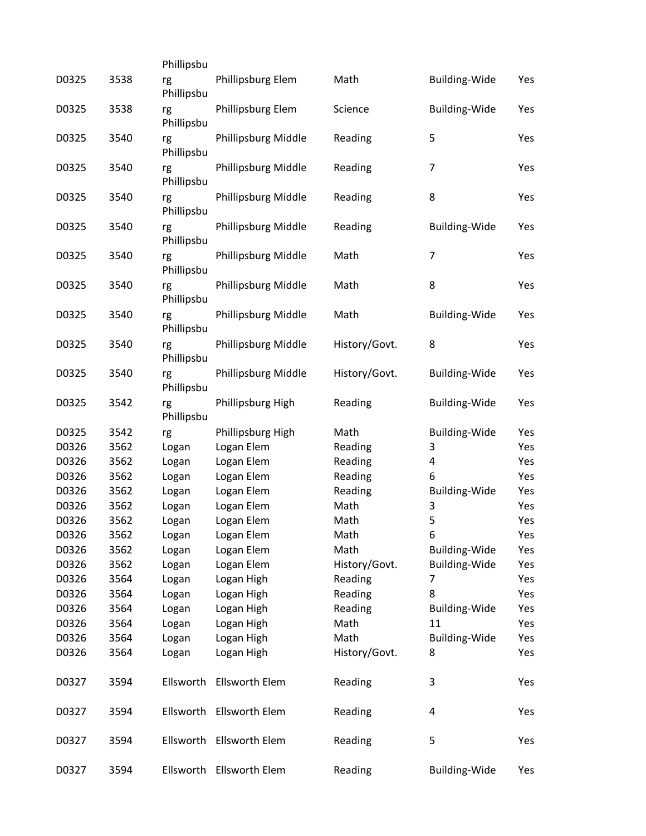|       |      | Phillipsbu       |                          |               |                      |     |
|-------|------|------------------|--------------------------|---------------|----------------------|-----|
| D0325 | 3538 | rg<br>Phillipsbu | Phillipsburg Elem        | Math          | <b>Building-Wide</b> | Yes |
| D0325 | 3538 | rg<br>Phillipsbu | Phillipsburg Elem        | Science       | <b>Building-Wide</b> | Yes |
| D0325 | 3540 | rg<br>Phillipsbu | Phillipsburg Middle      | Reading       | 5                    | Yes |
| D0325 | 3540 | rg<br>Phillipsbu | Phillipsburg Middle      | Reading       | 7                    | Yes |
| D0325 | 3540 | rg<br>Phillipsbu | Phillipsburg Middle      | Reading       | 8                    | Yes |
| D0325 | 3540 | rg<br>Phillipsbu | Phillipsburg Middle      | Reading       | <b>Building-Wide</b> | Yes |
| D0325 | 3540 | rg<br>Phillipsbu | Phillipsburg Middle      | Math          | 7                    | Yes |
| D0325 | 3540 | rg<br>Phillipsbu | Phillipsburg Middle      | Math          | 8                    | Yes |
| D0325 | 3540 | rg<br>Phillipsbu | Phillipsburg Middle      | Math          | <b>Building-Wide</b> | Yes |
| D0325 | 3540 | rg<br>Phillipsbu | Phillipsburg Middle      | History/Govt. | 8                    | Yes |
| D0325 | 3540 | rg<br>Phillipsbu | Phillipsburg Middle      | History/Govt. | <b>Building-Wide</b> | Yes |
| D0325 | 3542 | rg<br>Phillipsbu | Phillipsburg High        | Reading       | <b>Building-Wide</b> | Yes |
| D0325 | 3542 | rg               | Phillipsburg High        | Math          | <b>Building-Wide</b> | Yes |
| D0326 | 3562 | Logan            | Logan Elem               | Reading       | 3                    | Yes |
| D0326 | 3562 | Logan            | Logan Elem               | Reading       | 4                    | Yes |
| D0326 | 3562 | Logan            | Logan Elem               | Reading       | 6                    | Yes |
| D0326 | 3562 | Logan            | Logan Elem               | Reading       | <b>Building-Wide</b> | Yes |
| D0326 | 3562 | Logan            | Logan Elem               | Math          | 3                    | Yes |
| D0326 | 3562 | Logan            | Logan Elem               | Math          | 5                    | Yes |
| D0326 | 3562 | Logan            | Logan Elem               | Math          | 6                    | Yes |
| D0326 | 3562 | Logan            | Logan Elem               | Math          | <b>Building-Wide</b> | Yes |
| D0326 | 3562 | Logan            | Logan Elem               | History/Govt. | <b>Building-Wide</b> | Yes |
| D0326 | 3564 | Logan            | Logan High               | Reading       | 7                    | Yes |
| D0326 | 3564 | Logan            | Logan High               | Reading       | 8                    | Yes |
| D0326 | 3564 | Logan            | Logan High               | Reading       | <b>Building-Wide</b> | Yes |
| D0326 | 3564 | Logan            | Logan High               | Math          | 11                   | Yes |
| D0326 | 3564 | Logan            | Logan High               | Math          | <b>Building-Wide</b> | Yes |
| D0326 | 3564 | Logan            | Logan High               | History/Govt. | 8                    | Yes |
| D0327 | 3594 | Ellsworth        | Ellsworth Elem           | Reading       | 3                    | Yes |
| D0327 | 3594 |                  | Ellsworth Ellsworth Elem | Reading       | 4                    | Yes |
| D0327 | 3594 | Ellsworth        | Ellsworth Elem           | Reading       | 5                    | Yes |
| D0327 | 3594 |                  | Ellsworth Ellsworth Elem | Reading       | <b>Building-Wide</b> | Yes |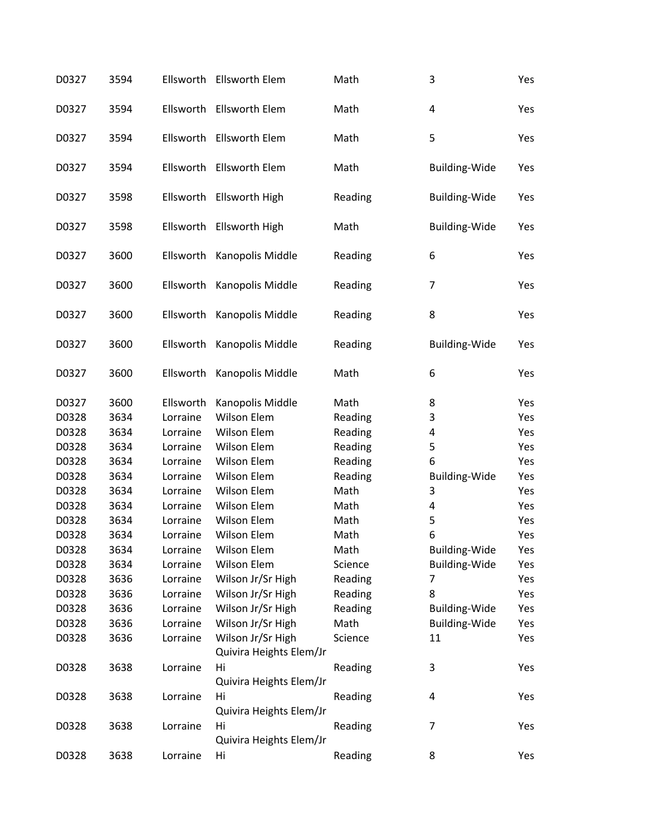| D0327 | 3594 | Ellsworth | <b>Ellsworth Elem</b>                        | Math    | 3                    | Yes |
|-------|------|-----------|----------------------------------------------|---------|----------------------|-----|
| D0327 | 3594 | Ellsworth | Ellsworth Elem                               | Math    | 4                    | Yes |
| D0327 | 3594 | Ellsworth | <b>Ellsworth Elem</b>                        | Math    | 5                    | Yes |
| D0327 | 3594 |           | Ellsworth Ellsworth Elem                     | Math    | <b>Building-Wide</b> | Yes |
| D0327 | 3598 | Ellsworth | <b>Ellsworth High</b>                        | Reading | <b>Building-Wide</b> | Yes |
| D0327 | 3598 | Ellsworth | Ellsworth High                               | Math    | <b>Building-Wide</b> | Yes |
| D0327 | 3600 | Ellsworth | Kanopolis Middle                             | Reading | 6                    | Yes |
| D0327 | 3600 | Ellsworth | Kanopolis Middle                             | Reading | $\overline{7}$       | Yes |
| D0327 | 3600 | Ellsworth | Kanopolis Middle                             | Reading | 8                    | Yes |
| D0327 | 3600 | Ellsworth | Kanopolis Middle                             | Reading | <b>Building-Wide</b> | Yes |
| D0327 | 3600 | Ellsworth | Kanopolis Middle                             | Math    | 6                    | Yes |
| D0327 | 3600 | Ellsworth | Kanopolis Middle                             | Math    | 8                    | Yes |
| D0328 | 3634 | Lorraine  | Wilson Elem                                  | Reading | 3                    | Yes |
| D0328 | 3634 | Lorraine  | Wilson Elem                                  | Reading | 4                    | Yes |
| D0328 | 3634 | Lorraine  | Wilson Elem                                  | Reading | 5                    | Yes |
| D0328 | 3634 | Lorraine  | Wilson Elem                                  | Reading | 6                    | Yes |
| D0328 | 3634 | Lorraine  | Wilson Elem                                  | Reading | <b>Building-Wide</b> | Yes |
| D0328 | 3634 | Lorraine  | Wilson Elem                                  | Math    | 3                    | Yes |
| D0328 | 3634 | Lorraine  | Wilson Elem                                  | Math    | 4                    | Yes |
| D0328 | 3634 | Lorraine  | Wilson Elem                                  | Math    | 5                    | Yes |
| D0328 | 3634 | Lorraine  | Wilson Elem                                  | Math    | 6                    | Yes |
| D0328 | 3634 | Lorraine  | Wilson Elem                                  | Math    | <b>Building-Wide</b> | Yes |
| D0328 | 3634 | Lorraine  | Wilson Elem                                  | Science | <b>Building-Wide</b> | Yes |
| D0328 | 3636 | Lorraine  | Wilson Jr/Sr High                            | Reading | 7                    | Yes |
| D0328 | 3636 | Lorraine  | Wilson Jr/Sr High                            | Reading | 8                    | Yes |
| D0328 | 3636 | Lorraine  | Wilson Jr/Sr High                            | Reading | <b>Building-Wide</b> | Yes |
| D0328 | 3636 | Lorraine  | Wilson Jr/Sr High                            | Math    | <b>Building-Wide</b> | Yes |
| D0328 | 3636 | Lorraine  | Wilson Jr/Sr High<br>Quivira Heights Elem/Jr | Science | 11                   | Yes |
| D0328 | 3638 | Lorraine  | Hi<br>Quivira Heights Elem/Jr                | Reading | 3                    | Yes |
| D0328 | 3638 | Lorraine  | Hi<br>Quivira Heights Elem/Jr                | Reading | 4                    | Yes |
| D0328 | 3638 | Lorraine  | Hi<br>Quivira Heights Elem/Jr                | Reading | 7                    | Yes |
| D0328 | 3638 | Lorraine  | Hi                                           | Reading | 8                    | Yes |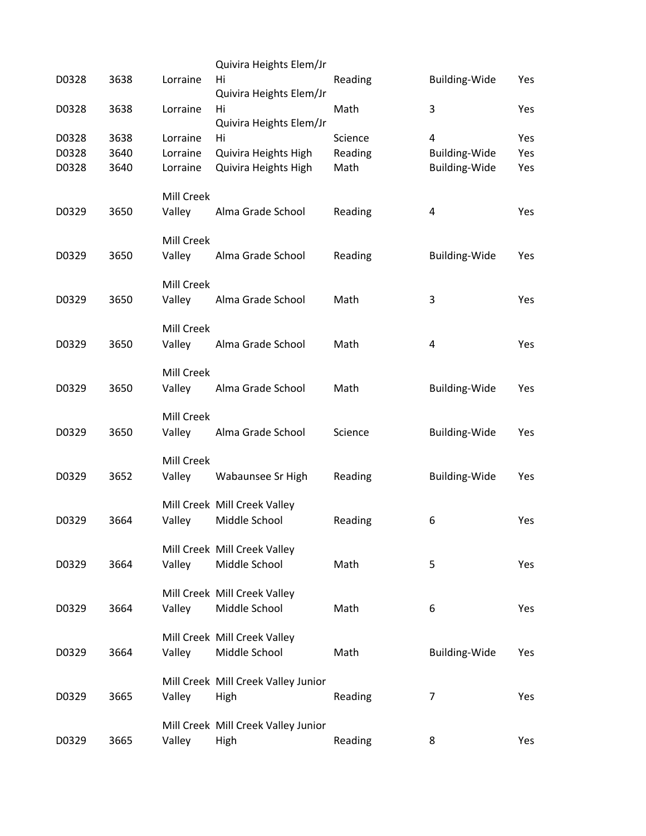|       |      |                   | Quivira Heights Elem/Jr             |         |                      |     |
|-------|------|-------------------|-------------------------------------|---------|----------------------|-----|
| D0328 | 3638 | Lorraine          | Hi<br>Quivira Heights Elem/Jr       | Reading | Building-Wide        | Yes |
| D0328 | 3638 | Lorraine          | Hi<br>Quivira Heights Elem/Jr       | Math    | 3                    | Yes |
| D0328 | 3638 | Lorraine          | Hi                                  | Science | 4                    | Yes |
| D0328 | 3640 | Lorraine          | Quivira Heights High                | Reading | <b>Building-Wide</b> | Yes |
| D0328 | 3640 | Lorraine          | Quivira Heights High                | Math    | Building-Wide        | Yes |
|       |      | Mill Creek        |                                     |         |                      |     |
| D0329 | 3650 | Valley            | Alma Grade School                   | Reading | 4                    | Yes |
|       |      | <b>Mill Creek</b> |                                     |         |                      |     |
| D0329 | 3650 | Valley            | Alma Grade School                   | Reading | <b>Building-Wide</b> | Yes |
|       |      | Mill Creek        |                                     |         |                      |     |
| D0329 | 3650 | Valley            | Alma Grade School                   | Math    | 3                    | Yes |
|       |      | Mill Creek        |                                     |         |                      |     |
| D0329 | 3650 | Valley            | Alma Grade School                   | Math    | 4                    | Yes |
|       |      | Mill Creek        |                                     |         |                      |     |
| D0329 | 3650 | Valley            | Alma Grade School                   | Math    | <b>Building-Wide</b> | Yes |
|       |      | Mill Creek        |                                     |         |                      |     |
| D0329 | 3650 | Valley            | Alma Grade School                   | Science | <b>Building-Wide</b> | Yes |
|       |      | Mill Creek        |                                     |         |                      |     |
| D0329 | 3652 | Valley            | Wabaunsee Sr High                   | Reading | Building-Wide        | Yes |
|       |      |                   | Mill Creek Mill Creek Valley        |         |                      |     |
| D0329 | 3664 | Valley            | Middle School                       | Reading | 6                    | Yes |
|       |      |                   | Mill Creek Mill Creek Valley        |         |                      |     |
| D0329 | 3664 | Valley            | Middle School                       | Math    | 5                    | Yes |
|       |      |                   | Mill Creek Mill Creek Valley        |         |                      |     |
| D0329 | 3664 | Valley            | Middle School                       | Math    | 6                    | Yes |
|       |      |                   | Mill Creek Mill Creek Valley        |         |                      |     |
| D0329 | 3664 | Valley            | Middle School                       | Math    | <b>Building-Wide</b> | Yes |
|       |      |                   | Mill Creek Mill Creek Valley Junior |         |                      |     |
| D0329 | 3665 | Valley            | High                                | Reading | 7                    | Yes |
|       |      |                   | Mill Creek Mill Creek Valley Junior |         |                      |     |
| D0329 | 3665 | Valley            | High                                | Reading | 8                    | Yes |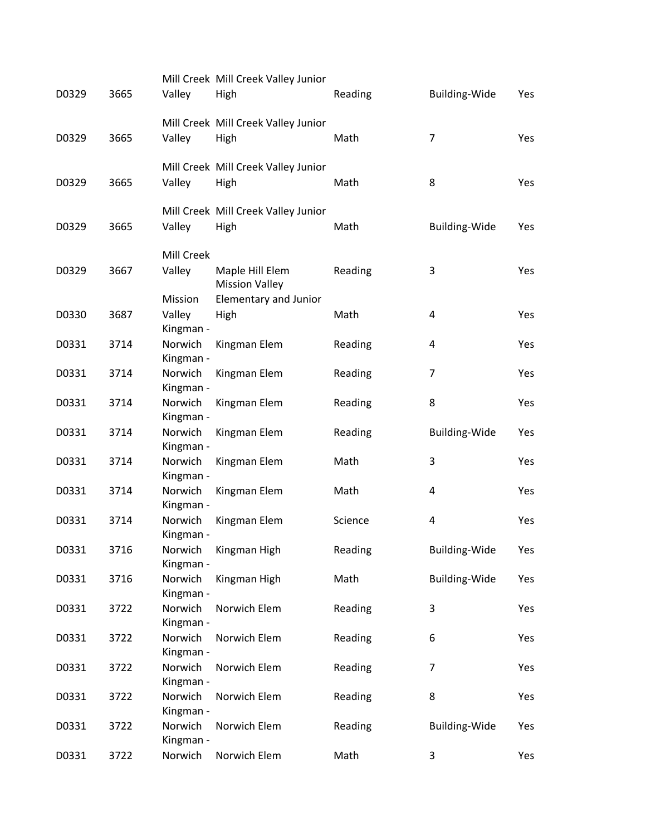| D0329 | 3665 | Valley               | Mill Creek Mill Creek Valley Junior<br>High | Reading | Building-Wide        | Yes |
|-------|------|----------------------|---------------------------------------------|---------|----------------------|-----|
| D0329 | 3665 | Valley               | Mill Creek Mill Creek Valley Junior<br>High | Math    | 7                    | Yes |
| D0329 | 3665 | Valley               | Mill Creek Mill Creek Valley Junior<br>High | Math    | 8                    | Yes |
|       |      |                      | Mill Creek Mill Creek Valley Junior         |         |                      |     |
| D0329 | 3665 | Valley               | High                                        | Math    | <b>Building-Wide</b> | Yes |
|       |      | Mill Creek           |                                             |         |                      |     |
| D0329 | 3667 | Valley               | Maple Hill Elem<br><b>Mission Valley</b>    | Reading | 3                    | Yes |
|       |      | Mission              | <b>Elementary and Junior</b>                |         |                      |     |
| D0330 | 3687 | Valley<br>Kingman -  | High                                        | Math    | 4                    | Yes |
| D0331 | 3714 | Norwich<br>Kingman - | Kingman Elem                                | Reading | 4                    | Yes |
| D0331 | 3714 | Norwich<br>Kingman - | Kingman Elem                                | Reading | 7                    | Yes |
| D0331 | 3714 | Norwich<br>Kingman - | Kingman Elem                                | Reading | 8                    | Yes |
| D0331 | 3714 | Norwich              | Kingman Elem                                | Reading | <b>Building-Wide</b> | Yes |
| D0331 | 3714 | Kingman -<br>Norwich | Kingman Elem                                | Math    | 3                    | Yes |
| D0331 | 3714 | Kingman -<br>Norwich | Kingman Elem                                | Math    | 4                    | Yes |
| D0331 | 3714 | Kingman -<br>Norwich | Kingman Elem                                | Science | 4                    | Yes |
|       |      | Kingman -            |                                             |         |                      |     |
| D0331 | 3716 | Kingman -            | Norwich Kingman High                        | Reading | Building-Wide        | Yes |
| D0331 | 3716 | Norwich<br>Kingman - | Kingman High                                | Math    | Building-Wide        | Yes |
| D0331 | 3722 | Norwich<br>Kingman - | Norwich Elem                                | Reading | 3                    | Yes |
| D0331 | 3722 | Norwich<br>Kingman - | Norwich Elem                                | Reading | 6                    | Yes |
| D0331 | 3722 | Norwich              | Norwich Elem                                | Reading | 7                    | Yes |
| D0331 | 3722 | Kingman -<br>Norwich | Norwich Elem                                | Reading | 8                    | Yes |
|       |      | Kingman -            |                                             |         |                      |     |
| D0331 | 3722 | Norwich<br>Kingman - | Norwich Elem                                | Reading | <b>Building-Wide</b> | Yes |
| D0331 | 3722 | Norwich              | Norwich Elem                                | Math    | 3                    | Yes |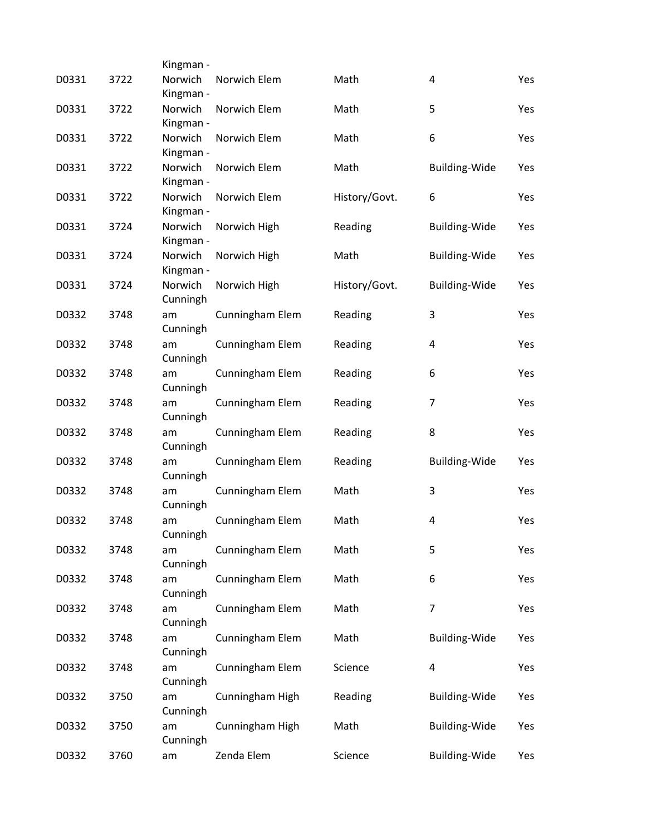|       |      | Kingman -            |                 |               |                         |     |
|-------|------|----------------------|-----------------|---------------|-------------------------|-----|
| D0331 | 3722 | Norwich<br>Kingman - | Norwich Elem    | Math          | 4                       | Yes |
| D0331 | 3722 | Norwich<br>Kingman - | Norwich Elem    | Math          | 5                       | Yes |
| D0331 | 3722 | Norwich              | Norwich Elem    | Math          | 6                       | Yes |
| D0331 | 3722 | Kingman -<br>Norwich | Norwich Elem    | Math          | Building-Wide           | Yes |
| D0331 | 3722 | Kingman -<br>Norwich | Norwich Elem    | History/Govt. | 6                       | Yes |
| D0331 | 3724 | Kingman -<br>Norwich | Norwich High    | Reading       | <b>Building-Wide</b>    | Yes |
| D0331 | 3724 | Kingman -<br>Norwich | Norwich High    | Math          | <b>Building-Wide</b>    | Yes |
| D0331 | 3724 | Kingman -<br>Norwich | Norwich High    | History/Govt. | Building-Wide           | Yes |
| D0332 | 3748 | Cunningh<br>am       | Cunningham Elem | Reading       | 3                       | Yes |
| D0332 | 3748 | Cunningh<br>am       | Cunningham Elem | Reading       | 4                       | Yes |
| D0332 | 3748 | Cunningh<br>am       | Cunningham Elem | Reading       | 6                       | Yes |
| D0332 | 3748 | Cunningh<br>am       | Cunningham Elem | Reading       | $\overline{7}$          | Yes |
| D0332 | 3748 | Cunningh<br>am       | Cunningham Elem | Reading       | 8                       | Yes |
| D0332 | 3748 | Cunningh<br>am       | Cunningham Elem | Reading       | <b>Building-Wide</b>    | Yes |
| D0332 | 3748 | Cunningh<br>am       | Cunningham Elem | Math          | 3                       | Yes |
| D0332 | 3748 | Cunningh             |                 | Math          | 4                       | Yes |
|       |      | am<br>Cunningh       | Cunningham Elem |               |                         |     |
| D0332 | 3748 | am<br>Cunningh       | Cunningham Elem | Math          | 5                       | Yes |
| D0332 | 3748 | am<br>Cunningh       | Cunningham Elem | Math          | 6                       | Yes |
| D0332 | 3748 | am<br>Cunningh       | Cunningham Elem | Math          | $\overline{7}$          | Yes |
| D0332 | 3748 | am<br>Cunningh       | Cunningham Elem | Math          | Building-Wide           | Yes |
| D0332 | 3748 | am<br>Cunningh       | Cunningham Elem | Science       | $\overline{\mathbf{4}}$ | Yes |
| D0332 | 3750 | am<br>Cunningh       | Cunningham High | Reading       | <b>Building-Wide</b>    | Yes |
| D0332 | 3750 | am<br>Cunningh       | Cunningham High | Math          | <b>Building-Wide</b>    | Yes |
| D0332 | 3760 | am                   | Zenda Elem      | Science       | <b>Building-Wide</b>    | Yes |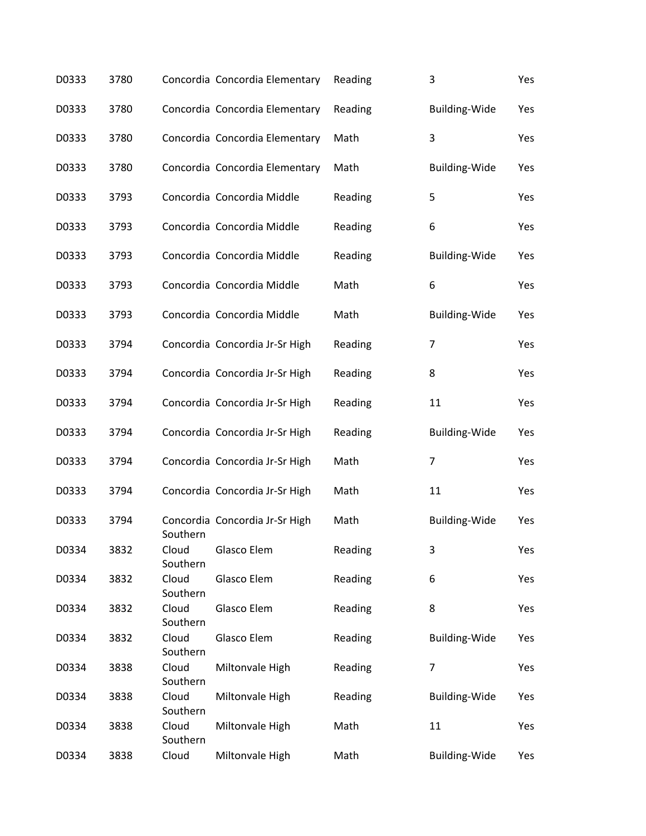| D0333 | 3780 |                   | Concordia Concordia Elementary | Reading | 3                    | Yes |
|-------|------|-------------------|--------------------------------|---------|----------------------|-----|
| D0333 | 3780 |                   | Concordia Concordia Elementary | Reading | Building-Wide        | Yes |
| D0333 | 3780 |                   | Concordia Concordia Elementary | Math    | 3                    | Yes |
| D0333 | 3780 |                   | Concordia Concordia Elementary | Math    | <b>Building-Wide</b> | Yes |
| D0333 | 3793 |                   | Concordia Concordia Middle     | Reading | 5                    | Yes |
| D0333 | 3793 |                   | Concordia Concordia Middle     | Reading | 6                    | Yes |
| D0333 | 3793 |                   | Concordia Concordia Middle     | Reading | <b>Building-Wide</b> | Yes |
| D0333 | 3793 |                   | Concordia Concordia Middle     | Math    | 6                    | Yes |
| D0333 | 3793 |                   | Concordia Concordia Middle     | Math    | <b>Building-Wide</b> | Yes |
| D0333 | 3794 |                   | Concordia Concordia Jr-Sr High | Reading | $\overline{7}$       | Yes |
| D0333 | 3794 |                   | Concordia Concordia Jr-Sr High | Reading | 8                    | Yes |
| D0333 | 3794 |                   | Concordia Concordia Jr-Sr High | Reading | 11                   | Yes |
| D0333 | 3794 |                   | Concordia Concordia Jr-Sr High | Reading | <b>Building-Wide</b> | Yes |
| D0333 | 3794 |                   | Concordia Concordia Jr-Sr High | Math    | 7                    | Yes |
| D0333 | 3794 |                   | Concordia Concordia Jr-Sr High | Math    | 11                   | Yes |
| D0333 | 3794 | Southern          | Concordia Concordia Jr-Sr High | Math    | Building-Wide        | Yes |
| D0334 | 3832 | Cloud<br>Southern | Glasco Elem                    | Reading | 3                    | Yes |
| D0334 | 3832 | Cloud<br>Southern | Glasco Elem                    | Reading | 6                    | Yes |
| D0334 | 3832 | Cloud<br>Southern | Glasco Elem                    | Reading | 8                    | Yes |
| D0334 | 3832 | Cloud<br>Southern | Glasco Elem                    | Reading | <b>Building-Wide</b> | Yes |
| D0334 | 3838 | Cloud<br>Southern | Miltonvale High                | Reading | $\overline{7}$       | Yes |
| D0334 | 3838 | Cloud<br>Southern | Miltonvale High                | Reading | <b>Building-Wide</b> | Yes |
| D0334 | 3838 | Cloud<br>Southern | Miltonvale High                | Math    | 11                   | Yes |
| D0334 | 3838 | Cloud             | Miltonvale High                | Math    | <b>Building-Wide</b> | Yes |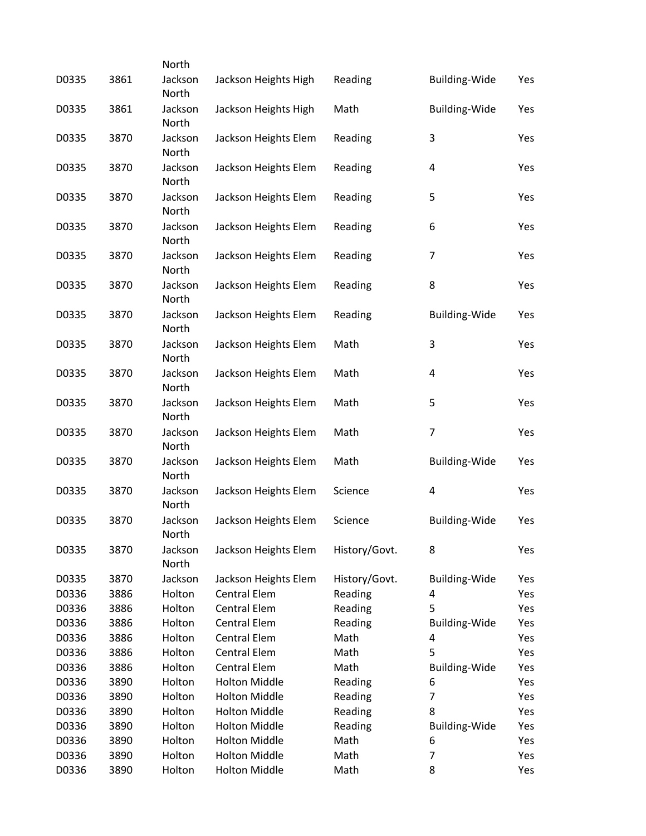| D0335 | 3861 | North<br>Jackson | Jackson Heights High | Reading       | Building-Wide           | Yes |
|-------|------|------------------|----------------------|---------------|-------------------------|-----|
|       |      | North            |                      |               |                         |     |
| D0335 | 3861 | Jackson<br>North | Jackson Heights High | Math          | <b>Building-Wide</b>    | Yes |
| D0335 | 3870 | Jackson<br>North | Jackson Heights Elem | Reading       | 3                       | Yes |
| D0335 | 3870 | Jackson          | Jackson Heights Elem | Reading       | 4                       | Yes |
| D0335 | 3870 | North<br>Jackson | Jackson Heights Elem | Reading       | 5                       | Yes |
| D0335 | 3870 | North<br>Jackson | Jackson Heights Elem | Reading       | 6                       | Yes |
|       |      | North            |                      |               |                         |     |
| D0335 | 3870 | Jackson<br>North | Jackson Heights Elem | Reading       | 7                       | Yes |
| D0335 | 3870 | Jackson<br>North | Jackson Heights Elem | Reading       | 8                       | Yes |
| D0335 | 3870 | Jackson<br>North | Jackson Heights Elem | Reading       | <b>Building-Wide</b>    | Yes |
| D0335 | 3870 | Jackson<br>North | Jackson Heights Elem | Math          | 3                       | Yes |
| D0335 | 3870 | Jackson          | Jackson Heights Elem | Math          | $\overline{\mathbf{r}}$ | Yes |
| D0335 | 3870 | North<br>Jackson | Jackson Heights Elem | Math          | $\mathsf S$             | Yes |
| D0335 | 3870 | North<br>Jackson | Jackson Heights Elem | Math          | $\overline{7}$          | Yes |
| D0335 | 3870 | North<br>Jackson | Jackson Heights Elem | Math          | <b>Building-Wide</b>    | Yes |
|       |      | North            |                      |               |                         |     |
| D0335 | 3870 | Jackson<br>North | Jackson Heights Elem | Science       | 4                       | Yes |
| D0335 | 3870 | Jackson<br>North | Jackson Heights Elem | Science       | <b>Building-Wide</b>    | Yes |
| D0335 | 3870 | Jackson<br>North | Jackson Heights Elem | History/Govt. | 8                       | Yes |
| D0335 | 3870 | Jackson          | Jackson Heights Elem | History/Govt. | <b>Building-Wide</b>    | Yes |
| D0336 | 3886 | Holton           | <b>Central Elem</b>  | Reading       | 4                       | Yes |
| D0336 | 3886 | Holton           | <b>Central Elem</b>  | Reading       | 5                       | Yes |
| D0336 | 3886 | Holton           | <b>Central Elem</b>  | Reading       | <b>Building-Wide</b>    | Yes |
| D0336 | 3886 | Holton           | <b>Central Elem</b>  | Math          | 4                       | Yes |
| D0336 | 3886 | Holton           | <b>Central Elem</b>  | Math          | 5                       | Yes |
| D0336 | 3886 | Holton           | <b>Central Elem</b>  | Math          | <b>Building-Wide</b>    | Yes |
| D0336 | 3890 | Holton           | <b>Holton Middle</b> | Reading       | 6                       | Yes |
| D0336 | 3890 | Holton           | <b>Holton Middle</b> | Reading       | 7                       | Yes |
| D0336 | 3890 | Holton           | <b>Holton Middle</b> | Reading       | 8                       | Yes |
| D0336 | 3890 | Holton           | <b>Holton Middle</b> | Reading       | <b>Building-Wide</b>    | Yes |
| D0336 | 3890 | Holton           | <b>Holton Middle</b> | Math          | 6                       | Yes |
|       |      |                  | <b>Holton Middle</b> |               | $\overline{7}$          |     |
| D0336 | 3890 | Holton           |                      | Math          |                         | Yes |
| D0336 | 3890 | Holton           | <b>Holton Middle</b> | Math          | 8                       | Yes |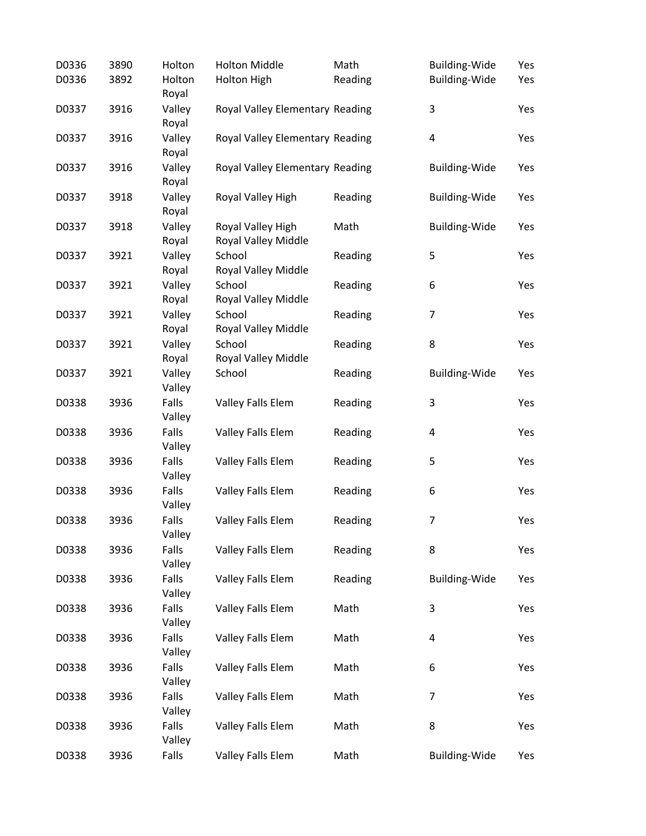| D0336 | 3890 | Holton           | <b>Holton Middle</b>                     | Math    | <b>Building-Wide</b> | Yes |
|-------|------|------------------|------------------------------------------|---------|----------------------|-----|
| D0336 | 3892 | Holton<br>Royal  | <b>Holton High</b>                       | Reading | <b>Building-Wide</b> | Yes |
| D0337 | 3916 | Valley<br>Royal  | Royal Valley Elementary Reading          |         | 3                    | Yes |
| D0337 | 3916 | Valley<br>Royal  | Royal Valley Elementary Reading          |         | $\pmb{4}$            | Yes |
| D0337 | 3916 | Valley<br>Royal  | Royal Valley Elementary Reading          |         | Building-Wide        | Yes |
| D0337 | 3918 | Valley<br>Royal  | Royal Valley High                        | Reading | <b>Building-Wide</b> | Yes |
| D0337 | 3918 | Valley<br>Royal  | Royal Valley High<br>Royal Valley Middle | Math    | <b>Building-Wide</b> | Yes |
| D0337 | 3921 | Valley<br>Royal  | School<br>Royal Valley Middle            | Reading | 5                    | Yes |
| D0337 | 3921 | Valley<br>Royal  | School<br>Royal Valley Middle            | Reading | 6                    | Yes |
| D0337 | 3921 | Valley<br>Royal  | School<br>Royal Valley Middle            | Reading | $\overline{7}$       | Yes |
| D0337 | 3921 | Valley<br>Royal  | School<br>Royal Valley Middle            | Reading | 8                    | Yes |
| D0337 | 3921 | Valley<br>Valley | School                                   | Reading | <b>Building-Wide</b> | Yes |
| D0338 | 3936 | Falls<br>Valley  | Valley Falls Elem                        | Reading | 3                    | Yes |
| D0338 | 3936 | Falls<br>Valley  | Valley Falls Elem                        | Reading | 4                    | Yes |
| D0338 | 3936 | Falls<br>Valley  | Valley Falls Elem                        | Reading | 5                    | Yes |
| D0338 | 3936 | Falls<br>Valley  | Valley Falls Elem                        | Reading | 6                    | Yes |
| D0338 | 3936 | Falls<br>Valley  | Valley Falls Elem                        | Reading | $\overline{7}$       | Yes |
| D0338 | 3936 | Falls<br>Valley  | Valley Falls Elem                        | Reading | 8                    | Yes |
| D0338 | 3936 | Falls<br>Valley  | Valley Falls Elem                        | Reading | <b>Building-Wide</b> | Yes |
| D0338 | 3936 | Falls<br>Valley  | Valley Falls Elem                        | Math    | 3                    | Yes |
| D0338 | 3936 | Falls<br>Valley  | Valley Falls Elem                        | Math    | 4                    | Yes |
| D0338 | 3936 | Falls<br>Valley  | Valley Falls Elem                        | Math    | 6                    | Yes |
| D0338 | 3936 | Falls<br>Valley  | Valley Falls Elem                        | Math    | 7                    | Yes |
| D0338 | 3936 | Falls<br>Valley  | Valley Falls Elem                        | Math    | 8                    | Yes |
| D0338 | 3936 | Falls            | Valley Falls Elem                        | Math    | <b>Building-Wide</b> | Yes |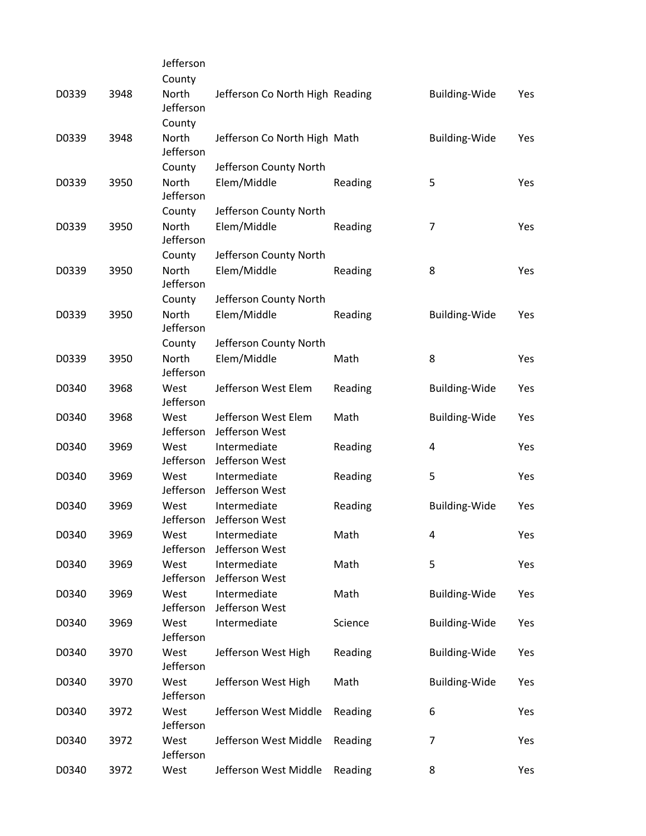|       |      | Jefferson                 |                                       |         |                      |     |
|-------|------|---------------------------|---------------------------------------|---------|----------------------|-----|
|       |      | County                    |                                       |         |                      |     |
| D0339 | 3948 | North<br>Jefferson        | Jefferson Co North High Reading       |         | <b>Building-Wide</b> | Yes |
|       |      | County                    |                                       |         |                      |     |
| D0339 | 3948 | North<br>Jefferson        | Jefferson Co North High Math          |         | <b>Building-Wide</b> | Yes |
|       |      | County                    | Jefferson County North                |         |                      |     |
| D0339 | 3950 | North<br>Jefferson        | Elem/Middle                           | Reading | 5                    | Yes |
|       |      | County                    | Jefferson County North                |         |                      |     |
| D0339 | 3950 | North<br>Jefferson        | Elem/Middle                           | Reading | 7                    | Yes |
|       |      | County                    | Jefferson County North                |         |                      |     |
| D0339 | 3950 | <b>North</b><br>Jefferson | Elem/Middle                           | Reading | 8                    | Yes |
|       |      | County                    | Jefferson County North                |         |                      |     |
| D0339 | 3950 | North<br>Jefferson        | Elem/Middle                           | Reading | <b>Building-Wide</b> | Yes |
|       |      | County                    | Jefferson County North                |         |                      |     |
| D0339 | 3950 | <b>North</b><br>Jefferson | Elem/Middle                           | Math    | 8                    | Yes |
| D0340 | 3968 | West<br>Jefferson         | Jefferson West Elem                   | Reading | Building-Wide        | Yes |
| D0340 | 3968 | West<br>Jefferson         | Jefferson West Elem<br>Jefferson West | Math    | <b>Building-Wide</b> | Yes |
| D0340 | 3969 | West<br>Jefferson         | Intermediate<br>Jefferson West        | Reading | 4                    | Yes |
| D0340 | 3969 | West<br>Jefferson         | Intermediate<br>Jefferson West        | Reading | 5                    | Yes |
| D0340 | 3969 | West<br>Jefferson         | Intermediate<br>Jefferson West        | Reading | <b>Building-Wide</b> | Yes |
| D0340 | 3969 | West<br>Jefferson         | Intermediate<br>Jefferson West        | Math    | 4                    | Yes |
| D0340 | 3969 | West<br>Jefferson         | Intermediate<br>Jefferson West        | Math    | 5                    | Yes |
| D0340 | 3969 | West<br>Jefferson         | Intermediate<br>Jefferson West        | Math    | <b>Building-Wide</b> | Yes |
| D0340 | 3969 | West<br>Jefferson         | Intermediate                          | Science | <b>Building-Wide</b> | Yes |
| D0340 | 3970 | West<br>Jefferson         | Jefferson West High                   | Reading | <b>Building-Wide</b> | Yes |
| D0340 | 3970 | West<br>Jefferson         | Jefferson West High                   | Math    | <b>Building-Wide</b> | Yes |
| D0340 | 3972 | West<br>Jefferson         | Jefferson West Middle                 | Reading | 6                    | Yes |
| D0340 | 3972 | West<br>Jefferson         | Jefferson West Middle                 | Reading | $\overline{7}$       | Yes |
| D0340 | 3972 | West                      | Jefferson West Middle                 | Reading | 8                    | Yes |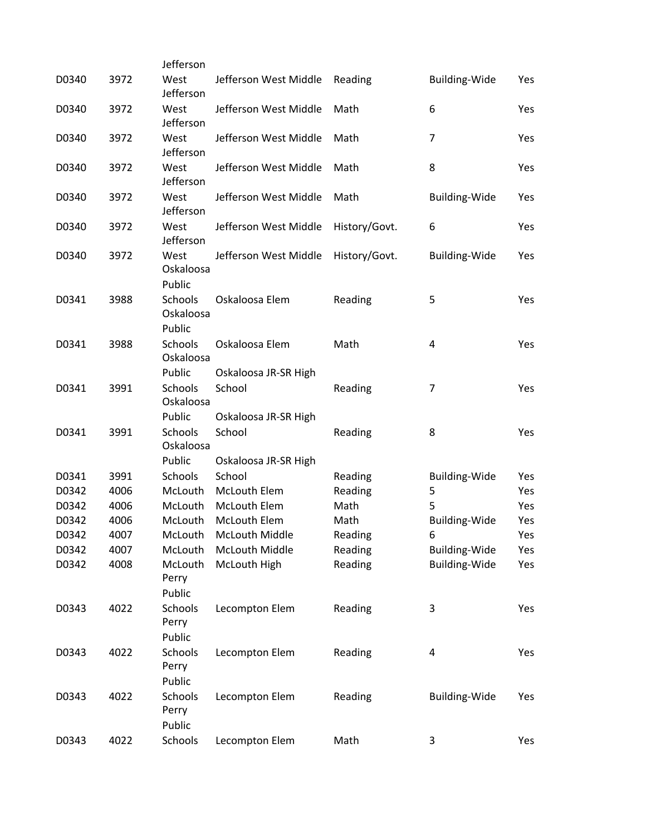| D0340 | 3972 | Jefferson<br>West    |                       |               | <b>Building-Wide</b>    |     |
|-------|------|----------------------|-----------------------|---------------|-------------------------|-----|
|       |      | Jefferson            | Jefferson West Middle | Reading       |                         | Yes |
| D0340 | 3972 | West                 | Jefferson West Middle | Math          | 6                       | Yes |
|       |      | Jefferson            |                       |               |                         |     |
| D0340 | 3972 | West                 | Jefferson West Middle | Math          | 7                       | Yes |
|       |      | Jefferson            |                       |               |                         |     |
| D0340 | 3972 | West                 | Jefferson West Middle | Math          | 8                       | Yes |
|       |      | Jefferson            |                       |               |                         |     |
| D0340 | 3972 | West                 | Jefferson West Middle | Math          | <b>Building-Wide</b>    | Yes |
|       |      | Jefferson            |                       |               |                         |     |
| D0340 | 3972 | West<br>Jefferson    | Jefferson West Middle | History/Govt. | 6                       | Yes |
| D0340 | 3972 | West                 | Jefferson West Middle | History/Govt. | <b>Building-Wide</b>    | Yes |
|       |      | Oskaloosa            |                       |               |                         |     |
|       |      | Public               |                       |               |                         |     |
| D0341 | 3988 | Schools              | Oskaloosa Elem        | Reading       | 5                       | Yes |
|       |      | Oskaloosa            |                       |               |                         |     |
|       |      | Public               |                       |               |                         |     |
| D0341 | 3988 | Schools              | Oskaloosa Elem        | Math          | 4                       | Yes |
|       |      | Oskaloosa            |                       |               |                         |     |
|       |      | Public               | Oskaloosa JR-SR High  |               |                         |     |
| D0341 | 3991 | <b>Schools</b>       | School                | Reading       | 7                       | Yes |
|       |      | Oskaloosa            |                       |               |                         |     |
|       |      | Public               | Oskaloosa JR-SR High  |               |                         |     |
| D0341 | 3991 | Schools<br>Oskaloosa | School                | Reading       | 8                       | Yes |
|       |      | Public               | Oskaloosa JR-SR High  |               |                         |     |
| D0341 | 3991 | Schools              | School                | Reading       | Building-Wide           | Yes |
| D0342 | 4006 | McLouth              | <b>McLouth Elem</b>   | Reading       | 5                       | Yes |
| D0342 | 4006 | McLouth              | McLouth Elem          | Math          | 5                       | Yes |
| D0342 | 4006 | McLouth              | McLouth Elem          | Math          | <b>Building-Wide</b>    | Yes |
| D0342 | 4007 | McLouth              | McLouth Middle        | Reading       | 6                       | Yes |
| D0342 | 4007 | McLouth              | <b>McLouth Middle</b> | Reading       | <b>Building-Wide</b>    | Yes |
| D0342 | 4008 | McLouth              | McLouth High          | Reading       | <b>Building-Wide</b>    | Yes |
|       |      | Perry                |                       |               |                         |     |
|       |      | Public               |                       |               |                         |     |
| D0343 | 4022 | Schools              | Lecompton Elem        | Reading       | 3                       | Yes |
|       |      | Perry<br>Public      |                       |               |                         |     |
| D0343 | 4022 | Schools              | Lecompton Elem        | Reading       | $\overline{\mathbf{4}}$ | Yes |
|       |      | Perry                |                       |               |                         |     |
|       |      | Public               |                       |               |                         |     |
| D0343 | 4022 | Schools              | Lecompton Elem        | Reading       | <b>Building-Wide</b>    | Yes |
|       |      | Perry                |                       |               |                         |     |
|       |      | Public               |                       |               |                         |     |
| D0343 | 4022 | Schools              | Lecompton Elem        | Math          | 3                       | Yes |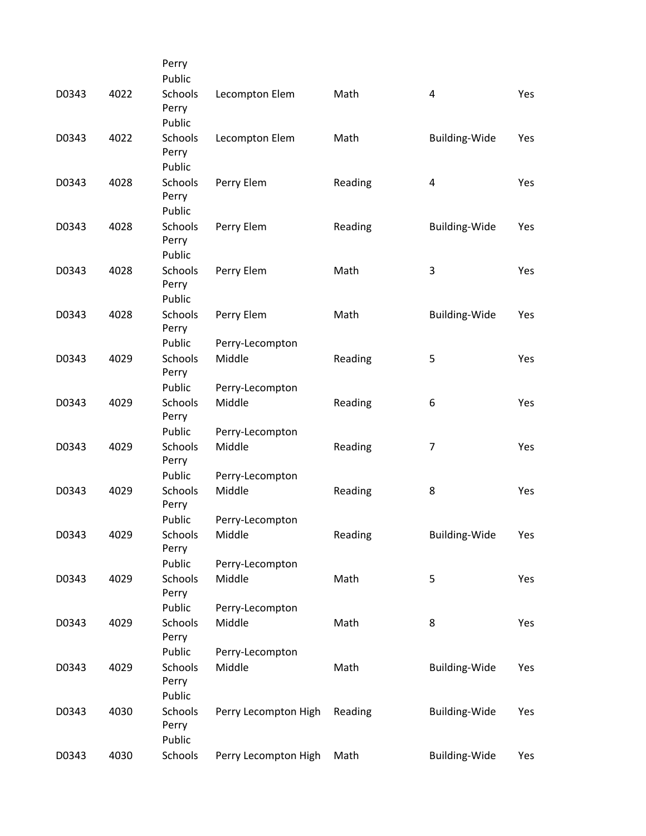|      | Perry                                        |                                                                                                                            |                                                                                                |                                               |                                                                                                 |
|------|----------------------------------------------|----------------------------------------------------------------------------------------------------------------------------|------------------------------------------------------------------------------------------------|-----------------------------------------------|-------------------------------------------------------------------------------------------------|
|      | Public                                       |                                                                                                                            |                                                                                                |                                               |                                                                                                 |
| 4022 | Schools<br>Perry                             | Lecompton Elem                                                                                                             | Math                                                                                           | 4                                             | Yes                                                                                             |
|      |                                              |                                                                                                                            |                                                                                                |                                               |                                                                                                 |
|      | Perry                                        |                                                                                                                            | Math                                                                                           |                                               | Yes                                                                                             |
|      |                                              |                                                                                                                            |                                                                                                |                                               | Yes                                                                                             |
|      | Perry                                        |                                                                                                                            |                                                                                                |                                               |                                                                                                 |
|      |                                              |                                                                                                                            |                                                                                                |                                               | Yes                                                                                             |
|      | Perry                                        |                                                                                                                            |                                                                                                |                                               |                                                                                                 |
|      |                                              |                                                                                                                            |                                                                                                |                                               | Yes                                                                                             |
|      | Perry                                        |                                                                                                                            |                                                                                                |                                               |                                                                                                 |
|      |                                              |                                                                                                                            |                                                                                                |                                               | Yes                                                                                             |
|      | Perry                                        |                                                                                                                            |                                                                                                |                                               |                                                                                                 |
|      | Public                                       | Perry-Lecompton                                                                                                            |                                                                                                |                                               |                                                                                                 |
| 4029 | <b>Schools</b><br>Perry                      | Middle                                                                                                                     | Reading                                                                                        | 5                                             | Yes                                                                                             |
|      | Public                                       | Perry-Lecompton                                                                                                            |                                                                                                |                                               |                                                                                                 |
| 4029 | <b>Schools</b><br>Perry                      | Middle                                                                                                                     | Reading                                                                                        | 6                                             | Yes                                                                                             |
|      | Public                                       | Perry-Lecompton                                                                                                            |                                                                                                |                                               |                                                                                                 |
| 4029 | Schools<br>Perry                             | Middle                                                                                                                     | Reading                                                                                        | 7                                             | Yes                                                                                             |
|      | Public                                       | Perry-Lecompton                                                                                                            |                                                                                                |                                               |                                                                                                 |
| 4029 | Schools<br>Perry                             | Middle                                                                                                                     | Reading                                                                                        | 8                                             | Yes                                                                                             |
|      | Public                                       | Perry-Lecompton                                                                                                            |                                                                                                |                                               |                                                                                                 |
| 4029 | Schools<br>Perry                             | Middle                                                                                                                     | Reading                                                                                        | <b>Building-Wide</b>                          | Yes                                                                                             |
|      | Public                                       | Perry-Lecompton                                                                                                            |                                                                                                |                                               |                                                                                                 |
| 4029 | Schools<br>Perry                             | Middle                                                                                                                     | Math                                                                                           | 5                                             | Yes                                                                                             |
|      | Public                                       | Perry-Lecompton                                                                                                            |                                                                                                |                                               |                                                                                                 |
| 4029 | <b>Schools</b><br>Perry                      | Middle                                                                                                                     | Math                                                                                           | 8                                             | Yes                                                                                             |
|      | Public                                       | Perry-Lecompton                                                                                                            |                                                                                                |                                               |                                                                                                 |
| 4029 | Schools<br>Perry                             | Middle                                                                                                                     | Math                                                                                           | <b>Building-Wide</b>                          | Yes                                                                                             |
|      |                                              |                                                                                                                            |                                                                                                |                                               |                                                                                                 |
|      | Perry<br>Public                              |                                                                                                                            |                                                                                                |                                               | Yes                                                                                             |
| 4030 | Schools                                      | Perry Lecompton High                                                                                                       | Math                                                                                           | <b>Building-Wide</b>                          | Yes                                                                                             |
|      | 4022<br>4028<br>4028<br>4028<br>4028<br>4030 | Public<br>Schools<br>Public<br>Schools<br>Public<br>Schools<br>Public<br>Schools<br>Public<br>Schools<br>Public<br>Schools | Lecompton Elem<br>Perry Elem<br>Perry Elem<br>Perry Elem<br>Perry Elem<br>Perry Lecompton High | Reading<br>Reading<br>Math<br>Math<br>Reading | Building-Wide<br>4<br><b>Building-Wide</b><br>3<br><b>Building-Wide</b><br><b>Building-Wide</b> |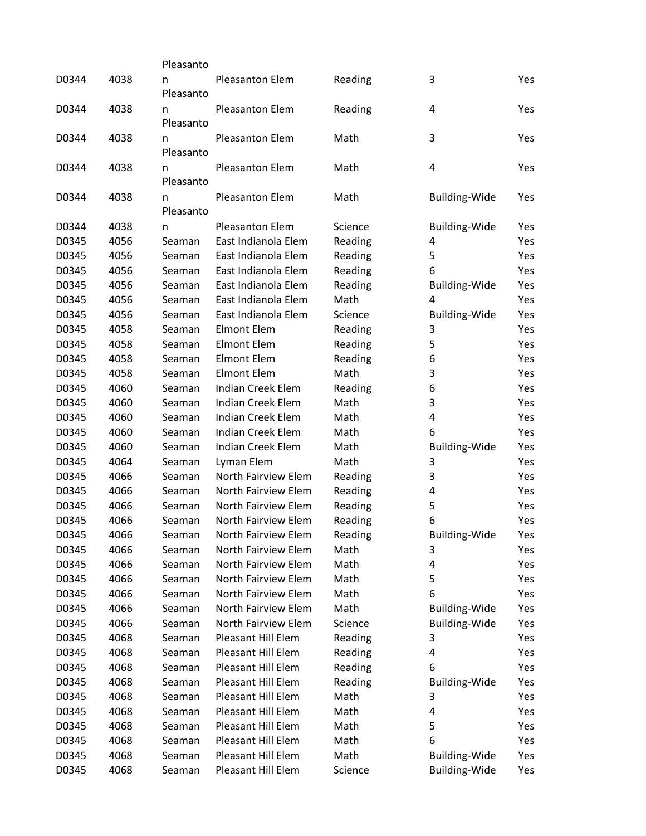|       |      | Pleasanto      |                     |         |                      |     |
|-------|------|----------------|---------------------|---------|----------------------|-----|
| D0344 | 4038 | n<br>Pleasanto | Pleasanton Elem     | Reading | 3                    | Yes |
| D0344 | 4038 | n<br>Pleasanto | Pleasanton Elem     | Reading | 4                    | Yes |
| D0344 | 4038 | n<br>Pleasanto | Pleasanton Elem     | Math    | 3                    | Yes |
| D0344 | 4038 | n<br>Pleasanto | Pleasanton Elem     | Math    | 4                    | Yes |
| D0344 | 4038 | n<br>Pleasanto | Pleasanton Elem     | Math    | Building-Wide        | Yes |
| D0344 | 4038 | n              | Pleasanton Elem     | Science | <b>Building-Wide</b> | Yes |
| D0345 | 4056 | Seaman         | East Indianola Elem | Reading | 4                    | Yes |
| D0345 | 4056 | Seaman         | East Indianola Elem | Reading | 5                    | Yes |
| D0345 | 4056 | Seaman         | East Indianola Elem | Reading | 6                    | Yes |
| D0345 | 4056 | Seaman         | East Indianola Elem | Reading | <b>Building-Wide</b> | Yes |
| D0345 | 4056 | Seaman         | East Indianola Elem | Math    | 4                    | Yes |
| D0345 | 4056 | Seaman         | East Indianola Elem | Science | <b>Building-Wide</b> | Yes |
| D0345 | 4058 | Seaman         | <b>Elmont Elem</b>  | Reading | 3                    | Yes |
| D0345 | 4058 | Seaman         | <b>Elmont Elem</b>  | Reading | 5                    | Yes |
| D0345 | 4058 | Seaman         | <b>Elmont Elem</b>  | Reading | 6                    | Yes |
| D0345 | 4058 | Seaman         | <b>Elmont Elem</b>  | Math    | 3                    | Yes |
| D0345 | 4060 | Seaman         | Indian Creek Elem   | Reading | 6                    | Yes |
| D0345 | 4060 | Seaman         | Indian Creek Elem   | Math    | 3                    | Yes |
| D0345 | 4060 | Seaman         | Indian Creek Elem   | Math    | 4                    | Yes |
| D0345 | 4060 | Seaman         | Indian Creek Elem   | Math    | 6                    | Yes |
| D0345 | 4060 | Seaman         | Indian Creek Elem   | Math    | <b>Building-Wide</b> | Yes |
| D0345 | 4064 | Seaman         | Lyman Elem          | Math    | 3                    | Yes |
| D0345 | 4066 | Seaman         | North Fairview Elem | Reading | 3                    | Yes |
| D0345 | 4066 | Seaman         | North Fairview Elem | Reading | 4                    | Yes |
| D0345 | 4066 | Seaman         | North Fairview Elem | Reading | 5                    | Yes |
| D0345 | 4066 | Seaman         | North Fairview Elem | Reading | 6                    | Yes |
| D0345 | 4066 | Seaman         | North Fairview Elem | Reading | <b>Building-Wide</b> | Yes |
| D0345 | 4066 | Seaman         | North Fairview Elem | Math    | 3                    | Yes |
| D0345 | 4066 | Seaman         | North Fairview Elem | Math    | 4                    | Yes |
| D0345 | 4066 | Seaman         | North Fairview Elem | Math    | 5                    | Yes |
| D0345 | 4066 | Seaman         | North Fairview Elem | Math    | 6                    | Yes |
| D0345 | 4066 | Seaman         | North Fairview Elem | Math    | <b>Building-Wide</b> | Yes |
| D0345 | 4066 | Seaman         | North Fairview Elem | Science | Building-Wide        | Yes |
| D0345 | 4068 | Seaman         | Pleasant Hill Elem  | Reading | 3                    | Yes |
| D0345 | 4068 | Seaman         | Pleasant Hill Elem  | Reading | 4                    | Yes |
| D0345 | 4068 | Seaman         | Pleasant Hill Elem  | Reading | 6                    | Yes |
| D0345 | 4068 | Seaman         | Pleasant Hill Elem  | Reading | <b>Building-Wide</b> | Yes |
| D0345 | 4068 | Seaman         | Pleasant Hill Elem  | Math    | 3                    | Yes |
| D0345 | 4068 | Seaman         | Pleasant Hill Elem  | Math    | 4                    | Yes |
| D0345 | 4068 | Seaman         | Pleasant Hill Elem  | Math    | 5                    | Yes |
| D0345 | 4068 | Seaman         | Pleasant Hill Elem  | Math    | 6                    | Yes |
| D0345 | 4068 | Seaman         | Pleasant Hill Elem  | Math    | <b>Building-Wide</b> | Yes |
| D0345 | 4068 | Seaman         | Pleasant Hill Elem  | Science | <b>Building-Wide</b> | Yes |
|       |      |                |                     |         |                      |     |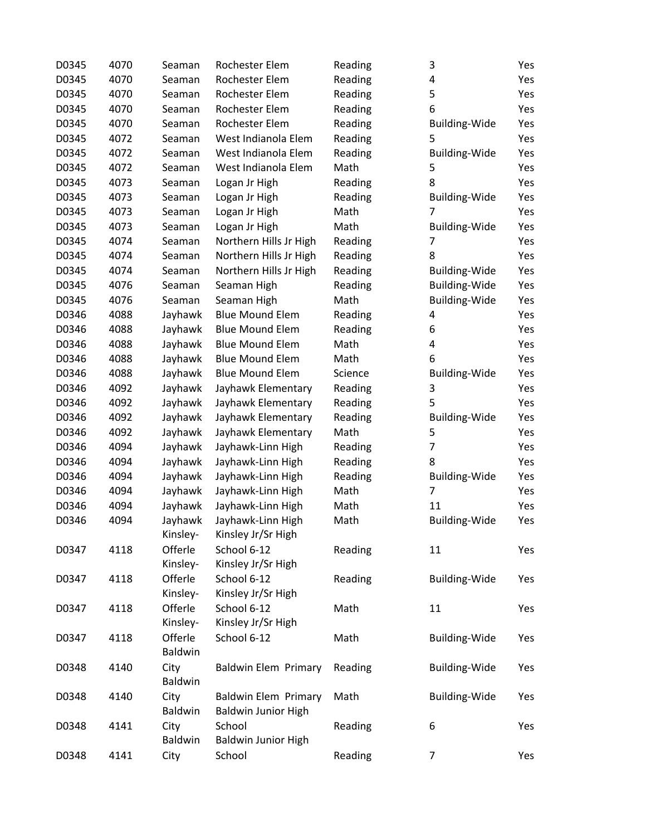| D0345 | 4070 | Seaman         | Rochester Elem              | Reading | 3                    | Yes |
|-------|------|----------------|-----------------------------|---------|----------------------|-----|
| D0345 | 4070 | Seaman         | Rochester Elem              | Reading | 4                    | Yes |
| D0345 | 4070 | Seaman         | Rochester Elem              | Reading | 5                    | Yes |
| D0345 | 4070 | Seaman         | Rochester Elem              | Reading | 6                    | Yes |
| D0345 | 4070 | Seaman         | Rochester Elem              | Reading | <b>Building-Wide</b> | Yes |
| D0345 | 4072 | Seaman         | West Indianola Elem         | Reading | 5                    | Yes |
| D0345 | 4072 | Seaman         | West Indianola Elem         | Reading | <b>Building-Wide</b> | Yes |
| D0345 | 4072 | Seaman         | West Indianola Elem         | Math    | 5                    | Yes |
| D0345 | 4073 | Seaman         | Logan Jr High               | Reading | 8                    | Yes |
| D0345 | 4073 | Seaman         | Logan Jr High               | Reading | <b>Building-Wide</b> | Yes |
| D0345 | 4073 | Seaman         | Logan Jr High               | Math    | 7                    | Yes |
| D0345 | 4073 | Seaman         | Logan Jr High               | Math    | <b>Building-Wide</b> | Yes |
| D0345 | 4074 | Seaman         | Northern Hills Jr High      | Reading | 7                    | Yes |
| D0345 | 4074 | Seaman         | Northern Hills Jr High      | Reading | 8                    | Yes |
| D0345 | 4074 | Seaman         | Northern Hills Jr High      | Reading | <b>Building-Wide</b> | Yes |
| D0345 | 4076 | Seaman         | Seaman High                 | Reading | <b>Building-Wide</b> | Yes |
| D0345 | 4076 | Seaman         | Seaman High                 | Math    | <b>Building-Wide</b> | Yes |
| D0346 | 4088 | Jayhawk        | <b>Blue Mound Elem</b>      | Reading | 4                    | Yes |
| D0346 | 4088 | Jayhawk        | <b>Blue Mound Elem</b>      | Reading | 6                    | Yes |
| D0346 | 4088 | Jayhawk        | <b>Blue Mound Elem</b>      | Math    | 4                    | Yes |
| D0346 | 4088 | Jayhawk        | <b>Blue Mound Elem</b>      | Math    | 6                    | Yes |
| D0346 | 4088 | Jayhawk        | <b>Blue Mound Elem</b>      | Science | <b>Building-Wide</b> | Yes |
| D0346 | 4092 | Jayhawk        | Jayhawk Elementary          | Reading | 3                    | Yes |
| D0346 | 4092 | Jayhawk        | Jayhawk Elementary          | Reading | 5                    | Yes |
| D0346 | 4092 | Jayhawk        | Jayhawk Elementary          | Reading | <b>Building-Wide</b> | Yes |
| D0346 | 4092 | Jayhawk        | Jayhawk Elementary          | Math    | 5                    | Yes |
| D0346 | 4094 | Jayhawk        | Jayhawk-Linn High           | Reading | 7                    | Yes |
| D0346 | 4094 | Jayhawk        | Jayhawk-Linn High           | Reading | 8                    | Yes |
| D0346 | 4094 | Jayhawk        | Jayhawk-Linn High           | Reading | <b>Building-Wide</b> | Yes |
| D0346 | 4094 | Jayhawk        | Jayhawk-Linn High           | Math    | 7                    | Yes |
| D0346 | 4094 | Jayhawk        | Jayhawk-Linn High           | Math    | 11                   | Yes |
| D0346 | 4094 | Jayhawk        | Jayhawk-Linn High           | Math    | <b>Building-Wide</b> | Yes |
|       |      | Kinsley-       | Kinsley Jr/Sr High          |         |                      |     |
| D0347 | 4118 | Offerle        | School 6-12                 | Reading | 11                   | Yes |
|       |      | Kinsley-       | Kinsley Jr/Sr High          |         |                      |     |
| D0347 | 4118 | Offerle        | School 6-12                 | Reading | <b>Building-Wide</b> | Yes |
|       |      | Kinsley-       | Kinsley Jr/Sr High          |         |                      |     |
| D0347 | 4118 | Offerle        | School 6-12                 | Math    | 11                   | Yes |
|       |      | Kinsley-       | Kinsley Jr/Sr High          |         |                      |     |
| D0347 | 4118 | Offerle        | School 6-12                 | Math    | Building-Wide        | Yes |
|       |      | <b>Baldwin</b> |                             |         |                      |     |
| D0348 | 4140 | City           | <b>Baldwin Elem Primary</b> | Reading | Building-Wide        | Yes |
|       |      | <b>Baldwin</b> |                             |         |                      |     |
| D0348 | 4140 | City           | <b>Baldwin Elem Primary</b> | Math    | <b>Building-Wide</b> | Yes |
|       |      | Baldwin        | <b>Baldwin Junior High</b>  |         |                      |     |
| D0348 | 4141 | City           | School                      | Reading | 6                    | Yes |
|       |      | <b>Baldwin</b> | <b>Baldwin Junior High</b>  |         |                      |     |
| D0348 | 4141 | City           | School                      | Reading | 7                    | Yes |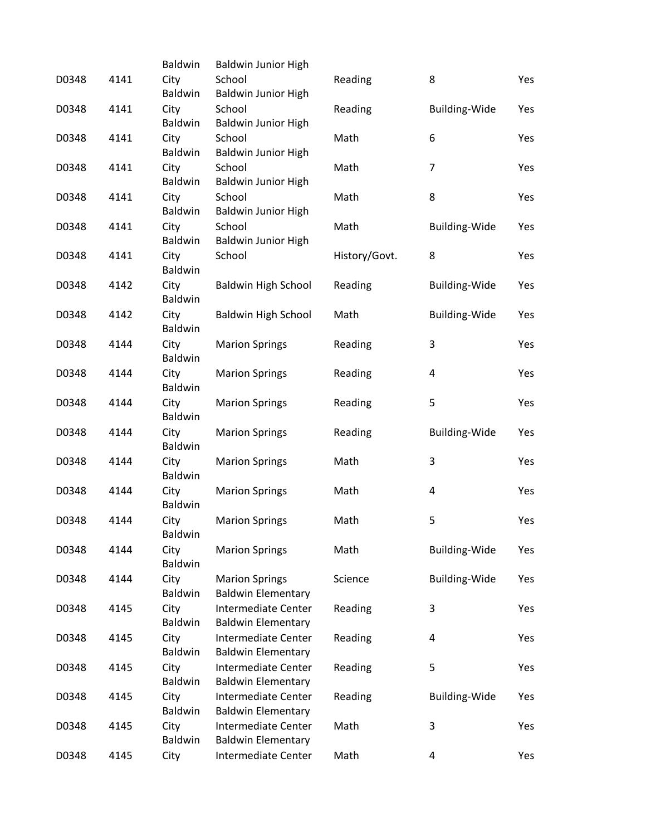|       |      | Baldwin         | <b>Baldwin Junior High</b>                       |               |                      |     |
|-------|------|-----------------|--------------------------------------------------|---------------|----------------------|-----|
| D0348 | 4141 | City            | School                                           | Reading       | 8                    | Yes |
|       |      | Baldwin         | <b>Baldwin Junior High</b>                       |               |                      |     |
| D0348 | 4141 | City            | School                                           | Reading       | <b>Building-Wide</b> | Yes |
|       |      | Baldwin         | Baldwin Junior High                              |               |                      |     |
| D0348 | 4141 | City<br>Baldwin | School<br><b>Baldwin Junior High</b>             | Math          | 6                    | Yes |
| D0348 | 4141 | City            | School                                           | Math          | 7                    | Yes |
|       |      | Baldwin         | <b>Baldwin Junior High</b>                       |               |                      |     |
| D0348 | 4141 | City            | School                                           | Math          | 8                    | Yes |
|       |      | Baldwin         | <b>Baldwin Junior High</b>                       |               |                      |     |
| D0348 | 4141 | City            | School                                           | Math          | <b>Building-Wide</b> | Yes |
|       |      | Baldwin         | <b>Baldwin Junior High</b>                       |               |                      |     |
| D0348 | 4141 | City            | School                                           | History/Govt. | 8                    | Yes |
|       |      | Baldwin         |                                                  |               |                      |     |
| D0348 | 4142 | City            | <b>Baldwin High School</b>                       | Reading       | <b>Building-Wide</b> | Yes |
|       |      | Baldwin         |                                                  |               |                      |     |
| D0348 | 4142 | City<br>Baldwin | <b>Baldwin High School</b>                       | Math          | <b>Building-Wide</b> | Yes |
| D0348 | 4144 | City            | <b>Marion Springs</b>                            | Reading       | 3                    | Yes |
|       |      | Baldwin         |                                                  |               |                      |     |
| D0348 | 4144 | City            | <b>Marion Springs</b>                            | Reading       | 4                    | Yes |
|       |      | Baldwin         |                                                  |               |                      |     |
| D0348 | 4144 | City            | <b>Marion Springs</b>                            | Reading       | 5                    | Yes |
|       |      | Baldwin         |                                                  |               |                      |     |
| D0348 | 4144 | City            | <b>Marion Springs</b>                            | Reading       | Building-Wide        | Yes |
|       |      | Baldwin         |                                                  |               |                      |     |
| D0348 | 4144 | City            | <b>Marion Springs</b>                            | Math          | 3                    | Yes |
|       |      | Baldwin         |                                                  |               |                      |     |
| D0348 | 4144 | City<br>Baldwin | <b>Marion Springs</b>                            | Math          | 4                    | Yes |
| D0348 | 4144 | City            | <b>Marion Springs</b>                            | Math          | 5                    | Yes |
|       |      | Baldwin         |                                                  |               |                      |     |
| D0348 | 4144 | City            | <b>Marion Springs</b>                            | Math          | Building-Wide        | Yes |
|       |      | Baldwin         |                                                  |               |                      |     |
| D0348 | 4144 | City            | <b>Marion Springs</b>                            | Science       | <b>Building-Wide</b> | Yes |
|       |      | <b>Baldwin</b>  | <b>Baldwin Elementary</b>                        |               |                      |     |
| D0348 | 4145 | City            | Intermediate Center                              | Reading       | 3                    | Yes |
|       |      | Baldwin         | <b>Baldwin Elementary</b>                        |               |                      |     |
| D0348 | 4145 | City            | Intermediate Center                              | Reading       | 4                    | Yes |
|       |      | Baldwin         | <b>Baldwin Elementary</b><br>Intermediate Center |               |                      |     |
| D0348 | 4145 | City<br>Baldwin | <b>Baldwin Elementary</b>                        | Reading       | 5                    | Yes |
| D0348 | 4145 | City            | Intermediate Center                              | Reading       | Building-Wide        | Yes |
|       |      | Baldwin         | <b>Baldwin Elementary</b>                        |               |                      |     |
| D0348 | 4145 | City            | Intermediate Center                              | Math          | 3                    | Yes |
|       |      | Baldwin         | <b>Baldwin Elementary</b>                        |               |                      |     |
| D0348 | 4145 | City            | Intermediate Center                              | Math          | 4                    | Yes |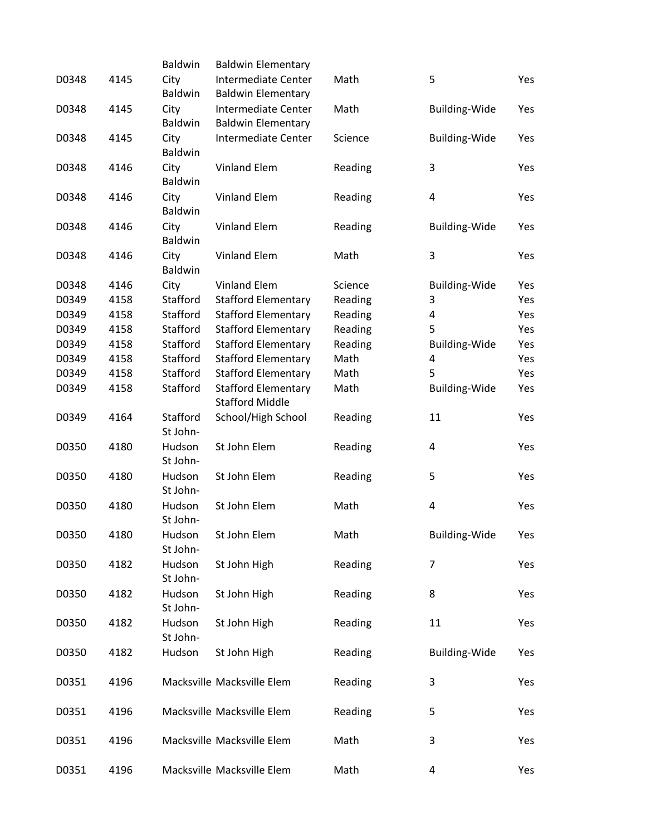|       |      | Baldwin                | <b>Baldwin Elementary</b>                            |         |                      |     |
|-------|------|------------------------|------------------------------------------------------|---------|----------------------|-----|
| D0348 | 4145 | City<br>Baldwin        | Intermediate Center<br><b>Baldwin Elementary</b>     | Math    | 5                    | Yes |
| D0348 | 4145 | City<br><b>Baldwin</b> | Intermediate Center<br><b>Baldwin Elementary</b>     | Math    | <b>Building-Wide</b> | Yes |
| D0348 | 4145 | City<br><b>Baldwin</b> | Intermediate Center                                  | Science | Building-Wide        | Yes |
| D0348 | 4146 | City<br><b>Baldwin</b> | Vinland Elem                                         | Reading | 3                    | Yes |
| D0348 | 4146 | City<br>Baldwin        | Vinland Elem                                         | Reading | 4                    | Yes |
| D0348 | 4146 | City<br><b>Baldwin</b> | Vinland Elem                                         | Reading | <b>Building-Wide</b> | Yes |
| D0348 | 4146 | City<br><b>Baldwin</b> | Vinland Elem                                         | Math    | 3                    | Yes |
| D0348 | 4146 | City                   | <b>Vinland Elem</b>                                  | Science | Building-Wide        | Yes |
| D0349 | 4158 | Stafford               | <b>Stafford Elementary</b>                           | Reading | 3                    | Yes |
| D0349 | 4158 | Stafford               | <b>Stafford Elementary</b>                           | Reading | 4                    | Yes |
| D0349 | 4158 | Stafford               | <b>Stafford Elementary</b>                           | Reading | 5                    | Yes |
|       |      |                        |                                                      |         |                      |     |
| D0349 | 4158 | Stafford               | <b>Stafford Elementary</b>                           | Reading | <b>Building-Wide</b> | Yes |
| D0349 | 4158 | Stafford               | <b>Stafford Elementary</b>                           | Math    | 4                    | Yes |
| D0349 | 4158 | Stafford               | <b>Stafford Elementary</b>                           | Math    | 5                    | Yes |
| D0349 | 4158 | Stafford               | <b>Stafford Elementary</b><br><b>Stafford Middle</b> | Math    | <b>Building-Wide</b> | Yes |
| D0349 | 4164 | Stafford<br>St John-   | School/High School                                   | Reading | 11                   | Yes |
| D0350 | 4180 | Hudson<br>St John-     | St John Elem                                         | Reading | 4                    | Yes |
| D0350 | 4180 | Hudson<br>St John-     | St John Elem                                         | Reading | 5                    | Yes |
| D0350 | 4180 | Hudson<br>St John-     | St John Elem                                         | Math    | 4                    | Yes |
| D0350 | 4180 | Hudson<br>St John-     | St John Elem                                         | Math    | Building-Wide        | Yes |
| D0350 | 4182 | Hudson<br>St John-     | St John High                                         | Reading | 7                    | Yes |
| D0350 | 4182 | Hudson<br>St John-     | St John High                                         | Reading | 8                    | Yes |
| D0350 | 4182 | Hudson<br>St John-     | St John High                                         | Reading | 11                   | Yes |
| D0350 | 4182 | Hudson                 | St John High                                         | Reading | <b>Building-Wide</b> | Yes |
| D0351 | 4196 |                        | Macksville Macksville Elem                           | Reading | 3                    | Yes |
| D0351 | 4196 |                        | Macksville Macksville Elem                           | Reading | 5                    | Yes |
| D0351 | 4196 |                        | Macksville Macksville Elem                           | Math    | 3                    | Yes |
| D0351 | 4196 |                        | Macksville Macksville Elem                           | Math    | 4                    | Yes |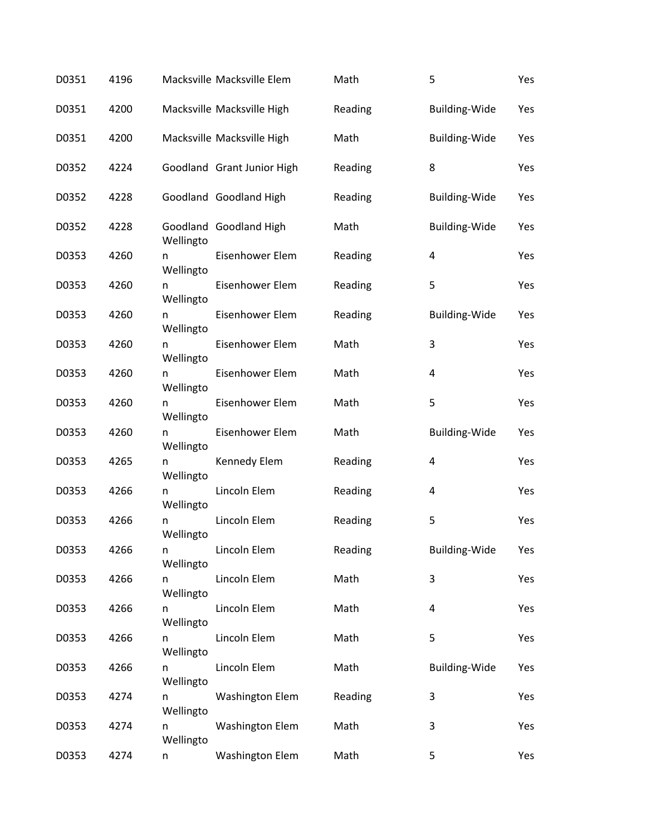| D0351 | 4196 |                | Macksville Macksville Elem | Math    | 5                    | Yes |
|-------|------|----------------|----------------------------|---------|----------------------|-----|
| D0351 | 4200 |                | Macksville Macksville High | Reading | Building-Wide        | Yes |
| D0351 | 4200 |                | Macksville Macksville High | Math    | <b>Building-Wide</b> | Yes |
| D0352 | 4224 |                | Goodland Grant Junior High | Reading | 8                    | Yes |
| D0352 | 4228 |                | Goodland Goodland High     | Reading | <b>Building-Wide</b> | Yes |
| D0352 | 4228 | Wellingto      | Goodland Goodland High     | Math    | <b>Building-Wide</b> | Yes |
| D0353 | 4260 | n<br>Wellingto | Eisenhower Elem            | Reading | 4                    | Yes |
| D0353 | 4260 | n<br>Wellingto | Eisenhower Elem            | Reading | 5                    | Yes |
| D0353 | 4260 | n<br>Wellingto | Eisenhower Elem            | Reading | <b>Building-Wide</b> | Yes |
| D0353 | 4260 | n<br>Wellingto | Eisenhower Elem            | Math    | 3                    | Yes |
| D0353 | 4260 | n<br>Wellingto | Eisenhower Elem            | Math    | 4                    | Yes |
| D0353 | 4260 | n<br>Wellingto | Eisenhower Elem            | Math    | 5                    | Yes |
| D0353 | 4260 | n<br>Wellingto | Eisenhower Elem            | Math    | <b>Building-Wide</b> | Yes |
| D0353 | 4265 | n<br>Wellingto | Kennedy Elem               | Reading | 4                    | Yes |
| D0353 | 4266 | n<br>Wellingto | Lincoln Elem               | Reading | 4                    | Yes |
| D0353 | 4266 | n<br>Wellingto | Lincoln Elem               | Reading | 5                    | Yes |
| D0353 | 4266 | n<br>Wellingto | Lincoln Elem               | Reading | Building-Wide        | Yes |
| D0353 | 4266 | n<br>Wellingto | Lincoln Elem               | Math    | 3                    | Yes |
| D0353 | 4266 | n<br>Wellingto | Lincoln Elem               | Math    | 4                    | Yes |
| D0353 | 4266 | n<br>Wellingto | Lincoln Elem               | Math    | 5                    | Yes |
| D0353 | 4266 | n<br>Wellingto | Lincoln Elem               | Math    | <b>Building-Wide</b> | Yes |
| D0353 | 4274 | n<br>Wellingto | <b>Washington Elem</b>     | Reading | 3                    | Yes |
| D0353 | 4274 | n<br>Wellingto | <b>Washington Elem</b>     | Math    | 3                    | Yes |
| D0353 | 4274 | n              | <b>Washington Elem</b>     | Math    | 5                    | Yes |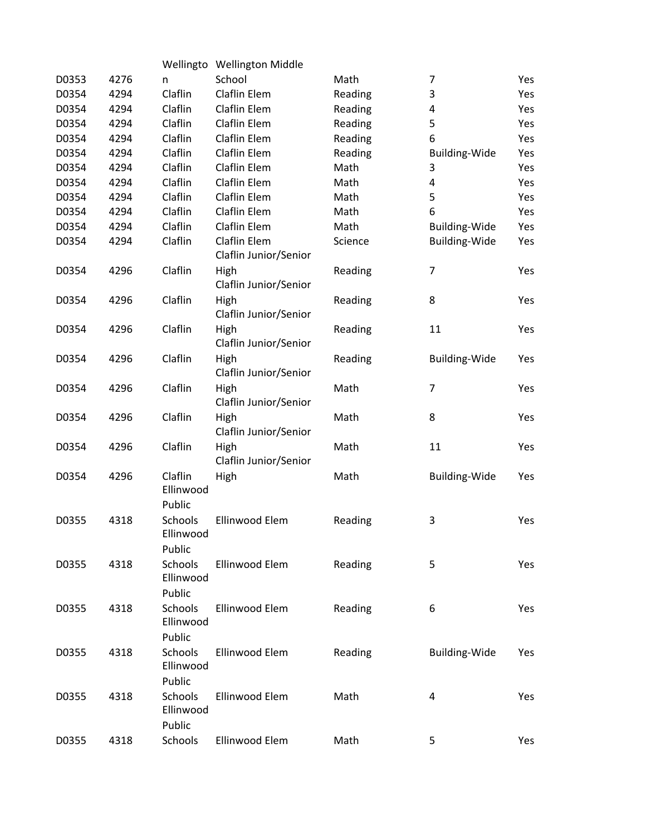|       |      |                                          | Wellingto Wellington Middle           |         |                      |     |
|-------|------|------------------------------------------|---------------------------------------|---------|----------------------|-----|
| D0353 | 4276 | n                                        | School                                | Math    | 7                    | Yes |
| D0354 | 4294 | Claflin                                  | Claflin Elem                          | Reading | 3                    | Yes |
| D0354 | 4294 | Claflin                                  | Claflin Elem                          | Reading | 4                    | Yes |
| D0354 | 4294 | Claflin                                  | Claflin Elem                          | Reading | 5                    | Yes |
| D0354 | 4294 | Claflin                                  | Claflin Elem                          | Reading | 6                    | Yes |
| D0354 | 4294 | Claflin                                  | Claflin Elem                          | Reading | Building-Wide        | Yes |
| D0354 | 4294 | Claflin                                  | Claflin Elem                          | Math    | 3                    | Yes |
| D0354 | 4294 | Claflin                                  | Claflin Elem                          | Math    | 4                    | Yes |
| D0354 | 4294 | Claflin                                  | Claflin Elem                          | Math    | 5                    | Yes |
| D0354 | 4294 | Claflin                                  | Claflin Elem                          | Math    | 6                    | Yes |
| D0354 | 4294 | Claflin                                  | Claflin Elem                          | Math    | <b>Building-Wide</b> | Yes |
| D0354 | 4294 | Claflin                                  | Claflin Elem<br>Claflin Junior/Senior | Science | <b>Building-Wide</b> | Yes |
| D0354 | 4296 | Claflin                                  | High<br>Claflin Junior/Senior         | Reading | $\overline{7}$       | Yes |
| D0354 | 4296 | Claflin                                  | High<br>Claflin Junior/Senior         | Reading | 8                    | Yes |
| D0354 | 4296 | Claflin                                  | High<br>Claflin Junior/Senior         | Reading | 11                   | Yes |
| D0354 | 4296 | Claflin                                  | High<br>Claflin Junior/Senior         | Reading | <b>Building-Wide</b> | Yes |
| D0354 | 4296 | Claflin                                  | High<br>Claflin Junior/Senior         | Math    | $\overline{7}$       | Yes |
| D0354 | 4296 | Claflin                                  | High<br>Claflin Junior/Senior         | Math    | 8                    | Yes |
| D0354 | 4296 | Claflin                                  | High<br>Claflin Junior/Senior         | Math    | 11                   | Yes |
| D0354 | 4296 | Claflin<br>Ellinwood<br>Public           | High                                  | Math    | <b>Building-Wide</b> | Yes |
| D0355 | 4318 | Schools<br>Ellinwood                     | Ellinwood Elem                        | Reading | 3                    | Yes |
| D0355 | 4318 | Public<br>Schools<br>Ellinwood           | Ellinwood Elem                        | Reading | 5                    | Yes |
| D0355 | 4318 | Public<br>Schools<br>Ellinwood           | Ellinwood Elem                        | Reading | 6                    | Yes |
| D0355 | 4318 | Public<br>Schools<br>Ellinwood           | Ellinwood Elem                        | Reading | Building-Wide        | Yes |
| D0355 | 4318 | Public<br>Schools<br>Ellinwood<br>Public | Ellinwood Elem                        | Math    | 4                    | Yes |
| D0355 | 4318 | Schools                                  | Ellinwood Elem                        | Math    | 5                    | Yes |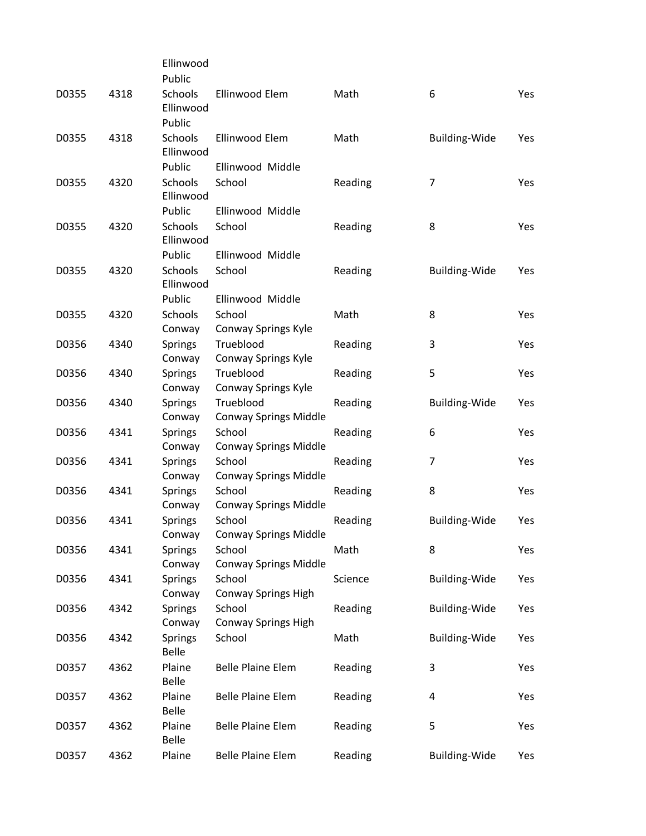|       |      | Ellinwood               |                              |         |                      |            |
|-------|------|-------------------------|------------------------------|---------|----------------------|------------|
|       |      | Public                  |                              |         |                      |            |
| D0355 | 4318 | Schools<br>Ellinwood    | Ellinwood Elem               | Math    | 6                    | Yes        |
|       |      | Public                  |                              |         |                      |            |
| D0355 | 4318 | Schools<br>Ellinwood    | Ellinwood Elem               | Math    | <b>Building-Wide</b> | Yes        |
|       |      | Public                  | Ellinwood Middle             |         |                      |            |
| D0355 | 4320 | Schools<br>Ellinwood    | School                       | Reading | 7                    | Yes        |
|       |      | Public                  | Ellinwood Middle             |         |                      |            |
| D0355 | 4320 | Schools<br>Ellinwood    | School                       | Reading | 8                    | Yes        |
|       |      | Public                  | Ellinwood Middle             |         |                      |            |
| D0355 | 4320 | Schools<br>Ellinwood    | School                       | Reading | <b>Building-Wide</b> | Yes        |
|       |      | Public                  | Ellinwood Middle             |         |                      |            |
| D0355 | 4320 | Schools                 | School                       | Math    | 8                    | <b>Yes</b> |
|       |      | Conway                  | Conway Springs Kyle          |         |                      |            |
| D0356 | 4340 | <b>Springs</b>          | Trueblood                    | Reading | 3                    | Yes        |
|       |      | Conway                  | Conway Springs Kyle          |         |                      |            |
| D0356 | 4340 | <b>Springs</b>          | Trueblood                    | Reading | 5                    | Yes        |
|       |      | Conway                  | Conway Springs Kyle          |         |                      |            |
| D0356 | 4340 | <b>Springs</b>          | Trueblood                    | Reading | <b>Building-Wide</b> | Yes        |
|       |      | Conway                  | <b>Conway Springs Middle</b> |         |                      |            |
| D0356 | 4341 | <b>Springs</b>          | School                       | Reading | 6                    | Yes        |
|       |      | Conway                  | <b>Conway Springs Middle</b> |         |                      |            |
| D0356 | 4341 | <b>Springs</b>          | School                       | Reading | $\overline{7}$       | Yes        |
|       |      | Conway                  | <b>Conway Springs Middle</b> |         |                      |            |
| D0356 | 4341 | <b>Springs</b>          | School                       | Reading | 8                    | Yes        |
|       |      | Conway                  | <b>Conway Springs Middle</b> |         |                      |            |
| D0356 | 4341 | <b>Springs</b>          | School                       | Reading | <b>Building-Wide</b> | Yes        |
|       |      | Conway                  | Conway Springs Middle        |         |                      |            |
| D0356 | 4341 | <b>Springs</b>          | School                       | Math    | 8                    | Yes        |
|       |      | Conway                  | <b>Conway Springs Middle</b> |         |                      |            |
| D0356 | 4341 | <b>Springs</b>          | School                       | Science | <b>Building-Wide</b> | Yes        |
|       |      | Conway                  | Conway Springs High          |         |                      |            |
| D0356 | 4342 | <b>Springs</b>          | School                       | Reading | <b>Building-Wide</b> | Yes        |
|       |      | Conway                  | Conway Springs High          |         |                      |            |
| D0356 | 4342 | <b>Springs</b><br>Belle | School                       | Math    | <b>Building-Wide</b> | Yes        |
| D0357 | 4362 | Plaine<br><b>Belle</b>  | <b>Belle Plaine Elem</b>     | Reading | 3                    | Yes        |
| D0357 | 4362 | Plaine<br><b>Belle</b>  | <b>Belle Plaine Elem</b>     | Reading | 4                    | Yes        |
| D0357 | 4362 | Plaine<br>Belle         | <b>Belle Plaine Elem</b>     | Reading | 5                    | Yes        |
| D0357 | 4362 | Plaine                  | <b>Belle Plaine Elem</b>     | Reading | Building-Wide        | Yes        |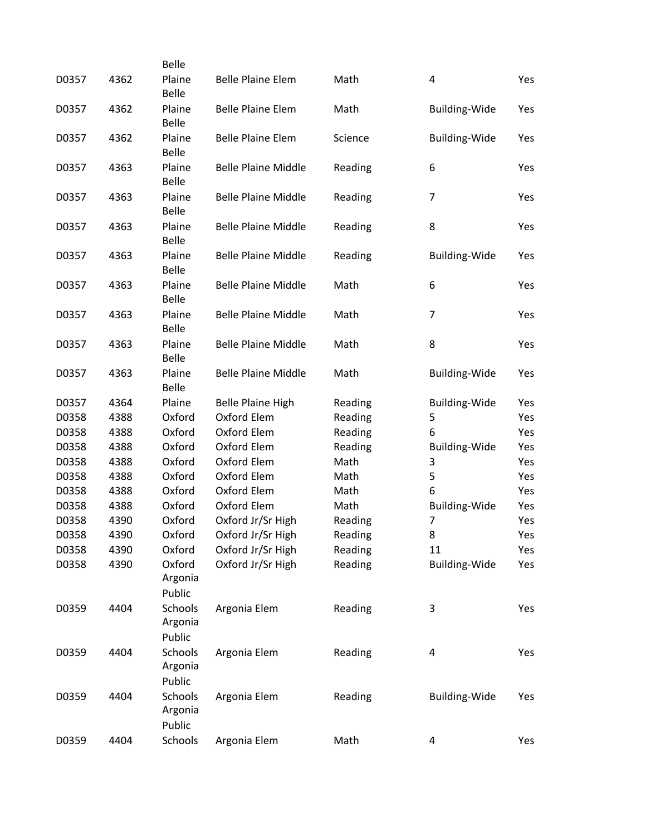|       |      | <b>Belle</b>                 |                            |         |                      |     |
|-------|------|------------------------------|----------------------------|---------|----------------------|-----|
| D0357 | 4362 | Plaine<br><b>Belle</b>       | <b>Belle Plaine Elem</b>   | Math    | 4                    | Yes |
| D0357 | 4362 | Plaine<br><b>Belle</b>       | <b>Belle Plaine Elem</b>   | Math    | <b>Building-Wide</b> | Yes |
| D0357 | 4362 | Plaine<br><b>Belle</b>       | <b>Belle Plaine Elem</b>   | Science | <b>Building-Wide</b> | Yes |
| D0357 | 4363 | Plaine<br><b>Belle</b>       | <b>Belle Plaine Middle</b> | Reading | 6                    | Yes |
| D0357 | 4363 | Plaine<br><b>Belle</b>       | <b>Belle Plaine Middle</b> | Reading | $\overline{7}$       | Yes |
| D0357 | 4363 | Plaine<br><b>Belle</b>       | <b>Belle Plaine Middle</b> | Reading | 8                    | Yes |
| D0357 | 4363 | Plaine<br><b>Belle</b>       | <b>Belle Plaine Middle</b> | Reading | <b>Building-Wide</b> | Yes |
| D0357 | 4363 | Plaine<br><b>Belle</b>       | <b>Belle Plaine Middle</b> | Math    | 6                    | Yes |
| D0357 | 4363 | Plaine<br><b>Belle</b>       | <b>Belle Plaine Middle</b> | Math    | $\overline{7}$       | Yes |
| D0357 | 4363 | Plaine<br><b>Belle</b>       | <b>Belle Plaine Middle</b> | Math    | 8                    | Yes |
| D0357 | 4363 | Plaine<br><b>Belle</b>       | <b>Belle Plaine Middle</b> | Math    | <b>Building-Wide</b> | Yes |
| D0357 | 4364 | Plaine                       | <b>Belle Plaine High</b>   | Reading | <b>Building-Wide</b> | Yes |
| D0358 | 4388 | Oxford                       | Oxford Elem                | Reading | 5                    | Yes |
| D0358 | 4388 | Oxford                       | Oxford Elem                | Reading | 6                    | Yes |
| D0358 | 4388 | Oxford                       | Oxford Elem                | Reading | <b>Building-Wide</b> | Yes |
| D0358 | 4388 | Oxford                       | Oxford Elem                | Math    | 3                    | Yes |
| D0358 | 4388 | Oxford                       | Oxford Elem                | Math    | 5                    | Yes |
| D0358 | 4388 | Oxford                       | Oxford Elem                | Math    | 6                    | Yes |
| D0358 | 4388 | Oxford                       | Oxford Elem                | Math    | Building-Wide        | Yes |
| D0358 | 4390 | Oxford                       | Oxford Jr/Sr High          | Reading | $\overline{7}$       | Yes |
| D0358 | 4390 | Oxford                       | Oxford Jr/Sr High          | Reading | 8                    | Yes |
| D0358 | 4390 | Oxford                       | Oxford Jr/Sr High          | Reading | 11                   | Yes |
| D0358 | 4390 | Oxford<br>Argonia<br>Public  | Oxford Jr/Sr High          | Reading | <b>Building-Wide</b> | Yes |
| D0359 | 4404 | Schools<br>Argonia<br>Public | Argonia Elem               | Reading | 3                    | Yes |
| D0359 | 4404 | Schools<br>Argonia<br>Public | Argonia Elem               | Reading | 4                    | Yes |
| D0359 | 4404 | Schools<br>Argonia<br>Public | Argonia Elem               | Reading | <b>Building-Wide</b> | Yes |
| D0359 | 4404 | Schools                      | Argonia Elem               | Math    | 4                    | Yes |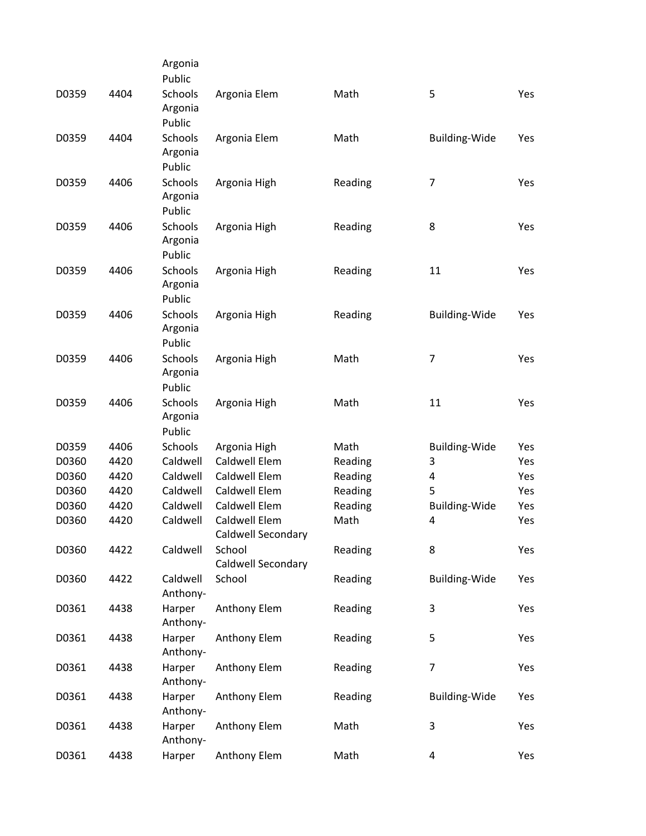|       |      | Argonia        |                      |         |                      |     |
|-------|------|----------------|----------------------|---------|----------------------|-----|
|       |      | Public         |                      |         |                      |     |
| D0359 | 4404 | <b>Schools</b> | Argonia Elem         | Math    | 5                    | Yes |
|       |      | Argonia        |                      |         |                      |     |
|       |      | Public         |                      |         |                      |     |
| D0359 | 4404 | Schools        | Argonia Elem         | Math    | Building-Wide        | Yes |
|       |      | Argonia        |                      |         |                      |     |
|       |      | Public         |                      |         |                      |     |
| D0359 | 4406 | Schools        | Argonia High         | Reading | 7                    | Yes |
|       |      | Argonia        |                      |         |                      |     |
|       |      | Public         |                      |         |                      |     |
| D0359 | 4406 | Schools        | Argonia High         | Reading | 8                    | Yes |
|       |      | Argonia        |                      |         |                      |     |
|       |      | Public         |                      |         |                      |     |
| D0359 | 4406 | Schools        | Argonia High         | Reading | 11                   | Yes |
|       |      | Argonia        |                      |         |                      |     |
|       |      | Public         |                      |         |                      |     |
| D0359 | 4406 | Schools        | Argonia High         | Reading | <b>Building-Wide</b> | Yes |
|       |      | Argonia        |                      |         |                      |     |
|       |      | Public         |                      |         |                      |     |
| D0359 | 4406 | Schools        | Argonia High         | Math    | $\overline{7}$       | Yes |
|       |      | Argonia        |                      |         |                      |     |
|       |      | Public         |                      |         |                      |     |
| D0359 | 4406 | Schools        | Argonia High         | Math    | 11                   | Yes |
|       |      | Argonia        |                      |         |                      |     |
|       |      | Public         |                      |         |                      |     |
| D0359 | 4406 | Schools        | Argonia High         | Math    | <b>Building-Wide</b> | Yes |
| D0360 | 4420 | Caldwell       | Caldwell Elem        | Reading | 3                    | Yes |
| D0360 | 4420 | Caldwell       | Caldwell Elem        | Reading | 4                    | Yes |
| D0360 | 4420 | Caldwell       | Caldwell Elem        | Reading | 5                    | Yes |
| D0360 | 4420 | Caldwell       | <b>Caldwell Elem</b> | Reading | <b>Building-Wide</b> | Yes |
| D0360 | 4420 | Caldwell       | Caldwell Elem        | Math    | 4                    | Yes |
|       |      |                | Caldwell Secondary   |         |                      |     |
| D0360 | 4422 | Caldwell       | School               | Reading | 8                    | Yes |
|       |      |                | Caldwell Secondary   |         |                      |     |
| D0360 | 4422 | Caldwell       | School               | Reading | <b>Building-Wide</b> | Yes |
|       |      | Anthony-       |                      |         |                      |     |
| D0361 | 4438 | Harper         | Anthony Elem         | Reading | 3                    | Yes |
|       |      | Anthony-       |                      |         |                      |     |
| D0361 | 4438 | Harper         | Anthony Elem         | Reading | 5                    | Yes |
|       |      | Anthony-       |                      |         |                      |     |
| D0361 | 4438 | Harper         | Anthony Elem         | Reading | $\overline{7}$       | Yes |
|       |      | Anthony-       |                      |         |                      |     |
| D0361 | 4438 | Harper         | Anthony Elem         | Reading | <b>Building-Wide</b> | Yes |
|       |      | Anthony-       |                      |         |                      |     |
| D0361 | 4438 | Harper         | Anthony Elem         | Math    | 3                    | Yes |
|       |      | Anthony-       |                      |         |                      |     |
| D0361 | 4438 | Harper         | Anthony Elem         | Math    | 4                    | Yes |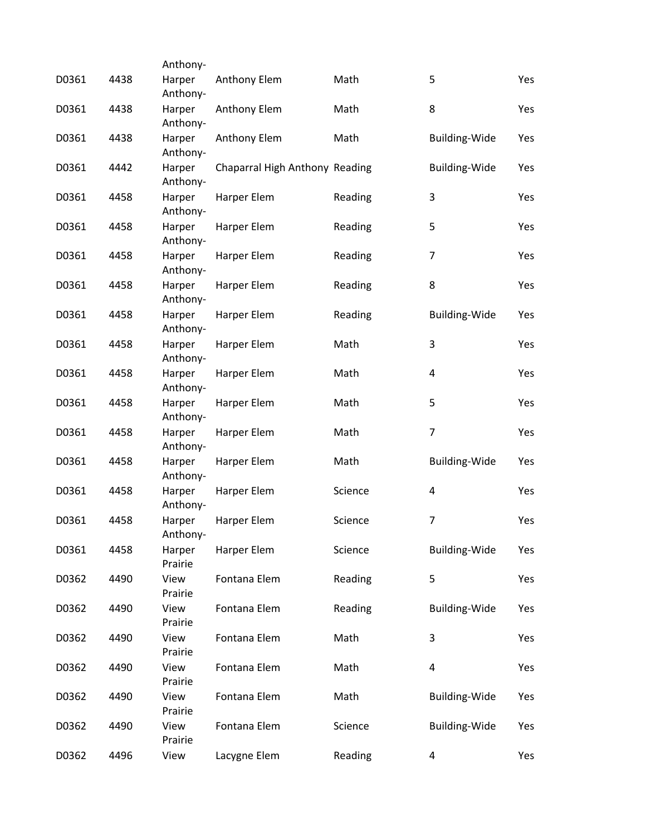|       |      | Anthony-           |                                |         |                         |     |
|-------|------|--------------------|--------------------------------|---------|-------------------------|-----|
| D0361 | 4438 | Harper<br>Anthony- | Anthony Elem                   | Math    | 5                       | Yes |
| D0361 | 4438 | Harper<br>Anthony- | Anthony Elem                   | Math    | 8                       | Yes |
| D0361 | 4438 | Harper<br>Anthony- | Anthony Elem                   | Math    | <b>Building-Wide</b>    | Yes |
| D0361 | 4442 | Harper<br>Anthony- | Chaparral High Anthony Reading |         | <b>Building-Wide</b>    | Yes |
| D0361 | 4458 | Harper<br>Anthony- | Harper Elem                    | Reading | 3                       | Yes |
| D0361 | 4458 | Harper<br>Anthony- | Harper Elem                    | Reading | 5                       | Yes |
| D0361 | 4458 | Harper<br>Anthony- | Harper Elem                    | Reading | $\overline{7}$          | Yes |
| D0361 | 4458 | Harper<br>Anthony- | Harper Elem                    | Reading | 8                       | Yes |
| D0361 | 4458 | Harper<br>Anthony- | Harper Elem                    | Reading | <b>Building-Wide</b>    | Yes |
| D0361 | 4458 | Harper<br>Anthony- | Harper Elem                    | Math    | 3                       | Yes |
| D0361 | 4458 | Harper<br>Anthony- | Harper Elem                    | Math    | 4                       | Yes |
| D0361 | 4458 | Harper<br>Anthony- | Harper Elem                    | Math    | 5                       | Yes |
| D0361 | 4458 | Harper<br>Anthony- | Harper Elem                    | Math    | $\overline{7}$          | Yes |
| D0361 | 4458 | Harper<br>Anthony- | Harper Elem                    | Math    | <b>Building-Wide</b>    | Yes |
| D0361 | 4458 | Harper<br>Anthony- | Harper Elem                    | Science | 4                       | Yes |
| D0361 | 4458 | Harper<br>Anthony- | Harper Elem                    | Science | $\overline{7}$          | Yes |
| D0361 | 4458 | Harper<br>Prairie  | Harper Elem                    | Science | <b>Building-Wide</b>    | Yes |
| D0362 | 4490 | View<br>Prairie    | Fontana Elem                   | Reading | 5                       | Yes |
| D0362 | 4490 | View<br>Prairie    | Fontana Elem                   | Reading | <b>Building-Wide</b>    | Yes |
| D0362 | 4490 | View<br>Prairie    | Fontana Elem                   | Math    | 3                       | Yes |
| D0362 | 4490 | View<br>Prairie    | Fontana Elem                   | Math    | $\overline{\mathbf{4}}$ | Yes |
| D0362 | 4490 | View<br>Prairie    | Fontana Elem                   | Math    | <b>Building-Wide</b>    | Yes |
| D0362 | 4490 | View<br>Prairie    | Fontana Elem                   | Science | <b>Building-Wide</b>    | Yes |
| D0362 | 4496 | View               | Lacygne Elem                   | Reading | 4                       | Yes |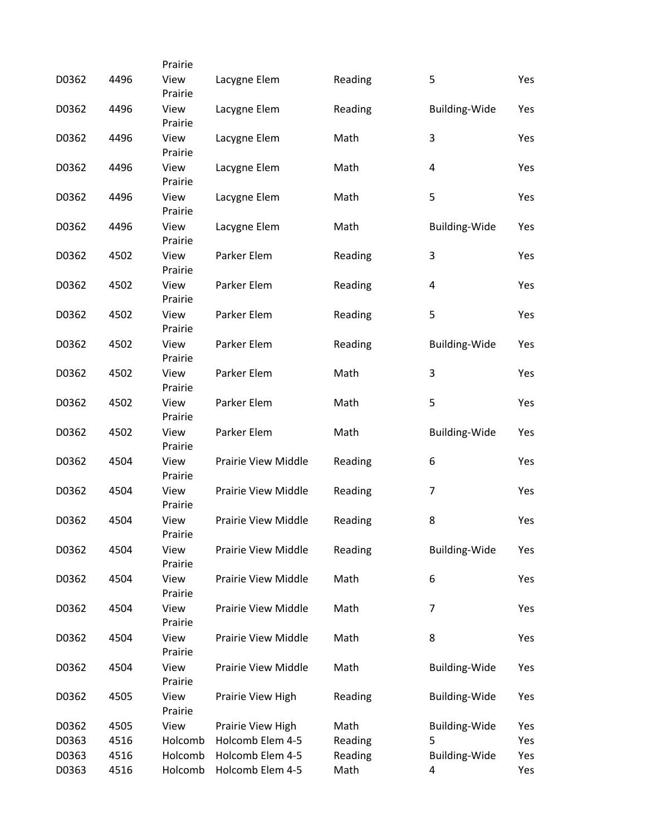|       |      | Prairie         |                            |         |                      |     |
|-------|------|-----------------|----------------------------|---------|----------------------|-----|
| D0362 | 4496 | View<br>Prairie | Lacygne Elem               | Reading | 5                    | Yes |
| D0362 | 4496 | View<br>Prairie | Lacygne Elem               | Reading | <b>Building-Wide</b> | Yes |
| D0362 | 4496 | View<br>Prairie | Lacygne Elem               | Math    | 3                    | Yes |
| D0362 | 4496 | View<br>Prairie | Lacygne Elem               | Math    | 4                    | Yes |
| D0362 | 4496 | View<br>Prairie | Lacygne Elem               | Math    | 5                    | Yes |
| D0362 | 4496 | View<br>Prairie | Lacygne Elem               | Math    | <b>Building-Wide</b> | Yes |
| D0362 | 4502 | View<br>Prairie | Parker Elem                | Reading | 3                    | Yes |
| D0362 | 4502 | View<br>Prairie | Parker Elem                | Reading | 4                    | Yes |
| D0362 | 4502 | View<br>Prairie | Parker Elem                | Reading | 5                    | Yes |
| D0362 | 4502 | View<br>Prairie | Parker Elem                | Reading | <b>Building-Wide</b> | Yes |
| D0362 | 4502 | View<br>Prairie | Parker Elem                | Math    | 3                    | Yes |
| D0362 | 4502 | View<br>Prairie | Parker Elem                | Math    | 5                    | Yes |
| D0362 | 4502 | View<br>Prairie | Parker Elem                | Math    | <b>Building-Wide</b> | Yes |
| D0362 | 4504 | View<br>Prairie | <b>Prairie View Middle</b> | Reading | 6                    | Yes |
| D0362 | 4504 | View<br>Prairie | <b>Prairie View Middle</b> | Reading | $\overline{7}$       | Yes |
| D0362 | 4504 | View<br>Prairie | Prairie View Middle        | Reading | 8                    | Yes |
| D0362 | 4504 | View<br>Prairie | Prairie View Middle        | Reading | <b>Building-Wide</b> | Yes |
| D0362 | 4504 | View<br>Prairie | Prairie View Middle        | Math    | 6                    | Yes |
| D0362 | 4504 | View<br>Prairie | <b>Prairie View Middle</b> | Math    | $\overline{7}$       | Yes |
| D0362 | 4504 | View<br>Prairie | Prairie View Middle        | Math    | 8                    | Yes |
| D0362 | 4504 | View<br>Prairie | Prairie View Middle        | Math    | <b>Building-Wide</b> | Yes |
| D0362 | 4505 | View<br>Prairie | Prairie View High          | Reading | <b>Building-Wide</b> | Yes |
| D0362 | 4505 | View            | Prairie View High          | Math    | <b>Building-Wide</b> | Yes |
| D0363 | 4516 | Holcomb         | Holcomb Elem 4-5           | Reading | 5                    | Yes |
| D0363 | 4516 | Holcomb         | Holcomb Elem 4-5           | Reading | <b>Building-Wide</b> | Yes |
| D0363 | 4516 | Holcomb         | Holcomb Elem 4-5           | Math    | 4                    | Yes |
|       |      |                 |                            |         |                      |     |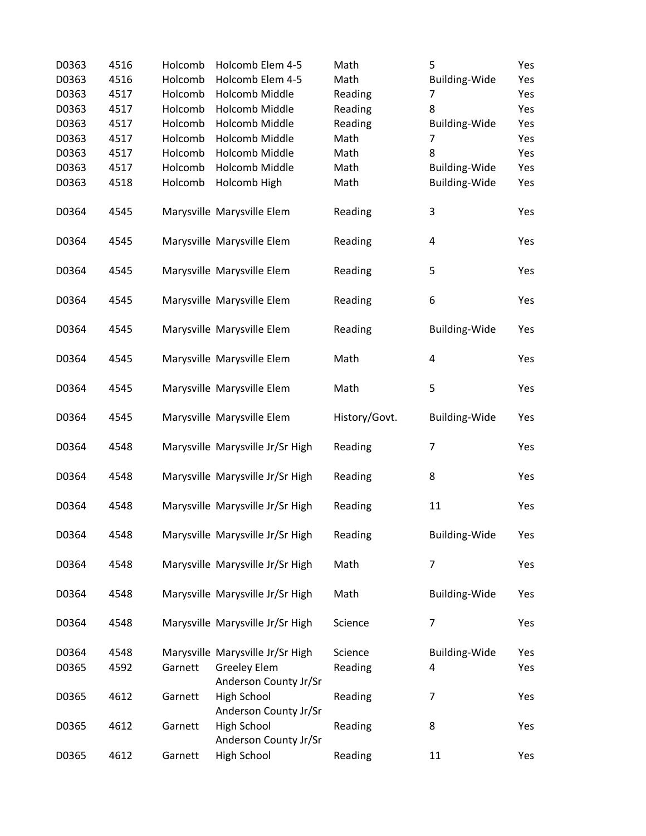| D0363 | 4516 | Holcomb | Holcomb Elem 4-5                     | Math          | 5                    | Yes |
|-------|------|---------|--------------------------------------|---------------|----------------------|-----|
| D0363 | 4516 | Holcomb | Holcomb Elem 4-5                     | Math          | Building-Wide        | Yes |
| D0363 | 4517 | Holcomb | Holcomb Middle                       | Reading       | 7                    | Yes |
| D0363 | 4517 | Holcomb | Holcomb Middle                       | Reading       | 8                    | Yes |
| D0363 | 4517 | Holcomb | <b>Holcomb Middle</b>                | Reading       | Building-Wide        | Yes |
| D0363 | 4517 | Holcomb | Holcomb Middle                       | Math          | $\overline{7}$       | Yes |
| D0363 | 4517 | Holcomb | Holcomb Middle                       | Math          | 8                    | Yes |
| D0363 | 4517 | Holcomb | <b>Holcomb Middle</b>                | Math          | Building-Wide        | Yes |
| D0363 | 4518 | Holcomb | Holcomb High                         | Math          | Building-Wide        | Yes |
|       |      |         |                                      |               |                      |     |
| D0364 | 4545 |         | Marysville Marysville Elem           | Reading       | 3                    | Yes |
|       |      |         |                                      |               |                      |     |
| D0364 | 4545 |         | Marysville Marysville Elem           | Reading       | 4                    | Yes |
|       |      |         |                                      |               |                      |     |
| D0364 | 4545 |         | Marysville Marysville Elem           | Reading       | 5                    | Yes |
|       |      |         |                                      |               |                      |     |
| D0364 | 4545 |         | Marysville Marysville Elem           | Reading       | 6                    | Yes |
|       |      |         |                                      |               |                      |     |
| D0364 | 4545 |         | Marysville Marysville Elem           | Reading       | <b>Building-Wide</b> | Yes |
| D0364 | 4545 |         | Marysville Marysville Elem           | Math          | $\pmb{4}$            | Yes |
|       |      |         |                                      |               |                      |     |
| D0364 | 4545 |         | Marysville Marysville Elem           | Math          | 5                    | Yes |
|       |      |         |                                      |               |                      |     |
| D0364 | 4545 |         | Marysville Marysville Elem           | History/Govt. | <b>Building-Wide</b> | Yes |
|       |      |         |                                      |               |                      |     |
| D0364 | 4548 |         | Marysville Marysville Jr/Sr High     | Reading       | $\overline{7}$       | Yes |
|       |      |         |                                      |               |                      |     |
| D0364 | 4548 |         | Marysville Marysville Jr/Sr High     | Reading       | 8                    | Yes |
|       |      |         |                                      |               |                      |     |
| D0364 | 4548 |         | Marysville Marysville Jr/Sr High     | Reading       | 11                   | Yes |
|       |      |         |                                      |               |                      |     |
| D0364 | 4548 |         | Marysville Marysville Jr/Sr High     | Reading       | <b>Building-Wide</b> | Yes |
|       |      |         |                                      |               |                      |     |
| D0364 | 4548 |         | Marysville Marysville Jr/Sr High     | Math          | $\overline{7}$       | Yes |
|       |      |         |                                      |               |                      |     |
| D0364 | 4548 |         | Marysville Marysville Jr/Sr High     | Math          | Building-Wide        | Yes |
|       |      |         |                                      |               |                      |     |
| D0364 | 4548 |         | Marysville Marysville Jr/Sr High     | Science       | 7                    | Yes |
|       |      |         |                                      |               |                      |     |
| D0364 | 4548 |         | Marysville Marysville Jr/Sr High     | Science       | <b>Building-Wide</b> | Yes |
| D0365 | 4592 | Garnett | <b>Greeley Elem</b>                  | Reading       | 4                    | Yes |
|       |      |         | Anderson County Jr/Sr                |               |                      |     |
| D0365 | 4612 | Garnett | High School                          | Reading       | 7                    | Yes |
|       |      |         | Anderson County Jr/Sr                |               |                      |     |
| D0365 | 4612 | Garnett | High School<br>Anderson County Jr/Sr | Reading       | 8                    | Yes |
| D0365 | 4612 | Garnett | High School                          | Reading       | 11                   | Yes |
|       |      |         |                                      |               |                      |     |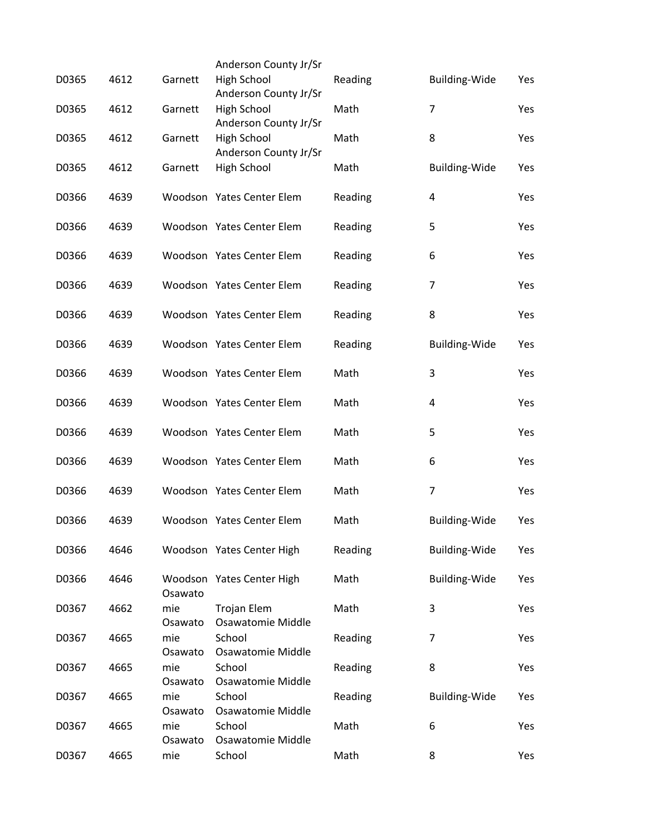|       |      |                | Anderson County Jr/Sr                   |         |                         |     |
|-------|------|----------------|-----------------------------------------|---------|-------------------------|-----|
| D0365 | 4612 | Garnett        | High School<br>Anderson County Jr/Sr    | Reading | <b>Building-Wide</b>    | Yes |
| D0365 | 4612 | Garnett        | High School<br>Anderson County Jr/Sr    | Math    | $\overline{7}$          | Yes |
| D0365 | 4612 | Garnett        | High School<br>Anderson County Jr/Sr    | Math    | 8                       | Yes |
| D0365 | 4612 | Garnett        | <b>High School</b>                      | Math    | <b>Building-Wide</b>    | Yes |
| D0366 | 4639 |                | Woodson Yates Center Elem               | Reading | $\overline{\mathbf{4}}$ | Yes |
| D0366 | 4639 |                | Woodson Yates Center Elem               | Reading | 5                       | Yes |
| D0366 | 4639 |                | Woodson Yates Center Elem               | Reading | 6                       | Yes |
| D0366 | 4639 |                | Woodson Yates Center Elem               | Reading | 7                       | Yes |
| D0366 | 4639 |                | Woodson Yates Center Elem               | Reading | 8                       | Yes |
| D0366 | 4639 |                | Woodson Yates Center Elem               | Reading | <b>Building-Wide</b>    | Yes |
| D0366 | 4639 |                | Woodson Yates Center Elem               | Math    | 3                       | Yes |
| D0366 | 4639 |                | Woodson Yates Center Elem               | Math    | 4                       | Yes |
| D0366 | 4639 |                | Woodson Yates Center Elem               | Math    | 5                       | Yes |
| D0366 | 4639 |                | Woodson Yates Center Elem               | Math    | 6                       | Yes |
| D0366 | 4639 |                | Woodson Yates Center Elem               | Math    | $\overline{7}$          | Yes |
| D0366 | 4639 |                | Woodson Yates Center Elem               | Math    | <b>Building-Wide</b>    | Yes |
| D0366 | 4646 |                | Woodson Yates Center High               | Reading | <b>Building-Wide</b>    | Yes |
| D0366 | 4646 | Osawato        | Woodson Yates Center High               | Math    | <b>Building-Wide</b>    | Yes |
| D0367 | 4662 | mie<br>Osawato | Trojan Elem<br><b>Osawatomie Middle</b> | Math    | 3                       | Yes |
| D0367 | 4665 | mie<br>Osawato | School<br>Osawatomie Middle             | Reading | 7                       | Yes |
| D0367 | 4665 | mie<br>Osawato | School<br>Osawatomie Middle             | Reading | 8                       | Yes |
| D0367 | 4665 | mie<br>Osawato | School<br>Osawatomie Middle             | Reading | <b>Building-Wide</b>    | Yes |
| D0367 | 4665 | mie<br>Osawato | School<br>Osawatomie Middle             | Math    | 6                       | Yes |
| D0367 | 4665 | mie            | School                                  | Math    | 8                       | Yes |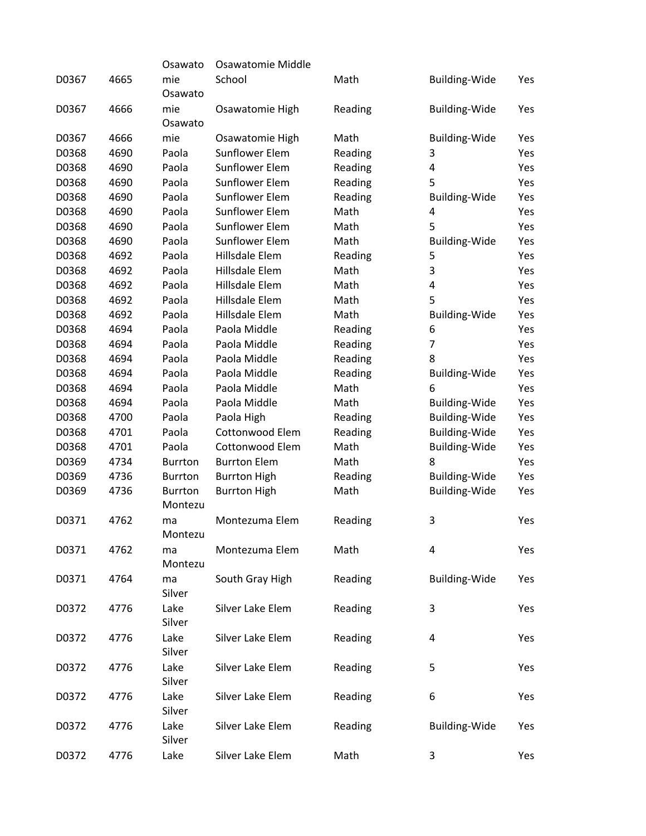|       |      | Osawato                   | Osawatomie Middle     |         |                      |     |
|-------|------|---------------------------|-----------------------|---------|----------------------|-----|
| D0367 | 4665 | mie<br>Osawato            | School                | Math    | Building-Wide        | Yes |
| D0367 | 4666 | mie<br>Osawato            | Osawatomie High       | Reading | <b>Building-Wide</b> | Yes |
| D0367 | 4666 | mie                       | Osawatomie High       | Math    | <b>Building-Wide</b> | Yes |
| D0368 | 4690 | Paola                     | <b>Sunflower Elem</b> | Reading | 3                    | Yes |
| D0368 | 4690 | Paola                     | <b>Sunflower Elem</b> | Reading | 4                    | Yes |
| D0368 | 4690 | Paola                     | <b>Sunflower Elem</b> | Reading | 5                    | Yes |
| D0368 | 4690 | Paola                     | Sunflower Elem        | Reading | Building-Wide        | Yes |
| D0368 | 4690 | Paola                     | <b>Sunflower Elem</b> | Math    | 4                    | Yes |
| D0368 | 4690 | Paola                     | <b>Sunflower Elem</b> | Math    | 5                    | Yes |
| D0368 | 4690 | Paola                     | <b>Sunflower Elem</b> | Math    | <b>Building-Wide</b> | Yes |
| D0368 | 4692 | Paola                     | Hillsdale Elem        | Reading | 5                    | Yes |
| D0368 | 4692 | Paola                     | Hillsdale Elem        | Math    | 3                    | Yes |
| D0368 | 4692 | Paola                     | Hillsdale Elem        | Math    | 4                    | Yes |
| D0368 | 4692 | Paola                     | Hillsdale Elem        | Math    | 5                    | Yes |
| D0368 | 4692 | Paola                     | Hillsdale Elem        | Math    | <b>Building-Wide</b> | Yes |
| D0368 | 4694 | Paola                     | Paola Middle          | Reading | 6                    | Yes |
| D0368 | 4694 | Paola                     | Paola Middle          | Reading | $\overline{7}$       | Yes |
| D0368 | 4694 | Paola                     | Paola Middle          | Reading | 8                    | Yes |
| D0368 | 4694 | Paola                     | Paola Middle          | Reading | <b>Building-Wide</b> | Yes |
| D0368 | 4694 | Paola                     | Paola Middle          | Math    | 6                    | Yes |
| D0368 | 4694 | Paola                     | Paola Middle          | Math    | <b>Building-Wide</b> | Yes |
| D0368 | 4700 | Paola                     | Paola High            | Reading | <b>Building-Wide</b> | Yes |
| D0368 | 4701 | Paola                     | Cottonwood Elem       | Reading | <b>Building-Wide</b> | Yes |
| D0368 | 4701 | Paola                     | Cottonwood Elem       | Math    | Building-Wide        | Yes |
| D0369 | 4734 | <b>Burrton</b>            | <b>Burrton Elem</b>   | Math    | 8                    | Yes |
| D0369 | 4736 | <b>Burrton</b>            | <b>Burrton High</b>   | Reading | <b>Building-Wide</b> | Yes |
| D0369 | 4736 | <b>Burrton</b><br>Montezu | <b>Burrton High</b>   | Math    | <b>Building-Wide</b> | Yes |
| D0371 | 4762 | ma<br>Montezu             | Montezuma Elem        | Reading | 3                    | Yes |
| D0371 | 4762 | ma<br>Montezu             | Montezuma Elem        | Math    | 4                    | Yes |
| D0371 | 4764 | ma<br>Silver              | South Gray High       | Reading | <b>Building-Wide</b> | Yes |
| D0372 | 4776 | Lake<br>Silver            | Silver Lake Elem      | Reading | 3                    | Yes |
| D0372 | 4776 | Lake<br>Silver            | Silver Lake Elem      | Reading | 4                    | Yes |
| D0372 | 4776 | Lake<br>Silver            | Silver Lake Elem      | Reading | 5                    | Yes |
| D0372 | 4776 | Lake<br>Silver            | Silver Lake Elem      | Reading | 6                    | Yes |
| D0372 | 4776 | Lake<br>Silver            | Silver Lake Elem      | Reading | <b>Building-Wide</b> | Yes |
| D0372 | 4776 | Lake                      | Silver Lake Elem      | Math    | 3                    | Yes |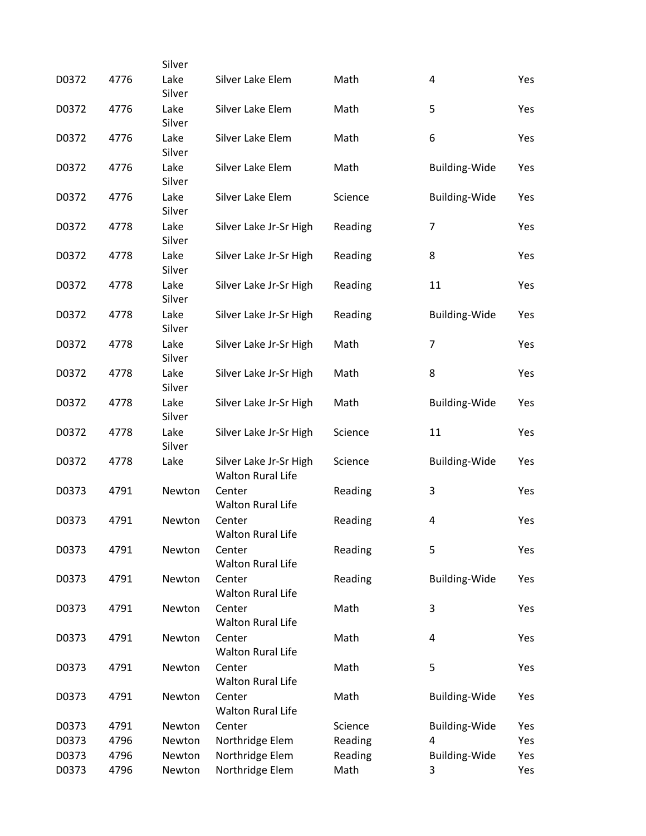|       |      | Silver         |                                                    |         |                         |     |
|-------|------|----------------|----------------------------------------------------|---------|-------------------------|-----|
| D0372 | 4776 | Lake<br>Silver | Silver Lake Elem                                   | Math    | 4                       | Yes |
| D0372 | 4776 | Lake<br>Silver | Silver Lake Elem                                   | Math    | 5                       | Yes |
| D0372 | 4776 | Lake<br>Silver | Silver Lake Elem                                   | Math    | 6                       | Yes |
| D0372 | 4776 | Lake<br>Silver | Silver Lake Elem                                   | Math    | <b>Building-Wide</b>    | Yes |
| D0372 | 4776 | Lake<br>Silver | Silver Lake Elem                                   | Science | <b>Building-Wide</b>    | Yes |
| D0372 | 4778 | Lake<br>Silver | Silver Lake Jr-Sr High                             | Reading | $\overline{7}$          | Yes |
| D0372 | 4778 | Lake<br>Silver | Silver Lake Jr-Sr High                             | Reading | 8                       | Yes |
| D0372 | 4778 | Lake<br>Silver | Silver Lake Jr-Sr High                             | Reading | 11                      | Yes |
| D0372 | 4778 | Lake<br>Silver | Silver Lake Jr-Sr High                             | Reading | Building-Wide           | Yes |
| D0372 | 4778 | Lake<br>Silver | Silver Lake Jr-Sr High                             | Math    | $\overline{7}$          | Yes |
| D0372 | 4778 | Lake<br>Silver | Silver Lake Jr-Sr High                             | Math    | 8                       | Yes |
| D0372 | 4778 | Lake<br>Silver | Silver Lake Jr-Sr High                             | Math    | <b>Building-Wide</b>    | Yes |
| D0372 | 4778 | Lake<br>Silver | Silver Lake Jr-Sr High                             | Science | 11                      | Yes |
| D0372 | 4778 | Lake           | Silver Lake Jr-Sr High<br><b>Walton Rural Life</b> | Science | <b>Building-Wide</b>    | Yes |
| D0373 | 4791 | Newton         | Center<br><b>Walton Rural Life</b>                 | Reading | 3                       | Yes |
| D0373 | 4791 | Newton         | Center<br><b>Walton Rural Life</b>                 | Reading | $\overline{\mathbf{4}}$ | Yes |
| D0373 | 4791 | Newton         | Center<br><b>Walton Rural Life</b>                 | Reading | 5                       | Yes |
| D0373 | 4791 | Newton         | Center<br><b>Walton Rural Life</b>                 | Reading | <b>Building-Wide</b>    | Yes |
| D0373 | 4791 | Newton         | Center<br><b>Walton Rural Life</b>                 | Math    | 3                       | Yes |
| D0373 | 4791 | Newton         | Center<br><b>Walton Rural Life</b>                 | Math    | 4                       | Yes |
| D0373 | 4791 | Newton         | Center<br><b>Walton Rural Life</b>                 | Math    | 5                       | Yes |
| D0373 | 4791 | Newton         | Center<br><b>Walton Rural Life</b>                 | Math    | <b>Building-Wide</b>    | Yes |
| D0373 | 4791 | Newton         | Center                                             | Science | <b>Building-Wide</b>    | Yes |
| D0373 | 4796 | Newton         | Northridge Elem                                    | Reading | 4                       | Yes |
| D0373 | 4796 | Newton         | Northridge Elem                                    | Reading | <b>Building-Wide</b>    | Yes |
| D0373 | 4796 | Newton         | Northridge Elem                                    | Math    | 3                       | Yes |
|       |      |                |                                                    |         |                         |     |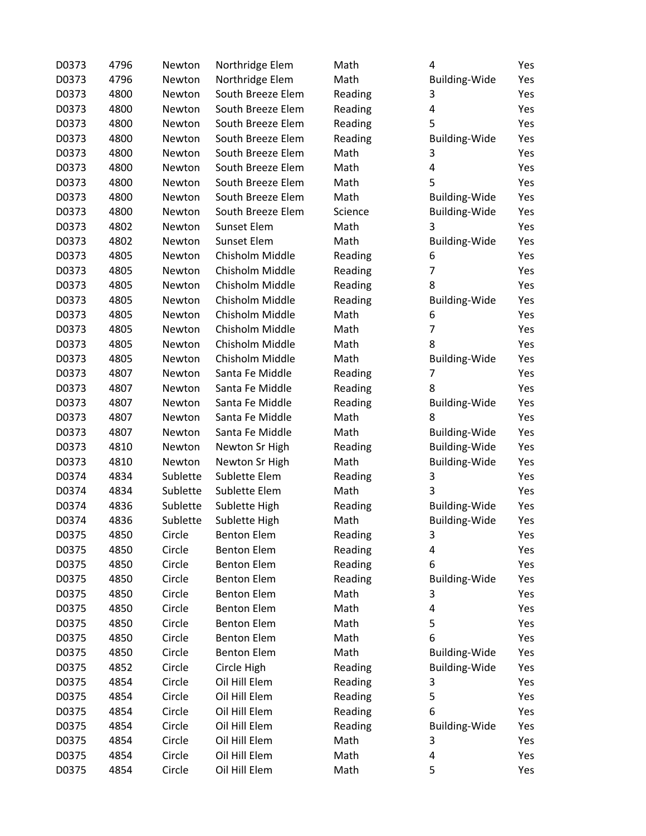| D0373 | 4796 | Newton   | Northridge Elem    | Math    | 4                    | Yes |
|-------|------|----------|--------------------|---------|----------------------|-----|
| D0373 | 4796 | Newton   | Northridge Elem    | Math    | <b>Building-Wide</b> | Yes |
| D0373 | 4800 | Newton   | South Breeze Elem  | Reading | 3                    | Yes |
| D0373 | 4800 | Newton   | South Breeze Elem  | Reading | 4                    | Yes |
| D0373 | 4800 | Newton   | South Breeze Elem  | Reading | 5                    | Yes |
| D0373 | 4800 | Newton   | South Breeze Elem  | Reading | <b>Building-Wide</b> | Yes |
| D0373 | 4800 | Newton   | South Breeze Elem  | Math    | 3                    | Yes |
| D0373 | 4800 | Newton   | South Breeze Elem  | Math    | 4                    | Yes |
| D0373 | 4800 | Newton   | South Breeze Elem  | Math    | 5                    | Yes |
| D0373 | 4800 | Newton   | South Breeze Elem  | Math    | <b>Building-Wide</b> | Yes |
| D0373 | 4800 | Newton   | South Breeze Elem  | Science | <b>Building-Wide</b> | Yes |
| D0373 | 4802 | Newton   | <b>Sunset Elem</b> | Math    | 3                    | Yes |
| D0373 | 4802 | Newton   | Sunset Elem        | Math    | <b>Building-Wide</b> | Yes |
| D0373 | 4805 | Newton   | Chisholm Middle    | Reading | 6                    | Yes |
| D0373 | 4805 | Newton   | Chisholm Middle    | Reading | $\overline{7}$       | Yes |
| D0373 | 4805 | Newton   | Chisholm Middle    | Reading | 8                    | Yes |
| D0373 | 4805 | Newton   | Chisholm Middle    | Reading | <b>Building-Wide</b> | Yes |
| D0373 | 4805 | Newton   | Chisholm Middle    | Math    | 6                    | Yes |
| D0373 | 4805 | Newton   | Chisholm Middle    | Math    | 7                    | Yes |
| D0373 | 4805 | Newton   | Chisholm Middle    | Math    | 8                    | Yes |
| D0373 | 4805 | Newton   | Chisholm Middle    | Math    | Building-Wide        | Yes |
| D0373 | 4807 | Newton   | Santa Fe Middle    | Reading | 7                    | Yes |
| D0373 | 4807 | Newton   | Santa Fe Middle    | Reading | 8                    | Yes |
| D0373 | 4807 | Newton   | Santa Fe Middle    | Reading | Building-Wide        | Yes |
| D0373 | 4807 | Newton   | Santa Fe Middle    | Math    | 8                    | Yes |
| D0373 | 4807 | Newton   | Santa Fe Middle    | Math    | <b>Building-Wide</b> | Yes |
| D0373 | 4810 | Newton   | Newton Sr High     | Reading | <b>Building-Wide</b> | Yes |
| D0373 | 4810 | Newton   | Newton Sr High     | Math    | <b>Building-Wide</b> | Yes |
| D0374 | 4834 | Sublette | Sublette Elem      | Reading | 3                    | Yes |
| D0374 | 4834 | Sublette | Sublette Elem      | Math    | 3                    | Yes |
| D0374 | 4836 | Sublette | Sublette High      | Reading | <b>Building-Wide</b> | Yes |
| D0374 | 4836 | Sublette | Sublette High      | Math    | <b>Building-Wide</b> | Yes |
| D0375 | 4850 | Circle   | <b>Benton Elem</b> | Reading | 3                    | Yes |
| D0375 | 4850 | Circle   | <b>Benton Elem</b> | Reading | 4                    | Yes |
| D0375 | 4850 | Circle   | <b>Benton Elem</b> | Reading | 6                    | Yes |
| D0375 | 4850 | Circle   | <b>Benton Elem</b> | Reading | <b>Building-Wide</b> | Yes |
| D0375 | 4850 | Circle   | <b>Benton Elem</b> | Math    | 3                    | Yes |
| D0375 | 4850 | Circle   | <b>Benton Elem</b> | Math    | 4                    | Yes |
| D0375 | 4850 | Circle   | <b>Benton Elem</b> | Math    | 5                    | Yes |
| D0375 | 4850 | Circle   | <b>Benton Elem</b> | Math    | 6                    | Yes |
| D0375 | 4850 | Circle   | <b>Benton Elem</b> | Math    | <b>Building-Wide</b> | Yes |
| D0375 | 4852 | Circle   | Circle High        | Reading | <b>Building-Wide</b> | Yes |
| D0375 | 4854 | Circle   | Oil Hill Elem      | Reading | 3                    | Yes |
| D0375 | 4854 | Circle   | Oil Hill Elem      | Reading | 5                    | Yes |
| D0375 | 4854 | Circle   | Oil Hill Elem      | Reading | 6                    | Yes |
| D0375 | 4854 | Circle   | Oil Hill Elem      | Reading | Building-Wide        | Yes |
| D0375 | 4854 | Circle   | Oil Hill Elem      | Math    | 3                    | Yes |
| D0375 | 4854 | Circle   | Oil Hill Elem      | Math    | 4                    | Yes |
| D0375 | 4854 | Circle   | Oil Hill Elem      | Math    | 5                    | Yes |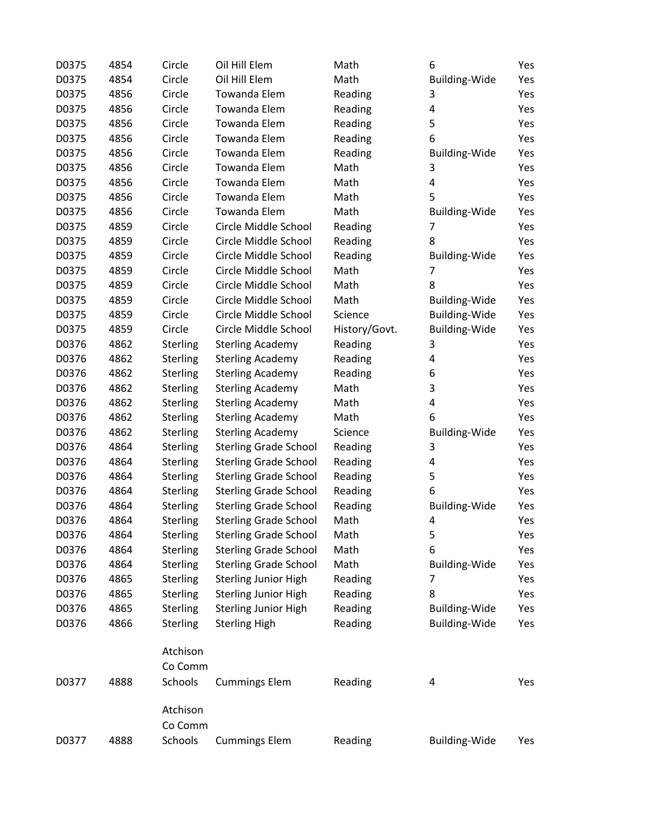| D0375 | 4854 | Circle          | Oil Hill Elem                | Math          | 6                    | Yes |
|-------|------|-----------------|------------------------------|---------------|----------------------|-----|
| D0375 | 4854 | Circle          | Oil Hill Elem                | Math          | <b>Building-Wide</b> | Yes |
| D0375 | 4856 | Circle          | <b>Towanda Elem</b>          | Reading       | 3                    | Yes |
| D0375 | 4856 | Circle          | <b>Towanda Elem</b>          | Reading       | 4                    | Yes |
| D0375 | 4856 | Circle          | <b>Towanda Elem</b>          | Reading       | 5                    | Yes |
| D0375 | 4856 | Circle          | <b>Towanda Elem</b>          | Reading       | 6                    | Yes |
| D0375 | 4856 | Circle          | <b>Towanda Elem</b>          | Reading       | Building-Wide        | Yes |
| D0375 | 4856 | Circle          | <b>Towanda Elem</b>          | Math          | 3                    | Yes |
| D0375 | 4856 | Circle          | Towanda Elem                 | Math          | 4                    | Yes |
| D0375 | 4856 | Circle          | <b>Towanda Elem</b>          | Math          | 5                    | Yes |
| D0375 | 4856 | Circle          | <b>Towanda Elem</b>          | Math          | <b>Building-Wide</b> | Yes |
| D0375 | 4859 | Circle          | Circle Middle School         | Reading       | $\overline{7}$       | Yes |
| D0375 | 4859 | Circle          | Circle Middle School         | Reading       | 8                    | Yes |
| D0375 | 4859 | Circle          | Circle Middle School         | Reading       | <b>Building-Wide</b> | Yes |
| D0375 | 4859 | Circle          | Circle Middle School         | Math          | 7                    | Yes |
| D0375 | 4859 | Circle          | Circle Middle School         | Math          | 8                    | Yes |
| D0375 | 4859 | Circle          | Circle Middle School         | Math          | <b>Building-Wide</b> | Yes |
| D0375 | 4859 | Circle          | Circle Middle School         | Science       | <b>Building-Wide</b> | Yes |
| D0375 | 4859 | Circle          | Circle Middle School         | History/Govt. | <b>Building-Wide</b> | Yes |
| D0376 | 4862 | Sterling        | <b>Sterling Academy</b>      | Reading       | 3                    | Yes |
| D0376 | 4862 | Sterling        | <b>Sterling Academy</b>      | Reading       | 4                    | Yes |
| D0376 | 4862 | Sterling        | <b>Sterling Academy</b>      | Reading       | 6                    | Yes |
| D0376 | 4862 | <b>Sterling</b> | <b>Sterling Academy</b>      | Math          | 3                    | Yes |
| D0376 | 4862 | <b>Sterling</b> | <b>Sterling Academy</b>      | Math          | 4                    | Yes |
| D0376 | 4862 | <b>Sterling</b> | <b>Sterling Academy</b>      | Math          | 6                    | Yes |
| D0376 | 4862 | <b>Sterling</b> | <b>Sterling Academy</b>      | Science       | <b>Building-Wide</b> | Yes |
| D0376 | 4864 | <b>Sterling</b> | <b>Sterling Grade School</b> | Reading       | 3                    | Yes |
| D0376 | 4864 | <b>Sterling</b> | <b>Sterling Grade School</b> | Reading       | 4                    | Yes |
| D0376 | 4864 | <b>Sterling</b> | <b>Sterling Grade School</b> | Reading       | 5                    | Yes |
| D0376 | 4864 | <b>Sterling</b> | <b>Sterling Grade School</b> | Reading       | 6                    | Yes |
| D0376 | 4864 | <b>Sterling</b> | <b>Sterling Grade School</b> | Reading       | Building-Wide        | Yes |
| D0376 | 4864 | <b>Sterling</b> | <b>Sterling Grade School</b> | Math          | 4                    | Yes |
| D0376 | 4864 | <b>Sterling</b> | <b>Sterling Grade School</b> | Math          | 5                    | Yes |
| D0376 | 4864 | <b>Sterling</b> | <b>Sterling Grade School</b> | Math          | 6                    | Yes |
| D0376 | 4864 | Sterling        | <b>Sterling Grade School</b> | Math          | <b>Building-Wide</b> | Yes |
| D0376 | 4865 | Sterling        | <b>Sterling Junior High</b>  | Reading       | 7                    | Yes |
| D0376 | 4865 | Sterling        | <b>Sterling Junior High</b>  | Reading       | 8                    | Yes |
| D0376 | 4865 | Sterling        | <b>Sterling Junior High</b>  | Reading       | <b>Building-Wide</b> | Yes |
| D0376 | 4866 | Sterling        | <b>Sterling High</b>         | Reading       | <b>Building-Wide</b> | Yes |
|       |      | Atchison        |                              |               |                      |     |
|       |      |                 |                              |               |                      |     |
|       |      | Co Comm         |                              |               |                      |     |
| D0377 | 4888 | Schools         | <b>Cummings Elem</b>         | Reading       | 4                    | Yes |
|       |      | Atchison        |                              |               |                      |     |
|       |      | Co Comm         |                              |               |                      |     |
| D0377 | 4888 | Schools         | <b>Cummings Elem</b>         | Reading       | Building-Wide        | Yes |
|       |      |                 |                              |               |                      |     |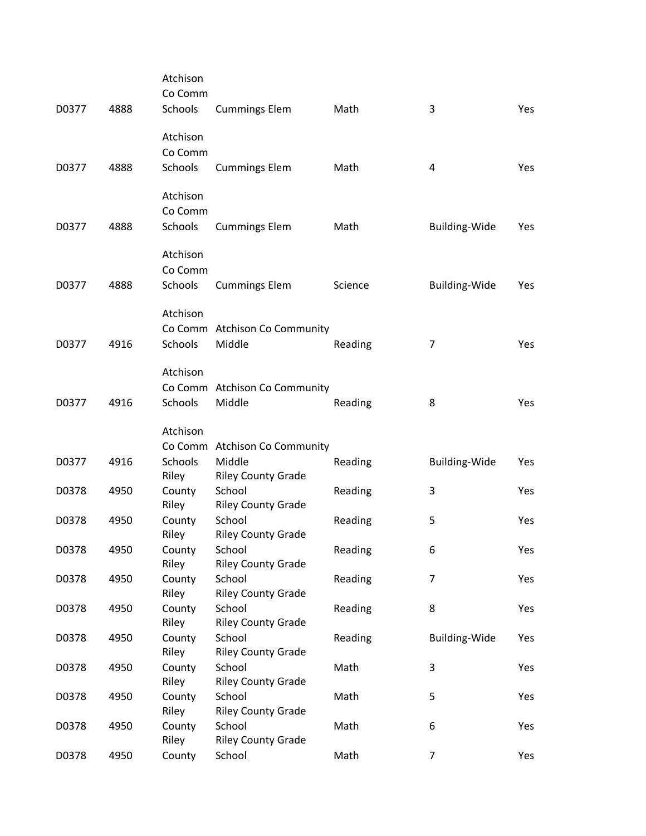| D0377 | 4888 | Atchison<br>Co Comm<br>Schools | <b>Cummings Elem</b>                    | Math    | 3                    | Yes |
|-------|------|--------------------------------|-----------------------------------------|---------|----------------------|-----|
| D0377 | 4888 | Atchison<br>Co Comm<br>Schools | <b>Cummings Elem</b>                    | Math    | 4                    | Yes |
| D0377 | 4888 | Atchison<br>Co Comm<br>Schools | <b>Cummings Elem</b>                    | Math    | <b>Building-Wide</b> | Yes |
| D0377 | 4888 | Atchison<br>Co Comm<br>Schools | <b>Cummings Elem</b>                    | Science | <b>Building-Wide</b> | Yes |
| D0377 | 4916 | Atchison<br><b>Schools</b>     | Co Comm Atchison Co Community<br>Middle | Reading | $\overline{7}$       | Yes |
| D0377 | 4916 | Atchison<br>Schools            | Co Comm Atchison Co Community<br>Middle | Reading | 8                    | Yes |
|       |      | Atchison                       | Co Comm Atchison Co Community           |         |                      |     |
| D0377 | 4916 | <b>Schools</b><br>Riley        | Middle<br><b>Riley County Grade</b>     | Reading | <b>Building-Wide</b> | Yes |
| D0378 | 4950 | County<br>Riley                | School<br><b>Riley County Grade</b>     | Reading | 3                    | Yes |
| D0378 | 4950 | County<br>Riley                | School<br><b>Riley County Grade</b>     | Reading | 5                    | Yes |
| D0378 | 4950 | County<br>Riley                | School<br><b>Riley County Grade</b>     | Reading | 6                    | Yes |
| D0378 | 4950 | County<br>Riley                | School<br><b>Riley County Grade</b>     | Reading | 7                    | Yes |
| D0378 | 4950 | County                         | School<br><b>Riley County Grade</b>     | Reading | 8                    | Yes |
| D0378 | 4950 | Riley<br>County                | School                                  | Reading | <b>Building-Wide</b> | Yes |
| D0378 | 4950 | Riley<br>County                | <b>Riley County Grade</b><br>School     | Math    | 3                    | Yes |
| D0378 | 4950 | Riley<br>County                | <b>Riley County Grade</b><br>School     | Math    | 5                    | Yes |
| D0378 | 4950 | Riley<br>County                | <b>Riley County Grade</b><br>School     | Math    | 6                    | Yes |
| D0378 | 4950 | Riley<br>County                | <b>Riley County Grade</b><br>School     | Math    | $\overline{7}$       | Yes |
|       |      |                                |                                         |         |                      |     |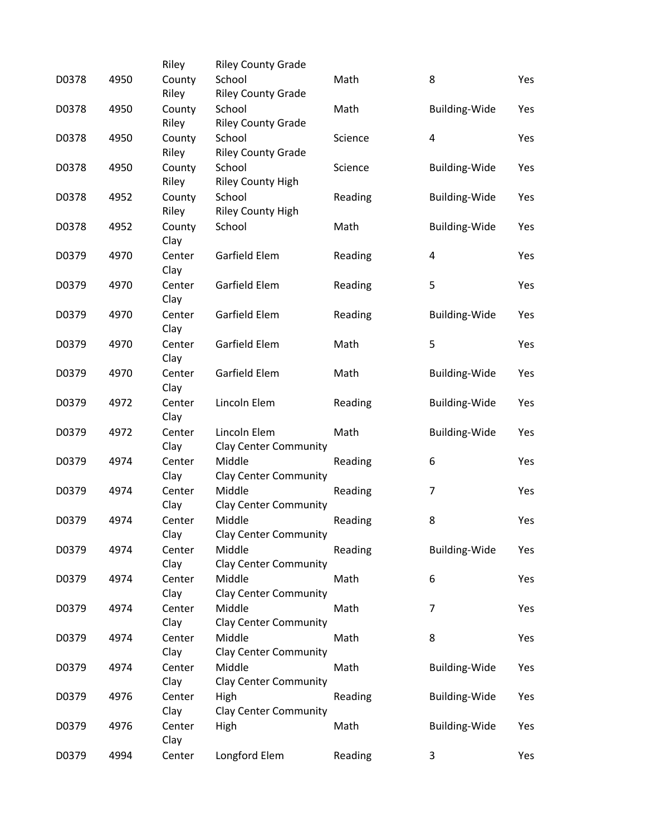|       |      | Riley  | <b>Riley County Grade</b>    |         |                      |     |
|-------|------|--------|------------------------------|---------|----------------------|-----|
| D0378 | 4950 | County | School                       | Math    | 8                    | Yes |
|       |      | Riley  | <b>Riley County Grade</b>    |         |                      |     |
| D0378 | 4950 | County | School                       | Math    | <b>Building-Wide</b> | Yes |
|       |      | Riley  | <b>Riley County Grade</b>    |         |                      |     |
| D0378 | 4950 | County | School                       | Science | 4                    | Yes |
|       |      | Riley  | <b>Riley County Grade</b>    |         |                      |     |
| D0378 | 4950 | County | School                       | Science | Building-Wide        | Yes |
|       |      | Riley  | <b>Riley County High</b>     |         |                      |     |
| D0378 | 4952 | County | School                       | Reading | Building-Wide        | Yes |
|       |      | Riley  | <b>Riley County High</b>     |         |                      |     |
| D0378 | 4952 | County | School                       | Math    | <b>Building-Wide</b> | Yes |
|       |      | Clay   |                              |         |                      |     |
| D0379 | 4970 | Center | Garfield Elem                | Reading | 4                    | Yes |
|       |      | Clay   |                              |         |                      |     |
| D0379 | 4970 | Center | Garfield Elem                | Reading | 5                    | Yes |
|       |      | Clay   |                              |         |                      |     |
| D0379 | 4970 | Center | Garfield Elem                | Reading | Building-Wide        | Yes |
|       |      | Clay   |                              |         |                      |     |
| D0379 | 4970 | Center | Garfield Elem                | Math    | 5                    | Yes |
|       |      | Clay   |                              |         |                      |     |
| D0379 | 4970 | Center | Garfield Elem                | Math    | Building-Wide        | Yes |
|       |      | Clay   |                              |         |                      |     |
| D0379 | 4972 | Center | Lincoln Elem                 | Reading | <b>Building-Wide</b> | Yes |
|       |      | Clay   |                              |         |                      |     |
| D0379 | 4972 | Center | Lincoln Elem                 | Math    | <b>Building-Wide</b> | Yes |
|       |      | Clay   | <b>Clay Center Community</b> |         |                      |     |
| D0379 | 4974 | Center | Middle                       | Reading | 6                    | Yes |
|       |      | Clay   | <b>Clay Center Community</b> |         |                      |     |
| D0379 | 4974 | Center | Middle                       | Reading | $\overline{7}$       | Yes |
|       |      | Clay   | <b>Clay Center Community</b> |         |                      |     |
| D0379 | 4974 | Center | Middle                       | Reading | 8                    | Yes |
|       |      | Clay   | <b>Clay Center Community</b> |         |                      |     |
| D0379 | 4974 | Center | Middle                       | Reading | <b>Building-Wide</b> | Yes |
|       |      | Clay   | <b>Clay Center Community</b> |         |                      |     |
| D0379 | 4974 | Center | Middle                       | Math    | 6                    | Yes |
|       |      | Clay   | <b>Clay Center Community</b> |         |                      |     |
| D0379 | 4974 | Center | Middle                       | Math    | 7                    | Yes |
|       |      | Clay   | <b>Clay Center Community</b> |         |                      |     |
| D0379 | 4974 | Center | Middle                       | Math    | 8                    | Yes |
|       |      | Clay   | <b>Clay Center Community</b> |         |                      |     |
| D0379 | 4974 | Center | Middle                       | Math    | <b>Building-Wide</b> | Yes |
|       |      | Clay   | <b>Clay Center Community</b> |         |                      |     |
| D0379 | 4976 | Center | High                         | Reading | <b>Building-Wide</b> | Yes |
|       |      | Clay   | <b>Clay Center Community</b> |         |                      |     |
| D0379 | 4976 | Center | High                         | Math    | <b>Building-Wide</b> | Yes |
|       |      | Clay   |                              |         |                      |     |
| D0379 | 4994 | Center | Longford Elem                | Reading | 3                    | Yes |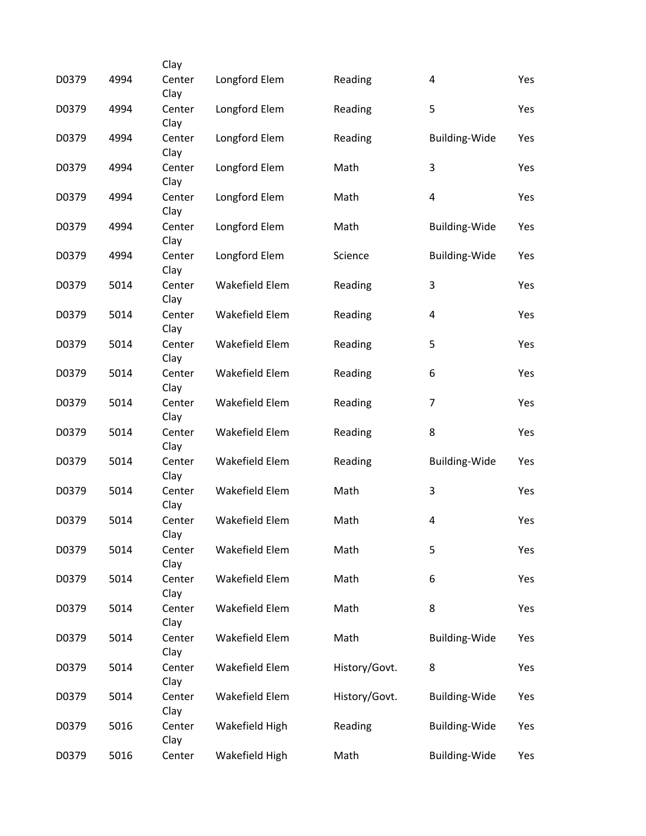|       |      | Clay           |                |               |                         |     |
|-------|------|----------------|----------------|---------------|-------------------------|-----|
| D0379 | 4994 | Center<br>Clay | Longford Elem  | Reading       | $\overline{\mathbf{4}}$ | Yes |
| D0379 | 4994 | Center<br>Clay | Longford Elem  | Reading       | 5                       | Yes |
| D0379 | 4994 | Center<br>Clay | Longford Elem  | Reading       | <b>Building-Wide</b>    | Yes |
| D0379 | 4994 | Center<br>Clay | Longford Elem  | Math          | 3                       | Yes |
| D0379 | 4994 | Center<br>Clay | Longford Elem  | Math          | $\overline{\mathbf{4}}$ | Yes |
| D0379 | 4994 | Center<br>Clay | Longford Elem  | Math          | <b>Building-Wide</b>    | Yes |
| D0379 | 4994 | Center<br>Clay | Longford Elem  | Science       | <b>Building-Wide</b>    | Yes |
| D0379 | 5014 | Center<br>Clay | Wakefield Elem | Reading       | 3                       | Yes |
| D0379 | 5014 | Center<br>Clay | Wakefield Elem | Reading       | $\overline{\mathbf{4}}$ | Yes |
| D0379 | 5014 | Center<br>Clay | Wakefield Elem | Reading       | 5                       | Yes |
| D0379 | 5014 | Center<br>Clay | Wakefield Elem | Reading       | 6                       | Yes |
| D0379 | 5014 | Center<br>Clay | Wakefield Elem | Reading       | $\overline{7}$          | Yes |
| D0379 | 5014 | Center<br>Clay | Wakefield Elem | Reading       | 8                       | Yes |
| D0379 | 5014 | Center<br>Clay | Wakefield Elem | Reading       | <b>Building-Wide</b>    | Yes |
| D0379 | 5014 | Center<br>Clay | Wakefield Elem | Math          | 3                       | Yes |
| D0379 | 5014 | Center<br>Clay | Wakefield Elem | Math          | $\overline{\mathbf{4}}$ | Yes |
| D0379 | 5014 | Center<br>Clay | Wakefield Elem | Math          | 5                       | Yes |
| D0379 | 5014 | Center<br>Clay | Wakefield Elem | Math          | 6                       | Yes |
| D0379 | 5014 | Center<br>Clay | Wakefield Elem | Math          | 8                       | Yes |
| D0379 | 5014 | Center<br>Clay | Wakefield Elem | Math          | <b>Building-Wide</b>    | Yes |
| D0379 | 5014 | Center<br>Clay | Wakefield Elem | History/Govt. | 8                       | Yes |
| D0379 | 5014 | Center<br>Clay | Wakefield Elem | History/Govt. | <b>Building-Wide</b>    | Yes |
| D0379 | 5016 | Center<br>Clay | Wakefield High | Reading       | <b>Building-Wide</b>    | Yes |
| D0379 | 5016 | Center         | Wakefield High | Math          | Building-Wide           | Yes |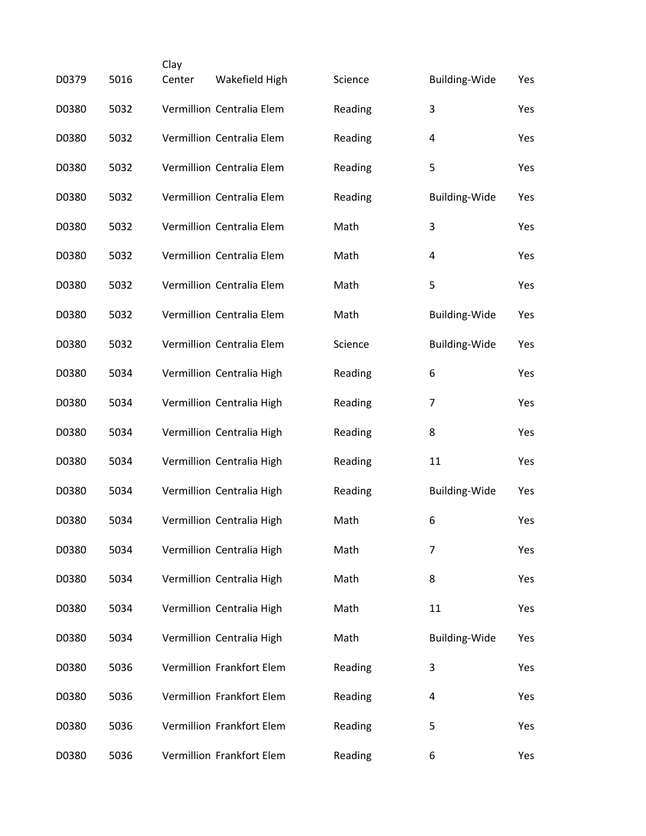|       |      | Clay   |                           |         |                      |     |
|-------|------|--------|---------------------------|---------|----------------------|-----|
| D0379 | 5016 | Center | Wakefield High            | Science | <b>Building-Wide</b> | Yes |
| D0380 | 5032 |        | Vermillion Centralia Elem | Reading | 3                    | Yes |
| D0380 | 5032 |        | Vermillion Centralia Elem | Reading | 4                    | Yes |
| D0380 | 5032 |        | Vermillion Centralia Elem | Reading | 5                    | Yes |
| D0380 | 5032 |        | Vermillion Centralia Elem | Reading | <b>Building-Wide</b> | Yes |
| D0380 | 5032 |        | Vermillion Centralia Elem | Math    | 3                    | Yes |
| D0380 | 5032 |        | Vermillion Centralia Elem | Math    | 4                    | Yes |
| D0380 | 5032 |        | Vermillion Centralia Elem | Math    | 5                    | Yes |
| D0380 | 5032 |        | Vermillion Centralia Elem | Math    | <b>Building-Wide</b> | Yes |
| D0380 | 5032 |        | Vermillion Centralia Elem | Science | <b>Building-Wide</b> | Yes |
| D0380 | 5034 |        | Vermillion Centralia High | Reading | 6                    | Yes |
| D0380 | 5034 |        | Vermillion Centralia High | Reading | $\overline{7}$       | Yes |
| D0380 | 5034 |        | Vermillion Centralia High | Reading | 8                    | Yes |
| D0380 | 5034 |        | Vermillion Centralia High | Reading | 11                   | Yes |
| D0380 | 5034 |        | Vermillion Centralia High | Reading | Building-Wide        | Yes |
| D0380 | 5034 |        | Vermillion Centralia High | Math    | 6                    | Yes |
| D0380 | 5034 |        | Vermillion Centralia High | Math    | 7                    | Yes |
| D0380 | 5034 |        | Vermillion Centralia High | Math    | 8                    | Yes |
| D0380 | 5034 |        | Vermillion Centralia High | Math    | 11                   | Yes |
| D0380 | 5034 |        | Vermillion Centralia High | Math    | <b>Building-Wide</b> | Yes |
| D0380 | 5036 |        | Vermillion Frankfort Elem | Reading | 3                    | Yes |
| D0380 | 5036 |        | Vermillion Frankfort Elem | Reading | 4                    | Yes |
| D0380 | 5036 |        | Vermillion Frankfort Elem | Reading | 5                    | Yes |
| D0380 | 5036 |        | Vermillion Frankfort Elem | Reading | 6                    | Yes |
|       |      |        |                           |         |                      |     |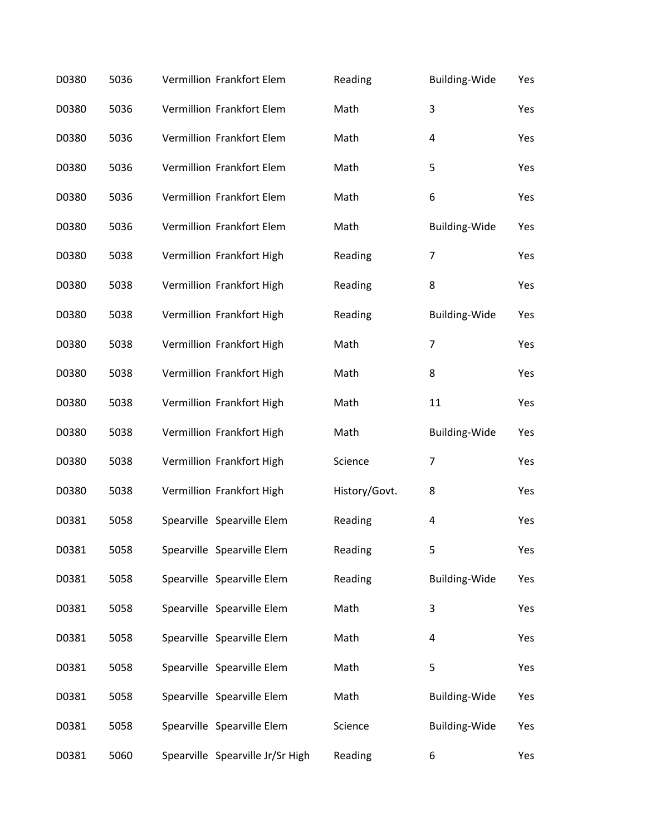| D0380 | 5036 | Vermillion Frankfort Elem        | Reading       | Building-Wide        | Yes |
|-------|------|----------------------------------|---------------|----------------------|-----|
| D0380 | 5036 | Vermillion Frankfort Elem        | Math          | 3                    | Yes |
| D0380 | 5036 | Vermillion Frankfort Elem        | Math          | 4                    | Yes |
| D0380 | 5036 | Vermillion Frankfort Elem        | Math          | 5                    | Yes |
| D0380 | 5036 | Vermillion Frankfort Elem        | Math          | 6                    | Yes |
| D0380 | 5036 | Vermillion Frankfort Elem        | Math          | Building-Wide        | Yes |
| D0380 | 5038 | Vermillion Frankfort High        | Reading       | $\overline{7}$       | Yes |
| D0380 | 5038 | Vermillion Frankfort High        | Reading       | 8                    | Yes |
| D0380 | 5038 | Vermillion Frankfort High        | Reading       | <b>Building-Wide</b> | Yes |
| D0380 | 5038 | Vermillion Frankfort High        | Math          | $\overline{7}$       | Yes |
| D0380 | 5038 | Vermillion Frankfort High        | Math          | 8                    | Yes |
| D0380 | 5038 | Vermillion Frankfort High        | Math          | 11                   | Yes |
| D0380 | 5038 | Vermillion Frankfort High        | Math          | Building-Wide        | Yes |
| D0380 | 5038 | Vermillion Frankfort High        | Science       | $\overline{7}$       | Yes |
| D0380 | 5038 | Vermillion Frankfort High        | History/Govt. | 8                    | Yes |
| D0381 | 5058 | Spearville Spearville Elem       | Reading       | 4                    | Yes |
| D0381 | 5058 | Spearville Spearville Elem       | Reading       | 5                    | Yes |
| D0381 | 5058 | Spearville Spearville Elem       | Reading       | <b>Building-Wide</b> | Yes |
| D0381 | 5058 | Spearville Spearville Elem       | Math          | 3                    | Yes |
| D0381 | 5058 | Spearville Spearville Elem       | Math          | 4                    | Yes |
| D0381 | 5058 | Spearville Spearville Elem       | Math          | 5                    | Yes |
| D0381 | 5058 | Spearville Spearville Elem       | Math          | <b>Building-Wide</b> | Yes |
| D0381 | 5058 | Spearville Spearville Elem       | Science       | <b>Building-Wide</b> | Yes |
| D0381 | 5060 | Spearville Spearville Jr/Sr High | Reading       | 6                    | Yes |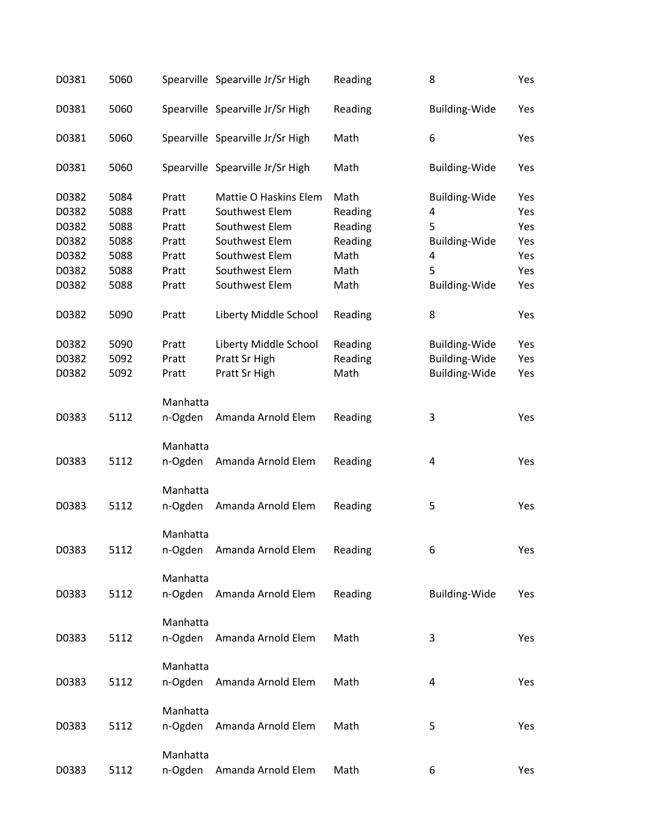| D0381 | 5060 |          | Spearville Spearville Jr/Sr High | Reading | 8                    | Yes |
|-------|------|----------|----------------------------------|---------|----------------------|-----|
| D0381 | 5060 |          | Spearville Spearville Jr/Sr High | Reading | <b>Building-Wide</b> | Yes |
| D0381 | 5060 |          | Spearville Spearville Jr/Sr High | Math    | 6                    | Yes |
| D0381 | 5060 |          | Spearville Spearville Jr/Sr High | Math    | <b>Building-Wide</b> | Yes |
| D0382 | 5084 | Pratt    | Mattie O Haskins Elem            | Math    | <b>Building-Wide</b> | Yes |
| D0382 | 5088 | Pratt    | Southwest Elem                   | Reading | 4                    | Yes |
| D0382 | 5088 | Pratt    | Southwest Elem                   | Reading | 5                    | Yes |
| D0382 | 5088 | Pratt    | Southwest Elem                   | Reading | <b>Building-Wide</b> | Yes |
| D0382 | 5088 | Pratt    | Southwest Elem                   | Math    | 4                    | Yes |
| D0382 | 5088 | Pratt    | Southwest Elem                   | Math    | 5                    | Yes |
| D0382 | 5088 | Pratt    | Southwest Elem                   | Math    | Building-Wide        | Yes |
| D0382 | 5090 | Pratt    | Liberty Middle School            | Reading | 8                    | Yes |
| D0382 | 5090 | Pratt    | Liberty Middle School            | Reading | <b>Building-Wide</b> | Yes |
| D0382 | 5092 | Pratt    | Pratt Sr High                    | Reading | <b>Building-Wide</b> | Yes |
| D0382 | 5092 | Pratt    | Pratt Sr High                    | Math    | <b>Building-Wide</b> | Yes |
|       |      | Manhatta |                                  |         |                      |     |
| D0383 | 5112 | n-Ogden  | Amanda Arnold Elem               | Reading | 3                    | Yes |
|       |      | Manhatta |                                  |         |                      |     |
| D0383 | 5112 | n-Ogden  | Amanda Arnold Elem               | Reading | 4                    | Yes |
|       |      | Manhatta |                                  |         |                      |     |
| D0383 | 5112 | n-Ogden  | Amanda Arnold Elem               | Reading | 5                    | Yes |
|       |      | Manhatta |                                  |         |                      |     |
| D0383 | 5112 | n-Ogden  | Amanda Arnold Elem               | Reading | 6                    | Yes |
|       |      | Manhatta |                                  |         |                      |     |
| D0383 | 5112 | n-Ogden  | Amanda Arnold Elem               | Reading | <b>Building-Wide</b> | Yes |
|       |      | Manhatta |                                  |         |                      |     |
| D0383 | 5112 | n-Ogden  | Amanda Arnold Elem               | Math    | 3                    | Yes |
|       |      | Manhatta |                                  |         |                      |     |
| D0383 | 5112 | n-Ogden  | Amanda Arnold Elem               | Math    | 4                    | Yes |
|       |      | Manhatta |                                  |         |                      |     |
| D0383 | 5112 | n-Ogden  | Amanda Arnold Elem               | Math    | 5                    | Yes |
|       |      | Manhatta |                                  |         |                      |     |
| D0383 | 5112 | n-Ogden  | Amanda Arnold Elem               | Math    | 6                    | Yes |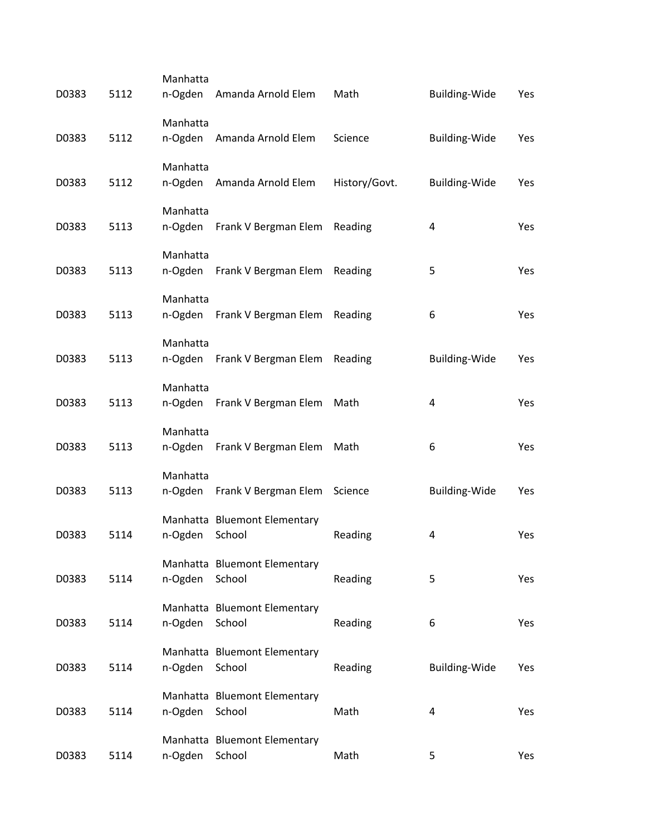| D0383 | 5112 | Manhatta<br>n-Ogden | Amanda Arnold Elem                     | Math          | <b>Building-Wide</b> | Yes |
|-------|------|---------------------|----------------------------------------|---------------|----------------------|-----|
| D0383 | 5112 | Manhatta<br>n-Ogden | Amanda Arnold Elem                     | Science       | <b>Building-Wide</b> | Yes |
| D0383 | 5112 | Manhatta<br>n-Ogden | Amanda Arnold Elem                     | History/Govt. | <b>Building-Wide</b> | Yes |
| D0383 | 5113 | Manhatta<br>n-Ogden | Frank V Bergman Elem Reading           |               | 4                    | Yes |
| D0383 | 5113 | Manhatta<br>n-Ogden | Frank V Bergman Elem                   | Reading       | 5                    | Yes |
| D0383 | 5113 | Manhatta<br>n-Ogden | Frank V Bergman Elem                   | Reading       | 6                    | Yes |
| D0383 | 5113 | Manhatta<br>n-Ogden | Frank V Bergman Elem                   | Reading       | <b>Building-Wide</b> | Yes |
| D0383 | 5113 | Manhatta<br>n-Ogden | Frank V Bergman Elem                   | Math          | 4                    | Yes |
| D0383 | 5113 | Manhatta<br>n-Ogden | Frank V Bergman Elem                   | Math          | 6                    | Yes |
| D0383 | 5113 | Manhatta<br>n-Ogden | Frank V Bergman Elem Science           |               | <b>Building-Wide</b> | Yes |
| D0383 | 5114 | n-Ogden             | Manhatta Bluemont Elementary<br>School | Reading       | 4                    | Yes |
| D0383 | 5114 | n-Ogden             | Manhatta Bluemont Elementary<br>School | Reading       | 5                    | Yes |
| D0383 | 5114 | n-Ogden             | Manhatta Bluemont Elementary<br>School | Reading       | 6                    | Yes |
| D0383 | 5114 | n-Ogden School      | Manhatta Bluemont Elementary           | Reading       | <b>Building-Wide</b> | Yes |
| D0383 | 5114 | n-Ogden             | Manhatta Bluemont Elementary<br>School | Math          | $\overline{4}$       | Yes |
| D0383 | 5114 | n-Ogden             | Manhatta Bluemont Elementary<br>School | Math          | 5                    | Yes |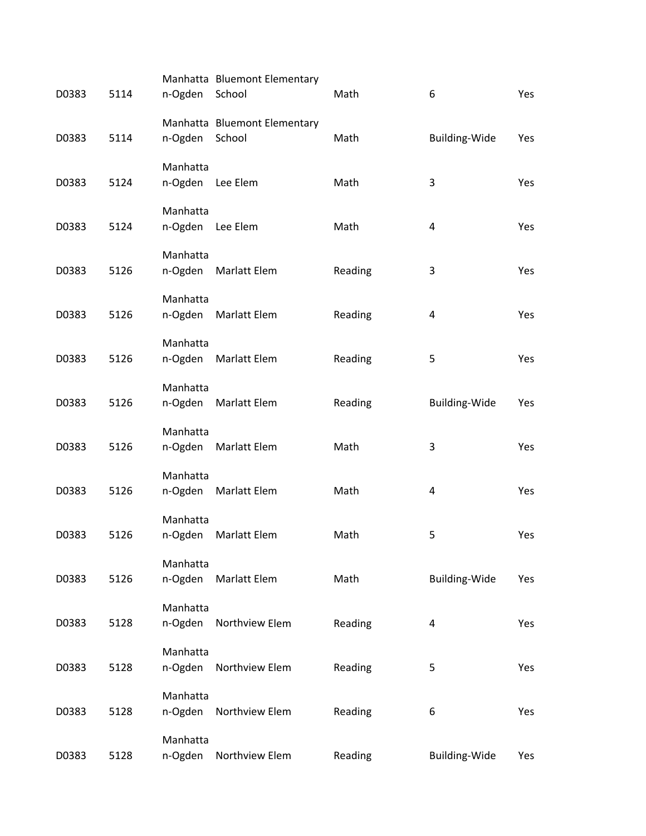| D0383 | 5114 | n-Ogden             | Manhatta Bluemont Elementary<br>School | Math    | 6                       | Yes |
|-------|------|---------------------|----------------------------------------|---------|-------------------------|-----|
| D0383 | 5114 | n-Ogden             | Manhatta Bluemont Elementary<br>School | Math    | Building-Wide           | Yes |
| D0383 | 5124 | Manhatta<br>n-Ogden | Lee Elem                               | Math    | 3                       | Yes |
| D0383 | 5124 | Manhatta<br>n-Ogden | Lee Elem                               | Math    | $\overline{4}$          | Yes |
| D0383 | 5126 | Manhatta<br>n-Ogden | Marlatt Elem                           | Reading | 3                       | Yes |
| D0383 | 5126 | Manhatta<br>n-Ogden | Marlatt Elem                           | Reading | $\overline{\mathbf{4}}$ | Yes |
| D0383 | 5126 | Manhatta<br>n-Ogden | Marlatt Elem                           | Reading | 5                       | Yes |
| D0383 | 5126 | Manhatta<br>n-Ogden | Marlatt Elem                           | Reading | Building-Wide           | Yes |
| D0383 | 5126 | Manhatta<br>n-Ogden | Marlatt Elem                           | Math    | 3                       | Yes |
| D0383 | 5126 | Manhatta<br>n-Ogden | Marlatt Elem                           | Math    | $\overline{\mathbf{4}}$ | Yes |
| D0383 | 5126 | Manhatta<br>n-Ogden | Marlatt Elem                           | Math    | 5                       | Yes |
| D0383 | 5126 | Manhatta<br>n-Ogden | Marlatt Elem                           | Math    | Building-Wide           | Yes |
| D0383 | 5128 | Manhatta<br>n-Ogden | Northview Elem                         | Reading | 4                       | Yes |
| D0383 | 5128 | Manhatta<br>n-Ogden | Northview Elem                         | Reading | 5                       | Yes |
| D0383 | 5128 | Manhatta<br>n-Ogden | Northview Elem                         | Reading | 6                       | Yes |
| D0383 | 5128 | Manhatta<br>n-Ogden | Northview Elem                         | Reading | Building-Wide           | Yes |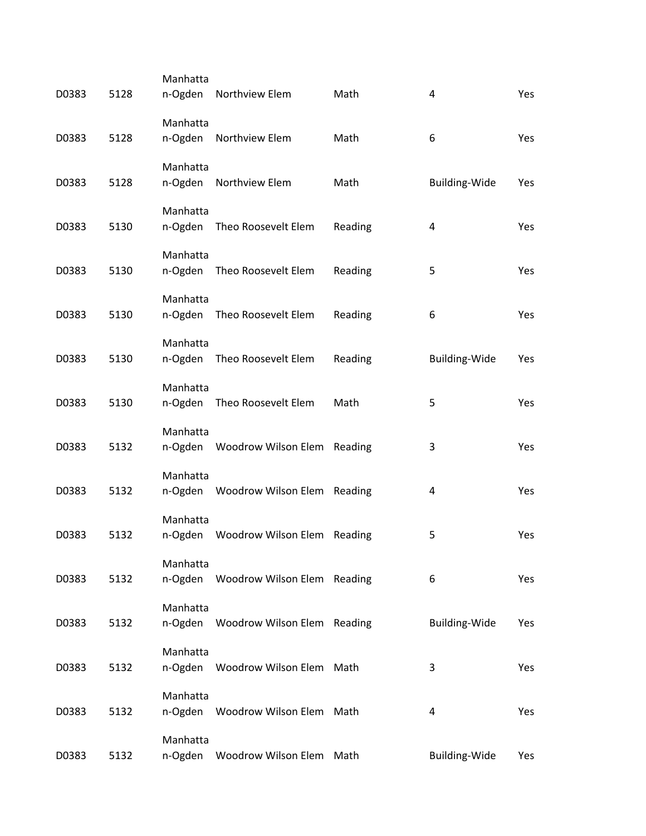| D0383 | 5128 | Manhatta<br>n-Ogden | Northview Elem                      | Math    | 4                       | Yes        |
|-------|------|---------------------|-------------------------------------|---------|-------------------------|------------|
| D0383 | 5128 | Manhatta<br>n-Ogden | Northview Elem                      | Math    | 6                       | Yes        |
| D0383 | 5128 | Manhatta<br>n-Ogden | Northview Elem                      | Math    | <b>Building-Wide</b>    | Yes        |
| D0383 | 5130 | Manhatta<br>n-Ogden | Theo Roosevelt Elem                 | Reading | $\overline{\mathbf{4}}$ | Yes        |
| D0383 | 5130 | Manhatta<br>n-Ogden | Theo Roosevelt Elem                 | Reading | 5                       | Yes        |
| D0383 | 5130 | Manhatta<br>n-Ogden | Theo Roosevelt Elem                 | Reading | 6                       | Yes        |
| D0383 | 5130 | Manhatta<br>n-Ogden | Theo Roosevelt Elem                 | Reading | Building-Wide           | Yes        |
| D0383 | 5130 | Manhatta<br>n-Ogden | Theo Roosevelt Elem                 | Math    | 5                       | Yes        |
| D0383 | 5132 | Manhatta<br>n-Ogden | Woodrow Wilson Elem Reading         |         | 3                       | Yes        |
| D0383 | 5132 | Manhatta            | n-Ogden Woodrow Wilson Elem Reading |         | 4                       | Yes        |
| D0383 | 5132 | Manhatta<br>n-Ogden | Woodrow Wilson Elem Reading         |         | 5                       | Yes        |
| D0383 | 5132 | Manhatta<br>n-Ogden | Woodrow Wilson Elem Reading         |         | 6                       | Yes        |
| D0383 | 5132 | Manhatta<br>n-Ogden | Woodrow Wilson Elem Reading         |         | Building-Wide           | Yes        |
| D0383 | 5132 | Manhatta<br>n-Ogden | Woodrow Wilson Elem Math            |         | 3                       | Yes        |
| D0383 | 5132 | Manhatta<br>n-Ogden | Woodrow Wilson Elem Math            |         | 4                       | <b>Yes</b> |
| D0383 | 5132 | Manhatta<br>n-Ogden | Woodrow Wilson Elem                 | Math    | Building-Wide           | Yes        |
|       |      |                     |                                     |         |                         |            |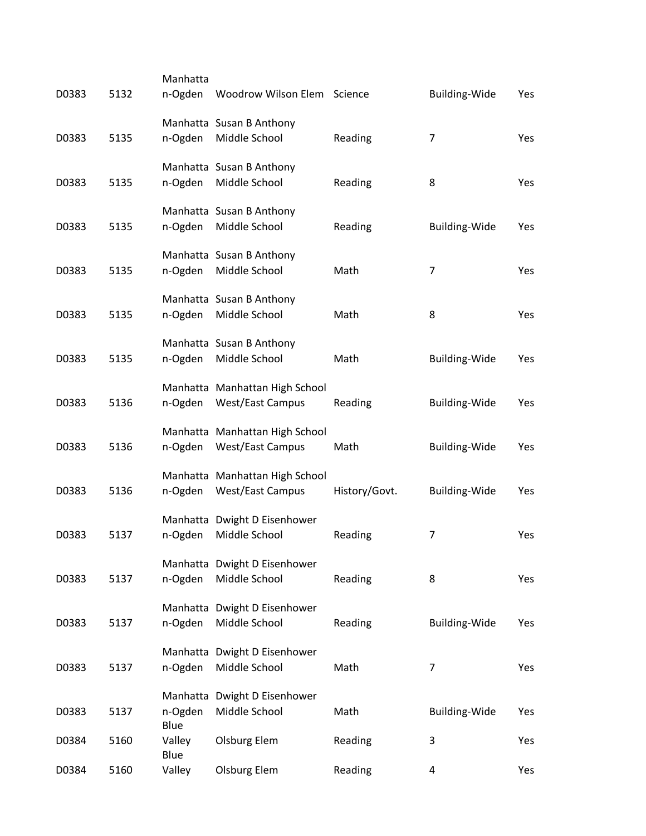|       |      | Manhatta        |                                |               |                      |     |
|-------|------|-----------------|--------------------------------|---------------|----------------------|-----|
| D0383 | 5132 | n-Ogden         | Woodrow Wilson Elem Science    |               | <b>Building-Wide</b> | Yes |
|       |      |                 | Manhatta Susan B Anthony       |               |                      |     |
| D0383 | 5135 | n-Ogden         | Middle School                  | Reading       | 7                    | Yes |
|       |      |                 | Manhatta Susan B Anthony       |               |                      |     |
| D0383 | 5135 | n-Ogden         | Middle School                  | Reading       | 8                    | Yes |
|       |      |                 | Manhatta Susan B Anthony       |               |                      |     |
| D0383 | 5135 | n-Ogden         | Middle School                  | Reading       | <b>Building-Wide</b> | Yes |
|       |      |                 | Manhatta Susan B Anthony       |               |                      |     |
| D0383 | 5135 | n-Ogden         | Middle School                  | Math          | 7                    | Yes |
|       |      |                 | Manhatta Susan B Anthony       |               |                      |     |
| D0383 | 5135 | n-Ogden         | Middle School                  | Math          | 8                    | Yes |
|       |      |                 | Manhatta Susan B Anthony       |               |                      |     |
| D0383 | 5135 | n-Ogden         | Middle School                  | Math          | <b>Building-Wide</b> | Yes |
|       |      |                 | Manhatta Manhattan High School |               |                      |     |
| D0383 | 5136 | n-Ogden         | <b>West/East Campus</b>        | Reading       | <b>Building-Wide</b> | Yes |
|       |      |                 | Manhatta Manhattan High School |               |                      |     |
| D0383 | 5136 | n-Ogden         | <b>West/East Campus</b>        | Math          | <b>Building-Wide</b> | Yes |
|       |      |                 | Manhatta Manhattan High School |               |                      |     |
| D0383 | 5136 | n-Ogden         | <b>West/East Campus</b>        | History/Govt. | <b>Building-Wide</b> | Yes |
|       |      |                 |                                |               |                      |     |
|       |      |                 | Manhatta Dwight D Eisenhower   |               |                      |     |
| D0383 | 5137 | n-Ogden         | Middle School                  | Reading       | $\overline{7}$       | Yes |
|       |      |                 | Manhatta Dwight D Eisenhower   |               |                      |     |
| D0383 | 5137 | n-Ogden         | Middle School                  | Reading       | 8                    | Yes |
|       |      |                 | Manhatta Dwight D Eisenhower   |               |                      |     |
| D0383 | 5137 | n-Ogden         | Middle School                  | Reading       | <b>Building-Wide</b> | Yes |
|       |      |                 | Manhatta Dwight D Eisenhower   |               |                      |     |
| D0383 | 5137 | n-Ogden         | Middle School                  | Math          | $\overline{7}$       | Yes |
|       |      |                 | Manhatta Dwight D Eisenhower   |               |                      |     |
| D0383 | 5137 | n-Ogden<br>Blue | Middle School                  | Math          | <b>Building-Wide</b> | Yes |
| D0384 | 5160 | Valley          | <b>Olsburg Elem</b>            | Reading       | 3                    | Yes |
| D0384 | 5160 | Blue<br>Valley  | <b>Olsburg Elem</b>            | Reading       | 4                    | Yes |
|       |      |                 |                                |               |                      |     |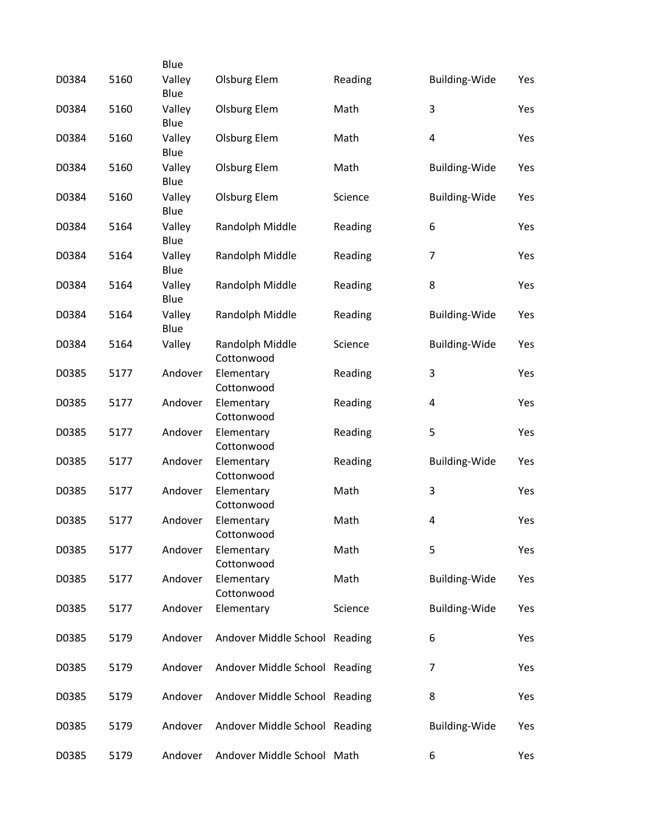|       |      | Blue           |                               |         |                      |     |
|-------|------|----------------|-------------------------------|---------|----------------------|-----|
| D0384 | 5160 | Valley<br>Blue | <b>Olsburg Elem</b>           | Reading | Building-Wide        | Yes |
| D0384 | 5160 | Valley<br>Blue | Olsburg Elem                  | Math    | 3                    | Yes |
| D0384 | 5160 | Valley<br>Blue | <b>Olsburg Elem</b>           | Math    | 4                    | Yes |
| D0384 | 5160 | Valley<br>Blue | <b>Olsburg Elem</b>           | Math    | <b>Building-Wide</b> | Yes |
| D0384 | 5160 | Valley<br>Blue | Olsburg Elem                  | Science | <b>Building-Wide</b> | Yes |
| D0384 | 5164 | Valley<br>Blue | Randolph Middle               | Reading | 6                    | Yes |
| D0384 | 5164 | Valley<br>Blue | Randolph Middle               | Reading | $\overline{7}$       | Yes |
| D0384 | 5164 | Valley<br>Blue | Randolph Middle               | Reading | 8                    | Yes |
| D0384 | 5164 | Valley<br>Blue | Randolph Middle               | Reading | <b>Building-Wide</b> | Yes |
| D0384 | 5164 | Valley         | Randolph Middle<br>Cottonwood | Science | <b>Building-Wide</b> | Yes |
| D0385 | 5177 | Andover        | Elementary<br>Cottonwood      | Reading | 3                    | Yes |
| D0385 | 5177 | Andover        | Elementary<br>Cottonwood      | Reading | 4                    | Yes |
| D0385 | 5177 | Andover        | Elementary<br>Cottonwood      | Reading | 5                    | Yes |
| D0385 | 5177 | Andover        | Elementary<br>Cottonwood      | Reading | <b>Building-Wide</b> | Yes |
| D0385 | 5177 | Andover        | Elementary<br>Cottonwood      | Math    | 3                    | Yes |
| D0385 | 5177 | Andover        | Elementary<br>Cottonwood      | Math    | 4                    | Yes |
| D0385 | 5177 | Andover        | Elementary<br>Cottonwood      | Math    | 5                    | Yes |
| D0385 | 5177 | Andover        | Elementary<br>Cottonwood      | Math    | Building-Wide        | Yes |
| D0385 | 5177 | Andover        | Elementary                    | Science | <b>Building-Wide</b> | Yes |
| D0385 | 5179 | Andover        | Andover Middle School Reading |         | 6                    | Yes |
| D0385 | 5179 | Andover        | Andover Middle School Reading |         | $\overline{7}$       | Yes |
| D0385 | 5179 | Andover        | Andover Middle School Reading |         | 8                    | Yes |
| D0385 | 5179 | Andover        | Andover Middle School Reading |         | <b>Building-Wide</b> | Yes |
| D0385 | 5179 | Andover        | Andover Middle School Math    |         | 6                    | Yes |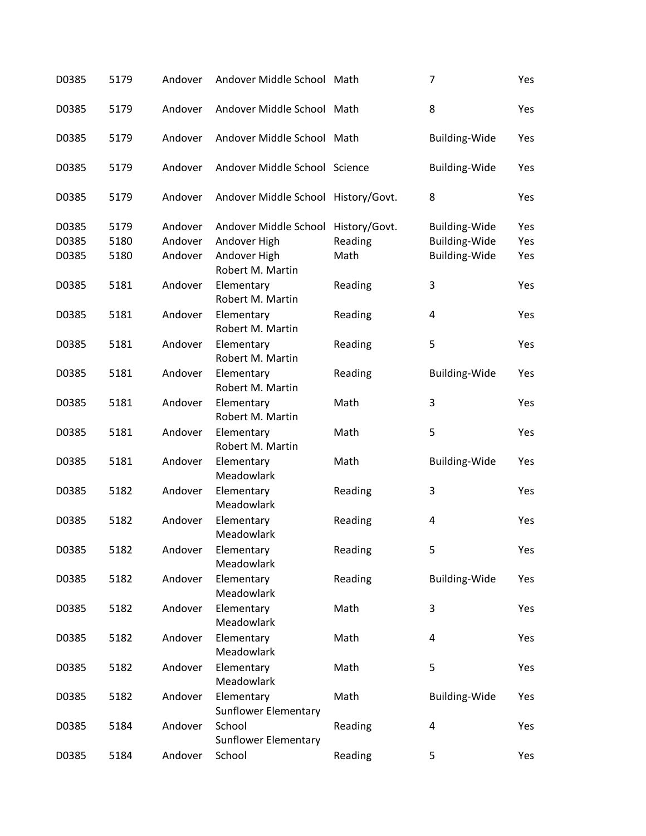| D0385 | 5179 | Andover | Andover Middle School Math                |               | 7                    | Yes |
|-------|------|---------|-------------------------------------------|---------------|----------------------|-----|
| D0385 | 5179 | Andover | Andover Middle School Math                |               | 8                    | Yes |
| D0385 | 5179 | Andover | Andover Middle School Math                |               | <b>Building-Wide</b> | Yes |
| D0385 | 5179 | Andover | Andover Middle School Science             |               | <b>Building-Wide</b> | Yes |
| D0385 | 5179 | Andover | Andover Middle School History/Govt.       |               | 8                    | Yes |
| D0385 | 5179 | Andover | Andover Middle School                     | History/Govt. | <b>Building-Wide</b> | Yes |
| D0385 | 5180 | Andover | Andover High                              | Reading       | Building-Wide        | Yes |
| D0385 | 5180 | Andover | Andover High<br>Robert M. Martin          | Math          | <b>Building-Wide</b> | Yes |
| D0385 | 5181 | Andover | Elementary<br>Robert M. Martin            | Reading       | 3                    | Yes |
| D0385 | 5181 | Andover | Elementary<br>Robert M. Martin            | Reading       | 4                    | Yes |
| D0385 | 5181 | Andover | Elementary<br>Robert M. Martin            | Reading       | 5                    | Yes |
| D0385 | 5181 | Andover | Elementary<br>Robert M. Martin            | Reading       | <b>Building-Wide</b> | Yes |
| D0385 | 5181 | Andover | Elementary<br>Robert M. Martin            | Math          | 3                    | Yes |
| D0385 | 5181 | Andover | Elementary<br>Robert M. Martin            | Math          | 5                    | Yes |
| D0385 | 5181 | Andover | Elementary<br>Meadowlark                  | Math          | <b>Building-Wide</b> | Yes |
| D0385 | 5182 | Andover | Elementary<br>Meadowlark                  | Reading       | 3                    | Yes |
| D0385 | 5182 | Andover | Elementary<br>Meadowlark                  | Reading       | 4                    | Yes |
| D0385 | 5182 | Andover | Elementary<br>Meadowlark                  | Reading       | 5                    | Yes |
| D0385 | 5182 | Andover | Elementary<br>Meadowlark                  | Reading       | <b>Building-Wide</b> | Yes |
| D0385 | 5182 | Andover | Elementary<br>Meadowlark                  | Math          | 3                    | Yes |
| D0385 | 5182 | Andover | Elementary<br>Meadowlark                  | Math          | 4                    | Yes |
| D0385 | 5182 | Andover | Elementary<br>Meadowlark                  | Math          | 5                    | Yes |
| D0385 | 5182 | Andover | Elementary<br><b>Sunflower Elementary</b> | Math          | <b>Building-Wide</b> | Yes |
| D0385 | 5184 | Andover | School<br><b>Sunflower Elementary</b>     | Reading       | 4                    | Yes |
| D0385 | 5184 | Andover | School                                    | Reading       | 5                    | Yes |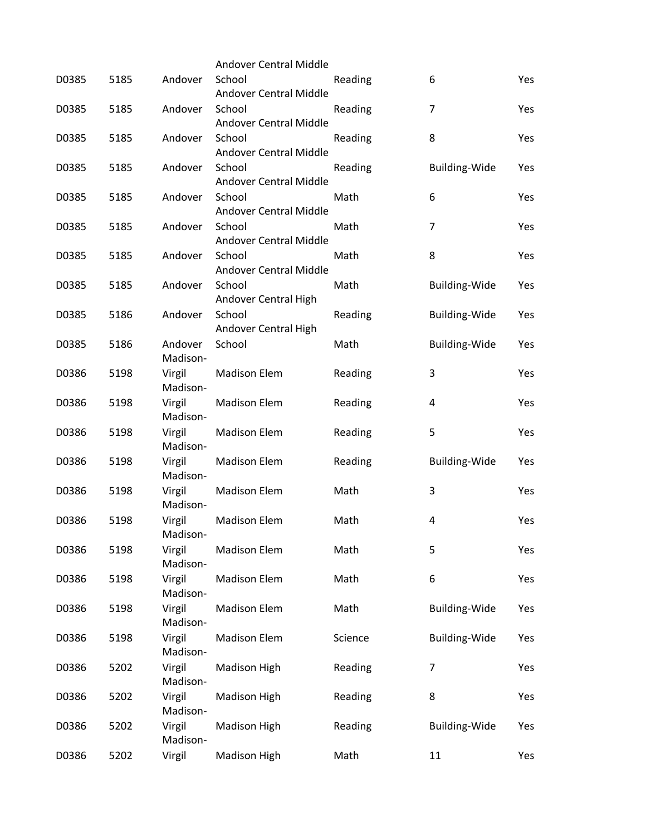|       |      |                     | Andover Central Middle                  |         |                      |     |
|-------|------|---------------------|-----------------------------------------|---------|----------------------|-----|
| D0385 | 5185 | Andover             | School<br>Andover Central Middle        | Reading | 6                    | Yes |
| D0385 | 5185 | Andover             | School<br><b>Andover Central Middle</b> | Reading | 7                    | Yes |
| D0385 | 5185 | Andover             | School<br><b>Andover Central Middle</b> | Reading | 8                    | Yes |
| D0385 | 5185 | Andover             | School<br>Andover Central Middle        | Reading | <b>Building-Wide</b> | Yes |
| D0385 | 5185 | Andover             | School<br>Andover Central Middle        | Math    | 6                    | Yes |
| D0385 | 5185 | Andover             | School<br><b>Andover Central Middle</b> | Math    | $\overline{7}$       | Yes |
| D0385 | 5185 | Andover             | School<br><b>Andover Central Middle</b> | Math    | 8                    | Yes |
| D0385 | 5185 | Andover             | School<br>Andover Central High          | Math    | <b>Building-Wide</b> | Yes |
| D0385 | 5186 | Andover             | School<br>Andover Central High          | Reading | <b>Building-Wide</b> | Yes |
| D0385 | 5186 | Andover<br>Madison- | School                                  | Math    | <b>Building-Wide</b> | Yes |
| D0386 | 5198 | Virgil<br>Madison-  | <b>Madison Elem</b>                     | Reading | 3                    | Yes |
| D0386 | 5198 | Virgil<br>Madison-  | <b>Madison Elem</b>                     | Reading | 4                    | Yes |
| D0386 | 5198 | Virgil<br>Madison-  | <b>Madison Elem</b>                     | Reading | 5                    | Yes |
| D0386 | 5198 | Virgil<br>Madison-  | <b>Madison Elem</b>                     | Reading | Building-Wide        | Yes |
| D0386 | 5198 | Virgil<br>Madison-  | <b>Madison Elem</b>                     | Math    | 3                    | Yes |
| D0386 | 5198 | Virgil<br>Madison-  | <b>Madison Elem</b>                     | Math    | 4                    | Yes |
| D0386 | 5198 | Virgil<br>Madison-  | <b>Madison Elem</b>                     | Math    | 5                    | Yes |
| D0386 | 5198 | Virgil<br>Madison-  | <b>Madison Elem</b>                     | Math    | 6                    | Yes |
| D0386 | 5198 | Virgil<br>Madison-  | <b>Madison Elem</b>                     | Math    | <b>Building-Wide</b> | Yes |
| D0386 | 5198 | Virgil<br>Madison-  | <b>Madison Elem</b>                     | Science | Building-Wide        | Yes |
| D0386 | 5202 | Virgil<br>Madison-  | <b>Madison High</b>                     | Reading | 7                    | Yes |
| D0386 | 5202 | Virgil<br>Madison-  | Madison High                            | Reading | 8                    | Yes |
| D0386 | 5202 | Virgil<br>Madison-  | Madison High                            | Reading | <b>Building-Wide</b> | Yes |
| D0386 | 5202 | Virgil              | Madison High                            | Math    | 11                   | Yes |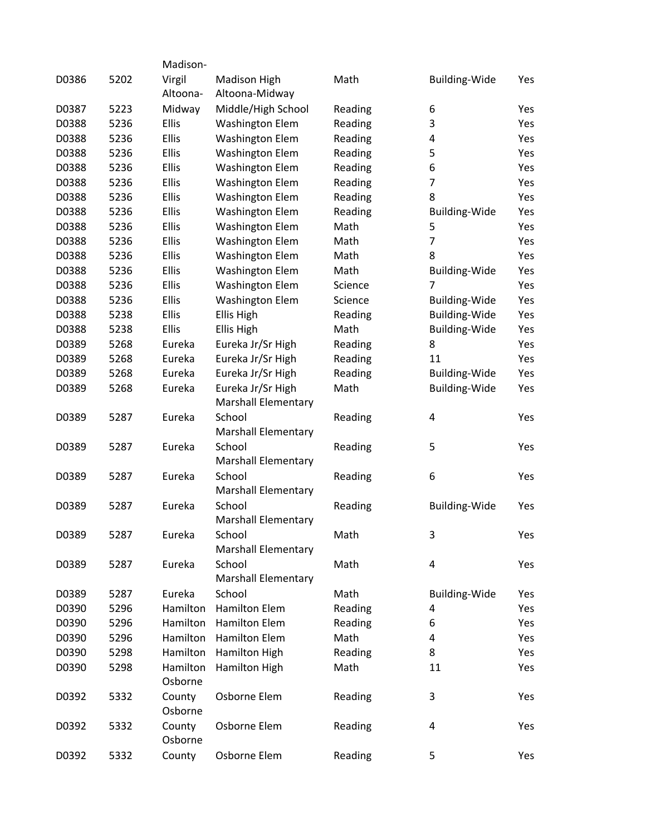|       |      | Madison-           |                                                 |         |                      |            |
|-------|------|--------------------|-------------------------------------------------|---------|----------------------|------------|
|       | 5202 |                    |                                                 |         |                      |            |
| D0386 |      | Virgil<br>Altoona- | <b>Madison High</b><br>Altoona-Midway           | Math    | <b>Building-Wide</b> | Yes        |
| D0387 | 5223 | Midway             | Middle/High School                              | Reading | 6                    | <b>Yes</b> |
| D0388 | 5236 | Ellis              | <b>Washington Elem</b>                          | Reading | 3                    | Yes        |
| D0388 | 5236 | Ellis              | <b>Washington Elem</b>                          | Reading | 4                    | Yes        |
| D0388 | 5236 | Ellis              | <b>Washington Elem</b>                          | Reading | 5                    | Yes        |
| D0388 | 5236 | Ellis              | <b>Washington Elem</b>                          | Reading | 6                    | Yes        |
| D0388 | 5236 | Ellis              | <b>Washington Elem</b>                          | Reading | $\overline{7}$       | Yes        |
| D0388 | 5236 | Ellis              | <b>Washington Elem</b>                          | Reading | 8                    | Yes        |
| D0388 | 5236 | <b>Ellis</b>       | <b>Washington Elem</b>                          | Reading | <b>Building-Wide</b> | Yes        |
| D0388 | 5236 | Ellis              | <b>Washington Elem</b>                          | Math    | 5                    | Yes        |
| D0388 | 5236 | Ellis              | <b>Washington Elem</b>                          | Math    | $\overline{7}$       | Yes        |
| D0388 | 5236 | Ellis              | <b>Washington Elem</b>                          | Math    | 8                    | Yes        |
| D0388 | 5236 | Ellis              |                                                 | Math    | Building-Wide        | Yes        |
|       |      | <b>Ellis</b>       | <b>Washington Elem</b>                          |         | $\overline{7}$       |            |
| D0388 | 5236 |                    | <b>Washington Elem</b>                          | Science |                      | Yes        |
| D0388 | 5236 | <b>Ellis</b>       | <b>Washington Elem</b>                          | Science | <b>Building-Wide</b> | Yes        |
| D0388 | 5238 | Ellis              | Ellis High                                      | Reading | Building-Wide        | Yes        |
| D0388 | 5238 | Ellis              | Ellis High                                      | Math    | Building-Wide        | Yes        |
| D0389 | 5268 | Eureka             | Eureka Jr/Sr High                               | Reading | 8                    | Yes        |
| D0389 | 5268 | Eureka             | Eureka Jr/Sr High                               | Reading | 11                   | Yes        |
| D0389 | 5268 | Eureka             | Eureka Jr/Sr High                               | Reading | <b>Building-Wide</b> | Yes        |
| D0389 | 5268 | Eureka             | Eureka Jr/Sr High<br><b>Marshall Elementary</b> | Math    | <b>Building-Wide</b> | Yes        |
| D0389 | 5287 | Eureka             | School                                          | Reading | 4                    | Yes        |
|       |      |                    | <b>Marshall Elementary</b>                      |         |                      |            |
| D0389 | 5287 | Eureka             | School                                          | Reading | 5                    | Yes        |
|       |      |                    | <b>Marshall Elementary</b>                      |         |                      |            |
| D0389 | 5287 | Eureka             | School                                          | Reading | 6                    | Yes        |
|       |      |                    | <b>Marshall Elementary</b>                      |         |                      |            |
| D0389 | 5287 | Eureka             | School                                          | Reading | <b>Building-Wide</b> | Yes        |
|       |      |                    | <b>Marshall Elementary</b>                      |         |                      |            |
| D0389 | 5287 | Eureka             | School                                          | Math    | 3                    | Yes        |
|       |      |                    | <b>Marshall Elementary</b>                      |         |                      |            |
| D0389 | 5287 | Eureka             | School                                          | Math    | 4                    | Yes        |
|       |      |                    | <b>Marshall Elementary</b>                      |         |                      |            |
| D0389 | 5287 | Eureka             | School                                          | Math    | Building-Wide        | Yes        |
| D0390 | 5296 | Hamilton           | <b>Hamilton Elem</b>                            | Reading | 4                    | Yes        |
| D0390 | 5296 | Hamilton           | <b>Hamilton Elem</b>                            | Reading | 6                    | Yes        |
| D0390 | 5296 | Hamilton           | <b>Hamilton Elem</b>                            | Math    | 4                    | Yes        |
| D0390 | 5298 | Hamilton           | Hamilton High                                   | Reading | 8                    | Yes        |
| D0390 | 5298 | Hamilton           | Hamilton High                                   | Math    | 11                   | Yes        |
|       |      | Osborne            |                                                 |         |                      |            |
| D0392 | 5332 | County             | Osborne Elem                                    | Reading | 3                    | Yes        |
|       |      | Osborne            |                                                 |         |                      |            |
| D0392 | 5332 | County<br>Osborne  | Osborne Elem                                    | Reading | 4                    | Yes        |
| D0392 | 5332 | County             | Osborne Elem                                    | Reading | 5                    | Yes        |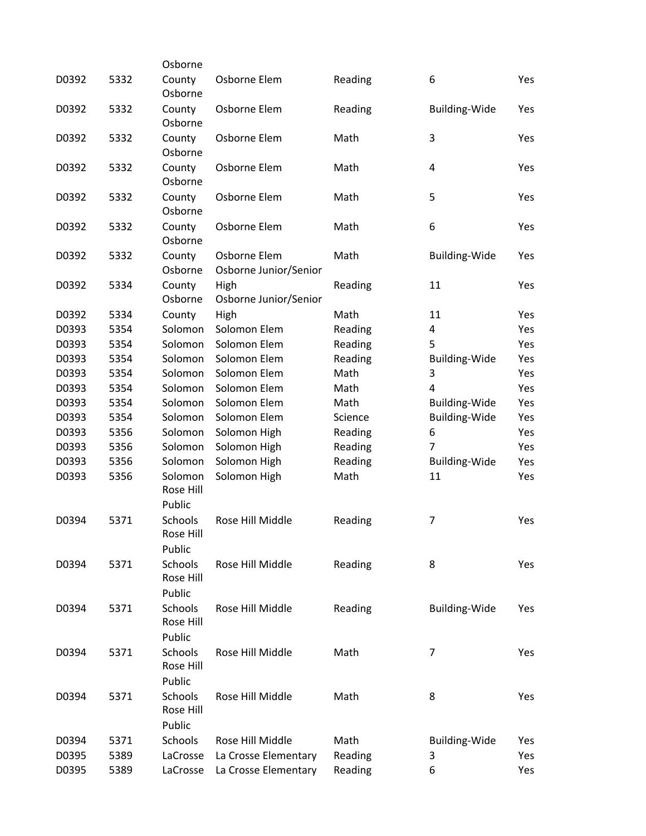|       |      | Osborne                        |                                       |         |                      |     |
|-------|------|--------------------------------|---------------------------------------|---------|----------------------|-----|
| D0392 | 5332 | County<br>Osborne              | Osborne Elem                          | Reading | 6                    | Yes |
| D0392 | 5332 | County<br>Osborne              | Osborne Elem                          | Reading | <b>Building-Wide</b> | Yes |
| D0392 | 5332 | County<br>Osborne              | Osborne Elem                          | Math    | 3                    | Yes |
| D0392 | 5332 | County<br>Osborne              | Osborne Elem                          | Math    | 4                    | Yes |
| D0392 | 5332 | County<br>Osborne              | Osborne Elem                          | Math    | 5                    | Yes |
| D0392 | 5332 | County<br>Osborne              | Osborne Elem                          | Math    | 6                    | Yes |
| D0392 | 5332 | County<br>Osborne              | Osborne Elem<br>Osborne Junior/Senior | Math    | <b>Building-Wide</b> | Yes |
| D0392 | 5334 | County<br>Osborne              | High<br>Osborne Junior/Senior         | Reading | 11                   | Yes |
| D0392 | 5334 | County                         | High                                  | Math    | 11                   | Yes |
| D0393 | 5354 | Solomon                        | Solomon Elem                          | Reading | 4                    | Yes |
| D0393 | 5354 | Solomon                        | Solomon Elem                          | Reading | 5                    | Yes |
| D0393 | 5354 | Solomon                        | Solomon Elem                          | Reading | <b>Building-Wide</b> | Yes |
| D0393 | 5354 | Solomon                        | Solomon Elem                          | Math    | 3                    | Yes |
| D0393 | 5354 | Solomon                        | Solomon Elem                          | Math    | $\overline{4}$       | Yes |
| D0393 | 5354 | Solomon                        | Solomon Elem                          | Math    | <b>Building-Wide</b> | Yes |
| D0393 | 5354 | Solomon                        | Solomon Elem                          | Science | <b>Building-Wide</b> | Yes |
| D0393 | 5356 | Solomon                        | Solomon High                          | Reading | 6                    | Yes |
| D0393 | 5356 | Solomon                        | Solomon High                          | Reading | 7                    | Yes |
| D0393 | 5356 | Solomon                        | Solomon High                          | Reading | <b>Building-Wide</b> | Yes |
| D0393 | 5356 | Solomon                        | Solomon High                          | Math    | 11                   | Yes |
|       |      | Rose Hill<br>Public            |                                       |         |                      |     |
| D0394 | 5371 | Schools<br>Rose Hill<br>Public | Rose Hill Middle                      | Reading | 7                    | Yes |
| D0394 | 5371 | Schools<br>Rose Hill<br>Public | Rose Hill Middle                      | Reading | 8                    | Yes |
| D0394 | 5371 | Schools<br>Rose Hill<br>Public | Rose Hill Middle                      | Reading | <b>Building-Wide</b> | Yes |
| D0394 | 5371 | Schools<br>Rose Hill<br>Public | Rose Hill Middle                      | Math    | 7                    | Yes |
| D0394 | 5371 | Schools<br>Rose Hill<br>Public | Rose Hill Middle                      | Math    | 8                    | Yes |
| D0394 | 5371 | Schools                        | Rose Hill Middle                      | Math    | <b>Building-Wide</b> | Yes |
| D0395 | 5389 | LaCrosse                       | La Crosse Elementary                  | Reading | 3                    | Yes |
| D0395 | 5389 | LaCrosse                       | La Crosse Elementary                  | Reading | 6                    | Yes |
|       |      |                                |                                       |         |                      |     |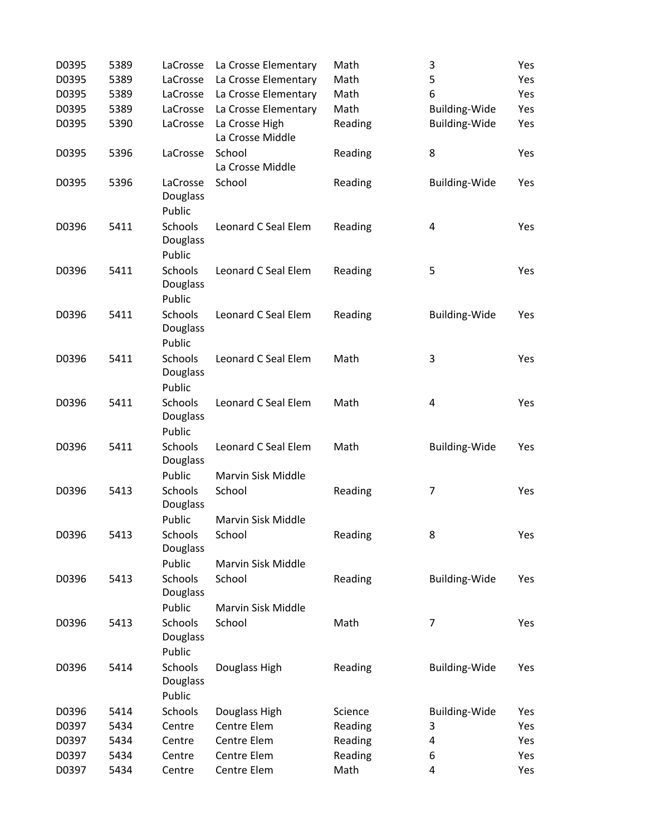| D0395 | 5389 | LaCrosse                                       | La Crosse Elementary               | Math    | 3                       | Yes |
|-------|------|------------------------------------------------|------------------------------------|---------|-------------------------|-----|
| D0395 | 5389 | LaCrosse                                       | La Crosse Elementary               | Math    | 5                       | Yes |
| D0395 | 5389 | LaCrosse                                       | La Crosse Elementary               | Math    | 6                       | Yes |
| D0395 | 5389 | LaCrosse                                       | La Crosse Elementary               | Math    | <b>Building-Wide</b>    | Yes |
| D0395 | 5390 | LaCrosse                                       | La Crosse High<br>La Crosse Middle | Reading | <b>Building-Wide</b>    | Yes |
| D0395 | 5396 | LaCrosse                                       | School<br>La Crosse Middle         | Reading | 8                       | Yes |
| D0395 | 5396 | LaCrosse<br>Douglass<br>Public                 | School                             | Reading | <b>Building-Wide</b>    | Yes |
| D0396 | 5411 | <b>Schools</b><br>Douglass<br>Public           | Leonard C Seal Elem                | Reading | 4                       | Yes |
| D0396 | 5411 | Schools<br>Douglass<br>Public                  | Leonard C Seal Elem                | Reading | 5                       | Yes |
| D0396 | 5411 | Schools<br>Douglass<br>Public                  | Leonard C Seal Elem                | Reading | <b>Building-Wide</b>    | Yes |
| D0396 | 5411 | Schools<br>Douglass<br>Public                  | Leonard C Seal Elem                | Math    | 3                       | Yes |
| D0396 | 5411 | Schools<br>Douglass<br>Public                  | Leonard C Seal Elem                | Math    | 4                       | Yes |
| D0396 | 5411 | Schools<br>Douglass                            | Leonard C Seal Elem                | Math    | <b>Building-Wide</b>    | Yes |
| D0396 | 5413 | Public<br>Schools<br>Douglass                  | Marvin Sisk Middle<br>School       | Reading | 7                       | Yes |
| D0396 | 5413 | Public<br>Schools<br>Douglass                  | Marvin Sisk Middle<br>School       | Reading | 8                       | Yes |
| D0396 | 5413 | Public<br><b>Schools</b><br><b>Douglass</b>    | Marvin Sisk Middle<br>School       | Reading | <b>Building-Wide</b>    | Yes |
| D0396 | 5413 | Public<br><b>Schools</b><br>Douglass<br>Public | Marvin Sisk Middle<br>School       | Math    | $\overline{7}$          | Yes |
| D0396 | 5414 | <b>Schools</b><br>Douglass<br>Public           | Douglass High                      | Reading | <b>Building-Wide</b>    | Yes |
| D0396 | 5414 | Schools                                        | Douglass High                      | Science | <b>Building-Wide</b>    | Yes |
| D0397 | 5434 | Centre                                         | Centre Elem                        | Reading | 3                       | Yes |
| D0397 | 5434 | Centre                                         | Centre Elem                        | Reading | 4                       | Yes |
| D0397 | 5434 | Centre                                         | Centre Elem                        | Reading | 6                       | Yes |
| D0397 | 5434 | Centre                                         | Centre Elem                        | Math    | $\overline{\mathbf{4}}$ | Yes |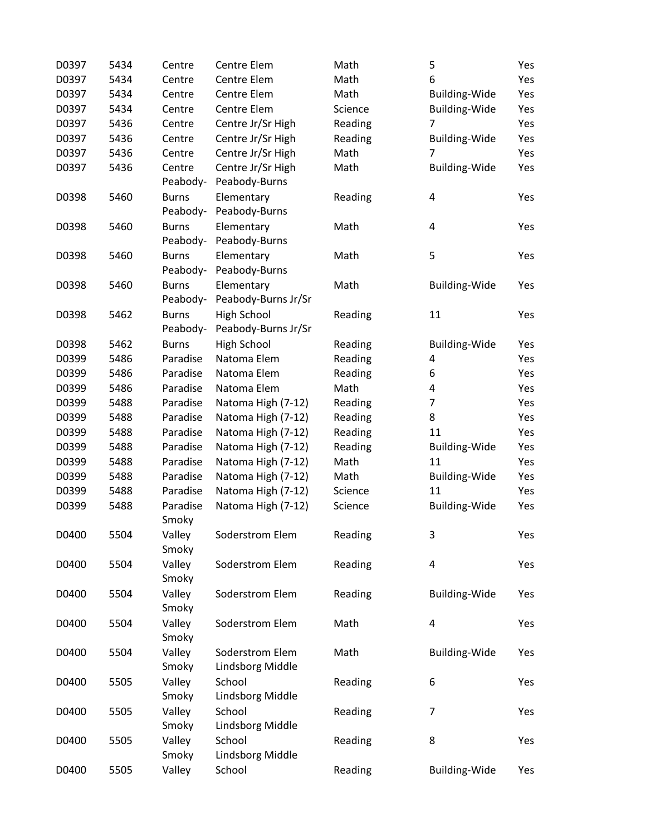| D0397 | 5434 | Centre       | Centre Elem             | Math    | 5                       | Yes |
|-------|------|--------------|-------------------------|---------|-------------------------|-----|
| D0397 | 5434 | Centre       | Centre Elem             | Math    | 6                       | Yes |
| D0397 | 5434 | Centre       | Centre Elem             | Math    | <b>Building-Wide</b>    | Yes |
| D0397 | 5434 | Centre       | Centre Elem             | Science | <b>Building-Wide</b>    | Yes |
| D0397 | 5436 | Centre       | Centre Jr/Sr High       | Reading | 7                       | Yes |
| D0397 | 5436 | Centre       | Centre Jr/Sr High       | Reading | <b>Building-Wide</b>    | Yes |
| D0397 | 5436 | Centre       | Centre Jr/Sr High       | Math    | 7                       | Yes |
| D0397 | 5436 | Centre       | Centre Jr/Sr High       | Math    | <b>Building-Wide</b>    | Yes |
|       |      | Peabody-     | Peabody-Burns           |         |                         |     |
| D0398 | 5460 | <b>Burns</b> | Elementary              | Reading | 4                       | Yes |
|       |      | Peabody-     | Peabody-Burns           |         |                         |     |
| D0398 | 5460 | <b>Burns</b> | Elementary              | Math    | $\overline{\mathbf{4}}$ | Yes |
|       |      | Peabody-     | Peabody-Burns           |         |                         |     |
| D0398 | 5460 | <b>Burns</b> | Elementary              | Math    | 5                       | Yes |
|       |      | Peabody-     | Peabody-Burns           |         |                         |     |
| D0398 | 5460 | <b>Burns</b> | Elementary              | Math    | <b>Building-Wide</b>    | Yes |
|       |      | Peabody-     | Peabody-Burns Jr/Sr     |         |                         |     |
| D0398 | 5462 | <b>Burns</b> | <b>High School</b>      | Reading | 11                      | Yes |
|       |      | Peabody-     | Peabody-Burns Jr/Sr     |         |                         |     |
| D0398 | 5462 | <b>Burns</b> | High School             | Reading | <b>Building-Wide</b>    | Yes |
| D0399 | 5486 | Paradise     | Natoma Elem             | Reading | 4                       | Yes |
| D0399 | 5486 | Paradise     | Natoma Elem             | Reading | 6                       | Yes |
| D0399 | 5486 | Paradise     | Natoma Elem             | Math    | 4                       | Yes |
| D0399 | 5488 | Paradise     | Natoma High (7-12)      | Reading | 7                       | Yes |
| D0399 | 5488 | Paradise     | Natoma High (7-12)      | Reading | 8                       | Yes |
| D0399 | 5488 | Paradise     | Natoma High (7-12)      | Reading | 11                      | Yes |
| D0399 | 5488 | Paradise     | Natoma High (7-12)      | Reading | <b>Building-Wide</b>    | Yes |
| D0399 | 5488 | Paradise     | Natoma High (7-12)      | Math    | 11                      | Yes |
| D0399 | 5488 | Paradise     | Natoma High (7-12)      | Math    | <b>Building-Wide</b>    | Yes |
| D0399 | 5488 | Paradise     | Natoma High (7-12)      | Science | 11                      | Yes |
| D0399 | 5488 | Paradise     | Natoma High (7-12)      | Science | <b>Building-Wide</b>    | Yes |
|       |      | Smoky        |                         |         |                         |     |
| D0400 | 5504 | Valley       | Soderstrom Elem         | Reading | 3                       | Yes |
|       |      | Smoky        |                         |         |                         |     |
| D0400 | 5504 | Valley       | Soderstrom Elem         | Reading | $\pmb{4}$               | Yes |
|       |      | Smoky        |                         |         |                         |     |
| D0400 | 5504 | Valley       | Soderstrom Elem         | Reading | <b>Building-Wide</b>    | Yes |
|       |      | Smoky        |                         |         |                         |     |
| D0400 | 5504 | Valley       | Soderstrom Elem         | Math    | $\overline{\mathbf{4}}$ | Yes |
|       |      | Smoky        |                         |         |                         |     |
| D0400 | 5504 | Valley       | Soderstrom Elem         | Math    | Building-Wide           | Yes |
|       |      | Smoky        | <b>Lindsborg Middle</b> |         |                         |     |
| D0400 | 5505 | Valley       | School                  | Reading | 6                       | Yes |
|       |      | Smoky        | Lindsborg Middle        |         |                         |     |
| D0400 | 5505 | Valley       | School                  | Reading | 7                       | Yes |
|       |      | Smoky        | Lindsborg Middle        |         |                         |     |
| D0400 | 5505 | Valley       | School                  | Reading | 8                       | Yes |
|       |      | Smoky        | Lindsborg Middle        |         |                         |     |
| D0400 | 5505 | Valley       | School                  | Reading | <b>Building-Wide</b>    | Yes |
|       |      |              |                         |         |                         |     |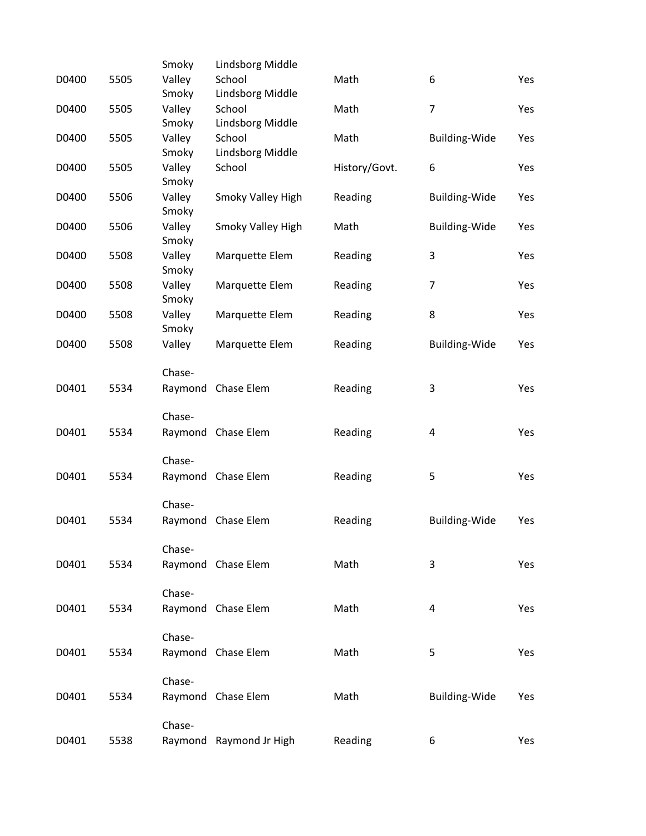|       |      | Smoky           | Lindsborg Middle        |               |                         |     |
|-------|------|-----------------|-------------------------|---------------|-------------------------|-----|
| D0400 | 5505 | Valley          | School                  | Math          | 6                       | Yes |
|       |      | Smoky           | Lindsborg Middle        |               |                         |     |
| D0400 | 5505 | Valley          | School                  | Math          | $\overline{7}$          | Yes |
|       |      | Smoky           | Lindsborg Middle        |               |                         |     |
| D0400 | 5505 | Valley          | School                  | Math          | <b>Building-Wide</b>    | Yes |
|       |      | Smoky           | Lindsborg Middle        |               |                         |     |
| D0400 | 5505 | Valley          | School                  | History/Govt. | 6                       | Yes |
|       |      | Smoky           |                         |               |                         |     |
| D0400 | 5506 | Valley<br>Smoky | Smoky Valley High       | Reading       | <b>Building-Wide</b>    | Yes |
| D0400 | 5506 | Valley          | Smoky Valley High       | Math          | <b>Building-Wide</b>    | Yes |
|       |      | Smoky           |                         |               |                         |     |
| D0400 | 5508 | Valley          | Marquette Elem          | Reading       | 3                       | Yes |
|       |      | Smoky           |                         |               |                         |     |
| D0400 | 5508 | Valley          | Marquette Elem          | Reading       | $\overline{7}$          | Yes |
|       |      | Smoky           |                         |               |                         |     |
| D0400 | 5508 | Valley          | Marquette Elem          | Reading       | 8                       | Yes |
|       |      | Smoky           |                         |               |                         |     |
| D0400 | 5508 | Valley          | Marquette Elem          | Reading       | <b>Building-Wide</b>    | Yes |
|       |      |                 |                         |               |                         |     |
|       |      | Chase-          |                         |               |                         |     |
| D0401 | 5534 |                 | Raymond Chase Elem      | Reading       | 3                       | Yes |
|       |      | Chase-          |                         |               |                         |     |
| D0401 | 5534 |                 | Raymond Chase Elem      | Reading       | $\overline{\mathbf{4}}$ | Yes |
|       |      |                 |                         |               |                         |     |
|       |      | Chase-          |                         |               |                         |     |
| D0401 | 5534 |                 | Raymond Chase Elem      | Reading       | 5                       | Yes |
|       |      |                 |                         |               |                         |     |
|       |      | Chase-          |                         |               |                         |     |
| D0401 | 5534 |                 | Raymond Chase Elem      | Reading       | Building-Wide           | Yes |
|       |      | Chase-          |                         |               |                         |     |
| D0401 | 5534 |                 | Raymond Chase Elem      | Math          | 3                       | Yes |
|       |      |                 |                         |               |                         |     |
|       |      | Chase-          |                         |               |                         |     |
| D0401 | 5534 |                 | Raymond Chase Elem      | Math          | 4                       | Yes |
|       |      |                 |                         |               |                         |     |
|       |      | Chase-          |                         |               |                         |     |
| D0401 | 5534 |                 | Raymond Chase Elem      | Math          | 5                       | Yes |
|       |      |                 |                         |               |                         |     |
|       |      | Chase-          |                         |               |                         |     |
| D0401 | 5534 |                 | Raymond Chase Elem      | Math          | Building-Wide           | Yes |
|       |      |                 |                         |               |                         |     |
| D0401 |      | Chase-          |                         |               |                         |     |
|       | 5538 |                 | Raymond Raymond Jr High | Reading       | 6                       | Yes |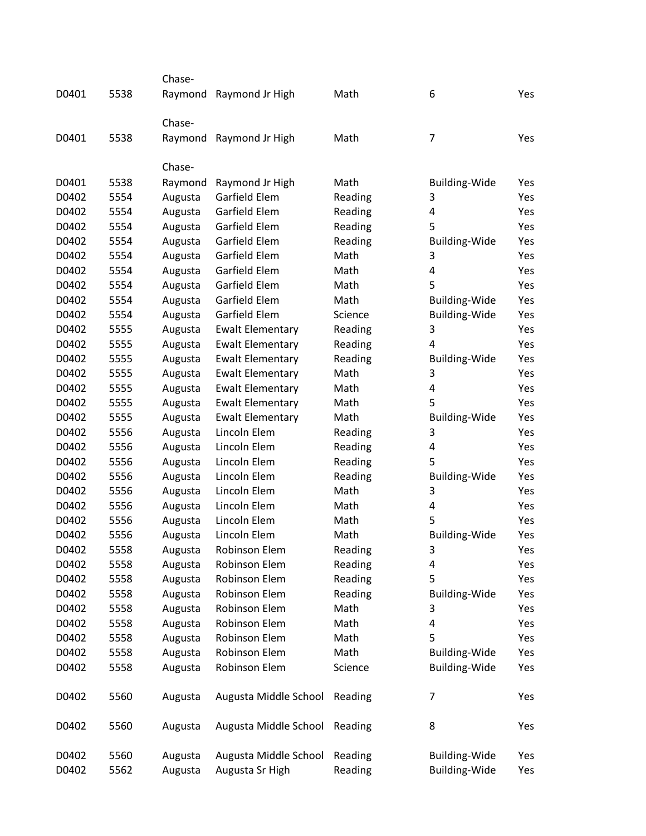|       |      | Chase-  |                         |         |                      |     |
|-------|------|---------|-------------------------|---------|----------------------|-----|
| D0401 | 5538 | Raymond | Raymond Jr High         | Math    | 6                    | Yes |
|       |      |         |                         |         |                      |     |
|       |      | Chase-  |                         |         |                      |     |
| D0401 | 5538 | Raymond | Raymond Jr High         | Math    | 7                    | Yes |
|       |      |         |                         |         |                      |     |
|       |      | Chase-  |                         |         |                      |     |
| D0401 | 5538 | Raymond | Raymond Jr High         | Math    | Building-Wide        | Yes |
| D0402 | 5554 | Augusta | Garfield Elem           | Reading | 3                    | Yes |
| D0402 | 5554 | Augusta | Garfield Elem           | Reading | 4                    | Yes |
| D0402 | 5554 | Augusta | Garfield Elem           | Reading | 5                    | Yes |
| D0402 | 5554 | Augusta | Garfield Elem           | Reading | <b>Building-Wide</b> | Yes |
| D0402 | 5554 | Augusta | Garfield Elem           | Math    | 3                    | Yes |
| D0402 | 5554 | Augusta | Garfield Elem           | Math    | 4                    | Yes |
| D0402 | 5554 | Augusta | Garfield Elem           | Math    | 5                    | Yes |
| D0402 | 5554 | Augusta | Garfield Elem           | Math    | <b>Building-Wide</b> | Yes |
| D0402 | 5554 | Augusta | Garfield Elem           | Science | <b>Building-Wide</b> | Yes |
| D0402 | 5555 | Augusta | <b>Ewalt Elementary</b> | Reading | 3                    | Yes |
| D0402 | 5555 | Augusta | <b>Ewalt Elementary</b> | Reading | 4                    | Yes |
| D0402 | 5555 | Augusta | <b>Ewalt Elementary</b> | Reading | <b>Building-Wide</b> | Yes |
| D0402 | 5555 | Augusta | <b>Ewalt Elementary</b> | Math    | 3                    | Yes |
| D0402 | 5555 | Augusta | <b>Ewalt Elementary</b> | Math    | 4                    | Yes |
| D0402 | 5555 | Augusta | <b>Ewalt Elementary</b> | Math    | 5                    | Yes |
| D0402 | 5555 | Augusta | <b>Ewalt Elementary</b> | Math    | <b>Building-Wide</b> | Yes |
| D0402 | 5556 | Augusta | Lincoln Elem            | Reading | 3                    | Yes |
| D0402 | 5556 | Augusta | Lincoln Elem            | Reading | 4                    | Yes |
| D0402 | 5556 | Augusta | Lincoln Elem            | Reading | 5                    | Yes |
| D0402 | 5556 | Augusta | Lincoln Elem            | Reading | <b>Building-Wide</b> | Yes |
| D0402 | 5556 | Augusta | Lincoln Elem            | Math    | 3                    | Yes |
| D0402 | 5556 | Augusta | Lincoln Elem            | Math    | 4                    | Yes |
| D0402 | 5556 | Augusta | Lincoln Elem            | Math    | 5                    | Yes |
| D0402 | 5556 | Augusta | Lincoln Elem            | Math    | <b>Building-Wide</b> | Yes |
| D0402 | 5558 | Augusta | Robinson Elem           | Reading | 3                    | Yes |
| D0402 | 5558 | Augusta | Robinson Elem           | Reading | 4                    | Yes |
| D0402 | 5558 | Augusta | Robinson Elem           | Reading | 5                    | Yes |
| D0402 | 5558 | Augusta | Robinson Elem           | Reading | <b>Building-Wide</b> | Yes |
| D0402 | 5558 | Augusta | Robinson Elem           | Math    | 3                    | Yes |
| D0402 | 5558 | Augusta | Robinson Elem           | Math    | 4                    | Yes |
| D0402 | 5558 | Augusta | Robinson Elem           | Math    | 5                    | Yes |
| D0402 | 5558 | Augusta | Robinson Elem           | Math    | <b>Building-Wide</b> | Yes |
| D0402 | 5558 | Augusta | Robinson Elem           | Science | <b>Building-Wide</b> | Yes |
|       |      |         |                         |         |                      |     |
| D0402 | 5560 | Augusta | Augusta Middle School   | Reading | 7                    | Yes |
|       |      |         |                         |         |                      |     |
| D0402 | 5560 | Augusta | Augusta Middle School   | Reading | 8                    | Yes |
|       |      |         |                         |         |                      |     |
| D0402 | 5560 | Augusta | Augusta Middle School   | Reading | <b>Building-Wide</b> | Yes |
| D0402 | 5562 | Augusta | Augusta Sr High         | Reading | <b>Building-Wide</b> | Yes |
|       |      |         |                         |         |                      |     |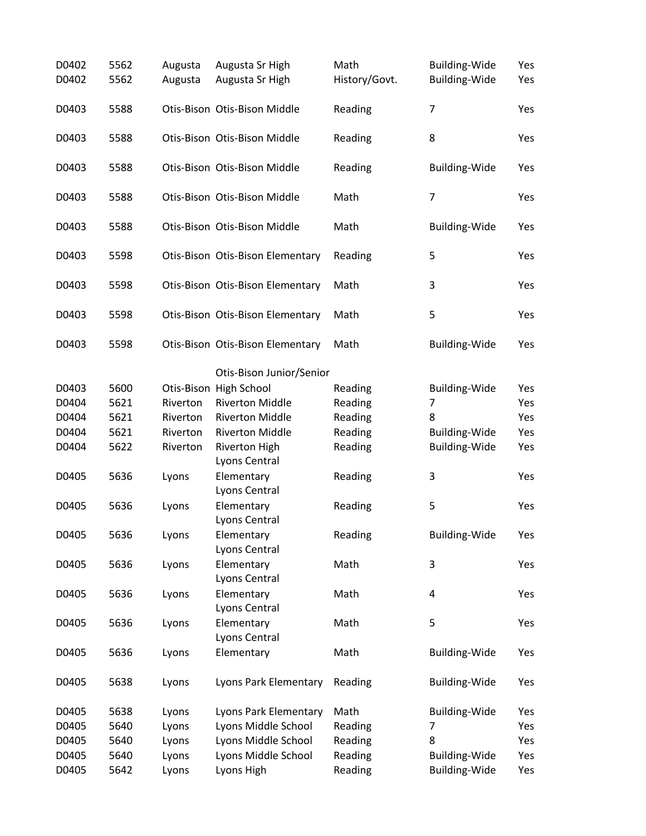| D0402<br>D0402 | 5562<br>5562 | Augusta<br>Augusta | Augusta Sr High<br>Augusta Sr High | Math<br>History/Govt. | <b>Building-Wide</b><br><b>Building-Wide</b> | Yes<br>Yes |
|----------------|--------------|--------------------|------------------------------------|-----------------------|----------------------------------------------|------------|
| D0403          | 5588         |                    | Otis-Bison Otis-Bison Middle       | Reading               | $\overline{7}$                               | Yes        |
| D0403          | 5588         |                    | Otis-Bison Otis-Bison Middle       | Reading               | 8                                            | Yes        |
| D0403          | 5588         |                    | Otis-Bison Otis-Bison Middle       | Reading               | <b>Building-Wide</b>                         | Yes        |
| D0403          | 5588         |                    | Otis-Bison Otis-Bison Middle       | Math                  | $\overline{7}$                               | Yes        |
| D0403          | 5588         |                    | Otis-Bison Otis-Bison Middle       | Math                  | <b>Building-Wide</b>                         | Yes        |
| D0403          | 5598         |                    | Otis-Bison Otis-Bison Elementary   | Reading               | 5                                            | Yes        |
| D0403          | 5598         |                    | Otis-Bison Otis-Bison Elementary   | Math                  | 3                                            | Yes        |
| D0403          | 5598         |                    | Otis-Bison Otis-Bison Elementary   | Math                  | 5                                            | Yes        |
| D0403          | 5598         |                    | Otis-Bison Otis-Bison Elementary   | Math                  | <b>Building-Wide</b>                         | Yes        |
|                |              |                    | Otis-Bison Junior/Senior           |                       |                                              |            |
| D0403          | 5600         |                    | Otis-Bison High School             | Reading               | <b>Building-Wide</b>                         | Yes        |
| D0404          | 5621         | Riverton           | <b>Riverton Middle</b>             | Reading               | 7                                            | Yes        |
| D0404          | 5621         | Riverton           | <b>Riverton Middle</b>             | Reading               | 8                                            | Yes        |
| D0404          | 5621         | Riverton           | <b>Riverton Middle</b>             | Reading               | <b>Building-Wide</b>                         | Yes        |
| D0404          | 5622         | Riverton           | <b>Riverton High</b>               | Reading               | <b>Building-Wide</b>                         | Yes        |
|                |              |                    | Lyons Central                      |                       |                                              |            |
| D0405          | 5636         | Lyons              | Elementary<br>Lyons Central        | Reading               | 3                                            | Yes        |
| D0405          | 5636         | Lyons              | Elementary<br>Lyons Central        | Reading               | 5                                            | Yes        |
| D0405          | 5636         | Lyons              | Elementary<br>Lyons Central        | Reading               | <b>Building-Wide</b>                         | Yes        |
| D0405          | 5636         | Lyons              | Elementary<br>Lyons Central        | Math                  | 3                                            | Yes        |
| D0405          | 5636         | Lyons              | Elementary<br>Lyons Central        | Math                  | 4                                            | Yes        |
| D0405          | 5636         | Lyons              | Elementary<br>Lyons Central        | Math                  | 5                                            | Yes        |
| D0405          | 5636         | Lyons              | Elementary                         | Math                  | Building-Wide                                | Yes        |
| D0405          | 5638         | Lyons              | Lyons Park Elementary              | Reading               | <b>Building-Wide</b>                         | Yes        |
| D0405          | 5638         | Lyons              | Lyons Park Elementary              | Math                  | <b>Building-Wide</b>                         | Yes        |
| D0405          | 5640         | Lyons              | Lyons Middle School                | Reading               | 7                                            | Yes        |
| D0405          | 5640         | Lyons              | Lyons Middle School                | Reading               | 8                                            | Yes        |
| D0405          | 5640         | Lyons              | Lyons Middle School                | Reading               | <b>Building-Wide</b>                         | Yes        |
| D0405          | 5642         | Lyons              | Lyons High                         | Reading               | <b>Building-Wide</b>                         | Yes        |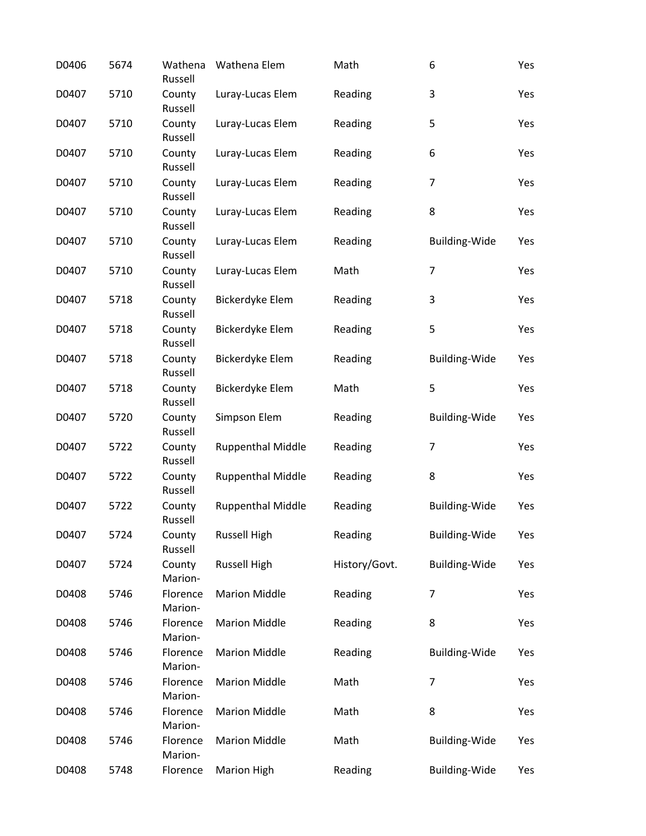| D0406 | 5674 | Wathena<br>Russell  | Wathena Elem             | Math          | 6                    | Yes |
|-------|------|---------------------|--------------------------|---------------|----------------------|-----|
| D0407 | 5710 | County<br>Russell   | Luray-Lucas Elem         | Reading       | 3                    | Yes |
| D0407 | 5710 | County<br>Russell   | Luray-Lucas Elem         | Reading       | 5                    | Yes |
| D0407 | 5710 | County<br>Russell   | Luray-Lucas Elem         | Reading       | 6                    | Yes |
| D0407 | 5710 | County<br>Russell   | Luray-Lucas Elem         | Reading       | $\overline{7}$       | Yes |
| D0407 | 5710 | County<br>Russell   | Luray-Lucas Elem         | Reading       | 8                    | Yes |
| D0407 | 5710 | County<br>Russell   | Luray-Lucas Elem         | Reading       | <b>Building-Wide</b> | Yes |
| D0407 | 5710 | County<br>Russell   | Luray-Lucas Elem         | Math          | 7                    | Yes |
| D0407 | 5718 | County<br>Russell   | Bickerdyke Elem          | Reading       | 3                    | Yes |
| D0407 | 5718 | County<br>Russell   | Bickerdyke Elem          | Reading       | 5                    | Yes |
| D0407 | 5718 | County<br>Russell   | Bickerdyke Elem          | Reading       | <b>Building-Wide</b> | Yes |
| D0407 | 5718 | County<br>Russell   | Bickerdyke Elem          | Math          | 5                    | Yes |
| D0407 | 5720 | County<br>Russell   | Simpson Elem             | Reading       | <b>Building-Wide</b> | Yes |
| D0407 | 5722 | County<br>Russell   | <b>Ruppenthal Middle</b> | Reading       | 7                    | Yes |
| D0407 | 5722 | County<br>Russell   | <b>Ruppenthal Middle</b> | Reading       | 8                    | Yes |
| D0407 | 5722 | County<br>Russell   | <b>Ruppenthal Middle</b> | Reading       | Building-Wide        | Yes |
| D0407 | 5724 | County<br>Russell   | <b>Russell High</b>      | Reading       | <b>Building-Wide</b> | Yes |
| D0407 | 5724 | County<br>Marion-   | <b>Russell High</b>      | History/Govt. | <b>Building-Wide</b> | Yes |
| D0408 | 5746 | Florence<br>Marion- | <b>Marion Middle</b>     | Reading       | $\overline{7}$       | Yes |
| D0408 | 5746 | Florence<br>Marion- | <b>Marion Middle</b>     | Reading       | 8                    | Yes |
| D0408 | 5746 | Florence<br>Marion- | <b>Marion Middle</b>     | Reading       | <b>Building-Wide</b> | Yes |
| D0408 | 5746 | Florence<br>Marion- | <b>Marion Middle</b>     | Math          | 7                    | Yes |
| D0408 | 5746 | Florence<br>Marion- | <b>Marion Middle</b>     | Math          | 8                    | Yes |
| D0408 | 5746 | Florence<br>Marion- | <b>Marion Middle</b>     | Math          | <b>Building-Wide</b> | Yes |
| D0408 | 5748 | Florence            | Marion High              | Reading       | Building-Wide        | Yes |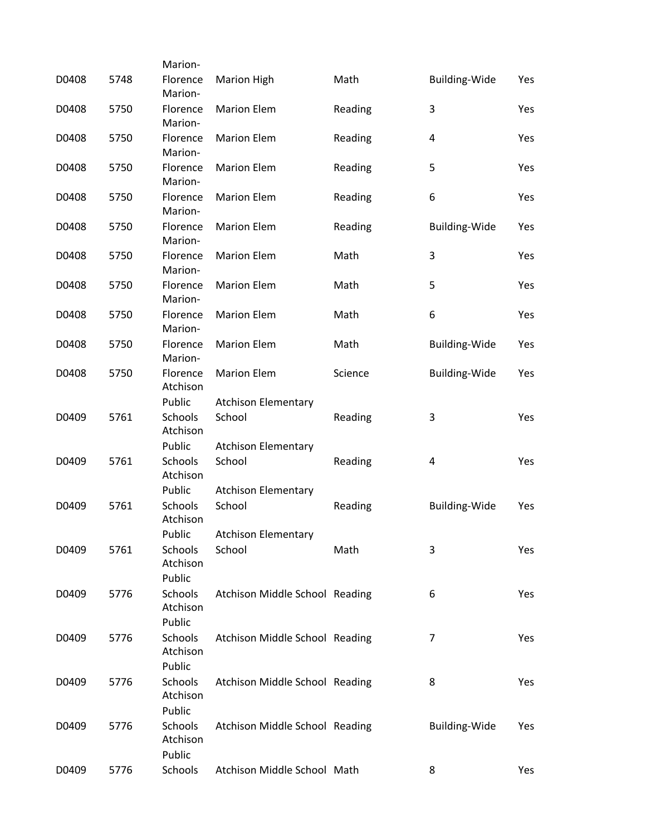|       |      | Marion-                                 |                                      |         |                      |     |
|-------|------|-----------------------------------------|--------------------------------------|---------|----------------------|-----|
| D0408 | 5748 | Florence<br>Marion-                     | <b>Marion High</b>                   | Math    | Building-Wide        | Yes |
| D0408 | 5750 | Florence<br>Marion-                     | <b>Marion Elem</b>                   | Reading | 3                    | Yes |
| D0408 | 5750 | Florence<br>Marion-                     | <b>Marion Elem</b>                   | Reading | 4                    | Yes |
| D0408 | 5750 | Florence<br>Marion-                     | <b>Marion Elem</b>                   | Reading | 5                    | Yes |
| D0408 | 5750 | Florence<br>Marion-                     | <b>Marion Elem</b>                   | Reading | 6                    | Yes |
| D0408 | 5750 | Florence<br>Marion-                     | <b>Marion Elem</b>                   | Reading | <b>Building-Wide</b> | Yes |
| D0408 | 5750 | Florence<br>Marion-                     | <b>Marion Elem</b>                   | Math    | 3                    | Yes |
| D0408 | 5750 | Florence<br>Marion-                     | <b>Marion Elem</b>                   | Math    | 5                    | Yes |
| D0408 | 5750 | Florence<br>Marion-                     | <b>Marion Elem</b>                   | Math    | 6                    | Yes |
| D0408 | 5750 | Florence<br>Marion-                     | <b>Marion Elem</b>                   | Math    | <b>Building-Wide</b> | Yes |
| D0408 | 5750 | Florence<br>Atchison                    | <b>Marion Elem</b>                   | Science | <b>Building-Wide</b> | Yes |
| D0409 | 5761 | Public<br>Schools<br>Atchison           | <b>Atchison Elementary</b><br>School | Reading | 3                    | Yes |
| D0409 | 5761 | Public<br>Schools<br>Atchison           | <b>Atchison Elementary</b><br>School | Reading | 4                    | Yes |
| D0409 | 5761 | Public<br>Schools<br>Atchison           | <b>Atchison Elementary</b><br>School | Reading | Building-Wide        | Yes |
| D0409 | 5761 | Public<br><b>Schools</b><br>Atchison    | <b>Atchison Elementary</b><br>School | Math    | 3                    | Yes |
| D0409 | 5776 | Public<br>Schools<br>Atchison<br>Public | Atchison Middle School Reading       |         | 6                    | Yes |
| D0409 | 5776 | Schools<br>Atchison<br>Public           | Atchison Middle School Reading       |         | 7                    | Yes |
| D0409 | 5776 | Schools<br>Atchison<br>Public           | Atchison Middle School Reading       |         | 8                    | Yes |
| D0409 | 5776 | Schools<br>Atchison<br>Public           | Atchison Middle School Reading       |         | <b>Building-Wide</b> | Yes |
| D0409 | 5776 | Schools                                 | Atchison Middle School Math          |         | 8                    | Yes |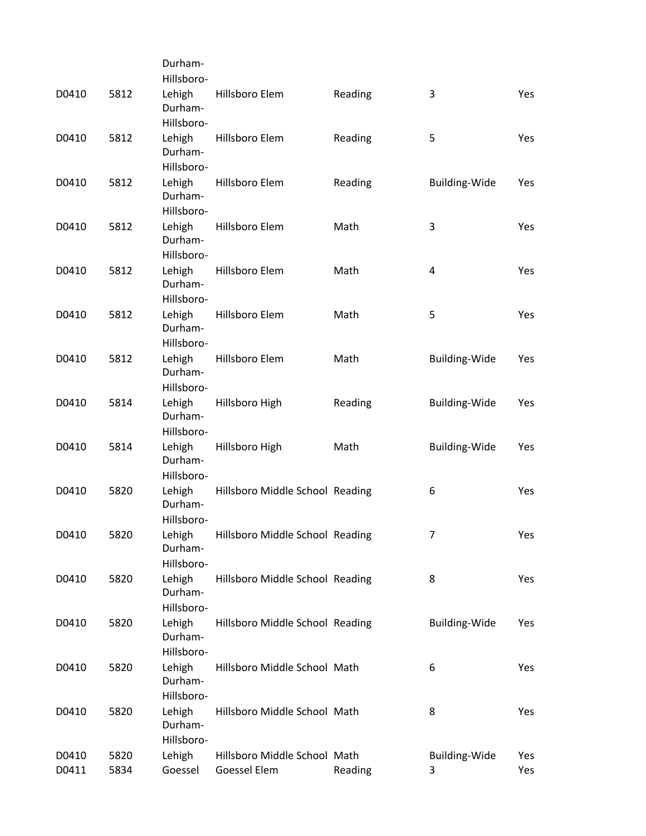|       |      | Durham-                         |                                 |         |                      |            |
|-------|------|---------------------------------|---------------------------------|---------|----------------------|------------|
|       |      | Hillsboro-                      |                                 |         |                      |            |
| D0410 | 5812 | Lehigh<br>Durham-               | Hillsboro Elem                  | Reading | 3                    | Yes        |
|       |      | Hillsboro-                      |                                 |         |                      |            |
| D0410 | 5812 | Lehigh<br>Durham-               | Hillsboro Elem                  | Reading | 5                    | Yes        |
|       |      | Hillsboro-                      |                                 |         |                      |            |
| D0410 | 5812 | Lehigh<br>Durham-<br>Hillsboro- | Hillsboro Elem                  | Reading | <b>Building-Wide</b> | Yes        |
| D0410 | 5812 |                                 | Hillsboro Elem                  | Math    | 3                    | Yes        |
|       |      | Lehigh<br>Durham-<br>Hillsboro- |                                 |         |                      |            |
| D0410 | 5812 | Lehigh                          | Hillsboro Elem                  | Math    | 4                    | Yes        |
|       |      | Durham-<br>Hillsboro-           |                                 |         |                      |            |
| D0410 | 5812 | Lehigh                          | Hillsboro Elem                  | Math    | 5                    | Yes        |
|       |      | Durham-<br>Hillsboro-           |                                 |         |                      |            |
| D0410 | 5812 | Lehigh<br>Durham-               | Hillsboro Elem                  | Math    | Building-Wide        | Yes        |
|       |      | Hillsboro-                      |                                 |         |                      |            |
| D0410 | 5814 | Lehigh<br>Durham-               | Hillsboro High                  | Reading | Building-Wide        | Yes        |
|       |      | Hillsboro-                      |                                 |         |                      |            |
| D0410 | 5814 | Lehigh<br>Durham-               | Hillsboro High                  | Math    | Building-Wide        | <b>Yes</b> |
|       |      | Hillsboro-                      |                                 |         |                      |            |
| D0410 | 5820 | Lehigh<br>Durham-               | Hillsboro Middle School Reading |         | 6                    | Yes        |
|       |      | Hillsboro-                      |                                 |         |                      |            |
| D0410 | 5820 | Lehigh<br>Durham-               | Hillsboro Middle School Reading |         | 7                    | Yes        |
|       |      | Hillsboro-                      |                                 |         |                      |            |
| D0410 | 5820 | Lehigh<br>Durham-<br>Hillsboro- | Hillsboro Middle School Reading |         | 8                    | Yes        |
| D0410 |      |                                 |                                 |         |                      |            |
|       | 5820 | Lehigh<br>Durham-<br>Hillsboro- | Hillsboro Middle School Reading |         | <b>Building-Wide</b> | Yes        |
| D0410 | 5820 | Lehigh                          | Hillsboro Middle School Math    |         | 6                    | Yes        |
|       |      | Durham-<br>Hillsboro-           |                                 |         |                      |            |
| D0410 | 5820 | Lehigh                          | Hillsboro Middle School Math    |         | 8                    | Yes        |
|       |      | Durham-<br>Hillsboro-           |                                 |         |                      |            |
| D0410 | 5820 | Lehigh                          | Hillsboro Middle School Math    |         | <b>Building-Wide</b> | Yes        |
| D0411 | 5834 | Goessel                         | Goessel Elem                    | Reading | 3                    | Yes        |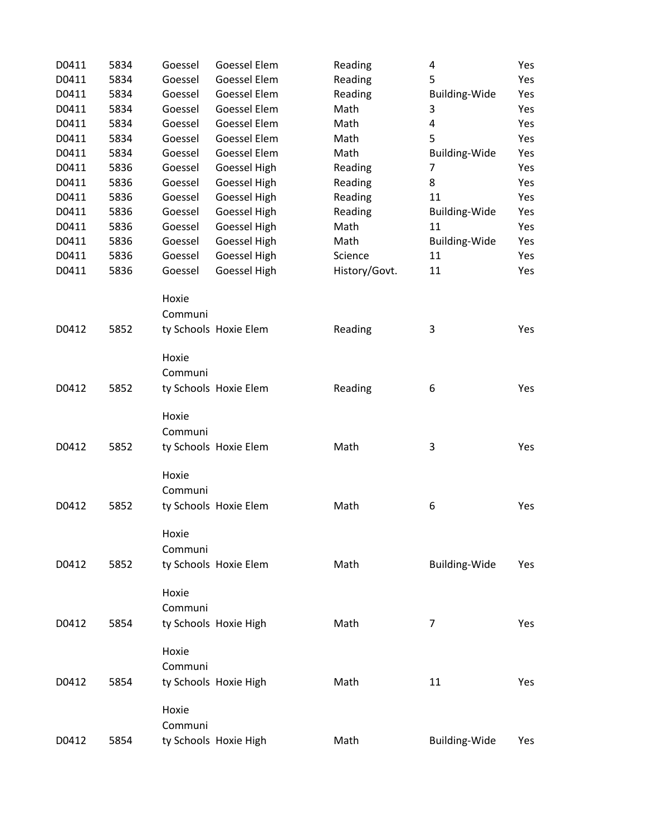| D0411 | 5834 | Goessel | Goessel Elem          | Reading       | 4                    | Yes |
|-------|------|---------|-----------------------|---------------|----------------------|-----|
| D0411 | 5834 | Goessel | Goessel Elem          | Reading       | 5                    | Yes |
| D0411 | 5834 | Goessel | Goessel Elem          | Reading       | <b>Building-Wide</b> | Yes |
| D0411 | 5834 | Goessel | Goessel Elem          | Math          | 3                    | Yes |
| D0411 | 5834 | Goessel | Goessel Elem          | Math          | 4                    | Yes |
| D0411 | 5834 | Goessel | Goessel Elem          | Math          | 5                    | Yes |
| D0411 | 5834 | Goessel | Goessel Elem          | Math          | <b>Building-Wide</b> | Yes |
| D0411 | 5836 | Goessel | Goessel High          | Reading       | 7                    | Yes |
| D0411 | 5836 | Goessel | Goessel High          | Reading       | 8                    | Yes |
| D0411 | 5836 | Goessel | Goessel High          | Reading       | 11                   | Yes |
| D0411 | 5836 | Goessel | Goessel High          | Reading       | Building-Wide        | Yes |
| D0411 | 5836 | Goessel | Goessel High          | Math          | 11                   | Yes |
| D0411 | 5836 | Goessel | Goessel High          | Math          | <b>Building-Wide</b> | Yes |
| D0411 | 5836 | Goessel | Goessel High          | Science       | 11                   | Yes |
| D0411 | 5836 | Goessel | Goessel High          | History/Govt. | 11                   | Yes |
|       |      | Hoxie   |                       |               |                      |     |
|       |      | Communi |                       |               |                      |     |
| D0412 | 5852 |         | ty Schools Hoxie Elem | Reading       | 3                    | Yes |
|       |      | Hoxie   |                       |               |                      |     |
|       |      | Communi |                       |               |                      |     |
| D0412 | 5852 |         | ty Schools Hoxie Elem | Reading       | 6                    | Yes |
|       |      | Hoxie   |                       |               |                      |     |
|       |      | Communi |                       |               |                      |     |
| D0412 | 5852 |         | ty Schools Hoxie Elem | Math          | 3                    | Yes |
|       |      | Hoxie   |                       |               |                      |     |
|       |      | Communi |                       |               |                      |     |
| D0412 | 5852 |         | ty Schools Hoxie Elem | Math          | 6                    | Yes |
|       |      | Hoxie   |                       |               |                      |     |
|       |      | Communi |                       |               |                      |     |
| D0412 | 5852 |         | ty Schools Hoxie Elem | Math          | Building-Wide        | Yes |
|       |      | Hoxie   |                       |               |                      |     |
|       |      | Communi |                       |               |                      |     |
| D0412 | 5854 |         | ty Schools Hoxie High | Math          | 7                    | Yes |
|       |      | Hoxie   |                       |               |                      |     |
|       |      | Communi |                       |               |                      |     |
| D0412 | 5854 |         | ty Schools Hoxie High | Math          | 11                   | Yes |
|       |      | Hoxie   |                       |               |                      |     |
|       |      | Communi |                       |               |                      |     |
| D0412 | 5854 |         | ty Schools Hoxie High | Math          | Building-Wide        | Yes |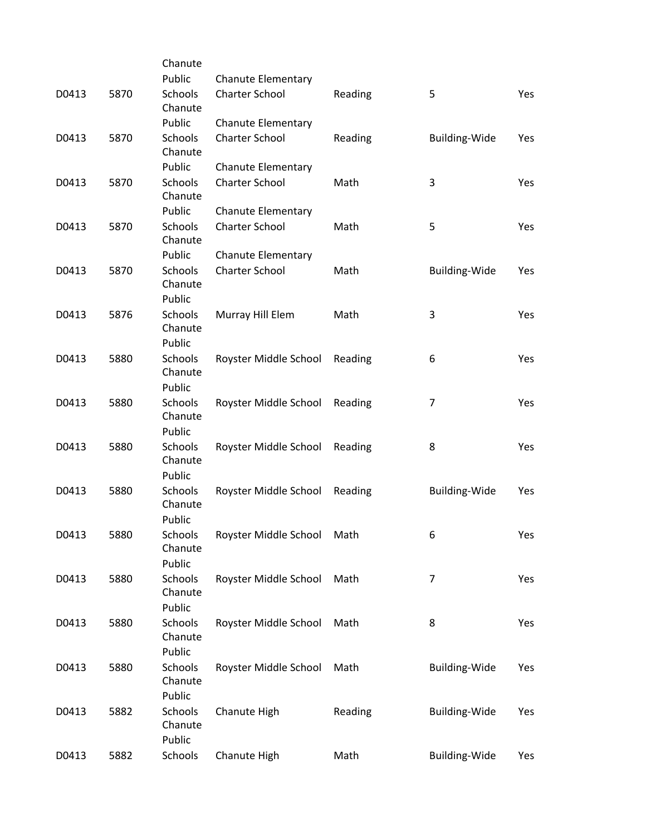|       |      | Chanute                             |                           |         |                      |     |
|-------|------|-------------------------------------|---------------------------|---------|----------------------|-----|
|       |      | Public                              | <b>Chanute Elementary</b> |         |                      |     |
| D0413 | 5870 | Schools<br>Chanute                  | <b>Charter School</b>     | Reading | 5                    | Yes |
|       |      | Public                              | <b>Chanute Elementary</b> |         |                      |     |
| D0413 | 5870 | Schools<br>Chanute                  | <b>Charter School</b>     | Reading | <b>Building-Wide</b> | Yes |
|       |      | Public                              | <b>Chanute Elementary</b> |         |                      |     |
| D0413 | 5870 | Schools<br>Chanute                  | <b>Charter School</b>     | Math    | 3                    | Yes |
|       |      | Public                              | <b>Chanute Elementary</b> |         |                      |     |
| D0413 | 5870 | Schools<br>Chanute                  | <b>Charter School</b>     | Math    | 5                    | Yes |
|       |      | Public                              | <b>Chanute Elementary</b> |         |                      |     |
| D0413 | 5870 | Schools<br>Chanute                  | <b>Charter School</b>     | Math    | Building-Wide        | Yes |
|       |      | Public                              |                           |         |                      |     |
| D0413 | 5876 | <b>Schools</b><br>Chanute<br>Public | Murray Hill Elem          | Math    | 3                    | Yes |
| D0413 | 5880 | Schools                             | Royster Middle School     | Reading | 6                    | Yes |
|       |      | Chanute<br>Public                   |                           |         |                      |     |
| D0413 | 5880 | Schools                             | Royster Middle School     | Reading | 7                    | Yes |
|       |      | Chanute<br>Public                   |                           |         |                      |     |
| D0413 | 5880 | Schools<br>Chanute                  | Royster Middle School     | Reading | 8                    | Yes |
|       |      | Public                              |                           |         |                      |     |
|       |      | Schools                             |                           |         |                      |     |
| D0413 | 5880 | Chanute                             | Royster Middle School     | Reading | <b>Building-Wide</b> | Yes |
|       |      | Public                              |                           |         |                      |     |
| D0413 | 5880 | Schools<br>Chanute                  | Royster Middle School     | Math    | 6                    | Yes |
|       |      | Public                              |                           |         |                      |     |
| D0413 | 5880 | Schools<br>Chanute                  | Royster Middle School     | Math    | $\overline{7}$       | Yes |
|       |      | Public                              |                           |         |                      |     |
| D0413 | 5880 | Schools<br>Chanute                  | Royster Middle School     | Math    | 8                    | Yes |
|       |      | Public                              |                           |         |                      |     |
| D0413 | 5880 | <b>Schools</b><br>Chanute           | Royster Middle School     | Math    | <b>Building-Wide</b> | Yes |
|       |      | Public                              |                           |         |                      |     |
| D0413 | 5882 | Schools<br>Chanute<br>Public        | Chanute High              | Reading | <b>Building-Wide</b> | Yes |
| D0413 | 5882 | Schools                             | Chanute High              | Math    | <b>Building-Wide</b> | Yes |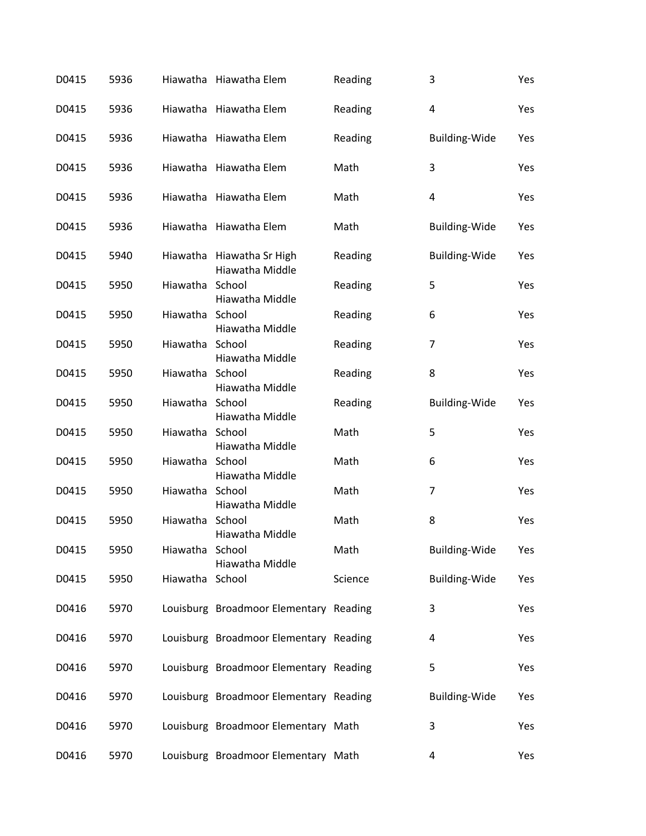| D0415 | 5936 |                 | Hiawatha Hiawatha Elem                 | Reading | 3                    | Yes |
|-------|------|-----------------|----------------------------------------|---------|----------------------|-----|
| D0415 | 5936 |                 | Hiawatha Hiawatha Elem                 | Reading | 4                    | Yes |
| D0415 | 5936 |                 | Hiawatha Hiawatha Elem                 | Reading | Building-Wide        | Yes |
| D0415 | 5936 |                 | Hiawatha Hiawatha Elem                 | Math    | 3                    | Yes |
| D0415 | 5936 |                 | Hiawatha Hiawatha Elem                 | Math    | 4                    | Yes |
| D0415 | 5936 |                 | Hiawatha Hiawatha Elem                 | Math    | <b>Building-Wide</b> | Yes |
| D0415 | 5940 |                 | Hiawatha Hiawatha Sr High              | Reading | <b>Building-Wide</b> | Yes |
| D0415 | 5950 | Hiawatha School | Hiawatha Middle                        | Reading | 5                    | Yes |
| D0415 | 5950 | Hiawatha School | Hiawatha Middle<br>Hiawatha Middle     | Reading | 6                    | Yes |
| D0415 | 5950 | Hiawatha School | Hiawatha Middle                        | Reading | $\overline{7}$       | Yes |
| D0415 | 5950 | Hiawatha School | Hiawatha Middle                        | Reading | 8                    | Yes |
| D0415 | 5950 | Hiawatha School |                                        | Reading | <b>Building-Wide</b> | Yes |
| D0415 | 5950 | Hiawatha School | Hiawatha Middle                        | Math    | 5                    | Yes |
| D0415 | 5950 | Hiawatha School | Hiawatha Middle                        | Math    | 6                    | Yes |
| D0415 | 5950 | Hiawatha School | Hiawatha Middle                        | Math    | $\overline{7}$       | Yes |
| D0415 | 5950 | Hiawatha School | Hiawatha Middle                        | Math    | 8                    | Yes |
| D0415 | 5950 | Hiawatha School | Hiawatha Middle                        | Math    | <b>Building-Wide</b> | Yes |
| D0415 | 5950 | Hiawatha School | Hiawatha Middle                        | Science | Building-Wide        | Yes |
| D0416 | 5970 |                 | Louisburg Broadmoor Elementary Reading |         | 3                    | Yes |
| D0416 | 5970 |                 | Louisburg Broadmoor Elementary Reading |         | 4                    | Yes |
| D0416 | 5970 |                 | Louisburg Broadmoor Elementary Reading |         | 5                    | Yes |
| D0416 | 5970 |                 | Louisburg Broadmoor Elementary Reading |         | Building-Wide        | Yes |
| D0416 | 5970 |                 | Louisburg Broadmoor Elementary Math    |         | 3                    | Yes |
| D0416 | 5970 |                 | Louisburg Broadmoor Elementary Math    |         | 4                    | Yes |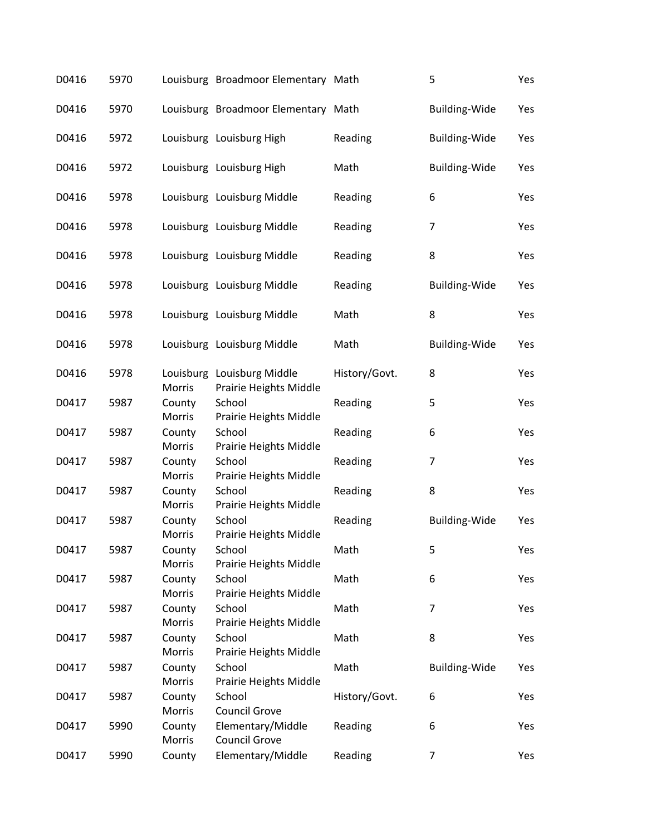| D0416 | 5970 |                  | Louisburg Broadmoor Elementary Math                        |               | 5                    | Yes |
|-------|------|------------------|------------------------------------------------------------|---------------|----------------------|-----|
| D0416 | 5970 |                  | Louisburg Broadmoor Elementary Math                        |               | <b>Building-Wide</b> | Yes |
| D0416 | 5972 |                  | Louisburg Louisburg High                                   | Reading       | <b>Building-Wide</b> | Yes |
| D0416 | 5972 |                  | Louisburg Louisburg High                                   | Math          | Building-Wide        | Yes |
| D0416 | 5978 |                  | Louisburg Louisburg Middle                                 | Reading       | 6                    | Yes |
| D0416 | 5978 |                  | Louisburg Louisburg Middle                                 | Reading       | $\overline{7}$       | Yes |
| D0416 | 5978 |                  | Louisburg Louisburg Middle                                 | Reading       | 8                    | Yes |
| D0416 | 5978 |                  | Louisburg Louisburg Middle                                 | Reading       | <b>Building-Wide</b> | Yes |
| D0416 | 5978 |                  | Louisburg Louisburg Middle                                 | Math          | 8                    | Yes |
| D0416 | 5978 |                  | Louisburg Louisburg Middle                                 | Math          | Building-Wide        | Yes |
| D0416 | 5978 | Morris           | Louisburg Louisburg Middle<br>Prairie Heights Middle       | History/Govt. | 8                    | Yes |
| D0417 | 5987 | County<br>Morris | School                                                     | Reading       | 5                    | Yes |
| D0417 | 5987 | County<br>Morris | Prairie Heights Middle<br>School                           | Reading       | 6                    | Yes |
| D0417 | 5987 | County<br>Morris | Prairie Heights Middle<br>School<br>Prairie Heights Middle | Reading       | 7                    | Yes |
| D0417 | 5987 | County<br>Morris | School<br>Prairie Heights Middle                           | Reading       | 8                    | Yes |
| D0417 | 5987 | County<br>Morris | School                                                     | Reading       | <b>Building-Wide</b> | Yes |
| D0417 | 5987 | County<br>Morris | Prairie Heights Middle<br>School                           | Math          | 5                    | Yes |
| D0417 | 5987 | County<br>Morris | Prairie Heights Middle<br>School<br>Prairie Heights Middle | Math          | 6                    | Yes |
| D0417 | 5987 | County<br>Morris | School<br>Prairie Heights Middle                           | Math          | 7                    | Yes |
| D0417 | 5987 | County<br>Morris | School<br>Prairie Heights Middle                           | Math          | 8                    | Yes |
| D0417 | 5987 | County<br>Morris | School                                                     | Math          | <b>Building-Wide</b> | Yes |
| D0417 | 5987 | County<br>Morris | Prairie Heights Middle<br>School<br><b>Council Grove</b>   | History/Govt. | 6                    | Yes |
| D0417 | 5990 | County<br>Morris | Elementary/Middle<br><b>Council Grove</b>                  | Reading       | 6                    | Yes |
| D0417 | 5990 | County           | Elementary/Middle                                          | Reading       | $\overline{7}$       | Yes |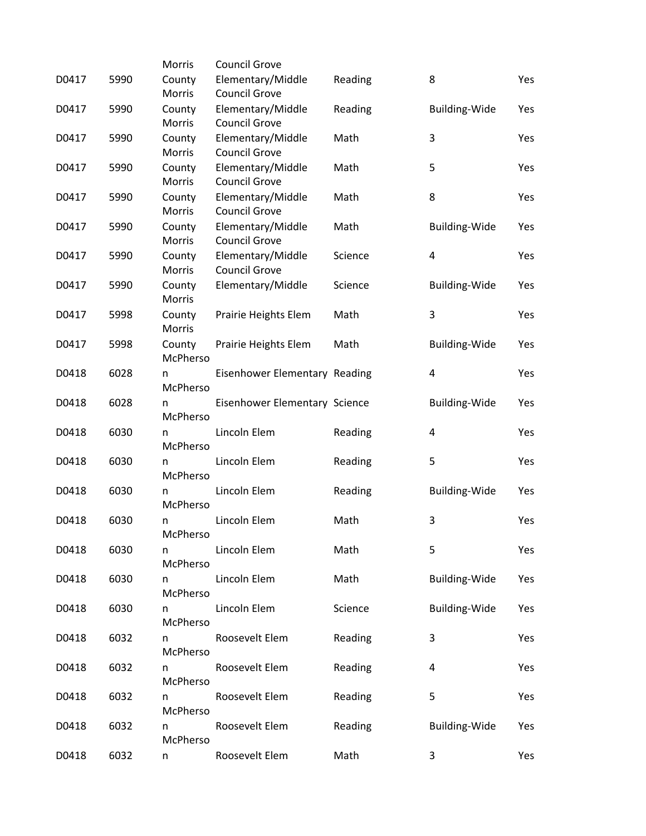|       |      | Morris        | <b>Council Grove</b>          |         |                      |     |
|-------|------|---------------|-------------------------------|---------|----------------------|-----|
| D0417 | 5990 | County        | Elementary/Middle             | Reading | 8                    | Yes |
|       |      | Morris        | <b>Council Grove</b>          |         |                      |     |
| D0417 | 5990 | County        | Elementary/Middle             | Reading | Building-Wide        | Yes |
|       |      | <b>Morris</b> | <b>Council Grove</b>          |         |                      |     |
| D0417 | 5990 | County        | Elementary/Middle             | Math    | 3                    | Yes |
|       |      | Morris        | <b>Council Grove</b>          |         |                      |     |
| D0417 | 5990 | County        | Elementary/Middle             | Math    | 5                    | Yes |
|       |      | Morris        | <b>Council Grove</b>          |         |                      |     |
| D0417 | 5990 | County        | Elementary/Middle             | Math    | 8                    | Yes |
|       |      | Morris        | <b>Council Grove</b>          |         |                      |     |
| D0417 | 5990 | County        | Elementary/Middle             | Math    | <b>Building-Wide</b> | Yes |
|       |      | Morris        | <b>Council Grove</b>          |         |                      |     |
| D0417 | 5990 | County        | Elementary/Middle             | Science | 4                    | Yes |
|       |      | Morris        | <b>Council Grove</b>          |         |                      |     |
| D0417 | 5990 | County        | Elementary/Middle             | Science | <b>Building-Wide</b> | Yes |
|       |      | Morris        |                               |         |                      |     |
| D0417 | 5998 | County        | Prairie Heights Elem          | Math    | 3                    | Yes |
|       |      | Morris        |                               |         |                      |     |
| D0417 | 5998 | County        | Prairie Heights Elem          | Math    | <b>Building-Wide</b> | Yes |
|       |      | McPherso      |                               |         |                      |     |
| D0418 | 6028 | n             | Eisenhower Elementary Reading |         | 4                    | Yes |
|       |      | McPherso      |                               |         |                      |     |
| D0418 | 6028 | n             | Eisenhower Elementary Science |         | <b>Building-Wide</b> | Yes |
|       |      | McPherso      |                               |         |                      |     |
| D0418 | 6030 | n             | Lincoln Elem                  | Reading | 4                    | Yes |
|       |      | McPherso      |                               |         |                      |     |
| D0418 | 6030 | n             | Lincoln Elem                  | Reading | 5                    | Yes |
|       |      | McPherso      |                               |         |                      |     |
| D0418 | 6030 | n             | Lincoln Elem                  | Reading | Building-Wide        | Yes |
|       |      | McPherso      |                               |         |                      |     |
| D0418 | 6030 | n             | Lincoln Elem                  | Math    | 3                    | Yes |
|       |      | McPherso      |                               |         |                      |     |
| D0418 | 6030 | n             | Lincoln Elem                  | Math    | 5                    | Yes |
|       |      | McPherso      |                               |         |                      |     |
| D0418 | 6030 | n             | Lincoln Elem                  | Math    | <b>Building-Wide</b> | Yes |
|       |      | McPherso      |                               |         |                      |     |
| D0418 | 6030 | n             | Lincoln Elem                  | Science | <b>Building-Wide</b> | Yes |
|       |      | McPherso      |                               |         |                      |     |
| D0418 | 6032 | n             | Roosevelt Elem                | Reading | 3                    | Yes |
|       |      | McPherso      |                               |         |                      |     |
| D0418 | 6032 | n             | Roosevelt Elem                | Reading | 4                    | Yes |
|       |      | McPherso      |                               |         |                      |     |
| D0418 | 6032 | n             | Roosevelt Elem                | Reading | 5                    | Yes |
|       |      | McPherso      |                               |         |                      |     |
| D0418 | 6032 | n             | Roosevelt Elem                | Reading | <b>Building-Wide</b> | Yes |
|       |      | McPherso      |                               |         |                      |     |
| D0418 | 6032 |               | Roosevelt Elem                | Math    | 3                    | Yes |
|       |      | n             |                               |         |                      |     |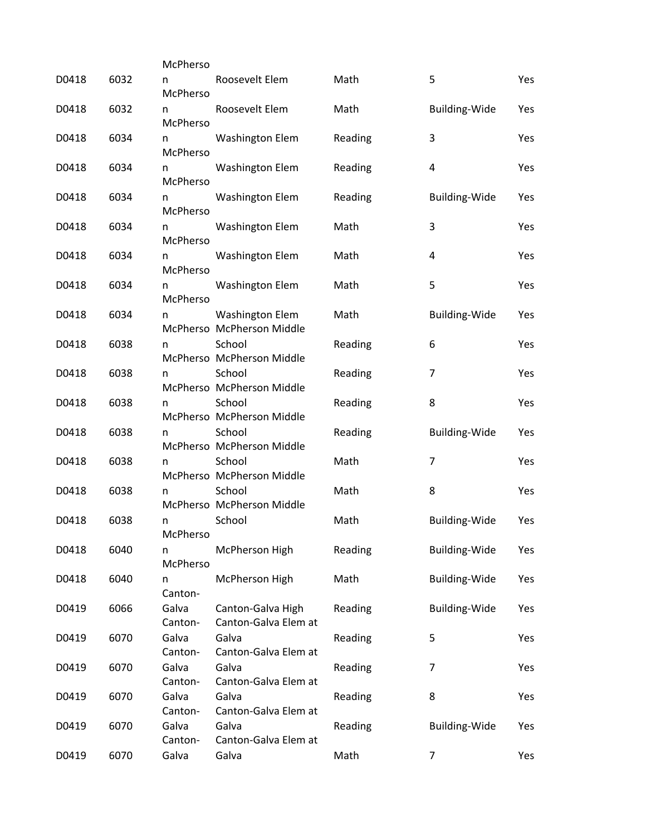|       |      | McPherso         |                                                     |         |                      |     |
|-------|------|------------------|-----------------------------------------------------|---------|----------------------|-----|
| D0418 | 6032 | n<br>McPherso    | Roosevelt Elem                                      | Math    | 5                    | Yes |
| D0418 | 6032 | n<br>McPherso    | Roosevelt Elem                                      | Math    | Building-Wide        | Yes |
| D0418 | 6034 | n<br>McPherso    | <b>Washington Elem</b>                              | Reading | 3                    | Yes |
| D0418 | 6034 | n<br>McPherso    | <b>Washington Elem</b>                              | Reading | 4                    | Yes |
| D0418 | 6034 | n<br>McPherso    | <b>Washington Elem</b>                              | Reading | <b>Building-Wide</b> | Yes |
| D0418 | 6034 | n<br>McPherso    | <b>Washington Elem</b>                              | Math    | 3                    | Yes |
| D0418 | 6034 | n<br>McPherso    | <b>Washington Elem</b>                              | Math    | 4                    | Yes |
| D0418 | 6034 | n<br>McPherso    | <b>Washington Elem</b>                              | Math    | 5                    | Yes |
| D0418 | 6034 | n                | <b>Washington Elem</b><br>McPherso McPherson Middle | Math    | Building-Wide        | Yes |
| D0418 | 6038 | n                | School<br>McPherso McPherson Middle                 | Reading | 6                    | Yes |
| D0418 | 6038 | n                | School<br>McPherso McPherson Middle                 | Reading | 7                    | Yes |
| D0418 | 6038 | n                | School<br>McPherso McPherson Middle                 | Reading | 8                    | Yes |
| D0418 | 6038 | n                | School<br>McPherso McPherson Middle                 | Reading | <b>Building-Wide</b> | Yes |
| D0418 | 6038 | n                | School<br>McPherso McPherson Middle                 | Math    | 7                    | Yes |
| D0418 | 6038 | n                | School<br>McPherso McPherson Middle                 | Math    | 8                    | Yes |
| D0418 | 6038 | n<br>McPherso    | School                                              | Math    | <b>Building-Wide</b> | Yes |
| D0418 | 6040 | n<br>McPherso    | McPherson High                                      | Reading | <b>Building-Wide</b> | Yes |
| D0418 | 6040 | n<br>Canton-     | McPherson High                                      | Math    | Building-Wide        | Yes |
| D0419 | 6066 | Galva<br>Canton- | Canton-Galva High<br>Canton-Galva Elem at           | Reading | <b>Building-Wide</b> | Yes |
| D0419 | 6070 | Galva<br>Canton- | Galva<br>Canton-Galva Elem at                       | Reading | 5                    | Yes |
| D0419 | 6070 | Galva<br>Canton- | Galva<br>Canton-Galva Elem at                       | Reading | 7                    | Yes |
| D0419 | 6070 | Galva<br>Canton- | Galva<br>Canton-Galva Elem at                       | Reading | 8                    | Yes |
| D0419 | 6070 | Galva<br>Canton- | Galva<br>Canton-Galva Elem at                       | Reading | <b>Building-Wide</b> | Yes |
| D0419 | 6070 | Galva            | Galva                                               | Math    | $\overline{7}$       | Yes |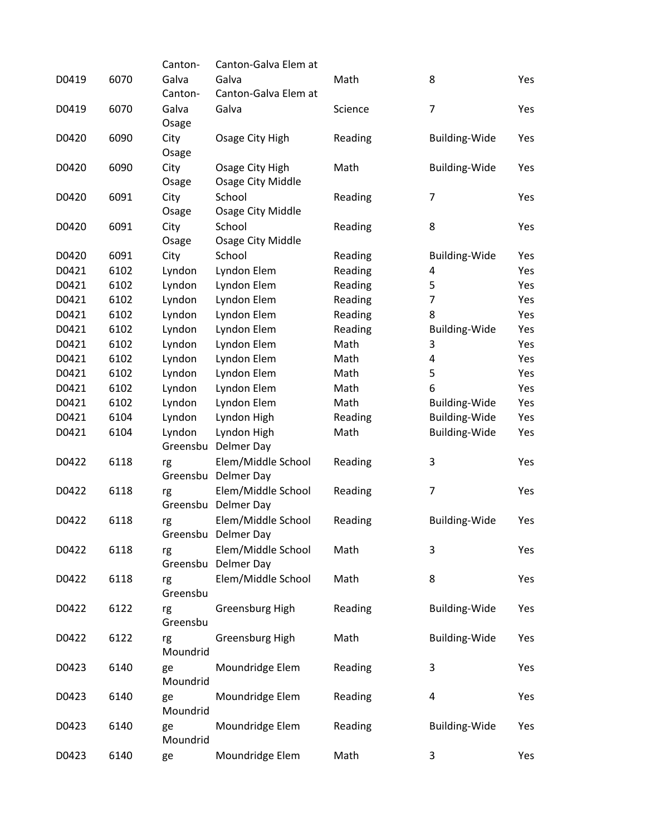|       |      | Canton-  | Canton-Galva Elem at |                 |                      |     |
|-------|------|----------|----------------------|-----------------|----------------------|-----|
| D0419 | 6070 | Galva    | Galva                | Math            | 8                    | Yes |
|       |      | Canton-  | Canton-Galva Elem at |                 |                      |     |
| D0419 | 6070 | Galva    | Galva                | Science         | $\overline{7}$       | Yes |
|       |      | Osage    |                      |                 |                      |     |
| D0420 | 6090 | City     | Osage City High      | Reading         | <b>Building-Wide</b> | Yes |
|       |      | Osage    |                      |                 |                      |     |
| D0420 | 6090 | City     | Osage City High      | Math            | <b>Building-Wide</b> | Yes |
|       |      | Osage    | Osage City Middle    |                 |                      |     |
| D0420 | 6091 | City     | School               | Reading         | $\overline{7}$       | Yes |
|       |      | Osage    | Osage City Middle    |                 |                      |     |
| D0420 | 6091 | City     | School               | Reading         | 8                    | Yes |
|       |      | Osage    | Osage City Middle    |                 |                      |     |
| D0420 | 6091 | City     | School               | Reading         | <b>Building-Wide</b> | Yes |
| D0421 | 6102 | Lyndon   | Lyndon Elem          | Reading         | 4                    | Yes |
| D0421 | 6102 | Lyndon   | Lyndon Elem          | Reading         | 5                    | Yes |
| D0421 | 6102 | Lyndon   | Lyndon Elem          | Reading         | $\overline{7}$       | Yes |
| D0421 | 6102 | Lyndon   | Lyndon Elem          | Reading         | 8                    | Yes |
| D0421 | 6102 |          |                      |                 |                      | Yes |
|       |      | Lyndon   | Lyndon Elem          | Reading<br>Math | Building-Wide<br>3   |     |
| D0421 | 6102 | Lyndon   | Lyndon Elem          |                 |                      | Yes |
| D0421 | 6102 | Lyndon   | Lyndon Elem          | Math            | 4                    | Yes |
| D0421 | 6102 | Lyndon   | Lyndon Elem          | Math            | 5                    | Yes |
| D0421 | 6102 | Lyndon   | Lyndon Elem          | Math            | 6                    | Yes |
| D0421 | 6102 | Lyndon   | Lyndon Elem          | Math            | <b>Building-Wide</b> | Yes |
| D0421 | 6104 | Lyndon   | Lyndon High          | Reading         | <b>Building-Wide</b> | Yes |
| D0421 | 6104 | Lyndon   | Lyndon High          | Math            | Building-Wide        | Yes |
|       |      | Greensbu | Delmer Day           |                 |                      |     |
| D0422 | 6118 | rg       | Elem/Middle School   | Reading         | 3                    | Yes |
|       |      |          | Greensbu Delmer Day  |                 |                      |     |
| D0422 | 6118 | rg       | Elem/Middle School   | Reading         | $\overline{7}$       | Yes |
|       |      | Greensbu | Delmer Day           |                 |                      |     |
| D0422 | 6118 | rg       | Elem/Middle School   | Reading         | <b>Building-Wide</b> | Yes |
|       |      |          | Greensbu Delmer Day  |                 |                      |     |
| D0422 | 6118 | rg       | Elem/Middle School   | Math            | 3                    | Yes |
|       |      |          | Greensbu Delmer Day  |                 |                      |     |
| D0422 | 6118 | rg       | Elem/Middle School   | Math            | 8                    | Yes |
|       |      | Greensbu |                      |                 |                      |     |
| D0422 | 6122 | rg       | Greensburg High      | Reading         | <b>Building-Wide</b> | Yes |
|       |      | Greensbu |                      |                 |                      |     |
| D0422 | 6122 | rg       | Greensburg High      | Math            | <b>Building-Wide</b> | Yes |
|       |      | Moundrid |                      |                 |                      |     |
| D0423 | 6140 | ge       | Moundridge Elem      | Reading         | 3                    | Yes |
|       |      | Moundrid |                      |                 |                      |     |
| D0423 | 6140 | ge       | Moundridge Elem      | Reading         | 4                    | Yes |
|       |      | Moundrid |                      |                 |                      |     |
| D0423 | 6140 | ge       | Moundridge Elem      | Reading         | <b>Building-Wide</b> | Yes |
|       |      | Moundrid |                      |                 |                      |     |
| D0423 | 6140 | ge       | Moundridge Elem      | Math            | 3                    | Yes |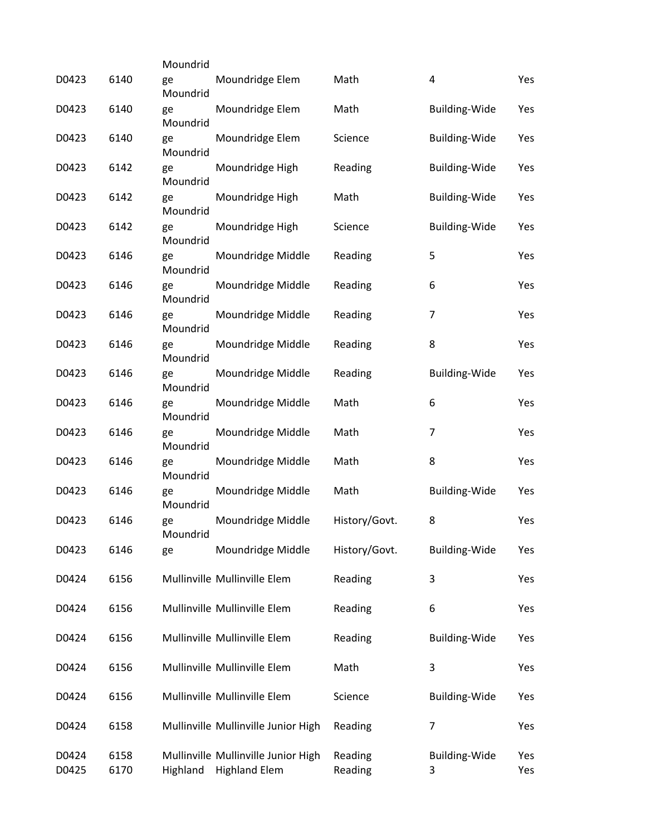|                |              | Moundrid       |                                                             |                    |                           |            |
|----------------|--------------|----------------|-------------------------------------------------------------|--------------------|---------------------------|------------|
| D0423          | 6140         | ge<br>Moundrid | Moundridge Elem                                             | Math               | 4                         | Yes        |
| D0423          | 6140         | ge<br>Moundrid | Moundridge Elem                                             | Math               | <b>Building-Wide</b>      | Yes        |
| D0423          | 6140         | ge<br>Moundrid | Moundridge Elem                                             | Science            | <b>Building-Wide</b>      | Yes        |
| D0423          | 6142         | ge<br>Moundrid | Moundridge High                                             | Reading            | <b>Building-Wide</b>      | Yes        |
| D0423          | 6142         | ge<br>Moundrid | Moundridge High                                             | Math               | Building-Wide             | Yes        |
| D0423          | 6142         | ge<br>Moundrid | Moundridge High                                             | Science            | Building-Wide             | Yes        |
| D0423          | 6146         | ge<br>Moundrid | Moundridge Middle                                           | Reading            | 5                         | Yes        |
| D0423          | 6146         | ge<br>Moundrid | Moundridge Middle                                           | Reading            | 6                         | Yes        |
| D0423          | 6146         | ge<br>Moundrid | Moundridge Middle                                           | Reading            | 7                         | Yes        |
| D0423          | 6146         | ge<br>Moundrid | Moundridge Middle                                           | Reading            | 8                         | Yes        |
| D0423          | 6146         | ge<br>Moundrid | Moundridge Middle                                           | Reading            | <b>Building-Wide</b>      | Yes        |
| D0423          | 6146         | ge<br>Moundrid | Moundridge Middle                                           | Math               | 6                         | Yes        |
| D0423          | 6146         | ge<br>Moundrid | Moundridge Middle                                           | Math               | $\overline{7}$            | Yes        |
| D0423          | 6146         | ge<br>Moundrid | Moundridge Middle                                           | Math               | 8                         | Yes        |
| D0423          | 6146         | ge<br>Moundrid | Moundridge Middle                                           | Math               | <b>Building-Wide</b>      | Yes        |
| D0423          | 6146         | ge<br>Moundrid | Moundridge Middle                                           | History/Govt.      | 8                         | Yes        |
| D0423          | 6146         | ge             | Moundridge Middle                                           | History/Govt.      | <b>Building-Wide</b>      | Yes        |
| D0424          | 6156         |                | Mullinville Mullinville Elem                                | Reading            | 3                         | Yes        |
| D0424          | 6156         |                | Mullinville Mullinville Elem                                | Reading            | 6                         | Yes        |
| D0424          | 6156         |                | Mullinville Mullinville Elem                                | Reading            | <b>Building-Wide</b>      | Yes        |
| D0424          | 6156         |                | Mullinville Mullinville Elem                                | Math               | 3                         | Yes        |
| D0424          | 6156         |                | Mullinville Mullinville Elem                                | Science            | <b>Building-Wide</b>      | Yes        |
| D0424          | 6158         |                | Mullinville Mullinville Junior High                         | Reading            | 7                         | Yes        |
| D0424<br>D0425 | 6158<br>6170 | Highland       | Mullinville Mullinville Junior High<br><b>Highland Elem</b> | Reading<br>Reading | <b>Building-Wide</b><br>3 | Yes<br>Yes |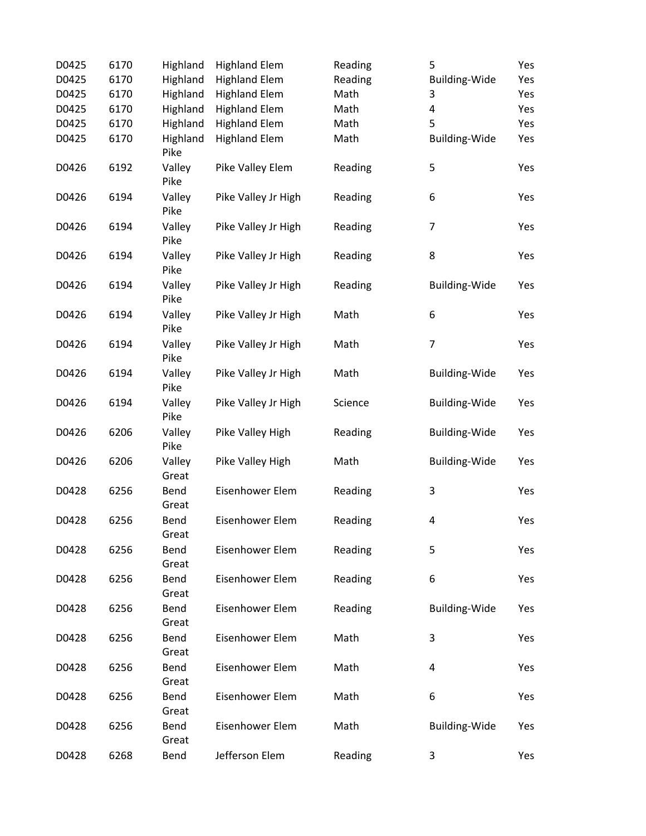| D0425 | 6170 | Highland         | <b>Highland Elem</b> | Reading | 5                       | Yes |
|-------|------|------------------|----------------------|---------|-------------------------|-----|
| D0425 | 6170 | Highland         | <b>Highland Elem</b> | Reading | Building-Wide           | Yes |
| D0425 | 6170 | Highland         | <b>Highland Elem</b> | Math    | 3                       | Yes |
| D0425 | 6170 | Highland         | <b>Highland Elem</b> | Math    | $\overline{\mathbf{4}}$ | Yes |
| D0425 | 6170 | Highland         | <b>Highland Elem</b> | Math    | 5                       | Yes |
| D0425 | 6170 | Highland<br>Pike | <b>Highland Elem</b> | Math    | Building-Wide           | Yes |
| D0426 | 6192 | Valley<br>Pike   | Pike Valley Elem     | Reading | 5                       | Yes |
| D0426 | 6194 | Valley<br>Pike   | Pike Valley Jr High  | Reading | 6                       | Yes |
| D0426 | 6194 | Valley<br>Pike   | Pike Valley Jr High  | Reading | $\overline{7}$          | Yes |
| D0426 | 6194 | Valley<br>Pike   | Pike Valley Jr High  | Reading | 8                       | Yes |
| D0426 | 6194 | Valley<br>Pike   | Pike Valley Jr High  | Reading | <b>Building-Wide</b>    | Yes |
| D0426 | 6194 | Valley<br>Pike   | Pike Valley Jr High  | Math    | 6                       | Yes |
| D0426 | 6194 | Valley<br>Pike   | Pike Valley Jr High  | Math    | $\overline{7}$          | Yes |
| D0426 | 6194 | Valley<br>Pike   | Pike Valley Jr High  | Math    | <b>Building-Wide</b>    | Yes |
| D0426 | 6194 | Valley<br>Pike   | Pike Valley Jr High  | Science | <b>Building-Wide</b>    | Yes |
| D0426 | 6206 | Valley<br>Pike   | Pike Valley High     | Reading | <b>Building-Wide</b>    | Yes |
| D0426 | 6206 | Valley<br>Great  | Pike Valley High     | Math    | Building-Wide           | Yes |
| D0428 | 6256 | Bend<br>Great    | Eisenhower Elem      | Reading | 3                       | Yes |
| D0428 | 6256 | Bend<br>Great    | Eisenhower Elem      | Reading | 4                       | Yes |
| D0428 | 6256 | Bend<br>Great    | Eisenhower Elem      | Reading | 5                       | Yes |
| D0428 | 6256 | Bend<br>Great    | Eisenhower Elem      | Reading | 6                       | Yes |
| D0428 | 6256 | Bend<br>Great    | Eisenhower Elem      | Reading | <b>Building-Wide</b>    | Yes |
| D0428 | 6256 | Bend<br>Great    | Eisenhower Elem      | Math    | 3                       | Yes |
| D0428 | 6256 | Bend<br>Great    | Eisenhower Elem      | Math    | 4                       | Yes |
| D0428 | 6256 | Bend<br>Great    | Eisenhower Elem      | Math    | 6                       | Yes |
| D0428 | 6256 | Bend<br>Great    | Eisenhower Elem      | Math    | Building-Wide           | Yes |
| D0428 | 6268 | Bend             | Jefferson Elem       | Reading | 3                       | Yes |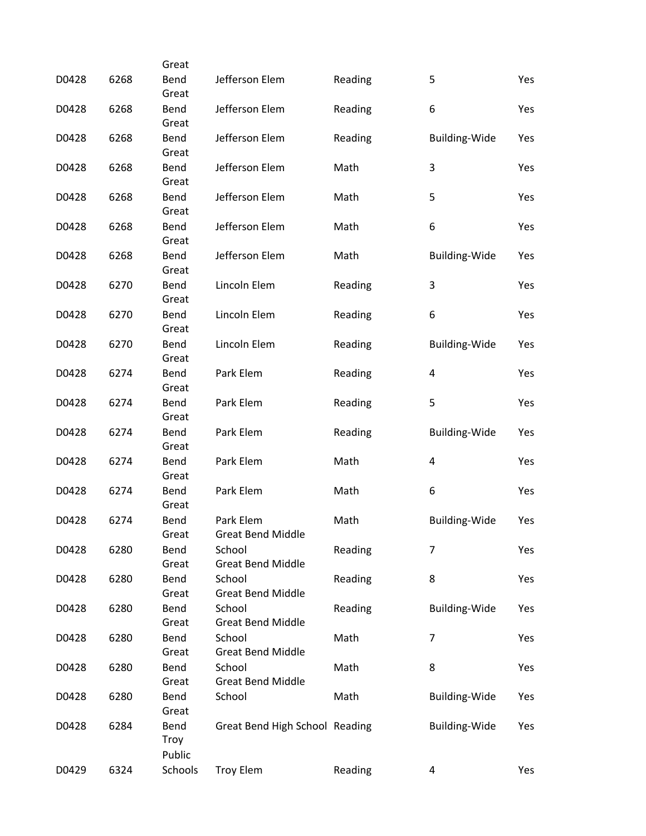|       |      | Great         |                                    |         |                      |     |
|-------|------|---------------|------------------------------------|---------|----------------------|-----|
| D0428 | 6268 | Bend<br>Great | Jefferson Elem                     | Reading | 5                    | Yes |
| D0428 | 6268 | Bend          | Jefferson Elem                     | Reading | 6                    | Yes |
|       |      | Great         |                                    |         |                      |     |
| D0428 | 6268 | Bend          | Jefferson Elem                     | Reading | <b>Building-Wide</b> | Yes |
|       |      | Great         |                                    |         |                      |     |
| D0428 | 6268 | Bend          | Jefferson Elem                     | Math    | 3                    | Yes |
|       |      | Great         |                                    |         |                      |     |
| D0428 | 6268 | Bend          | Jefferson Elem                     | Math    | 5                    | Yes |
|       |      | Great         |                                    |         |                      |     |
| D0428 | 6268 | Bend<br>Great | Jefferson Elem                     | Math    | 6                    | Yes |
| D0428 | 6268 | Bend          | Jefferson Elem                     | Math    | <b>Building-Wide</b> | Yes |
|       |      | Great         |                                    |         |                      |     |
| D0428 | 6270 | Bend          | Lincoln Elem                       | Reading | 3                    | Yes |
|       |      | Great         |                                    |         |                      |     |
| D0428 | 6270 | Bend          | Lincoln Elem                       | Reading | 6                    | Yes |
|       |      | Great         |                                    |         |                      |     |
| D0428 | 6270 | Bend          | Lincoln Elem                       | Reading | <b>Building-Wide</b> | Yes |
|       |      | Great         |                                    |         |                      |     |
| D0428 | 6274 | Bend          | Park Elem                          | Reading | 4                    | Yes |
|       |      | Great         |                                    |         |                      |     |
| D0428 | 6274 | Bend          | Park Elem                          | Reading | 5                    | Yes |
|       |      | Great         |                                    |         |                      |     |
| D0428 | 6274 | Bend<br>Great | Park Elem                          | Reading | <b>Building-Wide</b> | Yes |
| D0428 | 6274 | Bend          | Park Elem                          | Math    | 4                    | Yes |
|       |      | Great         |                                    |         |                      |     |
| D0428 | 6274 | Bend          | Park Elem                          | Math    | 6                    | Yes |
|       |      | Great         |                                    |         |                      |     |
| D0428 | 6274 | Bend          | Park Elem                          | Math    | Building-Wide        | Yes |
|       |      | Great         | <b>Great Bend Middle</b>           |         |                      |     |
| D0428 | 6280 | Bend          | School                             | Reading | 7                    | Yes |
|       |      | Great         | <b>Great Bend Middle</b>           |         |                      |     |
| D0428 | 6280 | Bend          | School                             | Reading | 8                    | Yes |
|       |      | Great         | <b>Great Bend Middle</b>           |         |                      |     |
| D0428 | 6280 | Bend<br>Great | School<br><b>Great Bend Middle</b> | Reading | <b>Building-Wide</b> | Yes |
| D0428 | 6280 | Bend          | School                             | Math    | $\overline{7}$       | Yes |
|       |      | Great         | <b>Great Bend Middle</b>           |         |                      |     |
| D0428 | 6280 | Bend          | School                             | Math    | 8                    | Yes |
|       |      | Great         | <b>Great Bend Middle</b>           |         |                      |     |
| D0428 | 6280 | Bend          | School                             | Math    | <b>Building-Wide</b> | Yes |
|       |      | Great         |                                    |         |                      |     |
| D0428 | 6284 | Bend          | Great Bend High School Reading     |         | <b>Building-Wide</b> | Yes |
|       |      | Troy          |                                    |         |                      |     |
|       |      | Public        |                                    |         |                      |     |
| D0429 | 6324 | Schools       | <b>Troy Elem</b>                   | Reading | 4                    | Yes |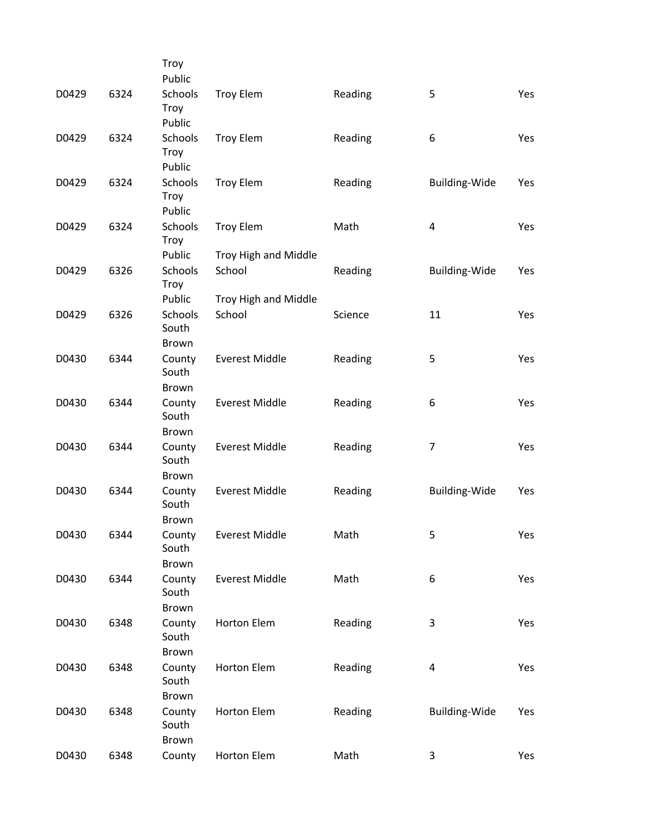|       |      | Troy<br>Public                   |                       |         |                      |     |
|-------|------|----------------------------------|-----------------------|---------|----------------------|-----|
| D0429 | 6324 | Schools<br>Troy<br>Public        | <b>Troy Elem</b>      | Reading | 5                    | Yes |
| D0429 | 6324 | Schools<br><b>Troy</b><br>Public | <b>Troy Elem</b>      | Reading | 6                    | Yes |
| D0429 | 6324 | Schools<br><b>Troy</b><br>Public | <b>Troy Elem</b>      | Reading | Building-Wide        | Yes |
| D0429 | 6324 | Schools<br><b>Troy</b>           | <b>Troy Elem</b>      | Math    | 4                    | Yes |
|       |      | Public                           | Troy High and Middle  |         |                      |     |
| D0429 | 6326 | Schools<br><b>Troy</b>           | School                | Reading | <b>Building-Wide</b> | Yes |
|       |      | Public                           | Troy High and Middle  |         |                      |     |
| D0429 | 6326 | Schools<br>South                 | School                | Science | 11                   | Yes |
|       |      | <b>Brown</b>                     |                       |         |                      |     |
| D0430 | 6344 | County<br>South<br><b>Brown</b>  | <b>Everest Middle</b> | Reading | 5                    | Yes |
| D0430 | 6344 | County                           | <b>Everest Middle</b> | Reading | 6                    | Yes |
|       |      | South<br>Brown                   |                       |         |                      |     |
| D0430 | 6344 | County                           | <b>Everest Middle</b> | Reading | $\overline{7}$       | Yes |
|       |      | South<br><b>Brown</b>            |                       |         |                      |     |
| D0430 | 6344 | County                           | <b>Everest Middle</b> | Reading | <b>Building-Wide</b> | Yes |
|       |      | South<br><b>Brown</b>            |                       |         |                      |     |
| D0430 | 6344 | County                           | <b>Everest Middle</b> | Math    | 5                    | Yes |
|       |      | South                            |                       |         |                      |     |
|       |      | Brown                            |                       |         |                      |     |
| D0430 | 6344 | County                           | <b>Everest Middle</b> | Math    | 6                    | Yes |
|       |      | South                            |                       |         |                      |     |
|       |      | Brown                            |                       |         |                      |     |
| D0430 | 6348 | County<br>South                  | <b>Horton Elem</b>    | Reading | 3                    | Yes |
|       |      | Brown                            |                       |         |                      |     |
| D0430 | 6348 | County<br>South                  | Horton Elem           | Reading | $\overline{4}$       | Yes |
|       |      | Brown                            |                       |         |                      |     |
| D0430 | 6348 | County<br>South<br>Brown         | <b>Horton Elem</b>    | Reading | Building-Wide        | Yes |
| D0430 | 6348 | County                           | Horton Elem           | Math    | 3                    | Yes |
|       |      |                                  |                       |         |                      |     |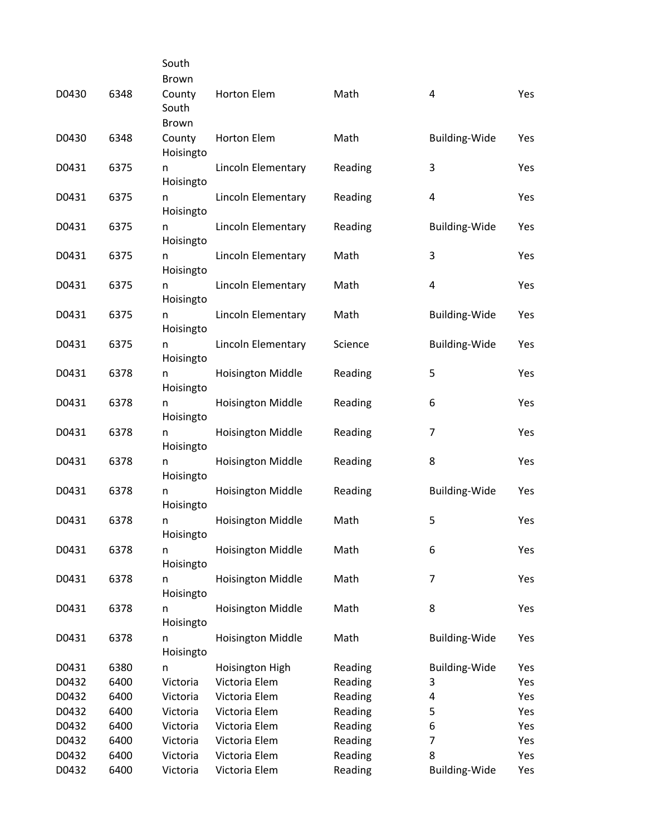|       |      | South               |                          |         |                      |     |
|-------|------|---------------------|--------------------------|---------|----------------------|-----|
|       |      | <b>Brown</b>        |                          |         |                      |     |
| D0430 | 6348 | County<br>South     | Horton Elem              | Math    | 4                    | Yes |
|       |      | <b>Brown</b>        |                          |         |                      |     |
| D0430 | 6348 | County<br>Hoisingto | <b>Horton Elem</b>       | Math    | <b>Building-Wide</b> | Yes |
| D0431 | 6375 | n<br>Hoisingto      | Lincoln Elementary       | Reading | 3                    | Yes |
| D0431 | 6375 | n<br>Hoisingto      | Lincoln Elementary       | Reading | 4                    | Yes |
| D0431 | 6375 | n<br>Hoisingto      | Lincoln Elementary       | Reading | Building-Wide        | Yes |
| D0431 | 6375 | n<br>Hoisingto      | Lincoln Elementary       | Math    | 3                    | Yes |
| D0431 | 6375 | n<br>Hoisingto      | Lincoln Elementary       | Math    | 4                    | Yes |
| D0431 | 6375 | n<br>Hoisingto      | Lincoln Elementary       | Math    | <b>Building-Wide</b> | Yes |
| D0431 | 6375 | n<br>Hoisingto      | Lincoln Elementary       | Science | <b>Building-Wide</b> | Yes |
| D0431 | 6378 | n<br>Hoisingto      | <b>Hoisington Middle</b> | Reading | 5                    | Yes |
| D0431 | 6378 | n<br>Hoisingto      | <b>Hoisington Middle</b> | Reading | 6                    | Yes |
| D0431 | 6378 | n<br>Hoisingto      | <b>Hoisington Middle</b> | Reading | 7                    | Yes |
| D0431 | 6378 | n<br>Hoisingto      | <b>Hoisington Middle</b> | Reading | 8                    | Yes |
| D0431 | 6378 | n<br>Hoisingto      | <b>Hoisington Middle</b> | Reading | <b>Building-Wide</b> | Yes |
| D0431 | 6378 | n<br>Hoisingto      | <b>Hoisington Middle</b> | Math    | 5                    | Yes |
| D0431 | 6378 | n<br>Hoisingto      | <b>Hoisington Middle</b> | Math    | 6                    | Yes |
| D0431 | 6378 | n<br>Hoisingto      | <b>Hoisington Middle</b> | Math    | 7                    | Yes |
| D0431 | 6378 | n<br>Hoisingto      | <b>Hoisington Middle</b> | Math    | 8                    | Yes |
| D0431 | 6378 | n<br>Hoisingto      | <b>Hoisington Middle</b> | Math    | <b>Building-Wide</b> | Yes |
| D0431 | 6380 | n                   | Hoisington High          | Reading | <b>Building-Wide</b> | Yes |
| D0432 | 6400 | Victoria            | Victoria Elem            | Reading | 3                    | Yes |
| D0432 | 6400 | Victoria            | Victoria Elem            | Reading | 4                    | Yes |
| D0432 | 6400 | Victoria            | Victoria Elem            | Reading | 5                    | Yes |
| D0432 | 6400 | Victoria            | Victoria Elem            | Reading | 6                    | Yes |
| D0432 | 6400 | Victoria            | Victoria Elem            | Reading | $\overline{7}$       | Yes |
| D0432 | 6400 | Victoria            | Victoria Elem            | Reading | 8                    | Yes |
| D0432 | 6400 | Victoria            | Victoria Elem            | Reading | <b>Building-Wide</b> | Yes |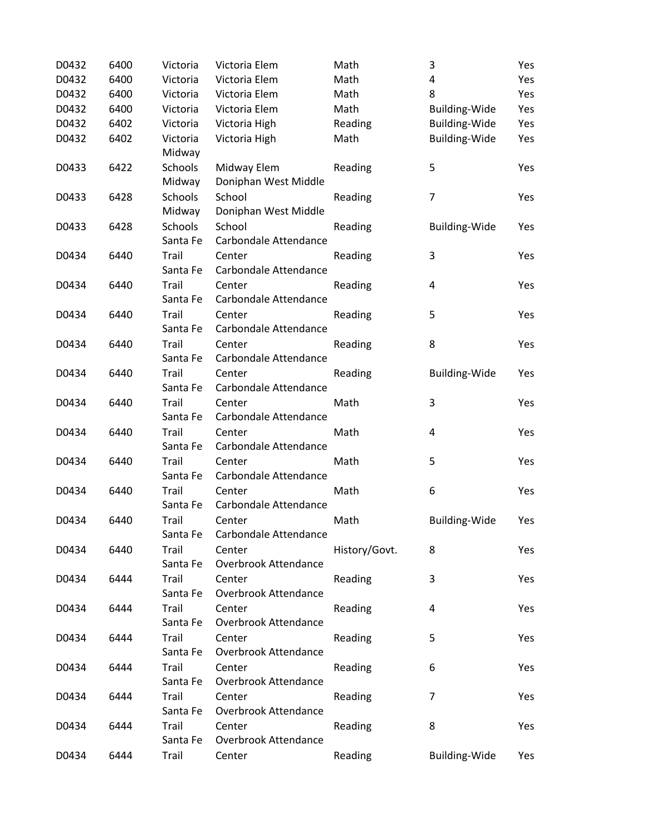| D0432 | 6400 | Victoria | Victoria Elem               | Math          | 3                       | Yes |
|-------|------|----------|-----------------------------|---------------|-------------------------|-----|
| D0432 | 6400 | Victoria | Victoria Elem               | Math          | 4                       | Yes |
| D0432 | 6400 | Victoria | Victoria Elem               | Math          | 8                       | Yes |
| D0432 | 6400 | Victoria | Victoria Elem               | Math          | Building-Wide           | Yes |
| D0432 | 6402 | Victoria | Victoria High               | Reading       | Building-Wide           | Yes |
| D0432 | 6402 | Victoria | Victoria High               | Math          | Building-Wide           | Yes |
|       |      | Midway   |                             |               |                         |     |
| D0433 | 6422 | Schools  | Midway Elem                 | Reading       | 5                       | Yes |
|       |      | Midway   | Doniphan West Middle        |               |                         |     |
| D0433 | 6428 | Schools  | School                      | Reading       | $\overline{7}$          | Yes |
|       |      | Midway   | Doniphan West Middle        |               |                         |     |
| D0433 | 6428 | Schools  | School                      | Reading       | Building-Wide           | Yes |
|       |      | Santa Fe | Carbondale Attendance       |               |                         |     |
| D0434 | 6440 | Trail    | Center                      | Reading       | 3                       | Yes |
|       |      | Santa Fe | Carbondale Attendance       |               |                         |     |
| D0434 | 6440 | Trail    | Center                      | Reading       | $\overline{\mathbf{4}}$ | Yes |
|       |      | Santa Fe | Carbondale Attendance       |               |                         |     |
| D0434 | 6440 | Trail    | Center                      | Reading       | 5                       | Yes |
|       |      | Santa Fe | Carbondale Attendance       |               |                         |     |
| D0434 | 6440 | Trail    | Center                      | Reading       | 8                       | Yes |
|       |      | Santa Fe | Carbondale Attendance       |               |                         |     |
| D0434 | 6440 | Trail    | Center                      | Reading       | Building-Wide           | Yes |
|       |      | Santa Fe | Carbondale Attendance       |               |                         |     |
| D0434 | 6440 | Trail    | Center                      | Math          | 3                       | Yes |
|       |      | Santa Fe | Carbondale Attendance       |               |                         |     |
| D0434 | 6440 | Trail    | Center                      | Math          | 4                       | Yes |
|       |      | Santa Fe | Carbondale Attendance       |               |                         |     |
| D0434 | 6440 | Trail    | Center                      | Math          | 5                       | Yes |
|       |      | Santa Fe | Carbondale Attendance       |               |                         |     |
| D0434 | 6440 | Trail    | Center                      | Math          | 6                       | Yes |
|       |      | Santa Fe | Carbondale Attendance       |               |                         |     |
| D0434 | 6440 | Trail    | Center                      | Math          | <b>Building-Wide</b>    | Yes |
|       |      | Santa Fe | Carbondale Attendance       |               |                         |     |
| D0434 | 6440 | Trail    | Center                      | History/Govt. | 8                       | Yes |
|       |      | Santa Fe | Overbrook Attendance        |               |                         |     |
| D0434 | 6444 | Trail    | Center                      | Reading       | 3                       | Yes |
|       |      | Santa Fe | Overbrook Attendance        |               |                         |     |
| D0434 | 6444 | Trail    | Center                      | Reading       | 4                       | Yes |
|       |      | Santa Fe | <b>Overbrook Attendance</b> |               |                         |     |
| D0434 | 6444 | Trail    | Center                      | Reading       | 5                       | Yes |
|       |      | Santa Fe | Overbrook Attendance        |               |                         |     |
| D0434 | 6444 | Trail    | Center                      | Reading       | 6                       | Yes |
|       |      | Santa Fe | Overbrook Attendance        |               |                         |     |
| D0434 | 6444 | Trail    | Center                      | Reading       | $\overline{7}$          | Yes |
|       |      | Santa Fe | Overbrook Attendance        |               |                         |     |
| D0434 | 6444 | Trail    | Center                      | Reading       | 8                       | Yes |
|       |      | Santa Fe | <b>Overbrook Attendance</b> |               |                         |     |
| D0434 | 6444 | Trail    | Center                      | Reading       | Building-Wide           | Yes |
|       |      |          |                             |               |                         |     |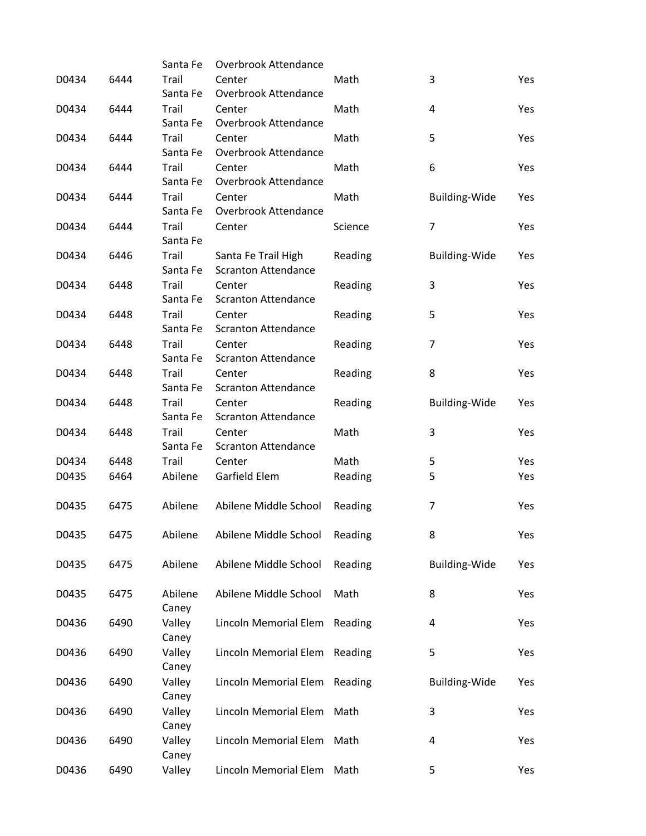|       |      | Santa Fe          | Overbrook Attendance                 |         |                      |     |
|-------|------|-------------------|--------------------------------------|---------|----------------------|-----|
| D0434 | 6444 | Trail             | Center                               | Math    | 3                    | Yes |
|       |      | Santa Fe          | Overbrook Attendance                 |         |                      |     |
| D0434 | 6444 | Trail             | Center                               | Math    | 4                    | Yes |
|       |      | Santa Fe          | <b>Overbrook Attendance</b>          |         |                      |     |
| D0434 | 6444 | Trail             | Center                               | Math    | 5                    | Yes |
|       |      | Santa Fe          | <b>Overbrook Attendance</b>          |         |                      |     |
| D0434 | 6444 | Trail             | Center                               | Math    | 6                    | Yes |
|       |      | Santa Fe          | Overbrook Attendance                 |         |                      |     |
| D0434 | 6444 | Trail             | Center                               | Math    | <b>Building-Wide</b> | Yes |
|       |      | Santa Fe          | <b>Overbrook Attendance</b>          |         |                      |     |
| D0434 | 6444 | Trail             | Center                               | Science | $\overline{7}$       | Yes |
|       |      | Santa Fe          |                                      |         |                      |     |
| D0434 | 6446 | Trail             | Santa Fe Trail High                  | Reading | <b>Building-Wide</b> | Yes |
|       |      | Santa Fe          | <b>Scranton Attendance</b>           |         |                      |     |
| D0434 | 6448 | Trail             | Center                               | Reading | 3                    | Yes |
|       |      | Santa Fe          | <b>Scranton Attendance</b>           |         |                      |     |
| D0434 | 6448 | Trail             | Center                               |         | 5                    | Yes |
|       |      | Santa Fe          | <b>Scranton Attendance</b>           | Reading |                      |     |
|       |      |                   |                                      |         |                      |     |
| D0434 | 6448 | Trail<br>Santa Fe | Center<br><b>Scranton Attendance</b> | Reading | 7                    | Yes |
|       |      |                   |                                      |         |                      |     |
| D0434 | 6448 | Trail             | Center                               | Reading | 8                    | Yes |
|       |      | Santa Fe          | <b>Scranton Attendance</b>           |         |                      |     |
| D0434 | 6448 | Trail             | Center                               | Reading | <b>Building-Wide</b> | Yes |
|       |      | Santa Fe          | <b>Scranton Attendance</b>           |         |                      |     |
| D0434 | 6448 | Trail             | Center                               | Math    | 3                    | Yes |
|       |      | Santa Fe          | <b>Scranton Attendance</b>           |         |                      |     |
| D0434 | 6448 | Trail             | Center                               | Math    | 5                    | Yes |
| D0435 | 6464 | Abilene           | Garfield Elem                        | Reading | 5                    | Yes |
|       |      |                   |                                      |         |                      |     |
| D0435 | 6475 | Abilene           | Abilene Middle School                | Reading | 7                    | Yes |
|       |      |                   |                                      |         |                      |     |
| D0435 | 6475 | Abilene           | Abilene Middle School                | Reading | 8                    | Yes |
|       |      |                   |                                      |         |                      |     |
| D0435 | 6475 | Abilene           | Abilene Middle School                | Reading | <b>Building-Wide</b> | Yes |
|       |      |                   |                                      |         |                      |     |
| D0435 | 6475 | Abilene           | Abilene Middle School                | Math    | 8                    | Yes |
|       |      | Caney             |                                      |         |                      |     |
| D0436 | 6490 | Valley            | Lincoln Memorial Elem                | Reading | 4                    | Yes |
|       |      | Caney             |                                      |         |                      |     |
| D0436 | 6490 | Valley            | Lincoln Memorial Elem                | Reading | 5                    | Yes |
|       |      | Caney             |                                      |         |                      |     |
| D0436 | 6490 | Valley            | Lincoln Memorial Elem                | Reading | <b>Building-Wide</b> | Yes |
|       |      | Caney             |                                      |         |                      |     |
| D0436 | 6490 | Valley            | Lincoln Memorial Elem                | Math    | 3                    | Yes |
|       |      | Caney             |                                      |         |                      |     |
| D0436 | 6490 | Valley            | Lincoln Memorial Elem                | Math    | 4                    | Yes |
|       |      | Caney             |                                      |         |                      |     |
| D0436 | 6490 | Valley            | Lincoln Memorial Elem                | Math    | 5                    | Yes |
|       |      |                   |                                      |         |                      |     |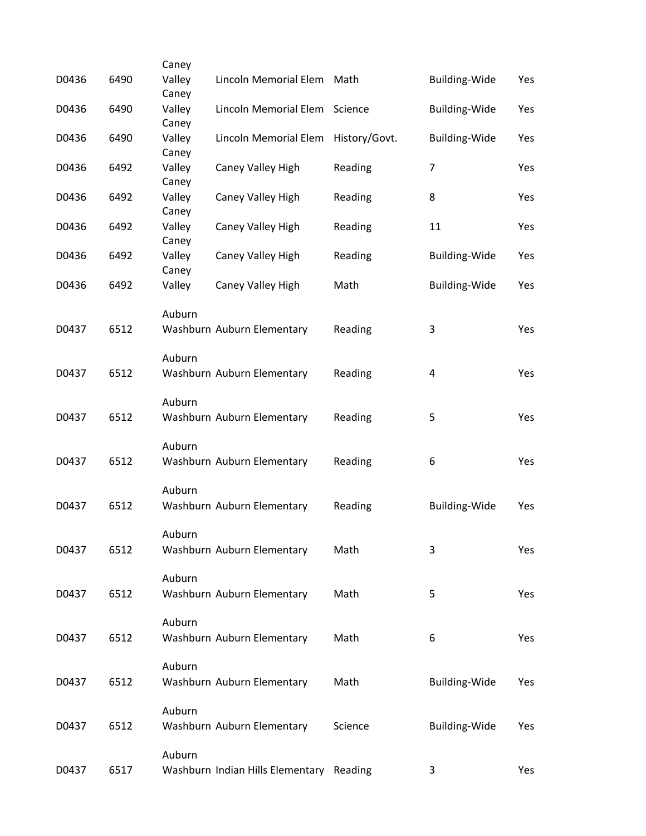| D0436 | 6490 | Caney<br>Valley | Lincoln Memorial Elem                    | Math          | <b>Building-Wide</b> | Yes |
|-------|------|-----------------|------------------------------------------|---------------|----------------------|-----|
| D0436 | 6490 | Caney<br>Valley | Lincoln Memorial Elem                    | Science       | <b>Building-Wide</b> | Yes |
|       |      | Caney           |                                          |               |                      |     |
| D0436 | 6490 | Valley<br>Caney | Lincoln Memorial Elem                    | History/Govt. | Building-Wide        | Yes |
| D0436 | 6492 | Valley<br>Caney | Caney Valley High                        | Reading       | $\overline{7}$       | Yes |
| D0436 | 6492 | Valley<br>Caney | Caney Valley High                        | Reading       | 8                    | Yes |
| D0436 | 6492 | Valley<br>Caney | Caney Valley High                        | Reading       | 11                   | Yes |
| D0436 | 6492 | Valley<br>Caney | Caney Valley High                        | Reading       | <b>Building-Wide</b> | Yes |
| D0436 | 6492 | Valley          | Caney Valley High                        | Math          | <b>Building-Wide</b> | Yes |
|       |      | Auburn          |                                          |               |                      |     |
| D0437 | 6512 |                 | Washburn Auburn Elementary               | Reading       | 3                    | Yes |
|       |      | Auburn          |                                          |               |                      |     |
| D0437 | 6512 |                 | Washburn Auburn Elementary               | Reading       | 4                    | Yes |
|       |      | Auburn          |                                          |               |                      |     |
| D0437 | 6512 |                 | Washburn Auburn Elementary               | Reading       | 5                    | Yes |
|       |      | Auburn          |                                          |               |                      |     |
| D0437 | 6512 |                 | Washburn Auburn Elementary               | Reading       | 6                    | Yes |
|       |      | Auburn          |                                          |               |                      |     |
| D0437 | 6512 |                 | Washburn Auburn Elementary               | Reading       | <b>Building-Wide</b> | Yes |
|       |      | Auburn          |                                          |               |                      |     |
| D0437 | 6512 |                 | Washburn Auburn Elementary               | Math          | 3                    | Yes |
|       |      | Auburn          |                                          |               |                      |     |
| D0437 | 6512 |                 | Washburn Auburn Elementary               | Math          | 5                    | Yes |
|       |      | Auburn          |                                          |               |                      |     |
| D0437 | 6512 |                 | Washburn Auburn Elementary               | Math          | 6                    | Yes |
|       |      | Auburn          |                                          |               |                      |     |
| D0437 | 6512 |                 | Washburn Auburn Elementary               | Math          | <b>Building-Wide</b> | Yes |
|       |      | Auburn          |                                          |               |                      |     |
| D0437 | 6512 |                 | Washburn Auburn Elementary               | Science       | <b>Building-Wide</b> | Yes |
|       |      | Auburn          |                                          |               |                      |     |
| D0437 | 6517 |                 | Washburn Indian Hills Elementary Reading |               | 3                    | Yes |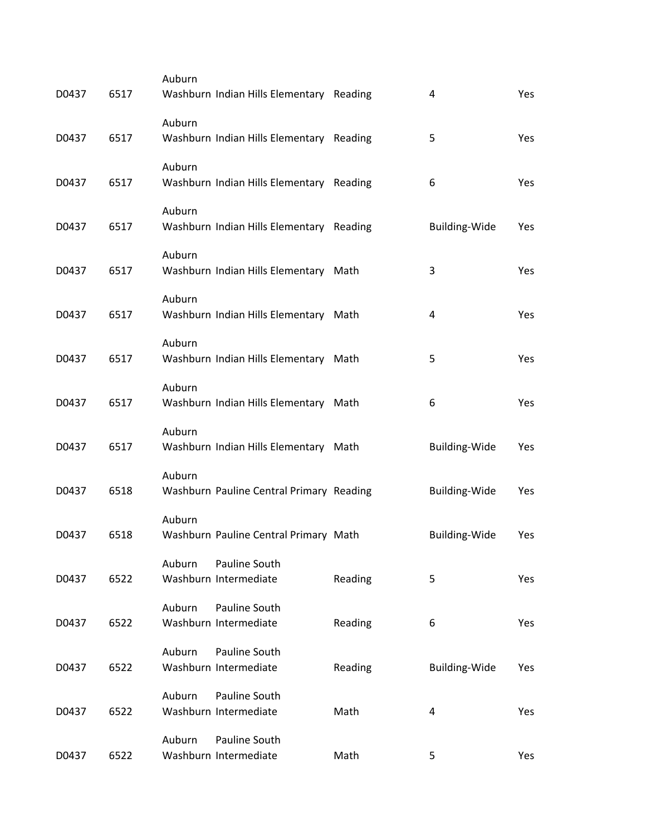| D0437 | 6517 | Auburn | Washburn Indian Hills Elementary Reading |         | 4                    | Yes        |
|-------|------|--------|------------------------------------------|---------|----------------------|------------|
| D0437 | 6517 | Auburn | Washburn Indian Hills Elementary Reading |         | 5                    | Yes        |
| D0437 | 6517 | Auburn | Washburn Indian Hills Elementary Reading |         | 6                    | Yes        |
| D0437 | 6517 | Auburn | Washburn Indian Hills Elementary Reading |         | <b>Building-Wide</b> | Yes        |
| D0437 | 6517 | Auburn | Washburn Indian Hills Elementary         | Math    | 3                    | Yes        |
| D0437 | 6517 | Auburn | Washburn Indian Hills Elementary Math    |         | $\pmb{4}$            | Yes        |
| D0437 | 6517 | Auburn | Washburn Indian Hills Elementary         | Math    | 5                    | Yes        |
| D0437 | 6517 | Auburn | Washburn Indian Hills Elementary Math    |         | 6                    | Yes        |
| D0437 | 6517 | Auburn | Washburn Indian Hills Elementary Math    |         | <b>Building-Wide</b> | <b>Yes</b> |
| D0437 | 6518 | Auburn | Washburn Pauline Central Primary Reading |         | <b>Building-Wide</b> | Yes        |
| D0437 | 6518 | Auburn | Washburn Pauline Central Primary Math    |         | <b>Building-Wide</b> | Yes        |
| D0437 | 6522 | Auburn | Pauline South<br>Washburn Intermediate   | Reading | 5                    | Yes        |
| D0437 | 6522 | Auburn | Pauline South<br>Washburn Intermediate   | Reading | 6                    | Yes        |
| D0437 | 6522 | Auburn | Pauline South<br>Washburn Intermediate   | Reading | Building-Wide        | Yes        |
| D0437 | 6522 | Auburn | Pauline South<br>Washburn Intermediate   | Math    | 4                    | Yes        |
| D0437 | 6522 | Auburn | Pauline South<br>Washburn Intermediate   | Math    | 5                    | Yes        |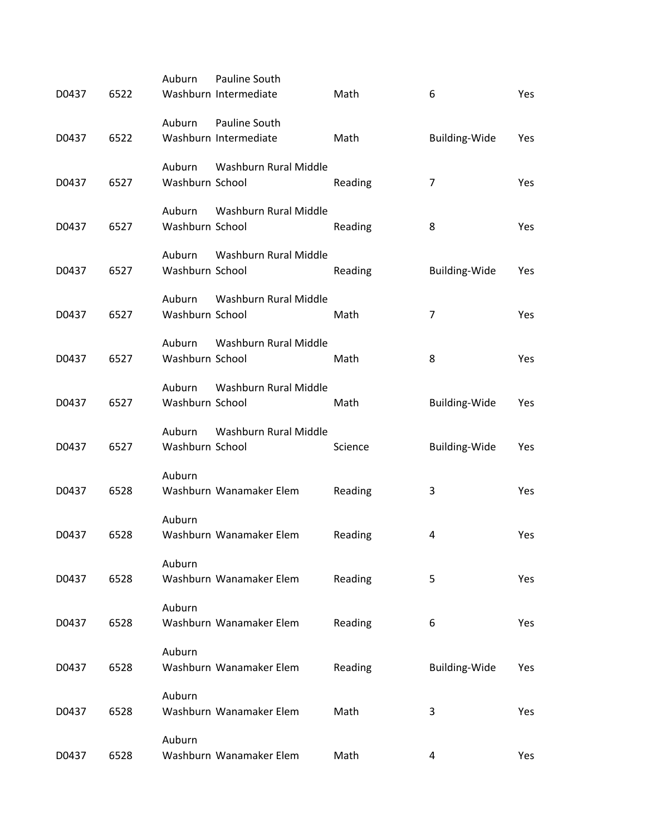|       |      | Auburn                    | Pauline South           |         |                      |     |
|-------|------|---------------------------|-------------------------|---------|----------------------|-----|
| D0437 | 6522 |                           | Washburn Intermediate   | Math    | 6                    | Yes |
|       |      | Auburn                    | Pauline South           |         |                      |     |
| D0437 | 6522 |                           | Washburn Intermediate   | Math    | <b>Building-Wide</b> | Yes |
|       |      | Auburn                    | Washburn Rural Middle   |         |                      |     |
| D0437 | 6527 | Washburn School           |                         | Reading | $\overline{7}$       | Yes |
|       |      | Auburn                    | Washburn Rural Middle   |         |                      |     |
| D0437 | 6527 | Washburn School           |                         | Reading | 8                    | Yes |
|       |      |                           |                         |         |                      |     |
| D0437 | 6527 | Auburn<br>Washburn School | Washburn Rural Middle   | Reading | <b>Building-Wide</b> | Yes |
|       |      |                           |                         |         |                      |     |
|       |      | Auburn                    | Washburn Rural Middle   |         |                      |     |
| D0437 | 6527 | Washburn School           |                         | Math    | $\overline{7}$       | Yes |
|       |      | Auburn                    | Washburn Rural Middle   |         |                      |     |
| D0437 | 6527 | Washburn School           |                         | Math    | 8                    | Yes |
|       |      | Auburn                    | Washburn Rural Middle   |         |                      |     |
| D0437 | 6527 | Washburn School           |                         | Math    | <b>Building-Wide</b> | Yes |
|       |      | Auburn                    | Washburn Rural Middle   |         |                      |     |
| D0437 | 6527 | Washburn School           |                         | Science | <b>Building-Wide</b> | Yes |
|       |      |                           |                         |         |                      |     |
| D0437 | 6528 | Auburn                    | Washburn Wanamaker Elem | Reading | 3                    | Yes |
|       |      |                           |                         |         |                      |     |
|       |      | Auburn                    |                         |         |                      |     |
| D0437 | 6528 |                           | Washburn Wanamaker Elem | Reading | 4                    | Yes |
|       |      | Auburn                    |                         |         |                      |     |
| D0437 | 6528 |                           | Washburn Wanamaker Elem | Reading | 5                    | Yes |
|       |      | Auburn                    |                         |         |                      |     |
| D0437 | 6528 |                           | Washburn Wanamaker Elem | Reading | 6                    | Yes |
|       |      | Auburn                    |                         |         |                      |     |
| D0437 | 6528 |                           | Washburn Wanamaker Elem | Reading | <b>Building-Wide</b> | Yes |
|       |      |                           |                         |         |                      |     |
| D0437 | 6528 | Auburn                    | Washburn Wanamaker Elem | Math    | 3                    | Yes |
|       |      |                           |                         |         |                      |     |
|       |      | Auburn                    |                         |         |                      |     |
| D0437 | 6528 |                           | Washburn Wanamaker Elem | Math    | 4                    | Yes |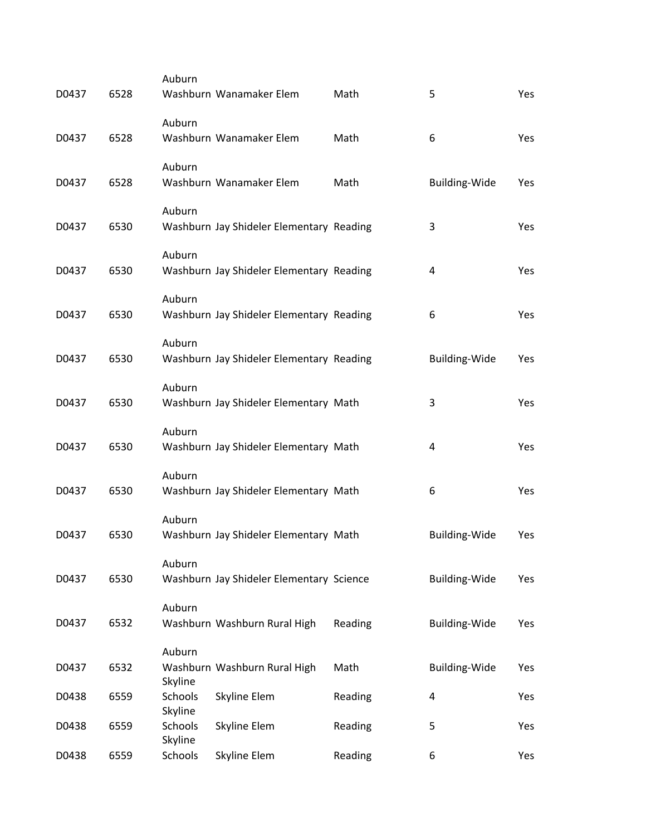| D0437 | 6528 | Auburn                    | Washburn Wanamaker Elem                  | Math    | 5                       | Yes        |
|-------|------|---------------------------|------------------------------------------|---------|-------------------------|------------|
| D0437 | 6528 | Auburn                    | Washburn Wanamaker Elem                  | Math    | 6                       | Yes        |
| D0437 | 6528 | Auburn                    | Washburn Wanamaker Elem                  | Math    | <b>Building-Wide</b>    | Yes        |
| D0437 | 6530 | Auburn                    | Washburn Jay Shideler Elementary Reading |         | 3                       | <b>Yes</b> |
| D0437 | 6530 | Auburn                    | Washburn Jay Shideler Elementary Reading |         | 4                       | Yes        |
| D0437 | 6530 | Auburn                    | Washburn Jay Shideler Elementary Reading |         | 6                       | Yes        |
| D0437 | 6530 | Auburn                    | Washburn Jay Shideler Elementary Reading |         | <b>Building-Wide</b>    | <b>Yes</b> |
| D0437 | 6530 | Auburn                    | Washburn Jay Shideler Elementary Math    |         | 3                       | Yes        |
| D0437 | 6530 | Auburn                    | Washburn Jay Shideler Elementary Math    |         | 4                       | Yes        |
| D0437 | 6530 | Auburn                    | Washburn Jay Shideler Elementary Math    |         | 6                       | Yes        |
| D0437 | 6530 | Auburn                    | Washburn Jay Shideler Elementary Math    |         | <b>Building-Wide</b>    | Yes        |
| D0437 | 6530 | Auburn                    | Washburn Jay Shideler Elementary Science |         | <b>Building-Wide</b>    | Yes        |
| D0437 | 6532 | Auburn                    | Washburn Washburn Rural High             | Reading | <b>Building-Wide</b>    | Yes        |
| D0437 | 6532 | Auburn<br>Skyline         | Washburn Washburn Rural High             | Math    | Building-Wide           | Yes        |
| D0438 | 6559 | <b>Schools</b><br>Skyline | Skyline Elem                             | Reading | $\overline{\mathbf{4}}$ | Yes        |
| D0438 | 6559 | <b>Schools</b>            | Skyline Elem                             | Reading | 5                       | Yes        |
| D0438 | 6559 | Skyline<br>Schools        | Skyline Elem                             | Reading | 6                       | Yes        |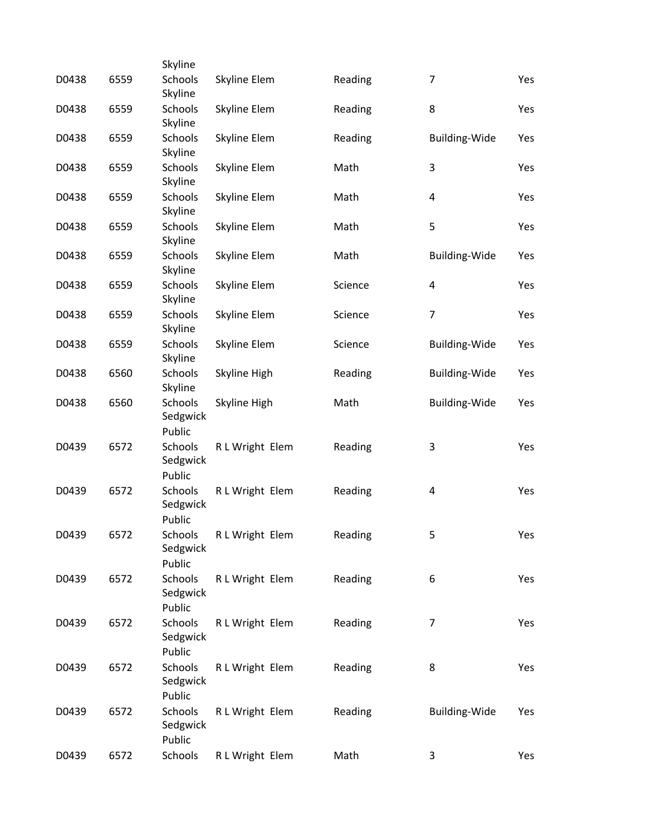|       |      | Skyline                       |                 |         |                      |     |
|-------|------|-------------------------------|-----------------|---------|----------------------|-----|
| D0438 | 6559 | <b>Schools</b><br>Skyline     | Skyline Elem    | Reading | $\overline{7}$       | Yes |
| D0438 | 6559 | Schools<br>Skyline            | Skyline Elem    | Reading | 8                    | Yes |
| D0438 | 6559 | Schools<br>Skyline            | Skyline Elem    | Reading | Building-Wide        | Yes |
| D0438 | 6559 | Schools<br>Skyline            | Skyline Elem    | Math    | 3                    | Yes |
| D0438 | 6559 | Schools<br>Skyline            | Skyline Elem    | Math    | 4                    | Yes |
| D0438 | 6559 | Schools<br>Skyline            | Skyline Elem    | Math    | 5                    | Yes |
| D0438 | 6559 | Schools<br>Skyline            | Skyline Elem    | Math    | <b>Building-Wide</b> | Yes |
| D0438 | 6559 | Schools<br>Skyline            | Skyline Elem    | Science | 4                    | Yes |
| D0438 | 6559 | Schools<br>Skyline            | Skyline Elem    | Science | $\overline{7}$       | Yes |
| D0438 | 6559 | Schools<br>Skyline            | Skyline Elem    | Science | <b>Building-Wide</b> | Yes |
| D0438 | 6560 | Schools<br>Skyline            | Skyline High    | Reading | <b>Building-Wide</b> | Yes |
| D0438 | 6560 | Schools<br>Sedgwick<br>Public | Skyline High    | Math    | Building-Wide        | Yes |
| D0439 | 6572 | Schools<br>Sedgwick<br>Public | R L Wright Elem | Reading | 3                    | Yes |
| D0439 | 6572 | Schools<br>Sedgwick<br>Public | R L Wright Elem | Reading | 4                    | Yes |
| D0439 | 6572 | Schools<br>Sedgwick<br>Public | R L Wright Elem | Reading | 5                    | Yes |
| D0439 | 6572 | Schools<br>Sedgwick<br>Public | R L Wright Elem | Reading | 6                    | Yes |
| D0439 | 6572 | Schools<br>Sedgwick<br>Public | R L Wright Elem | Reading | 7                    | Yes |
| D0439 | 6572 | Schools<br>Sedgwick<br>Public | R L Wright Elem | Reading | 8                    | Yes |
| D0439 | 6572 | Schools<br>Sedgwick<br>Public | R L Wright Elem | Reading | <b>Building-Wide</b> | Yes |
| D0439 | 6572 | Schools                       | R L Wright Elem | Math    | 3                    | Yes |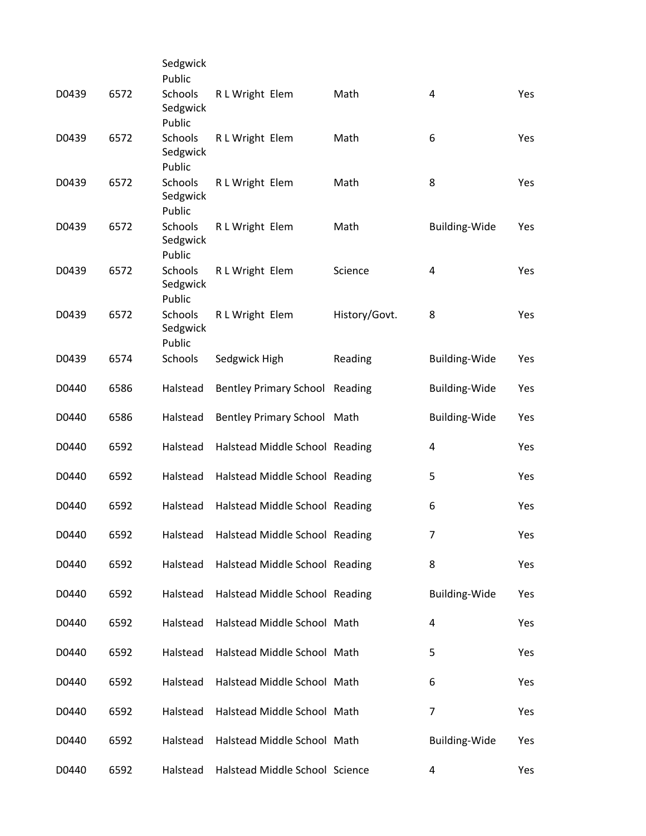|       |      | Sedgwick                                |                                       |               |                      |     |
|-------|------|-----------------------------------------|---------------------------------------|---------------|----------------------|-----|
| D0439 | 6572 | Public<br>Schools<br>Sedgwick           | R L Wright Elem                       | Math          | $\overline{4}$       | Yes |
| D0439 | 6572 | Public<br>Schools                       | R L Wright Elem                       | Math          | 6                    | Yes |
|       |      | Sedgwick<br>Public                      |                                       |               |                      |     |
| D0439 | 6572 | <b>Schools</b><br>Sedgwick<br>Public    | R L Wright Elem                       | Math          | 8                    | Yes |
| D0439 | 6572 | Schools<br>Sedgwick<br>Public           | R L Wright Elem                       | Math          | <b>Building-Wide</b> | Yes |
| D0439 | 6572 | Schools<br>Sedgwick                     | R L Wright Elem                       | Science       | 4                    | Yes |
| D0439 | 6572 | Public<br>Schools<br>Sedgwick<br>Public | R L Wright Elem                       | History/Govt. | 8                    | Yes |
| D0439 | 6574 | Schools                                 | Sedgwick High                         | Reading       | <b>Building-Wide</b> | Yes |
| D0440 | 6586 | Halstead                                | <b>Bentley Primary School Reading</b> |               | <b>Building-Wide</b> | Yes |
| D0440 | 6586 | Halstead                                | Bentley Primary School Math           |               | <b>Building-Wide</b> | Yes |
| D0440 | 6592 | Halstead                                | Halstead Middle School Reading        |               | 4                    | Yes |
| D0440 | 6592 | Halstead                                | Halstead Middle School Reading        |               | 5                    | Yes |
| D0440 | 6592 | Halstead                                | Halstead Middle School Reading        |               | 6                    | Yes |
| D0440 | 6592 | Halstead                                | Halstead Middle School Reading        |               | 7                    | Yes |
| D0440 | 6592 | Halstead                                | Halstead Middle School Reading        |               | 8                    | Yes |
| D0440 | 6592 | Halstead                                | Halstead Middle School Reading        |               | <b>Building-Wide</b> | Yes |
| D0440 | 6592 | Halstead                                | Halstead Middle School Math           |               | 4                    | Yes |
| D0440 | 6592 | Halstead                                | Halstead Middle School Math           |               | 5                    | Yes |
| D0440 | 6592 | Halstead                                | Halstead Middle School Math           |               | 6                    | Yes |
| D0440 | 6592 | Halstead                                | Halstead Middle School Math           |               | $\overline{7}$       | Yes |
| D0440 | 6592 | Halstead                                | Halstead Middle School Math           |               | <b>Building-Wide</b> | Yes |
| D0440 | 6592 | Halstead                                | Halstead Middle School Science        |               | 4                    | Yes |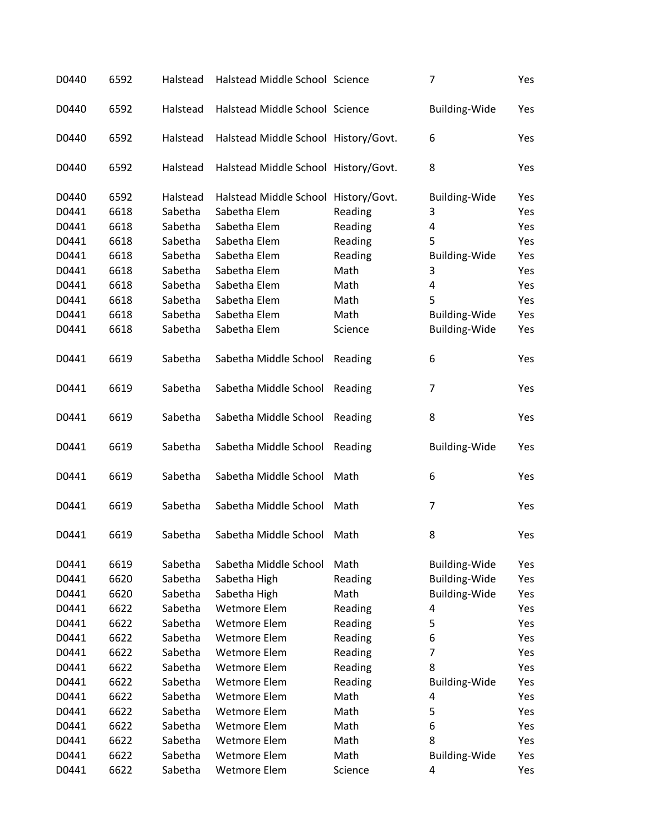| D0440 | 6592 | Halstead | Halstead Middle School Science       |         | 7                    | Yes |
|-------|------|----------|--------------------------------------|---------|----------------------|-----|
| D0440 | 6592 | Halstead | Halstead Middle School Science       |         | <b>Building-Wide</b> | Yes |
| D0440 | 6592 | Halstead | Halstead Middle School History/Govt. |         | 6                    | Yes |
| D0440 | 6592 | Halstead | Halstead Middle School History/Govt. |         | 8                    | Yes |
| D0440 | 6592 | Halstead | Halstead Middle School History/Govt. |         | <b>Building-Wide</b> | Yes |
| D0441 | 6618 | Sabetha  | Sabetha Elem                         | Reading | 3                    | Yes |
| D0441 | 6618 | Sabetha  | Sabetha Elem                         | Reading | 4                    | Yes |
| D0441 | 6618 | Sabetha  | Sabetha Elem                         | Reading | 5                    | Yes |
| D0441 | 6618 | Sabetha  | Sabetha Elem                         | Reading | <b>Building-Wide</b> | Yes |
| D0441 | 6618 | Sabetha  | Sabetha Elem                         | Math    | 3                    | Yes |
| D0441 | 6618 | Sabetha  | Sabetha Elem                         | Math    | 4                    | Yes |
| D0441 | 6618 | Sabetha  | Sabetha Elem                         | Math    | 5                    | Yes |
| D0441 | 6618 | Sabetha  | Sabetha Elem                         | Math    | <b>Building-Wide</b> | Yes |
| D0441 | 6618 | Sabetha  | Sabetha Elem                         | Science | <b>Building-Wide</b> | Yes |
|       |      |          |                                      |         |                      |     |
| D0441 | 6619 | Sabetha  | Sabetha Middle School                | Reading | 6                    | Yes |
| D0441 | 6619 | Sabetha  | Sabetha Middle School                | Reading | 7                    | Yes |
| D0441 | 6619 | Sabetha  | Sabetha Middle School                | Reading | 8                    | Yes |
| D0441 | 6619 | Sabetha  | Sabetha Middle School                | Reading | <b>Building-Wide</b> | Yes |
| D0441 | 6619 | Sabetha  | Sabetha Middle School                | Math    | 6                    | Yes |
| D0441 | 6619 | Sabetha  | Sabetha Middle School                | Math    | 7                    | Yes |
| D0441 | 6619 | Sabetha  | Sabetha Middle School                | Math    | 8                    | Yes |
| D0441 | 6619 | Sabetha  | Sabetha Middle School                | Math    | <b>Building-Wide</b> | Yes |
| D0441 | 6620 | Sabetha  | Sabetha High                         | Reading | <b>Building-Wide</b> | Yes |
| D0441 | 6620 | Sabetha  | Sabetha High                         | Math    | Building-Wide        | Yes |
| D0441 | 6622 | Sabetha  | <b>Wetmore Elem</b>                  | Reading | 4                    | Yes |
| D0441 | 6622 | Sabetha  | <b>Wetmore Elem</b>                  | Reading | 5                    | Yes |
| D0441 | 6622 | Sabetha  | <b>Wetmore Elem</b>                  | Reading | 6                    | Yes |
| D0441 | 6622 | Sabetha  | <b>Wetmore Elem</b>                  | Reading | 7                    | Yes |
| D0441 | 6622 | Sabetha  | Wetmore Elem                         | Reading | 8                    | Yes |
| D0441 | 6622 | Sabetha  | <b>Wetmore Elem</b>                  | Reading | <b>Building-Wide</b> | Yes |
| D0441 | 6622 | Sabetha  | <b>Wetmore Elem</b>                  | Math    | 4                    | Yes |
| D0441 | 6622 | Sabetha  | <b>Wetmore Elem</b>                  | Math    | 5                    | Yes |
| D0441 | 6622 | Sabetha  | Wetmore Elem                         | Math    | 6                    | Yes |
| D0441 | 6622 | Sabetha  | <b>Wetmore Elem</b>                  | Math    | 8                    | Yes |
| D0441 | 6622 | Sabetha  | Wetmore Elem                         | Math    | <b>Building-Wide</b> | Yes |
| D0441 | 6622 | Sabetha  | Wetmore Elem                         |         |                      |     |
|       |      |          |                                      | Science | 4                    | Yes |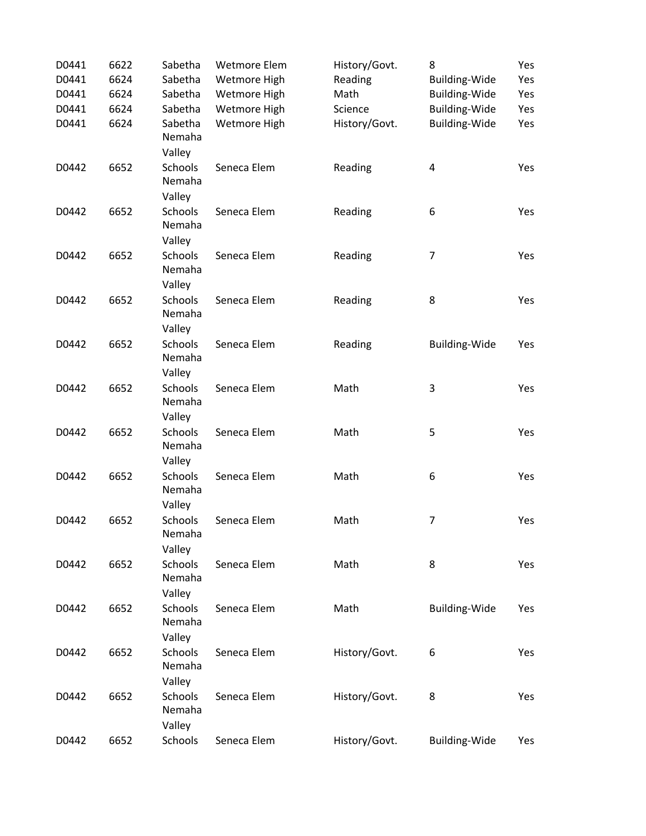| D0441 | 6622 | Sabetha                            | <b>Wetmore Elem</b> | History/Govt. | 8                       | Yes |
|-------|------|------------------------------------|---------------------|---------------|-------------------------|-----|
| D0441 | 6624 | Sabetha                            | Wetmore High        | Reading       | <b>Building-Wide</b>    | Yes |
| D0441 | 6624 | Sabetha                            | Wetmore High        | Math          | <b>Building-Wide</b>    | Yes |
| D0441 | 6624 | Sabetha                            | Wetmore High        | Science       | <b>Building-Wide</b>    | Yes |
| D0441 | 6624 | Sabetha<br>Nemaha<br>Valley        | Wetmore High        | History/Govt. | <b>Building-Wide</b>    | Yes |
| D0442 | 6652 | <b>Schools</b><br>Nemaha<br>Valley | Seneca Elem         | Reading       | $\overline{\mathbf{4}}$ | Yes |
| D0442 | 6652 | <b>Schools</b><br>Nemaha<br>Valley | Seneca Elem         | Reading       | 6                       | Yes |
| D0442 | 6652 | <b>Schools</b><br>Nemaha<br>Valley | Seneca Elem         | Reading       | $\overline{7}$          | Yes |
| D0442 | 6652 | Schools<br>Nemaha<br>Valley        | Seneca Elem         | Reading       | 8                       | Yes |
| D0442 | 6652 | <b>Schools</b><br>Nemaha<br>Valley | Seneca Elem         | Reading       | <b>Building-Wide</b>    | Yes |
| D0442 | 6652 | Schools<br>Nemaha<br>Valley        | Seneca Elem         | Math          | 3                       | Yes |
| D0442 | 6652 | Schools<br>Nemaha<br>Valley        | Seneca Elem         | Math          | 5                       | Yes |
| D0442 | 6652 | Schools<br>Nemaha<br>Valley        | Seneca Elem         | Math          | 6                       | Yes |
| D0442 | 6652 | Schools<br>Nemaha<br>Valley        | Seneca Elem         | Math          | $\overline{7}$          | Yes |
| D0442 | 6652 | <b>Schools</b><br>Nemaha<br>Valley | Seneca Elem         | Math          | 8                       | Yes |
| D0442 | 6652 | <b>Schools</b><br>Nemaha<br>Valley | Seneca Elem         | Math          | <b>Building-Wide</b>    | Yes |
| D0442 | 6652 | <b>Schools</b><br>Nemaha<br>Valley | Seneca Elem         | History/Govt. | 6                       | Yes |
| D0442 | 6652 | Schools<br>Nemaha<br>Valley        | Seneca Elem         | History/Govt. | 8                       | Yes |
| D0442 | 6652 | Schools                            | Seneca Elem         | History/Govt. | <b>Building-Wide</b>    | Yes |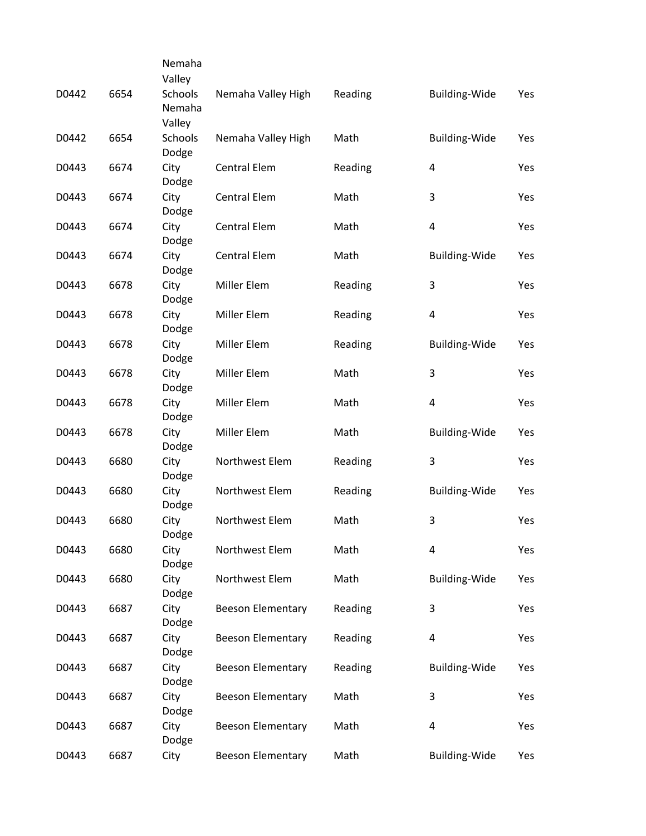|       |      | Nemaha                  |                          |         |                      |     |
|-------|------|-------------------------|--------------------------|---------|----------------------|-----|
|       |      | Valley                  |                          |         |                      |     |
| D0442 | 6654 | Schools<br>Nemaha       | Nemaha Valley High       | Reading | <b>Building-Wide</b> | Yes |
|       |      | Valley                  |                          |         |                      |     |
| D0442 | 6654 | <b>Schools</b><br>Dodge | Nemaha Valley High       | Math    | Building-Wide        | Yes |
| D0443 | 6674 | City<br>Dodge           | <b>Central Elem</b>      | Reading | 4                    | Yes |
| D0443 | 6674 | City<br>Dodge           | <b>Central Elem</b>      | Math    | 3                    | Yes |
| D0443 | 6674 | City<br>Dodge           | <b>Central Elem</b>      | Math    | 4                    | Yes |
| D0443 | 6674 | City<br>Dodge           | <b>Central Elem</b>      | Math    | <b>Building-Wide</b> | Yes |
| D0443 | 6678 | City<br>Dodge           | Miller Elem              | Reading | 3                    | Yes |
| D0443 | 6678 | City<br>Dodge           | <b>Miller Elem</b>       | Reading | 4                    | Yes |
| D0443 | 6678 | City<br>Dodge           | Miller Elem              | Reading | <b>Building-Wide</b> | Yes |
| D0443 | 6678 | City<br>Dodge           | Miller Elem              | Math    | 3                    | Yes |
| D0443 | 6678 | City<br>Dodge           | Miller Elem              | Math    | 4                    | Yes |
| D0443 | 6678 | City<br>Dodge           | Miller Elem              | Math    | <b>Building-Wide</b> | Yes |
| D0443 | 6680 | City<br>Dodge           | Northwest Elem           | Reading | 3                    | Yes |
| D0443 | 6680 | City<br>Dodge           | Northwest Elem           | Reading | <b>Building-Wide</b> | Yes |
| D0443 | 6680 | City<br>Dodge           | Northwest Elem           | Math    | 3                    | Yes |
| D0443 | 6680 | City<br>Dodge           | Northwest Elem           | Math    | 4                    | Yes |
| D0443 | 6680 | City<br>Dodge           | Northwest Elem           | Math    | Building-Wide        | Yes |
| D0443 | 6687 | City<br>Dodge           | <b>Beeson Elementary</b> | Reading | 3                    | Yes |
| D0443 | 6687 | City<br>Dodge           | <b>Beeson Elementary</b> | Reading | 4                    | Yes |
| D0443 | 6687 | City<br>Dodge           | <b>Beeson Elementary</b> | Reading | <b>Building-Wide</b> | Yes |
| D0443 | 6687 | City<br>Dodge           | <b>Beeson Elementary</b> | Math    | 3                    | Yes |
| D0443 | 6687 | City<br>Dodge           | <b>Beeson Elementary</b> | Math    | 4                    | Yes |
| D0443 | 6687 | City                    | <b>Beeson Elementary</b> | Math    | <b>Building-Wide</b> | Yes |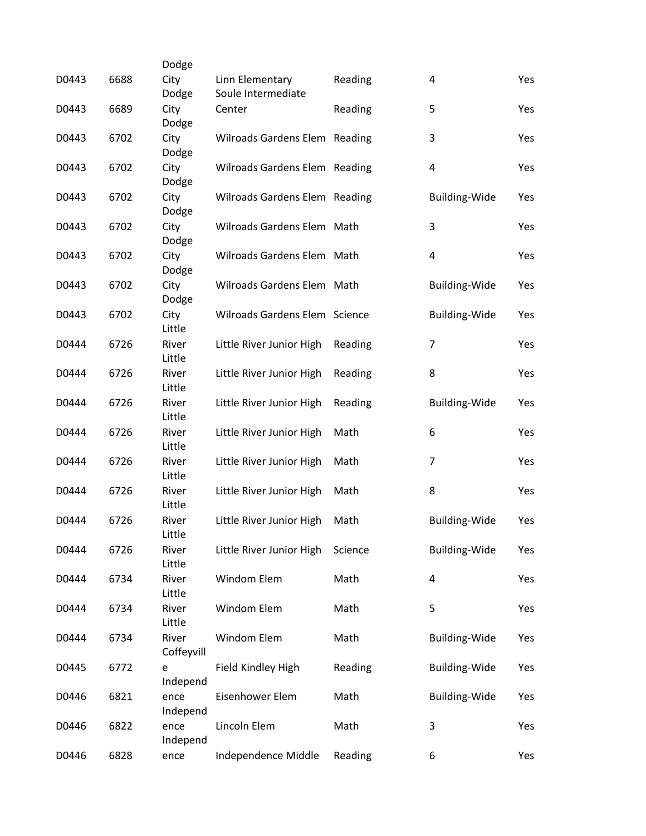| D0443 | 6688 | Dodge<br>City<br>Dodge | Linn Elementary<br>Soule Intermediate | Reading | 4                    | Yes |
|-------|------|------------------------|---------------------------------------|---------|----------------------|-----|
| D0443 | 6689 | City<br>Dodge          | Center                                | Reading | 5                    | Yes |
| D0443 | 6702 | City<br>Dodge          | Wilroads Gardens Elem Reading         |         | 3                    | Yes |
| D0443 | 6702 | City<br>Dodge          | Wilroads Gardens Elem Reading         |         | 4                    | Yes |
| D0443 | 6702 | City<br>Dodge          | Wilroads Gardens Elem Reading         |         | <b>Building-Wide</b> | Yes |
| D0443 | 6702 | City<br>Dodge          | Wilroads Gardens Elem Math            |         | 3                    | Yes |
| D0443 | 6702 | City<br>Dodge          | Wilroads Gardens Elem Math            |         | 4                    | Yes |
| D0443 | 6702 | City<br>Dodge          | Wilroads Gardens Elem Math            |         | <b>Building-Wide</b> | Yes |
| D0443 | 6702 | City<br>Little         | Wilroads Gardens Elem Science         |         | <b>Building-Wide</b> | Yes |
| D0444 | 6726 | River<br>Little        | Little River Junior High              | Reading | $\overline{7}$       | Yes |
| D0444 | 6726 | River<br>Little        | Little River Junior High              | Reading | 8                    | Yes |
| D0444 | 6726 | River<br>Little        | Little River Junior High              | Reading | Building-Wide        | Yes |
| D0444 | 6726 | River<br>Little        | Little River Junior High              | Math    | 6                    | Yes |
| D0444 | 6726 | River<br>Little        | Little River Junior High              | Math    | 7                    | Yes |
| D0444 | 6726 | River<br>Little        | Little River Junior High              | Math    | 8                    | Yes |
| D0444 | 6726 | River<br>Little        | Little River Junior High              | Math    | <b>Building-Wide</b> | Yes |
| D0444 | 6726 | River<br>Little        | Little River Junior High              | Science | <b>Building-Wide</b> | Yes |
| D0444 | 6734 | River<br>Little        | Windom Elem                           | Math    | 4                    | Yes |
| D0444 | 6734 | River<br>Little        | Windom Elem                           | Math    | 5                    | Yes |
| D0444 | 6734 | River<br>Coffeyvill    | Windom Elem                           | Math    | <b>Building-Wide</b> | Yes |
| D0445 | 6772 | e<br>Independ          | Field Kindley High                    | Reading | <b>Building-Wide</b> | Yes |
| D0446 | 6821 | ence<br>Independ       | Eisenhower Elem                       | Math    | <b>Building-Wide</b> | Yes |
| D0446 | 6822 | ence<br>Independ       | Lincoln Elem                          | Math    | 3                    | Yes |
| D0446 | 6828 | ence                   | Independence Middle                   | Reading | 6                    | Yes |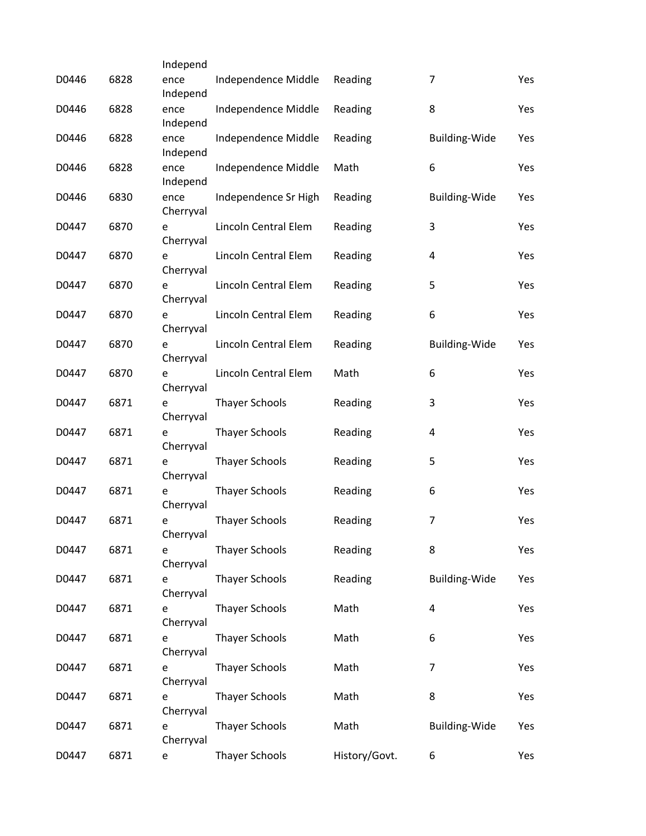|       |      | Independ          |                       |               |                         |     |
|-------|------|-------------------|-----------------------|---------------|-------------------------|-----|
| D0446 | 6828 | ence<br>Independ  | Independence Middle   | Reading       | 7                       | Yes |
| D0446 | 6828 | ence<br>Independ  | Independence Middle   | Reading       | 8                       | Yes |
| D0446 | 6828 | ence<br>Independ  | Independence Middle   | Reading       | <b>Building-Wide</b>    | Yes |
| D0446 | 6828 | ence<br>Independ  | Independence Middle   | Math          | 6                       | Yes |
| D0446 | 6830 | ence<br>Cherryval | Independence Sr High  | Reading       | <b>Building-Wide</b>    | Yes |
| D0447 | 6870 | e<br>Cherryval    | Lincoln Central Elem  | Reading       | 3                       | Yes |
| D0447 | 6870 | e<br>Cherryval    | Lincoln Central Elem  | Reading       | 4                       | Yes |
| D0447 | 6870 | e<br>Cherryval    | Lincoln Central Elem  | Reading       | 5                       | Yes |
| D0447 | 6870 | e<br>Cherryval    | Lincoln Central Elem  | Reading       | 6                       | Yes |
| D0447 | 6870 | e<br>Cherryval    | Lincoln Central Elem  | Reading       | <b>Building-Wide</b>    | Yes |
| D0447 | 6870 | e<br>Cherryval    | Lincoln Central Elem  | Math          | 6                       | Yes |
| D0447 | 6871 | e<br>Cherryval    | <b>Thayer Schools</b> | Reading       | 3                       | Yes |
| D0447 | 6871 | e<br>Cherryval    | <b>Thayer Schools</b> | Reading       | 4                       | Yes |
| D0447 | 6871 | e<br>Cherryval    | <b>Thayer Schools</b> | Reading       | 5                       | Yes |
| D0447 | 6871 | e<br>Cherryval    | <b>Thayer Schools</b> | Reading       | 6                       | Yes |
| D0447 | 6871 | е<br>Cherryval    | <b>Thayer Schools</b> | Reading       | $\overline{7}$          | Yes |
| D0447 | 6871 | e<br>Cherryval    | <b>Thayer Schools</b> | Reading       | 8                       | Yes |
| D0447 | 6871 | e<br>Cherryval    | <b>Thayer Schools</b> | Reading       | Building-Wide           | Yes |
| D0447 | 6871 | e<br>Cherryval    | <b>Thayer Schools</b> | Math          | $\overline{\mathbf{4}}$ | Yes |
| D0447 | 6871 | e<br>Cherryval    | <b>Thayer Schools</b> | Math          | 6                       | Yes |
| D0447 | 6871 | e<br>Cherryval    | <b>Thayer Schools</b> | Math          | $\overline{7}$          | Yes |
| D0447 | 6871 | e<br>Cherryval    | <b>Thayer Schools</b> | Math          | 8                       | Yes |
| D0447 | 6871 | e<br>Cherryval    | <b>Thayer Schools</b> | Math          | <b>Building-Wide</b>    | Yes |
| D0447 | 6871 | e                 | <b>Thayer Schools</b> | History/Govt. | 6                       | Yes |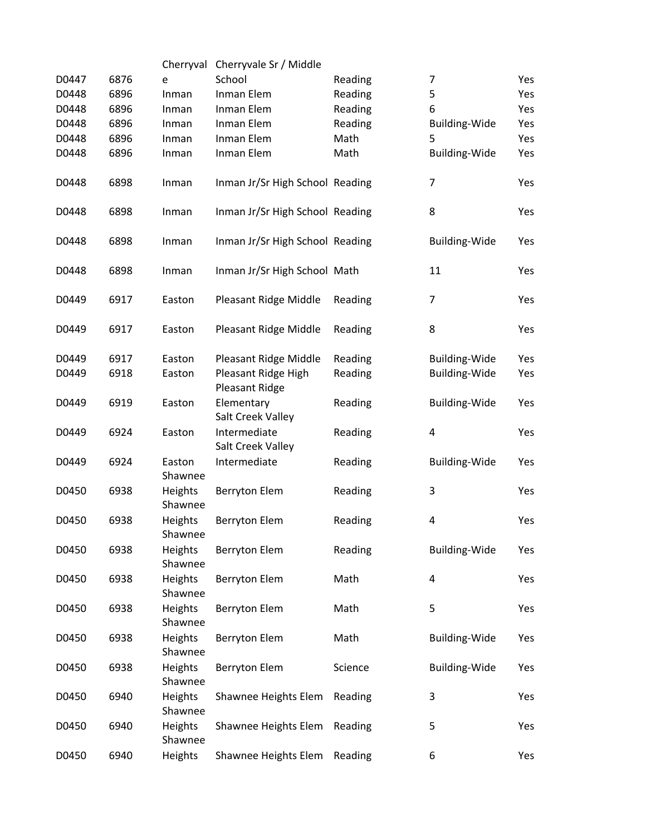|       |      |                           | Cherryval Cherryvale Sr / Middle |         |                      |     |
|-------|------|---------------------------|----------------------------------|---------|----------------------|-----|
| D0447 | 6876 | e                         | School                           | Reading | 7                    | Yes |
| D0448 | 6896 | Inman                     | Inman Elem                       | Reading | 5                    | Yes |
| D0448 | 6896 | Inman                     | Inman Elem                       | Reading | 6                    | Yes |
| D0448 | 6896 | Inman                     | Inman Elem                       | Reading | <b>Building-Wide</b> | Yes |
| D0448 | 6896 | Inman                     | Inman Elem                       | Math    | 5                    | Yes |
| D0448 | 6896 | Inman                     | Inman Elem                       | Math    | Building-Wide        | Yes |
|       |      |                           |                                  |         |                      |     |
| D0448 | 6898 | Inman                     | Inman Jr/Sr High School Reading  |         | $\overline{7}$       | Yes |
|       |      |                           |                                  |         |                      |     |
| D0448 | 6898 | Inman                     | Inman Jr/Sr High School Reading  |         | 8                    | Yes |
|       |      |                           |                                  |         |                      |     |
| D0448 | 6898 | Inman                     | Inman Jr/Sr High School Reading  |         | <b>Building-Wide</b> | Yes |
|       |      |                           |                                  |         |                      |     |
| D0448 | 6898 | Inman                     | Inman Jr/Sr High School Math     |         | 11                   | Yes |
| D0449 | 6917 | Easton                    | Pleasant Ridge Middle            | Reading | $\overline{7}$       | Yes |
|       |      |                           |                                  |         |                      |     |
| D0449 | 6917 | Easton                    | Pleasant Ridge Middle            | Reading | 8                    | Yes |
|       |      |                           |                                  |         |                      |     |
| D0449 | 6917 | Easton                    | Pleasant Ridge Middle            | Reading | <b>Building-Wide</b> | Yes |
| D0449 | 6918 | Easton                    | Pleasant Ridge High              | Reading | <b>Building-Wide</b> | Yes |
|       |      |                           | Pleasant Ridge                   |         |                      |     |
| D0449 | 6919 | Easton                    | Elementary                       | Reading | <b>Building-Wide</b> | Yes |
|       |      |                           | Salt Creek Valley                |         |                      |     |
| D0449 | 6924 | Easton                    | Intermediate                     | Reading | 4                    | Yes |
|       |      |                           | Salt Creek Valley                |         |                      |     |
| D0449 | 6924 | Easton                    | Intermediate                     | Reading | <b>Building-Wide</b> | Yes |
|       |      | Shawnee                   |                                  |         |                      |     |
| D0450 | 6938 | Heights                   | <b>Berryton Elem</b>             | Reading | 3                    | Yes |
|       |      | Shawnee                   |                                  |         |                      |     |
| D0450 | 6938 | Heights                   | <b>Berryton Elem</b>             | Reading | 4                    | Yes |
|       |      | Shawnee                   |                                  |         |                      |     |
| D0450 | 6938 | <b>Heights</b><br>Shawnee | <b>Berryton Elem</b>             | Reading | Building-Wide        | Yes |
| D0450 | 6938 | Heights                   | <b>Berryton Elem</b>             | Math    | 4                    | Yes |
|       |      | Shawnee                   |                                  |         |                      |     |
| D0450 | 6938 | Heights                   | <b>Berryton Elem</b>             | Math    | 5                    | Yes |
|       |      | Shawnee                   |                                  |         |                      |     |
| D0450 | 6938 | Heights                   | Berryton Elem                    | Math    | <b>Building-Wide</b> | Yes |
|       |      | Shawnee                   |                                  |         |                      |     |
| D0450 | 6938 | Heights                   | <b>Berryton Elem</b>             | Science | <b>Building-Wide</b> | Yes |
|       |      | Shawnee                   |                                  |         |                      |     |
| D0450 | 6940 | Heights                   | Shawnee Heights Elem             | Reading | 3                    | Yes |
|       |      | Shawnee                   |                                  |         |                      |     |
| D0450 | 6940 | Heights                   | Shawnee Heights Elem             | Reading | 5                    | Yes |
|       |      | Shawnee                   |                                  |         |                      |     |
| D0450 | 6940 | Heights                   | Shawnee Heights Elem             | Reading | 6                    | Yes |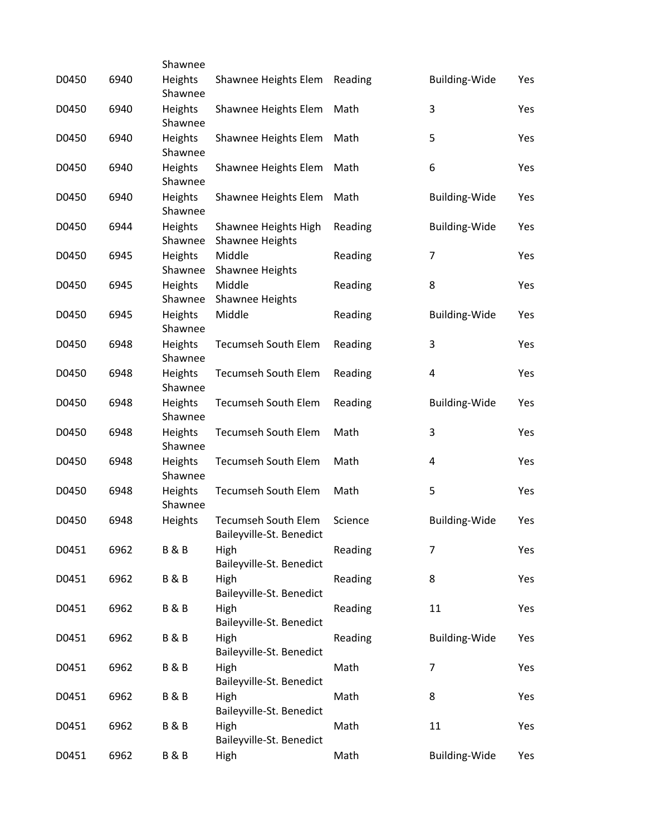|       |      | Shawnee                   |                                                 |         |                      |     |
|-------|------|---------------------------|-------------------------------------------------|---------|----------------------|-----|
| D0450 | 6940 | Heights<br>Shawnee        | Shawnee Heights Elem                            | Reading | <b>Building-Wide</b> | Yes |
| D0450 | 6940 | Heights<br>Shawnee        | Shawnee Heights Elem                            | Math    | 3                    | Yes |
| D0450 | 6940 | Heights<br>Shawnee        | Shawnee Heights Elem                            | Math    | 5                    | Yes |
| D0450 | 6940 | <b>Heights</b><br>Shawnee | Shawnee Heights Elem                            | Math    | 6                    | Yes |
| D0450 | 6940 | Heights<br>Shawnee        | Shawnee Heights Elem                            | Math    | <b>Building-Wide</b> | Yes |
| D0450 | 6944 | <b>Heights</b><br>Shawnee | Shawnee Heights High<br><b>Shawnee Heights</b>  | Reading | <b>Building-Wide</b> | Yes |
| D0450 | 6945 | Heights<br>Shawnee        | Middle<br>Shawnee Heights                       | Reading | $\overline{7}$       | Yes |
| D0450 | 6945 | Heights<br>Shawnee        | Middle<br>Shawnee Heights                       | Reading | 8                    | Yes |
| D0450 | 6945 | Heights<br>Shawnee        | Middle                                          | Reading | <b>Building-Wide</b> | Yes |
| D0450 | 6948 | Heights<br>Shawnee        | Tecumseh South Elem                             | Reading | 3                    | Yes |
| D0450 | 6948 | Heights<br>Shawnee        | Tecumseh South Elem                             | Reading | 4                    | Yes |
| D0450 | 6948 | <b>Heights</b><br>Shawnee | Tecumseh South Elem                             | Reading | <b>Building-Wide</b> | Yes |
| D0450 | 6948 | Heights<br>Shawnee        | Tecumseh South Elem                             | Math    | 3                    | Yes |
| D0450 | 6948 | Heights<br>Shawnee        | Tecumseh South Elem                             | Math    | 4                    | Yes |
| D0450 | 6948 | <b>Heights</b><br>Shawnee | Tecumseh South Elem                             | Math    | 5                    | Yes |
| D0450 | 6948 | <b>Heights</b>            | Tecumseh South Elem<br>Baileyville-St. Benedict | Science | <b>Building-Wide</b> | Yes |
| D0451 | 6962 | <b>B&amp;B</b>            | High<br>Baileyville-St. Benedict                | Reading | 7                    | Yes |
| D0451 | 6962 | <b>B&amp;B</b>            | High<br>Baileyville-St. Benedict                | Reading | 8                    | Yes |
| D0451 | 6962 | <b>B&amp;B</b>            | High<br>Baileyville-St. Benedict                | Reading | 11                   | Yes |
| D0451 | 6962 | <b>B&amp;B</b>            | High<br>Baileyville-St. Benedict                | Reading | <b>Building-Wide</b> | Yes |
| D0451 | 6962 | <b>B&amp;B</b>            | High<br>Baileyville-St. Benedict                | Math    | 7                    | Yes |
| D0451 | 6962 | <b>B&amp;B</b>            | High<br>Baileyville-St. Benedict                | Math    | 8                    | Yes |
| D0451 | 6962 | <b>B&amp;B</b>            | High<br>Baileyville-St. Benedict                | Math    | 11                   | Yes |
| D0451 | 6962 | <b>B&amp;B</b>            | High                                            | Math    | <b>Building-Wide</b> | Yes |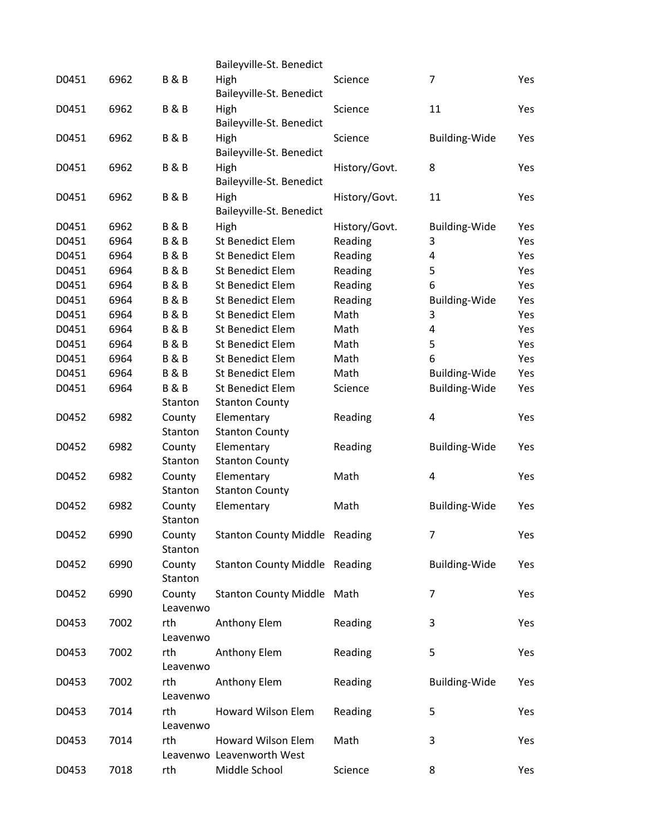|       |      |                   | Baileyville-St. Benedict             |               |                      |     |
|-------|------|-------------------|--------------------------------------|---------------|----------------------|-----|
| D0451 | 6962 | <b>B&amp;B</b>    | High<br>Baileyville-St. Benedict     | Science       | 7                    | Yes |
| D0451 | 6962 | <b>B&amp;B</b>    | High<br>Baileyville-St. Benedict     | Science       | 11                   | Yes |
| D0451 | 6962 | <b>B&amp;B</b>    | High<br>Baileyville-St. Benedict     | Science       | Building-Wide        | Yes |
| D0451 | 6962 | <b>B&amp;B</b>    | High<br>Baileyville-St. Benedict     | History/Govt. | 8                    | Yes |
| D0451 | 6962 | <b>B&amp;B</b>    | High<br>Baileyville-St. Benedict     | History/Govt. | 11                   | Yes |
| D0451 | 6962 | <b>B&amp;B</b>    | High                                 | History/Govt. | Building-Wide        | Yes |
| D0451 | 6964 | <b>B&amp;B</b>    | <b>St Benedict Elem</b>              | Reading       | 3                    | Yes |
| D0451 | 6964 | <b>B&amp;B</b>    | <b>St Benedict Elem</b>              | Reading       | 4                    | Yes |
| D0451 | 6964 | <b>B&amp;B</b>    | <b>St Benedict Elem</b>              | Reading       | 5                    | Yes |
| D0451 | 6964 | <b>B&amp;B</b>    | <b>St Benedict Elem</b>              | Reading       | 6                    | Yes |
| D0451 | 6964 | <b>B&amp;B</b>    | <b>St Benedict Elem</b>              | Reading       | <b>Building-Wide</b> | Yes |
| D0451 | 6964 | <b>B&amp;B</b>    | <b>St Benedict Elem</b>              | Math          | 3                    | Yes |
| D0451 | 6964 | <b>B&amp;B</b>    | <b>St Benedict Elem</b>              | Math          | 4                    | Yes |
| D0451 | 6964 | <b>B&amp;B</b>    | <b>St Benedict Elem</b>              | Math          | 5                    | Yes |
| D0451 | 6964 | <b>B&amp;B</b>    | <b>St Benedict Elem</b>              | Math          | 6                    | Yes |
| D0451 | 6964 | <b>B&amp;B</b>    | <b>St Benedict Elem</b>              | Math          | Building-Wide        | Yes |
| D0451 | 6964 | <b>B&amp;B</b>    | <b>St Benedict Elem</b>              | Science       | Building-Wide        | Yes |
|       |      | Stanton           | <b>Stanton County</b>                |               |                      |     |
| D0452 | 6982 | County            | Elementary                           | Reading       | 4                    | Yes |
|       |      | Stanton           | <b>Stanton County</b>                |               |                      |     |
| D0452 | 6982 | County            | Elementary                           | Reading       | <b>Building-Wide</b> | Yes |
|       |      | Stanton           | <b>Stanton County</b>                |               |                      |     |
| D0452 | 6982 | County            | Elementary                           | Math          | 4                    | Yes |
|       |      | Stanton           | <b>Stanton County</b>                |               |                      |     |
| D0452 | 6982 | County            | Elementary                           | Math          | <b>Building-Wide</b> | Yes |
|       |      | Stanton           |                                      |               |                      |     |
| D0452 | 6990 | County            | <b>Stanton County Middle Reading</b> |               |                      | Yes |
|       |      | Stanton           |                                      |               |                      |     |
| D0452 | 6990 | County<br>Stanton | <b>Stanton County Middle Reading</b> |               | <b>Building-Wide</b> | Yes |
| D0452 | 6990 | County            | <b>Stanton County Middle Math</b>    |               | 7                    | Yes |
|       |      | Leavenwo          |                                      |               |                      |     |
| D0453 | 7002 | rth               | Anthony Elem                         | Reading       | 3                    | Yes |
|       |      | Leavenwo          |                                      |               |                      |     |
| D0453 | 7002 | rth               | Anthony Elem                         | Reading       | 5                    | Yes |
|       |      | Leavenwo          |                                      |               |                      |     |
| D0453 | 7002 | rth               | Anthony Elem                         | Reading       | Building-Wide        | Yes |
|       |      | Leavenwo          |                                      |               |                      |     |
| D0453 | 7014 | rth               | Howard Wilson Elem                   | Reading       | 5                    | Yes |
|       |      | Leavenwo          |                                      |               |                      |     |
| D0453 | 7014 | rth               | <b>Howard Wilson Elem</b>            | Math          | 3                    | Yes |
|       |      |                   | Leavenwo Leavenworth West            |               |                      |     |
| D0453 | 7018 | rth               | Middle School                        | Science       | 8                    | Yes |
|       |      |                   |                                      |               |                      |     |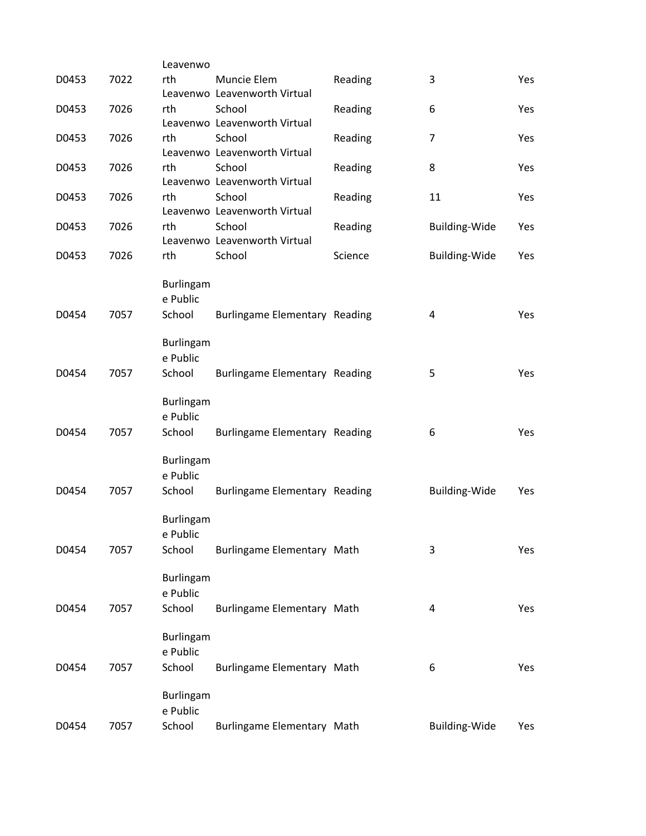|       |      | Leavenwo                                                   |                                             |         |                      |     |
|-------|------|------------------------------------------------------------|---------------------------------------------|---------|----------------------|-----|
| D0453 | 7022 | rth                                                        | Muncie Elem<br>Leavenwo Leavenworth Virtual | Reading | 3                    | Yes |
| D0453 | 7026 | rth                                                        | School<br>Leavenwo Leavenworth Virtual      | Reading | 6                    | Yes |
| D0453 | 7026 | rth                                                        | School<br>Leavenwo Leavenworth Virtual      | Reading | $\overline{7}$       | Yes |
| D0453 | 7026 | rth                                                        | School<br>Leavenwo Leavenworth Virtual      | Reading | 8                    | Yes |
| D0453 | 7026 | rth                                                        | School<br>Leavenwo Leavenworth Virtual      | Reading | 11                   | Yes |
| D0453 | 7026 | rth                                                        | School<br>Leavenwo Leavenworth Virtual      | Reading | <b>Building-Wide</b> | Yes |
| D0453 | 7026 | rth                                                        | School                                      | Science | <b>Building-Wide</b> | Yes |
| D0454 | 7057 | <b>Burlingam</b><br>e Public<br>School<br><b>Burlingam</b> | Burlingame Elementary Reading               |         | 4                    | Yes |
| D0454 | 7057 | e Public<br>School                                         | Burlingame Elementary Reading               |         | 5                    | Yes |
| D0454 | 7057 | <b>Burlingam</b><br>e Public<br>School                     | Burlingame Elementary Reading               |         | 6                    | Yes |
| D0454 | 7057 | <b>Burlingam</b><br>e Public<br>School                     | <b>Burlingame Elementary Reading</b>        |         | <b>Building-Wide</b> | Yes |
| D0454 | 7057 | <b>Burlingam</b><br>e Public<br>School                     | Burlingame Elementary Math                  |         | 3                    | Yes |
| D0454 | 7057 | <b>Burlingam</b><br>e Public<br>School                     | Burlingame Elementary Math                  |         | 4                    | Yes |
| D0454 | 7057 | <b>Burlingam</b><br>e Public<br>School                     | Burlingame Elementary Math                  |         | 6                    | Yes |
| D0454 | 7057 | Burlingam<br>e Public<br>School                            | Burlingame Elementary Math                  |         | Building-Wide        | Yes |
|       |      |                                                            |                                             |         |                      |     |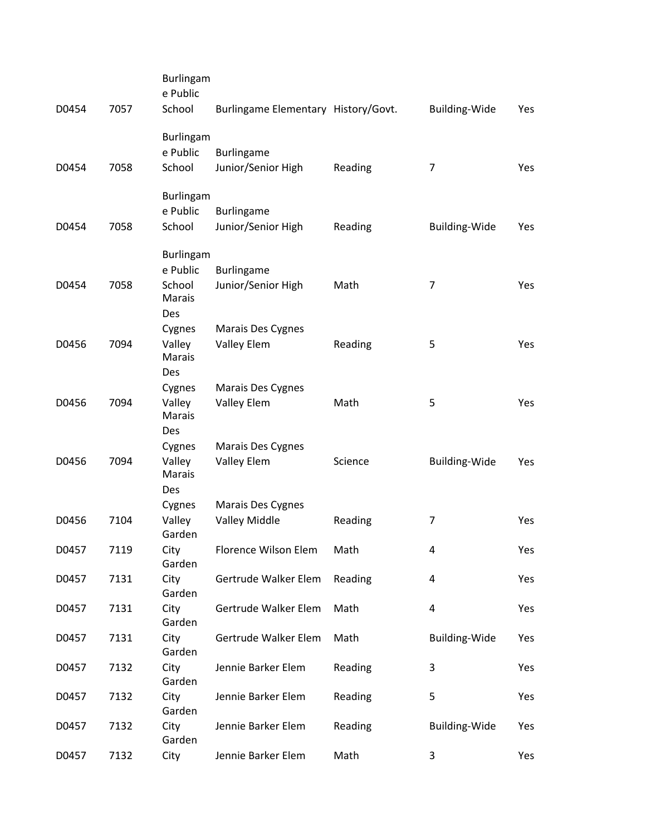| D0454 | 7057 | <b>Burlingam</b><br>e Public<br>School           | Burlingame Elementary History/Govt. |         | <b>Building-Wide</b> | Yes |
|-------|------|--------------------------------------------------|-------------------------------------|---------|----------------------|-----|
|       |      | Burlingam<br>e Public                            | Burlingame                          |         |                      |     |
| D0454 | 7058 | School                                           | Junior/Senior High                  | Reading | 7                    | Yes |
| D0454 | 7058 | <b>Burlingam</b><br>e Public<br>School           | Burlingame<br>Junior/Senior High    | Reading | Building-Wide        | Yes |
| D0454 | 7058 | Burlingam<br>e Public<br>School<br>Marais<br>Des | Burlingame<br>Junior/Senior High    | Math    | 7                    | Yes |
| D0456 | 7094 | Cygnes<br>Valley<br>Marais                       | Marais Des Cygnes<br>Valley Elem    | Reading | 5                    | Yes |
| D0456 | 7094 | Des<br>Cygnes<br>Valley<br>Marais<br>Des         | Marais Des Cygnes<br>Valley Elem    | Math    | 5                    | Yes |
| D0456 | 7094 | Cygnes<br>Valley<br>Marais<br>Des                | Marais Des Cygnes<br>Valley Elem    | Science | Building-Wide        | Yes |
| D0456 | 7104 | Cygnes<br>Valley<br>Garden                       | Marais Des Cygnes<br>Valley Middle  | Reading | 7                    | Yes |
| D0457 | 7119 | City                                             | Florence Wilson Elem                | Math    | 4                    | Yes |
| D0457 | 7131 | Garden<br>City<br>Garden                         | Gertrude Walker Elem                | Reading | 4                    | Yes |
| D0457 | 7131 | City<br>Garden                                   | Gertrude Walker Elem                | Math    | 4                    | Yes |
| D0457 | 7131 | City<br>Garden                                   | Gertrude Walker Elem                | Math    | <b>Building-Wide</b> | Yes |
| D0457 | 7132 | City<br>Garden                                   | Jennie Barker Elem                  | Reading | 3                    | Yes |
| D0457 | 7132 | City<br>Garden                                   | Jennie Barker Elem                  | Reading | 5                    | Yes |
| D0457 | 7132 | City<br>Garden                                   | Jennie Barker Elem                  | Reading | <b>Building-Wide</b> | Yes |
| D0457 | 7132 | City                                             | Jennie Barker Elem                  | Math    | 3                    | Yes |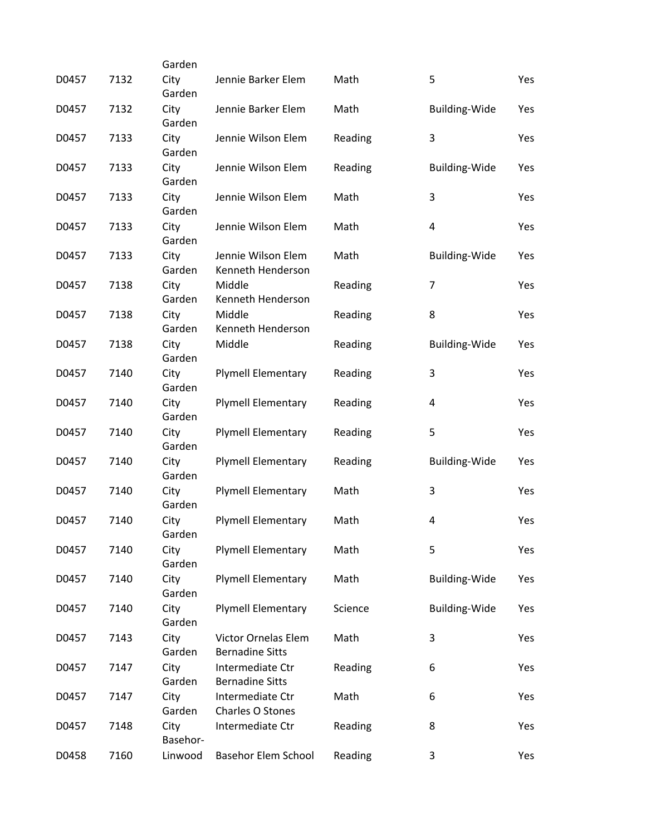|       |      | Garden           |                                               |         |                      |     |
|-------|------|------------------|-----------------------------------------------|---------|----------------------|-----|
| D0457 | 7132 | City<br>Garden   | Jennie Barker Elem                            | Math    | 5                    | Yes |
| D0457 | 7132 | City<br>Garden   | Jennie Barker Elem                            | Math    | <b>Building-Wide</b> | Yes |
| D0457 | 7133 | City<br>Garden   | Jennie Wilson Elem                            | Reading | 3                    | Yes |
| D0457 | 7133 | City<br>Garden   | Jennie Wilson Elem                            | Reading | Building-Wide        | Yes |
| D0457 | 7133 | City<br>Garden   | Jennie Wilson Elem                            | Math    | 3                    | Yes |
| D0457 | 7133 | City<br>Garden   | Jennie Wilson Elem                            | Math    | 4                    | Yes |
| D0457 | 7133 | City<br>Garden   | Jennie Wilson Elem<br>Kenneth Henderson       | Math    | <b>Building-Wide</b> | Yes |
| D0457 | 7138 | City<br>Garden   | Middle<br>Kenneth Henderson                   | Reading | 7                    | Yes |
| D0457 | 7138 | City<br>Garden   | Middle<br>Kenneth Henderson                   | Reading | 8                    | Yes |
| D0457 | 7138 | City<br>Garden   | Middle                                        | Reading | <b>Building-Wide</b> | Yes |
| D0457 | 7140 | City<br>Garden   | <b>Plymell Elementary</b>                     | Reading | 3                    | Yes |
| D0457 | 7140 | City<br>Garden   | <b>Plymell Elementary</b>                     | Reading | 4                    | Yes |
| D0457 | 7140 | City<br>Garden   | <b>Plymell Elementary</b>                     | Reading | 5                    | Yes |
| D0457 | 7140 | City<br>Garden   | <b>Plymell Elementary</b>                     | Reading | <b>Building-Wide</b> | Yes |
| D0457 | 7140 | City<br>Garden   | <b>Plymell Elementary</b>                     | Math    | 3                    | Yes |
| D0457 | 7140 | City<br>Garden   | <b>Plymell Elementary</b>                     | Math    | 4                    | Yes |
| D0457 | 7140 | City<br>Garden   | <b>Plymell Elementary</b>                     | Math    | 5                    | Yes |
| D0457 | 7140 | City<br>Garden   | <b>Plymell Elementary</b>                     | Math    | <b>Building-Wide</b> | Yes |
| D0457 | 7140 | City<br>Garden   | <b>Plymell Elementary</b>                     | Science | <b>Building-Wide</b> | Yes |
| D0457 | 7143 | City<br>Garden   | Victor Ornelas Elem<br><b>Bernadine Sitts</b> | Math    | 3                    | Yes |
| D0457 | 7147 | City<br>Garden   | Intermediate Ctr<br><b>Bernadine Sitts</b>    | Reading | 6                    | Yes |
| D0457 | 7147 | City<br>Garden   | Intermediate Ctr<br>Charles O Stones          | Math    | 6                    | Yes |
| D0457 | 7148 | City<br>Basehor- | Intermediate Ctr                              | Reading | 8                    | Yes |
| D0458 | 7160 | Linwood          | Basehor Elem School                           | Reading | 3                    | Yes |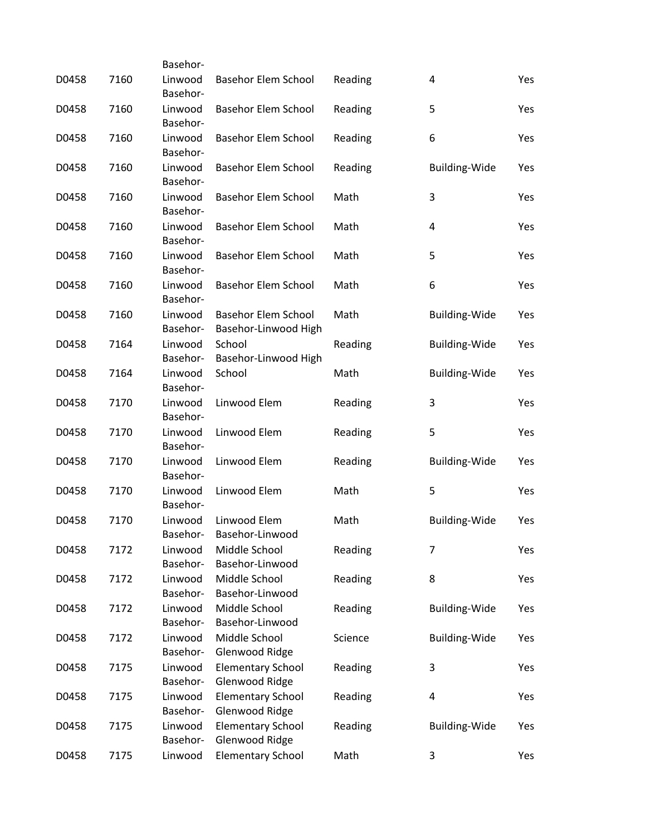|       |      | Basehor-            |                                                    |         |                         |     |
|-------|------|---------------------|----------------------------------------------------|---------|-------------------------|-----|
| D0458 | 7160 | Linwood<br>Basehor- | Basehor Elem School                                | Reading | 4                       | Yes |
| D0458 | 7160 | Linwood<br>Basehor- | <b>Basehor Elem School</b>                         | Reading | 5                       | Yes |
| D0458 | 7160 | Linwood<br>Basehor- | <b>Basehor Elem School</b>                         | Reading | 6                       | Yes |
| D0458 | 7160 | Linwood<br>Basehor- | <b>Basehor Elem School</b>                         | Reading | <b>Building-Wide</b>    | Yes |
| D0458 | 7160 | Linwood<br>Basehor- | <b>Basehor Elem School</b>                         | Math    | 3                       | Yes |
| D0458 | 7160 | Linwood<br>Basehor- | <b>Basehor Elem School</b>                         | Math    | $\overline{\mathbf{4}}$ | Yes |
| D0458 | 7160 | Linwood<br>Basehor- | <b>Basehor Elem School</b>                         | Math    | 5                       | Yes |
| D0458 | 7160 | Linwood<br>Basehor- | <b>Basehor Elem School</b>                         | Math    | 6                       | Yes |
| D0458 | 7160 | Linwood<br>Basehor- | <b>Basehor Elem School</b><br>Basehor-Linwood High | Math    | <b>Building-Wide</b>    | Yes |
| D0458 | 7164 | Linwood<br>Basehor- | School<br>Basehor-Linwood High                     | Reading | <b>Building-Wide</b>    | Yes |
| D0458 | 7164 | Linwood<br>Basehor- | School                                             | Math    | <b>Building-Wide</b>    | Yes |
| D0458 | 7170 | Linwood<br>Basehor- | Linwood Elem                                       | Reading | 3                       | Yes |
| D0458 | 7170 | Linwood<br>Basehor- | Linwood Elem                                       | Reading | 5                       | Yes |
| D0458 | 7170 | Linwood<br>Basehor- | Linwood Elem                                       | Reading | <b>Building-Wide</b>    | Yes |
| D0458 | 7170 | Linwood<br>Basehor- | Linwood Elem                                       | Math    | 5                       | Yes |
| D0458 | 7170 | Linwood<br>Basehor- | Linwood Elem<br>Basehor-Linwood                    | Math    | <b>Building-Wide</b>    | Yes |
| D0458 | 7172 | Linwood<br>Basehor- | Middle School<br>Basehor-Linwood                   | Reading | $\overline{7}$          | Yes |
| D0458 | 7172 | Linwood<br>Basehor- | Middle School<br>Basehor-Linwood                   | Reading | 8                       | Yes |
| D0458 | 7172 | Linwood<br>Basehor- | Middle School<br>Basehor-Linwood                   | Reading | <b>Building-Wide</b>    | Yes |
| D0458 | 7172 | Linwood<br>Basehor- | Middle School<br>Glenwood Ridge                    | Science | <b>Building-Wide</b>    | Yes |
| D0458 | 7175 | Linwood<br>Basehor- | <b>Elementary School</b><br>Glenwood Ridge         | Reading | 3                       | Yes |
| D0458 | 7175 | Linwood<br>Basehor- | <b>Elementary School</b><br>Glenwood Ridge         | Reading | 4                       | Yes |
| D0458 | 7175 | Linwood<br>Basehor- | <b>Elementary School</b><br>Glenwood Ridge         | Reading | <b>Building-Wide</b>    | Yes |
| D0458 | 7175 | Linwood             | <b>Elementary School</b>                           | Math    | 3                       | Yes |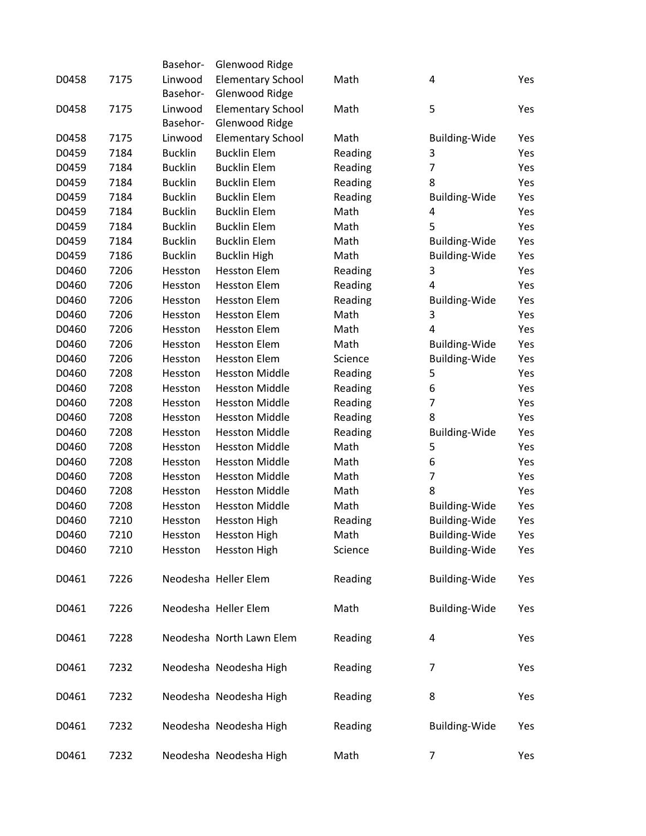|       |      | Basehor-       | Glenwood Ridge           |         |                         |     |
|-------|------|----------------|--------------------------|---------|-------------------------|-----|
| D0458 | 7175 | Linwood        | <b>Elementary School</b> | Math    | 4                       | Yes |
|       |      | Basehor-       | Glenwood Ridge           |         |                         |     |
| D0458 | 7175 | Linwood        | <b>Elementary School</b> | Math    | 5                       | Yes |
|       |      | Basehor-       | Glenwood Ridge           |         |                         |     |
| D0458 | 7175 | Linwood        | <b>Elementary School</b> | Math    | Building-Wide           | Yes |
| D0459 | 7184 | <b>Bucklin</b> | <b>Bucklin Elem</b>      | Reading | 3                       | Yes |
| D0459 | 7184 | <b>Bucklin</b> | <b>Bucklin Elem</b>      | Reading | $\overline{7}$          | Yes |
| D0459 | 7184 | <b>Bucklin</b> | <b>Bucklin Elem</b>      | Reading | 8                       | Yes |
| D0459 | 7184 | <b>Bucklin</b> | <b>Bucklin Elem</b>      | Reading | <b>Building-Wide</b>    | Yes |
| D0459 | 7184 | <b>Bucklin</b> | <b>Bucklin Elem</b>      | Math    | $\overline{\mathbf{4}}$ | Yes |
| D0459 | 7184 | <b>Bucklin</b> | <b>Bucklin Elem</b>      | Math    | 5                       | Yes |
| D0459 | 7184 | <b>Bucklin</b> | <b>Bucklin Elem</b>      | Math    | <b>Building-Wide</b>    | Yes |
| D0459 | 7186 | <b>Bucklin</b> | <b>Bucklin High</b>      | Math    | Building-Wide           | Yes |
| D0460 | 7206 | Hesston        | <b>Hesston Elem</b>      | Reading | 3                       | Yes |
| D0460 | 7206 | Hesston        | <b>Hesston Elem</b>      | Reading | $\overline{4}$          | Yes |
| D0460 | 7206 | Hesston        | <b>Hesston Elem</b>      | Reading | <b>Building-Wide</b>    | Yes |
| D0460 | 7206 | Hesston        | <b>Hesston Elem</b>      | Math    | 3                       | Yes |
| D0460 | 7206 | Hesston        | <b>Hesston Elem</b>      | Math    | 4                       | Yes |
| D0460 | 7206 | Hesston        | <b>Hesston Elem</b>      | Math    | <b>Building-Wide</b>    | Yes |
| D0460 | 7206 | Hesston        | <b>Hesston Elem</b>      | Science | Building-Wide           | Yes |
| D0460 | 7208 | Hesston        | <b>Hesston Middle</b>    | Reading | 5                       | Yes |
| D0460 | 7208 | Hesston        | <b>Hesston Middle</b>    | Reading | 6                       | Yes |
| D0460 | 7208 | Hesston        | <b>Hesston Middle</b>    | Reading | $\overline{7}$          | Yes |
| D0460 | 7208 | Hesston        | <b>Hesston Middle</b>    | Reading | 8                       | Yes |
| D0460 | 7208 | Hesston        | <b>Hesston Middle</b>    | Reading | <b>Building-Wide</b>    | Yes |
| D0460 | 7208 | Hesston        | <b>Hesston Middle</b>    | Math    | 5                       | Yes |
| D0460 | 7208 | Hesston        | <b>Hesston Middle</b>    | Math    | 6                       | Yes |
| D0460 | 7208 | Hesston        | <b>Hesston Middle</b>    | Math    | $\overline{7}$          | Yes |
| D0460 | 7208 | Hesston        | <b>Hesston Middle</b>    | Math    | 8                       | Yes |
| D0460 | 7208 | Hesston        | <b>Hesston Middle</b>    | Math    | <b>Building-Wide</b>    | Yes |
| D0460 | 7210 | Hesston        | <b>Hesston High</b>      | Reading | <b>Building-Wide</b>    | Yes |
| D0460 | 7210 | Hesston        | <b>Hesston High</b>      | Math    | Building-Wide           | Yes |
| D0460 | 7210 | Hesston        | <b>Hesston High</b>      | Science | <b>Building-Wide</b>    | Yes |
|       |      |                |                          |         |                         |     |
| D0461 | 7226 |                | Neodesha Heller Elem     | Reading | <b>Building-Wide</b>    | Yes |
|       |      |                |                          |         |                         |     |
| D0461 | 7226 |                | Neodesha Heller Elem     | Math    | <b>Building-Wide</b>    | Yes |
|       |      |                |                          |         |                         |     |
| D0461 | 7228 |                | Neodesha North Lawn Elem | Reading | 4                       | Yes |
|       |      |                |                          |         |                         |     |
| D0461 | 7232 |                | Neodesha Neodesha High   | Reading | 7                       | Yes |
|       |      |                |                          |         |                         |     |
| D0461 | 7232 |                | Neodesha Neodesha High   | Reading | 8                       | Yes |
|       |      |                |                          |         |                         |     |
| D0461 | 7232 |                | Neodesha Neodesha High   | Reading | <b>Building-Wide</b>    | Yes |
|       |      |                |                          |         |                         |     |
| D0461 | 7232 |                | Neodesha Neodesha High   | Math    | $\overline{7}$          | Yes |
|       |      |                |                          |         |                         |     |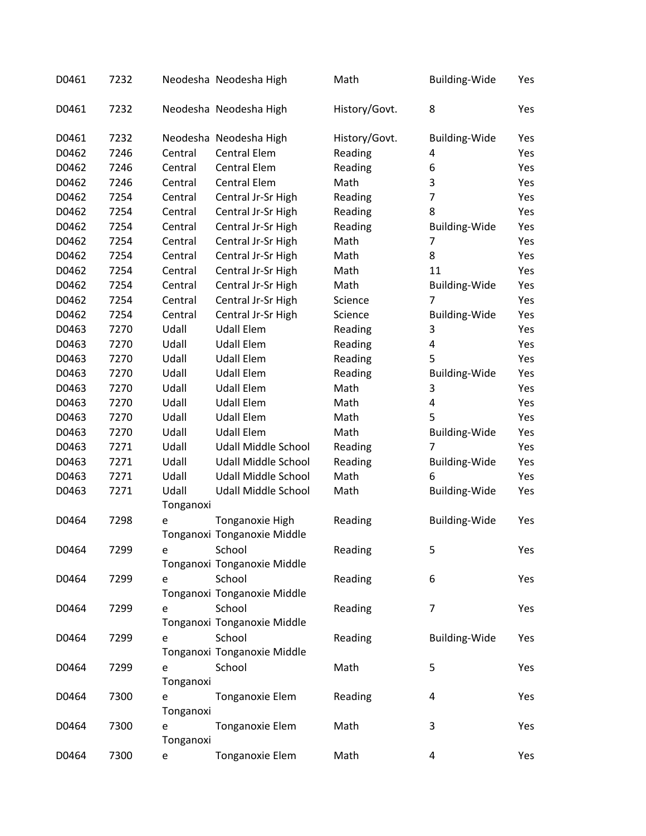| D0461 | 7232 |           | Neodesha Neodesha High      | Math          | <b>Building-Wide</b> | Yes |
|-------|------|-----------|-----------------------------|---------------|----------------------|-----|
| D0461 | 7232 |           | Neodesha Neodesha High      | History/Govt. | 8                    | Yes |
| D0461 | 7232 |           | Neodesha Neodesha High      | History/Govt. | <b>Building-Wide</b> | Yes |
| D0462 | 7246 | Central   | <b>Central Elem</b>         | Reading       | 4                    | Yes |
| D0462 | 7246 | Central   | <b>Central Elem</b>         | Reading       | 6                    | Yes |
| D0462 | 7246 | Central   | <b>Central Elem</b>         | Math          | 3                    | Yes |
| D0462 | 7254 | Central   | Central Jr-Sr High          | Reading       | 7                    | Yes |
| D0462 | 7254 | Central   | Central Jr-Sr High          | Reading       | 8                    | Yes |
| D0462 | 7254 | Central   | Central Jr-Sr High          | Reading       | <b>Building-Wide</b> | Yes |
| D0462 | 7254 | Central   | Central Jr-Sr High          | Math          | 7                    | Yes |
| D0462 | 7254 | Central   | Central Jr-Sr High          | Math          | 8                    | Yes |
| D0462 | 7254 | Central   | Central Jr-Sr High          | Math          | 11                   | Yes |
| D0462 | 7254 | Central   | Central Jr-Sr High          | Math          | <b>Building-Wide</b> | Yes |
| D0462 | 7254 | Central   | Central Jr-Sr High          | Science       | 7                    | Yes |
| D0462 | 7254 | Central   | Central Jr-Sr High          | Science       | <b>Building-Wide</b> | Yes |
| D0463 | 7270 | Udall     | <b>Udall Elem</b>           | Reading       | 3                    | Yes |
| D0463 | 7270 | Udall     | <b>Udall Elem</b>           | Reading       | 4                    | Yes |
| D0463 | 7270 | Udall     | <b>Udall Elem</b>           | Reading       | 5                    | Yes |
| D0463 | 7270 | Udall     | <b>Udall Elem</b>           | Reading       | <b>Building-Wide</b> | Yes |
| D0463 | 7270 | Udall     | <b>Udall Elem</b>           | Math          | 3                    | Yes |
| D0463 | 7270 | Udall     | <b>Udall Elem</b>           | Math          | 4                    | Yes |
| D0463 | 7270 | Udall     | <b>Udall Elem</b>           | Math          | 5                    | Yes |
| D0463 | 7270 | Udall     | <b>Udall Elem</b>           | Math          | <b>Building-Wide</b> | Yes |
| D0463 | 7271 | Udall     | Udall Middle School         | Reading       | 7                    | Yes |
| D0463 | 7271 | Udall     | Udall Middle School         | Reading       | <b>Building-Wide</b> | Yes |
| D0463 | 7271 | Udall     | Udall Middle School         | Math          | 6                    | Yes |
| D0463 | 7271 | Udall     | Udall Middle School         | Math          | <b>Building-Wide</b> | Yes |
|       |      | Tonganoxi |                             |               |                      |     |
| D0464 | 7298 | e         | Tonganoxie High             | Reading       | <b>Building-Wide</b> | Yes |
|       |      |           | Tonganoxi Tonganoxie Middle |               |                      |     |
| D0464 | 7299 | e         | School                      | Reading       | 5                    | Yes |
|       |      |           | Tonganoxi Tonganoxie Middle |               |                      |     |
| D0464 | 7299 | e         | School                      | Reading       | 6                    | Yes |
|       |      |           | Tonganoxi Tonganoxie Middle |               |                      |     |
| D0464 | 7299 | e         | School                      | Reading       | 7                    | Yes |
|       |      |           | Tonganoxi Tonganoxie Middle |               |                      |     |
| D0464 | 7299 | e         | School                      | Reading       | <b>Building-Wide</b> | Yes |
|       |      |           | Tonganoxi Tonganoxie Middle |               |                      |     |
| D0464 | 7299 | e         | School                      | Math          | 5                    | Yes |
|       |      | Tonganoxi |                             |               |                      |     |
| D0464 | 7300 | e         | Tonganoxie Elem             | Reading       | 4                    | Yes |
|       |      | Tonganoxi |                             |               |                      |     |
| D0464 | 7300 | e         | Tonganoxie Elem             | Math          | 3                    | Yes |
|       |      | Tonganoxi |                             |               |                      |     |
| D0464 | 7300 | e         | Tonganoxie Elem             | Math          | 4                    | Yes |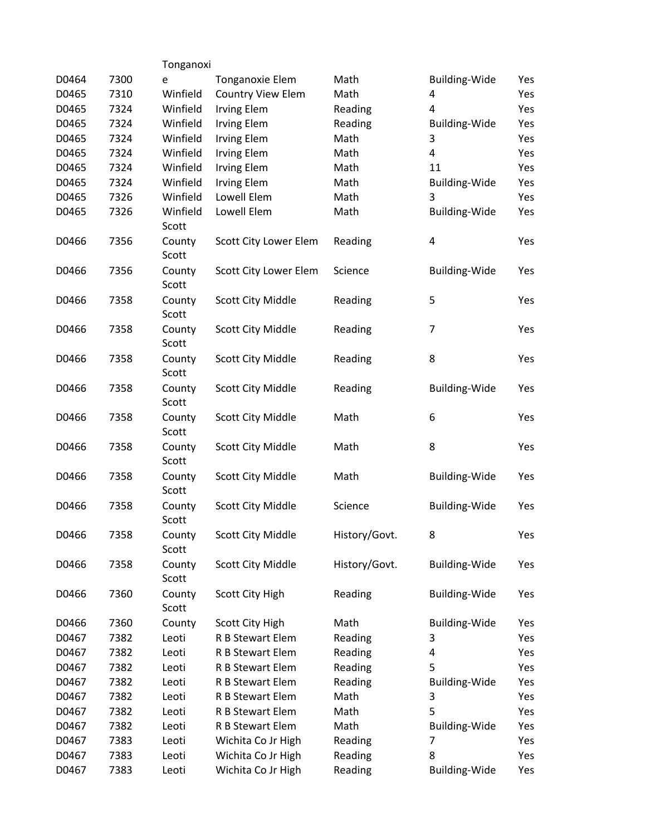| 7300 | е                 | Tonganoxie Elem          | Math          | Building-Wide        | Yes |
|------|-------------------|--------------------------|---------------|----------------------|-----|
| 7310 | Winfield          | Country View Elem        | Math          | 4                    | Yes |
| 7324 | Winfield          | <b>Irving Elem</b>       | Reading       | 4                    | Yes |
| 7324 | Winfield          | <b>Irving Elem</b>       | Reading       | <b>Building-Wide</b> | Yes |
| 7324 | Winfield          | <b>Irving Elem</b>       | Math          | 3                    | Yes |
| 7324 | Winfield          | <b>Irving Elem</b>       | Math          | 4                    | Yes |
| 7324 | Winfield          | <b>Irving Elem</b>       | Math          | 11                   | Yes |
| 7324 | Winfield          | <b>Irving Elem</b>       | Math          | <b>Building-Wide</b> | Yes |
| 7326 | Winfield          | Lowell Elem              | Math          | 3                    | Yes |
| 7326 | Winfield<br>Scott | Lowell Elem              | Math          | <b>Building-Wide</b> | Yes |
| 7356 | County<br>Scott   | Scott City Lower Elem    | Reading       | 4                    | Yes |
| 7356 | County<br>Scott   | Scott City Lower Elem    | Science       | <b>Building-Wide</b> | Yes |
| 7358 | County<br>Scott   | Scott City Middle        | Reading       | 5                    | Yes |
| 7358 | County<br>Scott   | Scott City Middle        | Reading       | 7                    | Yes |
| 7358 | County<br>Scott   | Scott City Middle        | Reading       | 8                    | Yes |
| 7358 | County<br>Scott   | Scott City Middle        | Reading       | <b>Building-Wide</b> | Yes |
| 7358 | County<br>Scott   | Scott City Middle        | Math          | 6                    | Yes |
| 7358 | County<br>Scott   | Scott City Middle        | Math          | 8                    | Yes |
| 7358 | County<br>Scott   | Scott City Middle        | Math          | <b>Building-Wide</b> | Yes |
| 7358 | County<br>Scott   | Scott City Middle        | Science       | <b>Building-Wide</b> | Yes |
| 7358 | County<br>Scott   | <b>Scott City Middle</b> | History/Govt. | 8                    | Yes |
| 7358 | County<br>Scott   | Scott City Middle        | History/Govt. | <b>Building-Wide</b> | Yes |
| 7360 | County<br>Scott   | <b>Scott City High</b>   | Reading       | <b>Building-Wide</b> | Yes |
| 7360 | County            | <b>Scott City High</b>   | Math          | <b>Building-Wide</b> | Yes |
| 7382 | Leoti             | R B Stewart Elem         | Reading       | 3                    | Yes |
| 7382 | Leoti             | R B Stewart Elem         | Reading       | 4                    | Yes |
| 7382 | Leoti             | R B Stewart Elem         | Reading       | 5                    | Yes |
| 7382 | Leoti             | R B Stewart Elem         | Reading       | <b>Building-Wide</b> | Yes |
| 7382 | Leoti             | R B Stewart Elem         | Math          | 3                    | Yes |
| 7382 | Leoti             | R B Stewart Elem         | Math          | 5                    | Yes |
| 7382 | Leoti             | R B Stewart Elem         | Math          | <b>Building-Wide</b> | Yes |
| 7383 | Leoti             | Wichita Co Jr High       | Reading       | 7                    | Yes |
| 7383 | Leoti             | Wichita Co Jr High       | Reading       | 8                    | Yes |
| 7383 | Leoti             | Wichita Co Jr High       | Reading       | Building-Wide        | Yes |
|      |                   |                          | Tonganoxi     |                      |     |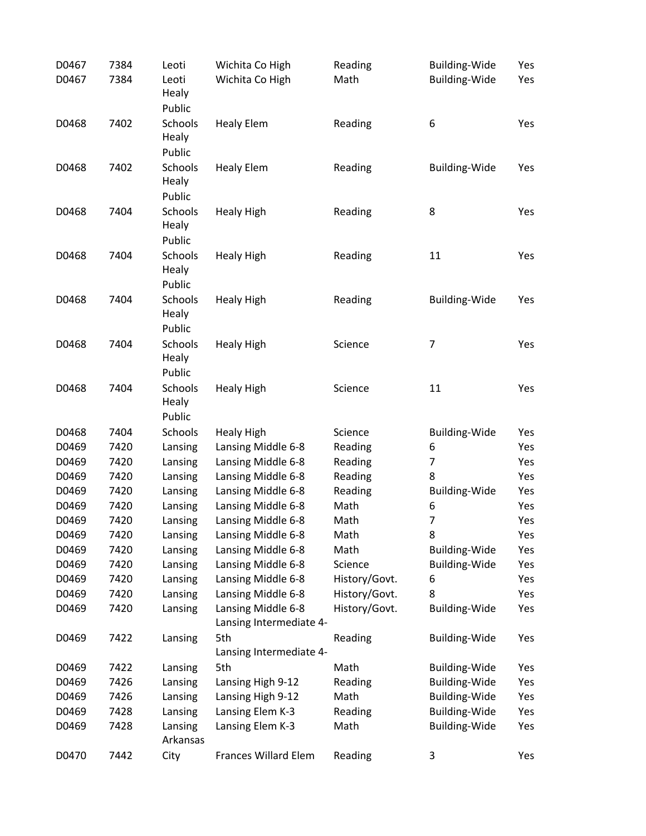| D0467 | 7384 | Leoti          | Wichita Co High         | Reading       | <b>Building-Wide</b> | Yes |
|-------|------|----------------|-------------------------|---------------|----------------------|-----|
| D0467 | 7384 | Leoti          | Wichita Co High         | Math          | <b>Building-Wide</b> | Yes |
|       |      | Healy          |                         |               |                      |     |
|       |      | Public         |                         |               |                      |     |
| D0468 | 7402 | Schools        | <b>Healy Elem</b>       | Reading       | 6                    | Yes |
|       |      | Healy          |                         |               |                      |     |
|       |      | Public         |                         |               |                      |     |
| D0468 | 7402 | Schools        | <b>Healy Elem</b>       | Reading       | <b>Building-Wide</b> | Yes |
|       |      | Healy          |                         |               |                      |     |
|       |      | Public         |                         |               |                      |     |
| D0468 | 7404 | <b>Schools</b> | <b>Healy High</b>       | Reading       | 8                    | Yes |
|       |      | Healy          |                         |               |                      |     |
|       |      | Public         |                         |               |                      |     |
| D0468 | 7404 | Schools        | <b>Healy High</b>       | Reading       | 11                   | Yes |
|       |      | Healy          |                         |               |                      |     |
|       |      | Public         |                         |               |                      |     |
| D0468 | 7404 | <b>Schools</b> | <b>Healy High</b>       | Reading       | <b>Building-Wide</b> | Yes |
|       |      | Healy          |                         |               |                      |     |
|       |      | Public         |                         |               |                      |     |
| D0468 | 7404 | Schools        | <b>Healy High</b>       | Science       | $\overline{7}$       | Yes |
|       |      | Healy          |                         |               |                      |     |
|       |      | Public         |                         |               |                      |     |
| D0468 | 7404 | Schools        | <b>Healy High</b>       | Science       | 11                   | Yes |
|       |      | Healy          |                         |               |                      |     |
|       |      | Public         |                         |               |                      |     |
| D0468 | 7404 | Schools        | <b>Healy High</b>       | Science       | <b>Building-Wide</b> | Yes |
| D0469 | 7420 | Lansing        | Lansing Middle 6-8      | Reading       | 6                    | Yes |
| D0469 | 7420 | Lansing        | Lansing Middle 6-8      | Reading       | 7                    | Yes |
| D0469 | 7420 | Lansing        | Lansing Middle 6-8      | Reading       | 8                    | Yes |
| D0469 | 7420 | Lansing        | Lansing Middle 6-8      | Reading       | <b>Building-Wide</b> | Yes |
| D0469 | 7420 | Lansing        | Lansing Middle 6-8      | Math          | 6                    | Yes |
| D0469 | 7420 | Lansing        | Lansing Middle 6-8      | Math          | 7                    | Yes |
| D0469 | 7420 | Lansing        | Lansing Middle 6-8      | Math          | 8                    | Yes |
| D0469 | 7420 | Lansing        | Lansing Middle 6-8      | Math          | <b>Building-Wide</b> | Yes |
| D0469 | 7420 | Lansing        | Lansing Middle 6-8      | Science       | <b>Building-Wide</b> | Yes |
| D0469 | 7420 | Lansing        | Lansing Middle 6-8      | History/Govt. | 6                    | Yes |
| D0469 | 7420 | Lansing        | Lansing Middle 6-8      | History/Govt. | 8                    | Yes |
| D0469 | 7420 | Lansing        | Lansing Middle 6-8      | History/Govt. | <b>Building-Wide</b> | Yes |
|       |      |                | Lansing Intermediate 4- |               |                      |     |
| D0469 | 7422 | Lansing        | 5th                     | Reading       | <b>Building-Wide</b> | Yes |
|       |      |                | Lansing Intermediate 4- |               |                      |     |
| D0469 | 7422 | Lansing        | 5th                     | Math          | <b>Building-Wide</b> | Yes |
| D0469 | 7426 | Lansing        | Lansing High 9-12       | Reading       | <b>Building-Wide</b> | Yes |
| D0469 | 7426 | Lansing        | Lansing High 9-12       | Math          | <b>Building-Wide</b> | Yes |
| D0469 | 7428 | Lansing        | Lansing Elem K-3        | Reading       | <b>Building-Wide</b> | Yes |
| D0469 | 7428 | Lansing        | Lansing Elem K-3        | Math          | <b>Building-Wide</b> | Yes |
|       |      | Arkansas       |                         |               |                      |     |
| D0470 | 7442 | City           | Frances Willard Elem    | Reading       | 3                    | Yes |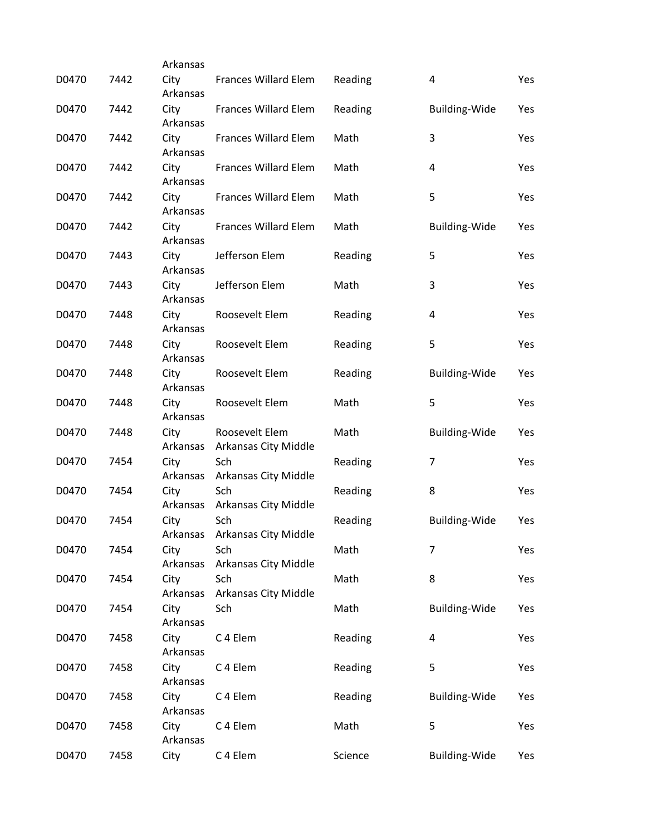|       |      | Arkansas         |                                        |         |                      |     |
|-------|------|------------------|----------------------------------------|---------|----------------------|-----|
| D0470 | 7442 | City<br>Arkansas | Frances Willard Elem                   | Reading | 4                    | Yes |
| D0470 | 7442 | City<br>Arkansas | Frances Willard Elem                   | Reading | <b>Building-Wide</b> | Yes |
| D0470 | 7442 | City<br>Arkansas | <b>Frances Willard Elem</b>            | Math    | 3                    | Yes |
| D0470 | 7442 | City<br>Arkansas | <b>Frances Willard Elem</b>            | Math    | 4                    | Yes |
| D0470 | 7442 | City<br>Arkansas | Frances Willard Elem                   | Math    | 5                    | Yes |
| D0470 | 7442 | City<br>Arkansas | <b>Frances Willard Elem</b>            | Math    | <b>Building-Wide</b> | Yes |
| D0470 | 7443 | City<br>Arkansas | Jefferson Elem                         | Reading | 5                    | Yes |
| D0470 | 7443 | City<br>Arkansas | Jefferson Elem                         | Math    | 3                    | Yes |
| D0470 | 7448 | City<br>Arkansas | Roosevelt Elem                         | Reading | 4                    | Yes |
| D0470 | 7448 | City<br>Arkansas | Roosevelt Elem                         | Reading | 5                    | Yes |
| D0470 | 7448 | City<br>Arkansas | Roosevelt Elem                         | Reading | <b>Building-Wide</b> | Yes |
| D0470 | 7448 | City<br>Arkansas | Roosevelt Elem                         | Math    | 5                    | Yes |
| D0470 | 7448 | City<br>Arkansas | Roosevelt Elem<br>Arkansas City Middle | Math    | <b>Building-Wide</b> | Yes |
| D0470 | 7454 | City<br>Arkansas | Sch<br>Arkansas City Middle            | Reading | 7                    | Yes |
| D0470 | 7454 | City<br>Arkansas | Sch<br>Arkansas City Middle            | Reading | 8                    | Yes |
| D0470 | 7454 | City             | Sch<br>Arkansas Arkansas City Middle   | Reading | <b>Building-Wide</b> | Yes |
| D0470 | 7454 | City<br>Arkansas | Sch<br>Arkansas City Middle            | Math    | 7                    | Yes |
| D0470 | 7454 | City<br>Arkansas | Sch<br>Arkansas City Middle            | Math    | 8                    | Yes |
| D0470 | 7454 | City<br>Arkansas | Sch                                    | Math    | <b>Building-Wide</b> | Yes |
| D0470 | 7458 | City<br>Arkansas | C 4 Elem                               | Reading | 4                    | Yes |
| D0470 | 7458 | City<br>Arkansas | C 4 Elem                               | Reading | 5                    | Yes |
| D0470 | 7458 | City<br>Arkansas | C 4 Elem                               | Reading | <b>Building-Wide</b> | Yes |
| D0470 | 7458 | City<br>Arkansas | C 4 Elem                               | Math    | 5                    | Yes |
| D0470 | 7458 | City             | C 4 Elem                               | Science | Building-Wide        | Yes |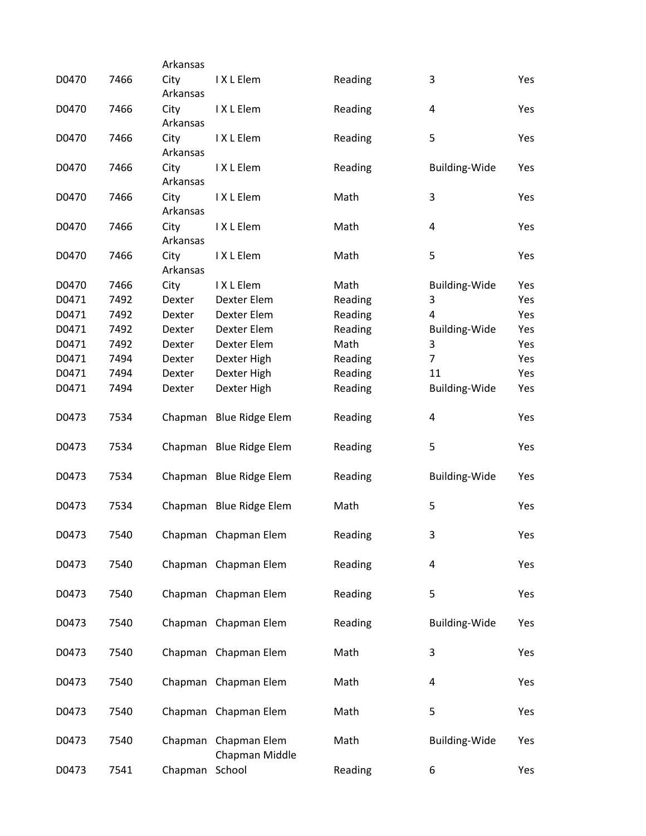|       |      | Arkansas         |                                        |         |                      |     |
|-------|------|------------------|----------------------------------------|---------|----------------------|-----|
| D0470 | 7466 | City<br>Arkansas | I X L Elem                             | Reading | 3                    | Yes |
| D0470 | 7466 | City<br>Arkansas | IXLElem                                | Reading | 4                    | Yes |
| D0470 | 7466 | City<br>Arkansas | IXLElem                                | Reading | 5                    | Yes |
| D0470 | 7466 | City<br>Arkansas | IXLElem                                | Reading | Building-Wide        | Yes |
| D0470 | 7466 | City<br>Arkansas | IXLElem                                | Math    | 3                    | Yes |
| D0470 | 7466 | City<br>Arkansas | IXLElem                                | Math    | 4                    | Yes |
| D0470 | 7466 | City<br>Arkansas | I X L Elem                             | Math    | 5                    | Yes |
| D0470 | 7466 | City             | I X L Elem                             | Math    | Building-Wide        | Yes |
| D0471 | 7492 | Dexter           | Dexter Elem                            | Reading | 3                    | Yes |
| D0471 | 7492 | Dexter           | Dexter Elem                            | Reading | 4                    | Yes |
|       |      |                  |                                        |         |                      |     |
| D0471 | 7492 | Dexter           | Dexter Elem                            | Reading | <b>Building-Wide</b> | Yes |
| D0471 | 7492 | Dexter           | Dexter Elem                            | Math    | 3                    | Yes |
| D0471 | 7494 | Dexter           | Dexter High                            | Reading | $\overline{7}$       | Yes |
| D0471 | 7494 | Dexter           | Dexter High                            | Reading | 11                   | Yes |
| D0471 | 7494 | Dexter           | Dexter High                            | Reading | Building-Wide        | Yes |
| D0473 | 7534 |                  | Chapman Blue Ridge Elem                | Reading | 4                    | Yes |
| D0473 | 7534 |                  | Chapman Blue Ridge Elem                | Reading | 5                    | Yes |
| D0473 | 7534 |                  | Chapman Blue Ridge Elem                | Reading | Building-Wide        | Yes |
| D0473 | 7534 |                  | Chapman Blue Ridge Elem                | Math    | 5                    | Yes |
| D0473 | 7540 |                  | Chapman Chapman Elem                   | Reading | 3                    | Yes |
| D0473 | 7540 |                  | Chapman Chapman Elem                   | Reading | 4                    | Yes |
| D0473 | 7540 |                  | Chapman Chapman Elem                   | Reading | 5                    | Yes |
| D0473 | 7540 |                  | Chapman Chapman Elem                   | Reading | <b>Building-Wide</b> | Yes |
| D0473 | 7540 |                  | Chapman Chapman Elem                   | Math    | 3                    | Yes |
| D0473 | 7540 |                  | Chapman Chapman Elem                   | Math    | 4                    | Yes |
| D0473 | 7540 |                  | Chapman Chapman Elem                   | Math    | 5                    | Yes |
| D0473 | 7540 |                  | Chapman Chapman Elem<br>Chapman Middle | Math    | <b>Building-Wide</b> | Yes |
| D0473 | 7541 | Chapman          | School                                 | Reading | 6                    | Yes |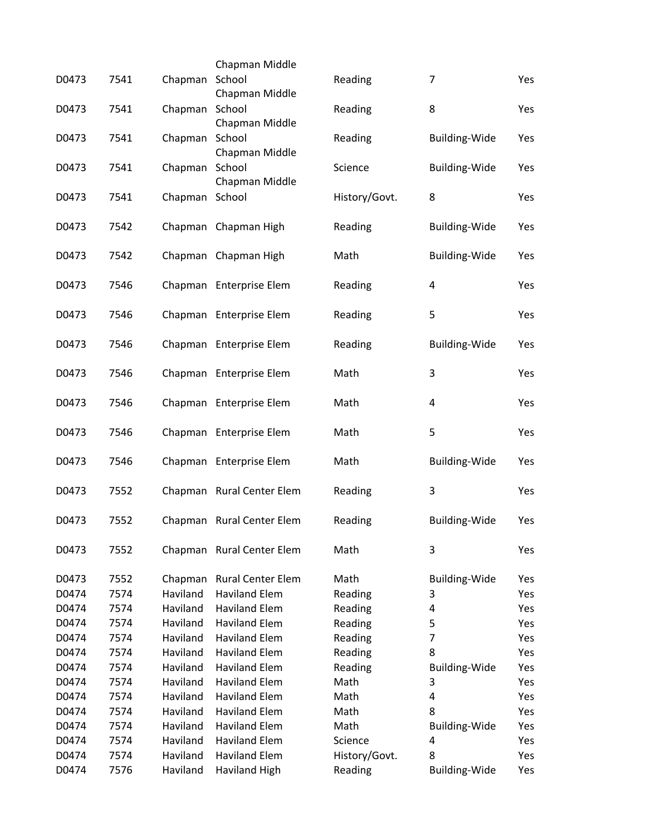|       |      |                | Chapman Middle            |               |                      |     |
|-------|------|----------------|---------------------------|---------------|----------------------|-----|
| D0473 | 7541 | Chapman        | School                    | Reading       | $\overline{7}$       | Yes |
|       |      |                | Chapman Middle            |               |                      |     |
| D0473 | 7541 | Chapman        | School<br>Chapman Middle  | Reading       | 8                    | Yes |
| D0473 | 7541 | Chapman        | School                    | Reading       | <b>Building-Wide</b> | Yes |
|       |      |                | Chapman Middle            |               |                      |     |
| D0473 | 7541 | Chapman        | School                    | Science       | <b>Building-Wide</b> | Yes |
|       | 7541 |                | Chapman Middle            | History/Govt. | 8                    |     |
| D0473 |      | Chapman School |                           |               |                      | Yes |
| D0473 | 7542 |                | Chapman Chapman High      | Reading       | <b>Building-Wide</b> | Yes |
|       |      |                |                           |               |                      |     |
| D0473 | 7542 |                | Chapman Chapman High      | Math          | <b>Building-Wide</b> | Yes |
|       |      |                |                           |               |                      |     |
| D0473 | 7546 |                | Chapman Enterprise Elem   | Reading       | 4                    | Yes |
| D0473 | 7546 |                | Chapman Enterprise Elem   | Reading       | 5                    | Yes |
|       |      |                |                           |               |                      |     |
| D0473 | 7546 |                | Chapman Enterprise Elem   | Reading       | <b>Building-Wide</b> | Yes |
|       |      |                |                           |               | 3                    |     |
| D0473 | 7546 |                | Chapman Enterprise Elem   | Math          |                      | Yes |
| D0473 | 7546 |                | Chapman Enterprise Elem   | Math          | 4                    | Yes |
|       |      |                |                           |               |                      |     |
| D0473 | 7546 |                | Chapman Enterprise Elem   | Math          | 5                    | Yes |
| D0473 | 7546 |                | Chapman Enterprise Elem   | Math          | <b>Building-Wide</b> | Yes |
|       |      |                |                           |               |                      |     |
| D0473 | 7552 |                | Chapman Rural Center Elem | Reading       | 3                    | Yes |
|       |      |                |                           |               |                      |     |
| D0473 | 7552 |                | Chapman Rural Center Elem | Reading       | <b>Building-Wide</b> | Yes |
| D0473 | 7552 |                | Chapman Rural Center Elem | Math          | 3                    | Yes |
|       |      |                |                           |               |                      |     |
| D0473 | 7552 | Chapman        | <b>Rural Center Elem</b>  | Math          | <b>Building-Wide</b> | Yes |
| D0474 | 7574 | Haviland       | <b>Haviland Elem</b>      | Reading       | 3                    | Yes |
| D0474 | 7574 | Haviland       | <b>Haviland Elem</b>      | Reading       | 4                    | Yes |
| D0474 | 7574 | Haviland       | <b>Haviland Elem</b>      | Reading       | 5                    | Yes |
| D0474 | 7574 | Haviland       | <b>Haviland Elem</b>      | Reading       | $\overline{7}$       | Yes |
| D0474 | 7574 | Haviland       | <b>Haviland Elem</b>      | Reading       | 8                    | Yes |
| D0474 | 7574 | Haviland       | <b>Haviland Elem</b>      | Reading       | <b>Building-Wide</b> | Yes |
| D0474 | 7574 | Haviland       | <b>Haviland Elem</b>      | Math          | 3                    | Yes |
|       |      |                |                           |               |                      |     |
| D0474 | 7574 | Haviland       | <b>Haviland Elem</b>      | Math          | 4                    | Yes |
| D0474 | 7574 | Haviland       | <b>Haviland Elem</b>      | Math          | 8                    | Yes |
| D0474 | 7574 | Haviland       | <b>Haviland Elem</b>      | Math          | <b>Building-Wide</b> | Yes |
| D0474 | 7574 | Haviland       | <b>Haviland Elem</b>      | Science       | 4                    | Yes |
| D0474 | 7574 | Haviland       | <b>Haviland Elem</b>      | History/Govt. | 8                    | Yes |
| D0474 | 7576 | Haviland       | <b>Haviland High</b>      | Reading       | Building-Wide        | Yes |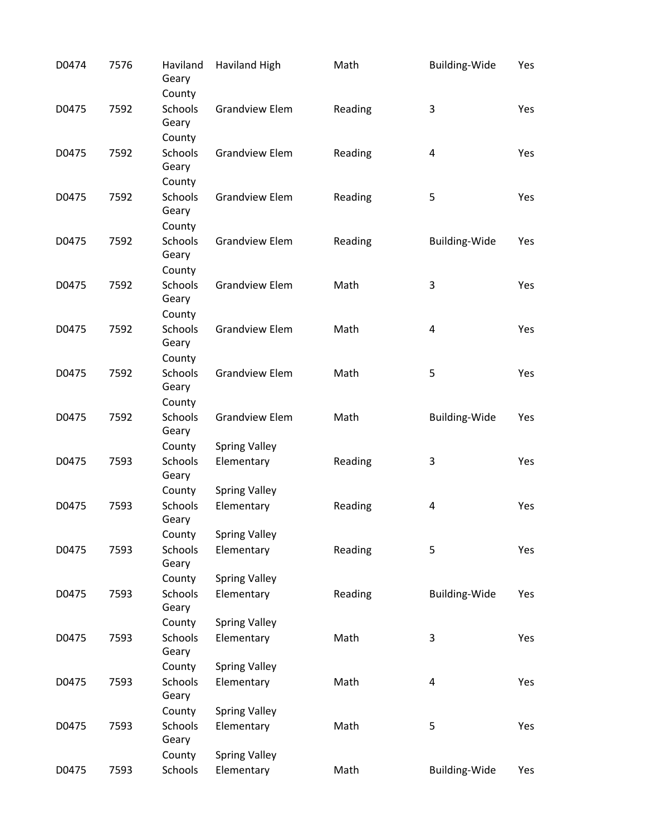| D0474 | 7576 | Haviland<br>Geary<br>County       | <b>Haviland High</b>               | Math    | Building-Wide           | Yes |
|-------|------|-----------------------------------|------------------------------------|---------|-------------------------|-----|
| D0475 | 7592 | <b>Schools</b><br>Geary           | <b>Grandview Elem</b>              | Reading | 3                       | Yes |
| D0475 | 7592 | County<br>Schools<br>Geary        | <b>Grandview Elem</b>              | Reading | 4                       | Yes |
| D0475 | 7592 | County<br><b>Schools</b><br>Geary | <b>Grandview Elem</b>              | Reading | 5                       | Yes |
| D0475 | 7592 | County<br>Schools<br>Geary        | <b>Grandview Elem</b>              | Reading | <b>Building-Wide</b>    | Yes |
| D0475 | 7592 | County<br><b>Schools</b><br>Geary | <b>Grandview Elem</b>              | Math    | 3                       | Yes |
| D0475 | 7592 | County<br><b>Schools</b><br>Geary | <b>Grandview Elem</b>              | Math    | 4                       | Yes |
| D0475 | 7592 | County<br><b>Schools</b><br>Geary | <b>Grandview Elem</b>              | Math    | 5                       | Yes |
| D0475 | 7592 | County<br>Schools<br>Geary        | <b>Grandview Elem</b>              | Math    | <b>Building-Wide</b>    | Yes |
| D0475 | 7593 | County<br>Schools<br>Geary        | <b>Spring Valley</b><br>Elementary | Reading | 3                       | Yes |
| D0475 | 7593 | County<br>Schools<br>Geary        | <b>Spring Valley</b><br>Elementary | Reading | $\overline{\mathbf{4}}$ | Yes |
| D0475 | 7593 | County<br>Schools<br>Geary        | <b>Spring Valley</b><br>Elementary | Reading | 5                       | Yes |
| D0475 | 7593 | County<br>Schools<br>Geary        | <b>Spring Valley</b><br>Elementary | Reading | <b>Building-Wide</b>    | Yes |
| D0475 | 7593 | County<br>Schools<br>Geary        | <b>Spring Valley</b><br>Elementary | Math    | 3                       | Yes |
| D0475 | 7593 | County<br>Schools<br>Geary        | <b>Spring Valley</b><br>Elementary | Math    | $\overline{\mathbf{4}}$ | Yes |
| D0475 | 7593 | County<br>Schools<br>Geary        | <b>Spring Valley</b><br>Elementary | Math    | 5                       | Yes |
| D0475 | 7593 | County<br>Schools                 | <b>Spring Valley</b><br>Elementary | Math    | <b>Building-Wide</b>    | Yes |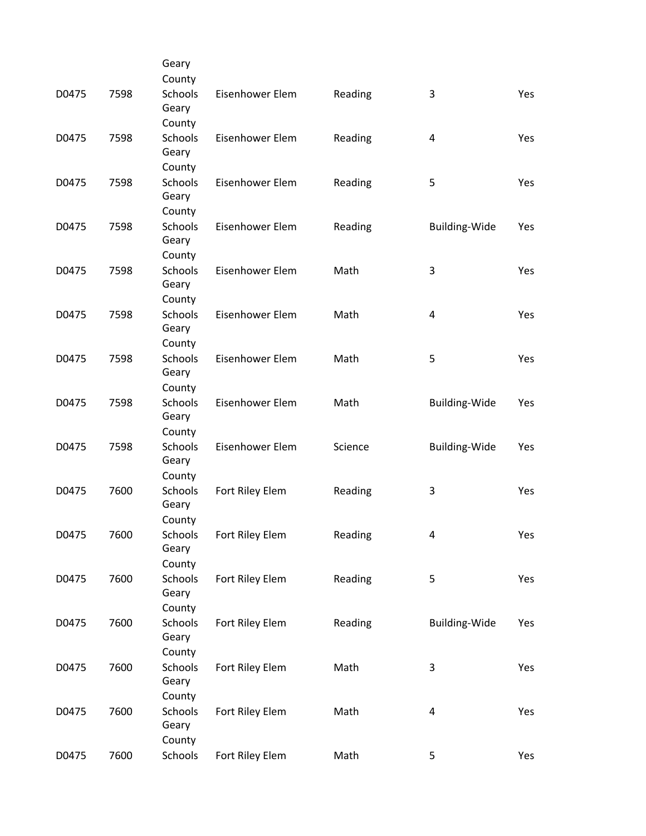|       |      | Geary                   |                 |         |                      |     |
|-------|------|-------------------------|-----------------|---------|----------------------|-----|
|       |      | County                  |                 |         |                      |     |
| D0475 | 7598 | <b>Schools</b><br>Geary | Eisenhower Elem | Reading | 3                    | Yes |
|       |      | County                  |                 |         |                      |     |
| D0475 | 7598 | Schools<br>Geary        | Eisenhower Elem | Reading | 4                    | Yes |
|       |      | County                  |                 |         |                      |     |
| D0475 | 7598 | <b>Schools</b><br>Geary | Eisenhower Elem | Reading | 5                    | Yes |
|       |      | County                  |                 |         |                      |     |
| D0475 | 7598 | Schools<br>Geary        | Eisenhower Elem | Reading | Building-Wide        | Yes |
|       |      | County                  |                 |         |                      |     |
| D0475 | 7598 | <b>Schools</b><br>Geary | Eisenhower Elem | Math    | 3                    | Yes |
|       |      | County                  |                 |         |                      |     |
| D0475 | 7598 | Schools<br>Geary        | Eisenhower Elem | Math    | 4                    | Yes |
|       |      | County                  |                 |         |                      |     |
| D0475 | 7598 | <b>Schools</b><br>Geary | Eisenhower Elem | Math    | 5                    | Yes |
|       |      | County                  |                 |         |                      |     |
| D0475 | 7598 | Schools<br>Geary        | Eisenhower Elem | Math    | <b>Building-Wide</b> | Yes |
|       |      | County                  |                 |         |                      |     |
| D0475 | 7598 | <b>Schools</b><br>Geary | Eisenhower Elem | Science | <b>Building-Wide</b> | Yes |
|       |      | County                  |                 |         |                      |     |
| D0475 | 7600 | Schools<br>Geary        | Fort Riley Elem | Reading | 3                    | Yes |
|       |      | County                  |                 |         |                      |     |
| D0475 | 7600 | Schools<br>Geary        | Fort Riley Elem | Reading | 4                    | Yes |
|       |      | County                  |                 |         |                      |     |
| D0475 | 7600 | Schools<br>Geary        | Fort Riley Elem | Reading | 5                    | Yes |
|       |      | County                  |                 |         |                      |     |
| D0475 | 7600 | Schools<br>Geary        | Fort Riley Elem | Reading | Building-Wide        | Yes |
|       |      | County                  |                 |         |                      |     |
| D0475 | 7600 | Schools<br>Geary        | Fort Riley Elem | Math    | $\mathbf{3}$         | Yes |
|       |      | County                  |                 |         |                      |     |
| D0475 | 7600 | <b>Schools</b><br>Geary | Fort Riley Elem | Math    | $\overline{a}$       | Yes |
|       |      | County                  |                 |         |                      |     |
| D0475 | 7600 | Schools                 | Fort Riley Elem | Math    | 5                    | Yes |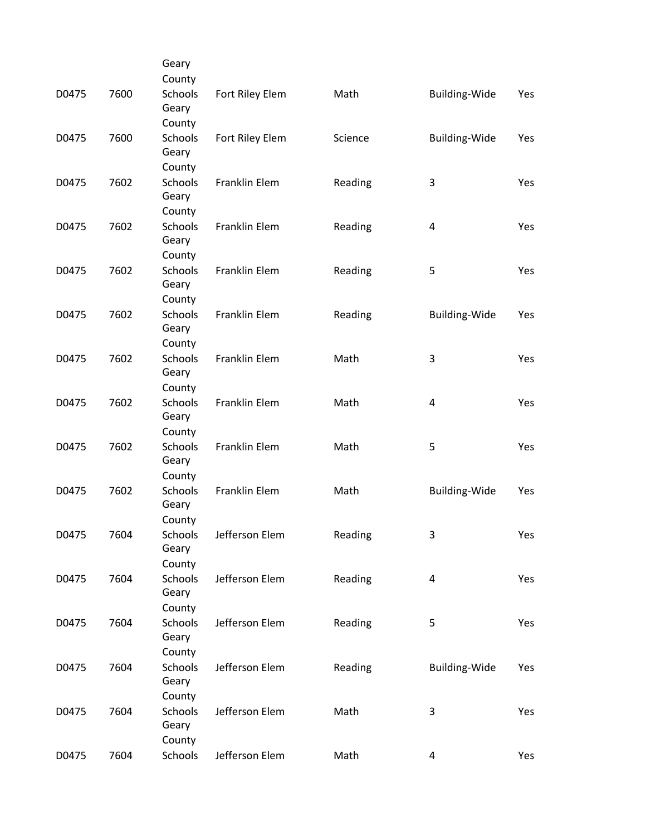|       |      | Geary                      |                      |         |                         |     |
|-------|------|----------------------------|----------------------|---------|-------------------------|-----|
|       |      | County                     |                      |         |                         |     |
| D0475 | 7600 | Schools<br>Geary           | Fort Riley Elem      | Math    | Building-Wide           | Yes |
|       |      | County                     |                      |         |                         |     |
| D0475 | 7600 | Schools<br>Geary           | Fort Riley Elem      | Science | <b>Building-Wide</b>    | Yes |
|       |      | County                     |                      |         |                         |     |
| D0475 | 7602 | Schools<br>Geary           | Franklin Elem        | Reading | 3                       | Yes |
|       |      | County                     |                      |         |                         |     |
| D0475 | 7602 | Schools<br>Geary           | Franklin Elem        | Reading | $\overline{\mathbf{4}}$ | Yes |
|       |      | County                     |                      |         |                         |     |
| D0475 | 7602 | Schools<br>Geary           | Franklin Elem        | Reading | 5                       | Yes |
|       |      | County                     |                      |         |                         |     |
| D0475 | 7602 | Schools<br>Geary           | <b>Franklin Elem</b> | Reading | <b>Building-Wide</b>    | Yes |
|       |      | County                     |                      |         |                         |     |
| D0475 | 7602 | Schools<br>Geary           | Franklin Elem        | Math    | 3                       | Yes |
|       |      | County                     |                      |         |                         |     |
| D0475 | 7602 | Schools<br>Geary           | Franklin Elem        | Math    | 4                       | Yes |
|       |      | County                     |                      |         |                         |     |
| D0475 | 7602 | Schools<br>Geary           | Franklin Elem        | Math    | 5                       | Yes |
|       |      | County                     |                      |         |                         |     |
| D0475 | 7602 | Schools<br>Geary           | Franklin Elem        | Math    | <b>Building-Wide</b>    | Yes |
|       |      | County                     |                      |         |                         |     |
| D0475 | 7604 | Schools<br>Geary           | Jefferson Elem       | Reading | 3                       | Yes |
|       |      | County                     |                      |         |                         |     |
| D0475 | 7604 | Schools<br>Geary           | Jefferson Elem       | Reading | $\overline{a}$          | Yes |
|       |      | County                     |                      |         |                         |     |
| D0475 | 7604 | <b>Schools</b><br>Geary    | Jefferson Elem       | Reading | 5                       | Yes |
|       |      | County                     |                      |         |                         |     |
| D0475 | 7604 | Schools<br>Geary           | Jefferson Elem       | Reading | Building-Wide           | Yes |
|       |      | County                     |                      |         |                         |     |
| D0475 | 7604 | Schools<br>Geary<br>County | Jefferson Elem       | Math    | 3                       | Yes |
| D0475 | 7604 | Schools                    | Jefferson Elem       | Math    | $\overline{4}$          |     |
|       |      |                            |                      |         |                         | Yes |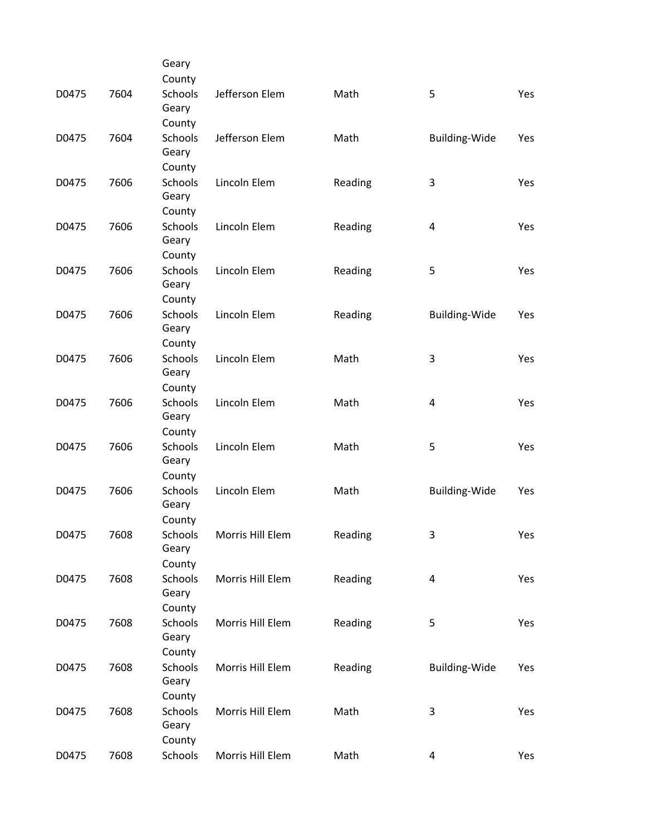|       |      | Geary                      |                  |         |                      |     |
|-------|------|----------------------------|------------------|---------|----------------------|-----|
|       |      | County                     |                  |         |                      |     |
| D0475 | 7604 | Schools<br>Geary           | Jefferson Elem   | Math    | 5                    | Yes |
|       |      | County                     |                  |         |                      |     |
| D0475 | 7604 | Schools<br>Geary           | Jefferson Elem   | Math    | Building-Wide        | Yes |
|       |      | County                     |                  |         |                      |     |
| D0475 | 7606 | Schools<br>Geary           | Lincoln Elem     | Reading | 3                    | Yes |
|       |      | County                     |                  |         |                      |     |
| D0475 | 7606 | Schools<br>Geary<br>County | Lincoln Elem     | Reading | 4                    | Yes |
|       |      | Schools                    |                  |         |                      |     |
| D0475 | 7606 | Geary<br>County            | Lincoln Elem     | Reading | 5                    | Yes |
|       | 7606 | Schools                    | Lincoln Elem     |         | Building-Wide        |     |
| D0475 |      | Geary<br>County            |                  | Reading |                      | Yes |
| D0475 | 7606 | <b>Schools</b>             | Lincoln Elem     | Math    | 3                    | Yes |
|       |      | Geary<br>County            |                  |         |                      |     |
| D0475 | 7606 | Schools                    | Lincoln Elem     | Math    | 4                    | Yes |
|       |      | Geary<br>County            |                  |         |                      |     |
|       | 7606 | Schools                    | Lincoln Elem     | Math    |                      |     |
| D0475 |      | Geary<br>County            |                  |         | 5                    | Yes |
| D0475 | 7606 | <b>Schools</b>             | Lincoln Elem     | Math    | <b>Building-Wide</b> | Yes |
|       |      | Geary<br>County            |                  |         |                      |     |
|       |      |                            | Morris Hill Elem | Reading |                      |     |
| D0475 | 7608 | Schools<br>Geary<br>County |                  |         | 3                    | Yes |
|       |      |                            |                  |         |                      |     |
| D0475 | 7608 | Schools<br>Geary           | Morris Hill Elem | Reading | 4                    | Yes |
|       |      | County                     |                  |         |                      |     |
| D0475 | 7608 | <b>Schools</b><br>Geary    | Morris Hill Elem | Reading | 5                    | Yes |
|       |      | County                     |                  |         |                      |     |
| D0475 | 7608 | Schools<br>Geary           | Morris Hill Elem | Reading | Building-Wide        | Yes |
|       |      | County                     |                  |         |                      |     |
| D0475 | 7608 | Schools<br>Geary<br>County | Morris Hill Elem | Math    | 3                    | Yes |
| D0475 | 7608 | Schools                    | Morris Hill Elem | Math    | 4                    | Yes |
|       |      |                            |                  |         |                      |     |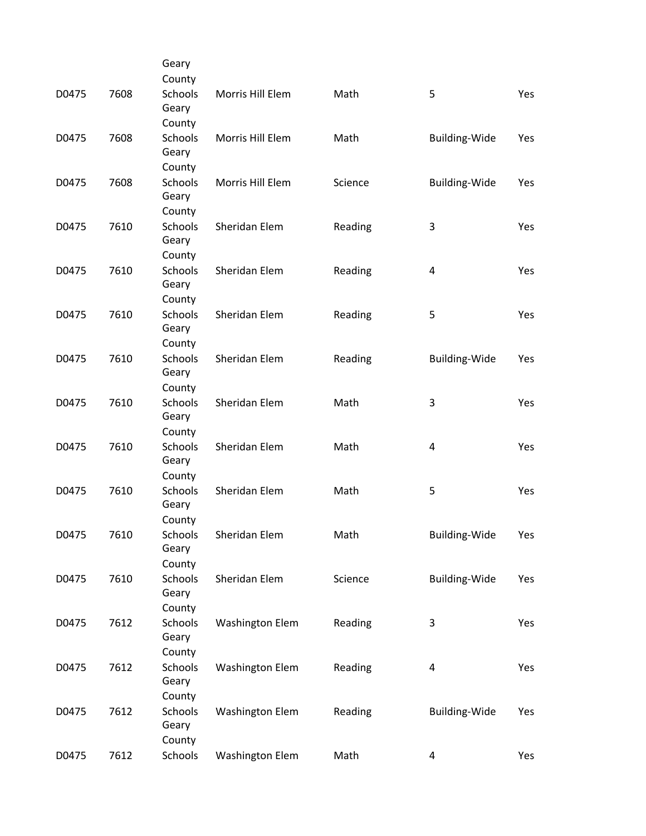|       |      | Geary                   |                        |         |                      |     |
|-------|------|-------------------------|------------------------|---------|----------------------|-----|
|       |      | County                  |                        |         |                      |     |
| D0475 | 7608 | Schools<br>Geary        | Morris Hill Elem       | Math    | 5                    | Yes |
|       |      | County                  |                        |         |                      |     |
| D0475 | 7608 | <b>Schools</b><br>Geary | Morris Hill Elem       | Math    | Building-Wide        | Yes |
|       |      | County                  |                        |         |                      |     |
| D0475 | 7608 | Schools<br>Geary        | Morris Hill Elem       | Science | Building-Wide        | Yes |
|       |      | County                  |                        |         |                      |     |
| D0475 | 7610 | Schools                 | Sheridan Elem          | Reading | 3                    | Yes |
|       |      | Geary                   |                        |         |                      |     |
|       |      | County                  |                        |         |                      |     |
| D0475 | 7610 | <b>Schools</b><br>Geary | Sheridan Elem          | Reading | 4                    | Yes |
|       |      | County                  |                        |         |                      |     |
| D0475 | 7610 | Schools                 | Sheridan Elem          | Reading | 5                    | Yes |
|       |      | Geary                   |                        |         |                      |     |
|       |      | County                  |                        |         |                      |     |
| D0475 | 7610 | <b>Schools</b>          | Sheridan Elem          | Reading | <b>Building-Wide</b> | Yes |
|       |      | Geary                   |                        |         |                      |     |
|       |      | County                  |                        |         |                      |     |
| D0475 | 7610 | Schools<br>Geary        | Sheridan Elem          | Math    | 3                    | Yes |
|       |      | County                  |                        |         |                      |     |
| D0475 | 7610 | <b>Schools</b>          | Sheridan Elem          | Math    | 4                    | Yes |
|       |      | Geary                   |                        |         |                      |     |
|       |      | County                  |                        |         |                      |     |
| D0475 | 7610 | Schools                 | Sheridan Elem          | Math    | 5                    | Yes |
|       |      | Geary                   |                        |         |                      |     |
|       |      | County<br>Schools       | Sheridan Elem          | Math    | Building-Wide        |     |
| D0475 | 7610 | Geary                   |                        |         |                      | Yes |
|       |      | County                  |                        |         |                      |     |
| D0475 | 7610 | Schools                 | Sheridan Elem          | Science | Building-Wide        | Yes |
|       |      | Geary                   |                        |         |                      |     |
|       |      | County                  |                        |         |                      |     |
| D0475 | 7612 | <b>Schools</b>          | <b>Washington Elem</b> | Reading | 3                    | Yes |
|       |      | Geary                   |                        |         |                      |     |
|       |      | County                  |                        |         |                      |     |
| D0475 | 7612 | Schools<br>Geary        | <b>Washington Elem</b> | Reading | 4                    | Yes |
|       |      | County                  |                        |         |                      |     |
| D0475 | 7612 | Schools                 | <b>Washington Elem</b> | Reading | <b>Building-Wide</b> | Yes |
|       |      | Geary                   |                        |         |                      |     |
|       |      | County                  |                        |         |                      |     |
| D0475 | 7612 | Schools                 | <b>Washington Elem</b> | Math    | $\overline{a}$       | Yes |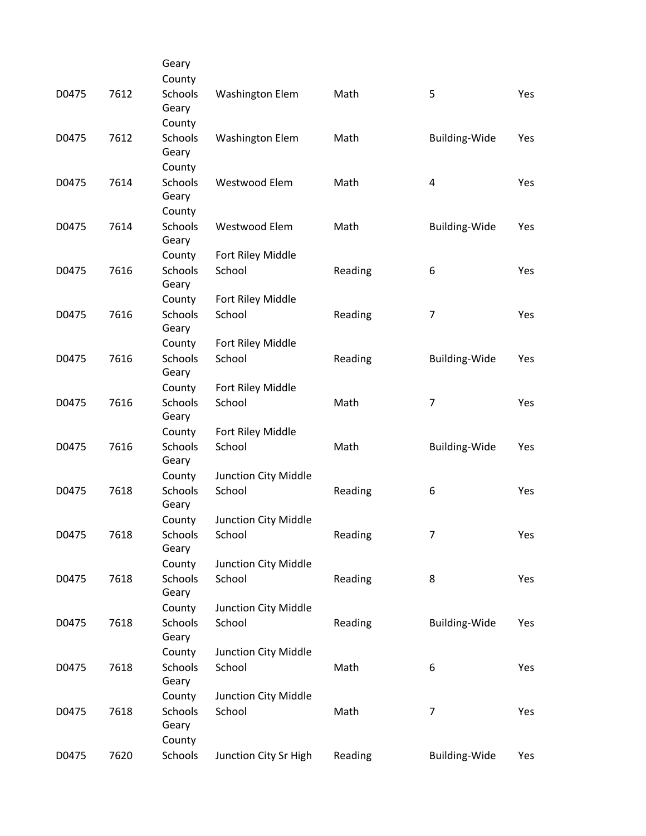|       |      | Geary                      |                        |         |                      |     |
|-------|------|----------------------------|------------------------|---------|----------------------|-----|
|       |      | County                     |                        |         |                      |     |
| D0475 | 7612 | Schools<br>Geary           | <b>Washington Elem</b> | Math    | 5                    | Yes |
|       |      | County                     |                        |         |                      |     |
| D0475 | 7612 | Schools<br>Geary           | <b>Washington Elem</b> | Math    | Building-Wide        | Yes |
|       |      | County                     |                        |         |                      |     |
| D0475 | 7614 | Schools<br>Geary           | Westwood Elem          | Math    | 4                    | Yes |
|       |      | County                     |                        |         |                      |     |
| D0475 | 7614 | Schools<br>Geary           | Westwood Elem          | Math    | Building-Wide        | Yes |
|       |      | County                     | Fort Riley Middle      |         |                      |     |
| D0475 | 7616 | Schools<br>Geary           | School                 | Reading | 6                    | Yes |
|       |      | County                     | Fort Riley Middle      |         |                      |     |
| D0475 | 7616 | Schools<br>Geary           | School                 | Reading | 7                    | Yes |
|       |      | County                     | Fort Riley Middle      |         |                      |     |
| D0475 | 7616 | Schools<br>Geary           | School                 | Reading | <b>Building-Wide</b> | Yes |
|       |      | County                     | Fort Riley Middle      |         |                      |     |
| D0475 | 7616 | Schools<br>Geary           | School                 | Math    | 7                    | Yes |
|       |      | County                     | Fort Riley Middle      |         |                      |     |
| D0475 | 7616 | Schools<br>Geary           | School                 | Math    | <b>Building-Wide</b> | Yes |
|       |      | County                     | Junction City Middle   |         |                      |     |
| D0475 | 7618 | Schools<br>Geary           | School                 | Reading | 6                    | Yes |
|       |      | County                     | Junction City Middle   |         |                      |     |
| D0475 | 7618 | Schools<br>Geary           | School                 | Reading | $\prime$             | Yes |
|       |      | County                     | Junction City Middle   |         |                      |     |
| D0475 | 7618 | <b>Schools</b><br>Geary    | School                 | Reading | 8                    | Yes |
|       |      | County                     | Junction City Middle   |         |                      |     |
| D0475 | 7618 | Schools<br>Geary           | School                 | Reading | <b>Building-Wide</b> | Yes |
|       |      | County                     | Junction City Middle   |         |                      |     |
| D0475 | 7618 | Schools<br>Geary           | School                 | Math    | 6                    | Yes |
|       |      | County                     | Junction City Middle   |         |                      |     |
| D0475 | 7618 | Schools<br>Geary<br>County | School                 | Math    | $\overline{7}$       | Yes |
| D0475 | 7620 | Schools                    | Junction City Sr High  | Reading | <b>Building-Wide</b> | Yes |
|       |      |                            |                        |         |                      |     |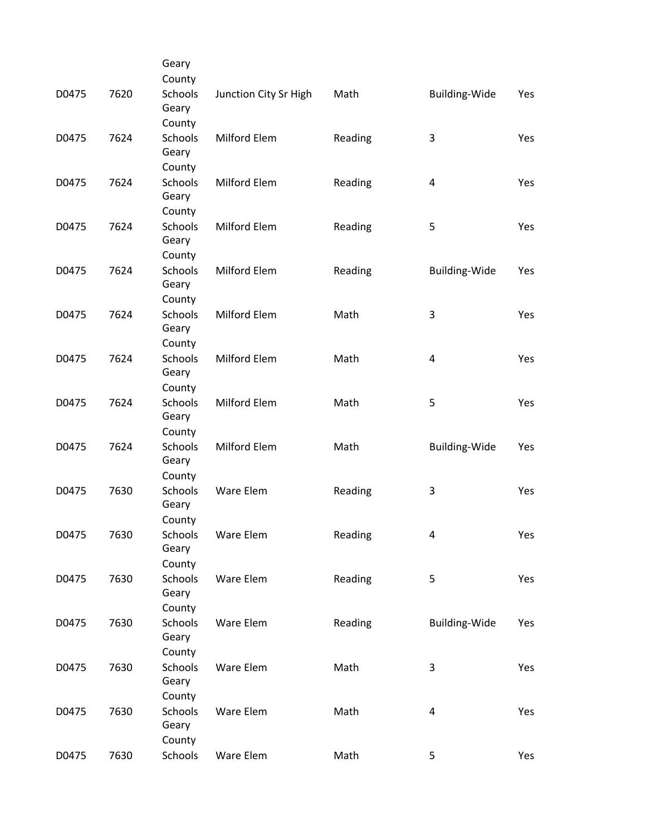|       |      | Geary                             |                       |         |                         |     |
|-------|------|-----------------------------------|-----------------------|---------|-------------------------|-----|
|       |      | County                            |                       |         |                         |     |
| D0475 | 7620 | Schools<br>Geary                  | Junction City Sr High | Math    | Building-Wide           | Yes |
|       |      | County                            |                       |         |                         |     |
| D0475 | 7624 | <b>Schools</b><br>Geary           | Milford Elem          | Reading | 3                       | Yes |
|       |      | County                            |                       |         |                         |     |
| D0475 | 7624 | Schools<br>Geary                  | Milford Elem          | Reading | $\overline{\mathbf{4}}$ | Yes |
|       |      | County                            |                       |         |                         |     |
| D0475 | 7624 | Schools<br>Geary                  | Milford Elem          | Reading | 5                       | Yes |
|       |      | County                            |                       |         |                         |     |
| D0475 | 7624 | <b>Schools</b><br>Geary           | Milford Elem          | Reading | Building-Wide           | Yes |
|       |      | County                            |                       |         |                         |     |
| D0475 | 7624 | Schools<br>Geary                  | Milford Elem          | Math    | 3                       | Yes |
|       |      | County                            |                       |         |                         |     |
| D0475 | 7624 | Schools<br>Geary                  | Milford Elem          | Math    | 4                       | Yes |
|       |      | County                            |                       |         |                         |     |
| D0475 | 7624 | Schools<br>Geary                  | Milford Elem          | Math    | 5                       | Yes |
|       |      | County                            |                       |         |                         |     |
| D0475 | 7624 | Schools<br>Geary                  | Milford Elem          | Math    | <b>Building-Wide</b>    | Yes |
|       |      | County                            |                       |         |                         |     |
| D0475 | 7630 | Schools<br>Geary                  | Ware Elem             | Reading | 3                       | Yes |
|       |      | County                            |                       |         |                         |     |
| D0475 | 7630 | Schools<br>Geary                  | Ware Elem             | Reading | 4                       | Yes |
|       |      | County                            |                       |         |                         |     |
| D0475 | 7630 | Schools<br>Geary                  | Ware Elem             | Reading | 5                       | Yes |
|       |      | County                            |                       |         |                         |     |
| D0475 | 7630 | <b>Schools</b><br>Geary           | Ware Elem             | Reading | Building-Wide           | Yes |
|       |      | County                            |                       |         |                         |     |
| D0475 | 7630 | Schools<br>Geary                  | Ware Elem             | Math    | 3                       | Yes |
|       |      | County                            |                       |         |                         |     |
| D0475 | 7630 | <b>Schools</b><br>Geary<br>County | Ware Elem             | Math    | 4                       | Yes |
|       | 7630 |                                   |                       |         |                         |     |
| D0475 |      | Schools                           | Ware Elem             | Math    | 5                       | Yes |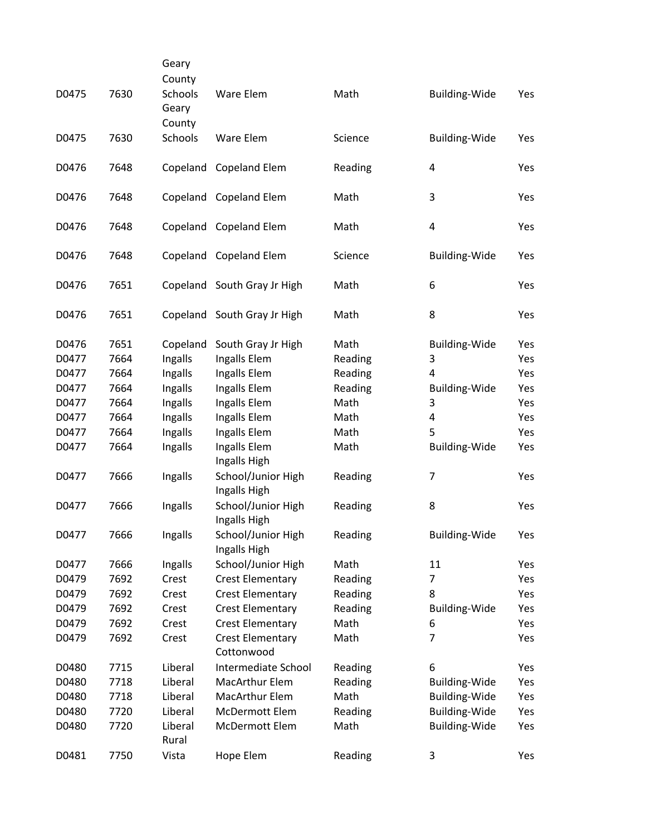|       |      | Geary<br>County  |                                       |         |                      |     |
|-------|------|------------------|---------------------------------------|---------|----------------------|-----|
| D0475 | 7630 | Schools<br>Geary | Ware Elem                             | Math    | Building-Wide        | Yes |
|       |      | County           |                                       |         |                      |     |
| D0475 | 7630 | Schools          | Ware Elem                             | Science | Building-Wide        | Yes |
| D0476 | 7648 |                  | Copeland Copeland Elem                | Reading | 4                    | Yes |
| D0476 | 7648 |                  | Copeland Copeland Elem                | Math    | 3                    | Yes |
| D0476 | 7648 |                  | Copeland Copeland Elem                | Math    | 4                    | Yes |
| D0476 | 7648 |                  | Copeland Copeland Elem                | Science | <b>Building-Wide</b> | Yes |
| D0476 | 7651 |                  | Copeland South Gray Jr High           | Math    | 6                    | Yes |
| D0476 | 7651 |                  | Copeland South Gray Jr High           | Math    | 8                    | Yes |
| D0476 | 7651 | Copeland         | South Gray Jr High                    | Math    | <b>Building-Wide</b> | Yes |
| D0477 | 7664 | Ingalls          | Ingalls Elem                          | Reading | 3                    | Yes |
| D0477 | 7664 | Ingalls          | Ingalls Elem                          | Reading | 4                    | Yes |
| D0477 | 7664 | Ingalls          | Ingalls Elem                          | Reading | Building-Wide        | Yes |
| D0477 | 7664 | Ingalls          | Ingalls Elem                          | Math    | 3                    | Yes |
| D0477 | 7664 | Ingalls          | Ingalls Elem                          | Math    | 4                    | Yes |
| D0477 | 7664 | Ingalls          | Ingalls Elem                          | Math    | 5                    | Yes |
| D0477 | 7664 | Ingalls          | Ingalls Elem<br>Ingalls High          | Math    | <b>Building-Wide</b> | Yes |
| D0477 | 7666 | Ingalls          | School/Junior High<br>Ingalls High    | Reading | $\overline{7}$       | Yes |
| D0477 | 7666 | Ingalls          | School/Junior High<br>Ingalls High    | Reading | 8                    | Yes |
| D0477 | 7666 | Ingalls          | School/Junior High<br>Ingalls High    | Reading | Building-Wide        | Yes |
| D0477 | 7666 | Ingalls          | School/Junior High                    | Math    | 11                   | Yes |
| D0479 | 7692 | Crest            | <b>Crest Elementary</b>               | Reading | 7                    | Yes |
| D0479 | 7692 | Crest            | <b>Crest Elementary</b>               | Reading | 8                    | Yes |
| D0479 | 7692 | Crest            | <b>Crest Elementary</b>               | Reading | Building-Wide        | Yes |
| D0479 | 7692 | Crest            | <b>Crest Elementary</b>               | Math    | 6                    | Yes |
| D0479 | 7692 | Crest            | <b>Crest Elementary</b><br>Cottonwood | Math    | $\overline{7}$       | Yes |
| D0480 | 7715 | Liberal          | Intermediate School                   | Reading | 6                    | Yes |
| D0480 | 7718 | Liberal          | MacArthur Elem                        | Reading | <b>Building-Wide</b> | Yes |
| D0480 | 7718 | Liberal          | MacArthur Elem                        | Math    | <b>Building-Wide</b> | Yes |
| D0480 | 7720 | Liberal          | McDermott Elem                        | Reading | Building-Wide        | Yes |
| D0480 | 7720 | Liberal<br>Rural | McDermott Elem                        | Math    | Building-Wide        | Yes |
| D0481 | 7750 | Vista            | Hope Elem                             | Reading | 3                    | Yes |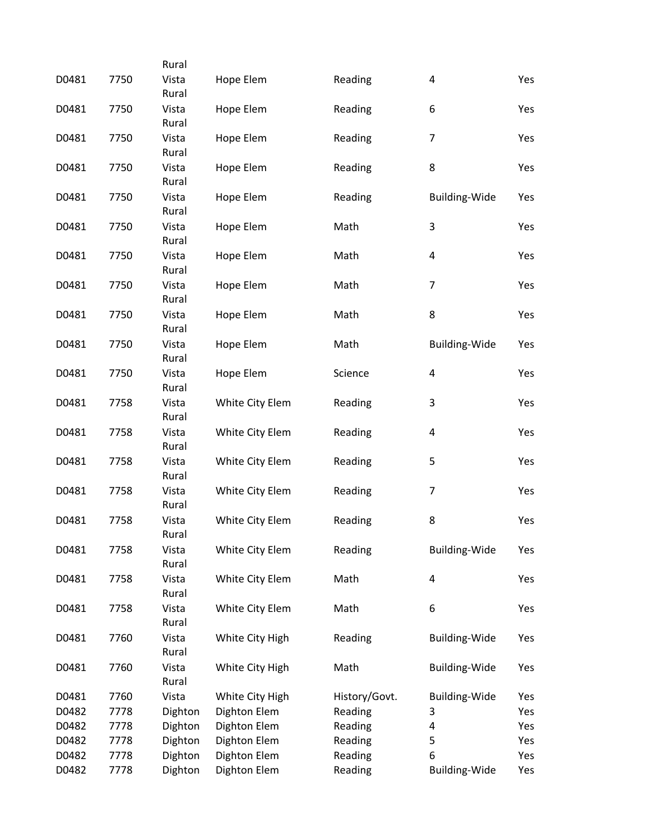|      |                                                              |                                                                                                                                                                |                                                                                                                              |                                                                                | Yes                                                                                                                                                                                     |
|------|--------------------------------------------------------------|----------------------------------------------------------------------------------------------------------------------------------------------------------------|------------------------------------------------------------------------------------------------------------------------------|--------------------------------------------------------------------------------|-----------------------------------------------------------------------------------------------------------------------------------------------------------------------------------------|
|      | Rural                                                        |                                                                                                                                                                |                                                                                                                              |                                                                                |                                                                                                                                                                                         |
| 7750 | Vista                                                        | Hope Elem                                                                                                                                                      | Reading                                                                                                                      | 6                                                                              | Yes                                                                                                                                                                                     |
| 7750 | Vista                                                        | Hope Elem                                                                                                                                                      | Reading                                                                                                                      | $\overline{7}$                                                                 | Yes                                                                                                                                                                                     |
|      | Rural                                                        |                                                                                                                                                                |                                                                                                                              |                                                                                |                                                                                                                                                                                         |
|      |                                                              |                                                                                                                                                                |                                                                                                                              |                                                                                | Yes                                                                                                                                                                                     |
| 7750 | Vista                                                        | Hope Elem                                                                                                                                                      | Reading                                                                                                                      | <b>Building-Wide</b>                                                           | Yes                                                                                                                                                                                     |
|      | Rural                                                        |                                                                                                                                                                |                                                                                                                              |                                                                                |                                                                                                                                                                                         |
| 7750 | Vista<br>Rural                                               | Hope Elem                                                                                                                                                      | Math                                                                                                                         | 3                                                                              | Yes                                                                                                                                                                                     |
| 7750 | Vista                                                        | Hope Elem                                                                                                                                                      | Math                                                                                                                         | 4                                                                              | Yes                                                                                                                                                                                     |
|      | Rural                                                        |                                                                                                                                                                |                                                                                                                              |                                                                                |                                                                                                                                                                                         |
|      | Vista                                                        |                                                                                                                                                                | Math                                                                                                                         |                                                                                | Yes                                                                                                                                                                                     |
| 7750 | Vista                                                        | Hope Elem                                                                                                                                                      | Math                                                                                                                         | 8                                                                              | Yes                                                                                                                                                                                     |
|      | Rural                                                        |                                                                                                                                                                |                                                                                                                              |                                                                                |                                                                                                                                                                                         |
| 7750 | Vista                                                        | Hope Elem                                                                                                                                                      | Math                                                                                                                         | <b>Building-Wide</b>                                                           | Yes                                                                                                                                                                                     |
|      |                                                              |                                                                                                                                                                |                                                                                                                              |                                                                                | Yes                                                                                                                                                                                     |
|      |                                                              |                                                                                                                                                                |                                                                                                                              |                                                                                |                                                                                                                                                                                         |
| 7758 | Vista                                                        | White City Elem                                                                                                                                                | Reading                                                                                                                      | 3                                                                              | Yes                                                                                                                                                                                     |
|      | Rural                                                        |                                                                                                                                                                |                                                                                                                              |                                                                                |                                                                                                                                                                                         |
| 7758 | Vista<br>Rural                                               | White City Elem                                                                                                                                                | Reading                                                                                                                      | 4                                                                              | Yes                                                                                                                                                                                     |
| 7758 | Vista                                                        | White City Elem                                                                                                                                                | Reading                                                                                                                      | 5                                                                              | Yes                                                                                                                                                                                     |
|      |                                                              |                                                                                                                                                                |                                                                                                                              |                                                                                |                                                                                                                                                                                         |
|      | Rural                                                        |                                                                                                                                                                |                                                                                                                              |                                                                                | Yes                                                                                                                                                                                     |
| 7758 | Vista                                                        | White City Elem                                                                                                                                                | Reading                                                                                                                      | 8                                                                              | Yes                                                                                                                                                                                     |
|      | Rural                                                        |                                                                                                                                                                |                                                                                                                              |                                                                                |                                                                                                                                                                                         |
| 7758 |                                                              | White City Elem                                                                                                                                                |                                                                                                                              |                                                                                | Yes                                                                                                                                                                                     |
|      |                                                              |                                                                                                                                                                |                                                                                                                              |                                                                                | Yes                                                                                                                                                                                     |
|      | Rural                                                        |                                                                                                                                                                |                                                                                                                              |                                                                                |                                                                                                                                                                                         |
| 7758 | Vista                                                        | White City Elem                                                                                                                                                | Math                                                                                                                         | 6                                                                              | Yes                                                                                                                                                                                     |
|      |                                                              |                                                                                                                                                                |                                                                                                                              |                                                                                |                                                                                                                                                                                         |
|      |                                                              |                                                                                                                                                                |                                                                                                                              |                                                                                | Yes                                                                                                                                                                                     |
|      |                                                              |                                                                                                                                                                |                                                                                                                              |                                                                                | Yes                                                                                                                                                                                     |
|      | Rural                                                        |                                                                                                                                                                |                                                                                                                              |                                                                                |                                                                                                                                                                                         |
| 7760 | Vista                                                        | White City High                                                                                                                                                | History/Govt.                                                                                                                | Building-Wide                                                                  | Yes                                                                                                                                                                                     |
| 7778 | Dighton                                                      | Dighton Elem                                                                                                                                                   | Reading                                                                                                                      | 3                                                                              | Yes                                                                                                                                                                                     |
| 7778 | Dighton                                                      | Dighton Elem                                                                                                                                                   | Reading                                                                                                                      | 4                                                                              | Yes                                                                                                                                                                                     |
| 7778 | Dighton                                                      | Dighton Elem                                                                                                                                                   | Reading                                                                                                                      | 5                                                                              | Yes                                                                                                                                                                                     |
| 7778 | Dighton                                                      | Dighton Elem                                                                                                                                                   | Reading                                                                                                                      | 6                                                                              | Yes                                                                                                                                                                                     |
| 7778 | Dighton                                                      | Dighton Elem                                                                                                                                                   | Reading                                                                                                                      | <b>Building-Wide</b>                                                           | Yes                                                                                                                                                                                     |
|      | 7750<br>7750<br>7750<br>7750<br>7758<br>7758<br>7760<br>7760 | Rural<br>Vista<br>Rural<br>Vista<br>Rural<br>Rural<br>Rural<br>Vista<br>Rural<br>Rural<br>Vista<br>Vista<br>Rural<br>Vista<br>Rural<br>Vista<br>Rural<br>Vista | Hope Elem<br>Hope Elem<br>Hope Elem<br>Hope Elem<br>White City Elem<br>White City Elem<br>White City High<br>White City High | Reading<br>Reading<br>Science<br>Reading<br>Reading<br>Math<br>Reading<br>Math | $\overline{\mathbf{4}}$<br>8<br>$\overline{7}$<br>$\overline{\mathbf{4}}$<br>$\overline{7}$<br><b>Building-Wide</b><br>$\overline{\mathbf{4}}$<br><b>Building-Wide</b><br>Building-Wide |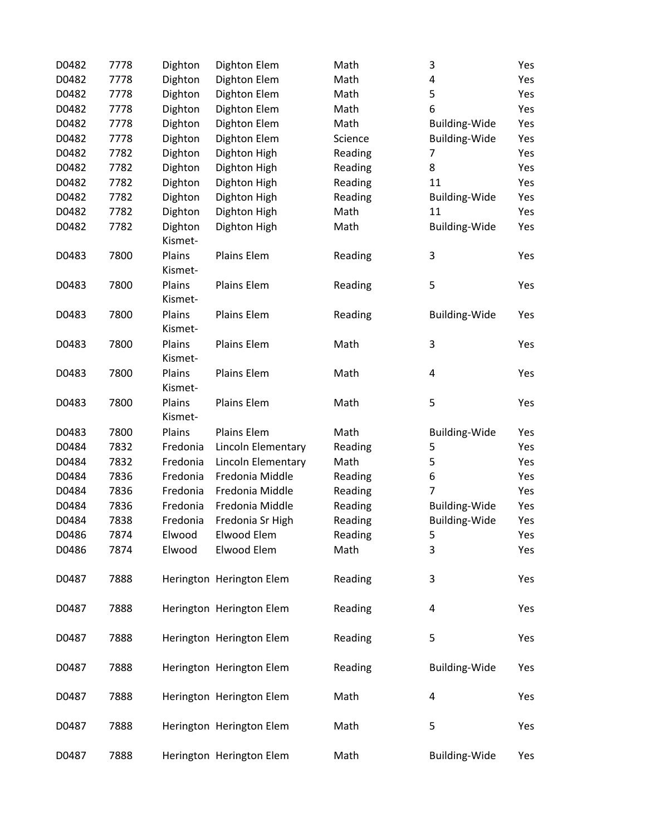| D0482 | 7778 | Dighton  | Dighton Elem             | Math    | 3                    | Yes |
|-------|------|----------|--------------------------|---------|----------------------|-----|
| D0482 | 7778 | Dighton  | Dighton Elem             | Math    | 4                    | Yes |
| D0482 | 7778 | Dighton  | Dighton Elem             | Math    | 5                    | Yes |
| D0482 | 7778 | Dighton  | Dighton Elem             | Math    | 6                    | Yes |
| D0482 | 7778 | Dighton  | Dighton Elem             | Math    | Building-Wide        | Yes |
| D0482 | 7778 | Dighton  | Dighton Elem             | Science | Building-Wide        | Yes |
| D0482 | 7782 | Dighton  | Dighton High             | Reading | 7                    | Yes |
| D0482 | 7782 | Dighton  | Dighton High             | Reading | 8                    | Yes |
| D0482 | 7782 | Dighton  | Dighton High             | Reading | 11                   | Yes |
| D0482 | 7782 | Dighton  | Dighton High             | Reading | <b>Building-Wide</b> | Yes |
| D0482 | 7782 | Dighton  | Dighton High             | Math    | 11                   | Yes |
| D0482 | 7782 | Dighton  | Dighton High             | Math    | <b>Building-Wide</b> | Yes |
|       |      | Kismet-  |                          |         |                      |     |
| D0483 | 7800 | Plains   | Plains Elem              | Reading | 3                    | Yes |
|       |      | Kismet-  |                          |         |                      |     |
| D0483 | 7800 | Plains   | Plains Elem              | Reading | 5                    | Yes |
|       |      | Kismet-  |                          |         |                      |     |
| D0483 | 7800 | Plains   | Plains Elem              | Reading | Building-Wide        | Yes |
|       |      | Kismet-  |                          |         |                      |     |
| D0483 | 7800 | Plains   | Plains Elem              | Math    | 3                    | Yes |
|       |      | Kismet-  |                          |         |                      |     |
| D0483 | 7800 | Plains   | Plains Elem              | Math    | 4                    | Yes |
|       |      | Kismet-  |                          |         |                      |     |
| D0483 | 7800 | Plains   | Plains Elem              | Math    | 5                    | Yes |
|       |      | Kismet-  |                          |         |                      |     |
| D0483 | 7800 | Plains   | Plains Elem              | Math    | <b>Building-Wide</b> | Yes |
| D0484 | 7832 | Fredonia | Lincoln Elementary       | Reading | 5                    | Yes |
| D0484 | 7832 | Fredonia | Lincoln Elementary       | Math    | 5                    | Yes |
| D0484 | 7836 | Fredonia | Fredonia Middle          | Reading | 6                    | Yes |
| D0484 | 7836 | Fredonia | Fredonia Middle          | Reading | 7                    | Yes |
| D0484 | 7836 | Fredonia | Fredonia Middle          | Reading | <b>Building-Wide</b> | Yes |
| D0484 | 7838 | Fredonia | Fredonia Sr High         | Reading | Building-Wide        | Yes |
| D0486 | 7874 | Elwood   | Elwood Elem              | Reading | 5                    | Yes |
| D0486 | 7874 | Elwood   | Elwood Elem              | Math    | 3                    | Yes |
|       |      |          |                          |         |                      |     |
| D0487 | 7888 |          | Herington Herington Elem | Reading | 3                    | Yes |
|       |      |          |                          |         |                      |     |
| D0487 | 7888 |          | Herington Herington Elem | Reading | 4                    | Yes |
|       |      |          |                          |         |                      |     |
| D0487 | 7888 |          | Herington Herington Elem | Reading | 5                    | Yes |
|       |      |          |                          |         |                      |     |
| D0487 | 7888 |          | Herington Herington Elem | Reading | <b>Building-Wide</b> | Yes |
|       |      |          |                          |         |                      |     |
| D0487 | 7888 |          | Herington Herington Elem | Math    | 4                    | Yes |
|       |      |          |                          |         |                      |     |
| D0487 | 7888 |          | Herington Herington Elem | Math    | 5                    | Yes |
|       |      |          |                          |         |                      |     |
| D0487 | 7888 |          | Herington Herington Elem | Math    | Building-Wide        | Yes |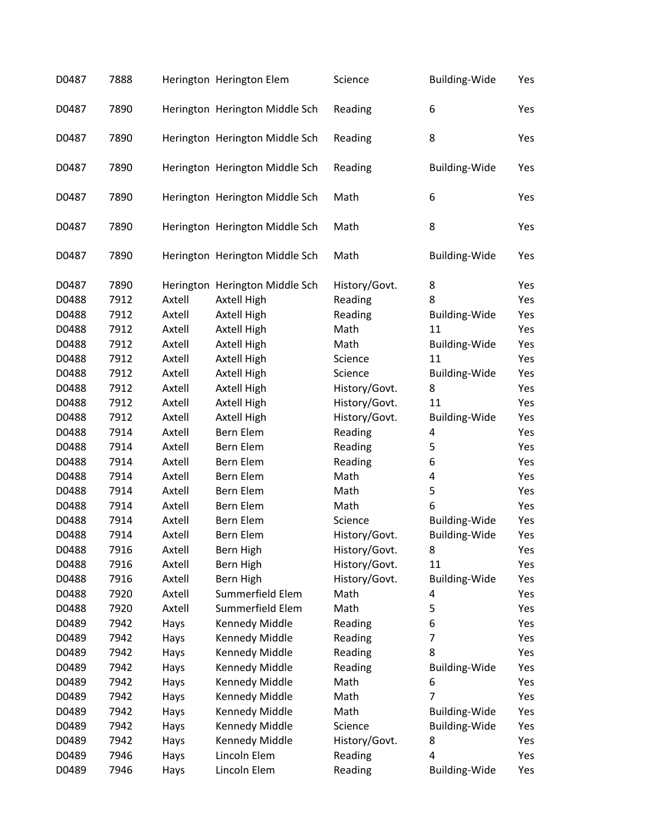| D0487 | 7888 |        | Herington Herington Elem       | Science       | <b>Building-Wide</b> | Yes |
|-------|------|--------|--------------------------------|---------------|----------------------|-----|
| D0487 | 7890 |        | Herington Herington Middle Sch | Reading       | 6                    | Yes |
| D0487 | 7890 |        | Herington Herington Middle Sch | Reading       | 8                    | Yes |
| D0487 | 7890 |        | Herington Herington Middle Sch | Reading       | <b>Building-Wide</b> | Yes |
| D0487 | 7890 |        | Herington Herington Middle Sch | Math          | 6                    | Yes |
| D0487 | 7890 |        | Herington Herington Middle Sch | Math          | 8                    | Yes |
| D0487 | 7890 |        | Herington Herington Middle Sch | Math          | <b>Building-Wide</b> | Yes |
| D0487 | 7890 |        | Herington Herington Middle Sch | History/Govt. | 8                    | Yes |
| D0488 | 7912 | Axtell | Axtell High                    | Reading       | 8                    | Yes |
| D0488 | 7912 | Axtell | Axtell High                    | Reading       | <b>Building-Wide</b> | Yes |
| D0488 | 7912 | Axtell | Axtell High                    | Math          | 11                   | Yes |
| D0488 | 7912 | Axtell | Axtell High                    | Math          | <b>Building-Wide</b> | Yes |
| D0488 | 7912 | Axtell | Axtell High                    | Science       | 11                   | Yes |
| D0488 | 7912 | Axtell | Axtell High                    | Science       | <b>Building-Wide</b> | Yes |
| D0488 | 7912 | Axtell | Axtell High                    | History/Govt. | 8                    | Yes |
| D0488 | 7912 | Axtell | Axtell High                    | History/Govt. | 11                   | Yes |
| D0488 | 7912 | Axtell | Axtell High                    | History/Govt. | <b>Building-Wide</b> | Yes |
| D0488 | 7914 | Axtell | Bern Elem                      | Reading       | 4                    | Yes |
| D0488 | 7914 | Axtell | Bern Elem                      | Reading       | 5                    | Yes |
| D0488 | 7914 | Axtell | Bern Elem                      | Reading       | 6                    | Yes |
| D0488 | 7914 | Axtell | Bern Elem                      | Math          | 4                    | Yes |
| D0488 | 7914 | Axtell | Bern Elem                      | Math          | 5                    | Yes |
| D0488 | 7914 | Axtell | Bern Elem                      | Math          | 6                    | Yes |
| D0488 | 7914 | Axtell | Bern Elem                      | Science       | <b>Building-Wide</b> | Yes |
| D0488 | 7914 | Axtell | Bern Elem                      | History/Govt. | <b>Building-Wide</b> | Yes |
| D0488 | 7916 | Axtell | Bern High                      | History/Govt. | 8                    | Yes |
| D0488 | 7916 | Axtell | Bern High                      | History/Govt. | 11                   | Yes |
| D0488 | 7916 | Axtell | Bern High                      | History/Govt. | Building-Wide        | Yes |
| D0488 | 7920 | Axtell | Summerfield Elem               | Math          | 4                    | Yes |
| D0488 | 7920 | Axtell | Summerfield Elem               | Math          | 5                    | Yes |
| D0489 | 7942 | Hays   | Kennedy Middle                 | Reading       | 6                    | Yes |
| D0489 | 7942 | Hays   | Kennedy Middle                 | Reading       | 7                    | Yes |
| D0489 | 7942 | Hays   | Kennedy Middle                 | Reading       | 8                    | Yes |
| D0489 | 7942 | Hays   | Kennedy Middle                 | Reading       | Building-Wide        | Yes |
| D0489 | 7942 | Hays   | Kennedy Middle                 | Math          | 6                    | Yes |
| D0489 | 7942 | Hays   | Kennedy Middle                 | Math          | 7                    | Yes |
| D0489 | 7942 | Hays   | Kennedy Middle                 | Math          | <b>Building-Wide</b> | Yes |
| D0489 | 7942 | Hays   | Kennedy Middle                 | Science       | <b>Building-Wide</b> | Yes |
| D0489 | 7942 | Hays   | Kennedy Middle                 | History/Govt. | 8                    | Yes |
| D0489 | 7946 | Hays   | Lincoln Elem                   | Reading       | 4                    | Yes |
| D0489 | 7946 | Hays   | Lincoln Elem                   | Reading       | <b>Building-Wide</b> | Yes |
|       |      |        |                                |               |                      |     |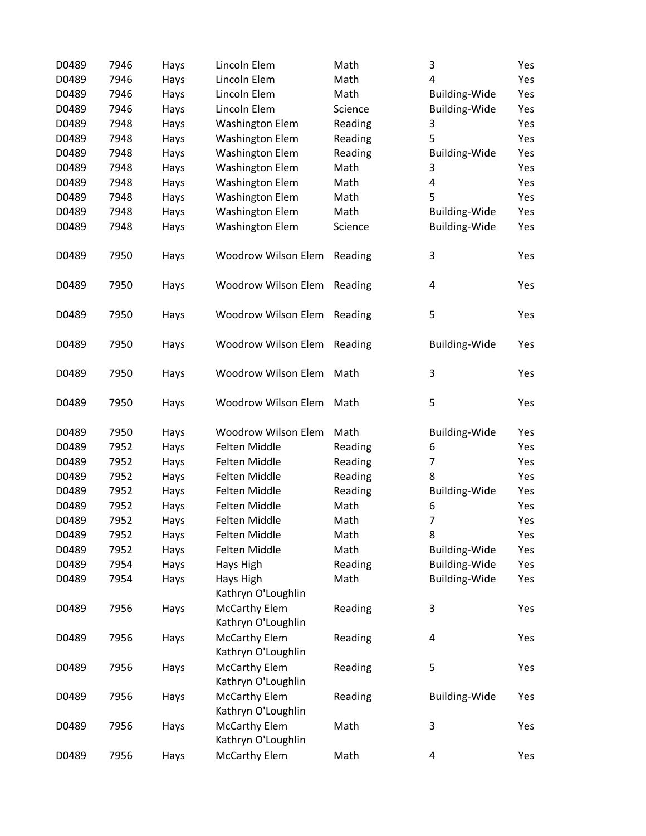| D0489 | 7946 | Hays | Lincoln Elem                               | Math    | 3                    | Yes |
|-------|------|------|--------------------------------------------|---------|----------------------|-----|
| D0489 | 7946 | Hays | Lincoln Elem                               | Math    | 4                    | Yes |
| D0489 | 7946 | Hays | Lincoln Elem                               | Math    | Building-Wide        | Yes |
| D0489 | 7946 | Hays | Lincoln Elem                               | Science | <b>Building-Wide</b> | Yes |
| D0489 | 7948 | Hays | <b>Washington Elem</b>                     | Reading | 3                    | Yes |
| D0489 | 7948 | Hays | <b>Washington Elem</b>                     | Reading | 5                    | Yes |
| D0489 | 7948 | Hays | <b>Washington Elem</b>                     | Reading | Building-Wide        | Yes |
| D0489 | 7948 | Hays | <b>Washington Elem</b>                     | Math    | 3                    | Yes |
| D0489 | 7948 | Hays | <b>Washington Elem</b>                     | Math    | 4                    | Yes |
| D0489 | 7948 | Hays | <b>Washington Elem</b>                     | Math    | 5                    | Yes |
| D0489 | 7948 | Hays | <b>Washington Elem</b>                     | Math    | <b>Building-Wide</b> | Yes |
| D0489 | 7948 | Hays | <b>Washington Elem</b>                     | Science | <b>Building-Wide</b> | Yes |
|       |      |      |                                            |         |                      |     |
| D0489 | 7950 | Hays | Woodrow Wilson Elem                        | Reading | 3                    | Yes |
| D0489 | 7950 | Hays | Woodrow Wilson Elem                        | Reading | 4                    | Yes |
| D0489 | 7950 | Hays | Woodrow Wilson Elem                        | Reading | 5                    | Yes |
|       |      |      |                                            |         |                      |     |
| D0489 | 7950 | Hays | Woodrow Wilson Elem                        | Reading | <b>Building-Wide</b> | Yes |
| D0489 | 7950 | Hays | Woodrow Wilson Elem                        | Math    | 3                    | Yes |
| D0489 | 7950 | Hays | Woodrow Wilson Elem                        | Math    | 5                    | Yes |
| D0489 | 7950 | Hays | <b>Woodrow Wilson Elem</b>                 | Math    | <b>Building-Wide</b> | Yes |
| D0489 | 7952 | Hays | Felten Middle                              | Reading | 6                    | Yes |
| D0489 | 7952 | Hays | Felten Middle                              | Reading | 7                    | Yes |
| D0489 | 7952 | Hays | Felten Middle                              | Reading | 8                    | Yes |
| D0489 | 7952 | Hays | Felten Middle                              | Reading | <b>Building-Wide</b> | Yes |
| D0489 | 7952 | Hays | Felten Middle                              | Math    | 6                    | Yes |
| D0489 | 7952 | Hays | Felten Middle                              | Math    | 7                    | Yes |
| D0489 | 7952 | Hays | Felten Middle                              | Math    | 8                    | Yes |
| D0489 | 7952 | Hays | Felten Middle                              | Math    | Building-Wide        | Yes |
| D0489 | 7954 | Hays | Hays High                                  | Reading | Building-Wide        | Yes |
| D0489 | 7954 | Hays | Hays High<br>Kathryn O'Loughlin            | Math    | Building-Wide        | Yes |
| D0489 | 7956 | Hays | <b>McCarthy Elem</b><br>Kathryn O'Loughlin | Reading | 3                    | Yes |
| D0489 | 7956 | Hays | <b>McCarthy Elem</b>                       | Reading | 4                    | Yes |
|       |      |      | Kathryn O'Loughlin                         |         |                      |     |
| D0489 | 7956 | Hays | <b>McCarthy Elem</b>                       | Reading | 5                    | Yes |
|       |      |      | Kathryn O'Loughlin                         |         |                      |     |
| D0489 | 7956 | Hays | <b>McCarthy Elem</b><br>Kathryn O'Loughlin | Reading | <b>Building-Wide</b> | Yes |
| D0489 | 7956 | Hays | <b>McCarthy Elem</b>                       | Math    | 3                    | Yes |
|       |      |      | Kathryn O'Loughlin<br><b>McCarthy Elem</b> |         |                      |     |
| D0489 | 7956 | Hays |                                            | Math    | 4                    | Yes |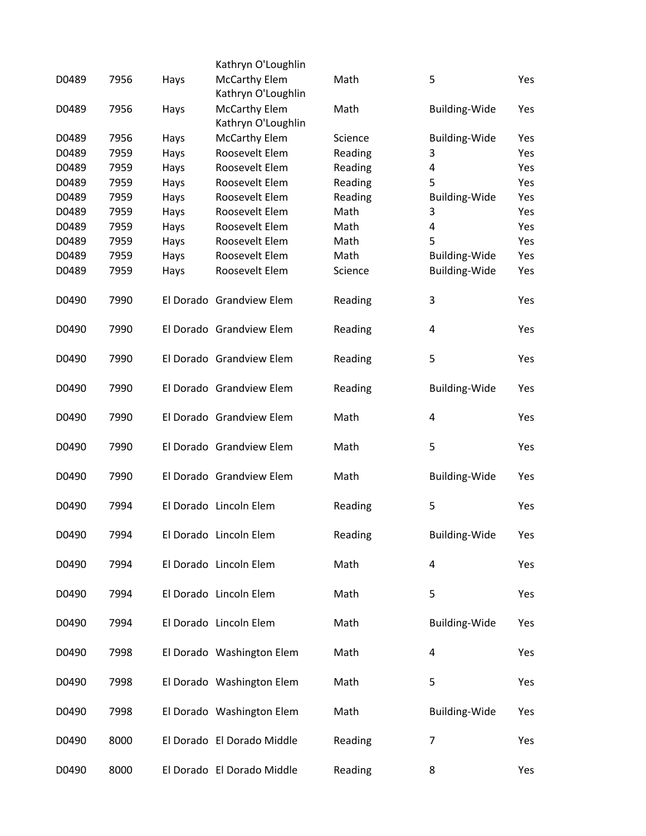|       |      |      | Kathryn O'Loughlin                         |         |                      |     |
|-------|------|------|--------------------------------------------|---------|----------------------|-----|
| D0489 | 7956 | Hays | <b>McCarthy Elem</b><br>Kathryn O'Loughlin | Math    | 5                    | Yes |
| D0489 | 7956 | Hays | <b>McCarthy Elem</b><br>Kathryn O'Loughlin | Math    | <b>Building-Wide</b> | Yes |
| D0489 | 7956 | Hays | <b>McCarthy Elem</b>                       | Science | <b>Building-Wide</b> | Yes |
| D0489 | 7959 | Hays | Roosevelt Elem                             | Reading | 3                    | Yes |
| D0489 | 7959 |      | Roosevelt Elem                             | Reading | 4                    | Yes |
|       |      | Hays |                                            |         |                      |     |
| D0489 | 7959 | Hays | Roosevelt Elem                             | Reading | 5                    | Yes |
| D0489 | 7959 | Hays | Roosevelt Elem                             | Reading | <b>Building-Wide</b> | Yes |
| D0489 | 7959 | Hays | Roosevelt Elem                             | Math    | 3                    | Yes |
| D0489 | 7959 | Hays | Roosevelt Elem                             | Math    | 4                    | Yes |
| D0489 | 7959 | Hays | Roosevelt Elem                             | Math    | 5                    | Yes |
| D0489 | 7959 | Hays | Roosevelt Elem                             | Math    | <b>Building-Wide</b> | Yes |
| D0489 | 7959 | Hays | Roosevelt Elem                             | Science | <b>Building-Wide</b> | Yes |
| D0490 | 7990 |      | El Dorado Grandview Elem                   | Reading | 3                    | Yes |
| D0490 | 7990 |      | El Dorado Grandview Elem                   | Reading | 4                    | Yes |
| D0490 | 7990 |      | El Dorado Grandview Elem                   | Reading | 5                    | Yes |
| D0490 | 7990 |      | El Dorado Grandview Elem                   | Reading | <b>Building-Wide</b> | Yes |
| D0490 | 7990 |      | El Dorado Grandview Elem                   | Math    | 4                    | Yes |
| D0490 | 7990 |      | El Dorado Grandview Elem                   | Math    | 5                    | Yes |
| D0490 | 7990 |      | El Dorado Grandview Elem                   | Math    | Building-Wide        | Yes |
| D0490 | 7994 |      | El Dorado Lincoln Elem                     | Reading | 5                    | Yes |
| D0490 | 7994 |      | El Dorado Lincoln Elem                     | Reading | <b>Building-Wide</b> | Yes |
| D0490 | 7994 |      | El Dorado Lincoln Elem                     | Math    | 4                    | Yes |
| D0490 | 7994 |      | El Dorado Lincoln Elem                     | Math    | 5                    | Yes |
| D0490 | 7994 |      | El Dorado Lincoln Elem                     | Math    | Building-Wide        | Yes |
| D0490 | 7998 |      | El Dorado Washington Elem                  | Math    | 4                    | Yes |
| D0490 | 7998 |      | El Dorado Washington Elem                  | Math    | 5                    | Yes |
| D0490 | 7998 |      | El Dorado Washington Elem                  | Math    | Building-Wide        | Yes |
| D0490 | 8000 |      | El Dorado El Dorado Middle                 | Reading | 7                    | Yes |
| D0490 | 8000 |      | El Dorado El Dorado Middle                 | Reading | 8                    | Yes |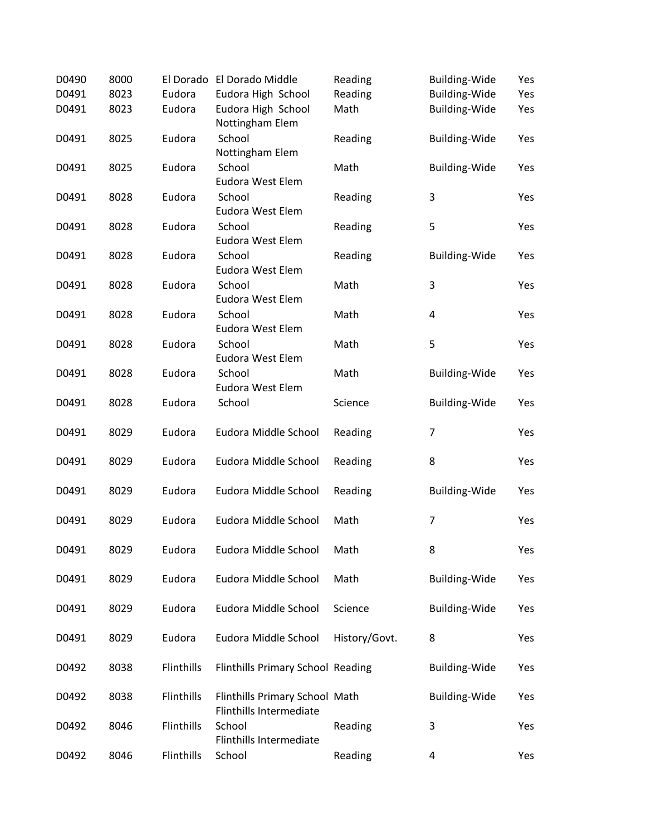| D0490 | 8000 |            | El Dorado El Dorado Middle                                       | Reading       | <b>Building-Wide</b>    | Yes |
|-------|------|------------|------------------------------------------------------------------|---------------|-------------------------|-----|
| D0491 | 8023 | Eudora     | Eudora High School                                               | Reading       | <b>Building-Wide</b>    | Yes |
| D0491 | 8023 | Eudora     | Eudora High School<br>Nottingham Elem                            | Math          | <b>Building-Wide</b>    | Yes |
| D0491 | 8025 | Eudora     | School<br>Nottingham Elem                                        | Reading       | <b>Building-Wide</b>    | Yes |
| D0491 | 8025 | Eudora     | School<br>Eudora West Elem                                       | Math          | <b>Building-Wide</b>    | Yes |
| D0491 | 8028 | Eudora     | School<br>Eudora West Elem                                       | Reading       | 3                       | Yes |
| D0491 | 8028 | Eudora     | School<br>Eudora West Elem                                       | Reading       | 5                       | Yes |
| D0491 | 8028 | Eudora     | School<br>Eudora West Elem                                       | Reading       | <b>Building-Wide</b>    | Yes |
| D0491 | 8028 | Eudora     | School<br>Eudora West Elem                                       | Math          | 3                       | Yes |
| D0491 | 8028 | Eudora     | School<br>Eudora West Elem                                       | Math          | $\overline{\mathbf{4}}$ | Yes |
| D0491 | 8028 | Eudora     | School<br>Eudora West Elem                                       | Math          | 5                       | Yes |
| D0491 | 8028 | Eudora     | School<br>Eudora West Elem                                       | Math          | <b>Building-Wide</b>    | Yes |
| D0491 | 8028 | Eudora     | School                                                           | Science       | <b>Building-Wide</b>    | Yes |
| D0491 | 8029 | Eudora     | Eudora Middle School                                             | Reading       | $\overline{7}$          | Yes |
| D0491 | 8029 | Eudora     | Eudora Middle School                                             | Reading       | 8                       | Yes |
| D0491 | 8029 | Eudora     | Eudora Middle School                                             | Reading       | <b>Building-Wide</b>    | Yes |
| D0491 | 8029 | Eudora     | Eudora Middle School                                             | Math          | $\overline{7}$          | Yes |
| D0491 | 8029 | Eudora     | Eudora Middle School                                             | Math          | 8                       | Yes |
| D0491 | 8029 | Eudora     | Eudora Middle School                                             | Math          | <b>Building-Wide</b>    | Yes |
| D0491 | 8029 | Eudora     | Eudora Middle School                                             | Science       | <b>Building-Wide</b>    | Yes |
| D0491 | 8029 | Eudora     | Eudora Middle School                                             | History/Govt. | 8                       | Yes |
| D0492 | 8038 | Flinthills | Flinthills Primary School Reading                                |               | <b>Building-Wide</b>    | Yes |
| D0492 | 8038 | Flinthills | Flinthills Primary School Math<br><b>Flinthills Intermediate</b> |               | <b>Building-Wide</b>    | Yes |
| D0492 | 8046 | Flinthills | School<br><b>Flinthills Intermediate</b>                         | Reading       | 3                       | Yes |
| D0492 | 8046 | Flinthills | School                                                           | Reading       | 4                       | Yes |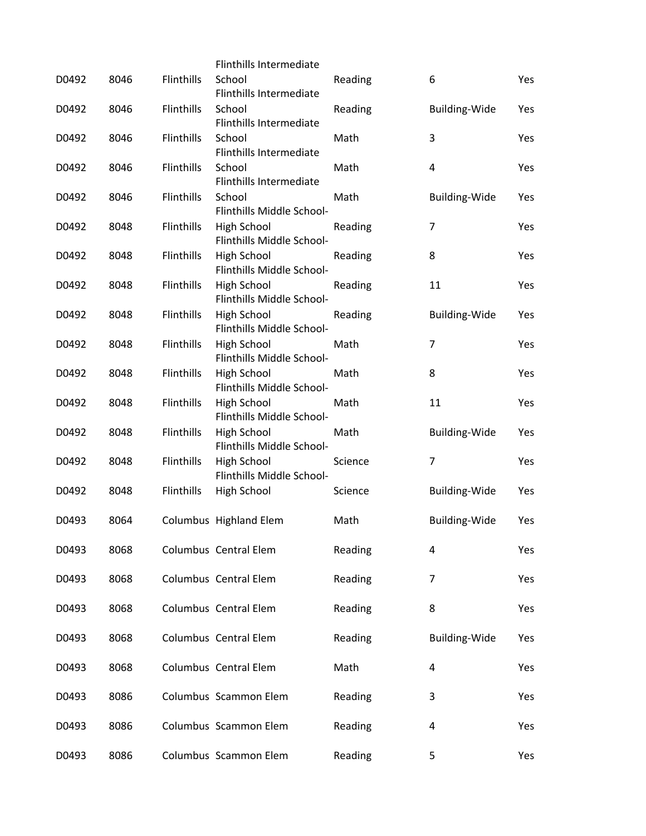|       |      |            | <b>Flinthills Intermediate</b>                  |         |                      |     |
|-------|------|------------|-------------------------------------------------|---------|----------------------|-----|
| D0492 | 8046 | Flinthills | School<br>Flinthills Intermediate               | Reading | 6                    | Yes |
| D0492 | 8046 | Flinthills | School<br><b>Flinthills Intermediate</b>        | Reading | <b>Building-Wide</b> | Yes |
| D0492 | 8046 | Flinthills | School<br>Flinthills Intermediate               | Math    | 3                    | Yes |
| D0492 | 8046 | Flinthills | School<br>Flinthills Intermediate               | Math    | $\overline{4}$       | Yes |
| D0492 | 8046 | Flinthills | School<br>Flinthills Middle School-             | Math    | <b>Building-Wide</b> | Yes |
| D0492 | 8048 | Flinthills | High School<br>Flinthills Middle School-        | Reading | 7                    | Yes |
| D0492 | 8048 | Flinthills | High School<br>Flinthills Middle School-        | Reading | 8                    | Yes |
| D0492 | 8048 | Flinthills | <b>High School</b><br>Flinthills Middle School- | Reading | 11                   | Yes |
| D0492 | 8048 | Flinthills | High School<br>Flinthills Middle School-        | Reading | <b>Building-Wide</b> | Yes |
| D0492 | 8048 | Flinthills | High School<br>Flinthills Middle School-        | Math    | $\overline{7}$       | Yes |
| D0492 | 8048 | Flinthills | High School<br>Flinthills Middle School-        | Math    | 8                    | Yes |
| D0492 | 8048 | Flinthills | High School<br>Flinthills Middle School-        | Math    | 11                   | Yes |
| D0492 | 8048 | Flinthills | High School<br>Flinthills Middle School-        | Math    | <b>Building-Wide</b> | Yes |
| D0492 | 8048 | Flinthills | <b>High School</b><br>Flinthills Middle School- | Science | 7                    | Yes |
| D0492 | 8048 | Flinthills | High School                                     | Science | <b>Building-Wide</b> | Yes |
| D0493 | 8064 |            | Columbus Highland Elem                          | Math    | <b>Building-Wide</b> | Yes |
| D0493 | 8068 |            | Columbus Central Elem                           | Reading | 4                    | Yes |
| D0493 | 8068 |            | Columbus Central Elem                           | Reading | 7                    | Yes |
| D0493 | 8068 |            | Columbus Central Elem                           | Reading | 8                    | Yes |
| D0493 | 8068 |            | Columbus Central Elem                           | Reading | <b>Building-Wide</b> | Yes |
| D0493 | 8068 |            | Columbus Central Elem                           | Math    | 4                    | Yes |
| D0493 | 8086 |            | Columbus Scammon Elem                           | Reading | 3                    | Yes |
| D0493 | 8086 |            | Columbus Scammon Elem                           | Reading | 4                    | Yes |
| D0493 | 8086 |            | Columbus Scammon Elem                           | Reading | 5                    | Yes |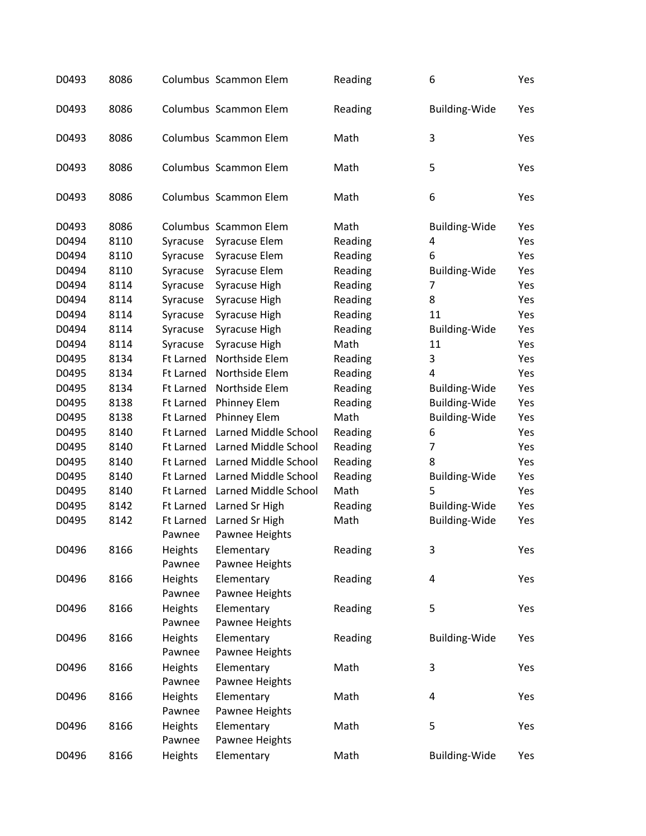| D0493 | 8086 |                     | Columbus Scammon Elem            | Reading | 6                    | Yes |
|-------|------|---------------------|----------------------------------|---------|----------------------|-----|
| D0493 | 8086 |                     | Columbus Scammon Elem            | Reading | <b>Building-Wide</b> | Yes |
| D0493 | 8086 |                     | Columbus Scammon Elem            | Math    | 3                    | Yes |
| D0493 | 8086 |                     | Columbus Scammon Elem            | Math    | 5                    | Yes |
| D0493 | 8086 |                     | Columbus Scammon Elem            | Math    | 6                    | Yes |
| D0493 | 8086 |                     | Columbus Scammon Elem            | Math    | <b>Building-Wide</b> | Yes |
| D0494 | 8110 | Syracuse            | Syracuse Elem                    | Reading | 4                    | Yes |
| D0494 | 8110 | Syracuse            | Syracuse Elem                    | Reading | 6                    | Yes |
| D0494 | 8110 | Syracuse            | Syracuse Elem                    | Reading | <b>Building-Wide</b> | Yes |
| D0494 | 8114 | Syracuse            | Syracuse High                    | Reading | 7                    | Yes |
| D0494 | 8114 | Syracuse            | Syracuse High                    | Reading | 8                    | Yes |
| D0494 | 8114 | Syracuse            | Syracuse High                    | Reading | 11                   | Yes |
| D0494 | 8114 | Syracuse            | Syracuse High                    | Reading | <b>Building-Wide</b> | Yes |
| D0494 | 8114 | Syracuse            | Syracuse High                    | Math    | 11                   | Yes |
| D0495 | 8134 | <b>Ft Larned</b>    | Northside Elem                   | Reading | 3                    | Yes |
| D0495 | 8134 | <b>Ft Larned</b>    | Northside Elem                   | Reading | 4                    | Yes |
| D0495 | 8134 |                     | Northside Elem                   |         |                      | Yes |
|       | 8138 | <b>Ft Larned</b>    |                                  | Reading | <b>Building-Wide</b> |     |
| D0495 |      | Ft Larned           | Phinney Elem                     | Reading | <b>Building-Wide</b> | Yes |
| D0495 | 8138 | <b>Ft Larned</b>    | Phinney Elem                     | Math    | <b>Building-Wide</b> | Yes |
| D0495 | 8140 | <b>Ft Larned</b>    | Larned Middle School             | Reading | 6                    | Yes |
| D0495 | 8140 | Ft Larned           | Larned Middle School             | Reading | 7                    | Yes |
| D0495 | 8140 | Ft Larned           | Larned Middle School             | Reading | 8                    | Yes |
| D0495 | 8140 | Ft Larned           | Larned Middle School             | Reading | <b>Building-Wide</b> | Yes |
| D0495 | 8140 | Ft Larned           | Larned Middle School             | Math    | 5                    | Yes |
| D0495 | 8142 | Ft Larned           | Larned Sr High                   | Reading | <b>Building-Wide</b> | Yes |
| D0495 | 8142 | Ft Larned<br>Pawnee | Larned Sr High<br>Pawnee Heights | Math    | <b>Building-Wide</b> | Yes |
| D0496 | 8166 | <b>Heights</b>      | Elementary                       | Reading | 3                    | Yes |
|       |      | Pawnee              | Pawnee Heights                   |         |                      |     |
| D0496 | 8166 | Heights             | Elementary                       | Reading | 4                    | Yes |
|       |      | Pawnee              | Pawnee Heights                   |         |                      |     |
| D0496 | 8166 | Heights             | Elementary                       | Reading | 5                    | Yes |
|       |      | Pawnee              | Pawnee Heights                   |         |                      |     |
| D0496 | 8166 | Heights             | Elementary                       | Reading | <b>Building-Wide</b> | Yes |
|       |      | Pawnee              | Pawnee Heights                   |         |                      |     |
| D0496 | 8166 | Heights             | Elementary                       | Math    | 3                    | Yes |
|       |      | Pawnee              | Pawnee Heights                   |         |                      |     |
| D0496 | 8166 | Heights             | Elementary                       | Math    | 4                    | Yes |
|       |      | Pawnee              | Pawnee Heights                   |         |                      |     |
|       |      |                     |                                  |         | 5                    |     |
| D0496 | 8166 | Heights             | Elementary                       | Math    |                      | Yes |
|       |      | Pawnee              | Pawnee Heights                   |         |                      |     |
| D0496 | 8166 | Heights             | Elementary                       | Math    | <b>Building-Wide</b> | Yes |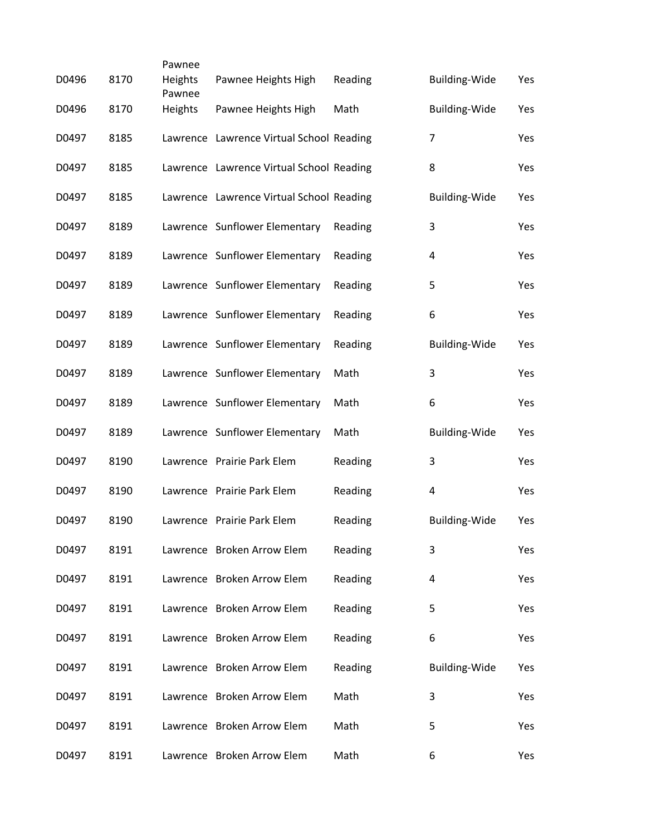|       |      | Pawnee            |                                          |         |                      |     |
|-------|------|-------------------|------------------------------------------|---------|----------------------|-----|
| D0496 | 8170 | Heights<br>Pawnee | Pawnee Heights High                      | Reading | <b>Building-Wide</b> | Yes |
| D0496 | 8170 | Heights           | Pawnee Heights High                      | Math    | <b>Building-Wide</b> | Yes |
| D0497 | 8185 |                   | Lawrence Lawrence Virtual School Reading |         | 7                    | Yes |
| D0497 | 8185 |                   | Lawrence Lawrence Virtual School Reading |         | 8                    | Yes |
| D0497 | 8185 |                   | Lawrence Lawrence Virtual School Reading |         | <b>Building-Wide</b> | Yes |
| D0497 | 8189 |                   | Lawrence Sunflower Elementary            | Reading | 3                    | Yes |
| D0497 | 8189 |                   | Lawrence Sunflower Elementary            | Reading | 4                    | Yes |
| D0497 | 8189 |                   | Lawrence Sunflower Elementary            | Reading | 5                    | Yes |
| D0497 | 8189 |                   | Lawrence Sunflower Elementary            | Reading | 6                    | Yes |
| D0497 | 8189 |                   | Lawrence Sunflower Elementary            | Reading | <b>Building-Wide</b> | Yes |
| D0497 | 8189 |                   | Lawrence Sunflower Elementary            | Math    | 3                    | Yes |
| D0497 | 8189 |                   | Lawrence Sunflower Elementary            | Math    | 6                    | Yes |
| D0497 | 8189 |                   | Lawrence Sunflower Elementary            | Math    | <b>Building-Wide</b> | Yes |
| D0497 | 8190 |                   | Lawrence Prairie Park Elem               | Reading | 3                    | Yes |
| D0497 | 8190 |                   | Lawrence Prairie Park Elem               | Reading | 4                    | Yes |
| D0497 | 8190 |                   | Lawrence Prairie Park Elem               | Reading | <b>Building-Wide</b> | Yes |
| D0497 | 8191 |                   | Lawrence Broken Arrow Elem               | Reading | 3                    | Yes |
| D0497 | 8191 |                   | Lawrence Broken Arrow Elem               | Reading | 4                    | Yes |
| D0497 | 8191 |                   | Lawrence Broken Arrow Elem               | Reading | 5                    | Yes |
| D0497 | 8191 |                   | Lawrence Broken Arrow Elem               | Reading | 6                    | Yes |
| D0497 | 8191 |                   | Lawrence Broken Arrow Elem               | Reading | <b>Building-Wide</b> | Yes |
| D0497 | 8191 |                   | Lawrence Broken Arrow Elem               | Math    | 3                    | Yes |
| D0497 | 8191 |                   | Lawrence Broken Arrow Elem               | Math    | 5                    | Yes |
| D0497 | 8191 |                   | Lawrence Broken Arrow Elem               | Math    | 6                    | Yes |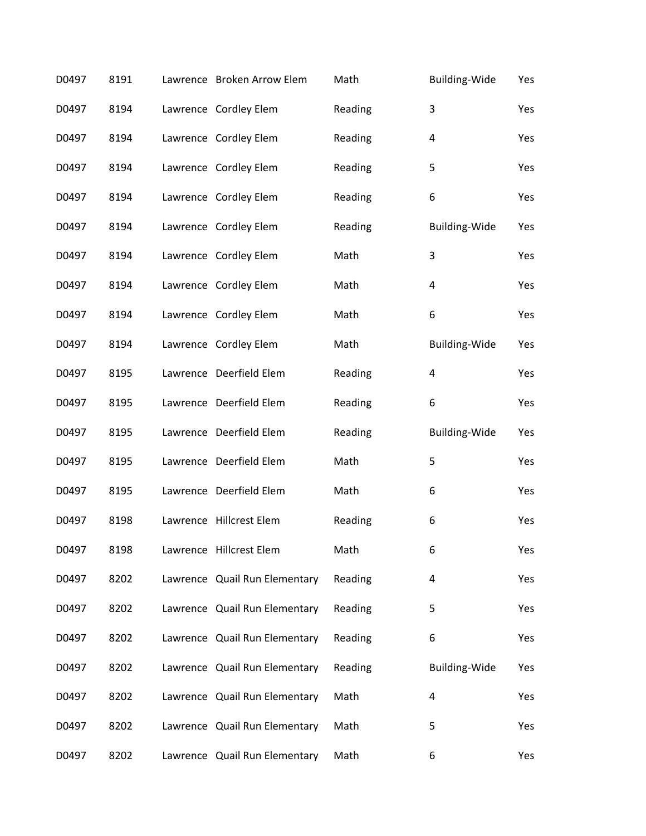| D0497 | 8191 | Lawrence Broken Arrow Elem    | Math    | Building-Wide        | Yes |
|-------|------|-------------------------------|---------|----------------------|-----|
| D0497 | 8194 | Lawrence Cordley Elem         | Reading | 3                    | Yes |
| D0497 | 8194 | Lawrence Cordley Elem         | Reading | 4                    | Yes |
| D0497 | 8194 | Lawrence Cordley Elem         | Reading | 5                    | Yes |
| D0497 | 8194 | Lawrence Cordley Elem         | Reading | 6                    | Yes |
| D0497 | 8194 | Lawrence Cordley Elem         | Reading | <b>Building-Wide</b> | Yes |
| D0497 | 8194 | Lawrence Cordley Elem         | Math    | 3                    | Yes |
| D0497 | 8194 | Lawrence Cordley Elem         | Math    | 4                    | Yes |
| D0497 | 8194 | Lawrence Cordley Elem         | Math    | 6                    | Yes |
| D0497 | 8194 | Lawrence Cordley Elem         | Math    | <b>Building-Wide</b> | Yes |
| D0497 | 8195 | Lawrence Deerfield Elem       | Reading | 4                    | Yes |
| D0497 | 8195 | Lawrence Deerfield Elem       | Reading | 6                    | Yes |
| D0497 | 8195 | Lawrence Deerfield Elem       | Reading | Building-Wide        | Yes |
| D0497 | 8195 | Lawrence Deerfield Elem       | Math    | 5                    | Yes |
| D0497 | 8195 | Lawrence Deerfield Elem       | Math    | 6                    | Yes |
| D0497 | 8198 | Lawrence Hillcrest Elem       | Reading | 6                    | Yes |
| D0497 | 8198 | Lawrence Hillcrest Elem       | Math    | 6                    | Yes |
| D0497 | 8202 | Lawrence Quail Run Elementary | Reading | 4                    | Yes |
| D0497 | 8202 | Lawrence Quail Run Elementary | Reading | 5                    | Yes |
| D0497 | 8202 | Lawrence Quail Run Elementary | Reading | 6                    | Yes |
| D0497 | 8202 | Lawrence Quail Run Elementary | Reading | Building-Wide        | Yes |
| D0497 | 8202 | Lawrence Quail Run Elementary | Math    | 4                    | Yes |
| D0497 | 8202 | Lawrence Quail Run Elementary | Math    | 5                    | Yes |
| D0497 | 8202 | Lawrence Quail Run Elementary | Math    | 6                    | Yes |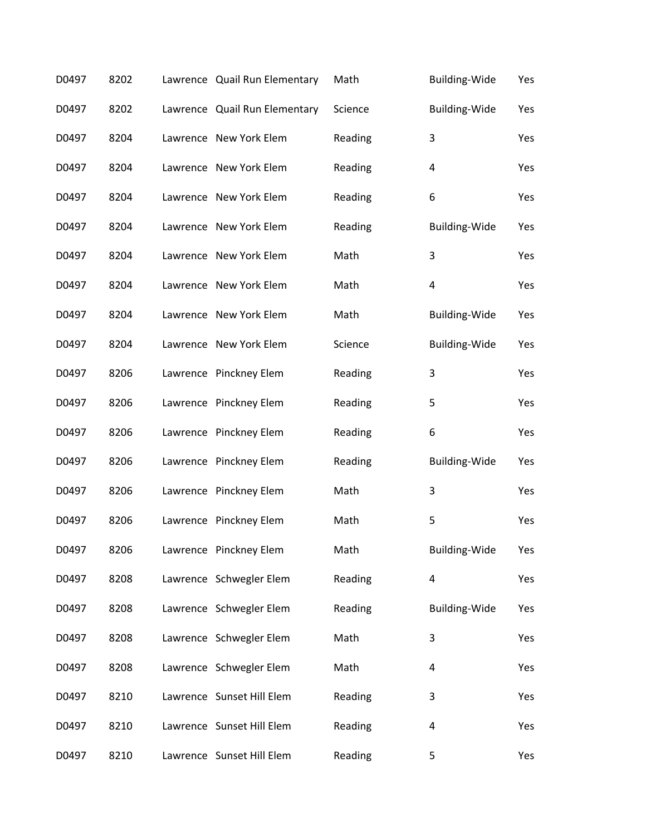| D0497 | 8202 | Lawrence Quail Run Elementary | Math    | <b>Building-Wide</b> | Yes |
|-------|------|-------------------------------|---------|----------------------|-----|
| D0497 | 8202 | Lawrence Quail Run Elementary | Science | Building-Wide        | Yes |
| D0497 | 8204 | Lawrence New York Elem        | Reading | 3                    | Yes |
| D0497 | 8204 | Lawrence New York Elem        | Reading | 4                    | Yes |
| D0497 | 8204 | Lawrence New York Elem        | Reading | 6                    | Yes |
| D0497 | 8204 | Lawrence New York Elem        | Reading | <b>Building-Wide</b> | Yes |
| D0497 | 8204 | Lawrence New York Elem        | Math    | 3                    | Yes |
| D0497 | 8204 | Lawrence New York Elem        | Math    | 4                    | Yes |
| D0497 | 8204 | Lawrence New York Elem        | Math    | <b>Building-Wide</b> | Yes |
| D0497 | 8204 | Lawrence New York Elem        | Science | <b>Building-Wide</b> | Yes |
| D0497 | 8206 | Lawrence Pinckney Elem        | Reading | 3                    | Yes |
| D0497 | 8206 | Lawrence Pinckney Elem        | Reading | 5                    | Yes |
| D0497 | 8206 | Lawrence Pinckney Elem        | Reading | 6                    | Yes |
| D0497 | 8206 | Lawrence Pinckney Elem        | Reading | <b>Building-Wide</b> | Yes |
| D0497 | 8206 | Lawrence Pinckney Elem        | Math    | 3                    | Yes |
| D0497 | 8206 | Lawrence Pinckney Elem        | Math    | 5                    | Yes |
| D0497 | 8206 | Lawrence Pinckney Elem        | Math    | Building-Wide        | Yes |
| D0497 | 8208 | Lawrence Schwegler Elem       | Reading | 4                    | Yes |
| D0497 | 8208 | Lawrence Schwegler Elem       | Reading | <b>Building-Wide</b> | Yes |
| D0497 | 8208 | Lawrence Schwegler Elem       | Math    | 3                    | Yes |
| D0497 | 8208 | Lawrence Schwegler Elem       | Math    | 4                    | Yes |
| D0497 | 8210 | Lawrence Sunset Hill Elem     | Reading | 3                    | Yes |
| D0497 | 8210 | Lawrence Sunset Hill Elem     | Reading | 4                    | Yes |
| D0497 | 8210 | Lawrence Sunset Hill Elem     | Reading | 5                    | Yes |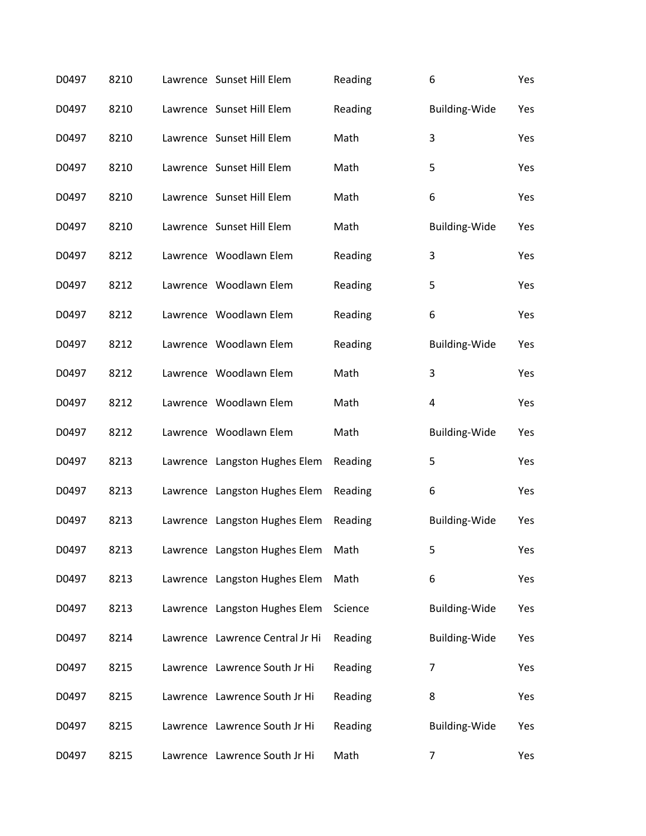| D0497 | 8210 | Lawrence Sunset Hill Elem       | Reading | 6                    | Yes |
|-------|------|---------------------------------|---------|----------------------|-----|
| D0497 | 8210 | Lawrence Sunset Hill Elem       | Reading | <b>Building-Wide</b> | Yes |
| D0497 | 8210 | Lawrence Sunset Hill Elem       | Math    | 3                    | Yes |
| D0497 | 8210 | Lawrence Sunset Hill Elem       | Math    | 5                    | Yes |
| D0497 | 8210 | Lawrence Sunset Hill Elem       | Math    | 6                    | Yes |
| D0497 | 8210 | Lawrence Sunset Hill Elem       | Math    | Building-Wide        | Yes |
| D0497 | 8212 | Lawrence Woodlawn Elem          | Reading | 3                    | Yes |
| D0497 | 8212 | Lawrence Woodlawn Elem          | Reading | 5                    | Yes |
| D0497 | 8212 | Lawrence Woodlawn Elem          | Reading | 6                    | Yes |
| D0497 | 8212 | Lawrence Woodlawn Elem          | Reading | Building-Wide        | Yes |
| D0497 | 8212 | Lawrence Woodlawn Elem          | Math    | 3                    | Yes |
| D0497 | 8212 | Lawrence Woodlawn Elem          | Math    | 4                    | Yes |
| D0497 | 8212 | Lawrence Woodlawn Elem          | Math    | <b>Building-Wide</b> | Yes |
| D0497 | 8213 | Lawrence Langston Hughes Elem   | Reading | 5                    | Yes |
| D0497 | 8213 | Lawrence Langston Hughes Elem   | Reading | 6                    | Yes |
| D0497 | 8213 | Lawrence Langston Hughes Elem   | Reading | Building-Wide        | Yes |
| D0497 | 8213 | Lawrence Langston Hughes Elem   | Math    | 5                    | Yes |
| D0497 | 8213 | Lawrence Langston Hughes Elem   | Math    | 6                    | Yes |
| D0497 | 8213 | Lawrence Langston Hughes Elem   | Science | <b>Building-Wide</b> | Yes |
| D0497 | 8214 | Lawrence Lawrence Central Jr Hi | Reading | <b>Building-Wide</b> | Yes |
| D0497 | 8215 | Lawrence Lawrence South Jr Hi   | Reading | 7                    | Yes |
| D0497 | 8215 | Lawrence Lawrence South Jr Hi   | Reading | 8                    | Yes |
| D0497 | 8215 | Lawrence Lawrence South Jr Hi   | Reading | Building-Wide        | Yes |
| D0497 | 8215 | Lawrence Lawrence South Jr Hi   | Math    | 7                    | Yes |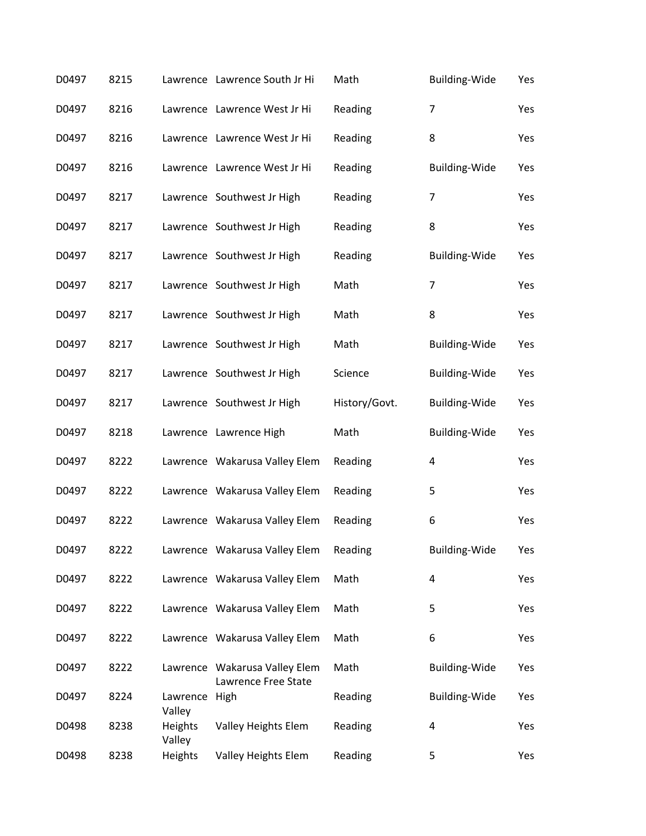| D0497 | 8215 |                    | Lawrence Lawrence South Jr Hi                        | Math          | Building-Wide        | Yes |
|-------|------|--------------------|------------------------------------------------------|---------------|----------------------|-----|
| D0497 | 8216 |                    | Lawrence Lawrence West Jr Hi                         | Reading       | $\overline{7}$       | Yes |
| D0497 | 8216 |                    | Lawrence Lawrence West Jr Hi                         | Reading       | 8                    | Yes |
| D0497 | 8216 |                    | Lawrence Lawrence West Jr Hi                         | Reading       | <b>Building-Wide</b> | Yes |
| D0497 | 8217 |                    | Lawrence Southwest Jr High                           | Reading       | $\overline{7}$       | Yes |
| D0497 | 8217 |                    | Lawrence Southwest Jr High                           | Reading       | 8                    | Yes |
| D0497 | 8217 |                    | Lawrence Southwest Jr High                           | Reading       | <b>Building-Wide</b> | Yes |
| D0497 | 8217 |                    | Lawrence Southwest Jr High                           | Math          | $\overline{7}$       | Yes |
| D0497 | 8217 |                    | Lawrence Southwest Jr High                           | Math          | 8                    | Yes |
| D0497 | 8217 |                    | Lawrence Southwest Jr High                           | Math          | <b>Building-Wide</b> | Yes |
| D0497 | 8217 |                    | Lawrence Southwest Jr High                           | Science       | <b>Building-Wide</b> | Yes |
| D0497 | 8217 |                    | Lawrence Southwest Jr High                           | History/Govt. | <b>Building-Wide</b> | Yes |
| D0497 | 8218 |                    | Lawrence Lawrence High                               | Math          | <b>Building-Wide</b> | Yes |
| D0497 | 8222 |                    | Lawrence Wakarusa Valley Elem                        | Reading       | 4                    | Yes |
| D0497 | 8222 |                    | Lawrence Wakarusa Valley Elem                        | Reading       | 5                    | Yes |
| D0497 | 8222 |                    | Lawrence Wakarusa Valley Elem                        | Reading       | 6                    | Yes |
| D0497 | 8222 |                    | Lawrence Wakarusa Valley Elem                        | Reading       | Building-Wide        | Yes |
| D0497 | 8222 |                    | Lawrence Wakarusa Valley Elem                        | Math          | 4                    | Yes |
| D0497 | 8222 |                    | Lawrence Wakarusa Valley Elem                        | Math          | 5                    | Yes |
| D0497 | 8222 |                    | Lawrence Wakarusa Valley Elem                        | Math          | 6                    | Yes |
| D0497 | 8222 |                    | Lawrence Wakarusa Valley Elem<br>Lawrence Free State | Math          | Building-Wide        | Yes |
| D0497 | 8224 | Lawrence<br>Valley | High                                                 | Reading       | <b>Building-Wide</b> | Yes |
| D0498 | 8238 | Heights<br>Valley  | Valley Heights Elem                                  | Reading       | 4                    | Yes |
| D0498 | 8238 | Heights            | Valley Heights Elem                                  | Reading       | 5                    | Yes |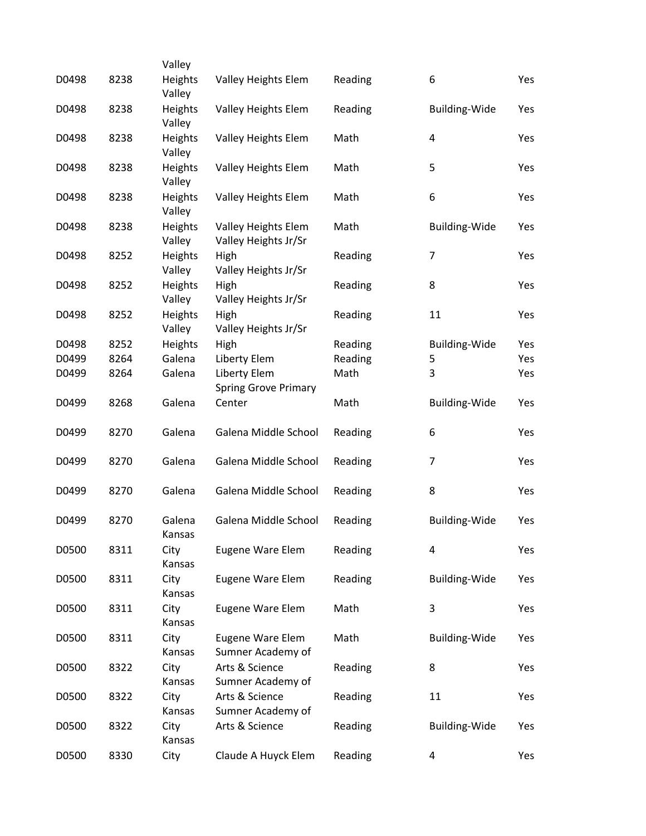|       |      | Valley            |                              |         |                      |     |
|-------|------|-------------------|------------------------------|---------|----------------------|-----|
| D0498 | 8238 | Heights<br>Valley | Valley Heights Elem          | Reading | 6                    | Yes |
| D0498 | 8238 | Heights           | Valley Heights Elem          | Reading | <b>Building-Wide</b> | Yes |
|       |      | Valley            |                              |         |                      |     |
| D0498 | 8238 | Heights<br>Valley | Valley Heights Elem          | Math    | 4                    | Yes |
| D0498 | 8238 | Heights           | Valley Heights Elem          | Math    | 5                    | Yes |
|       |      | Valley            |                              |         |                      |     |
| D0498 | 8238 | Heights           | Valley Heights Elem          | Math    | 6                    | Yes |
|       |      | Valley            |                              |         |                      |     |
| D0498 | 8238 | Heights           | Valley Heights Elem          | Math    | <b>Building-Wide</b> | Yes |
|       |      | Valley            | Valley Heights Jr/Sr         |         |                      |     |
| D0498 | 8252 | Heights           | High                         | Reading | 7                    | Yes |
|       | 8252 | Valley            | Valley Heights Jr/Sr         |         |                      |     |
| D0498 |      | Heights<br>Valley | High<br>Valley Heights Jr/Sr | Reading | 8                    | Yes |
| D0498 | 8252 | Heights           | High                         | Reading | 11                   | Yes |
|       |      | Valley            | Valley Heights Jr/Sr         |         |                      |     |
| D0498 | 8252 | Heights           | High                         | Reading | <b>Building-Wide</b> | Yes |
| D0499 | 8264 | Galena            | Liberty Elem                 | Reading | 5                    | Yes |
| D0499 | 8264 | Galena            | Liberty Elem                 | Math    | 3                    | Yes |
|       |      |                   | <b>Spring Grove Primary</b>  |         |                      |     |
| D0499 | 8268 | Galena            | Center                       | Math    | <b>Building-Wide</b> | Yes |
| D0499 | 8270 | Galena            | Galena Middle School         | Reading | 6                    | Yes |
|       |      |                   |                              |         |                      |     |
| D0499 | 8270 | Galena            | Galena Middle School         | Reading | $\overline{7}$       | Yes |
|       |      |                   |                              |         |                      |     |
| D0499 | 8270 | Galena            | Galena Middle School         | Reading | 8                    | Yes |
|       |      |                   |                              |         |                      |     |
| D0499 | 8270 | Galena<br>Kansas  | Galena Middle School         | Reading | <b>Building-Wide</b> | Yes |
| D0500 | 8311 | City              | Eugene Ware Elem             | Reading | 4                    | Yes |
|       |      | Kansas            |                              |         |                      |     |
| D0500 | 8311 | City              | Eugene Ware Elem             | Reading | Building-Wide        | Yes |
|       |      | Kansas            |                              |         |                      |     |
| D0500 | 8311 | City              | Eugene Ware Elem             | Math    | 3                    | Yes |
|       |      | Kansas            |                              |         |                      |     |
| D0500 | 8311 | City              | Eugene Ware Elem             | Math    | <b>Building-Wide</b> | Yes |
|       |      | Kansas            | Sumner Academy of            |         |                      |     |
| D0500 | 8322 | City              | Arts & Science               | Reading | 8                    | Yes |
|       |      | Kansas            | Sumner Academy of            |         |                      |     |
| D0500 | 8322 | City              | Arts & Science               | Reading | 11                   | Yes |
|       |      | Kansas            | Sumner Academy of            |         |                      |     |
| D0500 | 8322 | City<br>Kansas    | Arts & Science               | Reading | <b>Building-Wide</b> | Yes |
| D0500 | 8330 | City              | Claude A Huyck Elem          | Reading | 4                    | Yes |
|       |      |                   |                              |         |                      |     |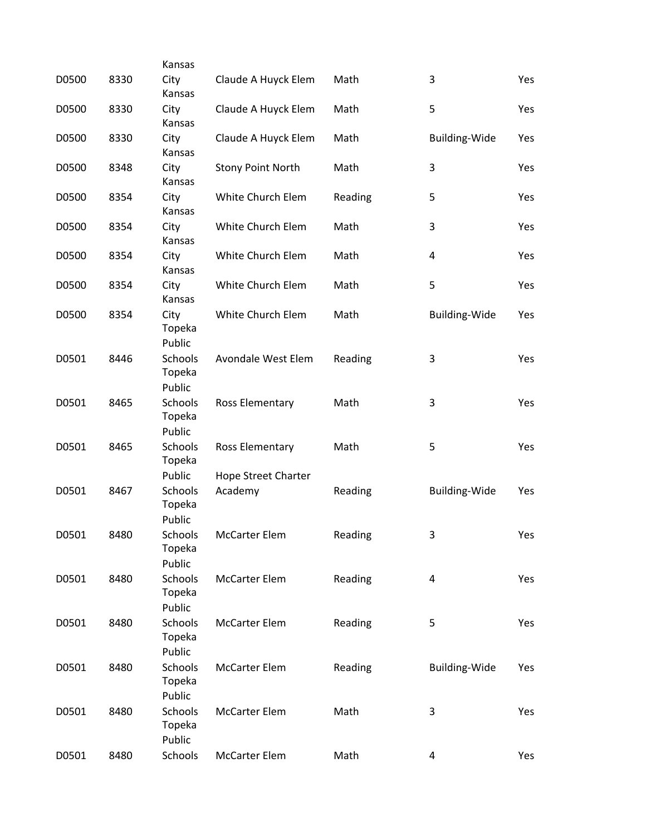| D0500 | 8330 | Kansas<br>City                     | Claude A Huyck Elem                           | Math    | 3                    | Yes |
|-------|------|------------------------------------|-----------------------------------------------|---------|----------------------|-----|
|       |      | Kansas                             |                                               |         |                      |     |
| D0500 | 8330 | City<br>Kansas                     | Claude A Huyck Elem                           | Math    | 5                    | Yes |
| D0500 | 8330 | City<br>Kansas                     | Claude A Huyck Elem                           | Math    | <b>Building-Wide</b> | Yes |
| D0500 | 8348 | City<br>Kansas                     | <b>Stony Point North</b>                      | Math    | 3                    | Yes |
| D0500 | 8354 | City<br>Kansas                     | White Church Elem                             | Reading | 5                    | Yes |
| D0500 | 8354 | City<br>Kansas                     | White Church Elem                             | Math    | 3                    | Yes |
| D0500 | 8354 | City<br>Kansas                     | White Church Elem                             | Math    | 4                    | Yes |
| D0500 | 8354 | City<br>Kansas                     | White Church Elem                             | Math    | 5                    | Yes |
| D0500 | 8354 | City<br>Topeka<br>Public           | White Church Elem                             | Math    | <b>Building-Wide</b> | Yes |
| D0501 | 8446 | Schools<br>Topeka<br>Public        | Avondale West Elem                            | Reading | 3                    | Yes |
| D0501 | 8465 | Schools<br>Topeka<br>Public        | Ross Elementary                               | Math    | 3                    | Yes |
| D0501 | 8465 | Schools<br>Topeka<br>Public        | Ross Elementary<br><b>Hope Street Charter</b> | Math    | 5                    | Yes |
| D0501 | 8467 | Schools<br>Topeka<br>Public        | Academy                                       | Reading | <b>Building-Wide</b> | Yes |
| D0501 | 8480 | Schools<br>Topeka<br>Public        | <b>McCarter Elem</b>                          | Reading | 3                    | Yes |
| D0501 | 8480 | Schools<br>Topeka<br>Public        | <b>McCarter Elem</b>                          | Reading | 4                    | Yes |
| D0501 | 8480 | Schools<br>Topeka<br>Public        | <b>McCarter Elem</b>                          | Reading | 5                    | Yes |
| D0501 | 8480 | <b>Schools</b><br>Topeka<br>Public | <b>McCarter Elem</b>                          | Reading | <b>Building-Wide</b> | Yes |
| D0501 | 8480 | Schools<br>Topeka<br>Public        | <b>McCarter Elem</b>                          | Math    | 3                    | Yes |
| D0501 | 8480 | Schools                            | <b>McCarter Elem</b>                          | Math    | 4                    | Yes |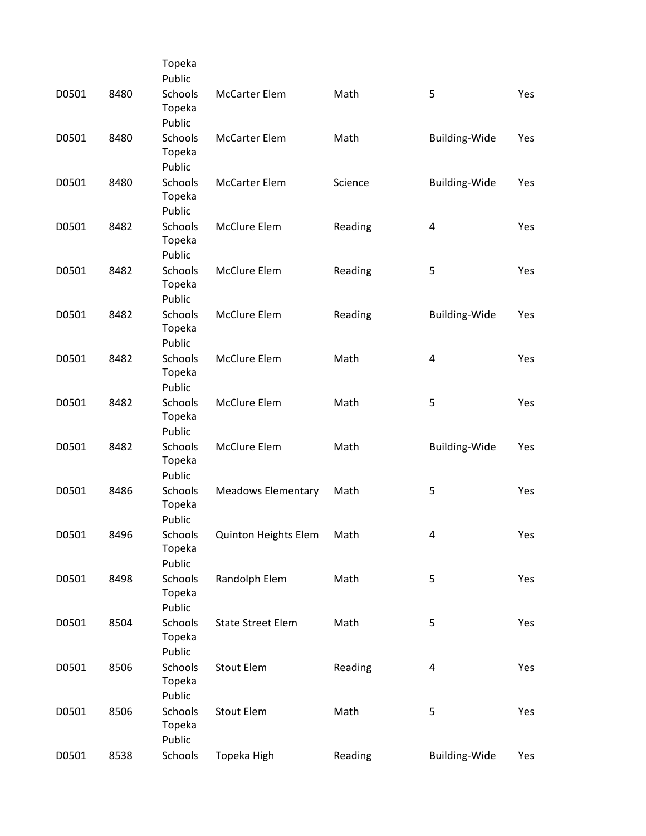|       |      | Topeka                             |                             |         |                      |     |
|-------|------|------------------------------------|-----------------------------|---------|----------------------|-----|
|       |      | Public                             |                             |         |                      |     |
| D0501 | 8480 | Schools<br>Topeka                  | <b>McCarter Elem</b>        | Math    | 5                    | Yes |
|       |      | Public                             |                             |         |                      |     |
| D0501 | 8480 | <b>Schools</b><br>Topeka<br>Public | <b>McCarter Elem</b>        | Math    | Building-Wide        | Yes |
| D0501 | 8480 | <b>Schools</b>                     | <b>McCarter Elem</b>        | Science |                      | Yes |
|       |      | Topeka<br>Public                   |                             |         | <b>Building-Wide</b> |     |
|       |      |                                    |                             |         |                      |     |
| D0501 | 8482 | Schools<br>Topeka<br>Public        | McClure Elem                | Reading | 4                    | Yes |
| D0501 | 8482 | Schools                            | McClure Elem                | Reading | 5                    | Yes |
|       |      | Topeka<br>Public                   |                             |         |                      |     |
| D0501 | 8482 | Schools                            | McClure Elem                | Reading | <b>Building-Wide</b> | Yes |
|       |      | Topeka                             |                             |         |                      |     |
|       |      | Public                             |                             |         |                      |     |
| D0501 | 8482 | Schools                            | McClure Elem                | Math    | 4                    | Yes |
|       |      | Topeka                             |                             |         |                      |     |
|       |      | Public                             |                             |         |                      |     |
| D0501 | 8482 | Schools                            | McClure Elem                | Math    | 5                    | Yes |
|       |      | Topeka                             |                             |         |                      |     |
|       |      | Public                             |                             |         |                      |     |
| D0501 | 8482 | <b>Schools</b>                     | McClure Elem                | Math    | <b>Building-Wide</b> | Yes |
|       |      | Topeka                             |                             |         |                      |     |
|       |      | Public                             |                             |         |                      |     |
| D0501 | 8486 | Schools                            | <b>Meadows Elementary</b>   | Math    | 5                    | Yes |
|       |      | Topeka                             |                             |         |                      |     |
|       |      | Public                             |                             |         |                      |     |
| D0501 | 8496 | Schools                            | <b>Quinton Heights Elem</b> | Math    | 4                    | Yes |
|       |      | Topeka                             |                             |         |                      |     |
|       |      | Public                             |                             |         |                      |     |
| D0501 | 8498 | <b>Schools</b>                     | Randolph Elem               | Math    | 5                    | Yes |
|       |      | Topeka                             |                             |         |                      |     |
|       |      | Public                             |                             |         |                      |     |
| D0501 | 8504 | Schools                            | <b>State Street Elem</b>    | Math    | 5                    | Yes |
|       |      | Topeka                             |                             |         |                      |     |
|       |      | Public                             |                             |         |                      |     |
| D0501 | 8506 | Schools                            | <b>Stout Elem</b>           | Reading | $\overline{a}$       | Yes |
|       |      | Topeka                             |                             |         |                      |     |
|       |      | Public                             |                             |         |                      |     |
| D0501 | 8506 | Schools                            | <b>Stout Elem</b>           | Math    | 5                    | Yes |
|       |      | Topeka                             |                             |         |                      |     |
|       |      | Public                             |                             |         |                      |     |
| D0501 | 8538 | Schools                            | Topeka High                 | Reading | Building-Wide        | Yes |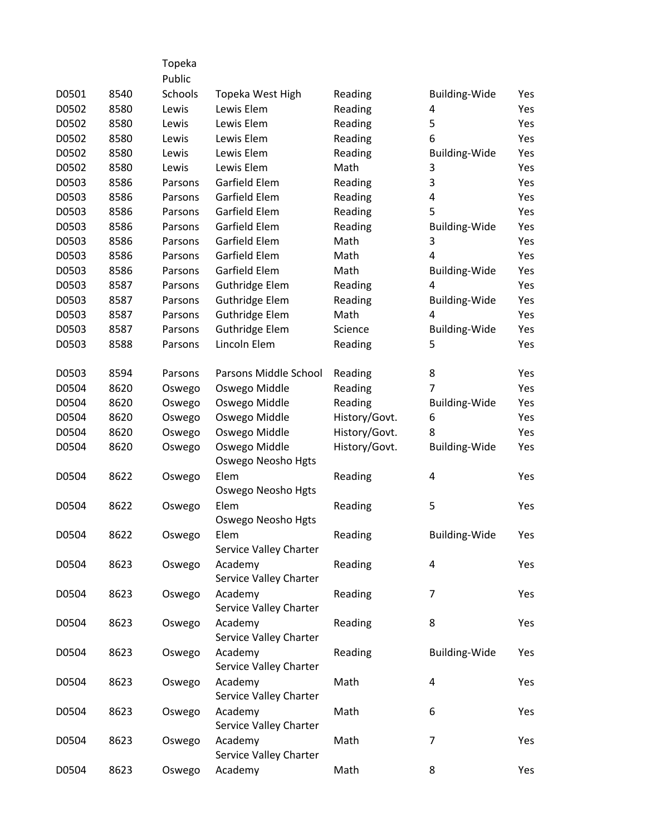|       |      | Topeka  |                        |               |                      |     |
|-------|------|---------|------------------------|---------------|----------------------|-----|
|       |      | Public  |                        |               |                      |     |
| D0501 | 8540 | Schools | Topeka West High       | Reading       | <b>Building-Wide</b> | Yes |
| D0502 | 8580 | Lewis   | Lewis Elem             | Reading       | 4                    | Yes |
| D0502 | 8580 | Lewis   | Lewis Elem             | Reading       | 5                    | Yes |
| D0502 | 8580 | Lewis   | Lewis Elem             | Reading       | 6                    | Yes |
| D0502 | 8580 | Lewis   | Lewis Elem             | Reading       | <b>Building-Wide</b> | Yes |
| D0502 | 8580 | Lewis   | Lewis Elem             | Math          | 3                    | Yes |
| D0503 | 8586 | Parsons | Garfield Elem          | Reading       | 3                    | Yes |
| D0503 | 8586 | Parsons | Garfield Elem          | Reading       | 4                    | Yes |
| D0503 | 8586 | Parsons | Garfield Elem          | Reading       | 5                    | Yes |
| D0503 | 8586 | Parsons | Garfield Elem          | Reading       | <b>Building-Wide</b> | Yes |
| D0503 | 8586 | Parsons | Garfield Elem          | Math          | 3                    | Yes |
| D0503 | 8586 | Parsons | Garfield Elem          | Math          | 4                    | Yes |
| D0503 | 8586 | Parsons | Garfield Elem          | Math          | <b>Building-Wide</b> | Yes |
| D0503 | 8587 | Parsons | <b>Guthridge Elem</b>  | Reading       | 4                    | Yes |
| D0503 | 8587 | Parsons | Guthridge Elem         | Reading       | <b>Building-Wide</b> | Yes |
| D0503 | 8587 | Parsons | <b>Guthridge Elem</b>  | Math          | 4                    | Yes |
| D0503 | 8587 | Parsons | <b>Guthridge Elem</b>  | Science       | <b>Building-Wide</b> | Yes |
| D0503 | 8588 | Parsons | Lincoln Elem           | Reading       | 5                    | Yes |
|       |      |         |                        |               |                      |     |
| D0503 | 8594 | Parsons | Parsons Middle School  | Reading       | 8                    | Yes |
| D0504 | 8620 | Oswego  | Oswego Middle          | Reading       | 7                    | Yes |
| D0504 | 8620 | Oswego  | Oswego Middle          | Reading       | <b>Building-Wide</b> | Yes |
| D0504 | 8620 | Oswego  | Oswego Middle          | History/Govt. | 6                    | Yes |
| D0504 | 8620 | Oswego  | Oswego Middle          | History/Govt. | 8                    | Yes |
| D0504 | 8620 | Oswego  | Oswego Middle          | History/Govt. | <b>Building-Wide</b> | Yes |
|       |      |         | Oswego Neosho Hgts     |               |                      |     |
| D0504 | 8622 | Oswego  | Elem                   | Reading       | 4                    | Yes |
|       |      |         | Oswego Neosho Hgts     |               |                      |     |
| D0504 | 8622 | Oswego  | Elem                   | Reading       | 5                    | Yes |
|       |      |         | Oswego Neosho Hgts     |               |                      |     |
| D0504 | 8622 | Oswego  | Elem                   | Reading       | <b>Building-Wide</b> | Yes |
|       |      |         | Service Valley Charter |               |                      |     |
| D0504 | 8623 | Oswego  | Academy                | Reading       | $\overline{a}$       | Yes |
|       |      |         | Service Valley Charter |               |                      |     |
| D0504 | 8623 | Oswego  | Academy                | Reading       | 7                    | Yes |
|       |      |         | Service Valley Charter |               |                      |     |
| D0504 | 8623 | Oswego  | Academy                | Reading       | 8                    | Yes |
|       |      |         | Service Valley Charter |               |                      |     |
| D0504 | 8623 | Oswego  | Academy                | Reading       | <b>Building-Wide</b> | Yes |
|       |      |         | Service Valley Charter |               |                      |     |
| D0504 | 8623 | Oswego  | Academy                | Math          | 4                    | Yes |
|       |      |         | Service Valley Charter |               |                      |     |
| D0504 | 8623 | Oswego  | Academy                | Math          | 6                    | Yes |
|       |      |         | Service Valley Charter |               |                      |     |
| D0504 | 8623 | Oswego  | Academy                | Math          | 7                    | Yes |
|       |      |         | Service Valley Charter |               |                      |     |
| D0504 | 8623 | Oswego  | Academy                | Math          | 8                    | Yes |
|       |      |         |                        |               |                      |     |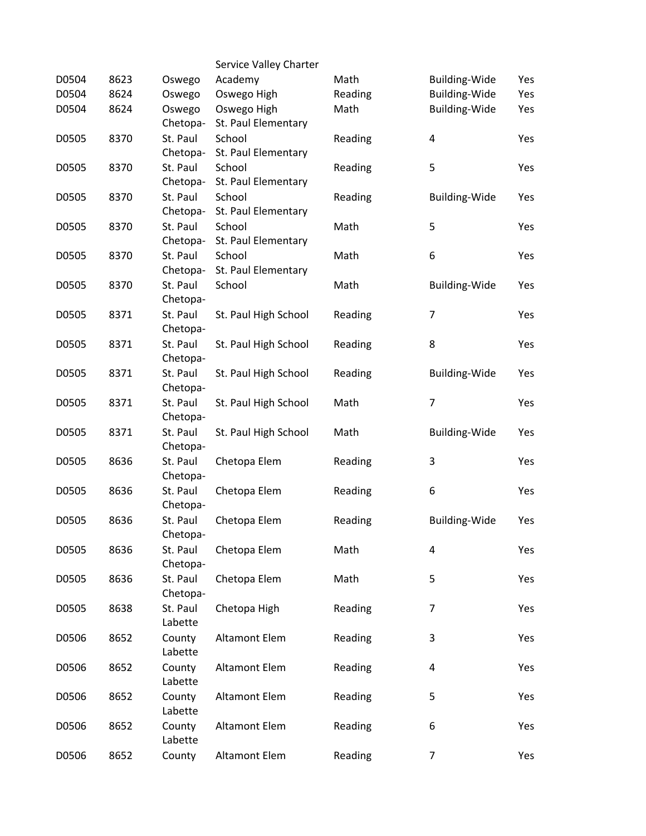|       |      |                   | Service Valley Charter |         |                      |     |
|-------|------|-------------------|------------------------|---------|----------------------|-----|
| D0504 | 8623 | Oswego            | Academy                | Math    | <b>Building-Wide</b> | Yes |
| D0504 | 8624 | Oswego            | Oswego High            | Reading | Building-Wide        | Yes |
| D0504 | 8624 | Oswego            | Oswego High            | Math    | Building-Wide        | Yes |
|       |      | Chetopa-          | St. Paul Elementary    |         |                      |     |
| D0505 | 8370 | St. Paul          | School                 | Reading | 4                    | Yes |
|       |      | Chetopa-          | St. Paul Elementary    |         |                      |     |
| D0505 | 8370 | St. Paul          | School                 | Reading | 5                    | Yes |
|       |      | Chetopa-          | St. Paul Elementary    |         |                      |     |
| D0505 | 8370 | St. Paul          | School                 | Reading | <b>Building-Wide</b> | Yes |
|       |      | Chetopa-          | St. Paul Elementary    |         |                      |     |
| D0505 | 8370 | St. Paul          | School                 | Math    | 5                    | Yes |
|       |      | Chetopa-          | St. Paul Elementary    |         |                      |     |
| D0505 | 8370 | St. Paul          | School                 | Math    | 6                    | Yes |
|       |      | Chetopa-          | St. Paul Elementary    |         |                      |     |
| D0505 | 8370 | St. Paul          | School                 | Math    | <b>Building-Wide</b> | Yes |
|       |      | Chetopa-          |                        |         |                      |     |
| D0505 | 8371 | St. Paul          | St. Paul High School   | Reading | 7                    | Yes |
|       |      | Chetopa-          |                        |         |                      |     |
| D0505 | 8371 | St. Paul          | St. Paul High School   | Reading | 8                    | Yes |
|       |      | Chetopa-          |                        |         |                      |     |
| D0505 | 8371 | St. Paul          | St. Paul High School   | Reading | Building-Wide        | Yes |
|       |      | Chetopa-          |                        |         |                      |     |
| D0505 | 8371 | St. Paul          | St. Paul High School   | Math    | $\overline{7}$       | Yes |
|       |      | Chetopa-          |                        |         |                      |     |
| D0505 | 8371 | St. Paul          | St. Paul High School   | Math    | <b>Building-Wide</b> | Yes |
|       |      | Chetopa-          |                        |         |                      |     |
| D0505 | 8636 | St. Paul          | Chetopa Elem           | Reading | 3                    | Yes |
|       |      | Chetopa-          |                        |         |                      |     |
| D0505 | 8636 | St. Paul          | Chetopa Elem           | Reading | 6                    | Yes |
|       |      | Chetopa-          |                        |         |                      |     |
| D0505 | 8636 | St. Paul          | Chetopa Elem           | Reading | <b>Building-Wide</b> | Yes |
|       |      | Chetopa-          |                        |         |                      |     |
| D0505 | 8636 | St. Paul          | Chetopa Elem           | Math    | 4                    | Yes |
|       |      | Chetopa-          |                        |         |                      |     |
| D0505 | 8636 | St. Paul          | Chetopa Elem           | Math    | 5                    | Yes |
|       |      | Chetopa-          |                        |         |                      |     |
| D0505 | 8638 | St. Paul          | Chetopa High           | Reading | 7                    | Yes |
|       |      | Labette           |                        |         |                      |     |
| D0506 | 8652 | County            | <b>Altamont Elem</b>   | Reading | 3                    | Yes |
|       |      | Labette           |                        |         |                      |     |
| D0506 | 8652 | County            | <b>Altamont Elem</b>   | Reading | 4                    | Yes |
|       |      | Labette           |                        |         |                      |     |
| D0506 | 8652 | County<br>Labette | <b>Altamont Elem</b>   | Reading | 5                    | Yes |
|       |      |                   |                        |         |                      |     |
| D0506 | 8652 | County<br>Labette | <b>Altamont Elem</b>   | Reading | 6                    | Yes |
|       |      |                   |                        |         | $\overline{7}$       |     |
| D0506 | 8652 | County            | Altamont Elem          | Reading |                      | Yes |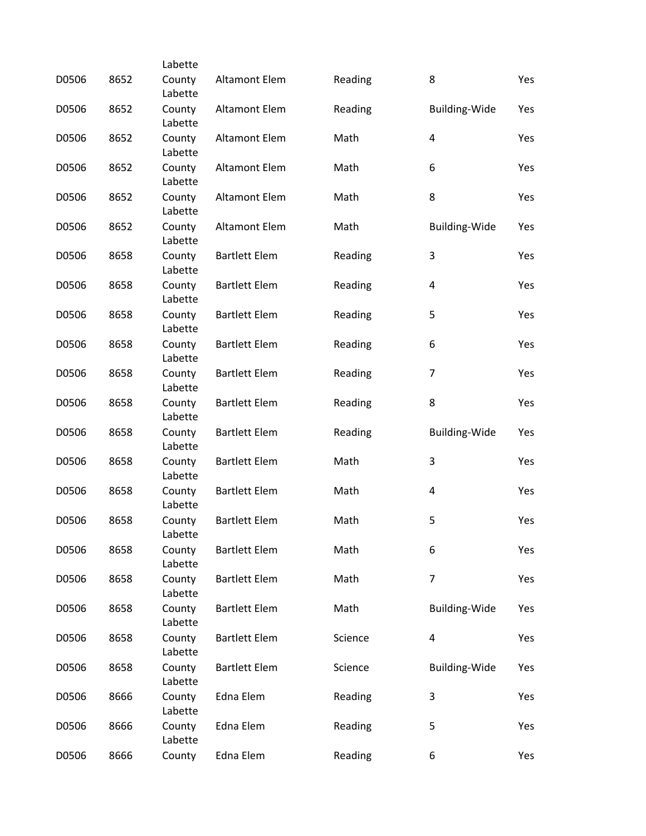|       |      | Labette           |                      |         |                      |     |
|-------|------|-------------------|----------------------|---------|----------------------|-----|
| D0506 | 8652 | County<br>Labette | <b>Altamont Elem</b> | Reading | 8                    | Yes |
| D0506 | 8652 | County<br>Labette | <b>Altamont Elem</b> | Reading | <b>Building-Wide</b> | Yes |
| D0506 | 8652 | County<br>Labette | <b>Altamont Elem</b> | Math    | 4                    | Yes |
| D0506 | 8652 | County<br>Labette | <b>Altamont Elem</b> | Math    | 6                    | Yes |
| D0506 | 8652 | County<br>Labette | <b>Altamont Elem</b> | Math    | 8                    | Yes |
| D0506 | 8652 | County<br>Labette | <b>Altamont Elem</b> | Math    | <b>Building-Wide</b> | Yes |
| D0506 | 8658 | County<br>Labette | <b>Bartlett Elem</b> | Reading | 3                    | Yes |
| D0506 | 8658 | County<br>Labette | <b>Bartlett Elem</b> | Reading | 4                    | Yes |
| D0506 | 8658 | County<br>Labette | <b>Bartlett Elem</b> | Reading | 5                    | Yes |
| D0506 | 8658 | County<br>Labette | <b>Bartlett Elem</b> | Reading | 6                    | Yes |
| D0506 | 8658 | County<br>Labette | <b>Bartlett Elem</b> | Reading | $\overline{7}$       | Yes |
| D0506 | 8658 | County<br>Labette | <b>Bartlett Elem</b> | Reading | 8                    | Yes |
| D0506 | 8658 | County<br>Labette | <b>Bartlett Elem</b> | Reading | <b>Building-Wide</b> | Yes |
| D0506 | 8658 | County<br>Labette | <b>Bartlett Elem</b> | Math    | 3                    | Yes |
| D0506 | 8658 | County<br>Labette | <b>Bartlett Elem</b> | Math    | 4                    | Yes |
| D0506 | 8658 | County<br>Labette | <b>Bartlett Elem</b> | Math    | 5                    | Yes |
| D0506 | 8658 | County<br>Labette | <b>Bartlett Elem</b> | Math    | 6                    | Yes |
| D0506 | 8658 | County<br>Labette | <b>Bartlett Elem</b> | Math    | 7                    | Yes |
| D0506 | 8658 | County<br>Labette | <b>Bartlett Elem</b> | Math    | <b>Building-Wide</b> | Yes |
| D0506 | 8658 | County<br>Labette | <b>Bartlett Elem</b> | Science | 4                    | Yes |
| D0506 | 8658 | County<br>Labette | <b>Bartlett Elem</b> | Science | <b>Building-Wide</b> | Yes |
| D0506 | 8666 | County<br>Labette | Edna Elem            | Reading | 3                    | Yes |
| D0506 | 8666 | County<br>Labette | Edna Elem            | Reading | 5                    | Yes |
| D0506 | 8666 | County            | Edna Elem            | Reading | 6                    | Yes |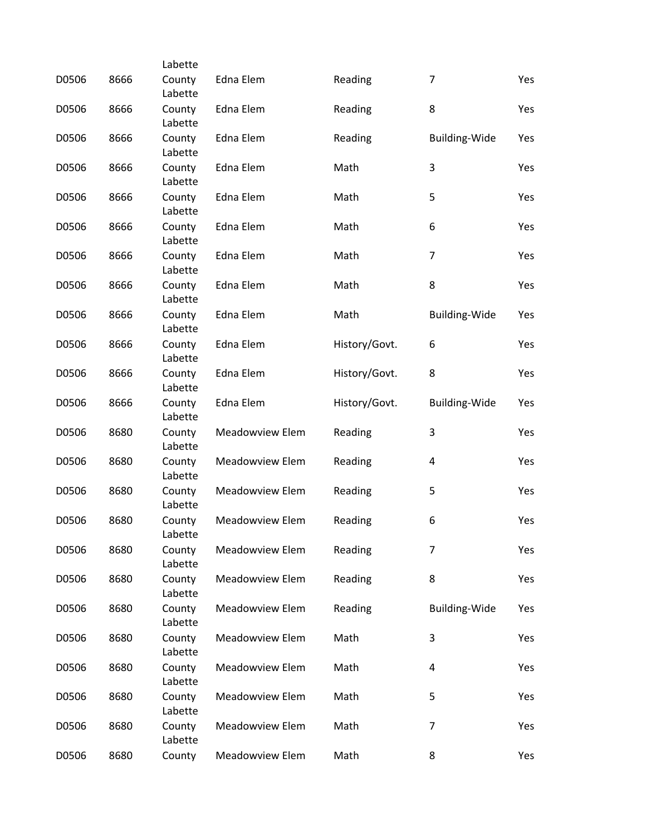|       |      | Labette           |                        |               |                      |     |
|-------|------|-------------------|------------------------|---------------|----------------------|-----|
| D0506 | 8666 | County<br>Labette | Edna Elem              | Reading       | $\overline{7}$       | Yes |
| D0506 | 8666 | County<br>Labette | Edna Elem              | Reading       | 8                    | Yes |
| D0506 | 8666 | County<br>Labette | Edna Elem              | Reading       | <b>Building-Wide</b> | Yes |
| D0506 | 8666 | County<br>Labette | Edna Elem              | Math          | 3                    | Yes |
| D0506 | 8666 | County<br>Labette | Edna Elem              | Math          | 5                    | Yes |
| D0506 | 8666 | County<br>Labette | Edna Elem              | Math          | 6                    | Yes |
| D0506 | 8666 | County<br>Labette | Edna Elem              | Math          | 7                    | Yes |
| D0506 | 8666 | County<br>Labette | Edna Elem              | Math          | 8                    | Yes |
| D0506 | 8666 | County<br>Labette | Edna Elem              | Math          | Building-Wide        | Yes |
| D0506 | 8666 | County<br>Labette | Edna Elem              | History/Govt. | 6                    | Yes |
| D0506 | 8666 | County<br>Labette | Edna Elem              | History/Govt. | 8                    | Yes |
| D0506 | 8666 | County<br>Labette | Edna Elem              | History/Govt. | <b>Building-Wide</b> | Yes |
| D0506 | 8680 | County<br>Labette | <b>Meadowview Elem</b> | Reading       | 3                    | Yes |
| D0506 | 8680 | County<br>Labette | Meadowview Elem        | Reading       | 4                    | Yes |
| D0506 | 8680 | County<br>Labette | Meadowview Elem        | Reading       | 5                    | Yes |
| D0506 | 8680 | County<br>Labette | Meadowview Elem        | Reading       | 6                    | Yes |
| D0506 | 8680 | County<br>Labette | <b>Meadowview Elem</b> | Reading       | 7                    | Yes |
| D0506 | 8680 | County<br>Labette | Meadowview Elem        | Reading       | 8                    | Yes |
| D0506 | 8680 | County<br>Labette | Meadowview Elem        | Reading       | Building-Wide        | Yes |
| D0506 | 8680 | County<br>Labette | <b>Meadowview Elem</b> | Math          | 3                    | Yes |
| D0506 | 8680 | County<br>Labette | <b>Meadowview Elem</b> | Math          | 4                    | Yes |
| D0506 | 8680 | County<br>Labette | <b>Meadowview Elem</b> | Math          | 5                    | Yes |
| D0506 | 8680 | County<br>Labette | <b>Meadowview Elem</b> | Math          | 7                    | Yes |
| D0506 | 8680 | County            | Meadowview Elem        | Math          | 8                    | Yes |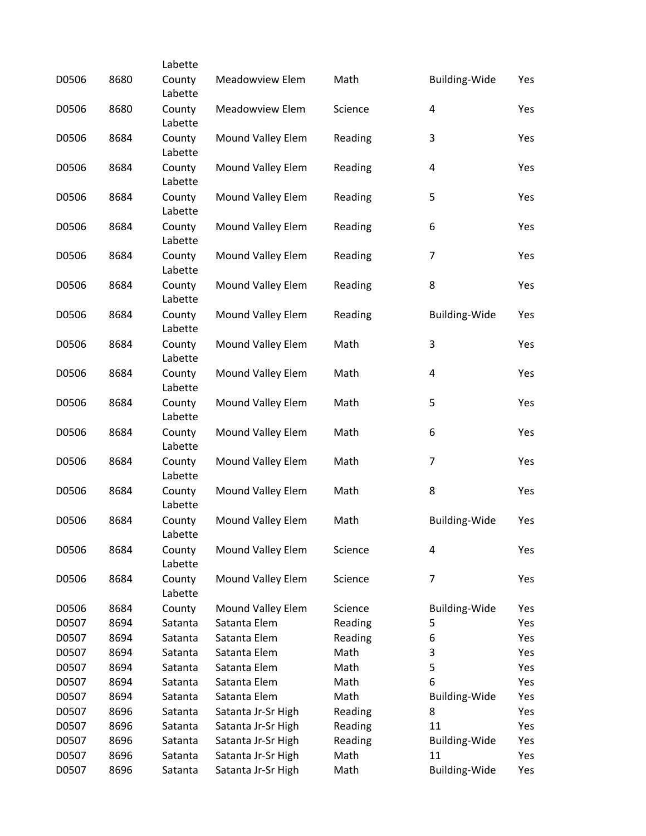|       |      | Labette           |                        |         |                         |     |
|-------|------|-------------------|------------------------|---------|-------------------------|-----|
| D0506 | 8680 | County<br>Labette | <b>Meadowview Elem</b> | Math    | Building-Wide           | Yes |
| D0506 | 8680 | County<br>Labette | <b>Meadowview Elem</b> | Science | $\overline{4}$          | Yes |
| D0506 | 8684 | County<br>Labette | Mound Valley Elem      | Reading | 3                       | Yes |
| D0506 | 8684 | County<br>Labette | Mound Valley Elem      | Reading | $\overline{\mathbf{4}}$ | Yes |
| D0506 | 8684 | County<br>Labette | Mound Valley Elem      | Reading | 5                       | Yes |
| D0506 | 8684 | County            | Mound Valley Elem      | Reading | 6                       | Yes |
| D0506 | 8684 | Labette<br>County | Mound Valley Elem      | Reading | $\overline{7}$          | Yes |
| D0506 | 8684 | Labette<br>County | Mound Valley Elem      | Reading | 8                       | Yes |
|       |      | Labette           |                        |         |                         |     |
| D0506 | 8684 | County<br>Labette | Mound Valley Elem      | Reading | <b>Building-Wide</b>    | Yes |
| D0506 | 8684 | County<br>Labette | Mound Valley Elem      | Math    | 3                       | Yes |
| D0506 | 8684 | County<br>Labette | Mound Valley Elem      | Math    | $\overline{\mathbf{4}}$ | Yes |
| D0506 | 8684 | County<br>Labette | Mound Valley Elem      | Math    | 5                       | Yes |
| D0506 | 8684 | County<br>Labette | Mound Valley Elem      | Math    | 6                       | Yes |
| D0506 | 8684 | County<br>Labette | Mound Valley Elem      | Math    | $\overline{7}$          | Yes |
| D0506 | 8684 | County<br>Labette | Mound Valley Elem      | Math    | 8                       | Yes |
| D0506 | 8684 | County<br>Labette | Mound Valley Elem      | Math    | Building-Wide           | Yes |
| D0506 | 8684 | County<br>Labette | Mound Valley Elem      | Science | $\overline{\mathbf{4}}$ | Yes |
| D0506 | 8684 | County<br>Labette | Mound Valley Elem      | Science | 7                       | Yes |
| D0506 | 8684 | County            | Mound Valley Elem      | Science | <b>Building-Wide</b>    | Yes |
| D0507 | 8694 | Satanta           | Satanta Elem           | Reading | 5                       | Yes |
| D0507 | 8694 | Satanta           | Satanta Elem           | Reading | 6                       | Yes |
| D0507 | 8694 | Satanta           | Satanta Elem           | Math    | 3                       | Yes |
| D0507 | 8694 | Satanta           | Satanta Elem           | Math    | 5                       | Yes |
| D0507 | 8694 | Satanta           | Satanta Elem           | Math    | 6                       | Yes |
| D0507 | 8694 | Satanta           | Satanta Elem           | Math    | <b>Building-Wide</b>    | Yes |
| D0507 | 8696 | Satanta           | Satanta Jr-Sr High     | Reading | 8                       | Yes |
| D0507 | 8696 | Satanta           | Satanta Jr-Sr High     | Reading | 11                      | Yes |
| D0507 | 8696 | Satanta           | Satanta Jr-Sr High     | Reading | <b>Building-Wide</b>    | Yes |
| D0507 | 8696 | Satanta           | Satanta Jr-Sr High     | Math    | 11                      | Yes |
| D0507 | 8696 | Satanta           | Satanta Jr-Sr High     | Math    | <b>Building-Wide</b>    | Yes |
|       |      |                   |                        |         |                         |     |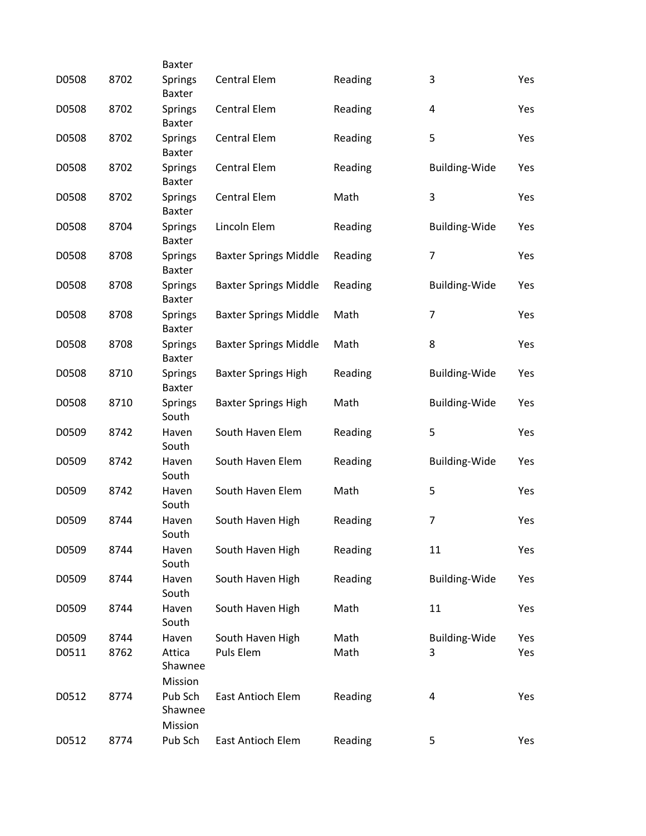|       |      | Baxter                          |                              |         |                      |     |
|-------|------|---------------------------------|------------------------------|---------|----------------------|-----|
| D0508 | 8702 | <b>Springs</b><br><b>Baxter</b> | <b>Central Elem</b>          | Reading | 3                    | Yes |
| D0508 | 8702 | <b>Springs</b><br>Baxter        | <b>Central Elem</b>          | Reading | 4                    | Yes |
| D0508 | 8702 | Springs<br>Baxter               | <b>Central Elem</b>          | Reading | 5                    | Yes |
| D0508 | 8702 | <b>Springs</b><br>Baxter        | <b>Central Elem</b>          | Reading | <b>Building-Wide</b> | Yes |
| D0508 | 8702 | <b>Springs</b><br><b>Baxter</b> | <b>Central Elem</b>          | Math    | 3                    | Yes |
| D0508 | 8704 | Springs<br>Baxter               | Lincoln Elem                 | Reading | <b>Building-Wide</b> | Yes |
| D0508 | 8708 | <b>Springs</b><br>Baxter        | <b>Baxter Springs Middle</b> | Reading | $\overline{7}$       | Yes |
| D0508 | 8708 | <b>Springs</b><br>Baxter        | <b>Baxter Springs Middle</b> | Reading | <b>Building-Wide</b> | Yes |
| D0508 | 8708 | Springs<br>Baxter               | <b>Baxter Springs Middle</b> | Math    | $\overline{7}$       | Yes |
| D0508 | 8708 | <b>Springs</b><br>Baxter        | <b>Baxter Springs Middle</b> | Math    | 8                    | Yes |
| D0508 | 8710 | Springs<br>Baxter               | <b>Baxter Springs High</b>   | Reading | <b>Building-Wide</b> | Yes |
| D0508 | 8710 | Springs<br>South                | <b>Baxter Springs High</b>   | Math    | <b>Building-Wide</b> | Yes |
| D0509 | 8742 | Haven<br>South                  | South Haven Elem             | Reading | 5                    | Yes |
| D0509 | 8742 | Haven<br>South                  | South Haven Elem             | Reading | Building-Wide        | Yes |
| D0509 | 8742 | Haven<br>South                  | South Haven Elem             | Math    | 5                    | Yes |
| D0509 | 8744 | Haven<br>South                  | South Haven High             | Reading | 7                    | Yes |
| D0509 | 8744 | Haven<br>South                  | South Haven High             | Reading | 11                   | Yes |
| D0509 | 8744 | Haven<br>South                  | South Haven High             | Reading | <b>Building-Wide</b> | Yes |
| D0509 | 8744 | Haven<br>South                  | South Haven High             | Math    | 11                   | Yes |
| D0509 | 8744 | Haven                           | South Haven High             | Math    | <b>Building-Wide</b> | Yes |
| D0511 | 8762 | Attica<br>Shawnee<br>Mission    | Puls Elem                    | Math    | 3                    | Yes |
| D0512 | 8774 | Pub Sch<br>Shawnee<br>Mission   | East Antioch Elem            | Reading | 4                    | Yes |
| D0512 | 8774 | Pub Sch                         | East Antioch Elem            | Reading | 5                    | Yes |
|       |      |                                 |                              |         |                      |     |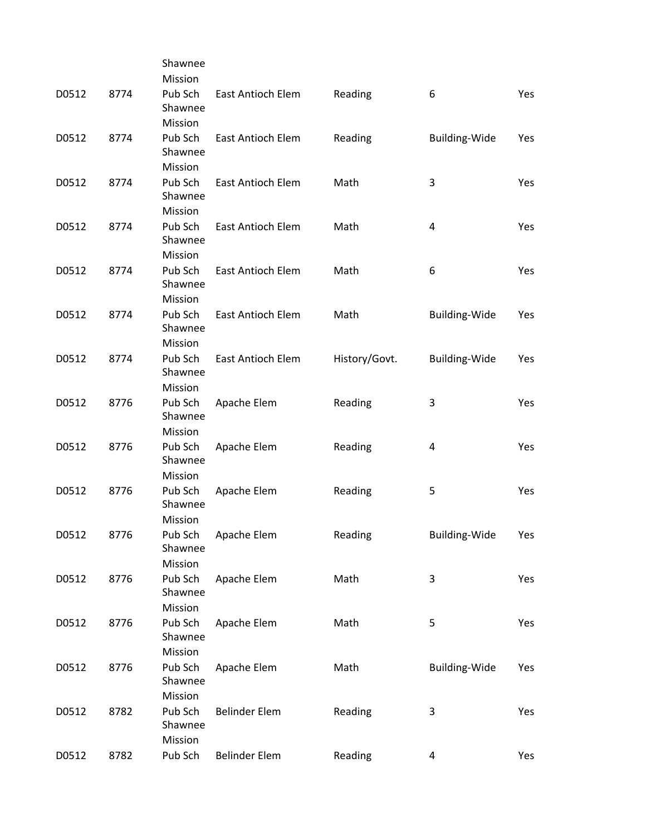|       |      | Shawnee                       |                          |               |                      |     |
|-------|------|-------------------------------|--------------------------|---------------|----------------------|-----|
|       |      | Mission                       |                          |               |                      |     |
| D0512 | 8774 | Pub Sch<br>Shawnee            | East Antioch Elem        | Reading       | 6                    | Yes |
|       |      | Mission                       |                          |               |                      |     |
| D0512 | 8774 | Pub Sch<br>Shawnee            | East Antioch Elem        | Reading       | Building-Wide        | Yes |
|       |      | Mission                       |                          |               |                      |     |
| D0512 | 8774 | Pub Sch<br>Shawnee            | East Antioch Elem        | Math          | 3                    | Yes |
|       |      | Mission                       |                          |               |                      |     |
| D0512 | 8774 | Pub Sch<br>Shawnee            | East Antioch Elem        | Math          | 4                    | Yes |
|       |      | Mission                       |                          |               |                      |     |
| D0512 | 8774 | Pub Sch<br>Shawnee            | <b>East Antioch Elem</b> | Math          | 6                    | Yes |
|       |      | Mission                       |                          |               |                      |     |
| D0512 | 8774 | Pub Sch<br>Shawnee            | <b>East Antioch Elem</b> | Math          | <b>Building-Wide</b> | Yes |
|       |      | Mission                       |                          |               |                      |     |
| D0512 | 8774 | Pub Sch<br>Shawnee            | East Antioch Elem        | History/Govt. | <b>Building-Wide</b> | Yes |
|       |      | Mission                       |                          |               |                      |     |
| D0512 | 8776 | Pub Sch<br>Shawnee            | Apache Elem              | Reading       | 3                    | Yes |
|       |      | Mission                       |                          |               |                      |     |
| D0512 | 8776 | Pub Sch<br>Shawnee            | Apache Elem              | Reading       | 4                    | Yes |
|       |      | Mission                       |                          |               |                      |     |
| D0512 | 8776 | Pub Sch<br>Shawnee<br>Mission | Apache Elem              | Reading       | 5                    | Yes |
|       |      |                               |                          |               |                      |     |
| D0512 | 8776 | Pub Sch<br>Shawnee<br>Mission | Apache Elem              | Reading       | <b>Building-Wide</b> | Yes |
|       | 8776 | Pub Sch                       |                          | Math          | 3                    | Yes |
| D0512 |      | Shawnee                       | Apache Elem              |               |                      |     |
|       |      | Mission                       |                          |               |                      |     |
|       | 8776 | Pub Sch                       |                          | Math          |                      |     |
| D0512 |      | Shawnee<br>Mission            | Apache Elem              |               | 5                    | Yes |
|       |      |                               |                          |               |                      |     |
| D0512 | 8776 | Pub Sch<br>Shawnee            | Apache Elem              | Math          | <b>Building-Wide</b> | Yes |
|       |      | Mission                       |                          |               |                      |     |
| D0512 | 8782 | Pub Sch<br>Shawnee<br>Mission | <b>Belinder Elem</b>     | Reading       | 3                    | Yes |
| D0512 | 8782 | Pub Sch                       | <b>Belinder Elem</b>     | Reading       | 4                    | Yes |
|       |      |                               |                          |               |                      |     |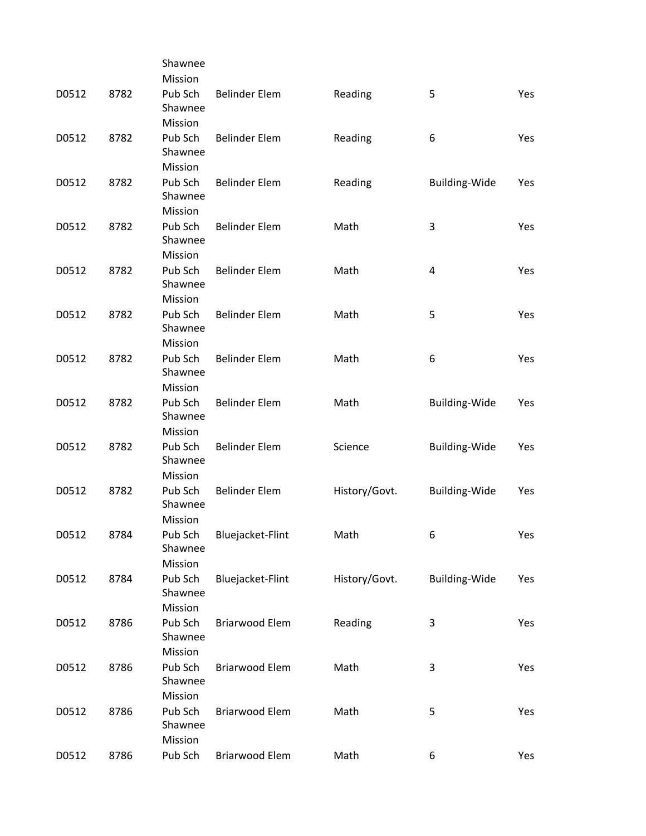|       |      | Shawnee            |                       |               |                      |     |
|-------|------|--------------------|-----------------------|---------------|----------------------|-----|
|       |      | Mission            |                       |               |                      |     |
| D0512 | 8782 | Pub Sch<br>Shawnee | <b>Belinder Elem</b>  | Reading       | 5                    | Yes |
|       |      | Mission            |                       |               |                      |     |
| D0512 | 8782 | Pub Sch<br>Shawnee | <b>Belinder Elem</b>  | Reading       | 6                    | Yes |
|       |      | Mission            |                       |               |                      |     |
| D0512 | 8782 | Pub Sch<br>Shawnee | <b>Belinder Elem</b>  | Reading       | <b>Building-Wide</b> | Yes |
|       |      | Mission            |                       |               |                      |     |
| D0512 | 8782 | Pub Sch<br>Shawnee | <b>Belinder Elem</b>  | Math          | 3                    | Yes |
|       |      | Mission            |                       |               |                      |     |
| D0512 | 8782 | Pub Sch<br>Shawnee | <b>Belinder Elem</b>  | Math          | 4                    | Yes |
|       |      | Mission            |                       |               |                      |     |
| D0512 | 8782 | Pub Sch<br>Shawnee | <b>Belinder Elem</b>  | Math          | 5                    | Yes |
|       |      | Mission            |                       |               |                      |     |
| D0512 | 8782 | Pub Sch<br>Shawnee | <b>Belinder Elem</b>  | Math          | 6                    | Yes |
|       |      | Mission            |                       |               |                      |     |
| D0512 | 8782 | Pub Sch<br>Shawnee | <b>Belinder Elem</b>  | Math          | <b>Building-Wide</b> | Yes |
|       |      | Mission            |                       |               |                      |     |
| D0512 | 8782 | Pub Sch<br>Shawnee | <b>Belinder Elem</b>  | Science       | <b>Building-Wide</b> | Yes |
|       |      | Mission            |                       |               |                      |     |
| D0512 | 8782 | Pub Sch<br>Shawnee | <b>Belinder Elem</b>  | History/Govt. | <b>Building-Wide</b> | Yes |
|       |      | Mission            |                       |               |                      |     |
| D0512 | 8784 | Pub Sch<br>Shawnee | Bluejacket-Flint      | Math          | 6                    | Yes |
|       |      | Mission            |                       |               |                      |     |
| D0512 | 8784 | Pub Sch<br>Shawnee | Bluejacket-Flint      | History/Govt. | <b>Building-Wide</b> | Yes |
|       |      | Mission            |                       |               |                      |     |
| D0512 | 8786 | Pub Sch            | <b>Briarwood Elem</b> | Reading       | 3                    | Yes |
|       |      | Shawnee<br>Mission |                       |               |                      |     |
| D0512 | 8786 | Pub Sch            | <b>Briarwood Elem</b> | Math          | 3                    | Yes |
|       |      | Shawnee<br>Mission |                       |               |                      |     |
| D0512 | 8786 | Pub Sch            | <b>Briarwood Elem</b> | Math          | 5                    | Yes |
|       |      | Shawnee<br>Mission |                       |               |                      |     |
| D0512 | 8786 | Pub Sch            | <b>Briarwood Elem</b> | Math          | 6                    | Yes |
|       |      |                    |                       |               |                      |     |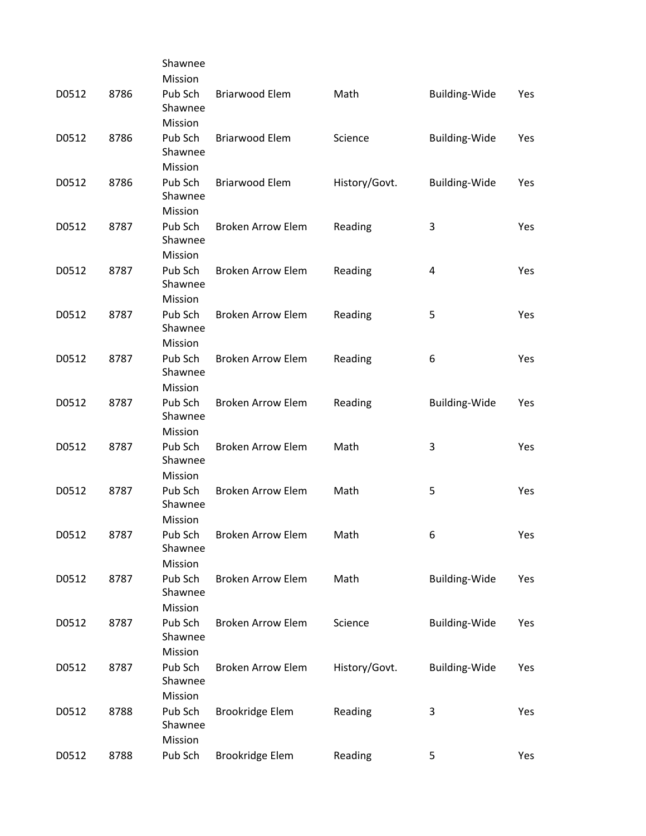|       |      | Shawnee            |                          |               |                      |     |
|-------|------|--------------------|--------------------------|---------------|----------------------|-----|
|       |      | Mission            |                          |               |                      |     |
| D0512 | 8786 | Pub Sch<br>Shawnee | <b>Briarwood Elem</b>    | Math          | Building-Wide        | Yes |
|       |      | Mission            |                          |               |                      |     |
| D0512 | 8786 | Pub Sch            | <b>Briarwood Elem</b>    | Science       | <b>Building-Wide</b> | Yes |
|       |      | Shawnee            |                          |               |                      |     |
|       |      | Mission            |                          |               |                      |     |
| D0512 | 8786 | Pub Sch            | <b>Briarwood Elem</b>    | History/Govt. | <b>Building-Wide</b> | Yes |
|       |      | Shawnee            |                          |               |                      |     |
|       |      | Mission            |                          |               |                      |     |
| D0512 | 8787 | Pub Sch            | <b>Broken Arrow Elem</b> | Reading       | 3                    | Yes |
|       |      | Shawnee            |                          |               |                      |     |
|       |      | Mission            |                          |               |                      |     |
| D0512 | 8787 | Pub Sch            | <b>Broken Arrow Elem</b> | Reading       | 4                    | Yes |
|       |      | Shawnee            |                          |               |                      |     |
|       |      | Mission            |                          |               |                      |     |
| D0512 | 8787 | Pub Sch            | <b>Broken Arrow Elem</b> | Reading       | 5                    | Yes |
|       |      | Shawnee            |                          |               |                      |     |
|       |      | Mission            |                          |               |                      |     |
| D0512 | 8787 | Pub Sch            | <b>Broken Arrow Elem</b> | Reading       | 6                    | Yes |
|       |      | Shawnee            |                          |               |                      |     |
| D0512 | 8787 | Mission<br>Pub Sch | <b>Broken Arrow Elem</b> |               |                      | Yes |
|       |      | Shawnee            |                          | Reading       | Building-Wide        |     |
|       |      | Mission            |                          |               |                      |     |
| D0512 | 8787 | Pub Sch            | <b>Broken Arrow Elem</b> | Math          | 3                    | Yes |
|       |      | Shawnee            |                          |               |                      |     |
|       |      | Mission            |                          |               |                      |     |
| D0512 | 8787 | Pub Sch            | <b>Broken Arrow Elem</b> | Math          | 5                    | Yes |
|       |      | Shawnee            |                          |               |                      |     |
|       |      | Mission            |                          |               |                      |     |
| D0512 | 8787 | Pub Sch            | Broken Arrow Elem        | Math          | 6                    | Yes |
|       |      | Shawnee            |                          |               |                      |     |
|       |      | Mission            |                          |               |                      |     |
| D0512 | 8787 | Pub Sch            | <b>Broken Arrow Elem</b> | Math          | <b>Building-Wide</b> | Yes |
|       |      | Shawnee            |                          |               |                      |     |
|       |      | Mission            |                          |               |                      |     |
| D0512 | 8787 | Pub Sch            | <b>Broken Arrow Elem</b> | Science       | <b>Building-Wide</b> | Yes |
|       |      | Shawnee            |                          |               |                      |     |
|       |      | Mission            |                          |               |                      |     |
| D0512 | 8787 | Pub Sch            | <b>Broken Arrow Elem</b> | History/Govt. | <b>Building-Wide</b> | Yes |
|       |      | Shawnee            |                          |               |                      |     |
|       |      | Mission            |                          |               |                      |     |
| D0512 | 8788 | Pub Sch<br>Shawnee | Brookridge Elem          | Reading       | 3                    | Yes |
|       |      | Mission            |                          |               |                      |     |
|       |      |                    |                          |               |                      |     |
| D0512 | 8788 | Pub Sch            | Brookridge Elem          | Reading       | 5                    | Yes |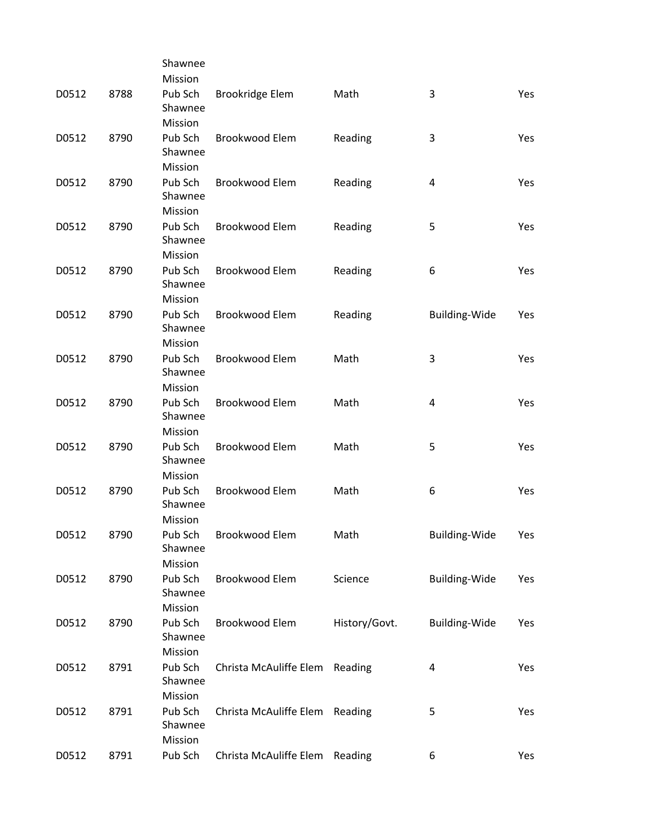|       |      | Shawnee                       |                        |               |                      |     |
|-------|------|-------------------------------|------------------------|---------------|----------------------|-----|
|       |      | Mission                       |                        |               |                      |     |
| D0512 | 8788 | Pub Sch<br>Shawnee            | Brookridge Elem        | Math          | 3                    | Yes |
|       |      | Mission                       |                        |               |                      |     |
| D0512 | 8790 | Pub Sch<br>Shawnee            | <b>Brookwood Elem</b>  | Reading       | 3                    | Yes |
|       |      | Mission                       |                        |               |                      |     |
| D0512 | 8790 | Pub Sch<br>Shawnee            | Brookwood Elem         | Reading       | 4                    | Yes |
|       |      | Mission                       |                        |               |                      |     |
| D0512 | 8790 | Pub Sch<br>Shawnee<br>Mission | <b>Brookwood Elem</b>  | Reading       | 5                    | Yes |
|       |      |                               |                        |               |                      |     |
| D0512 | 8790 | Pub Sch<br>Shawnee<br>Mission | Brookwood Elem         | Reading       | 6                    | Yes |
|       |      |                               |                        |               |                      |     |
| D0512 | 8790 | Pub Sch<br>Shawnee<br>Mission | <b>Brookwood Elem</b>  | Reading       | Building-Wide        | Yes |
|       |      |                               |                        |               |                      |     |
| D0512 | 8790 | Pub Sch<br>Shawnee            | <b>Brookwood Elem</b>  | Math          | 3                    | Yes |
|       |      | Mission                       |                        |               |                      |     |
| D0512 | 8790 | Pub Sch<br>Shawnee            | <b>Brookwood Elem</b>  | Math          | 4                    | Yes |
|       |      | Mission                       |                        |               |                      |     |
| D0512 | 8790 | Pub Sch<br>Shawnee            | <b>Brookwood Elem</b>  | Math          | 5                    | Yes |
|       |      | Mission                       |                        |               |                      |     |
| D0512 | 8790 | Pub Sch<br>Shawnee<br>Mission | <b>Brookwood Elem</b>  | Math          | 6                    | Yes |
|       |      |                               |                        |               |                      |     |
| D0512 | 8790 | Pub Sch<br>Shawnee<br>Mission | Brookwood Elem         | Math          | <b>Building-Wide</b> | Yes |
|       |      |                               |                        |               |                      |     |
| D0512 | 8790 | Pub Sch<br>Shawnee            | Brookwood Elem         | Science       | Building-Wide        | Yes |
|       |      | Mission                       |                        |               |                      |     |
| D0512 | 8790 | Pub Sch<br>Shawnee            | Brookwood Elem         | History/Govt. | Building-Wide        | Yes |
|       |      | Mission                       |                        |               |                      |     |
| D0512 | 8791 | Pub Sch<br>Shawnee            | Christa McAuliffe Elem | Reading       | 4                    | Yes |
|       |      | Mission                       |                        |               |                      |     |
| D0512 | 8791 | Pub Sch<br>Shawnee<br>Mission | Christa McAuliffe Elem | Reading       | 5                    | Yes |
| D0512 | 8791 | Pub Sch                       | Christa McAuliffe Elem | Reading       | 6                    | Yes |
|       |      |                               |                        |               |                      |     |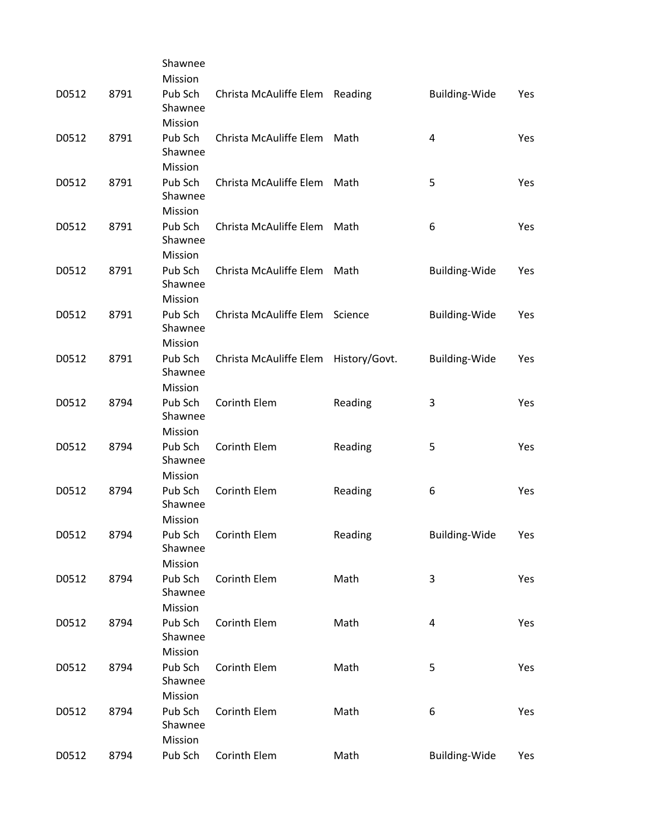|       |      | Shawnee            |                                |               |                         |     |
|-------|------|--------------------|--------------------------------|---------------|-------------------------|-----|
|       |      | Mission            |                                |               |                         |     |
| D0512 | 8791 | Pub Sch<br>Shawnee | Christa McAuliffe Elem Reading |               | Building-Wide           | Yes |
|       |      | Mission            |                                |               |                         |     |
| D0512 | 8791 | Pub Sch            | Christa McAuliffe Elem         | Math          | 4                       | Yes |
|       |      | Shawnee            |                                |               |                         |     |
|       |      | Mission            |                                |               |                         |     |
| D0512 | 8791 | Pub Sch            | Christa McAuliffe Elem         | Math          | 5                       | Yes |
|       |      | Shawnee            |                                |               |                         |     |
|       |      | Mission            |                                |               |                         |     |
| D0512 | 8791 | Pub Sch            | Christa McAuliffe Elem         | Math          | 6                       | Yes |
|       |      | Shawnee            |                                |               |                         |     |
|       |      | Mission            |                                |               |                         |     |
| D0512 | 8791 | Pub Sch            | Christa McAuliffe Elem         | Math          | <b>Building-Wide</b>    | Yes |
|       |      | Shawnee            |                                |               |                         |     |
|       |      | Mission            |                                |               |                         |     |
| D0512 | 8791 | Pub Sch            | Christa McAuliffe Elem         | Science       | <b>Building-Wide</b>    | Yes |
|       |      | Shawnee            |                                |               |                         |     |
|       |      | Mission            |                                |               |                         |     |
| D0512 | 8791 | Pub Sch            | Christa McAuliffe Elem         | History/Govt. | <b>Building-Wide</b>    | Yes |
|       |      | Shawnee            |                                |               |                         |     |
|       |      | Mission            |                                |               |                         |     |
| D0512 | 8794 | Pub Sch            | Corinth Elem                   | Reading       | 3                       | Yes |
|       |      | Shawnee            |                                |               |                         |     |
|       |      | Mission            |                                |               |                         |     |
| D0512 | 8794 | Pub Sch            | Corinth Elem                   | Reading       | 5                       | Yes |
|       |      | Shawnee            |                                |               |                         |     |
|       |      | Mission            |                                |               |                         |     |
| D0512 | 8794 | Pub Sch            | Corinth Elem                   | Reading       | 6                       | Yes |
|       |      | Shawnee            |                                |               |                         |     |
|       |      | Mission            |                                |               |                         |     |
| D0512 | 8794 | Pub Sch<br>Shawnee | Corinth Elem                   | Reading       | Building-Wide           | Yes |
|       |      | Mission            |                                |               |                         |     |
| D0512 | 8794 | Pub Sch            | Corinth Elem                   | Math          | 3                       | Yes |
|       |      | Shawnee            |                                |               |                         |     |
|       |      | Mission            |                                |               |                         |     |
| D0512 | 8794 | Pub Sch            | Corinth Elem                   | Math          | $\overline{\mathbf{4}}$ | Yes |
|       |      | Shawnee            |                                |               |                         |     |
|       |      | Mission            |                                |               |                         |     |
| D0512 | 8794 | Pub Sch            | Corinth Elem                   | Math          | 5                       | Yes |
|       |      | Shawnee            |                                |               |                         |     |
|       |      | Mission            |                                |               |                         |     |
| D0512 | 8794 | Pub Sch            | Corinth Elem                   | Math          | 6                       | Yes |
|       |      | Shawnee            |                                |               |                         |     |
|       |      | Mission            |                                |               |                         |     |
| D0512 | 8794 | Pub Sch            | Corinth Elem                   | Math          | <b>Building-Wide</b>    | Yes |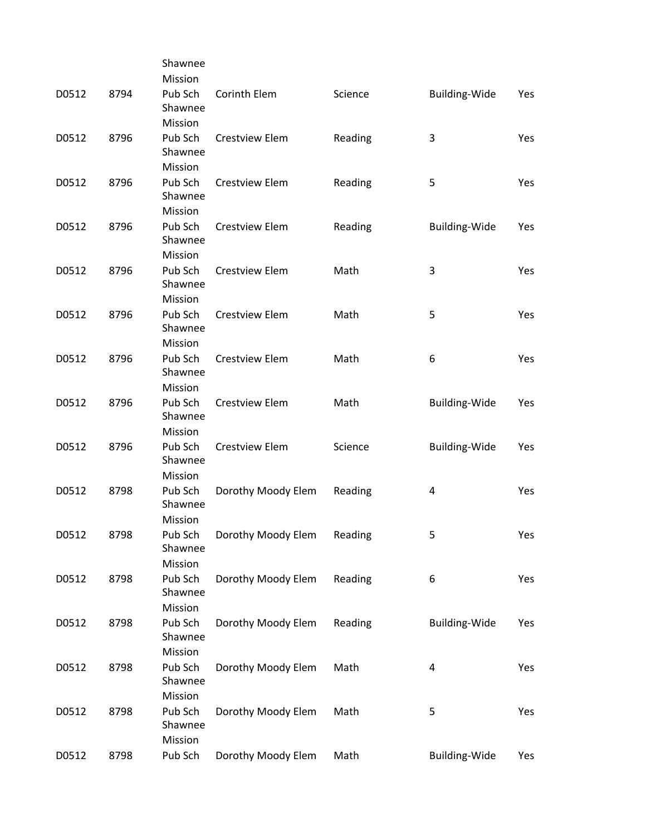|       |      | Shawnee            |                       |         |                      |     |
|-------|------|--------------------|-----------------------|---------|----------------------|-----|
|       |      | Mission            |                       |         |                      |     |
| D0512 | 8794 | Pub Sch<br>Shawnee | Corinth Elem          | Science | Building-Wide        | Yes |
|       |      | Mission            |                       |         |                      |     |
| D0512 | 8796 | Pub Sch<br>Shawnee | <b>Crestview Elem</b> | Reading | 3                    | Yes |
|       |      | Mission            |                       |         |                      |     |
| D0512 | 8796 | Pub Sch<br>Shawnee | Crestview Elem        | Reading | 5                    | Yes |
|       |      | Mission            |                       |         |                      |     |
| D0512 | 8796 | Pub Sch<br>Shawnee | <b>Crestview Elem</b> | Reading | Building-Wide        | Yes |
|       |      | Mission            |                       |         |                      |     |
| D0512 | 8796 | Pub Sch<br>Shawnee | <b>Crestview Elem</b> | Math    | 3                    | Yes |
|       |      | Mission            |                       |         |                      |     |
| D0512 | 8796 | Pub Sch<br>Shawnee | <b>Crestview Elem</b> | Math    | 5                    | Yes |
|       |      | Mission            |                       |         |                      |     |
| D0512 | 8796 | Pub Sch<br>Shawnee | <b>Crestview Elem</b> | Math    | 6                    | Yes |
|       |      | Mission            |                       |         |                      |     |
| D0512 | 8796 | Pub Sch<br>Shawnee | <b>Crestview Elem</b> | Math    | <b>Building-Wide</b> | Yes |
|       |      | Mission            |                       |         |                      |     |
| D0512 | 8796 | Pub Sch<br>Shawnee | <b>Crestview Elem</b> | Science | <b>Building-Wide</b> | Yes |
|       |      | Mission            |                       |         |                      |     |
| D0512 | 8798 | Pub Sch<br>Shawnee | Dorothy Moody Elem    | Reading | 4                    | Yes |
|       |      | Mission            |                       |         |                      |     |
| D0512 | 8798 | Pub Sch<br>Shawnee | Dorothy Moody Elem    | Reading | 5                    | Yes |
|       |      | Mission            |                       |         |                      |     |
| D0512 | 8798 | Pub Sch<br>Shawnee | Dorothy Moody Elem    | Reading | 6                    | Yes |
|       |      | Mission            |                       |         |                      |     |
| D0512 | 8798 | Pub Sch<br>Shawnee | Dorothy Moody Elem    | Reading | Building-Wide        | Yes |
|       |      | Mission            |                       |         |                      |     |
| D0512 | 8798 | Pub Sch<br>Shawnee | Dorothy Moody Elem    | Math    | 4                    | Yes |
|       |      | Mission            |                       |         |                      |     |
| D0512 | 8798 | Pub Sch<br>Shawnee | Dorothy Moody Elem    | Math    | 5                    | Yes |
|       |      | Mission            |                       |         |                      |     |
| D0512 | 8798 | Pub Sch            | Dorothy Moody Elem    | Math    | <b>Building-Wide</b> | Yes |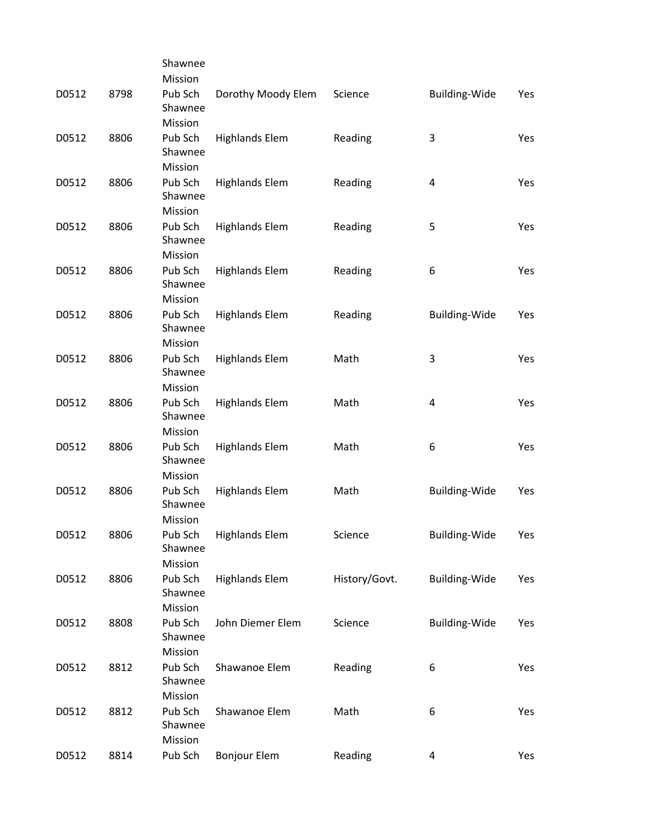|       |      | Shawnee            |                       |               |                      |     |
|-------|------|--------------------|-----------------------|---------------|----------------------|-----|
|       |      | Mission            |                       |               |                      |     |
| D0512 | 8798 | Pub Sch<br>Shawnee | Dorothy Moody Elem    | Science       | <b>Building-Wide</b> | Yes |
|       |      | Mission            |                       |               |                      |     |
| D0512 | 8806 | Pub Sch            | <b>Highlands Elem</b> | Reading       | 3                    | Yes |
|       |      | Shawnee            |                       |               |                      |     |
|       |      | Mission            |                       |               |                      |     |
| D0512 | 8806 | Pub Sch<br>Shawnee | <b>Highlands Elem</b> | Reading       | 4                    | Yes |
|       |      | Mission            |                       |               |                      |     |
| D0512 | 8806 | Pub Sch            | <b>Highlands Elem</b> | Reading       | 5                    | Yes |
|       |      | Shawnee            |                       |               |                      |     |
|       |      | Mission            |                       |               |                      |     |
| D0512 | 8806 | Pub Sch            | <b>Highlands Elem</b> | Reading       | 6                    | Yes |
|       |      | Shawnee            |                       |               |                      |     |
|       |      | Mission            |                       |               |                      |     |
| D0512 | 8806 | Pub Sch            | <b>Highlands Elem</b> | Reading       | <b>Building-Wide</b> | Yes |
|       |      | Shawnee            |                       |               |                      |     |
|       |      | Mission            |                       |               |                      |     |
| D0512 | 8806 | Pub Sch            | <b>Highlands Elem</b> | Math          | 3                    | Yes |
|       |      | Shawnee            |                       |               |                      |     |
|       |      | Mission            |                       |               |                      |     |
| D0512 | 8806 | Pub Sch            | <b>Highlands Elem</b> | Math          | 4                    | Yes |
|       |      | Shawnee            |                       |               |                      |     |
|       |      | Mission            |                       |               |                      |     |
| D0512 | 8806 | Pub Sch<br>Shawnee | <b>Highlands Elem</b> | Math          | 6                    | Yes |
|       |      | Mission            |                       |               |                      |     |
| D0512 | 8806 | Pub Sch<br>Shawnee | <b>Highlands Elem</b> | Math          | <b>Building-Wide</b> | Yes |
|       |      | Mission            |                       |               |                      |     |
| D0512 | 8806 | Pub Sch<br>Shawnee | <b>Highlands Elem</b> | Science       | Building-Wide        | Yes |
|       |      | Mission            |                       |               |                      |     |
| D0512 | 8806 | Pub Sch            | <b>Highlands Elem</b> | History/Govt. | <b>Building-Wide</b> | Yes |
|       |      | Shawnee            |                       |               |                      |     |
|       |      | Mission            |                       |               |                      |     |
| D0512 | 8808 | Pub Sch<br>Shawnee | John Diemer Elem      | Science       | Building-Wide        | Yes |
|       |      | Mission            |                       |               |                      |     |
| D0512 | 8812 | Pub Sch            | Shawanoe Elem         | Reading       | 6                    | Yes |
|       |      | Shawnee            |                       |               |                      |     |
|       |      | Mission            |                       |               |                      |     |
| D0512 | 8812 | Pub Sch            | Shawanoe Elem         | Math          | 6                    | Yes |
|       |      | Shawnee            |                       |               |                      |     |
|       |      | Mission            |                       |               |                      |     |
| D0512 | 8814 | Pub Sch            | <b>Bonjour Elem</b>   | Reading       | 4                    | Yes |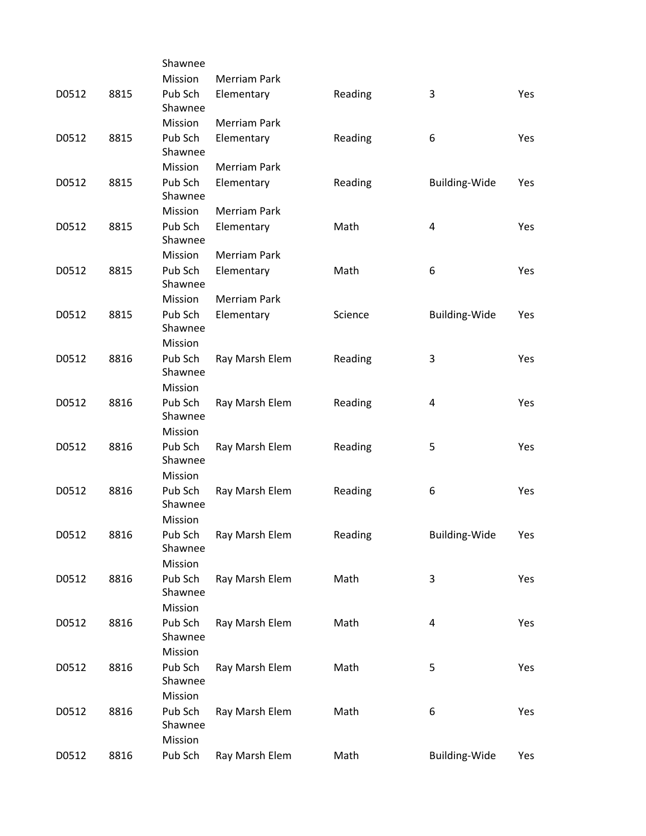|       |      | Shawnee                       |                     |         |                      |            |
|-------|------|-------------------------------|---------------------|---------|----------------------|------------|
|       |      | Mission                       | <b>Merriam Park</b> |         |                      |            |
| D0512 | 8815 | Pub Sch<br>Shawnee            | Elementary          | Reading | 3                    | Yes        |
|       |      | Mission                       | <b>Merriam Park</b> |         |                      |            |
| D0512 | 8815 | Pub Sch<br>Shawnee            | Elementary          | Reading | 6                    | Yes        |
|       |      | Mission                       | <b>Merriam Park</b> |         |                      |            |
| D0512 | 8815 | Pub Sch<br>Shawnee            | Elementary          | Reading | <b>Building-Wide</b> | Yes        |
|       |      | Mission                       | <b>Merriam Park</b> |         |                      |            |
| D0512 | 8815 | Pub Sch<br>Shawnee            | Elementary          | Math    | 4                    | Yes        |
|       |      | Mission                       | <b>Merriam Park</b> |         |                      |            |
| D0512 | 8815 | Pub Sch<br>Shawnee            | Elementary          | Math    | 6                    | Yes        |
|       |      | Mission                       | <b>Merriam Park</b> |         |                      |            |
| D0512 | 8815 | Pub Sch<br>Shawnee            | Elementary          | Science | <b>Building-Wide</b> | Yes        |
|       |      | Mission                       |                     |         |                      |            |
| D0512 | 8816 | Pub Sch<br>Shawnee            | Ray Marsh Elem      | Reading | 3                    | <b>Yes</b> |
|       |      | Mission                       |                     |         |                      |            |
| D0512 | 8816 | Pub Sch<br>Shawnee            | Ray Marsh Elem      | Reading | 4                    | <b>Yes</b> |
|       |      | Mission                       |                     |         |                      |            |
| D0512 | 8816 | Pub Sch<br>Shawnee            | Ray Marsh Elem      | Reading | 5                    | <b>Yes</b> |
|       |      | Mission                       |                     |         |                      |            |
| D0512 | 8816 | Pub Sch<br>Shawnee            | Ray Marsh Elem      | Reading | 6                    | Yes        |
|       |      | Mission                       |                     |         |                      |            |
| D0512 | 8816 | Pub Sch<br>Shawnee            | Ray Marsh Elem      | Reading | Building-Wide        | Yes        |
|       |      | Mission                       |                     |         |                      |            |
| D0512 | 8816 | Pub Sch<br>Shawnee            | Ray Marsh Elem      | Math    | 3                    | Yes        |
|       |      | Mission                       |                     |         |                      |            |
| D0512 | 8816 | Pub Sch<br>Shawnee            | Ray Marsh Elem      | Math    | 4                    | Yes        |
|       |      | Mission                       |                     |         |                      |            |
| D0512 | 8816 | Pub Sch<br>Shawnee            | Ray Marsh Elem      | Math    | 5                    | Yes        |
|       |      | Mission                       |                     |         |                      |            |
| D0512 | 8816 | Pub Sch<br>Shawnee<br>Mission | Ray Marsh Elem      | Math    | 6                    | Yes        |
| D0512 | 8816 | Pub Sch                       | Ray Marsh Elem      | Math    | Building-Wide        | Yes        |
|       |      |                               |                     |         |                      |            |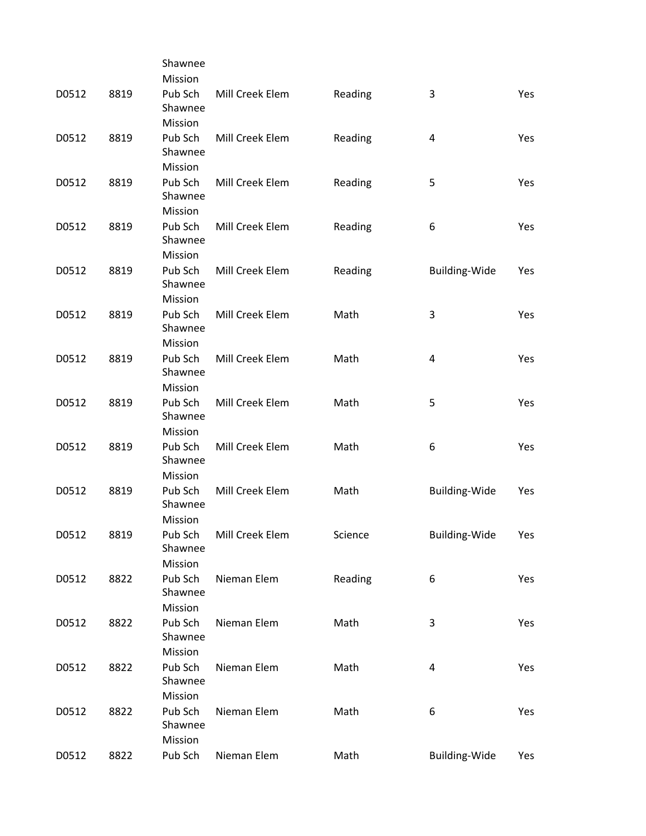|       |      | Shawnee            |                 |         |                      |            |
|-------|------|--------------------|-----------------|---------|----------------------|------------|
|       |      | Mission            |                 |         |                      |            |
| D0512 | 8819 | Pub Sch<br>Shawnee | Mill Creek Elem | Reading | 3                    | Yes        |
|       |      | Mission            |                 |         |                      |            |
| D0512 | 8819 | Pub Sch            | Mill Creek Elem | Reading | 4                    | Yes        |
|       |      | Shawnee            |                 |         |                      |            |
|       |      | Mission            |                 |         |                      |            |
| D0512 | 8819 | Pub Sch            | Mill Creek Elem | Reading | 5                    | Yes        |
|       |      | Shawnee            |                 |         |                      |            |
|       |      | Mission            |                 |         |                      |            |
| D0512 | 8819 | Pub Sch            | Mill Creek Elem | Reading | 6                    | <b>Yes</b> |
|       |      | Shawnee            |                 |         |                      |            |
|       |      | Mission            |                 |         |                      |            |
| D0512 | 8819 | Pub Sch            | Mill Creek Elem | Reading | <b>Building-Wide</b> | Yes        |
|       |      | Shawnee            |                 |         |                      |            |
|       |      | Mission            |                 |         |                      |            |
| D0512 | 8819 | Pub Sch            | Mill Creek Elem | Math    | 3                    | Yes        |
|       |      | Shawnee            |                 |         |                      |            |
|       |      | Mission            |                 |         |                      |            |
| D0512 | 8819 | Pub Sch            | Mill Creek Elem | Math    | 4                    | Yes        |
|       |      | Shawnee            |                 |         |                      |            |
|       |      | Mission            |                 |         |                      |            |
| D0512 | 8819 | Pub Sch<br>Shawnee | Mill Creek Elem | Math    | 5                    | Yes        |
|       |      | Mission            |                 |         |                      |            |
| D0512 | 8819 | Pub Sch            | Mill Creek Elem | Math    | 6                    | Yes        |
|       |      | Shawnee            |                 |         |                      |            |
|       |      | Mission            |                 |         |                      |            |
| D0512 | 8819 | Pub Sch            | Mill Creek Elem | Math    | <b>Building-Wide</b> | Yes        |
|       |      | Shawnee            |                 |         |                      |            |
|       |      | Mission            |                 |         |                      |            |
| D0512 | 8819 | Pub Sch            | Mill Creek Elem | Science | <b>Building-Wide</b> | Yes        |
|       |      | Shawnee            |                 |         |                      |            |
|       |      | Mission            |                 |         |                      |            |
| D0512 | 8822 | Pub Sch            | Nieman Elem     | Reading | 6                    | Yes        |
|       |      | Shawnee            |                 |         |                      |            |
|       |      | Mission            |                 |         |                      |            |
| D0512 | 8822 | Pub Sch            | Nieman Elem     | Math    | 3                    | Yes        |
|       |      | Shawnee            |                 |         |                      |            |
|       |      | Mission            |                 |         |                      |            |
| D0512 | 8822 | Pub Sch            | Nieman Elem     | Math    | 4                    | Yes        |
|       |      | Shawnee            |                 |         |                      |            |
|       |      | Mission            |                 |         |                      |            |
| D0512 | 8822 | Pub Sch<br>Shawnee | Nieman Elem     | Math    | 6                    | Yes        |
|       |      | Mission            |                 |         |                      |            |
| D0512 | 8822 | Pub Sch            | Nieman Elem     |         | Building-Wide        |            |
|       |      |                    |                 | Math    |                      | Yes        |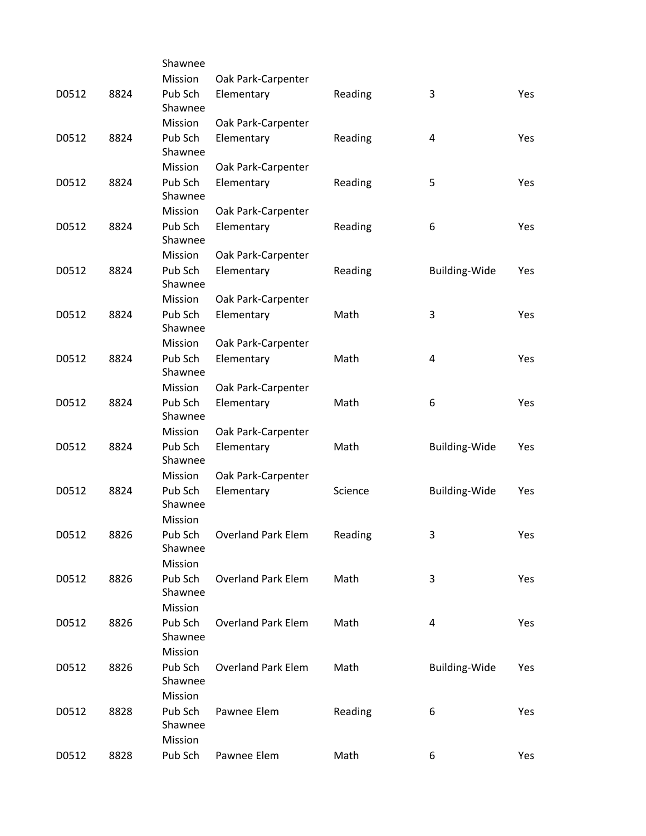|       |      | Shawnee                       |                           |         |                      |     |
|-------|------|-------------------------------|---------------------------|---------|----------------------|-----|
|       |      | Mission                       | Oak Park-Carpenter        |         |                      |     |
| D0512 | 8824 | Pub Sch<br>Shawnee            | Elementary                | Reading | 3                    | Yes |
|       |      | Mission                       | Oak Park-Carpenter        |         |                      |     |
| D0512 | 8824 | Pub Sch<br>Shawnee            | Elementary                | Reading | 4                    | Yes |
|       |      | Mission                       | Oak Park-Carpenter        |         |                      |     |
| D0512 | 8824 | Pub Sch<br>Shawnee            | Elementary                | Reading | 5                    | Yes |
|       |      | Mission                       | Oak Park-Carpenter        |         |                      |     |
| D0512 | 8824 | Pub Sch<br>Shawnee            | Elementary                | Reading | 6                    | Yes |
|       |      | Mission                       | Oak Park-Carpenter        |         |                      |     |
| D0512 | 8824 | Pub Sch<br>Shawnee            | Elementary                | Reading | <b>Building-Wide</b> | Yes |
|       |      | Mission                       | Oak Park-Carpenter        |         |                      |     |
| D0512 | 8824 | Pub Sch<br>Shawnee            | Elementary                | Math    | 3                    | Yes |
|       |      | Mission                       | Oak Park-Carpenter        |         |                      |     |
| D0512 | 8824 | Pub Sch<br>Shawnee            | Elementary                | Math    | 4                    | Yes |
|       |      | Mission                       | Oak Park-Carpenter        |         |                      |     |
| D0512 | 8824 | Pub Sch<br>Shawnee            | Elementary                | Math    | 6                    | Yes |
|       |      | Mission                       | Oak Park-Carpenter        |         |                      |     |
| D0512 | 8824 | Pub Sch<br>Shawnee            | Elementary                | Math    | Building-Wide        | Yes |
|       |      | Mission                       | Oak Park-Carpenter        |         |                      |     |
| D0512 | 8824 | Pub Sch<br>Shawnee<br>Mission | Elementary                | Science | <b>Building-Wide</b> | Yes |
|       |      |                               |                           |         |                      |     |
| D0512 | 8826 | Pub Sch<br>Shawnee<br>Mission | <b>Overland Park Elem</b> | Reading | 3                    | Yes |
| D0512 | 8826 | Pub Sch                       | <b>Overland Park Elem</b> | Math    | 3                    | Yes |
|       |      | Shawnee                       |                           |         |                      |     |
|       |      | Mission                       |                           |         |                      |     |
| D0512 | 8826 | Pub Sch                       | <b>Overland Park Elem</b> | Math    | 4                    | Yes |
|       |      | Shawnee<br>Mission            |                           |         |                      |     |
| D0512 | 8826 | Pub Sch                       | <b>Overland Park Elem</b> | Math    | Building-Wide        | Yes |
|       |      | Shawnee<br>Mission            |                           |         |                      |     |
| D0512 | 8828 | Pub Sch                       | Pawnee Elem               | Reading | 6                    | Yes |
|       |      | Shawnee<br>Mission            |                           |         |                      |     |
| D0512 | 8828 | Pub Sch                       | Pawnee Elem               | Math    | 6                    | Yes |
|       |      |                               |                           |         |                      |     |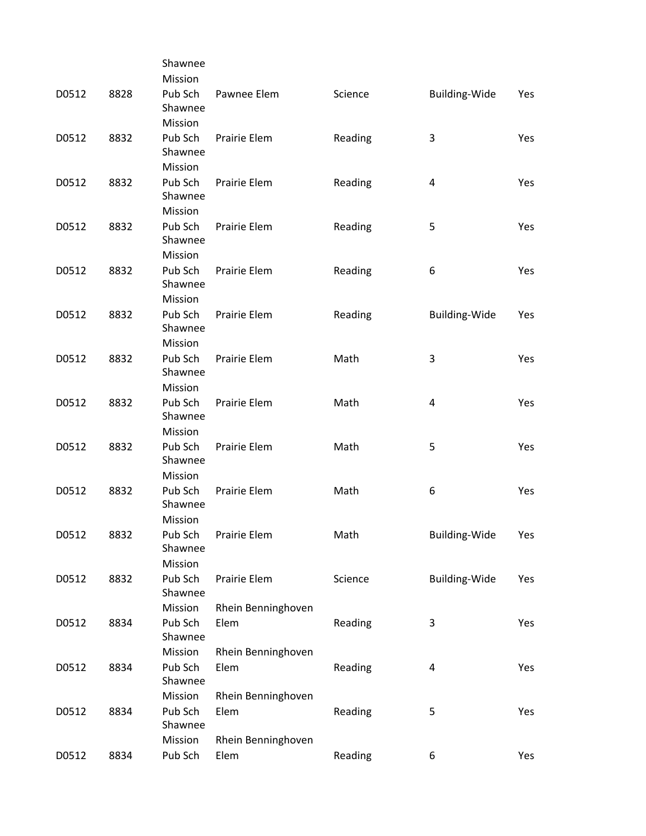|       |      | Shawnee            |                    |         |                      |     |
|-------|------|--------------------|--------------------|---------|----------------------|-----|
|       |      | Mission            |                    |         |                      |     |
| D0512 | 8828 | Pub Sch<br>Shawnee | Pawnee Elem        | Science | Building-Wide        | Yes |
|       |      | Mission            |                    |         |                      |     |
| D0512 | 8832 | Pub Sch            | Prairie Elem       | Reading | 3                    | Yes |
|       |      | Shawnee            |                    |         |                      |     |
|       |      | Mission            |                    |         |                      |     |
| D0512 | 8832 | Pub Sch            | Prairie Elem       | Reading | 4                    | Yes |
|       |      | Shawnee            |                    |         |                      |     |
|       |      | Mission            |                    |         |                      |     |
| D0512 | 8832 | Pub Sch            | Prairie Elem       | Reading | 5                    | Yes |
|       |      | Shawnee            |                    |         |                      |     |
|       |      | Mission            |                    |         |                      |     |
| D0512 | 8832 | Pub Sch            | Prairie Elem       | Reading | 6                    | Yes |
|       |      | Shawnee            |                    |         |                      |     |
|       | 8832 | Mission<br>Pub Sch | Prairie Elem       |         |                      |     |
| D0512 |      | Shawnee            |                    | Reading | <b>Building-Wide</b> | Yes |
|       |      | Mission            |                    |         |                      |     |
| D0512 | 8832 | Pub Sch            | Prairie Elem       | Math    | 3                    | Yes |
|       |      | Shawnee            |                    |         |                      |     |
|       |      | Mission            |                    |         |                      |     |
| D0512 | 8832 | Pub Sch            | Prairie Elem       | Math    | 4                    | Yes |
|       |      | Shawnee            |                    |         |                      |     |
|       |      | Mission            |                    |         |                      |     |
| D0512 | 8832 | Pub Sch            | Prairie Elem       | Math    | 5                    | Yes |
|       |      | Shawnee            |                    |         |                      |     |
|       |      | Mission            |                    |         |                      |     |
| D0512 | 8832 | Pub Sch<br>Shawnee | Prairie Elem       | Math    | 6                    | Yes |
|       |      | Mission            |                    |         |                      |     |
| D0512 | 8832 | Pub Sch            | Prairie Elem       | Math    | <b>Building-Wide</b> | Yes |
|       |      | Shawnee            |                    |         |                      |     |
|       |      | Mission            |                    |         |                      |     |
| D0512 | 8832 | Pub Sch            | Prairie Elem       | Science | <b>Building-Wide</b> | Yes |
|       |      | Shawnee            |                    |         |                      |     |
|       |      | Mission            | Rhein Benninghoven |         |                      |     |
| D0512 | 8834 | Pub Sch            | Elem               | Reading | 3                    | Yes |
|       |      | Shawnee            |                    |         |                      |     |
|       |      | Mission            | Rhein Benninghoven |         |                      |     |
| D0512 | 8834 | Pub Sch<br>Shawnee | Elem               | Reading | 4                    | Yes |
|       |      | Mission            | Rhein Benninghoven |         |                      |     |
| D0512 | 8834 | Pub Sch            | Elem               | Reading | 5                    | Yes |
|       |      | Shawnee            |                    |         |                      |     |
|       |      | Mission            | Rhein Benninghoven |         |                      |     |
| D0512 | 8834 | Pub Sch            | Elem               | Reading | 6                    | Yes |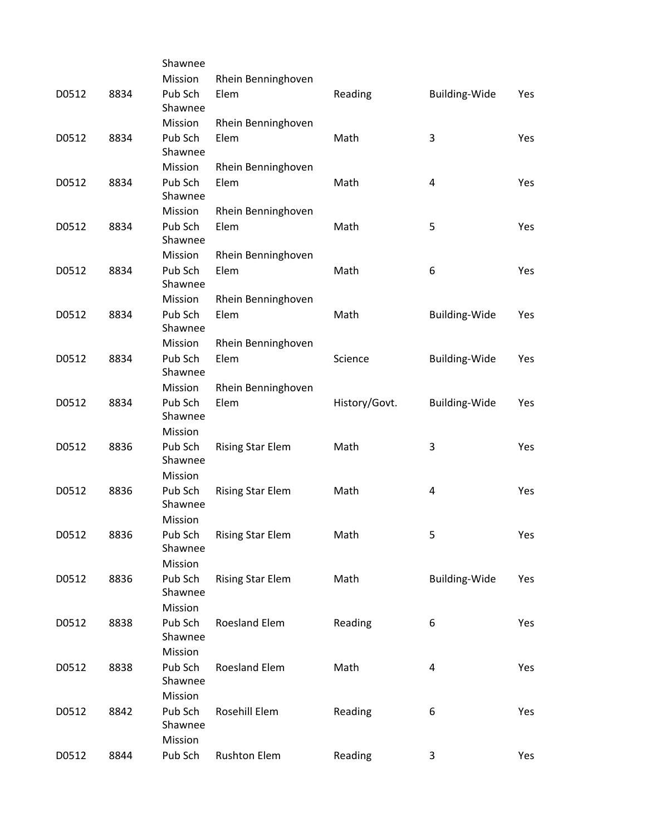|       |      | Shawnee            |                         |               |                      |     |
|-------|------|--------------------|-------------------------|---------------|----------------------|-----|
|       |      | Mission            | Rhein Benninghoven      |               |                      |     |
| D0512 | 8834 | Pub Sch<br>Shawnee | Elem                    | Reading       | Building-Wide        | Yes |
|       |      | Mission            | Rhein Benninghoven      |               |                      |     |
| D0512 | 8834 | Pub Sch            | Elem                    | Math          | 3                    | Yes |
|       |      | Shawnee            |                         |               |                      |     |
|       |      | Mission            | Rhein Benninghoven      |               |                      |     |
| D0512 | 8834 | Pub Sch<br>Shawnee | Elem                    | Math          | 4                    | Yes |
|       |      | Mission            | Rhein Benninghoven      |               |                      |     |
| D0512 | 8834 | Pub Sch            | Elem                    | Math          | 5                    | Yes |
|       |      | Shawnee            |                         |               |                      |     |
|       |      | Mission            | Rhein Benninghoven      |               |                      |     |
| D0512 | 8834 | Pub Sch            | Elem                    | Math          | 6                    | Yes |
|       |      | Shawnee            |                         |               |                      |     |
|       |      | Mission            | Rhein Benninghoven      |               |                      |     |
| D0512 | 8834 | Pub Sch            | Elem                    | Math          | <b>Building-Wide</b> | Yes |
|       |      | Shawnee            |                         |               |                      |     |
|       |      | Mission            | Rhein Benninghoven      |               |                      |     |
| D0512 | 8834 | Pub Sch            | Elem                    | Science       | <b>Building-Wide</b> | Yes |
|       |      | Shawnee            |                         |               |                      |     |
|       |      | Mission            | Rhein Benninghoven      |               |                      |     |
| D0512 | 8834 | Pub Sch            | Elem                    | History/Govt. | Building-Wide        | Yes |
|       |      | Shawnee            |                         |               |                      |     |
|       |      | Mission            |                         |               |                      |     |
| D0512 | 8836 | Pub Sch<br>Shawnee | <b>Rising Star Elem</b> | Math          | 3                    | Yes |
|       |      | Mission            |                         |               |                      |     |
| D0512 | 8836 | Pub Sch<br>Shawnee | <b>Rising Star Elem</b> | Math          | 4                    | Yes |
|       |      | Mission            |                         |               |                      |     |
| D0512 | 8836 | Pub Sch            | <b>Rising Star Elem</b> | Math          | 5                    | Yes |
|       |      | Shawnee            |                         |               |                      |     |
|       |      | Mission            |                         |               |                      |     |
| D0512 | 8836 | Pub Sch            | <b>Rising Star Elem</b> | Math          | Building-Wide        | Yes |
|       |      | Shawnee            |                         |               |                      |     |
|       |      | Mission            |                         |               |                      |     |
| D0512 | 8838 | Pub Sch            | <b>Roesland Elem</b>    | Reading       | 6                    | Yes |
|       |      | Shawnee            |                         |               |                      |     |
|       |      | Mission            |                         |               |                      |     |
| D0512 | 8838 | Pub Sch            | <b>Roesland Elem</b>    | Math          | 4                    | Yes |
|       |      | Shawnee            |                         |               |                      |     |
|       |      | Mission            |                         |               |                      |     |
| D0512 | 8842 | Pub Sch<br>Shawnee | Rosehill Elem           | Reading       | 6                    | Yes |
|       |      | Mission            |                         |               |                      |     |
| D0512 | 8844 | Pub Sch            | <b>Rushton Elem</b>     | Reading       | 3                    | Yes |
|       |      |                    |                         |               |                      |     |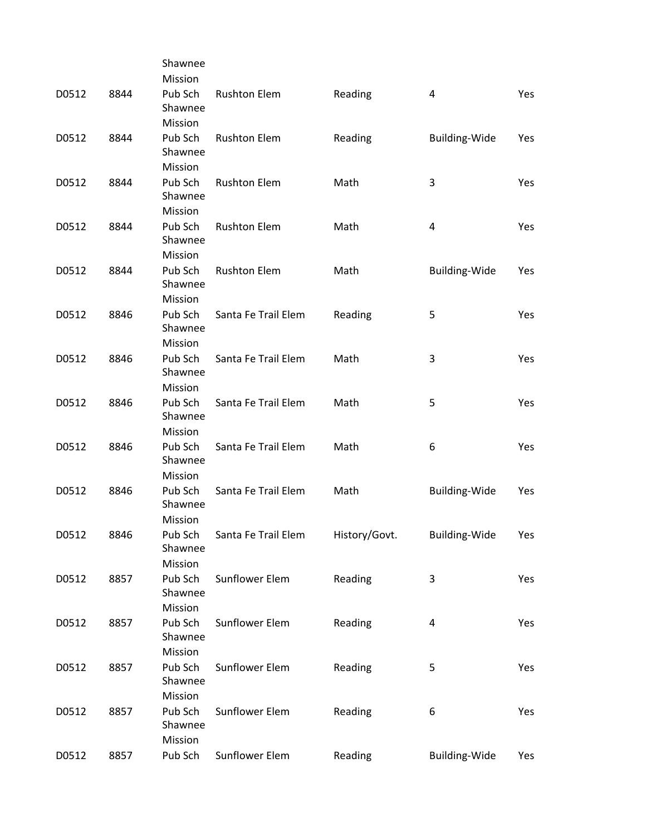|       |      | Shawnee                       |                     |               |                      |     |
|-------|------|-------------------------------|---------------------|---------------|----------------------|-----|
|       |      | Mission                       |                     |               |                      |     |
| D0512 | 8844 | Pub Sch<br>Shawnee            | <b>Rushton Elem</b> | Reading       | 4                    | Yes |
|       |      | Mission                       |                     |               |                      |     |
| D0512 | 8844 | Pub Sch<br>Shawnee            | <b>Rushton Elem</b> | Reading       | Building-Wide        | Yes |
|       |      | Mission                       |                     |               |                      |     |
| D0512 | 8844 | Pub Sch<br>Shawnee            | <b>Rushton Elem</b> | Math          | 3                    | Yes |
|       |      | Mission                       |                     |               |                      |     |
| D0512 | 8844 | Pub Sch<br>Shawnee<br>Mission | <b>Rushton Elem</b> | Math          | 4                    | Yes |
|       |      |                               |                     |               |                      |     |
| D0512 | 8844 | Pub Sch<br>Shawnee<br>Mission | <b>Rushton Elem</b> | Math          | Building-Wide        | Yes |
|       |      |                               | Santa Fe Trail Elem |               |                      |     |
| D0512 | 8846 | Pub Sch<br>Shawnee<br>Mission |                     | Reading       | 5                    | Yes |
| D0512 | 8846 | Pub Sch                       | Santa Fe Trail Elem | Math          | 3                    | Yes |
|       |      | Shawnee<br>Mission            |                     |               |                      |     |
|       |      | Pub Sch                       | Santa Fe Trail Elem |               |                      |     |
| D0512 | 8846 | Shawnee<br>Mission            |                     | Math          | 5                    | Yes |
|       |      | Pub Sch                       |                     |               |                      |     |
| D0512 | 8846 | Shawnee<br>Mission            | Santa Fe Trail Elem | Math          | 6                    | Yes |
|       |      |                               |                     |               |                      |     |
| D0512 | 8846 | Pub Sch<br>Shawnee<br>Mission | Santa Fe Trail Elem | Math          | <b>Building-Wide</b> | Yes |
|       |      |                               |                     |               |                      |     |
| D0512 | 8846 | Pub Sch<br>Shawnee<br>Mission | Santa Fe Trail Elem | History/Govt. | Building-Wide        | Yes |
|       |      |                               |                     |               |                      |     |
| D0512 | 8857 | Pub Sch<br>Shawnee            | Sunflower Elem      | Reading       | 3                    | Yes |
|       |      | Mission                       |                     |               |                      |     |
| D0512 | 8857 | Pub Sch<br>Shawnee            | Sunflower Elem      | Reading       | 4                    | Yes |
|       |      | Mission                       |                     |               |                      |     |
| D0512 | 8857 | Pub Sch<br>Shawnee            | Sunflower Elem      | Reading       | 5                    | Yes |
|       |      | Mission                       |                     |               |                      |     |
| D0512 | 8857 | Pub Sch<br>Shawnee<br>Mission | Sunflower Elem      | Reading       | 6                    | Yes |
| D0512 | 8857 | Pub Sch                       | Sunflower Elem      | Reading       | Building-Wide        | Yes |
|       |      |                               |                     |               |                      |     |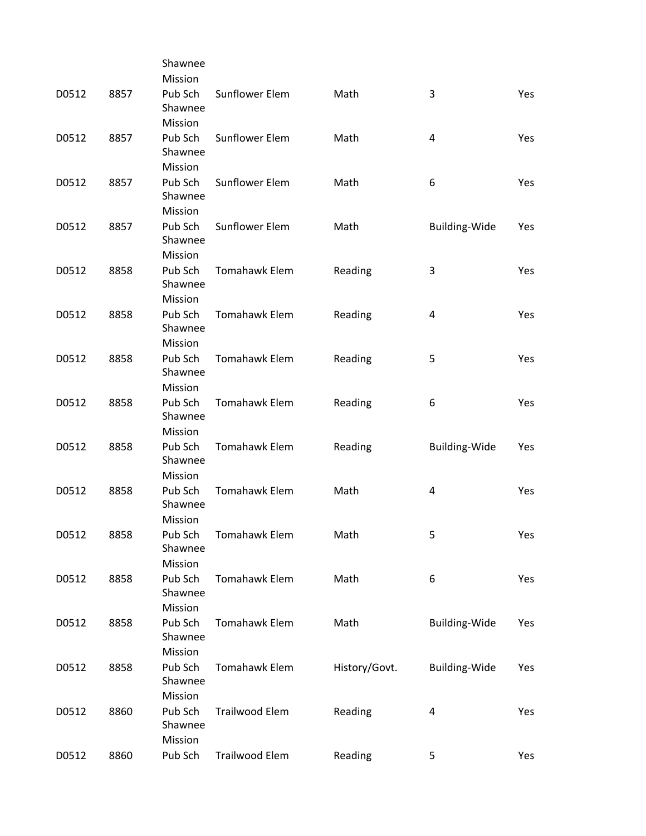|       |      | Shawnee                       |                       |               |                         |            |
|-------|------|-------------------------------|-----------------------|---------------|-------------------------|------------|
|       |      | Mission                       |                       |               |                         |            |
| D0512 | 8857 | Pub Sch<br>Shawnee            | Sunflower Elem        | Math          | 3                       | Yes        |
|       |      | Mission                       |                       |               |                         |            |
| D0512 | 8857 | Pub Sch<br>Shawnee            | Sunflower Elem        | Math          | $\overline{\mathbf{4}}$ | <b>Yes</b> |
|       |      | Mission                       |                       |               |                         |            |
| D0512 | 8857 | Pub Sch<br>Shawnee            | Sunflower Elem        | Math          | 6                       | Yes        |
|       |      | Mission                       |                       |               |                         |            |
| D0512 | 8857 | Pub Sch<br>Shawnee            | Sunflower Elem        | Math          | Building-Wide           | Yes        |
|       |      | Mission                       |                       |               |                         |            |
| D0512 | 8858 | Pub Sch<br>Shawnee            | Tomahawk Elem         | Reading       | 3                       | Yes        |
|       |      | Mission                       |                       |               |                         |            |
| D0512 | 8858 | Pub Sch<br>Shawnee            | <b>Tomahawk Elem</b>  | Reading       | 4                       | Yes        |
|       |      | Mission                       |                       |               |                         |            |
| D0512 | 8858 | Pub Sch<br>Shawnee            | Tomahawk Elem         | Reading       | 5                       | Yes        |
|       |      | Mission                       |                       |               |                         |            |
| D0512 | 8858 | Pub Sch<br>Shawnee            | Tomahawk Elem         | Reading       | 6                       | Yes        |
|       |      | Mission                       |                       |               |                         |            |
| D0512 | 8858 | Pub Sch<br>Shawnee            | Tomahawk Elem         | Reading       | <b>Building-Wide</b>    | Yes        |
|       |      | Mission                       |                       |               |                         |            |
| D0512 | 8858 | Pub Sch<br>Shawnee            | <b>Tomahawk Elem</b>  | Math          | 4                       | Yes        |
|       |      | Mission                       |                       |               |                         |            |
| D0512 | 8858 | Pub Sch<br>Shawnee            | Tomahawk Elem         | Math          | 5                       | Yes        |
|       |      | Mission                       |                       |               |                         |            |
| D0512 | 8858 | Pub Sch<br>Shawnee            | Tomahawk Elem         | Math          | 6                       | Yes        |
|       |      | Mission                       |                       |               |                         |            |
| D0512 | 8858 | Pub Sch<br>Shawnee            | <b>Tomahawk Elem</b>  | Math          | <b>Building-Wide</b>    | Yes        |
|       |      | Mission                       |                       |               |                         |            |
| D0512 | 8858 | Pub Sch<br>Shawnee            | Tomahawk Elem         | History/Govt. | <b>Building-Wide</b>    | Yes        |
|       |      | Mission                       |                       |               |                         |            |
| D0512 | 8860 | Pub Sch<br>Shawnee<br>Mission | <b>Trailwood Elem</b> | Reading       | 4                       | Yes        |
| D0512 | 8860 | Pub Sch                       | Trailwood Elem        | Reading       | 5                       | Yes        |
|       |      |                               |                       |               |                         |            |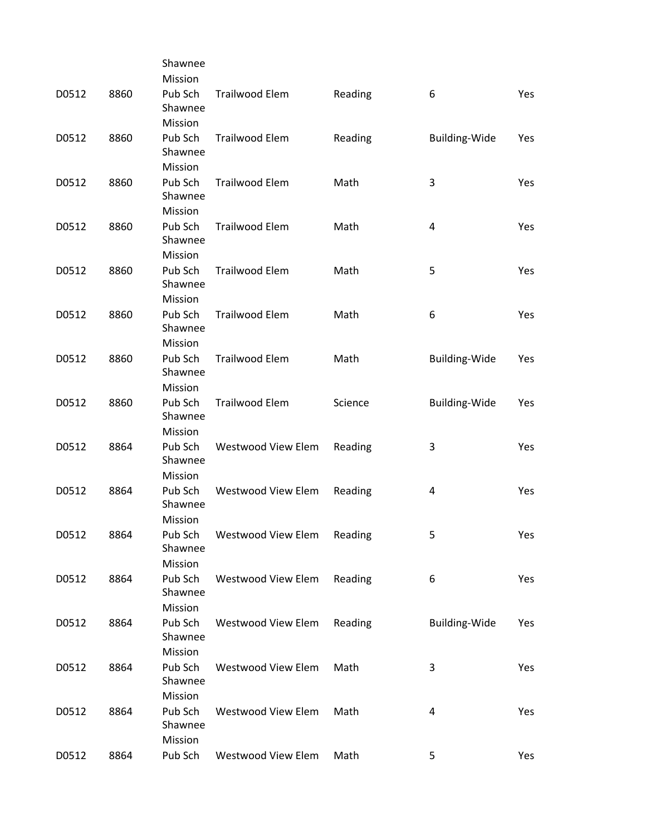|       |      | Shawnee            |                           |         |                      |     |
|-------|------|--------------------|---------------------------|---------|----------------------|-----|
|       |      | Mission            |                           |         |                      |     |
| D0512 | 8860 | Pub Sch<br>Shawnee | <b>Trailwood Elem</b>     | Reading | 6                    | Yes |
|       |      | Mission            |                           |         |                      |     |
| D0512 | 8860 | Pub Sch            | <b>Trailwood Elem</b>     | Reading | Building-Wide        | Yes |
|       |      | Shawnee            |                           |         |                      |     |
|       |      | Mission            |                           |         |                      |     |
| D0512 | 8860 | Pub Sch<br>Shawnee | <b>Trailwood Elem</b>     | Math    | 3                    | Yes |
|       |      | Mission            |                           |         |                      |     |
| D0512 | 8860 | Pub Sch            | <b>Trailwood Elem</b>     | Math    | 4                    | Yes |
|       |      | Shawnee            |                           |         |                      |     |
|       |      | Mission            |                           |         |                      |     |
| D0512 | 8860 | Pub Sch<br>Shawnee | <b>Trailwood Elem</b>     | Math    | 5                    | Yes |
|       |      | Mission            |                           |         |                      |     |
| D0512 | 8860 | Pub Sch            | <b>Trailwood Elem</b>     | Math    | 6                    | Yes |
|       |      | Shawnee            |                           |         |                      |     |
|       |      | Mission            |                           |         |                      |     |
| D0512 | 8860 | Pub Sch<br>Shawnee | <b>Trailwood Elem</b>     | Math    | <b>Building-Wide</b> | Yes |
|       |      | Mission            |                           |         |                      |     |
| D0512 | 8860 | Pub Sch<br>Shawnee | <b>Trailwood Elem</b>     | Science | <b>Building-Wide</b> | Yes |
|       |      | Mission            |                           |         |                      |     |
| D0512 | 8864 | Pub Sch<br>Shawnee | Westwood View Elem        | Reading | 3                    | Yes |
|       |      | Mission            |                           |         |                      |     |
| D0512 | 8864 | Pub Sch<br>Shawnee | Westwood View Elem        | Reading | 4                    | Yes |
|       |      | Mission            |                           |         |                      |     |
| D0512 | 8864 | Pub Sch<br>Shawnee | Westwood View Elem        | Reading | 5                    | Yes |
|       |      | Mission            |                           |         |                      |     |
| D0512 | 8864 | Pub Sch            | Westwood View Elem        | Reading | 6                    | Yes |
|       |      | Shawnee            |                           |         |                      |     |
|       |      | Mission            |                           |         |                      |     |
| D0512 | 8864 | Pub Sch<br>Shawnee | Westwood View Elem        | Reading | <b>Building-Wide</b> | Yes |
|       |      | Mission            |                           |         |                      |     |
| D0512 | 8864 | Pub Sch<br>Shawnee | Westwood View Elem        | Math    | 3                    | Yes |
|       |      | Mission            |                           |         |                      |     |
| D0512 | 8864 | Pub Sch<br>Shawnee | <b>Westwood View Elem</b> | Math    | 4                    | Yes |
|       |      | Mission            |                           |         |                      |     |
| D0512 | 8864 | Pub Sch            | Westwood View Elem        | Math    | 5                    | Yes |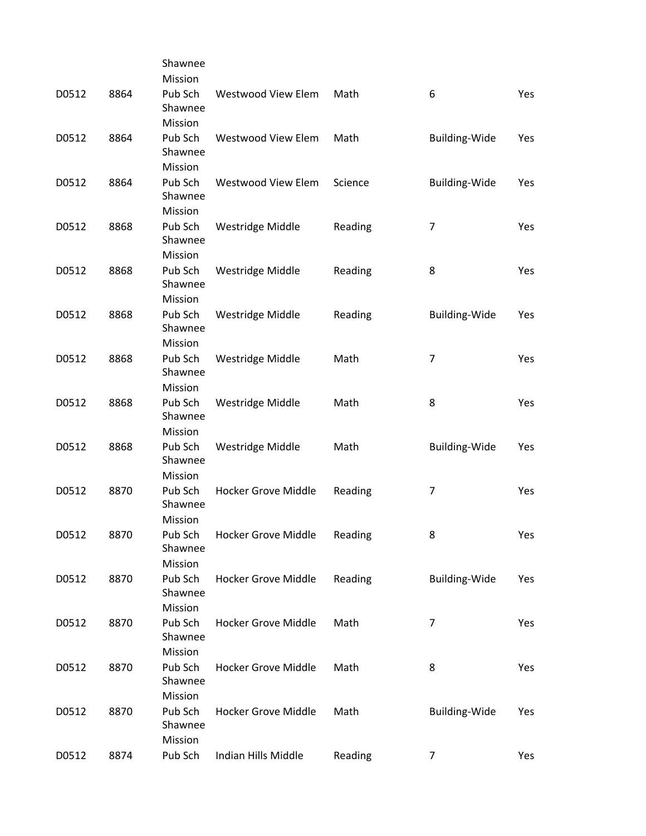|       |      | Shawnee            |                            |         |                      |     |
|-------|------|--------------------|----------------------------|---------|----------------------|-----|
|       |      | Mission            |                            |         |                      |     |
| D0512 | 8864 | Pub Sch            | <b>Westwood View Elem</b>  | Math    | 6                    | Yes |
|       |      | Shawnee            |                            |         |                      |     |
|       |      | Mission            |                            |         |                      |     |
| D0512 | 8864 | Pub Sch            | <b>Westwood View Elem</b>  | Math    | <b>Building-Wide</b> | Yes |
|       |      | Shawnee            |                            |         |                      |     |
|       |      | Mission            |                            |         |                      |     |
| D0512 | 8864 | Pub Sch            | <b>Westwood View Elem</b>  | Science | <b>Building-Wide</b> | Yes |
|       |      | Shawnee            |                            |         |                      |     |
|       |      | Mission            |                            |         |                      |     |
| D0512 | 8868 | Pub Sch<br>Shawnee | Westridge Middle           | Reading | 7                    | Yes |
|       |      | Mission            |                            |         |                      |     |
| D0512 | 8868 | Pub Sch            | Westridge Middle           | Reading | 8                    | Yes |
|       |      | Shawnee            |                            |         |                      |     |
|       |      | Mission            |                            |         |                      |     |
| D0512 | 8868 | Pub Sch            | Westridge Middle           | Reading | <b>Building-Wide</b> | Yes |
|       |      | Shawnee            |                            |         |                      |     |
|       |      | Mission            |                            |         |                      |     |
| D0512 | 8868 | Pub Sch            | Westridge Middle           | Math    | $\overline{7}$       | Yes |
|       |      | Shawnee            |                            |         |                      |     |
|       |      | Mission            |                            |         |                      |     |
| D0512 | 8868 | Pub Sch            | Westridge Middle           | Math    | 8                    | Yes |
|       |      | Shawnee            |                            |         |                      |     |
|       |      | Mission            |                            |         |                      |     |
| D0512 | 8868 | Pub Sch            | Westridge Middle           | Math    | <b>Building-Wide</b> | Yes |
|       |      | Shawnee            |                            |         |                      |     |
|       |      | Mission            |                            |         |                      |     |
| D0512 | 8870 | Pub Sch<br>Shawnee | Hocker Grove Middle        | Reading | 7                    | Yes |
|       |      | Mission            |                            |         |                      |     |
| D0512 | 8870 | Pub Sch            | Hocker Grove Middle        | Reading | 8                    | Yes |
|       |      | Shawnee            |                            |         |                      |     |
|       |      | Mission            |                            |         |                      |     |
| D0512 | 8870 | Pub Sch            | <b>Hocker Grove Middle</b> | Reading | <b>Building-Wide</b> | Yes |
|       |      | Shawnee            |                            |         |                      |     |
|       |      | Mission            |                            |         |                      |     |
| D0512 | 8870 | Pub Sch            | <b>Hocker Grove Middle</b> | Math    | 7                    | Yes |
|       |      | Shawnee            |                            |         |                      |     |
|       |      | Mission            |                            |         |                      |     |
| D0512 | 8870 | Pub Sch            | <b>Hocker Grove Middle</b> | Math    | 8                    | Yes |
|       |      | Shawnee            |                            |         |                      |     |
|       |      | Mission            |                            |         |                      |     |
| D0512 | 8870 | Pub Sch            | <b>Hocker Grove Middle</b> | Math    | Building-Wide        | Yes |
|       |      | Shawnee<br>Mission |                            |         |                      |     |
|       | 8874 |                    |                            |         | $\overline{7}$       |     |
| D0512 |      | Pub Sch            | Indian Hills Middle        | Reading |                      | Yes |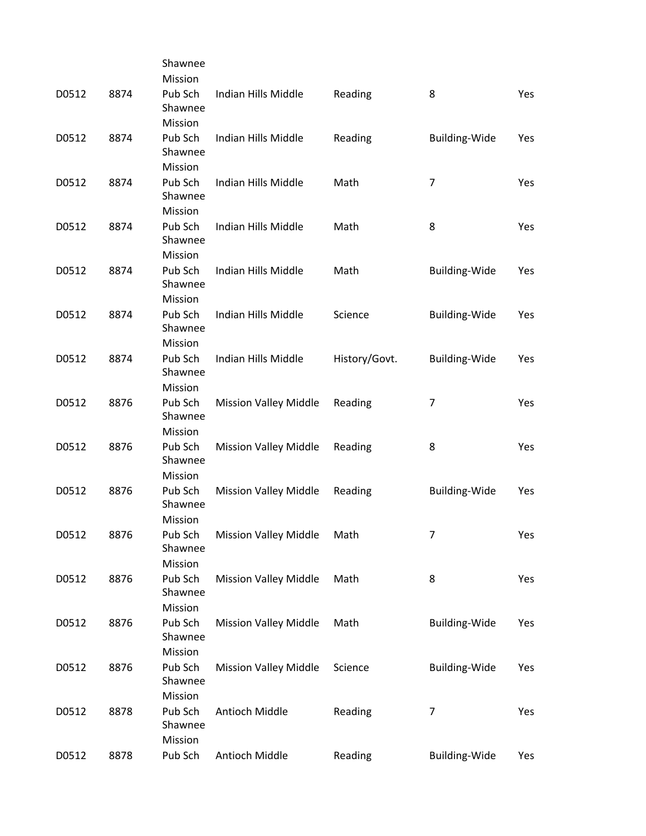|       |      | Shawnee            |                              |               |                      |     |
|-------|------|--------------------|------------------------------|---------------|----------------------|-----|
|       |      | Mission            |                              |               |                      |     |
| D0512 | 8874 | Pub Sch<br>Shawnee | Indian Hills Middle          | Reading       | 8                    | Yes |
|       |      | Mission            |                              |               |                      |     |
| D0512 | 8874 | Pub Sch            | Indian Hills Middle          | Reading       | <b>Building-Wide</b> | Yes |
|       |      | Shawnee            |                              |               |                      |     |
|       |      | Mission            |                              |               |                      |     |
| D0512 | 8874 | Pub Sch            | Indian Hills Middle          | Math          | 7                    | Yes |
|       |      | Shawnee            |                              |               |                      |     |
|       |      | Mission            |                              |               |                      |     |
| D0512 | 8874 | Pub Sch            | Indian Hills Middle          | Math          | 8                    | Yes |
|       |      | Shawnee            |                              |               |                      |     |
|       |      | Mission            |                              |               |                      |     |
| D0512 | 8874 | Pub Sch<br>Shawnee | Indian Hills Middle          | Math          | <b>Building-Wide</b> | Yes |
|       |      | Mission            |                              |               |                      |     |
| D0512 | 8874 | Pub Sch            | Indian Hills Middle          | Science       | <b>Building-Wide</b> | Yes |
|       |      | Shawnee            |                              |               |                      |     |
|       |      | Mission            |                              |               |                      |     |
| D0512 | 8874 | Pub Sch<br>Shawnee | Indian Hills Middle          | History/Govt. | <b>Building-Wide</b> | Yes |
|       |      | Mission            |                              |               |                      |     |
| D0512 | 8876 | Pub Sch            | <b>Mission Valley Middle</b> | Reading       | 7                    | Yes |
|       |      | Shawnee            |                              |               |                      |     |
|       |      | Mission            |                              |               |                      |     |
| D0512 | 8876 | Pub Sch            | <b>Mission Valley Middle</b> | Reading       | 8                    | Yes |
|       |      | Shawnee            |                              |               |                      |     |
|       |      | Mission            |                              |               |                      |     |
| D0512 | 8876 | Pub Sch            | <b>Mission Valley Middle</b> | Reading       | <b>Building-Wide</b> | Yes |
|       |      | Shawnee            |                              |               |                      |     |
|       |      | Mission            |                              |               |                      |     |
| D0512 | 8876 | Pub Sch<br>Shawnee | <b>Mission Valley Middle</b> | Math          | 7                    | Yes |
|       |      | Mission            |                              |               |                      |     |
| D0512 | 8876 | Pub Sch            | <b>Mission Valley Middle</b> | Math          | 8                    | Yes |
|       |      | Shawnee            |                              |               |                      |     |
|       |      | Mission            |                              |               |                      |     |
| D0512 | 8876 | Pub Sch            | <b>Mission Valley Middle</b> | Math          | Building-Wide        | Yes |
|       |      | Shawnee            |                              |               |                      |     |
|       |      | Mission            |                              |               |                      |     |
| D0512 | 8876 | Pub Sch            | <b>Mission Valley Middle</b> | Science       | <b>Building-Wide</b> | Yes |
|       |      | Shawnee            |                              |               |                      |     |
|       |      | Mission            |                              |               |                      |     |
| D0512 | 8878 | Pub Sch            | Antioch Middle               | Reading       | 7                    | Yes |
|       |      | Shawnee            |                              |               |                      |     |
|       |      | Mission            |                              |               |                      |     |
| D0512 | 8878 | Pub Sch            | Antioch Middle               | Reading       | Building-Wide        | Yes |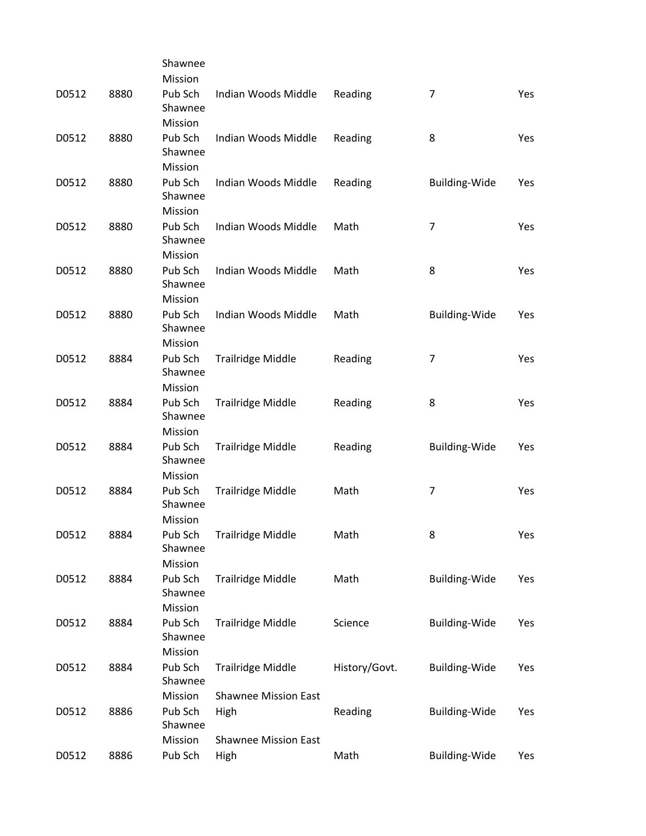|       |      | Shawnee                       |                             |               |                      |     |
|-------|------|-------------------------------|-----------------------------|---------------|----------------------|-----|
|       |      | Mission                       |                             |               |                      |     |
| D0512 | 8880 | Pub Sch<br>Shawnee            | Indian Woods Middle         | Reading       | $\overline{7}$       | Yes |
|       |      | Mission                       |                             |               |                      |     |
| D0512 | 8880 | Pub Sch<br>Shawnee            | Indian Woods Middle         | Reading       | 8                    | Yes |
|       |      | Mission                       |                             |               |                      |     |
| D0512 | 8880 | Pub Sch<br>Shawnee            | Indian Woods Middle         | Reading       | <b>Building-Wide</b> | Yes |
|       |      | Mission                       |                             |               |                      |     |
| D0512 | 8880 | Pub Sch<br>Shawnee            | Indian Woods Middle         | Math          | $\overline{7}$       | Yes |
|       |      | Mission                       |                             |               |                      |     |
| D0512 | 8880 | Pub Sch<br>Shawnee            | Indian Woods Middle         | Math          | 8                    | Yes |
|       |      | Mission                       |                             |               |                      |     |
| D0512 | 8880 | Pub Sch<br>Shawnee            | Indian Woods Middle         | Math          | Building-Wide        | Yes |
|       |      | Mission                       |                             |               |                      |     |
| D0512 | 8884 | Pub Sch<br>Shawnee            | <b>Trailridge Middle</b>    | Reading       | $\overline{7}$       | Yes |
|       |      | Mission                       |                             |               |                      |     |
| D0512 | 8884 | Pub Sch<br>Shawnee            | <b>Trailridge Middle</b>    | Reading       | 8                    | Yes |
|       |      | Mission                       |                             |               |                      |     |
| D0512 | 8884 | Pub Sch<br>Shawnee            | <b>Trailridge Middle</b>    | Reading       | <b>Building-Wide</b> | Yes |
|       |      | Mission                       |                             |               |                      |     |
| D0512 | 8884 | Pub Sch<br>Shawnee            | <b>Trailridge Middle</b>    | Math          | 7                    | Yes |
|       |      | Mission                       |                             |               |                      |     |
| D0512 | 8884 | Pub Sch<br>Shawnee<br>Mission | Trailridge Middle           | Math          | 8                    | Yes |
|       |      |                               |                             |               |                      |     |
| D0512 | 8884 | Pub Sch<br>Shawnee            | <b>Trailridge Middle</b>    | Math          | Building-Wide        | Yes |
|       |      |                               |                             |               |                      |     |
|       |      | Mission                       |                             |               |                      |     |
| D0512 | 8884 | Pub Sch<br>Shawnee            | <b>Trailridge Middle</b>    | Science       | Building-Wide        | Yes |
|       |      | Mission                       |                             |               |                      |     |
| D0512 | 8884 | Pub Sch<br>Shawnee            | <b>Trailridge Middle</b>    | History/Govt. | <b>Building-Wide</b> | Yes |
|       |      | Mission                       | <b>Shawnee Mission East</b> |               |                      |     |
| D0512 | 8886 | Pub Sch<br>Shawnee            | High                        | Reading       | <b>Building-Wide</b> | Yes |
|       |      | Mission                       | <b>Shawnee Mission East</b> |               |                      |     |
| D0512 | 8886 | Pub Sch                       | High                        | Math          | Building-Wide        | Yes |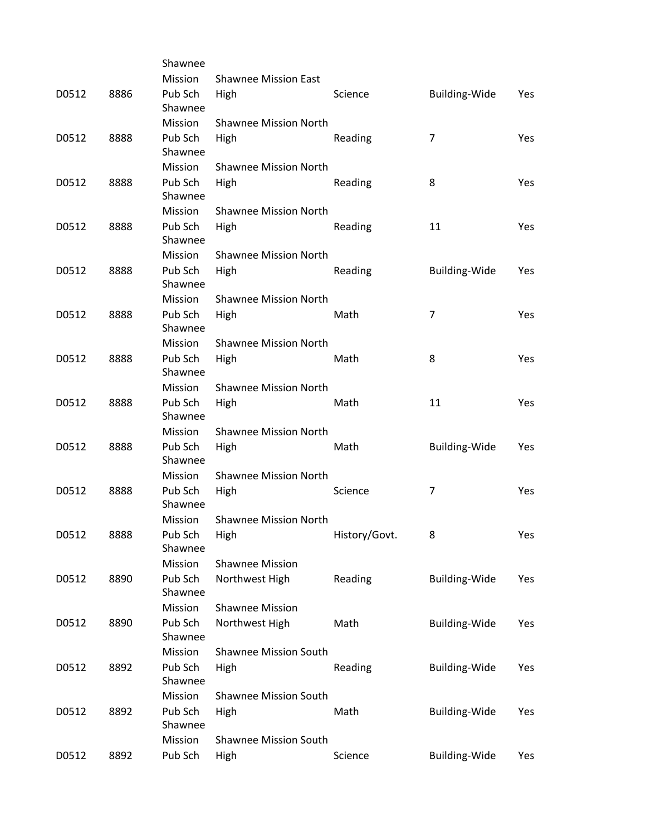|       |      | Shawnee            |                              |               |                      |            |
|-------|------|--------------------|------------------------------|---------------|----------------------|------------|
|       |      | Mission            | <b>Shawnee Mission East</b>  |               |                      |            |
| D0512 | 8886 | Pub Sch<br>Shawnee | High                         | Science       | <b>Building-Wide</b> | Yes        |
|       |      | Mission            | <b>Shawnee Mission North</b> |               |                      |            |
| D0512 | 8888 | Pub Sch<br>Shawnee | High                         | Reading       | $\overline{7}$       | Yes        |
|       |      | <b>Mission</b>     | <b>Shawnee Mission North</b> |               |                      |            |
| D0512 | 8888 | Pub Sch<br>Shawnee | High                         | Reading       | 8                    | Yes        |
|       |      | Mission            | <b>Shawnee Mission North</b> |               |                      |            |
| D0512 | 8888 | Pub Sch<br>Shawnee | High                         | Reading       | 11                   | Yes        |
|       |      | Mission            | <b>Shawnee Mission North</b> |               |                      |            |
| D0512 | 8888 | Pub Sch<br>Shawnee | High                         | Reading       | <b>Building-Wide</b> | Yes        |
|       |      | Mission            | <b>Shawnee Mission North</b> |               |                      |            |
| D0512 | 8888 | Pub Sch<br>Shawnee | High                         | Math          | 7                    | Yes        |
|       |      | Mission            | <b>Shawnee Mission North</b> |               |                      |            |
| D0512 | 8888 | Pub Sch<br>Shawnee | High                         | Math          | 8                    | <b>Yes</b> |
|       |      | Mission            | <b>Shawnee Mission North</b> |               |                      |            |
| D0512 | 8888 | Pub Sch<br>Shawnee | High                         | Math          | 11                   | Yes        |
|       |      | Mission            | <b>Shawnee Mission North</b> |               |                      |            |
| D0512 | 8888 | Pub Sch<br>Shawnee | High                         | Math          | <b>Building-Wide</b> | Yes        |
|       |      | Mission            | <b>Shawnee Mission North</b> |               |                      |            |
| D0512 | 8888 | Pub Sch<br>Shawnee | High                         | Science       | 7                    | Yes        |
|       |      | Mission            | <b>Shawnee Mission North</b> |               |                      |            |
| D0512 | 8888 | Pub Sch<br>Shawnee | High                         | History/Govt. | 8                    | Yes        |
|       |      | Mission            | <b>Shawnee Mission</b>       |               |                      |            |
| D0512 | 8890 | Pub Sch<br>Shawnee | Northwest High               | Reading       | <b>Building-Wide</b> | Yes        |
|       |      | Mission            | <b>Shawnee Mission</b>       |               |                      |            |
| D0512 | 8890 | Pub Sch<br>Shawnee | Northwest High               | Math          | <b>Building-Wide</b> | Yes        |
|       |      | Mission            | <b>Shawnee Mission South</b> |               |                      |            |
| D0512 | 8892 | Pub Sch<br>Shawnee | High                         | Reading       | <b>Building-Wide</b> | Yes        |
|       |      | Mission            | <b>Shawnee Mission South</b> |               |                      |            |
| D0512 | 8892 | Pub Sch<br>Shawnee | High                         | Math          | Building-Wide        | Yes        |
|       |      | Mission            | <b>Shawnee Mission South</b> |               |                      |            |
| D0512 | 8892 | Pub Sch            | High                         | Science       | <b>Building-Wide</b> | Yes        |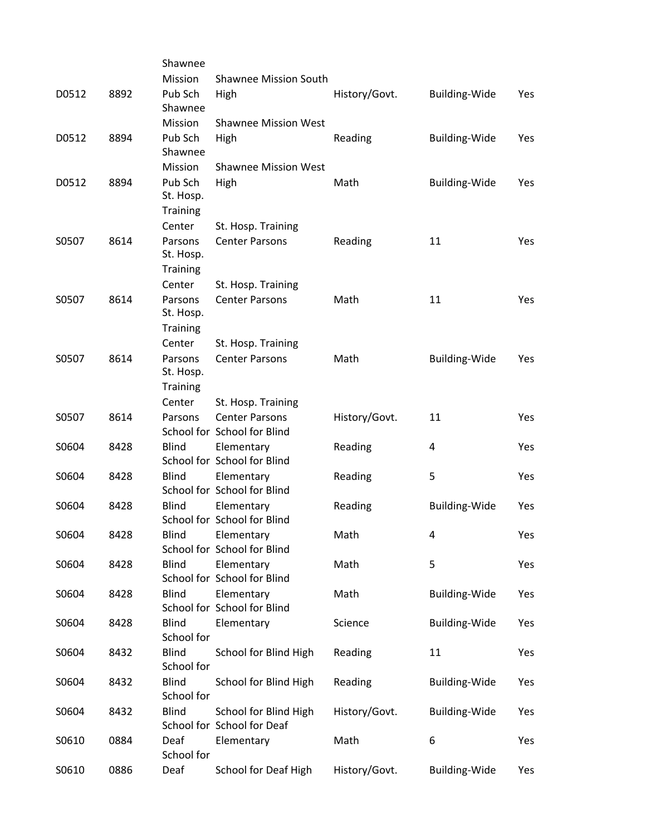|       |      | Shawnee                    |                                                      |               |                      |            |
|-------|------|----------------------------|------------------------------------------------------|---------------|----------------------|------------|
|       |      | Mission                    | <b>Shawnee Mission South</b>                         |               |                      |            |
| D0512 | 8892 | Pub Sch<br>Shawnee         | High                                                 | History/Govt. | <b>Building-Wide</b> | Yes        |
|       |      | Mission                    | <b>Shawnee Mission West</b>                          |               |                      |            |
| D0512 | 8894 | Pub Sch                    | High                                                 | Reading       | <b>Building-Wide</b> | Yes        |
|       |      | Shawnee                    |                                                      |               |                      |            |
|       |      | Mission                    | <b>Shawnee Mission West</b>                          |               |                      |            |
| D0512 | 8894 | Pub Sch<br>St. Hosp.       | High                                                 | Math          | <b>Building-Wide</b> | Yes        |
|       |      | Training                   |                                                      |               |                      |            |
|       |      | Center                     | St. Hosp. Training                                   |               |                      |            |
| S0507 | 8614 | Parsons<br>St. Hosp.       | <b>Center Parsons</b>                                | Reading       | 11                   | <b>Yes</b> |
|       |      | <b>Training</b>            |                                                      |               |                      |            |
|       |      | Center                     | St. Hosp. Training                                   |               |                      |            |
| S0507 | 8614 | Parsons<br>St. Hosp.       | <b>Center Parsons</b>                                | Math          | 11                   | Yes        |
|       |      | Training                   |                                                      |               |                      |            |
|       |      | Center                     | St. Hosp. Training                                   |               |                      |            |
| S0507 | 8614 | Parsons<br>St. Hosp.       | <b>Center Parsons</b>                                | Math          | <b>Building-Wide</b> | Yes        |
|       |      | <b>Training</b>            |                                                      |               |                      |            |
|       |      | Center                     | St. Hosp. Training                                   |               |                      |            |
| S0507 | 8614 | Parsons                    | <b>Center Parsons</b><br>School for School for Blind | History/Govt. | 11                   | <b>Yes</b> |
| S0604 | 8428 | <b>Blind</b>               | Elementary<br>School for School for Blind            | Reading       | 4                    | Yes        |
| S0604 | 8428 | <b>Blind</b>               | Elementary<br>School for School for Blind            | Reading       | 5                    | Yes        |
| S0604 | 8428 | <b>Blind</b>               | Elementary<br>School for School for Blind            | Reading       | <b>Building-Wide</b> | Yes        |
| S0604 | 8428 | Blind                      | Elementary<br>School for School for Blind            | Math          | 4                    | Yes        |
| S0604 | 8428 | <b>Blind</b>               | Elementary<br>School for School for Blind            | Math          | 5                    | Yes        |
| S0604 | 8428 | <b>Blind</b>               | Elementary<br>School for School for Blind            | Math          | <b>Building-Wide</b> | Yes        |
| S0604 | 8428 | <b>Blind</b><br>School for | Elementary                                           | Science       | <b>Building-Wide</b> | Yes        |
| S0604 | 8432 | <b>Blind</b><br>School for | School for Blind High                                | Reading       | 11                   | Yes        |
| S0604 | 8432 | <b>Blind</b><br>School for | School for Blind High                                | Reading       | <b>Building-Wide</b> | Yes        |
| S0604 | 8432 | <b>Blind</b>               | School for Blind High<br>School for School for Deaf  | History/Govt. | <b>Building-Wide</b> | Yes        |
| S0610 | 0884 | Deaf<br>School for         | Elementary                                           | Math          | 6                    | Yes        |
| S0610 | 0886 | Deaf                       | <b>School for Deaf High</b>                          | History/Govt. | <b>Building-Wide</b> | Yes        |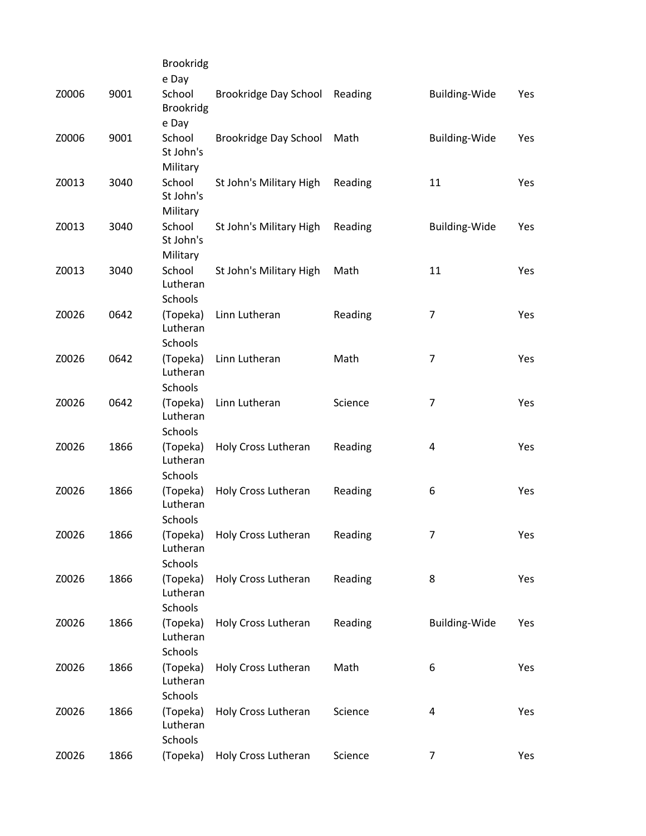|       |      | <b>Brookridg</b>                |                         |         |                         |     |
|-------|------|---------------------------------|-------------------------|---------|-------------------------|-----|
|       |      | e Day                           |                         |         |                         |     |
| Z0006 | 9001 | School<br><b>Brookridg</b>      | Brookridge Day School   | Reading | <b>Building-Wide</b>    | Yes |
|       |      | e Day                           |                         |         |                         |     |
| Z0006 | 9001 | School<br>St John's             | Brookridge Day School   | Math    | <b>Building-Wide</b>    | Yes |
|       |      | Military                        |                         |         |                         |     |
| Z0013 | 3040 | School<br>St John's             | St John's Military High | Reading | 11                      | Yes |
|       |      | Military                        |                         |         |                         |     |
| Z0013 | 3040 | School<br>St John's             | St John's Military High | Reading | <b>Building-Wide</b>    | Yes |
|       |      | Military                        |                         |         |                         |     |
| Z0013 | 3040 | School<br>Lutheran<br>Schools   | St John's Military High | Math    | 11                      | Yes |
|       | 0642 |                                 |                         |         |                         |     |
| Z0026 |      | (Topeka)<br>Lutheran<br>Schools | Linn Lutheran           | Reading | 7                       | Yes |
|       |      |                                 |                         |         |                         |     |
| Z0026 | 0642 | (Topeka)<br>Lutheran            | Linn Lutheran           | Math    | $\overline{7}$          | Yes |
|       |      | Schools                         |                         |         |                         |     |
| Z0026 | 0642 | (Topeka)<br>Lutheran            | Linn Lutheran           | Science | 7                       | Yes |
|       |      | Schools                         |                         |         |                         |     |
| Z0026 | 1866 | (Topeka)<br>Lutheran            | Holy Cross Lutheran     | Reading | $\overline{\mathbf{4}}$ | Yes |
|       |      | Schools                         |                         |         |                         |     |
| Z0026 | 1866 | (Topeka)<br>Lutheran            | Holy Cross Lutheran     | Reading | 6                       | Yes |
|       |      | Schools                         |                         |         |                         |     |
| Z0026 | 1866 | (Topeka)<br>Lutheran            | Holy Cross Lutheran     | Reading | 7                       | Yes |
|       |      | Schools                         |                         |         |                         |     |
| Z0026 | 1866 | (Topeka)<br>Lutheran            | Holy Cross Lutheran     | Reading | 8                       | Yes |
|       |      | Schools                         |                         |         |                         |     |
| Z0026 | 1866 | (Topeka)<br>Lutheran            | Holy Cross Lutheran     | Reading | Building-Wide           | Yes |
|       |      | <b>Schools</b>                  |                         |         |                         |     |
| Z0026 | 1866 | (Topeka)<br>Lutheran            | Holy Cross Lutheran     | Math    | 6                       | Yes |
|       |      | Schools                         |                         |         |                         |     |
| Z0026 | 1866 | (Topeka)<br>Lutheran<br>Schools | Holy Cross Lutheran     | Science | 4                       | Yes |
| Z0026 | 1866 | (Topeka)                        | Holy Cross Lutheran     | Science | 7                       | Yes |
|       |      |                                 |                         |         |                         |     |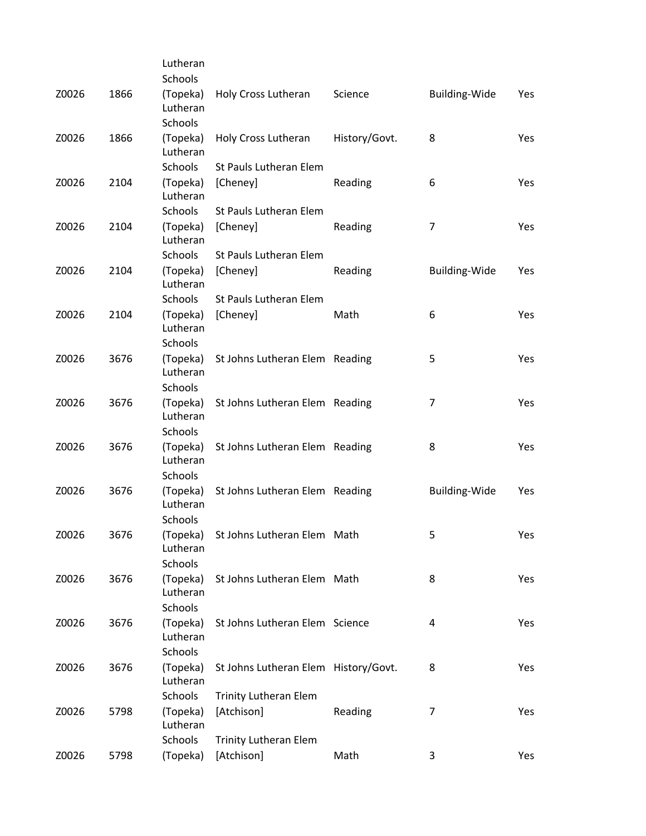|       |      | Lutheran             |                                      |               |                      |            |
|-------|------|----------------------|--------------------------------------|---------------|----------------------|------------|
|       |      | <b>Schools</b>       |                                      |               |                      |            |
| Z0026 | 1866 | (Topeka)<br>Lutheran | Holy Cross Lutheran                  | Science       | <b>Building-Wide</b> | Yes        |
|       |      | <b>Schools</b>       |                                      |               |                      |            |
| Z0026 | 1866 | (Topeka)<br>Lutheran | Holy Cross Lutheran                  | History/Govt. | 8                    | Yes        |
|       |      | <b>Schools</b>       | St Pauls Lutheran Elem               |               |                      |            |
| Z0026 | 2104 | (Topeka)<br>Lutheran | [Cheney]                             | Reading       | 6                    | Yes        |
|       |      | Schools              | St Pauls Lutheran Elem               |               |                      |            |
| Z0026 | 2104 | (Topeka)<br>Lutheran | [Cheney]                             | Reading       | 7                    | Yes        |
|       |      | <b>Schools</b>       | St Pauls Lutheran Elem               |               |                      |            |
| Z0026 | 2104 | (Topeka)<br>Lutheran | [Cheney]                             | Reading       | <b>Building-Wide</b> | Yes        |
|       |      | Schools              | St Pauls Lutheran Elem               |               |                      |            |
| Z0026 | 2104 | (Topeka)<br>Lutheran | [Cheney]                             | Math          | 6                    | Yes        |
|       |      | <b>Schools</b>       |                                      |               |                      |            |
| Z0026 | 3676 | (Topeka)<br>Lutheran | St Johns Lutheran Elem Reading       |               | 5                    | <b>Yes</b> |
|       |      | Schools              |                                      |               |                      |            |
| Z0026 | 3676 | (Topeka)<br>Lutheran | St Johns Lutheran Elem Reading       |               | 7                    | Yes        |
|       |      | <b>Schools</b>       |                                      |               |                      |            |
| Z0026 | 3676 | (Topeka)<br>Lutheran | St Johns Lutheran Elem Reading       |               | 8                    | Yes        |
|       |      | Schools              |                                      |               |                      |            |
| Z0026 | 3676 | (Topeka)<br>Lutheran | St Johns Lutheran Elem Reading       |               | <b>Building-Wide</b> | Yes        |
|       |      | Schools              |                                      |               |                      |            |
| Z0026 | 3676 | (Topeka)<br>Lutheran | St Johns Lutheran Elem Math          |               | 5                    | Yes        |
|       |      | Schools              |                                      |               |                      |            |
| Z0026 | 3676 | (Topeka)<br>Lutheran | St Johns Lutheran Elem Math          |               | 8                    | Yes        |
|       |      | Schools              |                                      |               |                      |            |
| Z0026 | 3676 | (Topeka)<br>Lutheran | St Johns Lutheran Elem Science       |               | 4                    | Yes        |
|       |      | Schools              |                                      |               |                      |            |
| Z0026 | 3676 | (Topeka)<br>Lutheran | St Johns Lutheran Elem History/Govt. |               | 8                    | Yes        |
|       |      | Schools              | <b>Trinity Lutheran Elem</b>         |               |                      |            |
| Z0026 | 5798 | (Topeka)<br>Lutheran | [Atchison]                           | Reading       | 7                    | Yes        |
|       |      | Schools              | <b>Trinity Lutheran Elem</b>         |               |                      |            |
| Z0026 | 5798 | (Topeka)             | [Atchison]                           | Math          | 3                    | Yes        |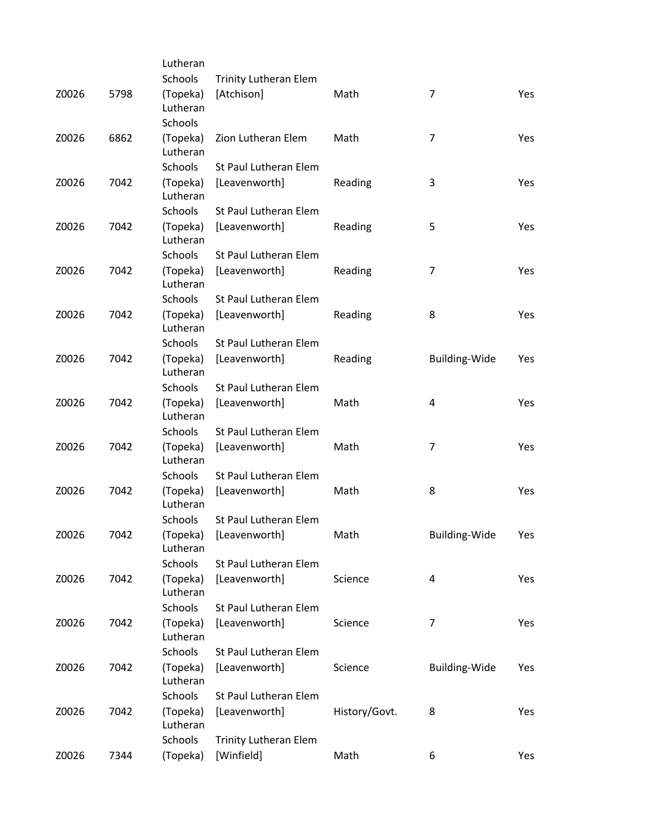|       |      | Lutheran             |                              |               |                      |     |
|-------|------|----------------------|------------------------------|---------------|----------------------|-----|
|       |      | Schools              | <b>Trinity Lutheran Elem</b> |               |                      |     |
| Z0026 | 5798 | (Topeka)<br>Lutheran | [Atchison]                   | Math          | 7                    | Yes |
|       |      | <b>Schools</b>       |                              |               |                      |     |
| Z0026 | 6862 | (Topeka)<br>Lutheran | Zion Lutheran Elem           | Math          | $\overline{7}$       | Yes |
|       |      | <b>Schools</b>       | St Paul Lutheran Elem        |               |                      |     |
| Z0026 | 7042 | (Topeka)<br>Lutheran | [Leavenworth]                | Reading       | 3                    | Yes |
|       |      | Schools              | St Paul Lutheran Elem        |               |                      |     |
| Z0026 | 7042 | (Topeka)<br>Lutheran | [Leavenworth]                | Reading       | 5                    | Yes |
|       |      | Schools              | St Paul Lutheran Elem        |               |                      |     |
| Z0026 | 7042 | (Topeka)<br>Lutheran | [Leavenworth]                | Reading       | $\overline{7}$       | Yes |
|       |      | Schools              | St Paul Lutheran Elem        |               |                      |     |
| Z0026 | 7042 | (Topeka)<br>Lutheran | [Leavenworth]                | Reading       | 8                    | Yes |
|       |      | Schools              | St Paul Lutheran Elem        |               |                      |     |
| Z0026 | 7042 | (Topeka)<br>Lutheran | [Leavenworth]                | Reading       | <b>Building-Wide</b> | Yes |
|       |      | Schools              | St Paul Lutheran Elem        |               |                      |     |
| Z0026 | 7042 | (Topeka)<br>Lutheran | [Leavenworth]                | Math          | 4                    | Yes |
|       |      | <b>Schools</b>       | St Paul Lutheran Elem        |               |                      |     |
| Z0026 | 7042 | (Topeka)<br>Lutheran | [Leavenworth]                | Math          | 7                    | Yes |
|       |      | Schools              | St Paul Lutheran Elem        |               |                      |     |
| Z0026 | 7042 | (Topeka)<br>Lutheran | [Leavenworth]                | Math          | 8                    | Yes |
|       |      | <b>Schools</b>       | St Paul Lutheran Elem        |               |                      |     |
| Z0026 | 7042 | (Topeka)<br>Lutheran | [Leavenworth]                | Math          | <b>Building-Wide</b> | Yes |
|       |      | Schools              | St Paul Lutheran Elem        |               |                      |     |
| Z0026 | 7042 | (Topeka)<br>Lutheran | [Leavenworth]                | Science       | 4                    | Yes |
|       |      | Schools              | St Paul Lutheran Elem        |               |                      |     |
| Z0026 | 7042 | (Topeka)<br>Lutheran | [Leavenworth]                | Science       | 7                    | Yes |
|       |      | Schools              | St Paul Lutheran Elem        |               |                      |     |
| Z0026 | 7042 | (Topeka)<br>Lutheran | [Leavenworth]                | Science       | Building-Wide        | Yes |
|       |      | Schools              | St Paul Lutheran Elem        |               |                      |     |
| Z0026 | 7042 | (Topeka)<br>Lutheran | [Leavenworth]                | History/Govt. | 8                    | Yes |
|       |      | Schools              | <b>Trinity Lutheran Elem</b> |               |                      |     |
| Z0026 | 7344 | (Topeka)             | [Winfield]                   | Math          | 6                    | Yes |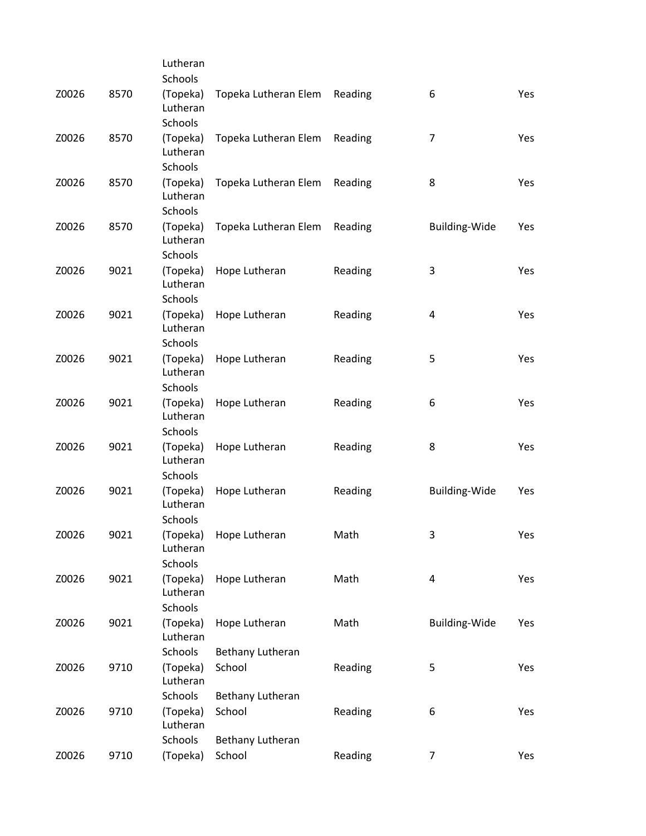|       |      | Lutheran                               |                      |         |                         |            |
|-------|------|----------------------------------------|----------------------|---------|-------------------------|------------|
|       |      | Schools                                |                      |         |                         |            |
| Z0026 | 8570 | (Topeka)<br>Lutheran                   | Topeka Lutheran Elem | Reading | 6                       | <b>Yes</b> |
|       |      | <b>Schools</b>                         |                      |         |                         |            |
| Z0026 | 8570 | (Topeka)<br>Lutheran                   | Topeka Lutheran Elem | Reading | $\overline{7}$          | Yes        |
|       |      | <b>Schools</b>                         |                      |         |                         |            |
| Z0026 | 8570 | (Topeka)<br>Lutheran                   | Topeka Lutheran Elem | Reading | 8                       | Yes        |
|       |      | Schools                                |                      |         |                         |            |
| Z0026 | 8570 | (Topeka)<br>Lutheran<br>Schools        | Topeka Lutheran Elem | Reading | <b>Building-Wide</b>    | Yes        |
| Z0026 | 9021 | (Topeka)                               | Hope Lutheran        | Reading | 3                       | Yes        |
|       |      | Lutheran<br>Schools                    |                      |         |                         |            |
| Z0026 | 9021 | (Topeka)                               | Hope Lutheran        | Reading | 4                       | Yes        |
|       |      | Lutheran<br>Schools                    |                      |         |                         |            |
| Z0026 | 9021 | (Topeka)                               | Hope Lutheran        | Reading | 5                       | Yes        |
|       |      | Lutheran<br>Schools                    |                      |         |                         |            |
|       | 9021 |                                        |                      |         |                         |            |
| Z0026 |      | (Topeka)<br>Lutheran<br><b>Schools</b> | Hope Lutheran        | Reading | 6                       | Yes        |
|       |      |                                        |                      |         |                         |            |
| Z0026 | 9021 | (Topeka)<br>Lutheran                   | Hope Lutheran        | Reading | 8                       | Yes        |
|       |      | Schools                                |                      |         |                         |            |
| Z0026 | 9021 | (Topeka)<br>Lutheran                   | Hope Lutheran        | Reading | <b>Building-Wide</b>    | Yes        |
|       |      | <b>Schools</b>                         |                      |         |                         |            |
| Z0026 | 9021 | (Topeka)<br>Lutheran                   | Hope Lutheran        | Math    | 3                       | Yes        |
|       |      | Schools                                |                      |         |                         |            |
| Z0026 | 9021 | (Topeka)<br>Lutheran                   | Hope Lutheran        | Math    | $\overline{\mathbf{4}}$ | Yes        |
|       |      | Schools                                |                      |         |                         |            |
| Z0026 | 9021 | (Topeka)<br>Lutheran                   | Hope Lutheran        | Math    | <b>Building-Wide</b>    | Yes        |
|       |      | Schools                                | Bethany Lutheran     |         |                         |            |
| Z0026 | 9710 | (Topeka)<br>Lutheran                   | School               | Reading | 5                       | Yes        |
|       |      | Schools                                | Bethany Lutheran     |         |                         |            |
| Z0026 | 9710 | (Topeka)<br>Lutheran                   | School               | Reading | 6                       | Yes        |
|       |      | Schools                                | Bethany Lutheran     |         |                         |            |
| Z0026 | 9710 | (Topeka)                               | School               | Reading | 7                       | Yes        |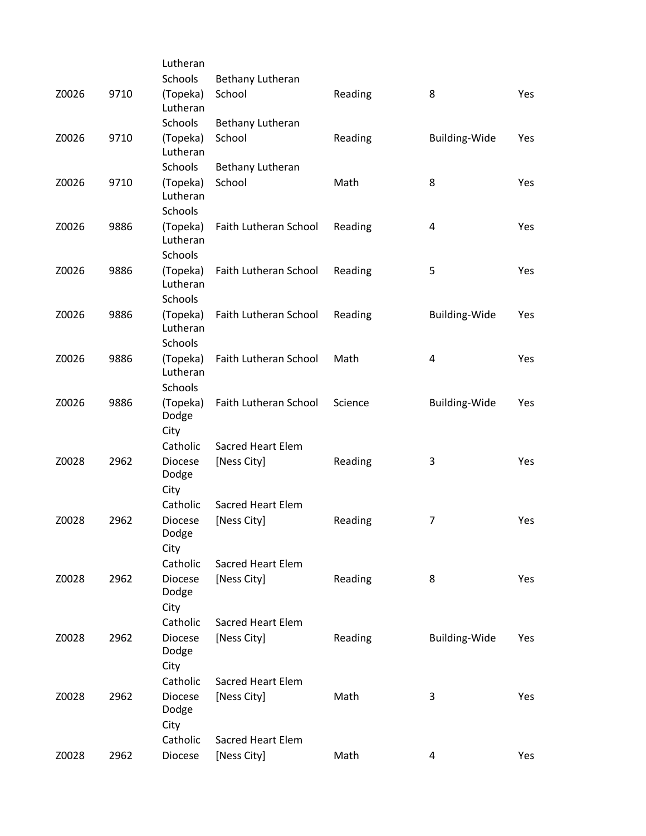|       |      | Lutheran                        |                          |         |                      |     |
|-------|------|---------------------------------|--------------------------|---------|----------------------|-----|
|       |      | <b>Schools</b>                  | Bethany Lutheran         |         |                      |     |
| Z0026 | 9710 | (Topeka)<br>Lutheran            | School                   | Reading | 8                    | Yes |
|       |      | Schools                         | Bethany Lutheran         |         |                      |     |
| Z0026 | 9710 | (Topeka)<br>Lutheran            | School                   | Reading | Building-Wide        | Yes |
|       |      | Schools                         | Bethany Lutheran         |         |                      |     |
| Z0026 | 9710 | (Topeka)<br>Lutheran            | School                   | Math    | 8                    | Yes |
|       |      | Schools                         |                          |         |                      |     |
| Z0026 | 9886 | (Topeka)<br>Lutheran<br>Schools | Faith Lutheran School    | Reading | 4                    | Yes |
| Z0026 | 9886 | (Topeka)                        | Faith Lutheran School    | Reading | 5                    | Yes |
|       |      | Lutheran<br>Schools             |                          |         |                      |     |
| Z0026 | 9886 | (Topeka)                        | Faith Lutheran School    | Reading | <b>Building-Wide</b> | Yes |
|       |      | Lutheran<br>Schools             |                          |         |                      |     |
| Z0026 | 9886 | (Topeka)                        | Faith Lutheran School    | Math    | $\overline{4}$       | Yes |
|       |      | Lutheran                        |                          |         |                      |     |
|       |      | Schools                         |                          |         |                      |     |
| Z0026 | 9886 | (Topeka)<br>Dodge               | Faith Lutheran School    | Science | <b>Building-Wide</b> | Yes |
|       |      | City                            | Sacred Heart Elem        |         |                      |     |
|       |      | Catholic                        |                          |         |                      |     |
| Z0028 | 2962 | <b>Diocese</b><br>Dodge         | [Ness City]              | Reading | 3                    | Yes |
|       |      | City<br>Catholic                | <b>Sacred Heart Elem</b> |         |                      |     |
| Z0028 | 2962 | <b>Diocese</b>                  | [Ness City]              | Reading | $\overline{7}$       | Yes |
|       |      | Dodge<br>City                   |                          |         |                      |     |
|       |      | Catholic                        | <b>Sacred Heart Elem</b> |         |                      |     |
| Z0028 | 2962 | <b>Diocese</b>                  | [Ness City]              | Reading | 8                    | Yes |
|       |      | Dodge                           |                          |         |                      |     |
|       |      | City<br>Catholic                | <b>Sacred Heart Elem</b> |         |                      |     |
| Z0028 | 2962 | <b>Diocese</b>                  | [Ness City]              |         |                      |     |
|       |      | Dodge<br>City                   |                          | Reading | Building-Wide        | Yes |
|       |      | Catholic                        | Sacred Heart Elem        |         |                      |     |
|       |      |                                 |                          |         |                      |     |
| Z0028 | 2962 | <b>Diocese</b><br>Dodge<br>City | [Ness City]              | Math    | 3                    | Yes |
|       |      | Catholic                        | <b>Sacred Heart Elem</b> |         |                      |     |
| Z0028 | 2962 | <b>Diocese</b>                  | [Ness City]              | Math    | 4                    | Yes |
|       |      |                                 |                          |         |                      |     |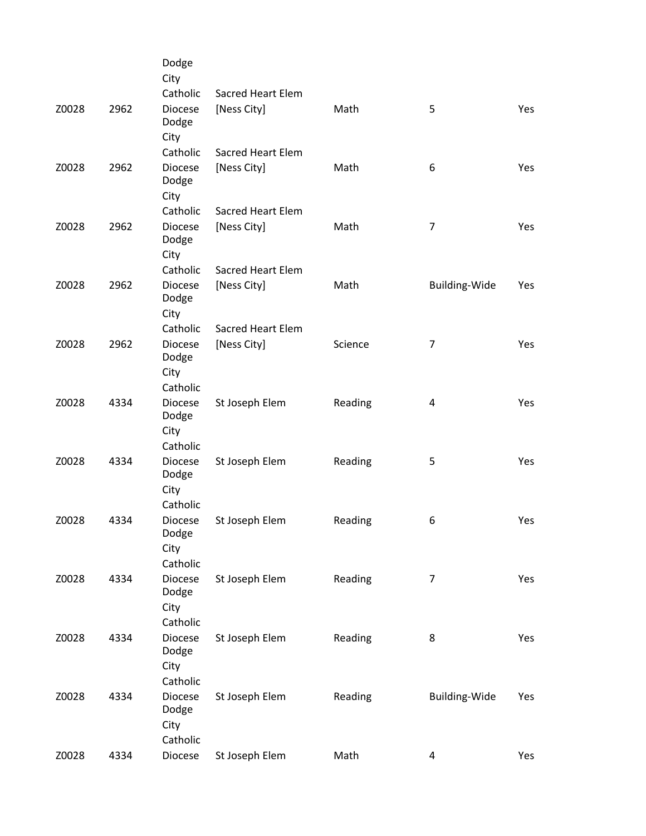|       |      | Dodge<br>City                   |                          |         |                      |     |
|-------|------|---------------------------------|--------------------------|---------|----------------------|-----|
|       |      | Catholic                        | <b>Sacred Heart Elem</b> |         |                      |     |
| Z0028 | 2962 | <b>Diocese</b><br>Dodge<br>City | [Ness City]              | Math    | 5                    | Yes |
|       |      | Catholic                        | <b>Sacred Heart Elem</b> |         |                      |     |
| Z0028 | 2962 | <b>Diocese</b><br>Dodge<br>City | [Ness City]              | Math    | 6                    | Yes |
|       |      | Catholic                        | <b>Sacred Heart Elem</b> |         |                      |     |
| Z0028 | 2962 | <b>Diocese</b><br>Dodge<br>City | [Ness City]              | Math    | $\overline{7}$       | Yes |
|       |      | Catholic                        | <b>Sacred Heart Elem</b> |         |                      |     |
| Z0028 | 2962 | <b>Diocese</b><br>Dodge<br>City | [Ness City]              | Math    | <b>Building-Wide</b> | Yes |
|       |      | Catholic                        | Sacred Heart Elem        |         |                      |     |
| Z0028 | 2962 | <b>Diocese</b><br>Dodge<br>City | [Ness City]              | Science | $\overline{7}$       | Yes |
|       |      | Catholic                        |                          |         |                      |     |
| Z0028 | 4334 | <b>Diocese</b><br>Dodge         | St Joseph Elem           | Reading | 4                    | Yes |
|       |      | City                            |                          |         |                      |     |
|       |      | Catholic                        |                          |         |                      |     |
| Z0028 | 4334 | <b>Diocese</b><br>Dodge<br>City | St Joseph Elem           | Reading | 5                    | Yes |
|       |      | Catholic                        |                          |         |                      |     |
| Z0028 | 4334 | <b>Diocese</b><br>Dodge         | St Joseph Elem           | Reading | 6                    | Yes |
|       |      | City                            |                          |         |                      |     |
|       |      | Catholic                        |                          |         |                      |     |
| Z0028 | 4334 | Diocese<br>Dodge<br>City        | St Joseph Elem           | Reading | $\overline{7}$       | Yes |
|       |      | Catholic                        |                          |         |                      |     |
| Z0028 | 4334 | <b>Diocese</b>                  | St Joseph Elem           | Reading | 8                    | Yes |
|       |      | Dodge<br>City                   |                          |         |                      |     |
|       |      | Catholic                        |                          |         |                      |     |
| Z0028 | 4334 | Diocese<br>Dodge<br>City        | St Joseph Elem           | Reading | Building-Wide        | Yes |
|       |      | Catholic                        |                          |         |                      |     |
| Z0028 | 4334 | Diocese                         | St Joseph Elem           | Math    | $\overline{a}$       | Yes |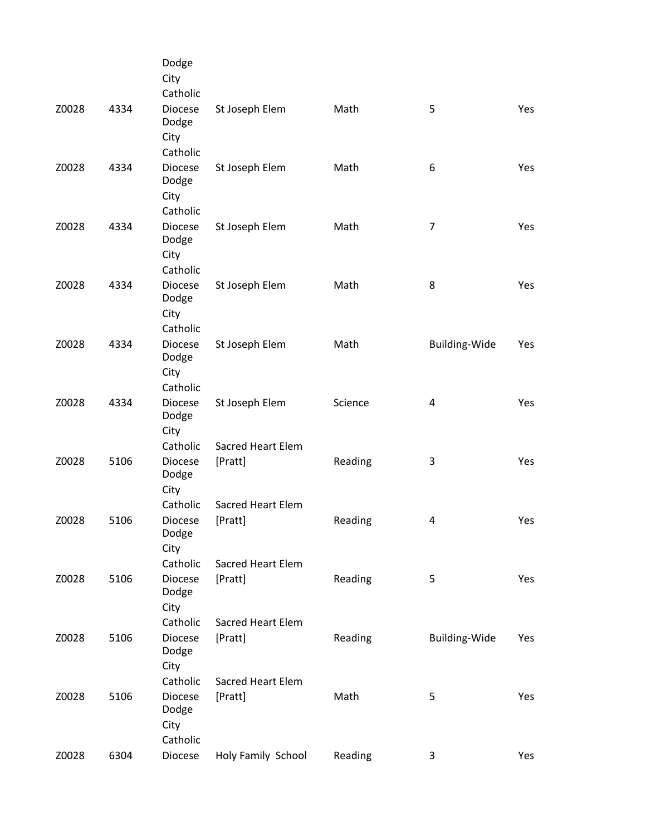|       |      | Dodge<br>City<br>Catholic                   |                                     |         |                      |            |
|-------|------|---------------------------------------------|-------------------------------------|---------|----------------------|------------|
| Z0028 | 4334 | <b>Diocese</b><br>Dodge<br>City<br>Catholic | St Joseph Elem                      | Math    | 5                    | Yes        |
| Z0028 | 4334 | <b>Diocese</b><br>Dodge<br>City<br>Catholic | St Joseph Elem                      | Math    | 6                    | Yes        |
| Z0028 | 4334 | <b>Diocese</b><br>Dodge<br>City<br>Catholic | St Joseph Elem                      | Math    | $\overline{7}$       | <b>Yes</b> |
| Z0028 | 4334 | Diocese<br>Dodge<br>City<br>Catholic        | St Joseph Elem                      | Math    | 8                    | Yes        |
| Z0028 | 4334 | <b>Diocese</b><br>Dodge<br>City<br>Catholic | St Joseph Elem                      | Math    | Building-Wide        | Yes        |
| Z0028 | 4334 | <b>Diocese</b><br>Dodge<br>City             | St Joseph Elem                      | Science | 4                    | Yes        |
| Z0028 | 5106 | Catholic<br><b>Diocese</b><br>Dodge<br>City | <b>Sacred Heart Elem</b><br>[Pratt] | Reading | 3                    | Yes        |
| Z0028 | 5106 | Catholic<br><b>Diocese</b><br>Dodge<br>City | <b>Sacred Heart Elem</b><br>[Pratt] | Reading | 4                    | Yes        |
| Z0028 | 5106 | Catholic<br><b>Diocese</b><br>Dodge<br>City | <b>Sacred Heart Elem</b><br>[Pratt] | Reading | 5                    | Yes        |
| Z0028 | 5106 | Catholic<br><b>Diocese</b><br>Dodge<br>City | <b>Sacred Heart Elem</b><br>[Pratt] | Reading | <b>Building-Wide</b> | Yes        |
| Z0028 | 5106 | Catholic<br><b>Diocese</b><br>Dodge<br>City | <b>Sacred Heart Elem</b><br>[Pratt] | Math    | 5                    | Yes        |
| Z0028 | 6304 | Catholic<br>Diocese                         | Holy Family School                  | Reading | 3                    | Yes        |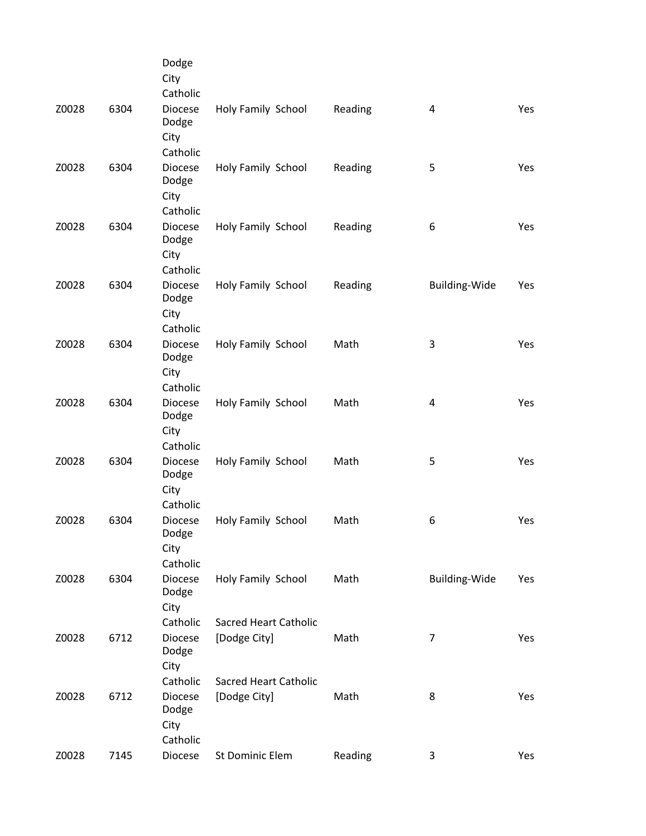|       |      | Dodge<br>City<br>Catholic                   |                                              |         |                |     |
|-------|------|---------------------------------------------|----------------------------------------------|---------|----------------|-----|
| Z0028 | 6304 | <b>Diocese</b><br>Dodge<br>City             | Holy Family School                           | Reading | 4              | Yes |
| Z0028 | 6304 | Catholic<br><b>Diocese</b><br>Dodge<br>City | Holy Family School                           | Reading | 5              | Yes |
| Z0028 | 6304 | Catholic<br><b>Diocese</b><br>Dodge<br>City | Holy Family School                           | Reading | 6              | Yes |
| Z0028 | 6304 | Catholic<br>Diocese<br>Dodge<br>City        | Holy Family School                           | Reading | Building-Wide  | Yes |
| Z0028 | 6304 | Catholic<br><b>Diocese</b><br>Dodge<br>City | Holy Family School                           | Math    | 3              | Yes |
| Z0028 | 6304 | Catholic<br><b>Diocese</b><br>Dodge<br>City | Holy Family School                           | Math    | 4              | Yes |
| Z0028 | 6304 | Catholic<br><b>Diocese</b><br>Dodge<br>City | Holy Family School                           | Math    | 5              | Yes |
| Z0028 | 6304 | Catholic<br>Diocese<br>Dodge<br>City        | Holy Family School                           | Math    | 6              | Yes |
| Z0028 | 6304 | Catholic<br><b>Diocese</b><br>Dodge<br>City | Holy Family School                           | Math    | Building-Wide  | Yes |
| Z0028 | 6712 | Catholic<br>Diocese<br>Dodge<br>City        | <b>Sacred Heart Catholic</b><br>[Dodge City] | Math    | $\overline{7}$ | Yes |
| Z0028 | 6712 | Catholic<br><b>Diocese</b><br>Dodge<br>City | <b>Sacred Heart Catholic</b><br>[Dodge City] | Math    | 8              | Yes |
| Z0028 | 7145 | Catholic<br>Diocese                         | St Dominic Elem                              | Reading | 3              | Yes |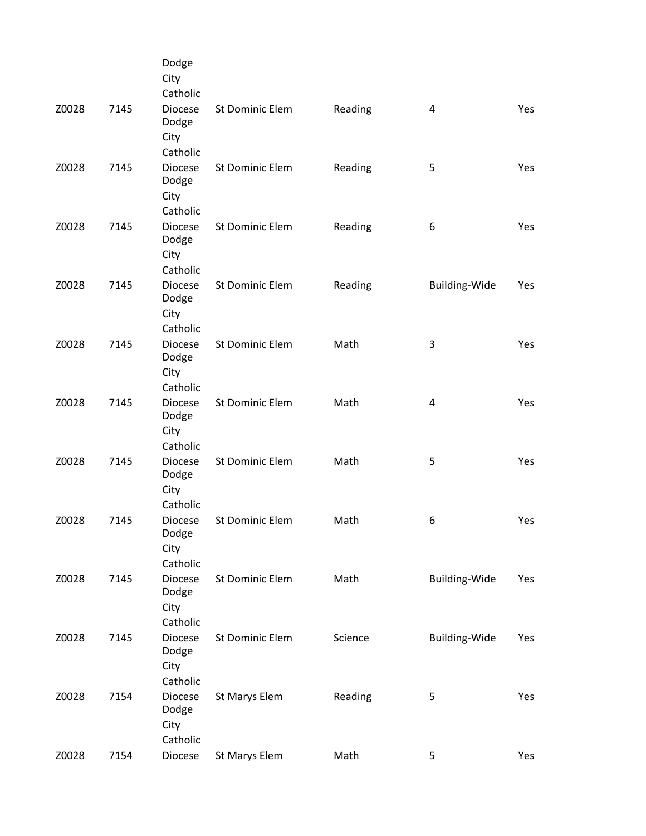|       |      | Dodge<br>City<br>Catholic                   |                        |         |                         |            |
|-------|------|---------------------------------------------|------------------------|---------|-------------------------|------------|
| Z0028 | 7145 | <b>Diocese</b><br>Dodge<br>City<br>Catholic | St Dominic Elem        | Reading | 4                       | Yes        |
| Z0028 | 7145 | Diocese<br>Dodge<br>City<br>Catholic        | St Dominic Elem        | Reading | 5                       | Yes        |
| Z0028 | 7145 | <b>Diocese</b><br>Dodge<br>City<br>Catholic | St Dominic Elem        | Reading | 6                       | <b>Yes</b> |
| Z0028 | 7145 | <b>Diocese</b><br>Dodge<br>City<br>Catholic | <b>St Dominic Elem</b> | Reading | Building-Wide           | Yes        |
| Z0028 | 7145 | <b>Diocese</b><br>Dodge<br>City<br>Catholic | St Dominic Elem        | Math    | 3                       | Yes        |
| Z0028 | 7145 | <b>Diocese</b><br>Dodge<br>City<br>Catholic | St Dominic Elem        | Math    | $\overline{\mathbf{4}}$ | Yes        |
| Z0028 | 7145 | Diocese<br>Dodge<br>City<br>Catholic        | St Dominic Elem        | Math    | 5                       | Yes        |
| Z0028 | 7145 | <b>Diocese</b><br>Dodge<br>City<br>Catholic | St Dominic Elem        | Math    | 6                       | Yes        |
| Z0028 | 7145 | <b>Diocese</b><br>Dodge<br>City<br>Catholic | St Dominic Elem        | Math    | Building-Wide           | Yes        |
| Z0028 | 7145 | <b>Diocese</b><br>Dodge<br>City<br>Catholic | St Dominic Elem        | Science | Building-Wide           | Yes        |
| Z0028 | 7154 | <b>Diocese</b><br>Dodge<br>City<br>Catholic | St Marys Elem          | Reading | 5                       | Yes        |
| Z0028 | 7154 | Diocese                                     | St Marys Elem          | Math    | 5                       | Yes        |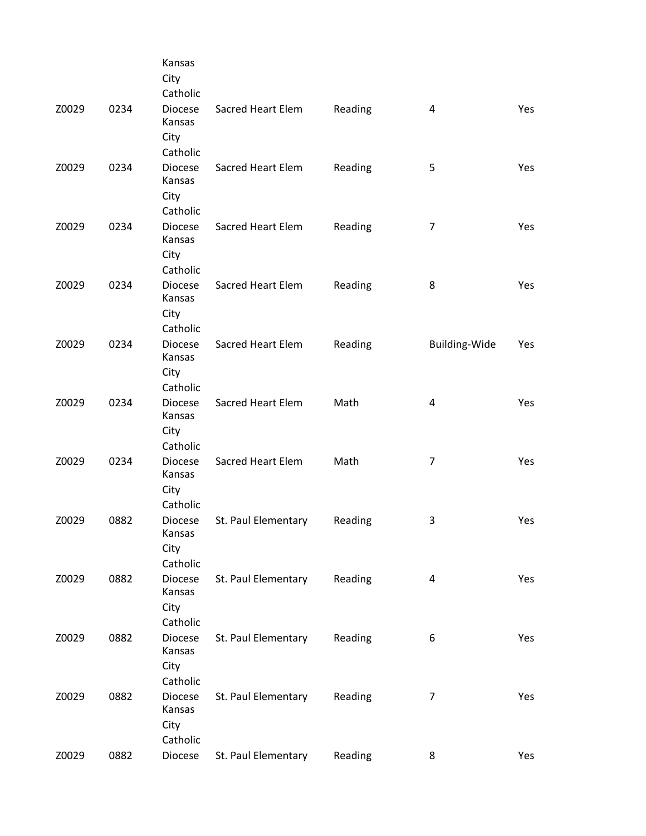|       |      | Kansas<br>City<br>Catholic                               |                          |         |                |            |
|-------|------|----------------------------------------------------------|--------------------------|---------|----------------|------------|
| Z0029 | 0234 | <b>Diocese</b><br>Kansas<br>City                         | Sacred Heart Elem        | Reading | 4              | <b>Yes</b> |
| Z0029 | 0234 | Catholic<br><b>Diocese</b><br>Kansas<br>City             | Sacred Heart Elem        | Reading | 5              | Yes        |
| Z0029 | 0234 | Catholic<br><b>Diocese</b><br>Kansas<br>City<br>Catholic | Sacred Heart Elem        | Reading | $\overline{7}$ | Yes        |
| Z0029 | 0234 | <b>Diocese</b><br>Kansas<br>City<br>Catholic             | Sacred Heart Elem        | Reading | 8              | Yes        |
| Z0029 | 0234 | <b>Diocese</b><br>Kansas<br>City                         | Sacred Heart Elem        | Reading | Building-Wide  | Yes        |
| Z0029 | 0234 | Catholic<br><b>Diocese</b><br>Kansas<br>City             | Sacred Heart Elem        | Math    | 4              | Yes        |
| Z0029 | 0234 | Catholic<br><b>Diocese</b><br>Kansas<br>City             | <b>Sacred Heart Elem</b> | Math    | $\overline{7}$ | <b>Yes</b> |
| Z0029 | 0882 | Catholic<br><b>Diocese</b><br>Kansas<br>City             | St. Paul Elementary      | Reading | 3              | Yes        |
| Z0029 | 0882 | Catholic<br><b>Diocese</b><br>Kansas<br>City             | St. Paul Elementary      | Reading | $\overline{a}$ | Yes        |
| Z0029 | 0882 | Catholic<br><b>Diocese</b><br>Kansas<br>City             | St. Paul Elementary      | Reading | 6              | Yes        |
| Z0029 | 0882 | Catholic<br><b>Diocese</b><br>Kansas<br>City             | St. Paul Elementary      | Reading | 7              | Yes        |
| Z0029 | 0882 | Catholic<br>Diocese                                      | St. Paul Elementary      | Reading | 8              | Yes        |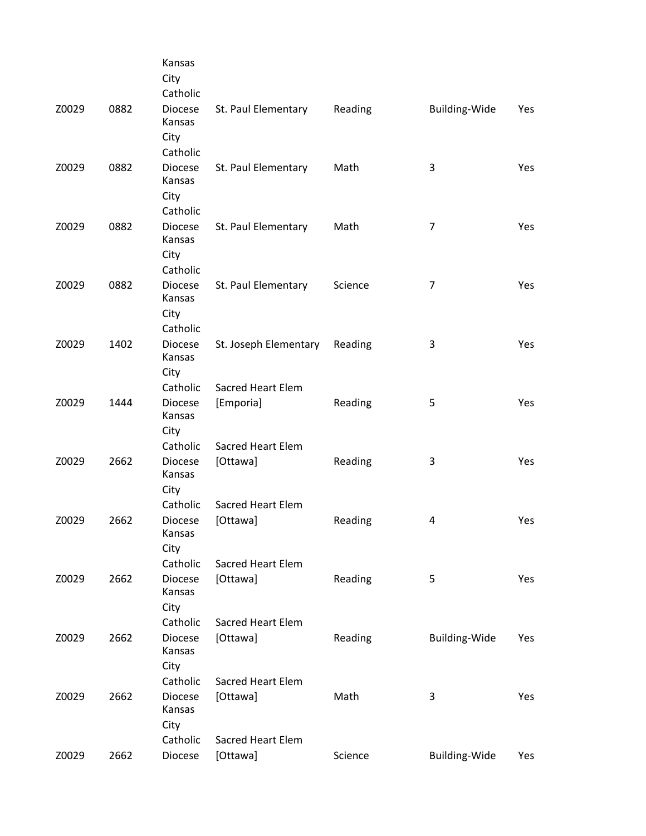|       |      | Kansas<br>City<br>Catholic                               |                                       |         |                      |     |
|-------|------|----------------------------------------------------------|---------------------------------------|---------|----------------------|-----|
| Z0029 | 0882 | <b>Diocese</b><br>Kansas<br>City                         | St. Paul Elementary                   | Reading | <b>Building-Wide</b> | Yes |
| Z0029 | 0882 | Catholic<br><b>Diocese</b><br>Kansas<br>City<br>Catholic | St. Paul Elementary                   | Math    | 3                    | Yes |
| Z0029 | 0882 | <b>Diocese</b><br>Kansas<br>City<br>Catholic             | St. Paul Elementary                   | Math    | 7                    | Yes |
| Z0029 | 0882 | <b>Diocese</b><br>Kansas<br>City<br>Catholic             | St. Paul Elementary                   | Science | $\overline{7}$       | Yes |
| Z0029 | 1402 | <b>Diocese</b><br>Kansas<br>City                         | St. Joseph Elementary                 | Reading | 3                    | Yes |
| Z0029 | 1444 | Catholic<br><b>Diocese</b><br>Kansas<br>City             | <b>Sacred Heart Elem</b><br>[Emporia] | Reading | 5                    | Yes |
| Z0029 | 2662 | Catholic<br><b>Diocese</b><br>Kansas<br>City             | Sacred Heart Elem<br>[Ottawa]         | Reading | 3                    | Yes |
| Z0029 | 2662 | Catholic<br><b>Diocese</b><br>Kansas<br>City             | <b>Sacred Heart Elem</b><br>[Ottawa]  | Reading | 4                    | Yes |
| Z0029 | 2662 | Catholic<br><b>Diocese</b><br>Kansas<br>City             | Sacred Heart Elem<br>[Ottawa]         | Reading | 5                    | Yes |
| Z0029 | 2662 | Catholic<br><b>Diocese</b><br>Kansas<br>City             | Sacred Heart Elem<br>[Ottawa]         | Reading | <b>Building-Wide</b> | Yes |
| Z0029 | 2662 | Catholic<br>Diocese<br>Kansas<br>City                    | <b>Sacred Heart Elem</b><br>[Ottawa]  | Math    | 3                    | Yes |
| Z0029 | 2662 | Catholic<br>Diocese                                      | <b>Sacred Heart Elem</b><br>[Ottawa]  | Science | Building-Wide        | Yes |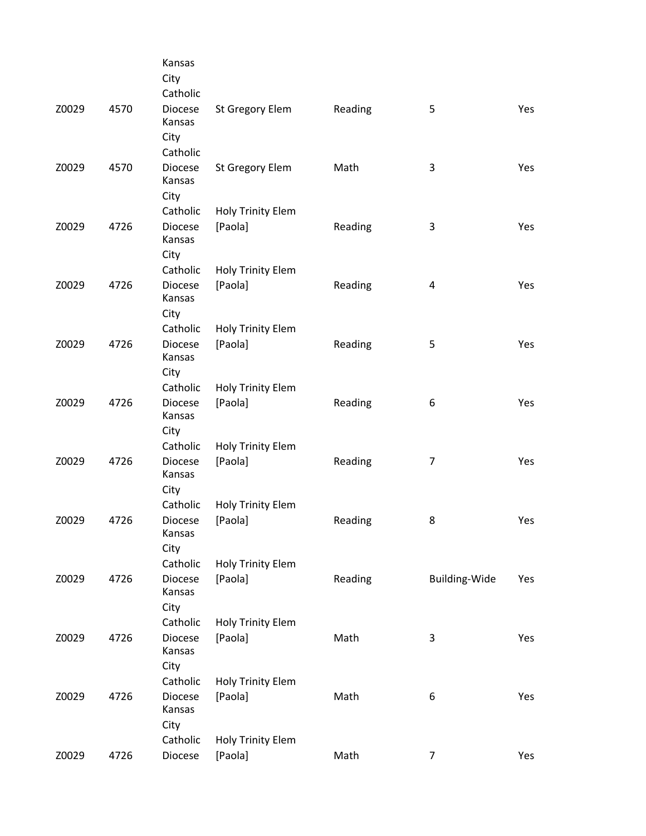|       |      | Kansas<br>City<br>Catholic                   |                                     |         |                |     |
|-------|------|----------------------------------------------|-------------------------------------|---------|----------------|-----|
| Z0029 | 4570 | Diocese<br>Kansas<br>City                    | St Gregory Elem                     | Reading | 5              | Yes |
| Z0029 | 4570 | Catholic<br>Diocese<br>Kansas<br>City        | St Gregory Elem                     | Math    | 3              | Yes |
| Z0029 | 4726 | Catholic<br><b>Diocese</b><br>Kansas<br>City | Holy Trinity Elem<br>[Paola]        | Reading | 3              | Yes |
| Z0029 | 4726 | Catholic<br><b>Diocese</b><br>Kansas<br>City | <b>Holy Trinity Elem</b><br>[Paola] | Reading | 4              | Yes |
| Z0029 | 4726 | Catholic<br><b>Diocese</b><br>Kansas<br>City | Holy Trinity Elem<br>[Paola]        | Reading | 5              | Yes |
| Z0029 | 4726 | Catholic<br><b>Diocese</b><br>Kansas<br>City | <b>Holy Trinity Elem</b><br>[Paola] | Reading | 6              | Yes |
| Z0029 | 4726 | Catholic<br><b>Diocese</b><br>Kansas<br>City | <b>Holy Trinity Elem</b><br>[Paola] | Reading | $\overline{7}$ | Yes |
| Z0029 | 4726 | Catholic<br>Diocese<br>Kansas<br>City        | <b>Holy Trinity Elem</b><br>[Paola] | Reading | 8              | Yes |
| Z0029 | 4726 | Catholic<br>Diocese<br>Kansas<br>City        | Holy Trinity Elem<br>[Paola]        | Reading | Building-Wide  | Yes |
| Z0029 | 4726 | Catholic<br><b>Diocese</b><br>Kansas<br>City | Holy Trinity Elem<br>[Paola]        | Math    | 3              | Yes |
| Z0029 | 4726 | Catholic<br>Diocese<br>Kansas<br>City        | <b>Holy Trinity Elem</b><br>[Paola] | Math    | 6              | Yes |
| Z0029 | 4726 | Catholic<br>Diocese                          | Holy Trinity Elem<br>[Paola]        | Math    | $\overline{7}$ | Yes |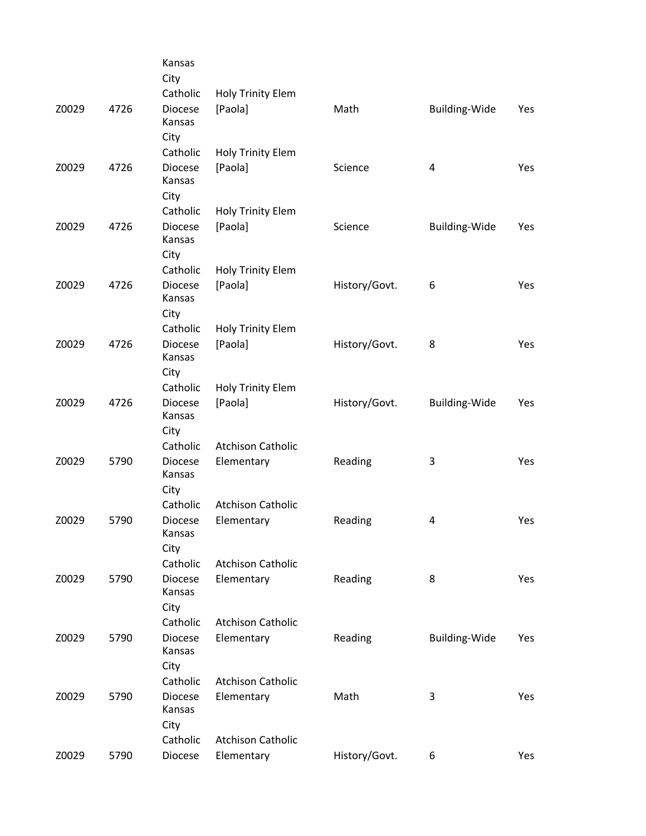|       |      | Kansas<br>City                   |                          |               |                      |            |
|-------|------|----------------------------------|--------------------------|---------------|----------------------|------------|
|       |      | Catholic                         | <b>Holy Trinity Elem</b> |               |                      |            |
| Z0029 | 4726 | <b>Diocese</b><br>Kansas<br>City | [Paola]                  | Math          | Building-Wide        | Yes        |
|       |      | Catholic                         | Holy Trinity Elem        |               |                      |            |
| Z0029 | 4726 | <b>Diocese</b><br>Kansas<br>City | [Paola]                  | Science       | 4                    | Yes        |
|       |      | Catholic                         | Holy Trinity Elem        |               |                      |            |
| Z0029 | 4726 | <b>Diocese</b><br>Kansas<br>City | [Paola]                  | Science       | <b>Building-Wide</b> | Yes        |
|       |      | Catholic                         | Holy Trinity Elem        |               |                      |            |
| Z0029 | 4726 | <b>Diocese</b><br>Kansas<br>City | [Paola]                  | History/Govt. | 6                    | Yes        |
|       |      | Catholic                         | <b>Holy Trinity Elem</b> |               |                      |            |
| Z0029 | 4726 | <b>Diocese</b><br>Kansas<br>City | [Paola]                  | History/Govt. | 8                    | Yes        |
|       |      | Catholic                         | Holy Trinity Elem        |               |                      |            |
| Z0029 | 4726 | <b>Diocese</b><br>Kansas         | [Paola]                  | History/Govt. | <b>Building-Wide</b> | Yes        |
|       |      | City<br>Catholic                 | <b>Atchison Catholic</b> |               |                      |            |
| Z0029 | 5790 | <b>Diocese</b>                   | Elementary               | Reading       | 3                    | Yes        |
|       |      | Kansas<br>City                   |                          |               |                      |            |
|       |      | Catholic                         | <b>Atchison Catholic</b> |               |                      |            |
| Z0029 | 5790 | <b>Diocese</b><br>Kansas<br>City | Elementary               | Reading       | 4                    | Yes        |
|       |      | Catholic                         | <b>Atchison Catholic</b> |               |                      |            |
| Z0029 | 5790 | <b>Diocese</b><br>Kansas         | Elementary               | Reading       | 8                    | <b>Yes</b> |
|       |      | City                             |                          |               |                      |            |
|       |      | Catholic                         | <b>Atchison Catholic</b> |               |                      |            |
| Z0029 | 5790 | <b>Diocese</b><br>Kansas<br>City | Elementary               | Reading       | Building-Wide        | Yes        |
|       |      | Catholic                         | <b>Atchison Catholic</b> |               |                      |            |
| Z0029 | 5790 | <b>Diocese</b><br>Kansas<br>City | Elementary               | Math          | 3                    | Yes        |
|       |      | Catholic                         | <b>Atchison Catholic</b> |               |                      |            |
| Z0029 | 5790 | Diocese                          | Elementary               | History/Govt. | 6                    | Yes        |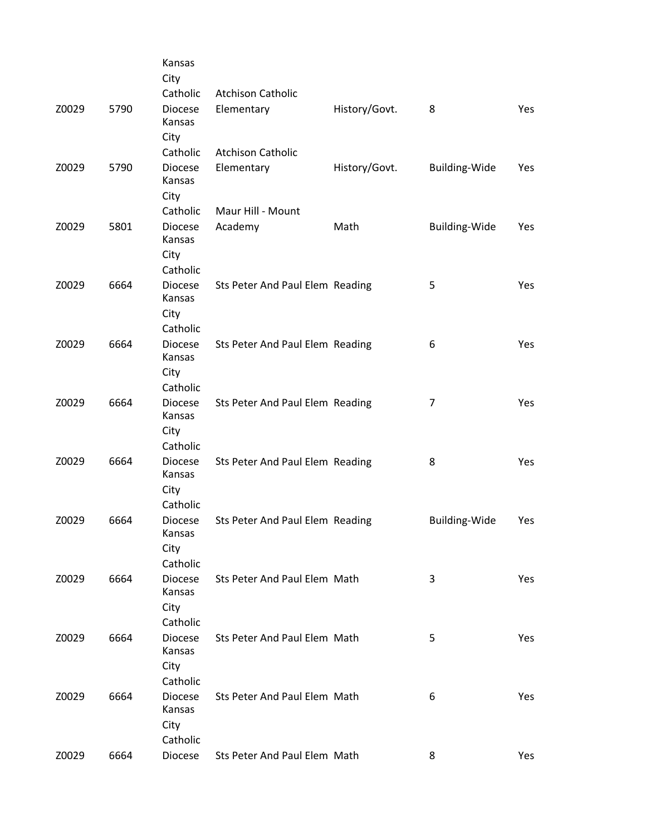|       |      | Kansas<br>City                               |                                 |               |                      |            |
|-------|------|----------------------------------------------|---------------------------------|---------------|----------------------|------------|
|       |      | Catholic                                     | <b>Atchison Catholic</b>        |               |                      |            |
| Z0029 | 5790 | <b>Diocese</b><br>Kansas<br>City             | Elementary                      | History/Govt. | 8                    | <b>Yes</b> |
|       |      | Catholic                                     | <b>Atchison Catholic</b>        |               |                      |            |
| Z0029 | 5790 | <b>Diocese</b><br>Kansas<br>City             | Elementary                      | History/Govt. | <b>Building-Wide</b> | Yes        |
|       |      | Catholic                                     | Maur Hill - Mount               |               |                      |            |
| Z0029 | 5801 | <b>Diocese</b><br>Kansas<br>City             | Academy                         | Math          | Building-Wide        | Yes        |
| Z0029 | 6664 | Catholic<br><b>Diocese</b><br>Kansas<br>City | Sts Peter And Paul Elem Reading |               | 5                    | Yes        |
| Z0029 | 6664 | Catholic<br><b>Diocese</b><br>Kansas         | Sts Peter And Paul Elem Reading |               | 6                    | <b>Yes</b> |
|       |      | City                                         |                                 |               |                      |            |
| Z0029 | 6664 | Catholic<br>Diocese<br>Kansas                | Sts Peter And Paul Elem Reading |               | $\overline{7}$       | Yes        |
|       |      | City                                         |                                 |               |                      |            |
| Z0029 | 6664 | Catholic<br><b>Diocese</b><br>Kansas         | Sts Peter And Paul Elem Reading |               | 8                    | <b>Yes</b> |
|       |      | City                                         |                                 |               |                      |            |
| Z0029 | 6664 | Catholic<br><b>Diocese</b><br>Kansas         | Sts Peter And Paul Elem Reading |               | <b>Building-Wide</b> | Yes        |
|       |      | City                                         |                                 |               |                      |            |
|       |      | Catholic                                     |                                 |               |                      |            |
| Z0029 | 6664 | <b>Diocese</b><br>Kansas<br>City             | Sts Peter And Paul Elem Math    |               | 3                    | Yes        |
|       |      | Catholic                                     |                                 |               |                      |            |
| Z0029 | 6664 | <b>Diocese</b>                               | Sts Peter And Paul Elem Math    |               | 5                    | Yes        |
|       |      | Kansas<br>City                               |                                 |               |                      |            |
|       |      | Catholic                                     |                                 |               |                      |            |
| Z0029 | 6664 | <b>Diocese</b><br>Kansas<br>City             | Sts Peter And Paul Elem Math    |               | 6                    | Yes        |
|       |      | Catholic                                     |                                 |               |                      |            |
| Z0029 | 6664 | Diocese                                      | Sts Peter And Paul Elem Math    |               | 8                    | Yes        |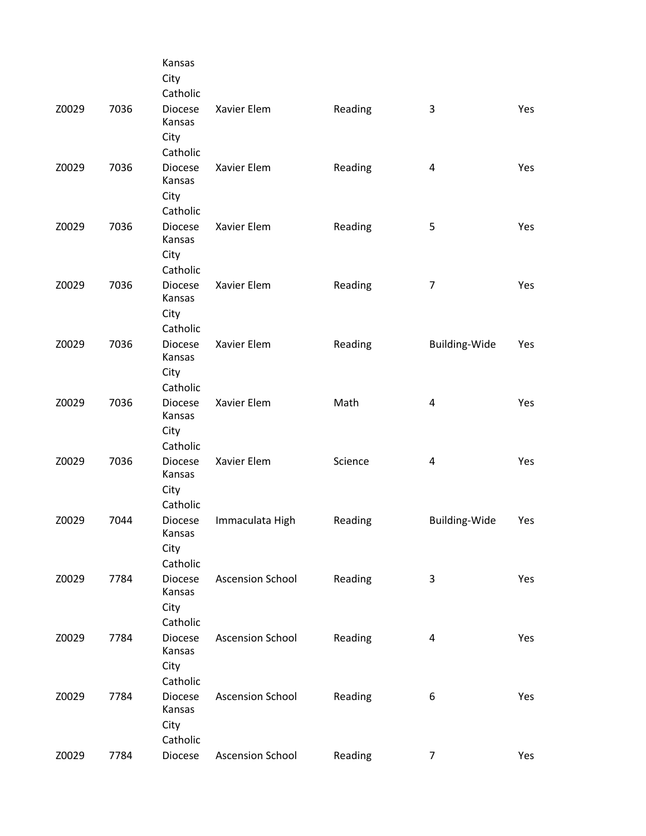|       |      | Kansas<br>City<br>Catholic                   |                         |         |                      |     |
|-------|------|----------------------------------------------|-------------------------|---------|----------------------|-----|
| Z0029 | 7036 | Diocese<br>Kansas<br>City<br>Catholic        | Xavier Elem             | Reading | 3                    | Yes |
| Z0029 | 7036 | <b>Diocese</b><br>Kansas<br>City<br>Catholic | Xavier Elem             | Reading | 4                    | Yes |
| Z0029 | 7036 | <b>Diocese</b><br>Kansas<br>City<br>Catholic | Xavier Elem             | Reading | 5                    | Yes |
| Z0029 | 7036 | Diocese<br>Kansas<br>City<br>Catholic        | Xavier Elem             | Reading | $\overline{7}$       | Yes |
| Z0029 | 7036 | <b>Diocese</b><br>Kansas<br>City<br>Catholic | Xavier Elem             | Reading | Building-Wide        | Yes |
| Z0029 | 7036 | <b>Diocese</b><br>Kansas<br>City<br>Catholic | Xavier Elem             | Math    | 4                    | Yes |
| Z0029 | 7036 | <b>Diocese</b><br>Kansas<br>City<br>Catholic | Xavier Elem             | Science | 4                    | Yes |
| Z0029 | 7044 | Diocese<br>Kansas<br>City<br>Catholic        | Immaculata High         | Reading | <b>Building-Wide</b> | Yes |
| Z0029 | 7784 | <b>Diocese</b><br>Kansas<br>City<br>Catholic | <b>Ascension School</b> | Reading | 3                    | Yes |
| Z0029 | 7784 | <b>Diocese</b><br>Kansas<br>City<br>Catholic | <b>Ascension School</b> | Reading | 4                    | Yes |
| Z0029 | 7784 | Diocese<br>Kansas<br>City<br>Catholic        | <b>Ascension School</b> | Reading | 6                    | Yes |
| Z0029 | 7784 | Diocese                                      | <b>Ascension School</b> | Reading | $\overline{7}$       | Yes |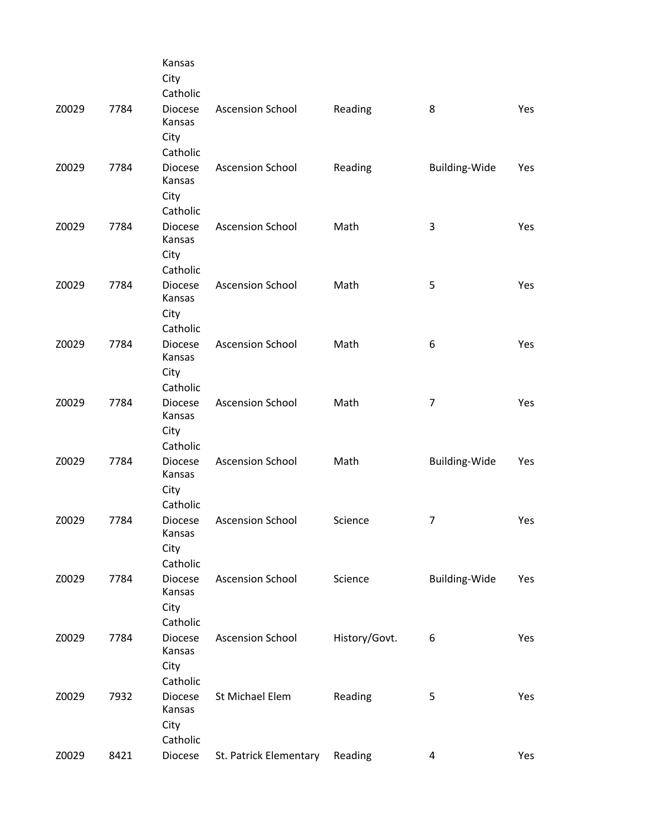|       |      | Kansas<br>City<br>Catholic                   |                         |               |                |     |
|-------|------|----------------------------------------------|-------------------------|---------------|----------------|-----|
| Z0029 | 7784 | Diocese<br>Kansas<br>City                    | <b>Ascension School</b> | Reading       | 8              | Yes |
| Z0029 | 7784 | Catholic<br><b>Diocese</b><br>Kansas<br>City | <b>Ascension School</b> | Reading       | Building-Wide  | Yes |
| Z0029 | 7784 | Catholic<br><b>Diocese</b><br>Kansas<br>City | <b>Ascension School</b> | Math          | 3              | Yes |
| Z0029 | 7784 | Catholic<br>Diocese<br>Kansas<br>City        | <b>Ascension School</b> | Math          | 5              | Yes |
| Z0029 | 7784 | Catholic<br><b>Diocese</b><br>Kansas<br>City | <b>Ascension School</b> | Math          | 6              | Yes |
| Z0029 | 7784 | Catholic<br><b>Diocese</b><br>Kansas<br>City | <b>Ascension School</b> | Math          | 7              | Yes |
| Z0029 | 7784 | Catholic<br><b>Diocese</b><br>Kansas<br>City | <b>Ascension School</b> | Math          | Building-Wide  | Yes |
| Z0029 | 7784 | Catholic<br><b>Diocese</b><br>Kansas<br>City | <b>Ascension School</b> | Science       | $\overline{7}$ | Yes |
| Z0029 | 7784 | Catholic<br><b>Diocese</b><br>Kansas<br>City | <b>Ascension School</b> | Science       | Building-Wide  | Yes |
| Z0029 | 7784 | Catholic<br><b>Diocese</b><br>Kansas<br>City | <b>Ascension School</b> | History/Govt. | 6              | Yes |
| Z0029 | 7932 | Catholic<br><b>Diocese</b><br>Kansas<br>City | St Michael Elem         | Reading       | 5              | Yes |
| Z0029 | 8421 | Catholic<br>Diocese                          | St. Patrick Elementary  | Reading       | 4              | Yes |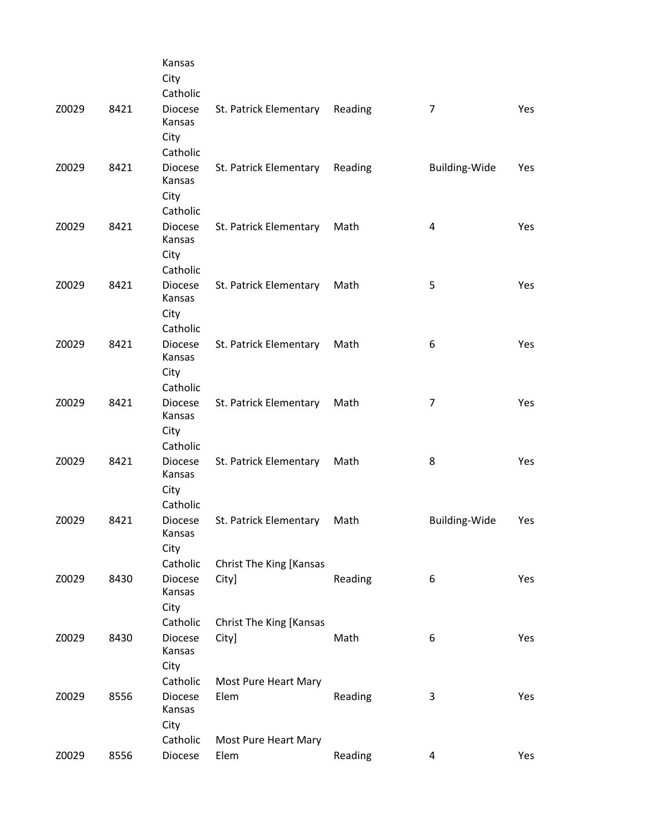|       |      | Kansas<br>City<br>Catholic                               |                                                   |         |                         |     |
|-------|------|----------------------------------------------------------|---------------------------------------------------|---------|-------------------------|-----|
| Z0029 | 8421 | <b>Diocese</b><br>Kansas<br>City                         | St. Patrick Elementary                            | Reading | 7                       | Yes |
| Z0029 | 8421 | Catholic<br><b>Diocese</b><br>Kansas<br>City<br>Catholic | St. Patrick Elementary                            | Reading | <b>Building-Wide</b>    | Yes |
| Z0029 | 8421 | Diocese<br>Kansas<br>City<br>Catholic                    | St. Patrick Elementary                            | Math    | $\overline{\mathbf{4}}$ | Yes |
| Z0029 | 8421 | <b>Diocese</b><br>Kansas<br>City<br>Catholic             | St. Patrick Elementary                            | Math    | 5                       | Yes |
| Z0029 | 8421 | <b>Diocese</b><br>Kansas<br>City<br>Catholic             | St. Patrick Elementary                            | Math    | 6                       | Yes |
| Z0029 | 8421 | <b>Diocese</b><br>Kansas<br>City<br>Catholic             | St. Patrick Elementary                            | Math    | 7                       | Yes |
| Z0029 | 8421 | <b>Diocese</b><br>Kansas<br>City<br>Catholic             | St. Patrick Elementary                            | Math    | 8                       | Yes |
| Z0029 | 8421 | <b>Diocese</b><br>Kansas<br>City<br>Catholic             | St. Patrick Elementary<br>Christ The King [Kansas | Math    | <b>Building-Wide</b>    | Yes |
| Z0029 | 8430 | <b>Diocese</b><br>Kansas<br>City<br>Catholic             | City]<br>Christ The King [Kansas                  | Reading | 6                       | Yes |
| Z0029 | 8430 | <b>Diocese</b><br>Kansas<br>City                         | City]                                             | Math    | 6                       | Yes |
| Z0029 | 8556 | Catholic<br><b>Diocese</b><br>Kansas<br>City             | Most Pure Heart Mary<br>Elem                      | Reading | 3                       | Yes |
| Z0029 | 8556 | Catholic<br>Diocese                                      | Most Pure Heart Mary<br>Elem                      | Reading | 4                       | Yes |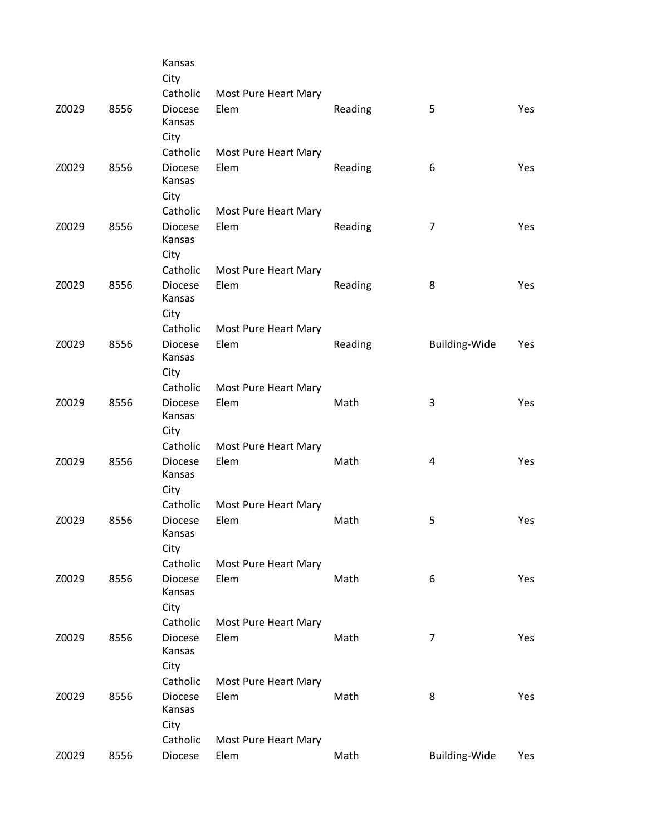|      | Kansas                                               |                                                                                                                                                                                                                                                                                                                                                        |                                                                                                                                                                                                                                                                              |                                                               |                                                                 |
|------|------------------------------------------------------|--------------------------------------------------------------------------------------------------------------------------------------------------------------------------------------------------------------------------------------------------------------------------------------------------------------------------------------------------------|------------------------------------------------------------------------------------------------------------------------------------------------------------------------------------------------------------------------------------------------------------------------------|---------------------------------------------------------------|-----------------------------------------------------------------|
|      |                                                      |                                                                                                                                                                                                                                                                                                                                                        |                                                                                                                                                                                                                                                                              |                                                               |                                                                 |
| 8556 | <b>Diocese</b><br>Kansas                             | Elem                                                                                                                                                                                                                                                                                                                                                   | Reading                                                                                                                                                                                                                                                                      | 5                                                             | Yes                                                             |
|      |                                                      |                                                                                                                                                                                                                                                                                                                                                        |                                                                                                                                                                                                                                                                              |                                                               |                                                                 |
|      |                                                      |                                                                                                                                                                                                                                                                                                                                                        |                                                                                                                                                                                                                                                                              |                                                               |                                                                 |
|      | Kansas                                               |                                                                                                                                                                                                                                                                                                                                                        |                                                                                                                                                                                                                                                                              |                                                               | <b>Yes</b>                                                      |
|      |                                                      |                                                                                                                                                                                                                                                                                                                                                        |                                                                                                                                                                                                                                                                              |                                                               |                                                                 |
|      |                                                      |                                                                                                                                                                                                                                                                                                                                                        |                                                                                                                                                                                                                                                                              |                                                               | Yes                                                             |
|      | Kansas                                               |                                                                                                                                                                                                                                                                                                                                                        |                                                                                                                                                                                                                                                                              |                                                               |                                                                 |
|      | City                                                 |                                                                                                                                                                                                                                                                                                                                                        |                                                                                                                                                                                                                                                                              |                                                               |                                                                 |
|      | Catholic                                             | Most Pure Heart Mary                                                                                                                                                                                                                                                                                                                                   |                                                                                                                                                                                                                                                                              |                                                               |                                                                 |
| 8556 | Diocese                                              | Elem                                                                                                                                                                                                                                                                                                                                                   | Reading                                                                                                                                                                                                                                                                      | 8                                                             | Yes                                                             |
|      | Kansas                                               |                                                                                                                                                                                                                                                                                                                                                        |                                                                                                                                                                                                                                                                              |                                                               |                                                                 |
|      |                                                      |                                                                                                                                                                                                                                                                                                                                                        |                                                                                                                                                                                                                                                                              |                                                               |                                                                 |
|      |                                                      |                                                                                                                                                                                                                                                                                                                                                        |                                                                                                                                                                                                                                                                              |                                                               |                                                                 |
|      |                                                      |                                                                                                                                                                                                                                                                                                                                                        |                                                                                                                                                                                                                                                                              |                                                               | Yes                                                             |
|      |                                                      |                                                                                                                                                                                                                                                                                                                                                        |                                                                                                                                                                                                                                                                              |                                                               |                                                                 |
|      |                                                      |                                                                                                                                                                                                                                                                                                                                                        |                                                                                                                                                                                                                                                                              |                                                               |                                                                 |
|      |                                                      |                                                                                                                                                                                                                                                                                                                                                        |                                                                                                                                                                                                                                                                              |                                                               | Yes                                                             |
|      | Kansas                                               |                                                                                                                                                                                                                                                                                                                                                        |                                                                                                                                                                                                                                                                              |                                                               |                                                                 |
|      | City                                                 |                                                                                                                                                                                                                                                                                                                                                        |                                                                                                                                                                                                                                                                              |                                                               |                                                                 |
|      | Catholic                                             | Most Pure Heart Mary                                                                                                                                                                                                                                                                                                                                   |                                                                                                                                                                                                                                                                              |                                                               |                                                                 |
| 8556 | <b>Diocese</b>                                       | Elem                                                                                                                                                                                                                                                                                                                                                   | Math                                                                                                                                                                                                                                                                         | 4                                                             | Yes                                                             |
|      | Kansas                                               |                                                                                                                                                                                                                                                                                                                                                        |                                                                                                                                                                                                                                                                              |                                                               |                                                                 |
|      |                                                      |                                                                                                                                                                                                                                                                                                                                                        |                                                                                                                                                                                                                                                                              |                                                               |                                                                 |
|      |                                                      |                                                                                                                                                                                                                                                                                                                                                        |                                                                                                                                                                                                                                                                              |                                                               |                                                                 |
|      |                                                      |                                                                                                                                                                                                                                                                                                                                                        |                                                                                                                                                                                                                                                                              |                                                               | Yes                                                             |
|      |                                                      |                                                                                                                                                                                                                                                                                                                                                        |                                                                                                                                                                                                                                                                              |                                                               |                                                                 |
|      |                                                      |                                                                                                                                                                                                                                                                                                                                                        |                                                                                                                                                                                                                                                                              |                                                               |                                                                 |
|      |                                                      |                                                                                                                                                                                                                                                                                                                                                        |                                                                                                                                                                                                                                                                              |                                                               | Yes                                                             |
|      | Kansas                                               |                                                                                                                                                                                                                                                                                                                                                        |                                                                                                                                                                                                                                                                              |                                                               |                                                                 |
|      | City                                                 |                                                                                                                                                                                                                                                                                                                                                        |                                                                                                                                                                                                                                                                              |                                                               |                                                                 |
|      | Catholic                                             | Most Pure Heart Mary                                                                                                                                                                                                                                                                                                                                   |                                                                                                                                                                                                                                                                              |                                                               |                                                                 |
| 8556 | <b>Diocese</b>                                       | Elem                                                                                                                                                                                                                                                                                                                                                   | Math                                                                                                                                                                                                                                                                         | $\overline{7}$                                                | Yes                                                             |
|      |                                                      |                                                                                                                                                                                                                                                                                                                                                        |                                                                                                                                                                                                                                                                              |                                                               |                                                                 |
|      |                                                      |                                                                                                                                                                                                                                                                                                                                                        |                                                                                                                                                                                                                                                                              |                                                               |                                                                 |
|      |                                                      |                                                                                                                                                                                                                                                                                                                                                        |                                                                                                                                                                                                                                                                              |                                                               |                                                                 |
|      |                                                      |                                                                                                                                                                                                                                                                                                                                                        |                                                                                                                                                                                                                                                                              |                                                               | Yes                                                             |
|      |                                                      |                                                                                                                                                                                                                                                                                                                                                        |                                                                                                                                                                                                                                                                              |                                                               |                                                                 |
|      |                                                      |                                                                                                                                                                                                                                                                                                                                                        |                                                                                                                                                                                                                                                                              |                                                               |                                                                 |
| 8556 | Diocese                                              | Elem                                                                                                                                                                                                                                                                                                                                                   | Math                                                                                                                                                                                                                                                                         | Building-Wide                                                 | Yes                                                             |
|      | 8556<br>8556<br>8556<br>8556<br>8556<br>8556<br>8556 | City<br>Catholic<br>City<br>Catholic<br><b>Diocese</b><br>City<br>Catholic<br><b>Diocese</b><br>City<br>Catholic<br><b>Diocese</b><br>Kansas<br>City<br>Catholic<br><b>Diocese</b><br>City<br>Catholic<br><b>Diocese</b><br>Kansas<br>City<br>Catholic<br><b>Diocese</b><br>Kansas<br>City<br>Catholic<br><b>Diocese</b><br>Kansas<br>City<br>Catholic | Most Pure Heart Mary<br>Most Pure Heart Mary<br>Elem<br>Most Pure Heart Mary<br>Elem<br>Most Pure Heart Mary<br>Elem<br>Most Pure Heart Mary<br>Elem<br>Most Pure Heart Mary<br>Elem<br>Most Pure Heart Mary<br>Elem<br>Most Pure Heart Mary<br>Elem<br>Most Pure Heart Mary | Reading<br>Reading<br>Reading<br>Math<br>Math<br>Math<br>Math | 6<br>$\overline{7}$<br><b>Building-Wide</b><br>3<br>5<br>6<br>8 |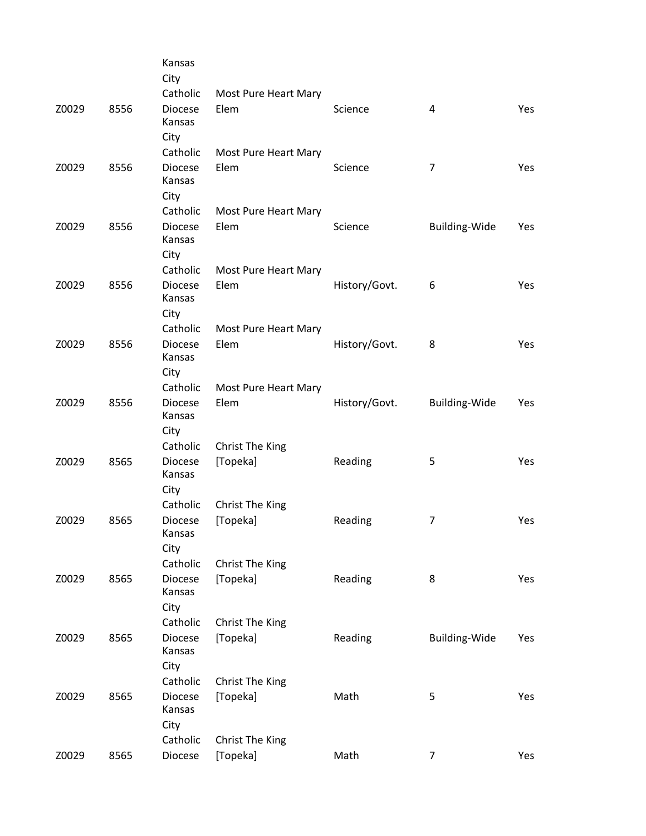|       |      | Kansas<br>City                   |                              |               |                      |     |
|-------|------|----------------------------------|------------------------------|---------------|----------------------|-----|
|       |      | Catholic                         | Most Pure Heart Mary         |               |                      |     |
| Z0029 | 8556 | <b>Diocese</b><br>Kansas         | Elem                         | Science       | 4                    | Yes |
|       |      | City                             |                              |               |                      |     |
|       |      | Catholic                         | Most Pure Heart Mary         |               |                      |     |
| Z0029 | 8556 | <b>Diocese</b><br>Kansas<br>City | Elem                         | Science       | 7                    | Yes |
|       |      | Catholic                         | Most Pure Heart Mary         |               |                      |     |
| Z0029 | 8556 | <b>Diocese</b>                   | Elem                         | Science       | <b>Building-Wide</b> | Yes |
|       |      | Kansas                           |                              |               |                      |     |
|       |      | City                             |                              |               |                      |     |
|       |      | Catholic                         | Most Pure Heart Mary         |               |                      |     |
| Z0029 | 8556 | <b>Diocese</b>                   | Elem                         | History/Govt. | 6                    | Yes |
|       |      | Kansas                           |                              |               |                      |     |
|       |      | City<br>Catholic                 |                              |               |                      |     |
| Z0029 | 8556 | <b>Diocese</b>                   | Most Pure Heart Mary<br>Elem | History/Govt. | 8                    | Yes |
|       |      | Kansas                           |                              |               |                      |     |
|       |      | City                             |                              |               |                      |     |
|       |      | Catholic                         | Most Pure Heart Mary         |               |                      |     |
| Z0029 | 8556 | <b>Diocese</b>                   | Elem                         | History/Govt. | Building-Wide        | Yes |
|       |      | Kansas                           |                              |               |                      |     |
|       |      | City                             |                              |               |                      |     |
|       |      | Catholic                         | Christ The King              |               |                      |     |
| Z0029 | 8565 | <b>Diocese</b><br>Kansas         | [Topeka]                     | Reading       | 5                    | Yes |
|       |      | City                             |                              |               |                      |     |
|       |      | Catholic                         | Christ The King              |               |                      |     |
| Z0029 | 8565 | <b>Diocese</b>                   | [Topeka]                     | Reading       | $\overline{7}$       | Yes |
|       |      | Kansas                           |                              |               |                      |     |
|       |      | City                             |                              |               |                      |     |
|       |      | Catholic                         | Christ The King              |               |                      |     |
| Z0029 | 8565 | <b>Diocese</b><br>Kansas         | [Topeka]                     | Reading       | 8                    | Yes |
|       |      | City                             |                              |               |                      |     |
|       |      | Catholic                         | Christ The King              |               |                      |     |
| Z0029 | 8565 | <b>Diocese</b>                   | [Topeka]                     | Reading       | <b>Building-Wide</b> | Yes |
|       |      | Kansas                           |                              |               |                      |     |
|       |      | City                             |                              |               |                      |     |
|       |      | Catholic                         | Christ The King              |               |                      |     |
| Z0029 | 8565 | <b>Diocese</b><br>Kansas         | [Topeka]                     | Math          | 5                    | Yes |
|       |      | City                             |                              |               |                      |     |
|       |      | Catholic                         | Christ The King              |               |                      |     |
| Z0029 | 8565 | Diocese                          | [Topeka]                     | Math          | $\overline{7}$       | Yes |
|       |      |                                  |                              |               |                      |     |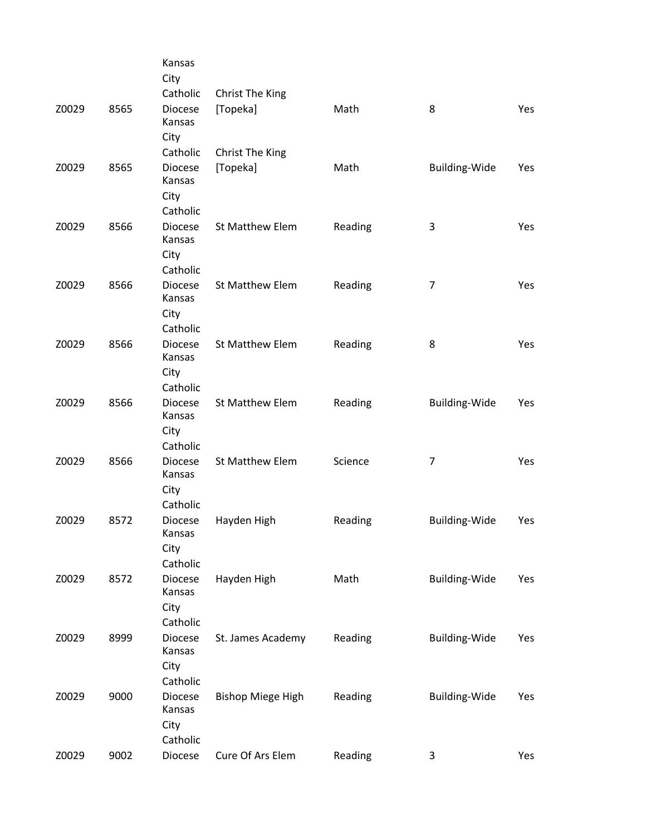|      | Kansas                                       |                                                                                                                                                                                                                                        |                                                                                                                                              |                                                             |                                                                              |
|------|----------------------------------------------|----------------------------------------------------------------------------------------------------------------------------------------------------------------------------------------------------------------------------------------|----------------------------------------------------------------------------------------------------------------------------------------------|-------------------------------------------------------------|------------------------------------------------------------------------------|
|      |                                              |                                                                                                                                                                                                                                        |                                                                                                                                              |                                                             |                                                                              |
| 8565 | <b>Diocese</b><br>Kansas                     | [Topeka]                                                                                                                                                                                                                               | Math                                                                                                                                         | 8                                                           | Yes                                                                          |
|      | Catholic                                     |                                                                                                                                                                                                                                        |                                                                                                                                              |                                                             |                                                                              |
| 8565 | Diocese<br>Kansas<br>City                    | [Topeka]                                                                                                                                                                                                                               | Math                                                                                                                                         | Building-Wide                                               | Yes                                                                          |
|      | Catholic                                     |                                                                                                                                                                                                                                        |                                                                                                                                              |                                                             |                                                                              |
| 8566 | <b>Diocese</b><br>Kansas<br>City             | St Matthew Elem                                                                                                                                                                                                                        | Reading                                                                                                                                      | 3                                                           | Yes                                                                          |
|      |                                              |                                                                                                                                                                                                                                        |                                                                                                                                              |                                                             |                                                                              |
|      | Kansas<br>City                               |                                                                                                                                                                                                                                        |                                                                                                                                              |                                                             | Yes                                                                          |
|      |                                              |                                                                                                                                                                                                                                        |                                                                                                                                              |                                                             | Yes                                                                          |
|      | Kansas<br>City                               |                                                                                                                                                                                                                                        |                                                                                                                                              |                                                             |                                                                              |
|      |                                              |                                                                                                                                                                                                                                        |                                                                                                                                              |                                                             | Yes                                                                          |
|      | Kansas<br>City                               |                                                                                                                                                                                                                                        |                                                                                                                                              |                                                             |                                                                              |
|      |                                              |                                                                                                                                                                                                                                        |                                                                                                                                              |                                                             |                                                                              |
|      | Kansas<br>City                               |                                                                                                                                                                                                                                        |                                                                                                                                              |                                                             | Yes                                                                          |
|      |                                              |                                                                                                                                                                                                                                        |                                                                                                                                              |                                                             | Yes                                                                          |
|      | Kansas<br>City                               |                                                                                                                                                                                                                                        |                                                                                                                                              |                                                             |                                                                              |
|      |                                              |                                                                                                                                                                                                                                        |                                                                                                                                              |                                                             |                                                                              |
|      | Kansas                                       |                                                                                                                                                                                                                                        |                                                                                                                                              |                                                             | Yes                                                                          |
|      |                                              |                                                                                                                                                                                                                                        |                                                                                                                                              |                                                             |                                                                              |
| 8999 | <b>Diocese</b><br>Kansas                     | St. James Academy                                                                                                                                                                                                                      | Reading                                                                                                                                      | <b>Building-Wide</b>                                        | Yes                                                                          |
|      | City                                         |                                                                                                                                                                                                                                        |                                                                                                                                              |                                                             |                                                                              |
|      | Catholic                                     |                                                                                                                                                                                                                                        |                                                                                                                                              |                                                             |                                                                              |
| 9000 | Diocese<br>Kansas                            | <b>Bishop Miege High</b>                                                                                                                                                                                                               | Reading                                                                                                                                      | <b>Building-Wide</b>                                        | Yes                                                                          |
|      |                                              |                                                                                                                                                                                                                                        |                                                                                                                                              |                                                             |                                                                              |
| 9002 | Diocese                                      | Cure Of Ars Elem                                                                                                                                                                                                                       | Reading                                                                                                                                      | 3                                                           | Yes                                                                          |
|      | 8566<br>8566<br>8566<br>8566<br>8572<br>8572 | City<br>Catholic<br>City<br>Catholic<br><b>Diocese</b><br>Catholic<br><b>Diocese</b><br>Catholic<br>Diocese<br>Catholic<br><b>Diocese</b><br>Catholic<br><b>Diocese</b><br>Catholic<br>Diocese<br>City<br>Catholic<br>City<br>Catholic | Christ The King<br>Christ The King<br>St Matthew Elem<br>St Matthew Elem<br>St Matthew Elem<br>St Matthew Elem<br>Hayden High<br>Hayden High | Reading<br>Reading<br>Reading<br>Science<br>Reading<br>Math | 7<br>8<br>Building-Wide<br>7<br><b>Building-Wide</b><br><b>Building-Wide</b> |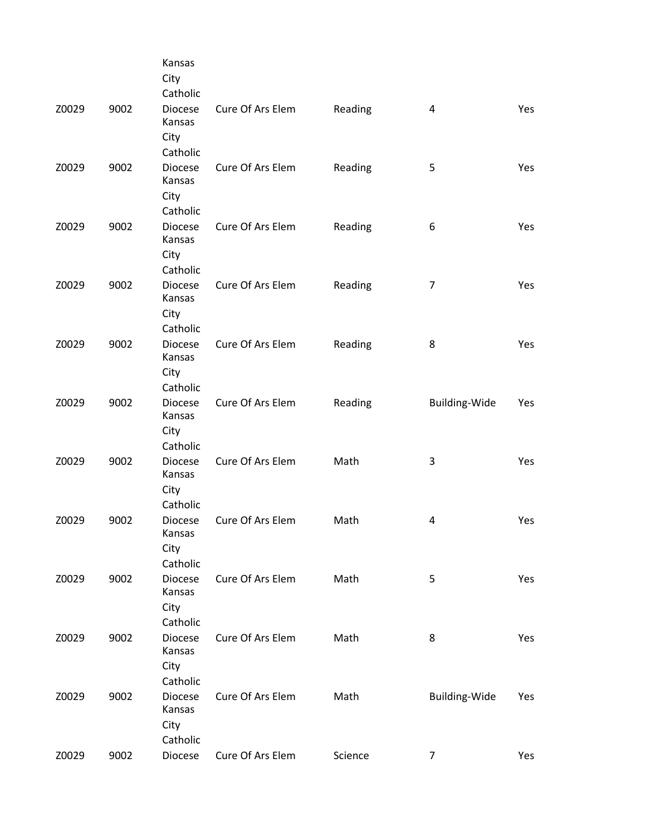|       |      | Kansas<br>City<br>Catholic                   |                  |         |                      |            |
|-------|------|----------------------------------------------|------------------|---------|----------------------|------------|
| Z0029 | 9002 | <b>Diocese</b><br>Kansas<br>City<br>Catholic | Cure Of Ars Elem | Reading | 4                    | Yes        |
| Z0029 | 9002 | <b>Diocese</b><br>Kansas<br>City<br>Catholic | Cure Of Ars Elem | Reading | 5                    | Yes        |
| Z0029 | 9002 | <b>Diocese</b><br>Kansas<br>City<br>Catholic | Cure Of Ars Elem | Reading | 6                    | Yes        |
| Z0029 | 9002 | Diocese<br>Kansas<br>City<br>Catholic        | Cure Of Ars Elem | Reading | $\overline{7}$       | Yes        |
| Z0029 | 9002 | <b>Diocese</b><br>Kansas<br>City<br>Catholic | Cure Of Ars Elem | Reading | 8                    | <b>Yes</b> |
| Z0029 | 9002 | <b>Diocese</b><br>Kansas<br>City<br>Catholic | Cure Of Ars Elem | Reading | Building-Wide        | Yes        |
| Z0029 | 9002 | <b>Diocese</b><br>Kansas<br>City<br>Catholic | Cure Of Ars Elem | Math    | 3                    | <b>Yes</b> |
| Z0029 | 9002 | <b>Diocese</b><br>Kansas<br>City<br>Catholic | Cure Of Ars Elem | Math    | 4                    | Yes        |
| Z0029 | 9002 | <b>Diocese</b><br>Kansas<br>City<br>Catholic | Cure Of Ars Elem | Math    | 5                    | Yes        |
| Z0029 | 9002 | <b>Diocese</b><br>Kansas<br>City<br>Catholic | Cure Of Ars Elem | Math    | 8                    | Yes        |
| Z0029 | 9002 | Diocese<br>Kansas<br>City<br>Catholic        | Cure Of Ars Elem | Math    | <b>Building-Wide</b> | Yes        |
| Z0029 | 9002 | Diocese                                      | Cure Of Ars Elem | Science | $\overline{7}$       | Yes        |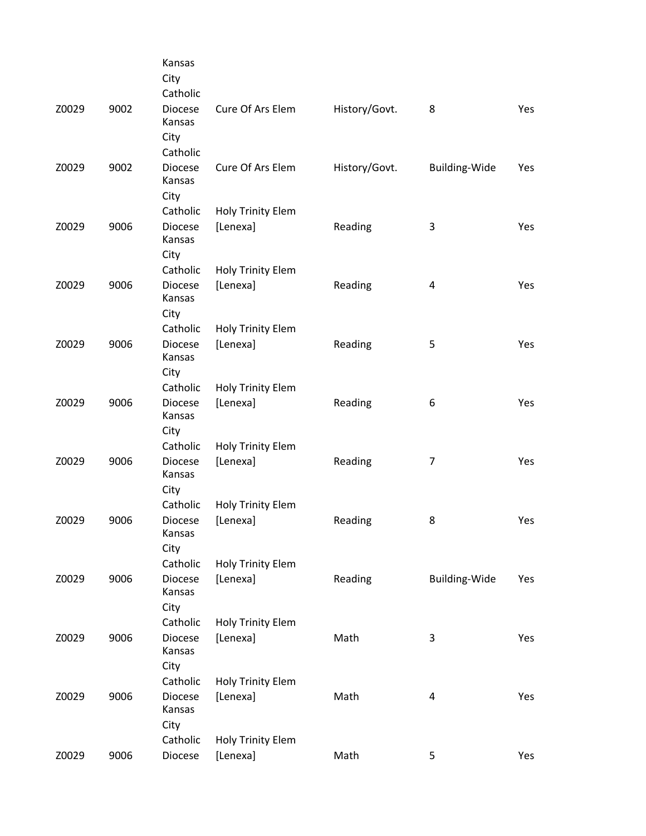|       |      | Kansas<br>City<br>Catholic                   |                                      |               |                         |     |
|-------|------|----------------------------------------------|--------------------------------------|---------------|-------------------------|-----|
| Z0029 | 9002 | Diocese<br>Kansas<br>City                    | Cure Of Ars Elem                     | History/Govt. | 8                       | Yes |
| Z0029 | 9002 | Catholic<br><b>Diocese</b><br>Kansas<br>City | Cure Of Ars Elem                     | History/Govt. | Building-Wide           | Yes |
|       |      | Catholic                                     | Holy Trinity Elem                    |               |                         |     |
| Z0029 | 9006 | <b>Diocese</b><br>Kansas<br>City             | [Lenexa]                             | Reading       | 3                       | Yes |
|       |      | Catholic                                     | Holy Trinity Elem                    |               |                         |     |
| Z0029 | 9006 | <b>Diocese</b><br>Kansas<br>City             | [Lenexa]                             | Reading       | $\overline{\mathbf{4}}$ | Yes |
|       |      | Catholic                                     | Holy Trinity Elem                    |               |                         |     |
| Z0029 | 9006 | <b>Diocese</b><br>Kansas                     | [Lenexa]                             | Reading       | 5                       | Yes |
|       |      | City<br>Catholic                             | <b>Holy Trinity Elem</b>             |               |                         |     |
| Z0029 | 9006 | <b>Diocese</b><br>Kansas                     | [Lenexa]                             | Reading       | 6                       | Yes |
|       |      | City<br>Catholic                             | <b>Holy Trinity Elem</b>             |               |                         |     |
| Z0029 | 9006 | <b>Diocese</b><br>Kansas                     | [Lenexa]                             | Reading       | $\overline{7}$          | Yes |
|       |      | City                                         |                                      |               |                         |     |
| Z0029 | 9006 | Catholic<br>Diocese<br>Kansas                | Holy Trinity Elem<br>[Lenexa]        | Reading       | 8                       | Yes |
|       |      | City                                         |                                      |               |                         |     |
|       | 9006 | Catholic<br><b>Diocese</b>                   | <b>Holy Trinity Elem</b><br>[Lenexa] |               | Building-Wide           |     |
| Z0029 |      | Kansas<br>City                               |                                      | Reading       |                         | Yes |
|       |      | Catholic                                     | <b>Holy Trinity Elem</b>             |               |                         |     |
| Z0029 | 9006 | <b>Diocese</b><br>Kansas                     | [Lenexa]                             | Math          | 3                       | Yes |
|       |      | City<br>Catholic                             | <b>Holy Trinity Elem</b>             |               |                         |     |
| Z0029 | 9006 | <b>Diocese</b><br>Kansas                     | [Lenexa]                             | Math          | $\overline{\mathbf{4}}$ | Yes |
|       |      | City<br>Catholic                             | Holy Trinity Elem                    |               |                         |     |
| Z0029 | 9006 | Diocese                                      | [Lenexa]                             | Math          | 5                       | Yes |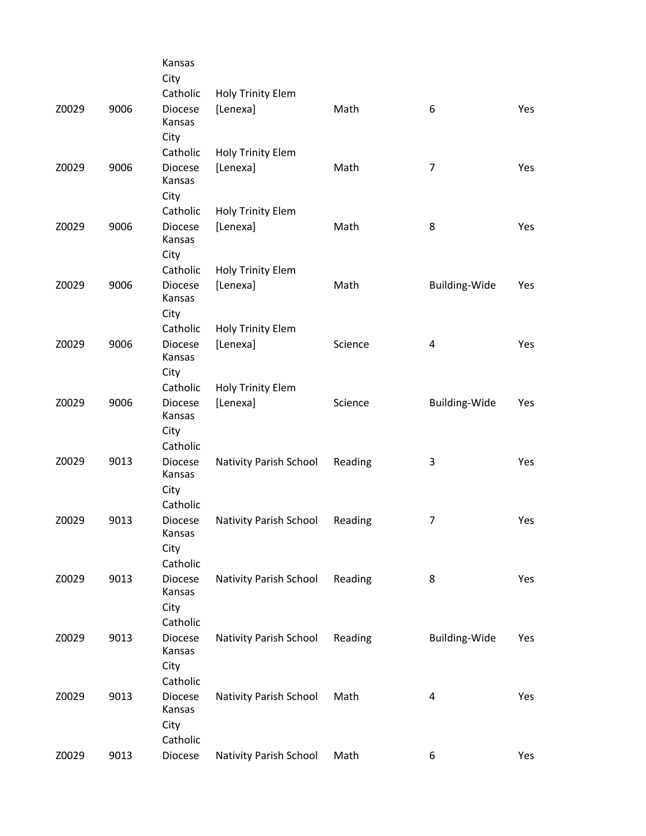|       |      | Kansas<br>City            |                          |         |                      |     |
|-------|------|---------------------------|--------------------------|---------|----------------------|-----|
|       |      | Catholic                  | <b>Holy Trinity Elem</b> |         |                      |     |
| Z0029 | 9006 | <b>Diocese</b><br>Kansas  | [Lenexa]                 | Math    | 6                    | Yes |
|       |      | City                      |                          |         |                      |     |
|       |      | Catholic                  | Holy Trinity Elem        |         |                      |     |
| Z0029 | 9006 | <b>Diocese</b><br>Kansas  | [Lenexa]                 | Math    | $\overline{7}$       | Yes |
|       |      | City                      |                          |         |                      |     |
|       |      | Catholic                  | Holy Trinity Elem        |         |                      |     |
| Z0029 | 9006 | <b>Diocese</b><br>Kansas  | [Lenexa]                 | Math    | 8                    | Yes |
|       |      | City                      |                          |         |                      |     |
|       |      | Catholic                  | Holy Trinity Elem        |         |                      |     |
| Z0029 | 9006 | Diocese<br>Kansas<br>City | [Lenexa]                 | Math    | Building-Wide        | Yes |
|       |      |                           |                          |         |                      |     |
|       |      | Catholic                  | Holy Trinity Elem        |         |                      |     |
| Z0029 | 9006 | <b>Diocese</b><br>Kansas  | [Lenexa]                 | Science | 4                    | Yes |
|       |      | City                      |                          |         |                      |     |
|       |      | Catholic                  | <b>Holy Trinity Elem</b> |         |                      |     |
| Z0029 | 9006 | <b>Diocese</b><br>Kansas  | [Lenexa]                 | Science | <b>Building-Wide</b> | Yes |
|       |      | City                      |                          |         |                      |     |
|       |      | Catholic                  |                          |         |                      |     |
| Z0029 | 9013 | <b>Diocese</b><br>Kansas  | Nativity Parish School   | Reading | 3                    | Yes |
|       |      | City<br>Catholic          |                          |         |                      |     |
|       |      | Diocese                   |                          |         |                      |     |
| Z0029 | 9013 | Kansas                    | Nativity Parish School   | Reading | 7                    | Yes |
|       |      | City                      |                          |         |                      |     |
|       |      | Catholic                  |                          |         |                      |     |
| Z0029 | 9013 | <b>Diocese</b><br>Kansas  | Nativity Parish School   | Reading | 8                    | Yes |
|       |      | City                      |                          |         |                      |     |
|       |      | Catholic                  |                          |         |                      |     |
| Z0029 | 9013 | <b>Diocese</b><br>Kansas  | Nativity Parish School   | Reading | <b>Building-Wide</b> | Yes |
|       |      | City                      |                          |         |                      |     |
|       |      | Catholic                  |                          |         |                      |     |
| Z0029 | 9013 | <b>Diocese</b><br>Kansas  | Nativity Parish School   | Math    | 4                    | Yes |
|       |      | City                      |                          |         |                      |     |
|       |      | Catholic                  |                          |         |                      |     |
| Z0029 | 9013 | Diocese                   | Nativity Parish School   | Math    | 6                    | Yes |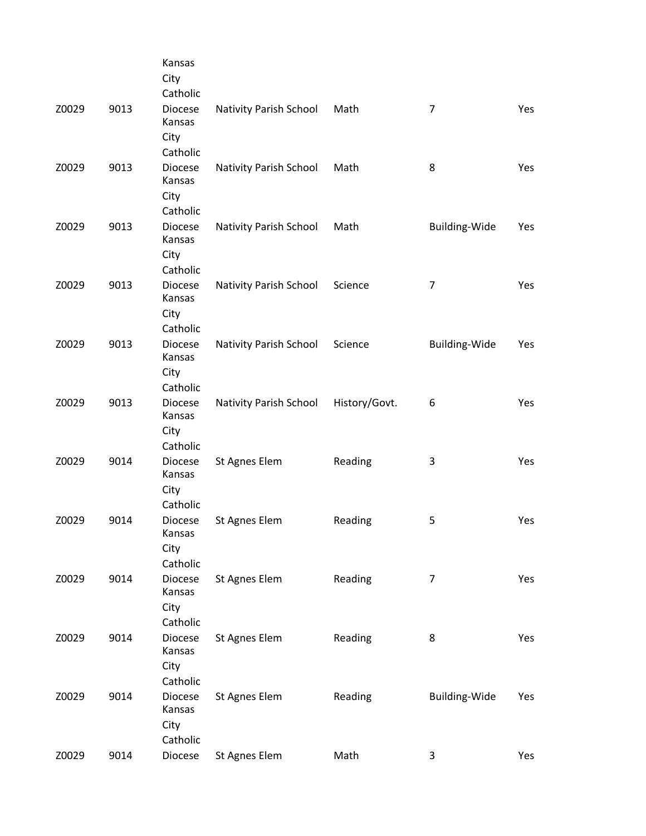|       |      | Kansas<br>City<br>Catholic                   |                        |               |                      |     |
|-------|------|----------------------------------------------|------------------------|---------------|----------------------|-----|
| Z0029 | 9013 | <b>Diocese</b><br>Kansas<br>City             | Nativity Parish School | Math          | $\overline{7}$       | Yes |
| Z0029 | 9013 | Catholic<br><b>Diocese</b><br>Kansas         | Nativity Parish School | Math          | 8                    | Yes |
| Z0029 | 9013 | City<br>Catholic<br><b>Diocese</b>           |                        | Math          |                      |     |
|       |      | Kansas<br>City<br>Catholic                   | Nativity Parish School |               | Building-Wide        | Yes |
| Z0029 | 9013 | <b>Diocese</b><br>Kansas<br>City             | Nativity Parish School | Science       | $\overline{7}$       | Yes |
| Z0029 | 9013 | Catholic<br><b>Diocese</b><br>Kansas<br>City | Nativity Parish School | Science       | <b>Building-Wide</b> | Yes |
| Z0029 | 9013 | Catholic<br><b>Diocese</b>                   | Nativity Parish School | History/Govt. | 6                    | Yes |
|       |      | Kansas<br>City<br>Catholic                   |                        |               |                      |     |
| Z0029 | 9014 | Diocese<br>Kansas<br>City<br>Catholic        | St Agnes Elem          | Reading       | 3                    | Yes |
| Z0029 | 9014 | <b>Diocese</b><br>Kansas<br>City             | St Agnes Elem          | Reading       | 5                    | Yes |
| Z0029 | 9014 | Catholic<br>Diocese<br>Kansas<br>City        | St Agnes Elem          | Reading       | $\overline{7}$       | Yes |
| Z0029 | 9014 | Catholic<br><b>Diocese</b>                   | St Agnes Elem          | Reading       | 8                    | Yes |
|       |      | Kansas<br>City<br>Catholic                   |                        |               |                      |     |
| Z0029 | 9014 | <b>Diocese</b><br>Kansas<br>City<br>Catholic | St Agnes Elem          | Reading       | Building-Wide        | Yes |
| Z0029 | 9014 | Diocese                                      | St Agnes Elem          | Math          | 3                    | Yes |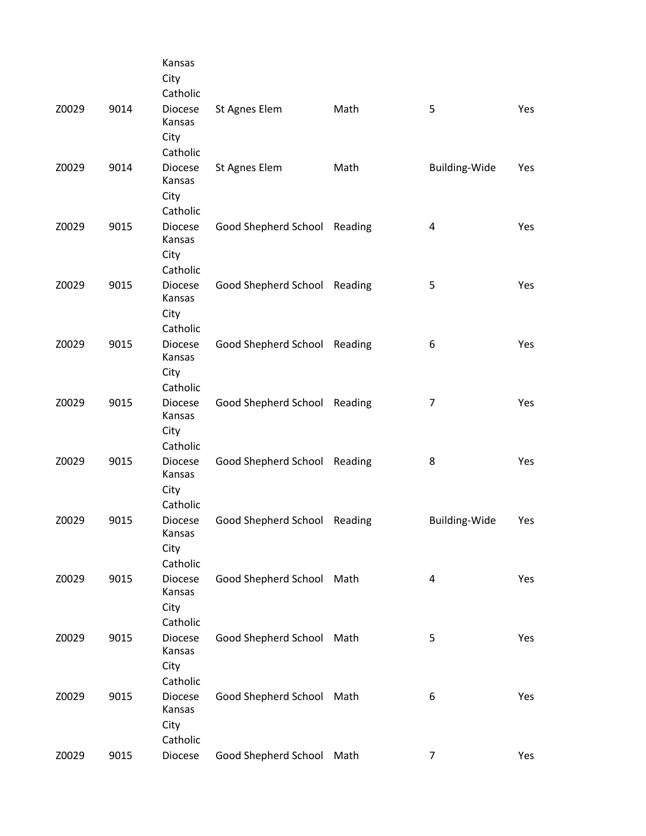|       |      | Kansas<br>City<br>Catholic                   |                              |         |                         |     |
|-------|------|----------------------------------------------|------------------------------|---------|-------------------------|-----|
| Z0029 | 9014 | Diocese<br>Kansas<br>City                    | St Agnes Elem                | Math    | 5                       | Yes |
| Z0029 | 9014 | Catholic<br>Diocese<br>Kansas<br>City        | St Agnes Elem                | Math    | Building-Wide           | Yes |
| Z0029 | 9015 | Catholic<br>Diocese<br>Kansas<br>City        | Good Shepherd School Reading |         | $\overline{\mathbf{4}}$ | Yes |
| Z0029 | 9015 | Catholic<br><b>Diocese</b><br>Kansas<br>City | Good Shepherd School Reading |         | 5                       | Yes |
| Z0029 | 9015 | Catholic<br><b>Diocese</b><br>Kansas<br>City | Good Shepherd School         | Reading | 6                       | Yes |
| Z0029 | 9015 | Catholic<br><b>Diocese</b><br>Kansas<br>City | Good Shepherd School         | Reading | 7                       | Yes |
| Z0029 | 9015 | Catholic<br><b>Diocese</b><br>Kansas<br>City | Good Shepherd School Reading |         | 8                       | Yes |
| Z0029 | 9015 | Catholic<br>Diocese<br>Kansas<br>City        | Good Shepherd School Reading |         | <b>Building-Wide</b>    | Yes |
| Z0029 | 9015 | Catholic<br><b>Diocese</b><br>Kansas<br>City | Good Shepherd School Math    |         | 4                       | Yes |
| Z0029 | 9015 | Catholic<br><b>Diocese</b><br>Kansas<br>City | Good Shepherd School Math    |         | 5                       | Yes |
| Z0029 | 9015 | Catholic<br><b>Diocese</b><br>Kansas<br>City | Good Shepherd School Math    |         | 6                       | Yes |
| Z0029 | 9015 | Catholic<br>Diocese                          | Good Shepherd School Math    |         | 7                       | Yes |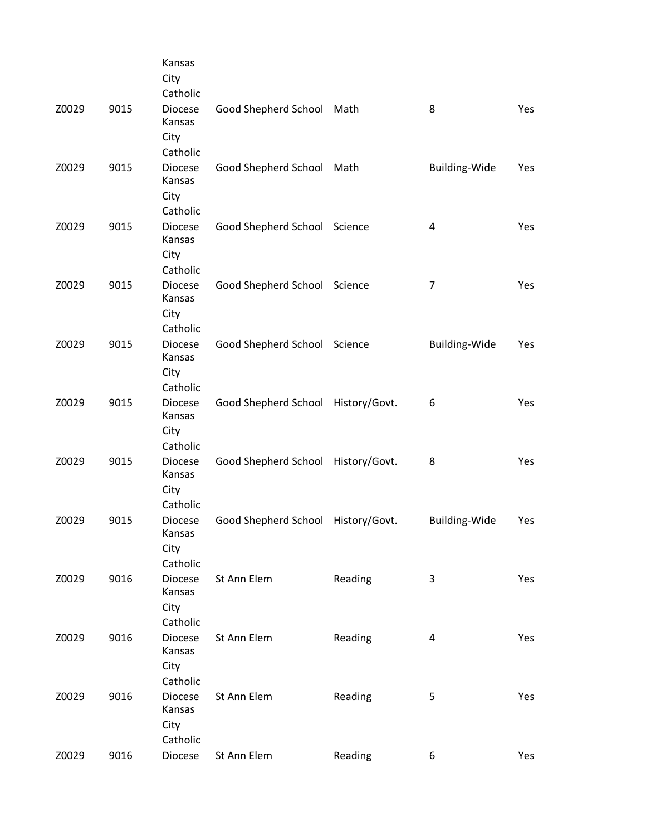|       |      | Kansas<br>City<br>Catholic                   |                                    |         |                      |            |
|-------|------|----------------------------------------------|------------------------------------|---------|----------------------|------------|
| Z0029 | 9015 | <b>Diocese</b><br>Kansas<br>City             | Good Shepherd School Math          |         | 8                    | Yes        |
| Z0029 | 9015 | Catholic<br><b>Diocese</b><br>Kansas<br>City | Good Shepherd School Math          |         | Building-Wide        | Yes        |
| Z0029 | 9015 | Catholic<br>Diocese<br>Kansas<br>City        | Good Shepherd School Science       |         | 4                    | Yes        |
| Z0029 | 9015 | Catholic<br><b>Diocese</b><br>Kansas<br>City | Good Shepherd School Science       |         | $\overline{7}$       | <b>Yes</b> |
| Z0029 | 9015 | Catholic<br><b>Diocese</b><br>Kansas<br>City | Good Shepherd School Science       |         | <b>Building-Wide</b> | Yes        |
| Z0029 | 9015 | Catholic<br><b>Diocese</b><br>Kansas<br>City | Good Shepherd School History/Govt. |         | 6                    | Yes        |
| Z0029 | 9015 | Catholic<br><b>Diocese</b><br>Kansas<br>City | Good Shepherd School History/Govt. |         | 8                    | Yes        |
| Z0029 | 9015 | Catholic<br><b>Diocese</b><br>Kansas<br>City | Good Shepherd School History/Govt. |         | <b>Building-Wide</b> | Yes        |
| Z0029 | 9016 | Catholic<br><b>Diocese</b><br>Kansas<br>City | St Ann Elem                        | Reading | 3                    | Yes        |
| Z0029 | 9016 | Catholic<br><b>Diocese</b><br>Kansas<br>City | St Ann Elem                        | Reading | 4                    | Yes        |
| Z0029 | 9016 | Catholic<br><b>Diocese</b><br>Kansas<br>City | St Ann Elem                        | Reading | 5                    | Yes        |
| Z0029 | 9016 | Catholic<br>Diocese                          | St Ann Elem                        | Reading | 6                    | Yes        |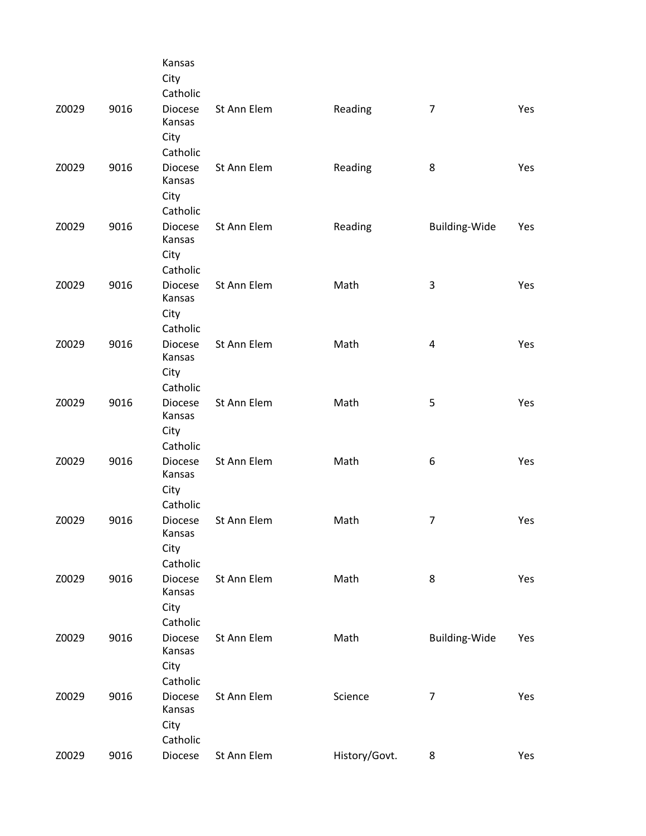|       |      | Kansas<br>City<br>Catholic                   |             |               |                |     |
|-------|------|----------------------------------------------|-------------|---------------|----------------|-----|
| Z0029 | 9016 | <b>Diocese</b><br>Kansas<br>City<br>Catholic | St Ann Elem | Reading       | $\overline{7}$ | Yes |
| Z0029 | 9016 | <b>Diocese</b><br>Kansas<br>City<br>Catholic | St Ann Elem | Reading       | 8              | Yes |
| Z0029 | 9016 | <b>Diocese</b><br>Kansas<br>City<br>Catholic | St Ann Elem | Reading       | Building-Wide  | Yes |
| Z0029 | 9016 | <b>Diocese</b><br>Kansas<br>City<br>Catholic | St Ann Elem | Math          | 3              | Yes |
| Z0029 | 9016 | <b>Diocese</b><br>Kansas<br>City<br>Catholic | St Ann Elem | Math          | 4              | Yes |
| Z0029 | 9016 | <b>Diocese</b><br>Kansas<br>City<br>Catholic | St Ann Elem | Math          | 5              | Yes |
| Z0029 | 9016 | <b>Diocese</b><br>Kansas<br>City<br>Catholic | St Ann Elem | Math          | 6              | Yes |
| Z0029 | 9016 | Diocese<br>Kansas<br>City<br>Catholic        | St Ann Elem | Math          | $\overline{7}$ | Yes |
| Z0029 | 9016 | <b>Diocese</b><br>Kansas<br>City<br>Catholic | St Ann Elem | Math          | 8              | Yes |
| Z0029 | 9016 | <b>Diocese</b><br>Kansas<br>City<br>Catholic | St Ann Elem | Math          | Building-Wide  | Yes |
| Z0029 | 9016 | <b>Diocese</b><br>Kansas<br>City<br>Catholic | St Ann Elem | Science       | $\overline{7}$ | Yes |
| Z0029 | 9016 | Diocese                                      | St Ann Elem | History/Govt. | 8              | Yes |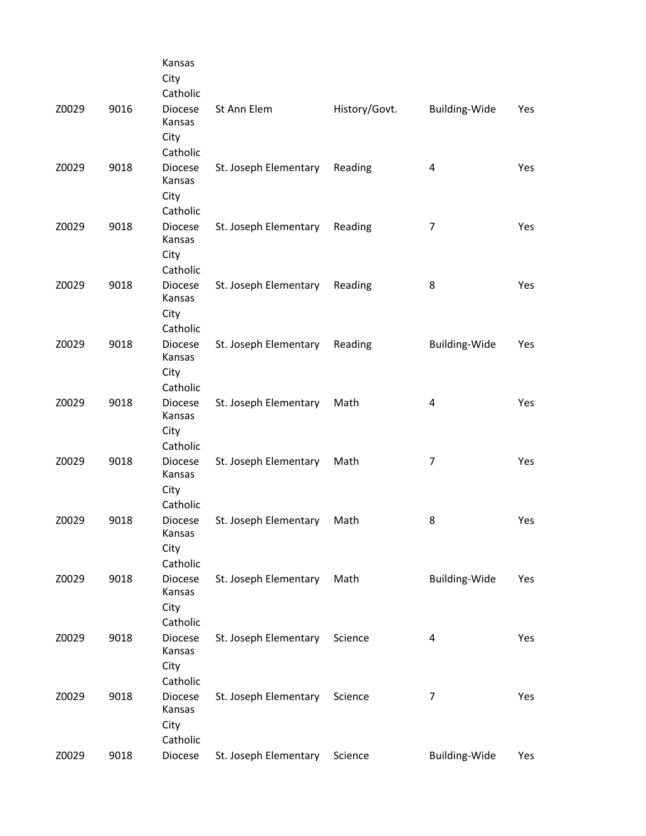|       |      | Kansas<br>City<br>Catholic                               |                       |               |                      |            |
|-------|------|----------------------------------------------------------|-----------------------|---------------|----------------------|------------|
| Z0029 | 9016 | <b>Diocese</b><br>Kansas<br>City                         | St Ann Elem           | History/Govt. | Building-Wide        | Yes        |
| Z0029 | 9018 | Catholic<br><b>Diocese</b><br>Kansas<br>City             | St. Joseph Elementary | Reading       | 4                    | Yes        |
| Z0029 | 9018 | Catholic<br><b>Diocese</b><br>Kansas<br>City<br>Catholic | St. Joseph Elementary | Reading       | 7                    | Yes        |
| Z0029 | 9018 | <b>Diocese</b><br>Kansas<br>City<br>Catholic             | St. Joseph Elementary | Reading       | 8                    | <b>Yes</b> |
| Z0029 | 9018 | <b>Diocese</b><br>Kansas<br>City<br>Catholic             | St. Joseph Elementary | Reading       | <b>Building-Wide</b> | Yes        |
| Z0029 | 9018 | <b>Diocese</b><br>Kansas<br>City                         | St. Joseph Elementary | Math          | 4                    | Yes        |
| Z0029 | 9018 | Catholic<br><b>Diocese</b><br>Kansas<br>City<br>Catholic | St. Joseph Elementary | Math          | $\overline{7}$       | Yes        |
| Z0029 | 9018 | <b>Diocese</b><br>Kansas<br>City                         | St. Joseph Elementary | Math          | 8                    | Yes        |
| Z0029 | 9018 | Catholic<br><b>Diocese</b><br>Kansas<br>City<br>Catholic | St. Joseph Elementary | Math          | <b>Building-Wide</b> | Yes        |
| Z0029 | 9018 | <b>Diocese</b><br>Kansas<br>City<br>Catholic             | St. Joseph Elementary | Science       | 4                    | Yes        |
| Z0029 | 9018 | <b>Diocese</b><br>Kansas<br>City<br>Catholic             | St. Joseph Elementary | Science       | 7                    | Yes        |
| Z0029 | 9018 | Diocese                                                  | St. Joseph Elementary | Science       | Building-Wide        | Yes        |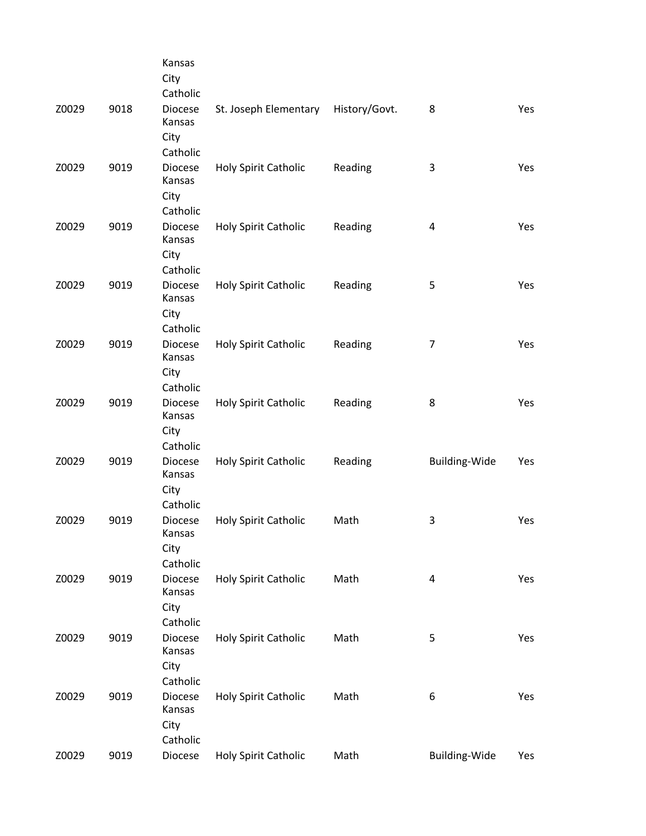|       |      | Kansas<br>City<br>Catholic                   |                             |               |                         |     |
|-------|------|----------------------------------------------|-----------------------------|---------------|-------------------------|-----|
| Z0029 | 9018 | Diocese<br>Kansas<br>City                    | St. Joseph Elementary       | History/Govt. | 8                       | Yes |
| Z0029 | 9019 | Catholic<br><b>Diocese</b><br>Kansas         | Holy Spirit Catholic        | Reading       | 3                       | Yes |
| Z0029 | 9019 | City<br>Catholic<br><b>Diocese</b>           | Holy Spirit Catholic        | Reading       | $\overline{\mathbf{4}}$ | Yes |
|       |      | Kansas<br>City<br>Catholic                   |                             |               |                         |     |
| Z0029 | 9019 | Diocese<br>Kansas<br>City                    | Holy Spirit Catholic        | Reading       | 5                       | Yes |
| Z0029 | 9019 | Catholic<br><b>Diocese</b><br>Kansas<br>City | <b>Holy Spirit Catholic</b> | Reading       | 7                       | Yes |
| Z0029 | 9019 | Catholic<br><b>Diocese</b><br>Kansas         | Holy Spirit Catholic        | Reading       | 8                       | Yes |
| Z0029 | 9019 | City<br>Catholic<br><b>Diocese</b>           | Holy Spirit Catholic        | Reading       | Building-Wide           | Yes |
|       |      | Kansas<br>City<br>Catholic                   |                             |               |                         |     |
| Z0029 | 9019 | Diocese<br>Kansas<br>City                    | <b>Holy Spirit Catholic</b> | Math          | 3                       | Yes |
| Z0029 | 9019 | Catholic<br><b>Diocese</b><br>Kansas<br>City | Holy Spirit Catholic        | Math          | 4                       | Yes |
| Z0029 | 9019 | Catholic<br><b>Diocese</b><br>Kansas         | <b>Holy Spirit Catholic</b> | Math          | 5                       | Yes |
|       |      | City<br>Catholic                             |                             |               |                         |     |
| Z0029 | 9019 | Diocese<br>Kansas<br>City<br>Catholic        | Holy Spirit Catholic        | Math          | 6                       | Yes |
| Z0029 | 9019 | Diocese                                      | Holy Spirit Catholic        | Math          | Building-Wide           | Yes |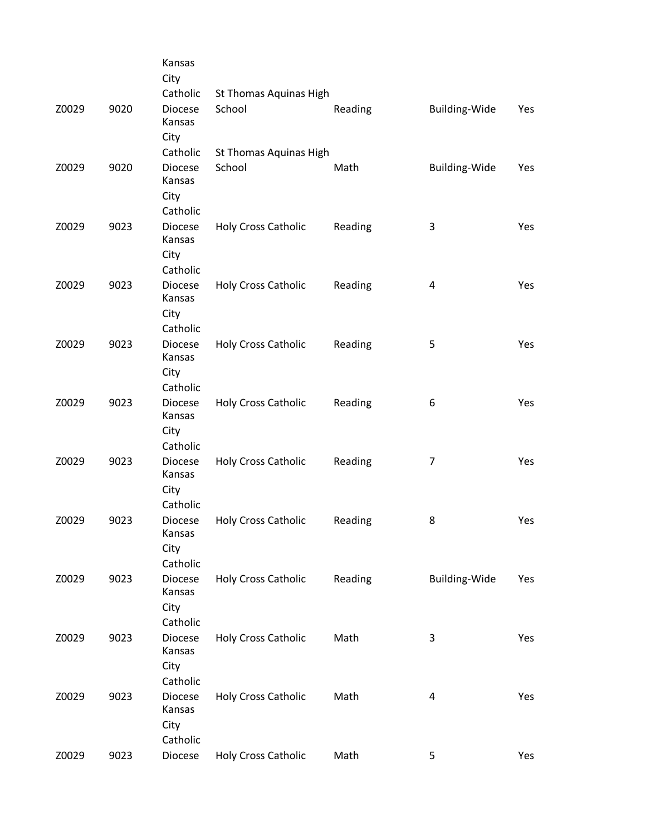|       |      | Kansas<br>City                   |                            |         |                      |            |
|-------|------|----------------------------------|----------------------------|---------|----------------------|------------|
|       |      | Catholic                         | St Thomas Aquinas High     |         |                      |            |
| Z0029 | 9020 | <b>Diocese</b><br>Kansas<br>City | School                     | Reading | Building-Wide        | Yes        |
|       |      | Catholic                         | St Thomas Aquinas High     |         |                      |            |
| Z0029 | 9020 | <b>Diocese</b><br>Kansas         | School                     | Math    | <b>Building-Wide</b> | Yes        |
|       |      | City<br>Catholic                 |                            |         |                      |            |
| Z0029 | 9023 | Diocese                          | <b>Holy Cross Catholic</b> | Reading | 3                    | Yes        |
|       |      | Kansas<br>City                   |                            |         |                      |            |
|       |      | Catholic                         |                            |         |                      |            |
| Z0029 | 9023 | <b>Diocese</b><br>Kansas<br>City | <b>Holy Cross Catholic</b> | Reading | 4                    | Yes        |
|       |      | Catholic                         |                            |         |                      |            |
| Z0029 | 9023 | <b>Diocese</b>                   | <b>Holy Cross Catholic</b> | Reading | 5                    | Yes        |
|       |      | Kansas                           |                            |         |                      |            |
|       |      | City                             |                            |         |                      |            |
|       |      | Catholic                         |                            |         |                      |            |
| Z0029 | 9023 | <b>Diocese</b>                   | <b>Holy Cross Catholic</b> | Reading | 6                    | Yes        |
|       |      | Kansas                           |                            |         |                      |            |
|       |      | City                             |                            |         |                      |            |
|       |      | Catholic                         |                            |         |                      |            |
| Z0029 | 9023 | <b>Diocese</b><br>Kansas         | <b>Holy Cross Catholic</b> | Reading | $\overline{7}$       | <b>Yes</b> |
|       |      | City                             |                            |         |                      |            |
|       |      | Catholic                         |                            |         |                      |            |
| Z0029 | 9023 | <b>Diocese</b>                   | <b>Holy Cross Catholic</b> | Reading | 8                    | Yes        |
|       |      | Kansas                           |                            |         |                      |            |
|       |      | City                             |                            |         |                      |            |
|       |      | Catholic                         |                            |         |                      |            |
| Z0029 | 9023 | <b>Diocese</b><br>Kansas         | <b>Holy Cross Catholic</b> | Reading | <b>Building-Wide</b> | Yes        |
|       |      | City                             |                            |         |                      |            |
|       |      | Catholic                         |                            |         |                      |            |
| Z0029 | 9023 | <b>Diocese</b>                   | <b>Holy Cross Catholic</b> | Math    | 3                    | Yes        |
|       |      | Kansas                           |                            |         |                      |            |
|       |      | City                             |                            |         |                      |            |
|       |      | Catholic                         |                            |         |                      |            |
| Z0029 | 9023 | <b>Diocese</b><br>Kansas         | <b>Holy Cross Catholic</b> | Math    | $\overline{4}$       | Yes        |
|       |      | City                             |                            |         |                      |            |
|       |      | Catholic                         |                            |         |                      |            |
| Z0029 | 9023 | Diocese                          | Holy Cross Catholic        | Math    | 5                    | Yes        |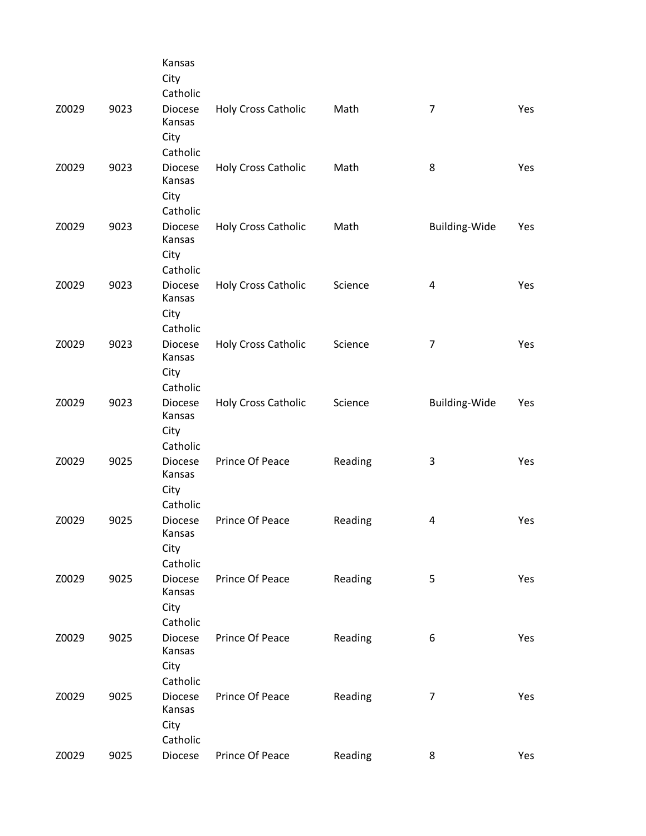|       |      | Kansas<br>City<br>Catholic                               |                            |         |                      |     |
|-------|------|----------------------------------------------------------|----------------------------|---------|----------------------|-----|
| Z0029 | 9023 | Diocese<br>Kansas<br>City                                | <b>Holy Cross Catholic</b> | Math    | $\overline{7}$       | Yes |
| Z0029 | 9023 | Catholic<br>Diocese<br>Kansas<br>City                    | <b>Holy Cross Catholic</b> | Math    | 8                    | Yes |
| Z0029 | 9023 | Catholic<br><b>Diocese</b><br>Kansas<br>City<br>Catholic | <b>Holy Cross Catholic</b> | Math    | <b>Building-Wide</b> | Yes |
| Z0029 | 9023 | Diocese<br>Kansas<br>City<br>Catholic                    | <b>Holy Cross Catholic</b> | Science | 4                    | Yes |
| Z0029 | 9023 | <b>Diocese</b><br>Kansas<br>City<br>Catholic             | Holy Cross Catholic        | Science | 7                    | Yes |
| Z0029 | 9023 | <b>Diocese</b><br>Kansas<br>City<br>Catholic             | <b>Holy Cross Catholic</b> | Science | Building-Wide        | Yes |
| Z0029 | 9025 | <b>Diocese</b><br>Kansas<br>City<br>Catholic             | Prince Of Peace            | Reading | 3                    | Yes |
| Z0029 | 9025 | <b>Diocese</b><br>Kansas<br>City<br>Catholic             | Prince Of Peace            | Reading | 4                    | Yes |
| Z0029 | 9025 | <b>Diocese</b><br>Kansas<br>City<br>Catholic             | Prince Of Peace            | Reading | 5                    | Yes |
| Z0029 | 9025 | <b>Diocese</b><br>Kansas<br>City<br>Catholic             | Prince Of Peace            | Reading | 6                    | Yes |
| Z0029 | 9025 | Diocese<br>Kansas<br>City<br>Catholic                    | Prince Of Peace            | Reading | $\overline{7}$       | Yes |
| Z0029 | 9025 | Diocese                                                  | Prince Of Peace            | Reading | 8                    | Yes |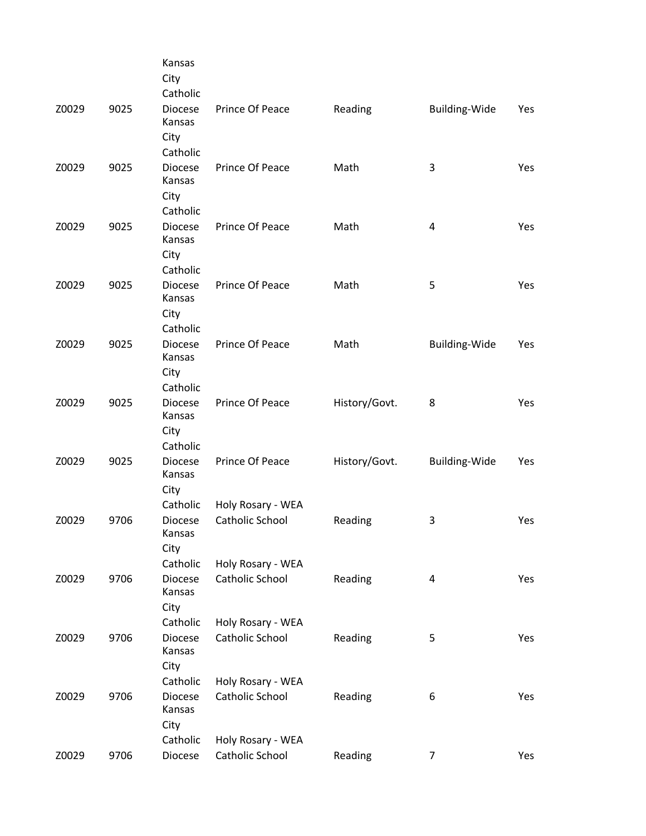|       |      | Kansas<br>City<br>Catholic                   |                                      |               |                      |     |
|-------|------|----------------------------------------------|--------------------------------------|---------------|----------------------|-----|
| Z0029 | 9025 | Diocese<br>Kansas<br>City                    | Prince Of Peace                      | Reading       | Building-Wide        | Yes |
| Z0029 | 9025 | Catholic<br><b>Diocese</b><br>Kansas<br>City | Prince Of Peace                      | Math          | 3                    | Yes |
| Z0029 | 9025 | Catholic<br><b>Diocese</b><br>Kansas<br>City | Prince Of Peace                      | Math          | 4                    | Yes |
| Z0029 | 9025 | Catholic<br><b>Diocese</b><br>Kansas<br>City | Prince Of Peace                      | Math          | 5                    | Yes |
| Z0029 | 9025 | Catholic<br><b>Diocese</b><br>Kansas<br>City | Prince Of Peace                      | Math          | Building-Wide        | Yes |
| Z0029 | 9025 | Catholic<br><b>Diocese</b><br>Kansas<br>City | Prince Of Peace                      | History/Govt. | 8                    | Yes |
| Z0029 | 9025 | Catholic<br><b>Diocese</b><br>Kansas<br>City | Prince Of Peace                      | History/Govt. | <b>Building-Wide</b> | Yes |
| Z0029 | 9706 | Catholic<br><b>Diocese</b><br>Kansas<br>City | Holy Rosary - WEA<br>Catholic School | Reading       | 3                    | Yes |
| Z0029 | 9706 | Catholic<br><b>Diocese</b><br>Kansas<br>City | Holy Rosary - WEA<br>Catholic School | Reading       | $\overline{a}$       | Yes |
| Z0029 | 9706 | Catholic<br>Diocese<br>Kansas<br>City        | Holy Rosary - WEA<br>Catholic School | Reading       | 5                    | Yes |
| Z0029 | 9706 | Catholic<br><b>Diocese</b><br>Kansas<br>City | Holy Rosary - WEA<br>Catholic School | Reading       | 6                    | Yes |
| Z0029 | 9706 | Catholic<br>Diocese                          | Holy Rosary - WEA<br>Catholic School | Reading       | $\overline{7}$       | Yes |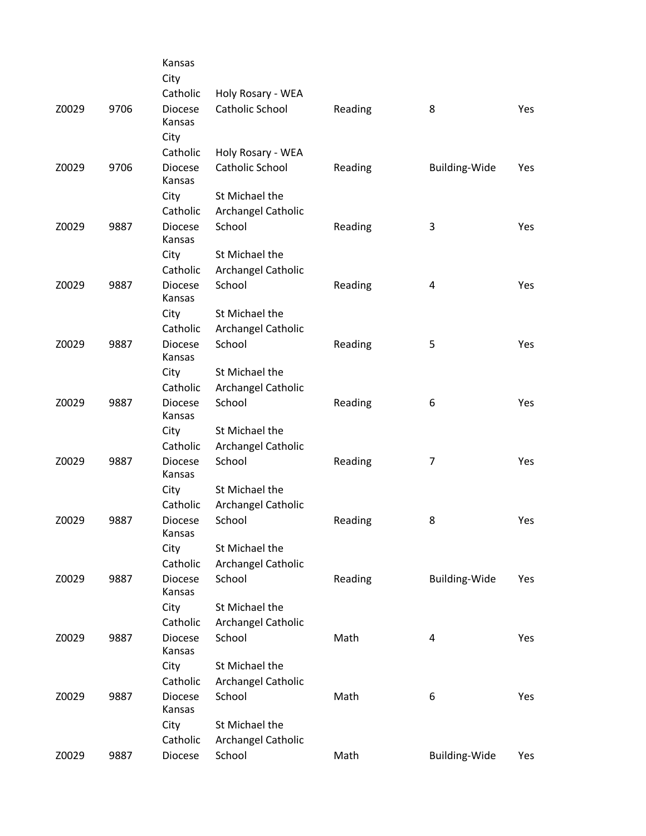|               |      | Kansas<br>City             |                                      |         |                |            |
|---------------|------|----------------------------|--------------------------------------|---------|----------------|------------|
|               |      | Catholic                   | Holy Rosary - WEA                    |         |                |            |
| Z0029         | 9706 | <b>Diocese</b><br>Kansas   | Catholic School                      | Reading | 8              | Yes        |
|               |      | City                       |                                      |         |                |            |
| Z0029         | 9706 | Catholic<br><b>Diocese</b> | Holy Rosary - WEA<br>Catholic School | Reading | Building-Wide  | Yes        |
|               |      | Kansas                     |                                      |         |                |            |
|               |      | City                       | St Michael the                       |         |                |            |
|               |      | Catholic                   | Archangel Catholic                   |         |                |            |
| Z0029         | 9887 | <b>Diocese</b><br>Kansas   | School                               | Reading | 3              | <b>Yes</b> |
|               |      | City                       | St Michael the                       |         |                |            |
|               |      | Catholic                   | Archangel Catholic                   |         |                |            |
| Z0029         | 9887 | <b>Diocese</b><br>Kansas   | School                               | Reading | 4              | Yes        |
|               |      | City                       | St Michael the                       |         |                |            |
|               |      | Catholic                   | Archangel Catholic                   |         |                |            |
| Z0029         | 9887 | <b>Diocese</b><br>Kansas   | School                               | Reading | 5              | Yes        |
|               |      | City                       | St Michael the                       |         |                |            |
|               |      | Catholic                   | Archangel Catholic                   |         |                |            |
| 9887<br>Z0029 |      | <b>Diocese</b><br>Kansas   | School                               | Reading | 6              | Yes        |
|               |      | City                       | St Michael the                       |         |                |            |
|               |      | Catholic                   | Archangel Catholic                   |         |                |            |
| Z0029         | 9887 | <b>Diocese</b><br>Kansas   | School                               | Reading | $\overline{7}$ | Yes        |
|               |      | City                       | St Michael the                       |         |                |            |
|               |      | Catholic                   | Archangel Catholic                   |         |                |            |
| Z0029         | 9887 | <b>Diocese</b><br>Kansas   | School                               | Reading | 8              | Yes        |
|               |      | City                       | St Michael the                       |         |                |            |
|               |      | Catholic                   | Archangel Catholic                   |         |                |            |
| Z0029         | 9887 | <b>Diocese</b><br>Kansas   | School                               | Reading | Building-Wide  | Yes        |
|               |      | City                       | St Michael the                       |         |                |            |
|               |      | Catholic                   | Archangel Catholic                   |         |                |            |
| Z0029         | 9887 | <b>Diocese</b><br>Kansas   | School                               | Math    | 4              | Yes        |
|               |      | City                       | St Michael the                       |         |                |            |
|               |      | Catholic                   | Archangel Catholic                   |         |                |            |
| Z0029         | 9887 | <b>Diocese</b><br>Kansas   | School                               | Math    | 6              | Yes        |
|               |      | City                       | St Michael the                       |         |                |            |
|               |      | Catholic                   | Archangel Catholic                   |         |                |            |
| Z0029         | 9887 | Diocese                    | School                               | Math    | Building-Wide  | Yes        |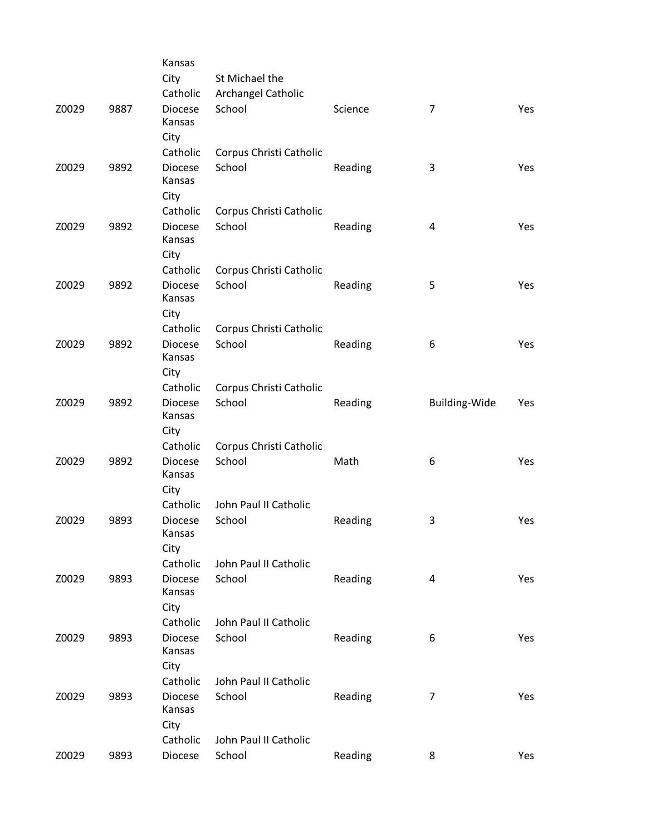|       |      | Kansas                   |                         |         |                         |     |
|-------|------|--------------------------|-------------------------|---------|-------------------------|-----|
|       |      | City                     | St Michael the          |         |                         |     |
|       |      | Catholic                 | Archangel Catholic      |         |                         |     |
| Z0029 | 9887 | <b>Diocese</b>           | School                  | Science | 7                       | Yes |
|       |      | Kansas                   |                         |         |                         |     |
|       |      | City                     |                         |         |                         |     |
|       |      | Catholic                 | Corpus Christi Catholic |         |                         |     |
| Z0029 | 9892 | <b>Diocese</b>           | School                  | Reading | 3                       | Yes |
|       |      | Kansas                   |                         |         |                         |     |
|       |      | City                     |                         |         |                         |     |
|       |      | Catholic                 | Corpus Christi Catholic |         |                         |     |
| Z0029 | 9892 | <b>Diocese</b>           | School                  | Reading | $\overline{\mathbf{4}}$ | Yes |
|       |      | Kansas                   |                         |         |                         |     |
|       |      | City                     |                         |         |                         |     |
|       |      | Catholic                 | Corpus Christi Catholic |         |                         |     |
| Z0029 | 9892 | <b>Diocese</b>           | School                  | Reading | 5                       | Yes |
|       |      | Kansas                   |                         |         |                         |     |
|       |      | City                     |                         |         |                         |     |
|       |      | Catholic                 | Corpus Christi Catholic |         |                         |     |
| Z0029 | 9892 | <b>Diocese</b>           | School                  | Reading | 6                       | Yes |
|       |      | Kansas                   |                         |         |                         |     |
|       |      | City                     |                         |         |                         |     |
|       |      | Catholic                 | Corpus Christi Catholic |         |                         |     |
| Z0029 | 9892 | <b>Diocese</b>           | School                  | Reading | <b>Building-Wide</b>    | Yes |
|       |      | Kansas                   |                         |         |                         |     |
|       |      | City                     |                         |         |                         |     |
|       |      | Catholic                 | Corpus Christi Catholic |         |                         |     |
| Z0029 | 9892 | <b>Diocese</b>           | School                  | Math    | 6                       | Yes |
|       |      | Kansas                   |                         |         |                         |     |
|       |      | City                     |                         |         |                         |     |
|       |      | Catholic                 | John Paul II Catholic   |         |                         |     |
| Z0029 | 9893 | <b>Diocese</b><br>Kansas | School                  | Reading | 3                       | Yes |
|       |      | City                     |                         |         |                         |     |
|       |      | Catholic                 | John Paul II Catholic   |         |                         |     |
| Z0029 | 9893 | <b>Diocese</b>           | School                  | Reading | 4                       | Yes |
|       |      | Kansas                   |                         |         |                         |     |
|       |      | City                     |                         |         |                         |     |
|       |      | Catholic                 | John Paul II Catholic   |         |                         |     |
| Z0029 | 9893 | <b>Diocese</b>           | School                  | Reading | 6                       | Yes |
|       |      | Kansas                   |                         |         |                         |     |
|       |      | City                     |                         |         |                         |     |
|       |      | Catholic                 | John Paul II Catholic   |         |                         |     |
| Z0029 | 9893 | <b>Diocese</b>           | School                  | Reading | 7                       | Yes |
|       |      | Kansas                   |                         |         |                         |     |
|       |      | City                     |                         |         |                         |     |
|       |      | Catholic                 | John Paul II Catholic   |         |                         |     |
| Z0029 | 9893 | Diocese                  | School                  | Reading | 8                       | Yes |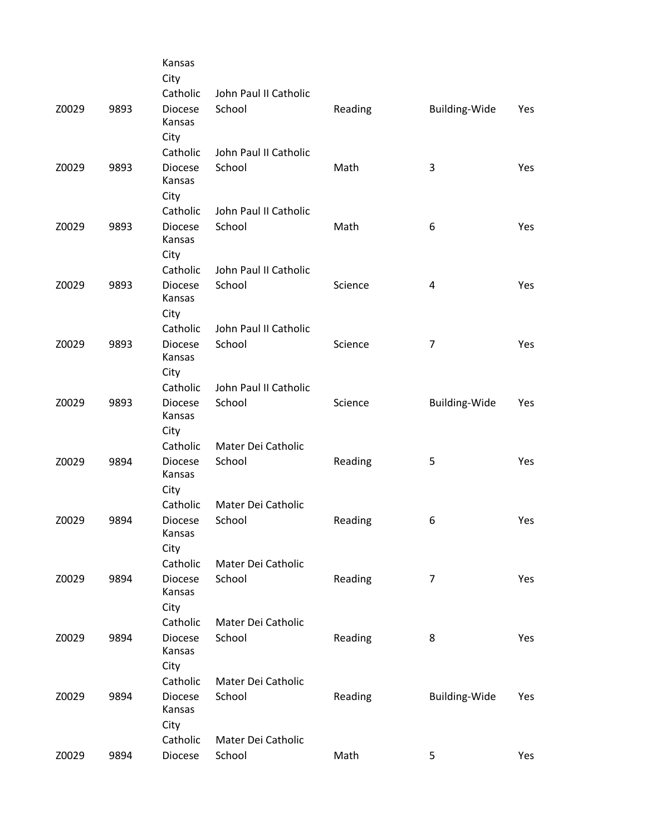|       |      | Kansas<br>City                   |                              |         |                         |            |
|-------|------|----------------------------------|------------------------------|---------|-------------------------|------------|
|       |      | Catholic                         | John Paul II Catholic        |         |                         |            |
| Z0029 | 9893 | <b>Diocese</b><br>Kansas<br>City | School                       | Reading | <b>Building-Wide</b>    | Yes        |
|       |      | Catholic                         | John Paul II Catholic        |         |                         |            |
| Z0029 | 9893 | <b>Diocese</b><br>Kansas<br>City | School                       | Math    | 3                       | Yes        |
|       |      | Catholic                         | John Paul II Catholic        |         |                         |            |
| Z0029 | 9893 | <b>Diocese</b><br>Kansas<br>City | School                       | Math    | 6                       | Yes        |
|       |      | Catholic                         | John Paul II Catholic        |         |                         |            |
| Z0029 | 9893 | <b>Diocese</b><br>Kansas<br>City | School                       | Science | $\overline{\mathbf{4}}$ | Yes        |
|       |      | Catholic                         | John Paul II Catholic        |         |                         |            |
| Z0029 | 9893 | <b>Diocese</b><br>Kansas<br>City | School                       | Science | 7                       | Yes        |
|       |      | Catholic                         | John Paul II Catholic        |         |                         |            |
| Z0029 | 9893 | <b>Diocese</b><br>Kansas<br>City | School                       | Science | <b>Building-Wide</b>    | <b>Yes</b> |
|       |      | Catholic                         | Mater Dei Catholic           |         |                         |            |
| Z0029 | 9894 | <b>Diocese</b><br>Kansas<br>City | School                       | Reading | 5                       | Yes        |
|       |      | Catholic                         | Mater Dei Catholic           |         |                         |            |
| Z0029 | 9894 | <b>Diocese</b><br>Kansas<br>City | School                       | Reading | 6                       | Yes        |
|       |      | Catholic                         | Mater Dei Catholic           |         |                         |            |
| Z0029 | 9894 | <b>Diocese</b><br>Kansas         | School                       | Reading | $\overline{7}$          | Yes        |
|       |      | City                             |                              |         |                         |            |
|       | 9894 | Catholic<br><b>Diocese</b>       | Mater Dei Catholic<br>School |         | 8                       | Yes        |
| Z0029 |      | Kansas<br>City                   |                              | Reading |                         |            |
|       |      | Catholic                         | Mater Dei Catholic           |         |                         |            |
| Z0029 | 9894 | <b>Diocese</b><br>Kansas<br>City | School                       | Reading | Building-Wide           | Yes        |
|       |      | Catholic                         | Mater Dei Catholic           |         |                         |            |
| Z0029 | 9894 | Diocese                          | School                       | Math    | 5                       | Yes        |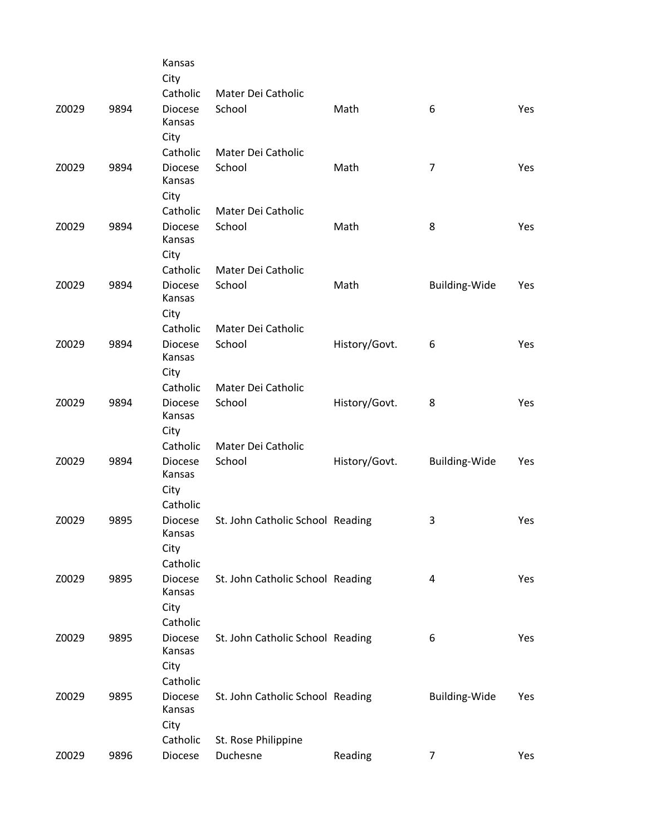|       |      | Kansas<br>City           |                                  |               |                      |     |
|-------|------|--------------------------|----------------------------------|---------------|----------------------|-----|
|       |      | Catholic                 | Mater Dei Catholic               |               |                      |     |
| Z0029 | 9894 | <b>Diocese</b><br>Kansas | School                           | Math          | 6                    | Yes |
|       |      | City                     |                                  |               |                      |     |
|       |      | Catholic                 | Mater Dei Catholic               |               |                      |     |
| Z0029 | 9894 | <b>Diocese</b><br>Kansas | School                           | Math          | $\overline{7}$       | Yes |
|       |      | City                     |                                  |               |                      |     |
|       |      | Catholic                 | Mater Dei Catholic               |               |                      |     |
| Z0029 | 9894 | <b>Diocese</b><br>Kansas | School                           | Math          | 8                    | Yes |
|       |      | City                     |                                  |               |                      |     |
|       |      | Catholic                 | Mater Dei Catholic               |               |                      |     |
| Z0029 | 9894 | Diocese<br>Kansas        | School                           | Math          | Building-Wide        | Yes |
|       |      | City                     |                                  |               |                      |     |
|       |      | Catholic                 | Mater Dei Catholic               |               |                      |     |
| Z0029 | 9894 | <b>Diocese</b><br>Kansas | School                           | History/Govt. | 6                    | Yes |
|       |      | City                     |                                  |               |                      |     |
|       |      | Catholic                 | Mater Dei Catholic               |               |                      |     |
| Z0029 | 9894 | <b>Diocese</b><br>Kansas | School                           | History/Govt. | 8                    | Yes |
|       |      | City                     |                                  |               |                      |     |
|       |      | Catholic                 | Mater Dei Catholic               |               |                      |     |
| Z0029 | 9894 | <b>Diocese</b><br>Kansas | School                           | History/Govt. | Building-Wide        | Yes |
|       |      | City                     |                                  |               |                      |     |
|       |      | Catholic                 |                                  |               |                      |     |
| Z0029 | 9895 | <b>Diocese</b><br>Kansas | St. John Catholic School Reading |               | 3                    | Yes |
|       |      | City                     |                                  |               |                      |     |
|       |      | Catholic                 |                                  |               |                      |     |
| Z0029 | 9895 | <b>Diocese</b><br>Kansas | St. John Catholic School Reading |               | 4                    | Yes |
|       |      | City                     |                                  |               |                      |     |
|       |      | Catholic                 |                                  |               |                      |     |
| Z0029 | 9895 | <b>Diocese</b><br>Kansas | St. John Catholic School Reading |               | 6                    | Yes |
|       |      | City                     |                                  |               |                      |     |
|       |      | Catholic                 |                                  |               |                      |     |
| Z0029 | 9895 | <b>Diocese</b><br>Kansas | St. John Catholic School Reading |               | <b>Building-Wide</b> | Yes |
|       |      | City                     |                                  |               |                      |     |
|       |      | Catholic                 | St. Rose Philippine              |               |                      |     |
| Z0029 | 9896 | Diocese                  | Duchesne                         | Reading       | 7                    | Yes |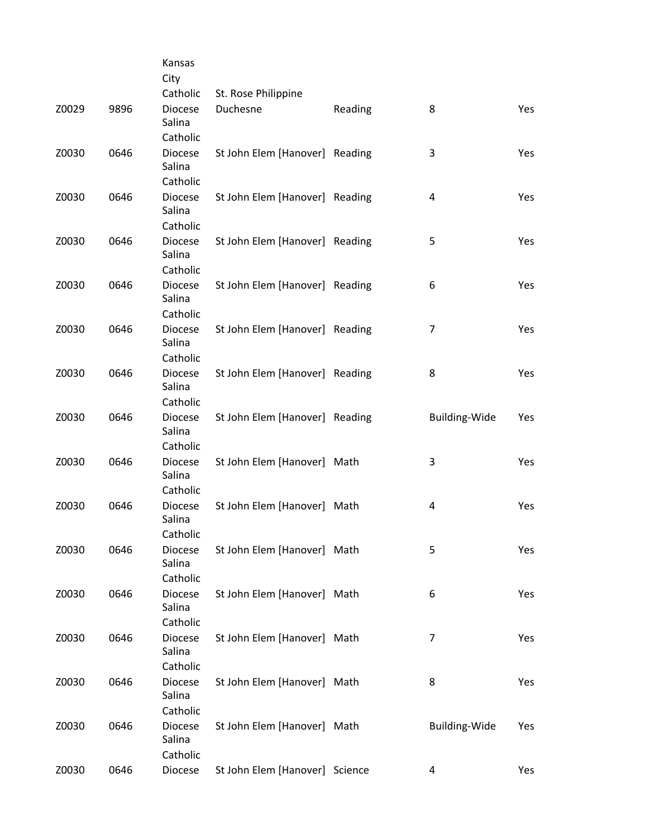|       |      | Kansas                     |                                 |         |                         |            |
|-------|------|----------------------------|---------------------------------|---------|-------------------------|------------|
|       |      | City                       |                                 |         |                         |            |
| Z0029 | 9896 | Catholic<br><b>Diocese</b> | St. Rose Philippine<br>Duchesne |         | 8                       | <b>Yes</b> |
|       |      | Salina                     |                                 | Reading |                         |            |
|       |      | Catholic                   |                                 |         |                         |            |
| Z0030 | 0646 | <b>Diocese</b>             | St John Elem [Hanover] Reading  |         | 3                       | Yes        |
|       |      | Salina                     |                                 |         |                         |            |
|       |      | Catholic                   |                                 |         |                         |            |
| Z0030 | 0646 | <b>Diocese</b>             | St John Elem [Hanover] Reading  |         | 4                       | Yes        |
|       |      | Salina                     |                                 |         |                         |            |
|       |      | Catholic                   |                                 |         |                         |            |
| Z0030 | 0646 | <b>Diocese</b><br>Salina   | St John Elem [Hanover] Reading  |         | 5                       | Yes        |
|       |      | Catholic                   |                                 |         |                         |            |
| Z0030 | 0646 | <b>Diocese</b>             | St John Elem [Hanover] Reading  |         | 6                       | Yes        |
|       |      | Salina                     |                                 |         |                         |            |
|       |      | Catholic                   |                                 |         |                         |            |
| Z0030 | 0646 | <b>Diocese</b>             | St John Elem [Hanover] Reading  |         | 7                       | Yes        |
|       |      | Salina                     |                                 |         |                         |            |
|       |      | Catholic                   |                                 |         |                         |            |
| Z0030 | 0646 | <b>Diocese</b><br>Salina   | St John Elem [Hanover] Reading  |         | 8                       | Yes        |
|       |      | Catholic                   |                                 |         |                         |            |
| Z0030 | 0646 | <b>Diocese</b>             | St John Elem [Hanover] Reading  |         | <b>Building-Wide</b>    | Yes        |
|       |      | Salina                     |                                 |         |                         |            |
|       |      | Catholic                   |                                 |         |                         |            |
| Z0030 | 0646 | <b>Diocese</b>             | St John Elem [Hanover] Math     |         | 3                       | Yes        |
|       |      | Salina                     |                                 |         |                         |            |
|       |      | Catholic                   |                                 |         |                         |            |
| Z0030 | 0646 | <b>Diocese</b>             | St John Elem [Hanover] Math     |         | $\overline{\mathbf{4}}$ | Yes        |
|       |      | Salina<br>Catholic         |                                 |         |                         |            |
| Z0030 | 0646 | <b>Diocese</b>             | St John Elem [Hanover] Math     |         | 5                       | Yes        |
|       |      | Salina                     |                                 |         |                         |            |
|       |      | Catholic                   |                                 |         |                         |            |
| Z0030 | 0646 | <b>Diocese</b>             | St John Elem [Hanover] Math     |         | 6                       | Yes        |
|       |      | Salina                     |                                 |         |                         |            |
|       |      | Catholic                   |                                 |         |                         |            |
| Z0030 | 0646 | <b>Diocese</b>             | St John Elem [Hanover] Math     |         | $\overline{7}$          | Yes        |
|       |      | Salina<br>Catholic         |                                 |         |                         |            |
| Z0030 | 0646 | <b>Diocese</b>             | St John Elem [Hanover] Math     |         | 8                       | Yes        |
|       |      | Salina                     |                                 |         |                         |            |
|       |      | Catholic                   |                                 |         |                         |            |
| Z0030 | 0646 | <b>Diocese</b>             | St John Elem [Hanover] Math     |         | <b>Building-Wide</b>    | Yes        |
|       |      | Salina                     |                                 |         |                         |            |
|       |      | Catholic                   |                                 |         |                         |            |
| Z0030 | 0646 | Diocese                    | St John Elem [Hanover] Science  |         | 4                       | Yes        |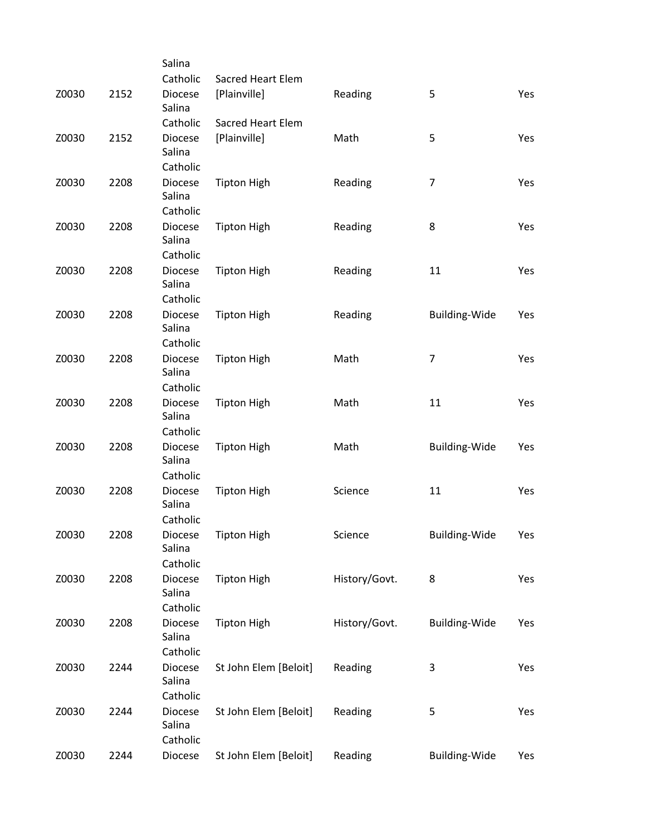|       |      | Salina                               |                          |               |                      |     |
|-------|------|--------------------------------------|--------------------------|---------------|----------------------|-----|
|       |      | Catholic                             | Sacred Heart Elem        |               |                      |     |
| Z0030 | 2152 | <b>Diocese</b><br>Salina             | [Plainville]             | Reading       | 5                    | Yes |
|       |      | Catholic                             | <b>Sacred Heart Elem</b> |               |                      |     |
| Z0030 | 2152 | <b>Diocese</b><br>Salina             | [Plainville]             | Math          | 5                    | Yes |
|       |      | Catholic                             |                          |               |                      |     |
| Z0030 | 2208 | Diocese<br>Salina                    | <b>Tipton High</b>       | Reading       | $\overline{7}$       | Yes |
|       |      | Catholic                             |                          |               |                      |     |
| Z0030 | 2208 | <b>Diocese</b><br>Salina<br>Catholic | <b>Tipton High</b>       | Reading       | 8                    | Yes |
| Z0030 | 2208 | <b>Diocese</b>                       | <b>Tipton High</b>       | Reading       | 11                   | Yes |
|       |      | Salina<br>Catholic                   |                          |               |                      |     |
| Z0030 | 2208 | <b>Diocese</b>                       | <b>Tipton High</b>       | Reading       | <b>Building-Wide</b> | Yes |
|       |      | Salina<br>Catholic                   |                          |               |                      |     |
| Z0030 | 2208 | Diocese                              | <b>Tipton High</b>       | Math          | $\overline{7}$       | Yes |
|       |      | Salina<br>Catholic                   |                          |               |                      |     |
|       |      |                                      |                          |               |                      |     |
| Z0030 | 2208 | <b>Diocese</b><br>Salina             | <b>Tipton High</b>       | Math          | 11                   | Yes |
|       |      | Catholic                             |                          |               |                      |     |
| Z0030 | 2208 | Diocese<br>Salina                    | <b>Tipton High</b>       | Math          | <b>Building-Wide</b> | Yes |
|       |      | Catholic                             |                          |               |                      |     |
| Z0030 | 2208 | <b>Diocese</b><br>Salina             | <b>Tipton High</b>       | Science       | 11                   | Yes |
|       |      | Catholic                             |                          |               |                      |     |
| Z0030 | 2208 | Diocese<br>Salina                    | <b>Tipton High</b>       | Science       | <b>Building-Wide</b> | Yes |
|       |      | Catholic                             |                          |               |                      |     |
| Z0030 | 2208 | Diocese<br>Salina                    | <b>Tipton High</b>       | History/Govt. | 8                    | Yes |
|       |      | Catholic                             |                          |               |                      |     |
| Z0030 | 2208 | Diocese<br>Salina                    | <b>Tipton High</b>       | History/Govt. | <b>Building-Wide</b> | Yes |
|       |      | Catholic                             |                          |               |                      |     |
| Z0030 | 2244 | Diocese<br>Salina                    | St John Elem [Beloit]    | Reading       | 3                    | Yes |
|       |      | Catholic                             |                          |               |                      |     |
| Z0030 | 2244 | Diocese<br>Salina<br>Catholic        | St John Elem [Beloit]    | Reading       | 5                    | Yes |
| Z0030 | 2244 | Diocese                              | St John Elem [Beloit]    | Reading       | <b>Building-Wide</b> | Yes |
|       |      |                                      |                          |               |                      |     |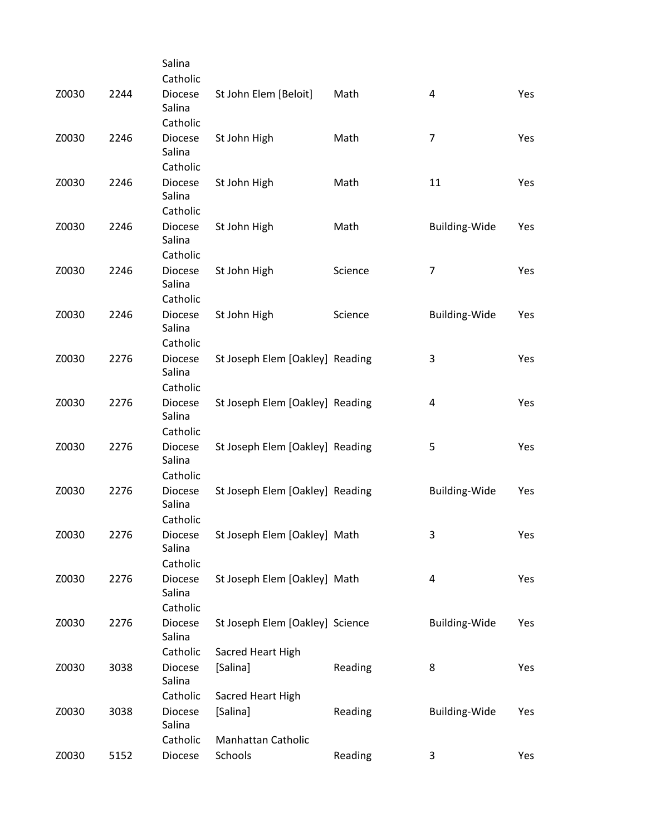|       |      | Salina                   |                                 |         |                         |     |
|-------|------|--------------------------|---------------------------------|---------|-------------------------|-----|
|       |      | Catholic                 |                                 |         |                         |     |
| Z0030 | 2244 | <b>Diocese</b><br>Salina | St John Elem [Beloit]           | Math    | $\overline{\mathbf{4}}$ | Yes |
|       |      | Catholic                 |                                 |         |                         |     |
| Z0030 | 2246 | <b>Diocese</b>           | St John High                    | Math    | $\overline{7}$          | Yes |
|       |      | Salina                   |                                 |         |                         |     |
|       |      | Catholic                 |                                 |         |                         |     |
| Z0030 | 2246 | <b>Diocese</b>           | St John High                    | Math    | 11                      | Yes |
|       |      | Salina                   |                                 |         |                         |     |
|       |      | Catholic                 |                                 |         |                         |     |
| Z0030 | 2246 | <b>Diocese</b>           | St John High                    | Math    | <b>Building-Wide</b>    | Yes |
|       |      | Salina                   |                                 |         |                         |     |
|       |      | Catholic                 |                                 |         |                         |     |
| Z0030 | 2246 | <b>Diocese</b>           | St John High                    | Science | $\overline{7}$          | Yes |
|       |      | Salina                   |                                 |         |                         |     |
|       | 2246 | Catholic                 |                                 |         |                         |     |
| Z0030 |      | <b>Diocese</b><br>Salina | St John High                    | Science | <b>Building-Wide</b>    | Yes |
|       |      | Catholic                 |                                 |         |                         |     |
| Z0030 | 2276 | Diocese                  | St Joseph Elem [Oakley] Reading |         | 3                       | Yes |
|       |      | Salina                   |                                 |         |                         |     |
|       |      | Catholic                 |                                 |         |                         |     |
| Z0030 | 2276 | <b>Diocese</b>           | St Joseph Elem [Oakley] Reading |         | 4                       | Yes |
|       |      | Salina                   |                                 |         |                         |     |
|       |      | Catholic                 |                                 |         |                         |     |
| Z0030 | 2276 | <b>Diocese</b>           | St Joseph Elem [Oakley] Reading |         | 5                       | Yes |
|       |      | Salina                   |                                 |         |                         |     |
|       |      | Catholic                 |                                 |         |                         |     |
| Z0030 | 2276 | <b>Diocese</b>           | St Joseph Elem [Oakley] Reading |         | Building-Wide           | Yes |
|       |      | Salina                   |                                 |         |                         |     |
|       |      | Catholic                 |                                 |         |                         |     |
| Z0030 | 2276 | Diocese<br>Salina        | St Joseph Elem [Oakley] Math    |         | 3                       | Yes |
|       |      | Catholic                 |                                 |         |                         |     |
| Z0030 | 2276 | <b>Diocese</b>           | St Joseph Elem [Oakley] Math    |         | 4                       | Yes |
|       |      | Salina                   |                                 |         |                         |     |
|       |      | Catholic                 |                                 |         |                         |     |
| Z0030 | 2276 | <b>Diocese</b>           | St Joseph Elem [Oakley] Science |         | Building-Wide           | Yes |
|       |      | Salina                   |                                 |         |                         |     |
|       |      | Catholic                 | Sacred Heart High               |         |                         |     |
| Z0030 | 3038 | <b>Diocese</b>           | [Salina]                        | Reading | 8                       | Yes |
|       |      | Salina                   |                                 |         |                         |     |
|       |      | Catholic                 | Sacred Heart High               |         |                         |     |
| Z0030 | 3038 | <b>Diocese</b>           | [Salina]                        | Reading | Building-Wide           | Yes |
|       |      | Salina                   |                                 |         |                         |     |
|       |      | Catholic                 | Manhattan Catholic              |         |                         |     |
| Z0030 | 5152 | Diocese                  | Schools                         | Reading | 3                       | Yes |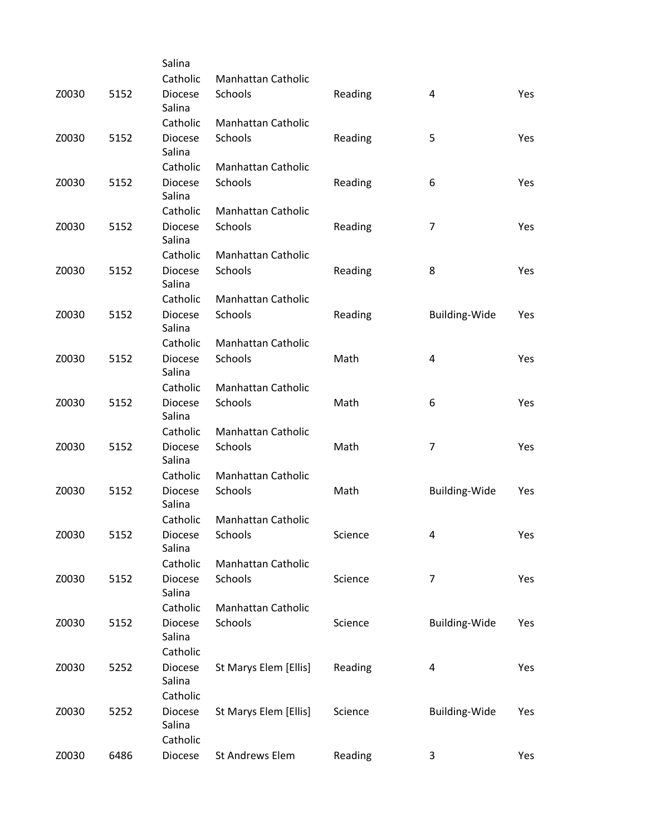|       |      | Salina                        |                           |         |                      |     |
|-------|------|-------------------------------|---------------------------|---------|----------------------|-----|
|       |      | Catholic                      | Manhattan Catholic        |         |                      |     |
| Z0030 | 5152 | <b>Diocese</b><br>Salina      | Schools                   | Reading | 4                    | Yes |
|       |      | Catholic                      | Manhattan Catholic        |         |                      |     |
| Z0030 | 5152 | <b>Diocese</b><br>Salina      | Schools                   | Reading | 5                    | Yes |
|       |      | Catholic                      | <b>Manhattan Catholic</b> |         |                      |     |
| Z0030 | 5152 | <b>Diocese</b><br>Salina      | Schools                   | Reading | 6                    | Yes |
|       |      | Catholic                      | Manhattan Catholic        |         |                      |     |
| Z0030 | 5152 | <b>Diocese</b><br>Salina      | Schools                   | Reading | 7                    | Yes |
|       |      | Catholic                      | Manhattan Catholic        |         |                      |     |
| Z0030 | 5152 | <b>Diocese</b><br>Salina      | Schools                   | Reading | 8                    | Yes |
|       |      | Catholic                      | Manhattan Catholic        |         |                      |     |
| Z0030 | 5152 | <b>Diocese</b><br>Salina      | Schools                   | Reading | <b>Building-Wide</b> | Yes |
|       |      | Catholic                      | Manhattan Catholic        |         |                      |     |
| Z0030 | 5152 | <b>Diocese</b><br>Salina      | Schools                   | Math    | 4                    | Yes |
|       |      | Catholic                      | Manhattan Catholic        |         |                      |     |
| Z0030 | 5152 | <b>Diocese</b><br>Salina      | Schools                   | Math    | 6                    | Yes |
|       |      | Catholic                      | Manhattan Catholic        |         |                      |     |
| Z0030 | 5152 | <b>Diocese</b><br>Salina      | Schools                   | Math    | $\overline{7}$       | Yes |
|       |      | Catholic                      | Manhattan Catholic        |         |                      |     |
| Z0030 | 5152 | <b>Diocese</b><br>Salina      | Schools                   | Math    | <b>Building-Wide</b> | Yes |
|       |      | Catholic                      | Manhattan Catholic        |         |                      |     |
| Z0030 | 5152 | Diocese<br>Salina             | Schools                   | Science | 4                    | Yes |
|       |      | Catholic                      | Manhattan Catholic        |         |                      |     |
| Z0030 | 5152 | <b>Diocese</b><br>Salina      | Schools                   | Science | 7                    | Yes |
|       |      | Catholic                      | Manhattan Catholic        |         |                      |     |
| Z0030 | 5152 | <b>Diocese</b><br>Salina      | Schools                   | Science | Building-Wide        | Yes |
|       |      | Catholic                      |                           |         |                      |     |
| Z0030 | 5252 | Diocese<br>Salina             | St Marys Elem [Ellis]     | Reading | 4                    | Yes |
|       |      | Catholic                      |                           |         |                      |     |
| Z0030 | 5252 | Diocese<br>Salina<br>Catholic | St Marys Elem [Ellis]     | Science | <b>Building-Wide</b> | Yes |
| Z0030 | 6486 | Diocese                       | St Andrews Elem           | Reading | 3                    | Yes |
|       |      |                               |                           |         |                      |     |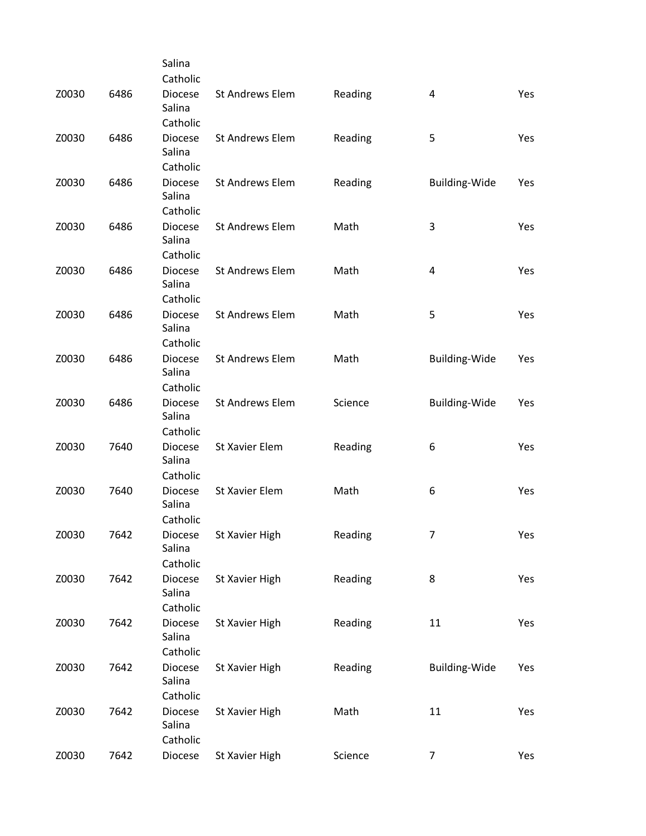|       |      | Salina                               |                        |         |                      |     |
|-------|------|--------------------------------------|------------------------|---------|----------------------|-----|
|       |      | Catholic                             |                        |         |                      |     |
| Z0030 | 6486 | <b>Diocese</b><br>Salina             | St Andrews Elem        | Reading | 4                    | Yes |
|       |      | Catholic                             |                        |         |                      |     |
| Z0030 | 6486 | <b>Diocese</b><br>Salina             | <b>St Andrews Elem</b> | Reading | 5                    | Yes |
|       |      | Catholic                             |                        |         |                      |     |
| Z0030 | 6486 | <b>Diocese</b><br>Salina             | St Andrews Elem        | Reading | Building-Wide        | Yes |
|       |      | Catholic                             |                        |         |                      |     |
| Z0030 | 6486 | <b>Diocese</b><br>Salina<br>Catholic | <b>St Andrews Elem</b> | Math    | 3                    | Yes |
|       |      |                                      | <b>St Andrews Elem</b> |         |                      |     |
| Z0030 | 6486 | <b>Diocese</b><br>Salina<br>Catholic |                        | Math    | 4                    | Yes |
|       |      |                                      | <b>St Andrews Elem</b> |         |                      |     |
| Z0030 | 6486 | <b>Diocese</b><br>Salina<br>Catholic |                        | Math    | 5                    | Yes |
| Z0030 | 6486 | <b>Diocese</b>                       | <b>St Andrews Elem</b> | Math    | <b>Building-Wide</b> | Yes |
|       |      | Salina<br>Catholic                   |                        |         |                      |     |
| Z0030 | 6486 | <b>Diocese</b>                       | <b>St Andrews Elem</b> | Science | <b>Building-Wide</b> | Yes |
|       |      | Salina<br>Catholic                   |                        |         |                      |     |
| Z0030 | 7640 | <b>Diocese</b>                       | St Xavier Elem         |         | 6                    | Yes |
|       |      | Salina<br>Catholic                   |                        | Reading |                      |     |
| Z0030 | 7640 | <b>Diocese</b>                       | St Xavier Elem         | Math    | 6                    | Yes |
|       |      | Salina<br>Catholic                   |                        |         |                      |     |
| Z0030 | 7642 | Diocese                              | St Xavier High         | Reading | 7                    | Yes |
|       |      | Salina<br>Catholic                   |                        |         |                      |     |
|       |      | <b>Diocese</b>                       |                        |         |                      |     |
| Z0030 | 7642 | Salina<br>Catholic                   | St Xavier High         | Reading | 8                    | Yes |
|       |      |                                      |                        |         |                      |     |
| Z0030 | 7642 | <b>Diocese</b><br>Salina             | St Xavier High         | Reading | 11                   | Yes |
|       |      | Catholic                             |                        |         |                      |     |
| Z0030 | 7642 | Diocese<br>Salina                    | St Xavier High         | Reading | <b>Building-Wide</b> | Yes |
|       |      | Catholic                             |                        |         |                      |     |
| Z0030 | 7642 | Diocese<br>Salina<br>Catholic        | St Xavier High         | Math    | 11                   | Yes |
| Z0030 | 7642 | Diocese                              | St Xavier High         | Science | 7                    | Yes |
|       |      |                                      |                        |         |                      |     |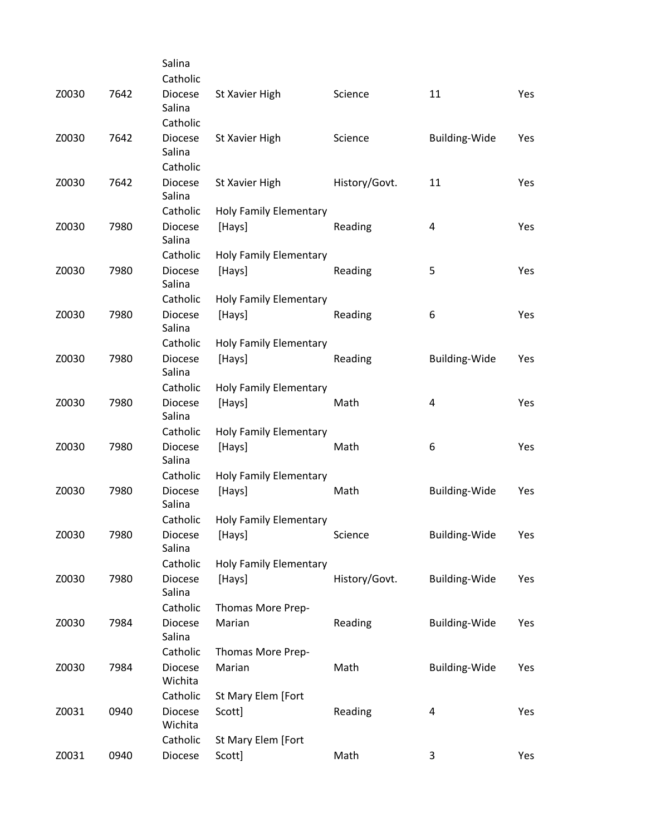|       |      | Salina                    |                               |               |                         |     |
|-------|------|---------------------------|-------------------------------|---------------|-------------------------|-----|
|       |      | Catholic                  |                               |               |                         |     |
| Z0030 | 7642 | <b>Diocese</b><br>Salina  | St Xavier High                | Science       | 11                      | Yes |
|       |      | Catholic                  |                               |               |                         |     |
| Z0030 | 7642 | <b>Diocese</b><br>Salina  | St Xavier High                | Science       | <b>Building-Wide</b>    | Yes |
|       |      | Catholic                  |                               |               |                         |     |
| Z0030 | 7642 | <b>Diocese</b><br>Salina  | St Xavier High                | History/Govt. | 11                      | Yes |
|       |      | Catholic                  | Holy Family Elementary        |               |                         |     |
| Z0030 | 7980 | <b>Diocese</b><br>Salina  | [Hays]                        | Reading       | 4                       | Yes |
|       |      | Catholic                  | Holy Family Elementary        |               |                         |     |
| Z0030 | 7980 | <b>Diocese</b><br>Salina  | [Hays]                        | Reading       | 5                       | Yes |
|       |      | Catholic                  | Holy Family Elementary        |               |                         |     |
| Z0030 | 7980 | <b>Diocese</b><br>Salina  | [Hays]                        | Reading       | 6                       | Yes |
|       |      | Catholic                  | Holy Family Elementary        |               |                         |     |
| Z0030 | 7980 | <b>Diocese</b><br>Salina  | [Hays]                        | Reading       | <b>Building-Wide</b>    | Yes |
|       |      | Catholic                  | Holy Family Elementary        |               |                         |     |
| Z0030 | 7980 | <b>Diocese</b><br>Salina  | [Hays]                        | Math          | 4                       | Yes |
|       |      | Catholic                  | Holy Family Elementary        |               |                         |     |
| Z0030 | 7980 | <b>Diocese</b><br>Salina  | [Hays]                        | Math          | 6                       | Yes |
|       |      | Catholic                  | Holy Family Elementary        |               |                         |     |
| Z0030 | 7980 | <b>Diocese</b><br>Salina  | [Hays]                        | Math          | Building-Wide           | Yes |
|       |      | Catholic                  | Holy Family Elementary        |               |                         |     |
| Z0030 | 7980 | Diocese<br>Salina         | [Hays]                        | Science       | <b>Building-Wide</b>    | Yes |
|       |      | Catholic                  | <b>Holy Family Elementary</b> |               |                         |     |
| Z0030 | 7980 | <b>Diocese</b><br>Salina  | [Hays]                        | History/Govt. | <b>Building-Wide</b>    | Yes |
|       |      | Catholic                  | Thomas More Prep-             |               |                         |     |
| Z0030 | 7984 | <b>Diocese</b><br>Salina  | Marian                        | Reading       | <b>Building-Wide</b>    | Yes |
|       |      | Catholic                  | Thomas More Prep-             |               |                         |     |
| Z0030 | 7984 | Diocese<br>Wichita        | Marian                        | Math          | <b>Building-Wide</b>    | Yes |
|       |      | Catholic                  | St Mary Elem [Fort            |               |                         |     |
| Z0031 | 0940 | <b>Diocese</b><br>Wichita | Scott]                        | Reading       | $\overline{\mathbf{4}}$ | Yes |
|       |      | Catholic                  | St Mary Elem [Fort            |               |                         |     |
| Z0031 | 0940 | Diocese                   | Scott]                        | Math          | 3                       | Yes |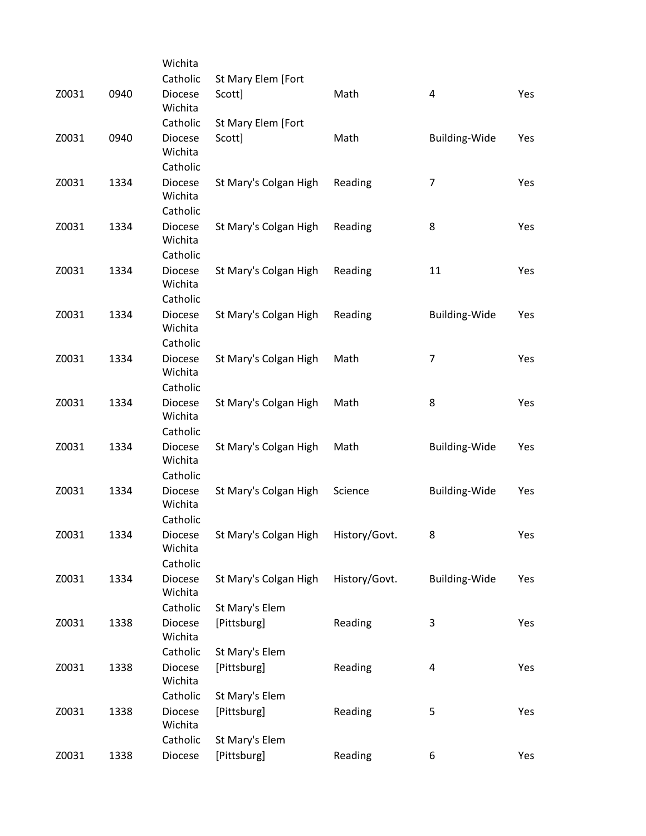|       |      | Wichita                    |                       |               |                         |     |
|-------|------|----------------------------|-----------------------|---------------|-------------------------|-----|
|       |      | Catholic                   | St Mary Elem [Fort    |               |                         |     |
| Z0031 | 0940 | <b>Diocese</b><br>Wichita  | Scott]                | Math          | $\overline{\mathbf{4}}$ | Yes |
|       |      | Catholic                   | St Mary Elem [Fort    |               |                         |     |
| Z0031 | 0940 | <b>Diocese</b>             | Scott]                | Math          | Building-Wide           | Yes |
|       |      | Wichita                    |                       |               |                         |     |
| Z0031 | 1334 | Catholic<br><b>Diocese</b> |                       | Reading       | $\overline{7}$          | Yes |
|       |      | Wichita                    | St Mary's Colgan High |               |                         |     |
|       |      | Catholic                   |                       |               |                         |     |
| Z0031 | 1334 | <b>Diocese</b>             | St Mary's Colgan High | Reading       | 8                       | Yes |
|       |      | Wichita                    |                       |               |                         |     |
|       |      | Catholic                   |                       |               |                         |     |
| Z0031 | 1334 | <b>Diocese</b><br>Wichita  | St Mary's Colgan High | Reading       | 11                      | Yes |
|       |      | Catholic                   |                       |               |                         |     |
| Z0031 | 1334 | <b>Diocese</b><br>Wichita  | St Mary's Colgan High | Reading       | <b>Building-Wide</b>    | Yes |
|       |      | Catholic                   |                       |               |                         |     |
| Z0031 | 1334 | <b>Diocese</b>             | St Mary's Colgan High | Math          | $\overline{7}$          | Yes |
|       |      | Wichita                    |                       |               |                         |     |
|       |      | Catholic                   |                       |               |                         |     |
| Z0031 | 1334 | <b>Diocese</b>             | St Mary's Colgan High | Math          | 8                       | Yes |
|       |      | Wichita                    |                       |               |                         |     |
|       |      | Catholic                   |                       |               |                         |     |
| Z0031 | 1334 | <b>Diocese</b>             | St Mary's Colgan High | Math          | Building-Wide           | Yes |
|       |      | Wichita                    |                       |               |                         |     |
|       |      | Catholic                   |                       |               |                         |     |
| Z0031 | 1334 | Diocese                    | St Mary's Colgan High | Science       | <b>Building-Wide</b>    | Yes |
|       |      | Wichita                    |                       |               |                         |     |
|       |      | Catholic                   |                       |               |                         |     |
| Z0031 | 1334 | Diocese<br>Wichita         | St Mary's Colgan High | History/Govt. | 8                       | Yes |
|       |      | Catholic                   |                       |               |                         |     |
| Z0031 | 1334 | Diocese                    | St Mary's Colgan High | History/Govt. | <b>Building-Wide</b>    | Yes |
|       |      | Wichita                    |                       |               |                         |     |
|       |      | Catholic                   | St Mary's Elem        |               |                         |     |
| Z0031 | 1338 | <b>Diocese</b>             | [Pittsburg]           | Reading       | 3                       | Yes |
|       |      | Wichita                    |                       |               |                         |     |
|       |      | Catholic                   | St Mary's Elem        |               |                         |     |
| Z0031 | 1338 | Diocese                    | [Pittsburg]           | Reading       | $\overline{\mathbf{4}}$ | Yes |
|       |      | Wichita                    |                       |               |                         |     |
|       |      | Catholic                   | St Mary's Elem        |               |                         |     |
| Z0031 | 1338 | <b>Diocese</b>             | [Pittsburg]           | Reading       | 5                       | Yes |
|       |      | Wichita                    |                       |               |                         |     |
| Z0031 |      | Catholic                   | St Mary's Elem        |               |                         |     |
|       | 1338 | Diocese                    | [Pittsburg]           | Reading       | 6                       | Yes |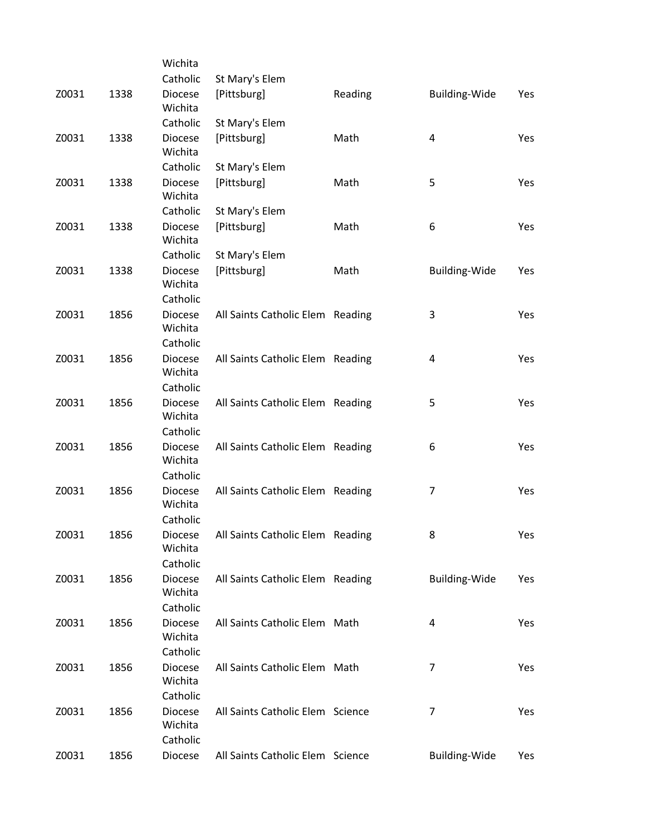|       |      | Wichita                               |                                  |         |                      |     |
|-------|------|---------------------------------------|----------------------------------|---------|----------------------|-----|
|       |      | Catholic                              | St Mary's Elem                   |         |                      |     |
| Z0031 | 1338 | <b>Diocese</b><br>Wichita             | [Pittsburg]                      | Reading | Building-Wide        | Yes |
|       |      | Catholic                              | St Mary's Elem                   |         |                      |     |
| Z0031 | 1338 | <b>Diocese</b><br>Wichita             | [Pittsburg]                      | Math    | 4                    | Yes |
|       |      | Catholic                              | St Mary's Elem                   |         |                      |     |
| Z0031 | 1338 | <b>Diocese</b><br>Wichita             | [Pittsburg]                      | Math    | 5                    | Yes |
|       |      | Catholic                              | St Mary's Elem                   |         |                      |     |
| Z0031 | 1338 | <b>Diocese</b><br>Wichita             | [Pittsburg]                      | Math    | 6                    | Yes |
|       |      | Catholic                              | St Mary's Elem                   |         |                      |     |
| Z0031 | 1338 | <b>Diocese</b><br>Wichita             | [Pittsburg]                      | Math    | Building-Wide        | Yes |
|       |      | Catholic                              |                                  |         |                      |     |
| Z0031 | 1856 | <b>Diocese</b><br>Wichita             | All Saints Catholic Elem Reading |         | 3                    | Yes |
|       |      | Catholic                              |                                  |         |                      |     |
| Z0031 | 1856 | <b>Diocese</b><br>Wichita<br>Catholic | All Saints Catholic Elem Reading |         | 4                    | Yes |
|       | 1856 |                                       |                                  |         |                      |     |
| Z0031 |      | <b>Diocese</b><br>Wichita<br>Catholic | All Saints Catholic Elem Reading |         | 5                    | Yes |
| Z0031 | 1856 | <b>Diocese</b>                        | All Saints Catholic Elem Reading |         | 6                    | Yes |
|       |      | Wichita<br>Catholic                   |                                  |         |                      |     |
| Z0031 | 1856 | <b>Diocese</b>                        | All Saints Catholic Elem Reading |         | 7                    | Yes |
|       |      | Wichita<br>Catholic                   |                                  |         |                      |     |
| Z0031 |      | Diocese                               | All Saints Catholic Elem Reading |         | 8                    |     |
|       | 1856 | Wichita<br>Catholic                   |                                  |         |                      | Yes |
| Z0031 | 1856 | <b>Diocese</b>                        | All Saints Catholic Elem Reading |         | <b>Building-Wide</b> | Yes |
|       |      | Wichita<br>Catholic                   |                                  |         |                      |     |
| Z0031 | 1856 | <b>Diocese</b>                        | All Saints Catholic Elem Math    |         | 4                    | Yes |
|       |      | Wichita<br>Catholic                   |                                  |         |                      |     |
| Z0031 | 1856 | <b>Diocese</b>                        | All Saints Catholic Elem Math    |         | $\overline{7}$       | Yes |
|       |      | Wichita<br>Catholic                   |                                  |         |                      |     |
| Z0031 | 1856 | <b>Diocese</b>                        | All Saints Catholic Elem Science |         | $\overline{7}$       | Yes |
|       |      | Wichita<br>Catholic                   |                                  |         |                      |     |
| Z0031 | 1856 | Diocese                               | All Saints Catholic Elem Science |         | <b>Building-Wide</b> | Yes |
|       |      |                                       |                                  |         |                      |     |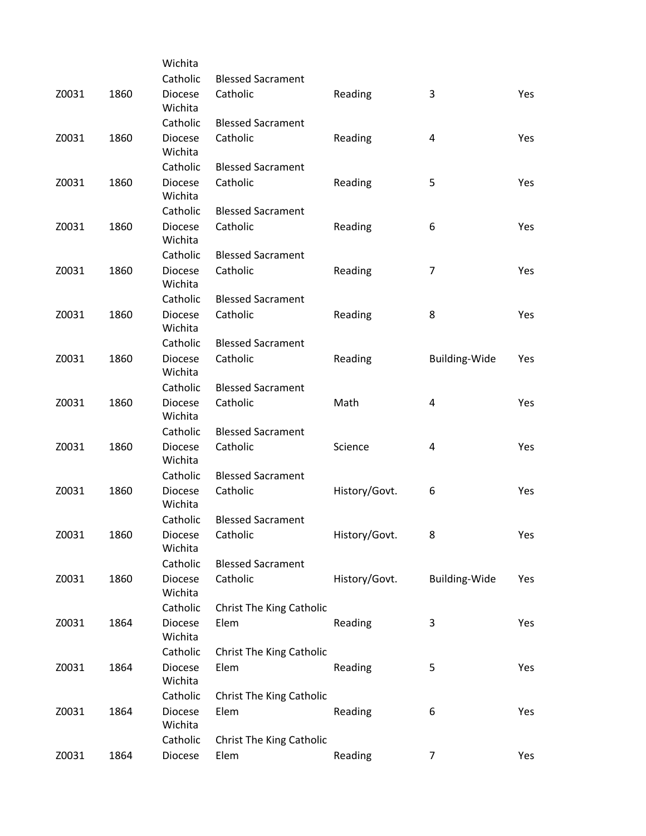|       |      | Wichita                    |                                  |               |                      |     |
|-------|------|----------------------------|----------------------------------|---------------|----------------------|-----|
|       |      | Catholic                   | <b>Blessed Sacrament</b>         |               |                      |     |
| Z0031 | 1860 | <b>Diocese</b><br>Wichita  | Catholic                         | Reading       | 3                    | Yes |
|       |      | Catholic                   | <b>Blessed Sacrament</b>         |               |                      |     |
| Z0031 | 1860 | <b>Diocese</b><br>Wichita  | Catholic                         | Reading       | 4                    | Yes |
|       |      | Catholic                   | <b>Blessed Sacrament</b>         |               |                      |     |
| Z0031 | 1860 | <b>Diocese</b><br>Wichita  | Catholic                         | Reading       | 5                    | Yes |
|       |      | Catholic                   | <b>Blessed Sacrament</b>         |               |                      |     |
| Z0031 | 1860 | <b>Diocese</b><br>Wichita  | Catholic                         | Reading       | 6                    | Yes |
|       |      | Catholic                   | <b>Blessed Sacrament</b>         |               |                      |     |
| Z0031 | 1860 | <b>Diocese</b><br>Wichita  | Catholic                         | Reading       | $\overline{7}$       | Yes |
|       |      | Catholic                   | <b>Blessed Sacrament</b>         |               |                      |     |
| Z0031 | 1860 | <b>Diocese</b><br>Wichita  | Catholic                         | Reading       | 8                    | Yes |
|       |      | Catholic                   | <b>Blessed Sacrament</b>         |               |                      |     |
| Z0031 | 1860 | <b>Diocese</b><br>Wichita  | Catholic                         | Reading       | <b>Building-Wide</b> | Yes |
|       |      | Catholic                   | <b>Blessed Sacrament</b>         |               |                      |     |
| Z0031 | 1860 | <b>Diocese</b><br>Wichita  | Catholic                         | Math          | 4                    | Yes |
|       |      | Catholic                   | <b>Blessed Sacrament</b>         |               |                      |     |
| Z0031 | 1860 | <b>Diocese</b><br>Wichita  | Catholic                         | Science       | 4                    | Yes |
|       |      | Catholic                   | <b>Blessed Sacrament</b>         |               |                      |     |
| Z0031 | 1860 | <b>Diocese</b><br>Wichita  | Catholic                         | History/Govt. | 6                    | Yes |
|       |      | Catholic                   | <b>Blessed Sacrament</b>         |               |                      |     |
| Z0031 | 1860 | Diocese<br>Wichita         | Catholic                         | History/Govt. | 8                    | Yes |
|       |      | Catholic                   | <b>Blessed Sacrament</b>         |               |                      |     |
| Z0031 | 1860 | <b>Diocese</b><br>Wichita  | Catholic                         | History/Govt. | <b>Building-Wide</b> | Yes |
|       |      | Catholic                   | Christ The King Catholic         |               |                      |     |
| Z0031 | 1864 | <b>Diocese</b><br>Wichita  | Elem                             | Reading       | 3                    | Yes |
| Z0031 | 1864 | Catholic<br><b>Diocese</b> | Christ The King Catholic<br>Elem | Reading       | 5                    | Yes |
|       |      | Wichita                    |                                  |               |                      |     |
|       |      | Catholic                   | Christ The King Catholic         |               |                      |     |
| Z0031 | 1864 | <b>Diocese</b><br>Wichita  | Elem                             | Reading       | 6                    | Yes |
|       |      | Catholic                   | Christ The King Catholic         |               |                      |     |
| Z0031 | 1864 | Diocese                    | Elem                             | Reading       | 7                    | Yes |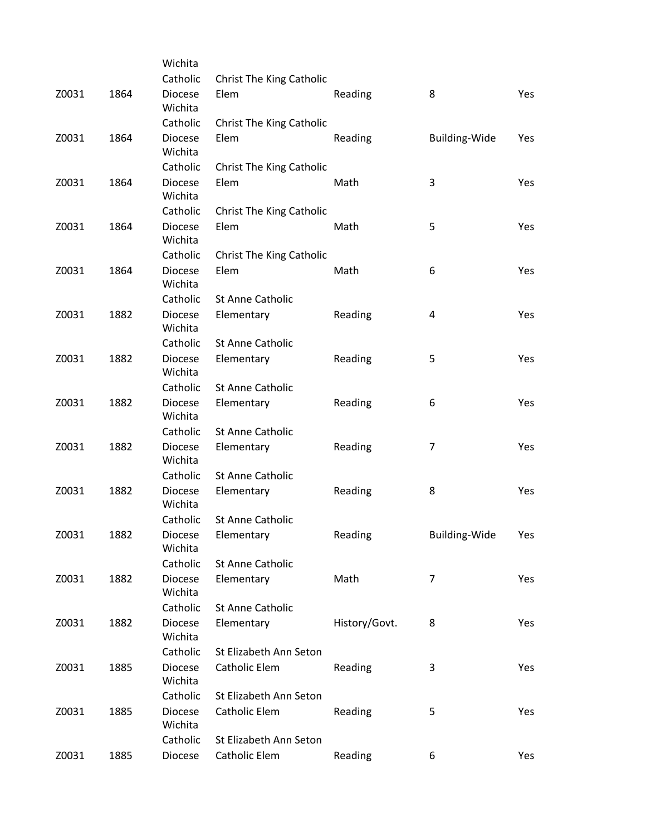|       |      | Wichita                   |                                 |               |                      |     |
|-------|------|---------------------------|---------------------------------|---------------|----------------------|-----|
|       |      | Catholic                  | Christ The King Catholic        |               |                      |     |
| Z0031 | 1864 | <b>Diocese</b><br>Wichita | Elem                            | Reading       | 8                    | Yes |
|       |      | Catholic                  | Christ The King Catholic        |               |                      |     |
| Z0031 | 1864 | <b>Diocese</b><br>Wichita | Elem                            | Reading       | <b>Building-Wide</b> | Yes |
|       |      | Catholic                  | <b>Christ The King Catholic</b> |               |                      |     |
| Z0031 | 1864 | <b>Diocese</b><br>Wichita | Elem                            | Math          | 3                    | Yes |
|       |      | Catholic                  | Christ The King Catholic        |               |                      |     |
| Z0031 | 1864 | <b>Diocese</b><br>Wichita | Elem                            | Math          | 5                    | Yes |
|       |      | Catholic                  | <b>Christ The King Catholic</b> |               |                      |     |
| Z0031 | 1864 | <b>Diocese</b><br>Wichita | Elem                            | Math          | 6                    | Yes |
|       |      | Catholic                  | <b>St Anne Catholic</b>         |               |                      |     |
| Z0031 | 1882 | <b>Diocese</b><br>Wichita | Elementary                      | Reading       | 4                    | Yes |
|       |      | Catholic                  | St Anne Catholic                |               |                      |     |
| Z0031 | 1882 | <b>Diocese</b><br>Wichita | Elementary                      | Reading       | 5                    | Yes |
|       |      | Catholic                  | St Anne Catholic                |               |                      |     |
| Z0031 | 1882 | <b>Diocese</b><br>Wichita | Elementary                      | Reading       | 6                    | Yes |
|       |      | Catholic                  | St Anne Catholic                |               |                      |     |
| Z0031 | 1882 | <b>Diocese</b><br>Wichita | Elementary                      | Reading       | 7                    | Yes |
|       |      | Catholic                  | St Anne Catholic                |               |                      |     |
| Z0031 | 1882 | <b>Diocese</b><br>Wichita | Elementary                      | Reading       | 8                    | Yes |
|       |      | Catholic                  | St Anne Catholic                |               |                      |     |
| Z0031 | 1882 | Diocese<br>Wichita        | Elementary                      | Reading       | Building-Wide        | Yes |
|       |      | Catholic                  | St Anne Catholic                |               |                      |     |
| Z0031 | 1882 | <b>Diocese</b><br>Wichita | Elementary                      | Math          | $\overline{7}$       | Yes |
|       |      | Catholic                  | St Anne Catholic                |               |                      |     |
| Z0031 | 1882 | <b>Diocese</b><br>Wichita | Elementary                      | History/Govt. | 8                    | Yes |
|       |      | Catholic                  | St Elizabeth Ann Seton          |               |                      |     |
| Z0031 | 1885 | <b>Diocese</b><br>Wichita | <b>Catholic Elem</b>            | Reading       | 3                    | Yes |
|       |      | Catholic                  | St Elizabeth Ann Seton          |               |                      |     |
| Z0031 | 1885 | <b>Diocese</b><br>Wichita | <b>Catholic Elem</b>            | Reading       | 5                    | Yes |
|       |      | Catholic                  | St Elizabeth Ann Seton          |               |                      |     |
| Z0031 | 1885 | Diocese                   | Catholic Elem                   | Reading       | 6                    | Yes |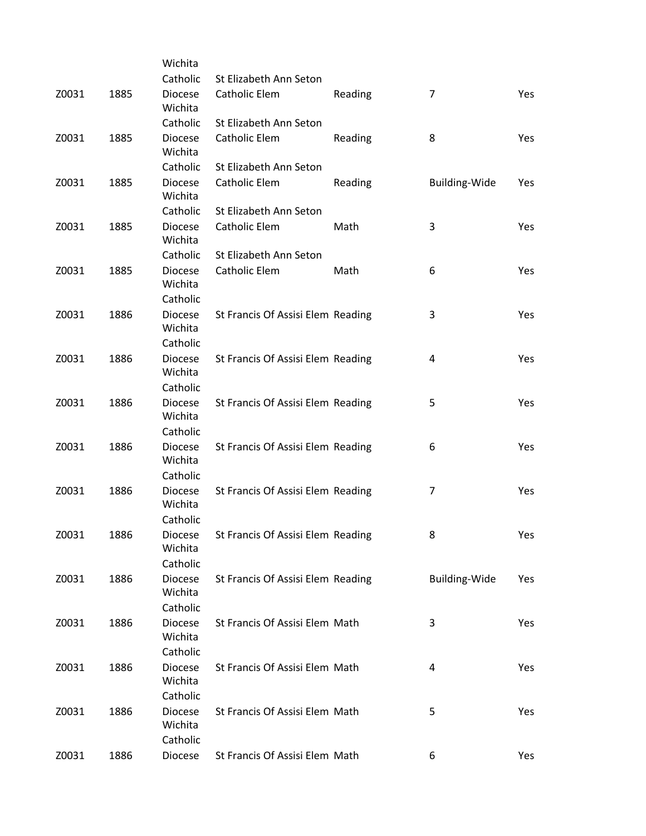|       |      | Wichita                               |                                   |         |                         |     |
|-------|------|---------------------------------------|-----------------------------------|---------|-------------------------|-----|
|       |      | Catholic                              | St Elizabeth Ann Seton            |         |                         |     |
| Z0031 | 1885 | <b>Diocese</b><br>Wichita             | Catholic Elem                     | Reading | $\overline{7}$          | Yes |
|       |      | Catholic                              | St Elizabeth Ann Seton            |         |                         |     |
| Z0031 | 1885 | <b>Diocese</b><br>Wichita             | Catholic Elem                     | Reading | 8                       | Yes |
|       |      | Catholic                              | St Elizabeth Ann Seton            |         |                         |     |
| Z0031 | 1885 | <b>Diocese</b><br>Wichita             | <b>Catholic Elem</b>              | Reading | <b>Building-Wide</b>    | Yes |
|       |      | Catholic                              | St Elizabeth Ann Seton            |         |                         |     |
| Z0031 | 1885 | <b>Diocese</b><br>Wichita             | <b>Catholic Elem</b>              | Math    | 3                       | Yes |
|       |      | Catholic                              | St Elizabeth Ann Seton            |         |                         |     |
| Z0031 | 1885 | <b>Diocese</b><br>Wichita             | <b>Catholic Elem</b>              | Math    | 6                       | Yes |
|       |      | Catholic                              |                                   |         |                         |     |
| Z0031 | 1886 | <b>Diocese</b><br>Wichita             | St Francis Of Assisi Elem Reading |         | 3                       | Yes |
|       |      | Catholic                              |                                   |         |                         |     |
| Z0031 | 1886 | <b>Diocese</b><br>Wichita             | St Francis Of Assisi Elem Reading |         | $\overline{\mathbf{4}}$ | Yes |
|       |      | Catholic                              |                                   |         |                         |     |
| Z0031 | 1886 | <b>Diocese</b><br>Wichita             | St Francis Of Assisi Elem Reading |         | 5                       | Yes |
|       |      | Catholic                              |                                   |         |                         |     |
| Z0031 | 1886 | <b>Diocese</b><br>Wichita<br>Catholic | St Francis Of Assisi Elem Reading |         | 6                       | Yes |
| Z0031 | 1886 | <b>Diocese</b>                        | St Francis Of Assisi Elem Reading |         | 7                       | Yes |
|       |      | Wichita<br>Catholic                   |                                   |         |                         |     |
| Z0031 | 1886 | Diocese                               | St Francis Of Assisi Elem Reading |         | 8                       | Yes |
|       |      | Wichita<br>Catholic                   |                                   |         |                         |     |
| Z0031 | 1886 | <b>Diocese</b>                        | St Francis Of Assisi Elem Reading |         | <b>Building-Wide</b>    | Yes |
|       |      | Wichita                               |                                   |         |                         |     |
|       |      | Catholic                              |                                   |         |                         |     |
| Z0031 | 1886 | <b>Diocese</b><br>Wichita             | St Francis Of Assisi Elem Math    |         | 3                       | Yes |
|       |      | Catholic                              |                                   |         |                         |     |
| Z0031 | 1886 | <b>Diocese</b><br>Wichita             | St Francis Of Assisi Elem Math    |         | 4                       | Yes |
|       |      | Catholic                              |                                   |         |                         |     |
| Z0031 | 1886 | <b>Diocese</b><br>Wichita<br>Catholic | St Francis Of Assisi Elem Math    |         | 5                       | Yes |
| Z0031 | 1886 | Diocese                               | St Francis Of Assisi Elem Math    |         | 6                       | Yes |
|       |      |                                       |                                   |         |                         |     |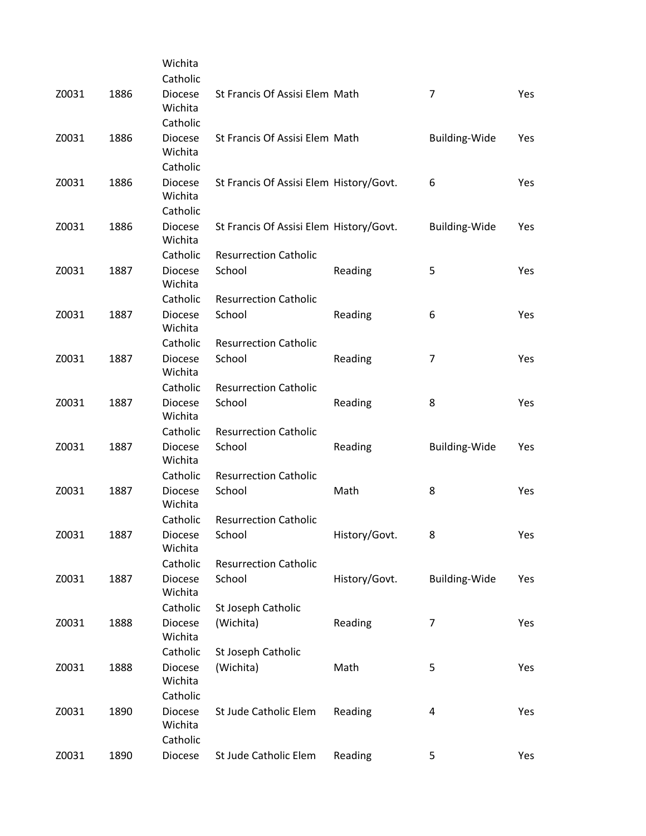|       |      | Wichita                               |                                         |               |                         |            |
|-------|------|---------------------------------------|-----------------------------------------|---------------|-------------------------|------------|
|       |      | Catholic                              |                                         |               |                         |            |
| Z0031 | 1886 | <b>Diocese</b><br>Wichita             | St Francis Of Assisi Elem Math          |               | $\overline{7}$          | Yes        |
|       |      | Catholic                              |                                         |               |                         |            |
| Z0031 | 1886 | <b>Diocese</b><br>Wichita             | St Francis Of Assisi Elem Math          |               | <b>Building-Wide</b>    | Yes        |
|       |      | Catholic                              |                                         |               |                         |            |
| Z0031 | 1886 | <b>Diocese</b><br>Wichita             | St Francis Of Assisi Elem History/Govt. |               | 6                       | Yes        |
|       |      | Catholic                              |                                         |               |                         |            |
| Z0031 | 1886 | <b>Diocese</b><br>Wichita             | St Francis Of Assisi Elem History/Govt. |               | <b>Building-Wide</b>    | Yes        |
|       |      | Catholic                              | <b>Resurrection Catholic</b>            |               |                         |            |
| Z0031 | 1887 | <b>Diocese</b><br>Wichita             | School                                  | Reading       | 5                       | Yes        |
|       |      | Catholic                              | <b>Resurrection Catholic</b>            |               |                         |            |
| Z0031 | 1887 | <b>Diocese</b><br>Wichita             | School                                  | Reading       | 6                       | Yes        |
|       |      | Catholic                              | <b>Resurrection Catholic</b>            |               |                         |            |
| Z0031 | 1887 | <b>Diocese</b><br>Wichita             | School                                  | Reading       | 7                       | <b>Yes</b> |
|       |      | Catholic                              | <b>Resurrection Catholic</b>            |               |                         |            |
| Z0031 | 1887 | <b>Diocese</b><br>Wichita             | School                                  | Reading       | 8                       | Yes        |
|       |      | Catholic                              | <b>Resurrection Catholic</b>            |               |                         |            |
| Z0031 | 1887 | <b>Diocese</b><br>Wichita             | School                                  | Reading       | <b>Building-Wide</b>    | Yes        |
|       |      | Catholic                              | <b>Resurrection Catholic</b>            |               |                         |            |
| Z0031 | 1887 | <b>Diocese</b><br>Wichita             | School                                  | Math          | 8                       | Yes        |
|       |      | Catholic                              | <b>Resurrection Catholic</b>            |               |                         |            |
| Z0031 | 1887 | Diocese<br>Wichita                    | School                                  | History/Govt. | 8                       | Yes        |
|       |      | Catholic                              | <b>Resurrection Catholic</b>            |               |                         |            |
| Z0031 | 1887 | <b>Diocese</b><br>Wichita             | School                                  | History/Govt. | <b>Building-Wide</b>    | Yes        |
|       |      | Catholic                              | St Joseph Catholic                      |               |                         |            |
| Z0031 | 1888 | <b>Diocese</b><br>Wichita             | (Wichita)                               | Reading       | 7                       | Yes        |
|       |      | Catholic                              | St Joseph Catholic                      |               |                         |            |
| Z0031 | 1888 | Diocese<br>Wichita                    | (Wichita)                               | Math          | 5                       | Yes        |
|       |      | Catholic                              |                                         |               |                         |            |
| Z0031 | 1890 | <b>Diocese</b><br>Wichita<br>Catholic | St Jude Catholic Elem                   | Reading       | $\overline{\mathbf{4}}$ | Yes        |
| Z0031 | 1890 | Diocese                               | St Jude Catholic Elem                   | Reading       | 5                       | Yes        |
|       |      |                                       |                                         |               |                         |            |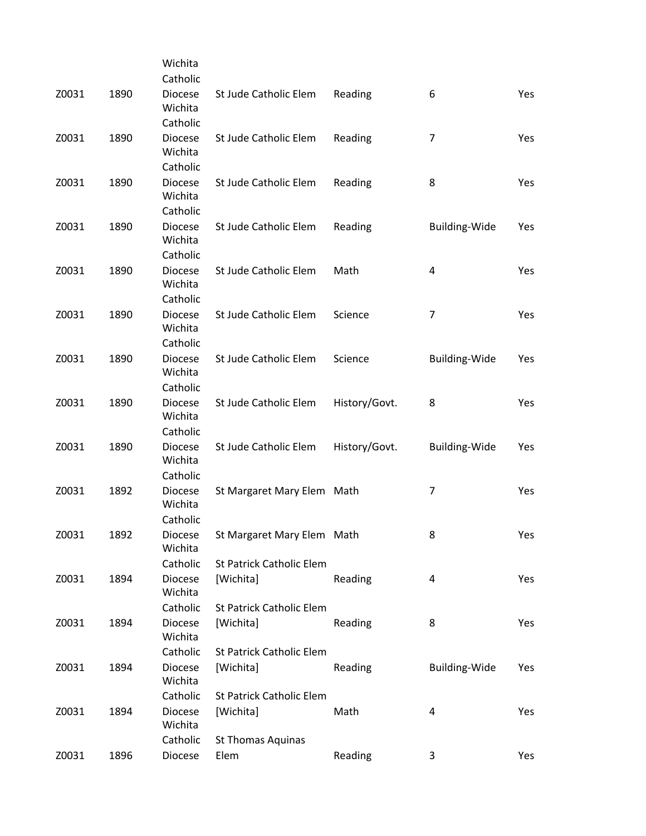|       |      | Wichita                               |                                                        |               |                      |     |
|-------|------|---------------------------------------|--------------------------------------------------------|---------------|----------------------|-----|
|       |      | Catholic                              |                                                        |               |                      |     |
| Z0031 | 1890 | <b>Diocese</b><br>Wichita             | St Jude Catholic Elem                                  | Reading       | 6                    | Yes |
|       |      | Catholic                              |                                                        |               |                      |     |
| Z0031 | 1890 | <b>Diocese</b><br>Wichita             | St Jude Catholic Elem                                  | Reading       | $\overline{7}$       | Yes |
|       |      | Catholic                              |                                                        |               |                      |     |
| Z0031 | 1890 | <b>Diocese</b><br>Wichita             | St Jude Catholic Elem                                  | Reading       | 8                    | Yes |
|       |      | Catholic                              |                                                        |               |                      |     |
| Z0031 | 1890 | <b>Diocese</b><br>Wichita             | St Jude Catholic Elem                                  | Reading       | Building-Wide        | Yes |
|       |      | Catholic                              |                                                        |               |                      |     |
| Z0031 | 1890 | <b>Diocese</b><br>Wichita<br>Catholic | St Jude Catholic Elem                                  | Math          | 4                    | Yes |
| Z0031 |      |                                       |                                                        | Science       | $\overline{7}$       |     |
|       | 1890 | <b>Diocese</b><br>Wichita<br>Catholic | St Jude Catholic Elem                                  |               |                      | Yes |
| Z0031 | 1890 | <b>Diocese</b>                        | St Jude Catholic Elem                                  | Science       | <b>Building-Wide</b> | Yes |
|       |      | Wichita<br>Catholic                   |                                                        |               |                      |     |
| Z0031 | 1890 | <b>Diocese</b>                        | St Jude Catholic Elem                                  |               | 8                    | Yes |
|       |      | Wichita<br>Catholic                   |                                                        | History/Govt. |                      |     |
|       | 1890 |                                       |                                                        |               |                      |     |
| Z0031 |      | <b>Diocese</b><br>Wichita<br>Catholic | St Jude Catholic Elem                                  | History/Govt. | <b>Building-Wide</b> | Yes |
|       | 1892 |                                       |                                                        |               |                      |     |
| Z0031 |      | <b>Diocese</b><br>Wichita<br>Catholic | St Margaret Mary Elem Math                             |               | 7                    | Yes |
|       |      |                                       |                                                        |               | 8                    |     |
| Z0031 | 1892 | Diocese<br>Wichita                    | St Margaret Mary Elem Math<br>St Patrick Catholic Elem |               |                      | Yes |
|       |      | Catholic                              |                                                        |               |                      |     |
| Z0031 | 1894 | <b>Diocese</b><br>Wichita             | [Wichita]                                              | Reading       | 4                    | Yes |
|       |      | Catholic                              | <b>St Patrick Catholic Elem</b>                        |               |                      |     |
| Z0031 | 1894 | <b>Diocese</b><br>Wichita             | [Wichita]                                              | Reading       | 8                    | Yes |
|       |      | Catholic                              | St Patrick Catholic Elem                               |               |                      |     |
| Z0031 | 1894 | <b>Diocese</b><br>Wichita             | [Wichita]                                              | Reading       | Building-Wide        | Yes |
|       |      | Catholic                              | St Patrick Catholic Elem                               |               |                      |     |
| Z0031 | 1894 | <b>Diocese</b><br>Wichita             | [Wichita]                                              | Math          | 4                    | Yes |
|       |      | Catholic                              | <b>St Thomas Aquinas</b>                               |               |                      |     |
| Z0031 | 1896 | Diocese                               | Elem                                                   | Reading       | 3                    | Yes |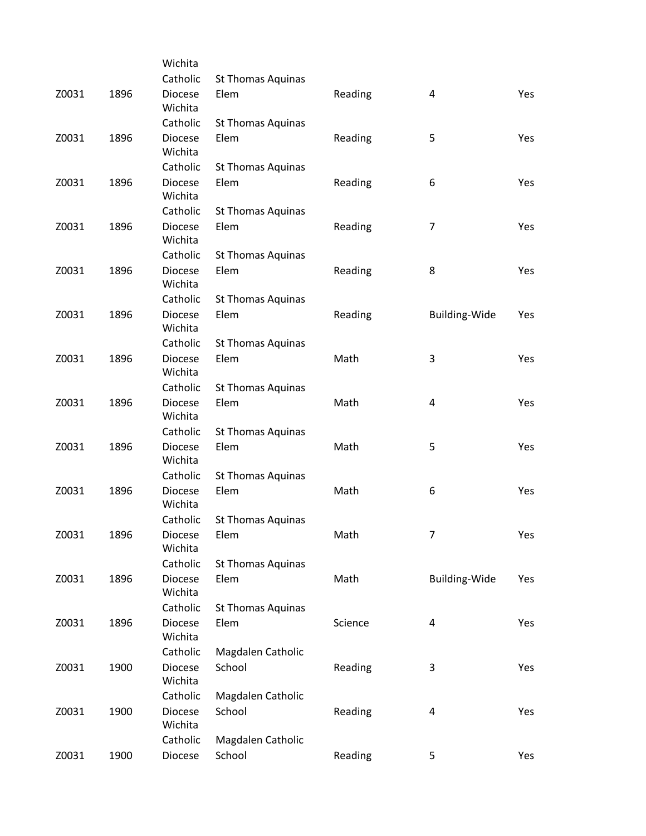|       |      | Wichita                   |                          |         |                      |     |
|-------|------|---------------------------|--------------------------|---------|----------------------|-----|
|       |      | Catholic                  | <b>St Thomas Aquinas</b> |         |                      |     |
| Z0031 | 1896 | <b>Diocese</b><br>Wichita | Elem                     | Reading | 4                    | Yes |
|       |      | Catholic                  | <b>St Thomas Aquinas</b> |         |                      |     |
| Z0031 | 1896 | <b>Diocese</b><br>Wichita | Elem                     | Reading | 5                    | Yes |
|       |      | Catholic                  | St Thomas Aquinas        |         |                      |     |
| Z0031 | 1896 | <b>Diocese</b><br>Wichita | Elem                     | Reading | 6                    | Yes |
|       |      | Catholic                  | <b>St Thomas Aquinas</b> |         |                      |     |
| Z0031 | 1896 | <b>Diocese</b><br>Wichita | Elem                     | Reading | $\overline{7}$       | Yes |
|       |      | Catholic                  | St Thomas Aquinas        |         |                      |     |
| Z0031 | 1896 | <b>Diocese</b><br>Wichita | Elem                     | Reading | 8                    | Yes |
|       |      | Catholic                  | <b>St Thomas Aquinas</b> |         |                      |     |
| Z0031 | 1896 | <b>Diocese</b><br>Wichita | Elem                     | Reading | <b>Building-Wide</b> | Yes |
|       |      | Catholic                  | St Thomas Aquinas        |         |                      |     |
| Z0031 | 1896 | <b>Diocese</b><br>Wichita | Elem                     | Math    | 3                    | Yes |
|       |      | Catholic                  | <b>St Thomas Aquinas</b> |         |                      |     |
| Z0031 | 1896 | <b>Diocese</b><br>Wichita | Elem                     | Math    | 4                    | Yes |
|       |      | Catholic                  | St Thomas Aquinas        |         |                      |     |
| Z0031 | 1896 | <b>Diocese</b><br>Wichita | Elem                     | Math    | 5                    | Yes |
|       |      | Catholic                  | <b>St Thomas Aquinas</b> |         |                      |     |
| Z0031 | 1896 | <b>Diocese</b><br>Wichita | Elem                     | Math    | 6                    | Yes |
|       |      | Catholic                  | <b>St Thomas Aquinas</b> |         |                      |     |
| Z0031 | 1896 | Diocese<br>Wichita        | Elem                     | Math    | 7                    | Yes |
|       |      | Catholic                  | St Thomas Aquinas        |         |                      |     |
| Z0031 | 1896 | Diocese<br>Wichita        | Elem                     | Math    | <b>Building-Wide</b> | Yes |
|       |      | Catholic                  | St Thomas Aquinas        |         |                      |     |
| Z0031 | 1896 | Diocese<br>Wichita        | Elem                     | Science | 4                    | Yes |
|       |      | Catholic                  | Magdalen Catholic        |         |                      |     |
| Z0031 | 1900 | <b>Diocese</b><br>Wichita | School                   | Reading | 3                    | Yes |
|       |      | Catholic                  | Magdalen Catholic        |         |                      |     |
| Z0031 | 1900 | <b>Diocese</b><br>Wichita | School                   | Reading | 4                    | Yes |
|       |      | Catholic                  | Magdalen Catholic        |         |                      |     |
| Z0031 | 1900 | Diocese                   | School                   | Reading | 5                    | Yes |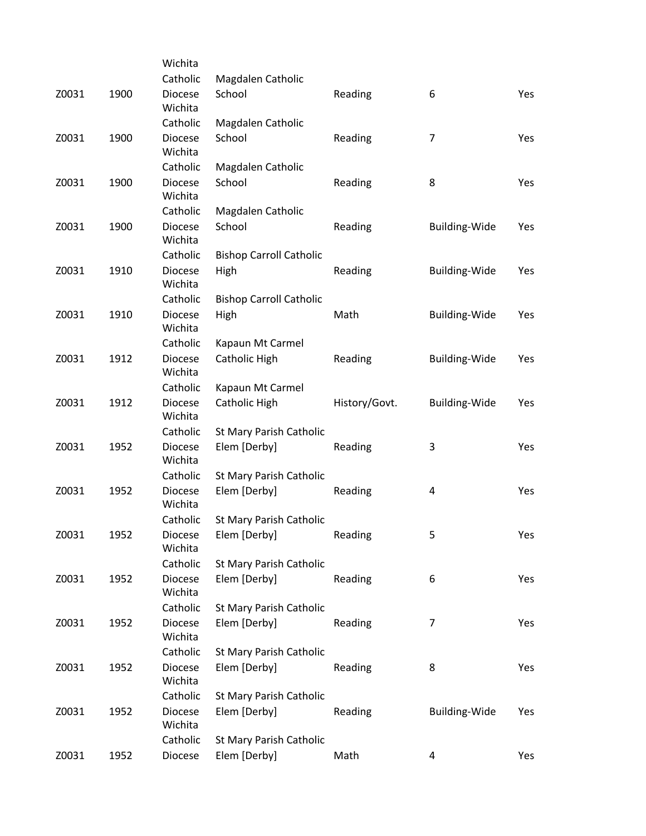|       |      | Wichita                   |                                |               |                |     |
|-------|------|---------------------------|--------------------------------|---------------|----------------|-----|
|       |      | Catholic                  | Magdalen Catholic              |               |                |     |
| Z0031 | 1900 | <b>Diocese</b><br>Wichita | School                         | Reading       | 6              | Yes |
|       |      | Catholic                  | Magdalen Catholic              |               |                |     |
| Z0031 | 1900 | <b>Diocese</b><br>Wichita | School                         | Reading       | $\overline{7}$ | Yes |
|       |      | Catholic                  | Magdalen Catholic              |               |                |     |
| Z0031 | 1900 | <b>Diocese</b><br>Wichita | School                         | Reading       | 8              | Yes |
|       |      | Catholic                  | Magdalen Catholic              |               |                |     |
| Z0031 | 1900 | <b>Diocese</b><br>Wichita | School                         | Reading       | Building-Wide  | Yes |
|       |      | Catholic                  | <b>Bishop Carroll Catholic</b> |               |                |     |
| Z0031 | 1910 | <b>Diocese</b><br>Wichita | High                           | Reading       | Building-Wide  | Yes |
|       |      | Catholic                  | <b>Bishop Carroll Catholic</b> |               |                |     |
| Z0031 | 1910 | <b>Diocese</b><br>Wichita | High                           | Math          | Building-Wide  | Yes |
|       |      | Catholic                  | Kapaun Mt Carmel               |               |                |     |
| Z0031 | 1912 | <b>Diocese</b><br>Wichita | Catholic High                  | Reading       | Building-Wide  | Yes |
|       |      | Catholic                  | Kapaun Mt Carmel               |               |                |     |
| Z0031 | 1912 | <b>Diocese</b><br>Wichita | Catholic High                  | History/Govt. | Building-Wide  | Yes |
|       |      | Catholic                  | St Mary Parish Catholic        |               |                |     |
| Z0031 | 1952 | <b>Diocese</b><br>Wichita | Elem [Derby]                   | Reading       | 3              | Yes |
|       |      | Catholic                  | St Mary Parish Catholic        |               |                |     |
| Z0031 | 1952 | <b>Diocese</b><br>Wichita | Elem [Derby]                   | Reading       | 4              | Yes |
|       |      | Catholic                  | St Mary Parish Catholic        |               |                |     |
| Z0031 | 1952 | Diocese<br>Wichita        | Elem [Derby]                   | Reading       | 5              | Yes |
|       |      | Catholic                  | St Mary Parish Catholic        |               |                |     |
| Z0031 | 1952 | <b>Diocese</b><br>Wichita | Elem [Derby]                   | Reading       | 6              | Yes |
|       |      | Catholic                  | St Mary Parish Catholic        |               |                |     |
| Z0031 | 1952 | <b>Diocese</b><br>Wichita | Elem [Derby]                   | Reading       | 7              | Yes |
|       |      | Catholic                  | St Mary Parish Catholic        |               |                |     |
| Z0031 | 1952 | <b>Diocese</b><br>Wichita | Elem [Derby]                   | Reading       | 8              | Yes |
|       |      | Catholic                  | St Mary Parish Catholic        |               |                |     |
| Z0031 | 1952 | <b>Diocese</b><br>Wichita | Elem [Derby]                   | Reading       | Building-Wide  | Yes |
|       |      | Catholic                  | St Mary Parish Catholic        |               |                |     |
| Z0031 | 1952 | Diocese                   | Elem [Derby]                   | Math          | 4              | Yes |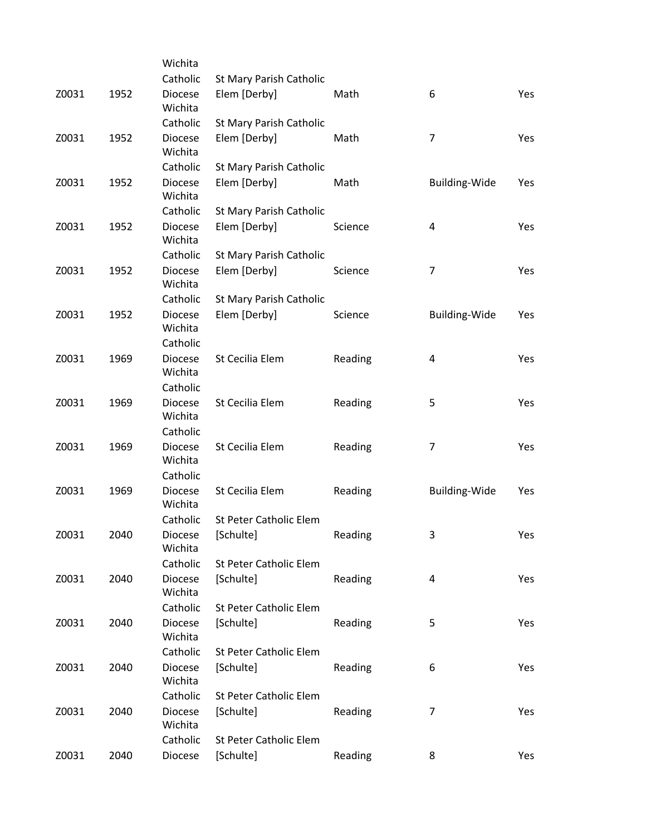|       |      | Wichita                   |                                |         |                      |     |
|-------|------|---------------------------|--------------------------------|---------|----------------------|-----|
|       |      | Catholic                  | St Mary Parish Catholic        |         |                      |     |
| Z0031 | 1952 | <b>Diocese</b><br>Wichita | Elem [Derby]                   | Math    | 6                    | Yes |
|       |      | Catholic                  | St Mary Parish Catholic        |         |                      |     |
| Z0031 | 1952 | <b>Diocese</b><br>Wichita | Elem [Derby]                   | Math    | $\overline{7}$       | Yes |
|       |      | Catholic                  | <b>St Mary Parish Catholic</b> |         |                      |     |
| Z0031 | 1952 | <b>Diocese</b><br>Wichita | Elem [Derby]                   | Math    | Building-Wide        | Yes |
|       |      | Catholic                  | St Mary Parish Catholic        |         |                      |     |
| Z0031 | 1952 | Diocese<br>Wichita        | Elem [Derby]                   | Science | 4                    | Yes |
|       |      | Catholic                  | St Mary Parish Catholic        |         |                      |     |
| Z0031 | 1952 | <b>Diocese</b><br>Wichita | Elem [Derby]                   | Science | $\overline{7}$       | Yes |
|       |      | Catholic                  | St Mary Parish Catholic        |         |                      |     |
| Z0031 | 1952 | <b>Diocese</b><br>Wichita | Elem [Derby]                   | Science | Building-Wide        | Yes |
|       |      | Catholic                  |                                |         |                      |     |
| Z0031 | 1969 | <b>Diocese</b><br>Wichita | St Cecilia Elem                | Reading | 4                    | Yes |
|       |      | Catholic                  |                                |         |                      |     |
| Z0031 | 1969 | <b>Diocese</b><br>Wichita | St Cecilia Elem                | Reading | 5                    | Yes |
|       |      | Catholic                  |                                |         |                      |     |
| Z0031 | 1969 | <b>Diocese</b><br>Wichita | St Cecilia Elem                | Reading | $\overline{7}$       | Yes |
| Z0031 |      | Catholic                  | St Cecilia Elem                |         |                      |     |
|       | 1969 | <b>Diocese</b><br>Wichita |                                | Reading | <b>Building-Wide</b> | Yes |
|       |      | Catholic                  | St Peter Catholic Elem         |         |                      |     |
| Z0031 | 2040 | Diocese<br>Wichita        | [Schulte]                      | Reading | 3                    | Yes |
|       |      | Catholic                  | St Peter Catholic Elem         |         |                      |     |
| Z0031 | 2040 | <b>Diocese</b><br>Wichita | [Schulte]                      | Reading | 4                    | Yes |
|       |      | Catholic                  | St Peter Catholic Elem         |         |                      |     |
| Z0031 | 2040 | <b>Diocese</b><br>Wichita | [Schulte]                      | Reading | 5                    | Yes |
|       |      | Catholic                  | St Peter Catholic Elem         |         |                      |     |
| Z0031 | 2040 | <b>Diocese</b><br>Wichita | [Schulte]                      | Reading | 6                    | Yes |
|       |      | Catholic                  | St Peter Catholic Elem         |         |                      |     |
| Z0031 | 2040 | <b>Diocese</b><br>Wichita | [Schulte]                      | Reading | 7                    | Yes |
|       |      | Catholic                  | St Peter Catholic Elem         |         |                      |     |
| Z0031 | 2040 | Diocese                   | [Schulte]                      | Reading | 8                    | Yes |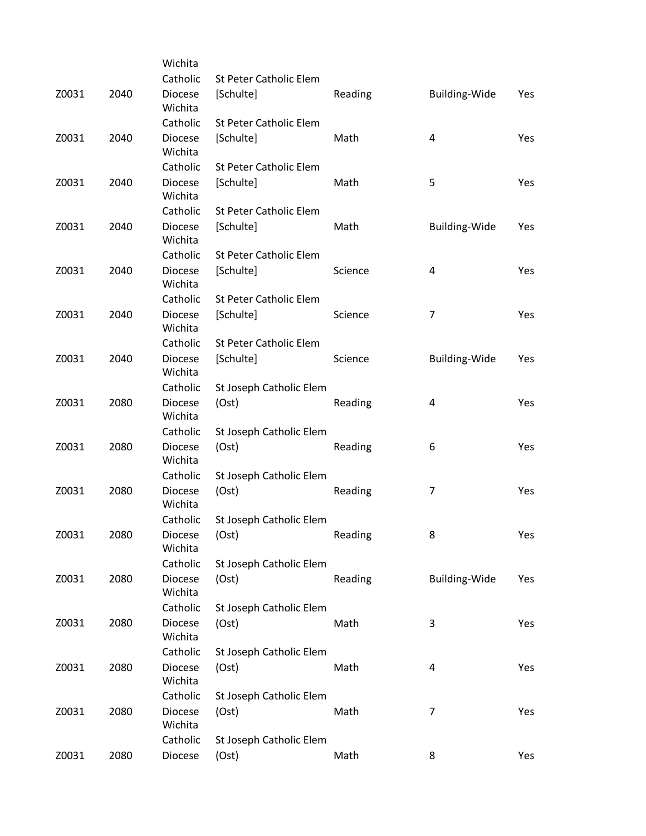|       |      | Wichita                   |                               |         |                         |     |
|-------|------|---------------------------|-------------------------------|---------|-------------------------|-----|
|       |      | Catholic                  | St Peter Catholic Elem        |         |                         |     |
| Z0031 | 2040 | <b>Diocese</b><br>Wichita | [Schulte]                     | Reading | <b>Building-Wide</b>    | Yes |
|       |      | Catholic                  | <b>St Peter Catholic Elem</b> |         |                         |     |
| Z0031 | 2040 | <b>Diocese</b><br>Wichita | [Schulte]                     | Math    | $\overline{\mathbf{4}}$ | Yes |
|       |      | Catholic                  | St Peter Catholic Elem        |         |                         |     |
| Z0031 | 2040 | <b>Diocese</b><br>Wichita | [Schulte]                     | Math    | 5                       | Yes |
|       |      | Catholic                  | <b>St Peter Catholic Elem</b> |         |                         |     |
| Z0031 | 2040 | <b>Diocese</b><br>Wichita | [Schulte]                     | Math    | <b>Building-Wide</b>    | Yes |
|       |      | Catholic                  | St Peter Catholic Elem        |         |                         |     |
| Z0031 | 2040 | <b>Diocese</b><br>Wichita | [Schulte]                     | Science | 4                       | Yes |
|       |      | Catholic                  | <b>St Peter Catholic Elem</b> |         |                         |     |
| Z0031 | 2040 | <b>Diocese</b><br>Wichita | [Schulte]                     | Science | $\overline{7}$          | Yes |
|       |      | Catholic                  | St Peter Catholic Elem        |         |                         |     |
| Z0031 | 2040 | <b>Diocese</b><br>Wichita | [Schulte]                     | Science | Building-Wide           | Yes |
|       |      | Catholic                  | St Joseph Catholic Elem       |         |                         |     |
| Z0031 | 2080 | <b>Diocese</b><br>Wichita | (Ost)                         | Reading | 4                       | Yes |
|       |      | Catholic                  | St Joseph Catholic Elem       |         |                         |     |
| Z0031 | 2080 | <b>Diocese</b><br>Wichita | (Ost)                         | Reading | 6                       | Yes |
|       |      | Catholic                  | St Joseph Catholic Elem       |         |                         |     |
| Z0031 | 2080 | <b>Diocese</b><br>Wichita | (Ost)                         | Reading | 7                       | Yes |
|       |      | Catholic                  | St Joseph Catholic Elem       |         |                         |     |
| Z0031 | 2080 | Diocese<br>Wichita        | (Ost)                         | Reading | 8                       | Yes |
|       |      | Catholic                  | St Joseph Catholic Elem       |         |                         |     |
| Z0031 | 2080 | <b>Diocese</b><br>Wichita | (Ost)                         | Reading | <b>Building-Wide</b>    | Yes |
|       |      | Catholic                  | St Joseph Catholic Elem       |         |                         |     |
| Z0031 | 2080 | <b>Diocese</b><br>Wichita | (Ost)                         | Math    | 3                       | Yes |
|       |      | Catholic                  | St Joseph Catholic Elem       |         |                         |     |
| Z0031 | 2080 | <b>Diocese</b><br>Wichita | (Ost)                         | Math    | 4                       | Yes |
|       |      | Catholic                  | St Joseph Catholic Elem       |         |                         |     |
| Z0031 | 2080 | <b>Diocese</b><br>Wichita | (Ost)                         | Math    | 7                       | Yes |
|       |      | Catholic                  | St Joseph Catholic Elem       |         |                         |     |
| Z0031 | 2080 | Diocese                   | (Ost)                         | Math    | 8                       | Yes |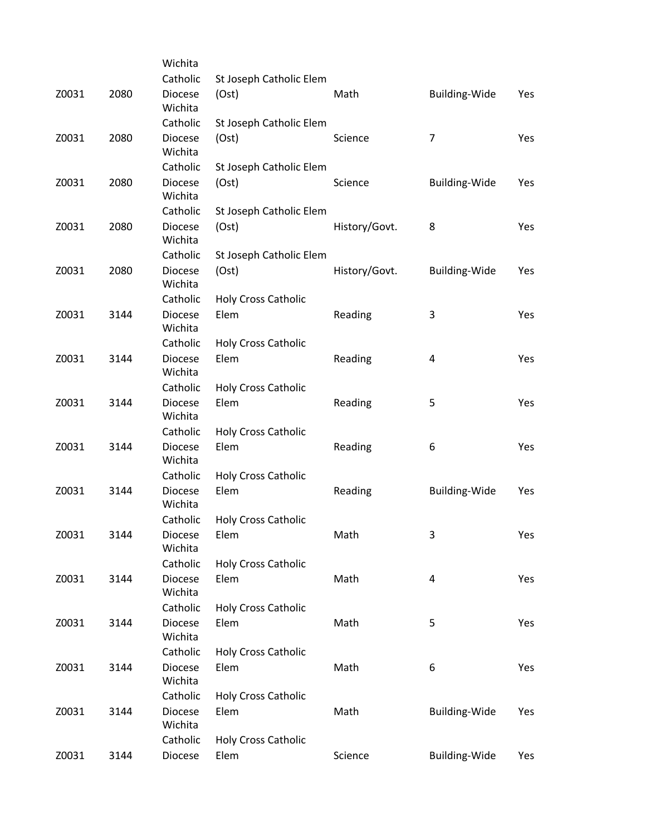|       |      | Wichita                   |                            |               |                      |     |
|-------|------|---------------------------|----------------------------|---------------|----------------------|-----|
|       |      | Catholic                  | St Joseph Catholic Elem    |               |                      |     |
| Z0031 | 2080 | <b>Diocese</b><br>Wichita | (Ost)                      | Math          | <b>Building-Wide</b> | Yes |
|       |      | Catholic                  | St Joseph Catholic Elem    |               |                      |     |
| Z0031 | 2080 | <b>Diocese</b><br>Wichita | (Ost)                      | Science       | $\overline{7}$       | Yes |
|       |      | Catholic                  | St Joseph Catholic Elem    |               |                      |     |
| Z0031 | 2080 | <b>Diocese</b><br>Wichita | (Ost)                      | Science       | <b>Building-Wide</b> | Yes |
|       |      | Catholic                  | St Joseph Catholic Elem    |               |                      |     |
| Z0031 | 2080 | <b>Diocese</b><br>Wichita | (Ost)                      | History/Govt. | 8                    | Yes |
|       |      | Catholic                  | St Joseph Catholic Elem    |               |                      |     |
| Z0031 | 2080 | <b>Diocese</b><br>Wichita | (Ost)                      | History/Govt. | Building-Wide        | Yes |
|       |      | Catholic                  | <b>Holy Cross Catholic</b> |               |                      |     |
| Z0031 | 3144 | <b>Diocese</b><br>Wichita | Elem                       | Reading       | 3                    | Yes |
|       |      | Catholic                  | <b>Holy Cross Catholic</b> |               |                      |     |
| Z0031 | 3144 | <b>Diocese</b><br>Wichita | Elem                       | Reading       | 4                    | Yes |
|       |      | Catholic                  | <b>Holy Cross Catholic</b> |               |                      |     |
| Z0031 | 3144 | <b>Diocese</b><br>Wichita | Elem                       | Reading       | 5                    | Yes |
|       |      | Catholic                  | <b>Holy Cross Catholic</b> |               |                      |     |
| Z0031 | 3144 | <b>Diocese</b><br>Wichita | Elem                       | Reading       | 6                    | Yes |
|       |      | Catholic                  | <b>Holy Cross Catholic</b> |               |                      |     |
| Z0031 | 3144 | <b>Diocese</b><br>Wichita | Elem                       | Reading       | Building-Wide        | Yes |
|       |      | Catholic                  | <b>Holy Cross Catholic</b> |               |                      |     |
| Z0031 | 3144 | Diocese<br>Wichita        | Elem                       | Math          | 3                    | Yes |
|       |      | Catholic                  | <b>Holy Cross Catholic</b> |               |                      |     |
| Z0031 | 3144 | Diocese<br>Wichita        | Elem                       | Math          | 4                    | Yes |
|       |      | Catholic                  | <b>Holy Cross Catholic</b> |               |                      |     |
| Z0031 | 3144 | <b>Diocese</b><br>Wichita | Elem                       | Math          | 5                    | Yes |
|       |      | Catholic                  | <b>Holy Cross Catholic</b> |               |                      |     |
| Z0031 | 3144 | <b>Diocese</b><br>Wichita | Elem                       | Math          | 6                    | Yes |
|       |      | Catholic                  | <b>Holy Cross Catholic</b> |               |                      |     |
| Z0031 | 3144 | <b>Diocese</b><br>Wichita | Elem                       | Math          | <b>Building-Wide</b> | Yes |
|       |      | Catholic                  | <b>Holy Cross Catholic</b> |               |                      |     |
| Z0031 | 3144 | Diocese                   | Elem                       | Science       | Building-Wide        | Yes |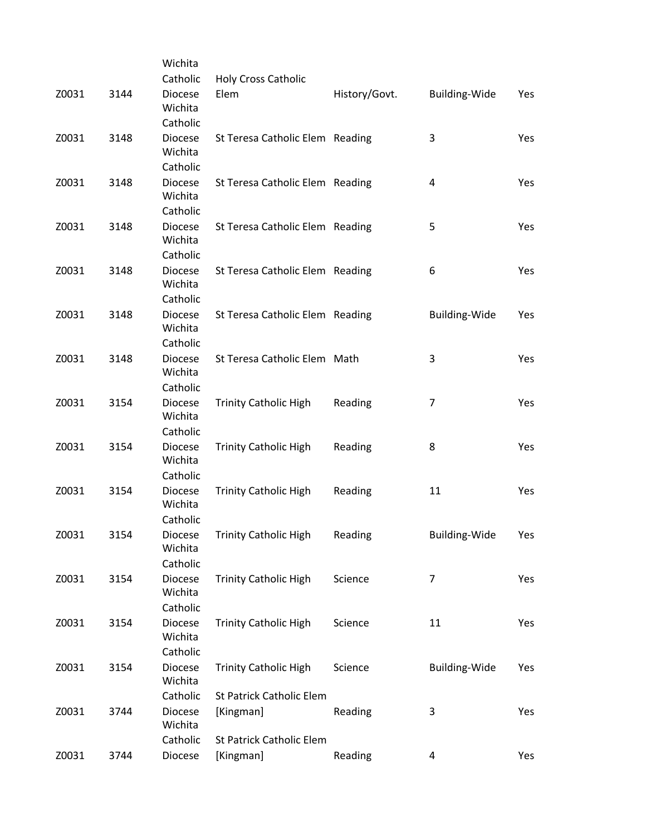|       |      | Wichita                               |                                 |               |                      |     |
|-------|------|---------------------------------------|---------------------------------|---------------|----------------------|-----|
|       |      | Catholic                              | <b>Holy Cross Catholic</b>      |               |                      |     |
| Z0031 | 3144 | <b>Diocese</b><br>Wichita             | Elem                            | History/Govt. | <b>Building-Wide</b> | Yes |
|       |      | Catholic                              |                                 |               |                      |     |
| Z0031 | 3148 | <b>Diocese</b><br>Wichita             | St Teresa Catholic Elem Reading |               | 3                    | Yes |
|       |      | Catholic                              |                                 |               |                      |     |
| Z0031 | 3148 | <b>Diocese</b><br>Wichita             | St Teresa Catholic Elem Reading |               | 4                    | Yes |
|       |      | Catholic                              |                                 |               |                      |     |
| Z0031 | 3148 | <b>Diocese</b><br>Wichita<br>Catholic | St Teresa Catholic Elem Reading |               | 5                    | Yes |
|       |      |                                       |                                 |               |                      |     |
| Z0031 | 3148 | <b>Diocese</b><br>Wichita             | St Teresa Catholic Elem Reading |               | 6                    | Yes |
|       |      | Catholic                              |                                 |               |                      |     |
| Z0031 | 3148 | <b>Diocese</b><br>Wichita<br>Catholic | St Teresa Catholic Elem Reading |               | <b>Building-Wide</b> | Yes |
|       |      |                                       |                                 |               |                      |     |
| Z0031 | 3148 | <b>Diocese</b><br>Wichita             | St Teresa Catholic Elem Math    |               | 3                    | Yes |
|       |      | Catholic                              |                                 |               |                      |     |
| Z0031 | 3154 | <b>Diocese</b><br>Wichita             | <b>Trinity Catholic High</b>    | Reading       | 7                    | Yes |
|       |      | Catholic                              |                                 |               |                      |     |
| Z0031 | 3154 | <b>Diocese</b><br>Wichita             | <b>Trinity Catholic High</b>    | Reading       | 8                    | Yes |
|       |      | Catholic                              |                                 |               |                      |     |
| Z0031 | 3154 | <b>Diocese</b><br>Wichita             | <b>Trinity Catholic High</b>    | Reading       | 11                   | Yes |
|       |      | Catholic                              |                                 |               |                      |     |
| Z0031 | 3154 | Diocese<br>Wichita                    | <b>Trinity Catholic High</b>    | Reading       | <b>Building-Wide</b> | Yes |
|       |      | Catholic                              |                                 |               |                      |     |
| Z0031 | 3154 | <b>Diocese</b><br>Wichita             | <b>Trinity Catholic High</b>    | Science       | 7                    | Yes |
|       |      | Catholic                              |                                 |               |                      |     |
| Z0031 | 3154 | <b>Diocese</b><br>Wichita             | <b>Trinity Catholic High</b>    | Science       | 11                   | Yes |
|       |      | Catholic                              |                                 |               |                      |     |
| Z0031 | 3154 | <b>Diocese</b><br>Wichita             | <b>Trinity Catholic High</b>    | Science       | <b>Building-Wide</b> | Yes |
|       |      | Catholic                              | St Patrick Catholic Elem        |               |                      |     |
| Z0031 | 3744 | <b>Diocese</b><br>Wichita             | [Kingman]                       | Reading       | 3                    | Yes |
|       |      | Catholic                              | St Patrick Catholic Elem        |               |                      |     |
| Z0031 | 3744 | Diocese                               | [Kingman]                       | Reading       | 4                    | Yes |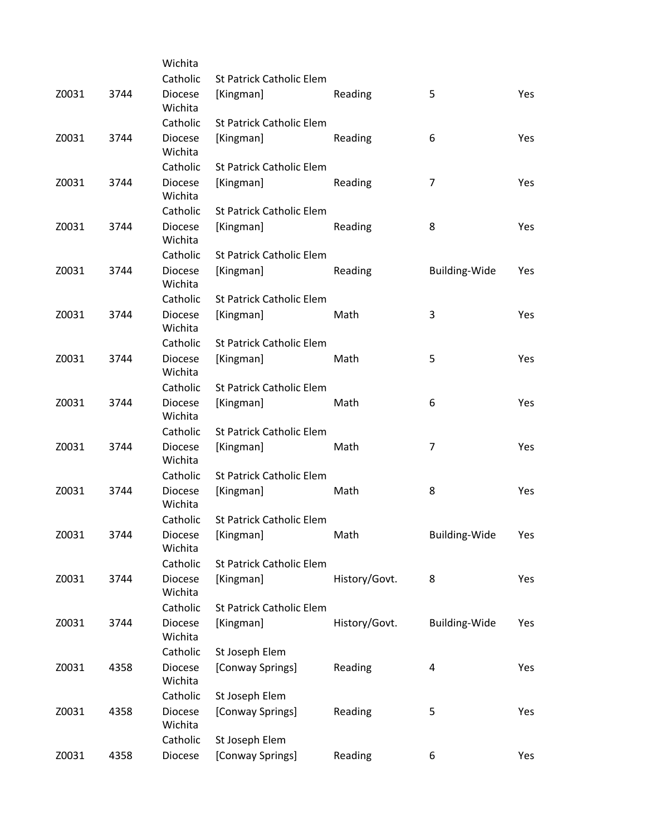|       |      | Wichita                   |                                 |               |                      |     |
|-------|------|---------------------------|---------------------------------|---------------|----------------------|-----|
|       |      | Catholic                  | <b>St Patrick Catholic Elem</b> |               |                      |     |
| Z0031 | 3744 | <b>Diocese</b><br>Wichita | [Kingman]                       | Reading       | 5                    | Yes |
|       |      | Catholic                  | <b>St Patrick Catholic Elem</b> |               |                      |     |
| Z0031 | 3744 | <b>Diocese</b><br>Wichita | [Kingman]                       | Reading       | 6                    | Yes |
|       |      | Catholic                  | <b>St Patrick Catholic Elem</b> |               |                      |     |
| Z0031 | 3744 | Diocese<br>Wichita        | [Kingman]                       | Reading       | $\overline{7}$       | Yes |
|       |      | Catholic                  | <b>St Patrick Catholic Elem</b> |               |                      |     |
| Z0031 | 3744 | <b>Diocese</b><br>Wichita | [Kingman]                       | Reading       | 8                    | Yes |
|       |      | Catholic                  | <b>St Patrick Catholic Elem</b> |               |                      |     |
| Z0031 | 3744 | <b>Diocese</b><br>Wichita | [Kingman]                       | Reading       | <b>Building-Wide</b> | Yes |
|       |      | Catholic                  | <b>St Patrick Catholic Elem</b> |               |                      |     |
| Z0031 | 3744 | <b>Diocese</b><br>Wichita | [Kingman]                       | Math          | 3                    | Yes |
|       |      | Catholic                  | <b>St Patrick Catholic Elem</b> |               |                      |     |
| Z0031 | 3744 | <b>Diocese</b><br>Wichita | [Kingman]                       | Math          | 5                    | Yes |
|       |      | Catholic                  | <b>St Patrick Catholic Elem</b> |               |                      |     |
| Z0031 | 3744 | Diocese<br>Wichita        | [Kingman]                       | Math          | 6                    | Yes |
|       |      | Catholic                  | <b>St Patrick Catholic Elem</b> |               |                      |     |
| Z0031 | 3744 | <b>Diocese</b><br>Wichita | [Kingman]                       | Math          | $\overline{7}$       | Yes |
|       |      | Catholic                  | <b>St Patrick Catholic Elem</b> |               |                      |     |
| Z0031 | 3744 | <b>Diocese</b><br>Wichita | [Kingman]                       | Math          | 8                    | Yes |
|       |      | Catholic                  | <b>St Patrick Catholic Elem</b> |               |                      |     |
| Z0031 | 3744 | Diocese<br>Wichita        | [Kingman]                       | Math          | <b>Building-Wide</b> | Yes |
|       |      | Catholic                  | St Patrick Catholic Elem        |               |                      |     |
| Z0031 | 3744 | <b>Diocese</b><br>Wichita | [Kingman]                       | History/Govt. | 8                    | Yes |
|       |      | Catholic                  | St Patrick Catholic Elem        |               |                      |     |
| Z0031 | 3744 | <b>Diocese</b><br>Wichita | [Kingman]                       | History/Govt. | <b>Building-Wide</b> | Yes |
|       |      | Catholic                  | St Joseph Elem                  |               |                      |     |
| Z0031 | 4358 | <b>Diocese</b><br>Wichita | [Conway Springs]                | Reading       | 4                    | Yes |
|       |      | Catholic                  | St Joseph Elem                  |               |                      |     |
| Z0031 | 4358 | <b>Diocese</b><br>Wichita | [Conway Springs]                | Reading       | 5                    | Yes |
|       |      | Catholic                  | St Joseph Elem                  |               |                      |     |
| Z0031 | 4358 | Diocese                   | [Conway Springs]                | Reading       | 6                    | Yes |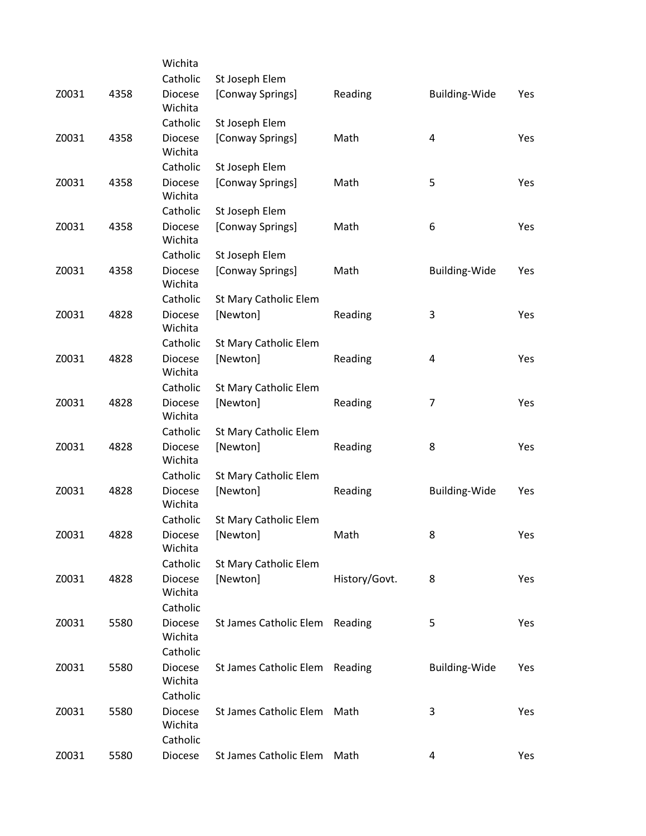|       |      | Wichita                               |                        |               |                      |     |
|-------|------|---------------------------------------|------------------------|---------------|----------------------|-----|
|       |      | Catholic                              | St Joseph Elem         |               |                      |     |
| Z0031 | 4358 | <b>Diocese</b><br>Wichita             | [Conway Springs]       | Reading       | Building-Wide        | Yes |
|       |      | Catholic                              | St Joseph Elem         |               |                      |     |
| Z0031 | 4358 | <b>Diocese</b><br>Wichita             | [Conway Springs]       | Math          | 4                    | Yes |
|       |      | Catholic                              | St Joseph Elem         |               |                      |     |
| Z0031 | 4358 | <b>Diocese</b><br>Wichita             | [Conway Springs]       | Math          | 5                    | Yes |
|       |      | Catholic                              | St Joseph Elem         |               |                      |     |
| Z0031 | 4358 | <b>Diocese</b><br>Wichita             | [Conway Springs]       | Math          | 6                    | Yes |
|       |      | Catholic                              | St Joseph Elem         |               |                      |     |
| Z0031 | 4358 | <b>Diocese</b><br>Wichita             | [Conway Springs]       | Math          | <b>Building-Wide</b> | Yes |
|       |      | Catholic                              | St Mary Catholic Elem  |               |                      |     |
| Z0031 | 4828 | <b>Diocese</b><br>Wichita             | [Newton]               | Reading       | 3                    | Yes |
|       |      | Catholic                              | St Mary Catholic Elem  |               |                      |     |
| Z0031 | 4828 | <b>Diocese</b><br>Wichita             | [Newton]               | Reading       | 4                    | Yes |
|       |      | Catholic                              | St Mary Catholic Elem  |               |                      |     |
| Z0031 | 4828 | <b>Diocese</b><br>Wichita             | [Newton]               | Reading       | 7                    | Yes |
|       |      | Catholic                              | St Mary Catholic Elem  |               |                      |     |
| Z0031 | 4828 | <b>Diocese</b><br>Wichita             | [Newton]               | Reading       | 8                    | Yes |
|       |      | Catholic                              | St Mary Catholic Elem  |               |                      |     |
| Z0031 | 4828 | <b>Diocese</b><br>Wichita             | [Newton]               | Reading       | Building-Wide        | Yes |
|       |      | Catholic                              | St Mary Catholic Elem  |               |                      |     |
| Z0031 | 4828 | Diocese<br>Wichita                    | [Newton]               | Math          | 8                    | Yes |
|       |      | Catholic                              | St Mary Catholic Elem  |               |                      |     |
| Z0031 | 4828 | <b>Diocese</b><br>Wichita             | [Newton]               | History/Govt. | 8                    | Yes |
|       |      | Catholic                              |                        |               |                      |     |
| Z0031 | 5580 | <b>Diocese</b><br>Wichita             | St James Catholic Elem | Reading       | 5                    | Yes |
|       |      | Catholic                              |                        |               |                      |     |
| Z0031 | 5580 | <b>Diocese</b><br>Wichita             | St James Catholic Elem | Reading       | <b>Building-Wide</b> | Yes |
|       |      | Catholic                              |                        |               |                      |     |
| Z0031 | 5580 | <b>Diocese</b><br>Wichita<br>Catholic | St James Catholic Elem | Math          | 3                    | Yes |
| Z0031 | 5580 | Diocese                               | St James Catholic Elem | Math          | 4                    | Yes |
|       |      |                                       |                        |               |                      |     |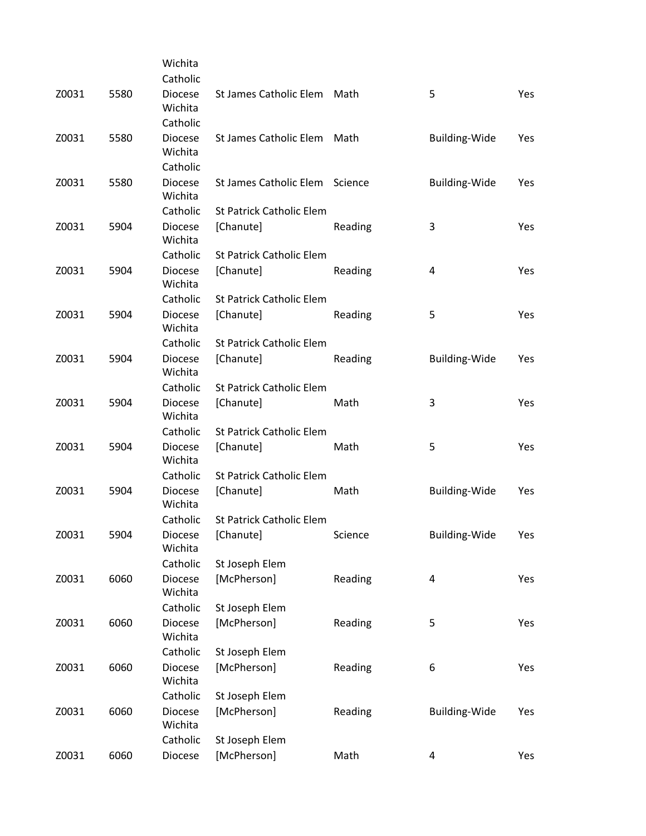|       |      | Wichita                   |                                 |         |                         |     |
|-------|------|---------------------------|---------------------------------|---------|-------------------------|-----|
|       |      | Catholic                  |                                 |         |                         |     |
| Z0031 | 5580 | <b>Diocese</b><br>Wichita | St James Catholic Elem Math     |         | 5                       | Yes |
|       |      | Catholic                  |                                 |         |                         |     |
| Z0031 | 5580 | <b>Diocese</b>            | St James Catholic Elem          | Math    | <b>Building-Wide</b>    | Yes |
|       |      | Wichita                   |                                 |         |                         |     |
|       |      | Catholic                  |                                 |         |                         |     |
| Z0031 | 5580 | <b>Diocese</b><br>Wichita | St James Catholic Elem Science  |         | <b>Building-Wide</b>    | Yes |
|       |      | Catholic                  | <b>St Patrick Catholic Elem</b> |         |                         |     |
| Z0031 | 5904 | <b>Diocese</b><br>Wichita | [Chanute]                       | Reading | 3                       | Yes |
|       |      | Catholic                  | <b>St Patrick Catholic Elem</b> |         |                         |     |
| Z0031 | 5904 | <b>Diocese</b><br>Wichita | [Chanute]                       | Reading | 4                       | Yes |
|       |      | Catholic                  | <b>St Patrick Catholic Elem</b> |         |                         |     |
| Z0031 | 5904 | <b>Diocese</b><br>Wichita | [Chanute]                       | Reading | 5                       | Yes |
|       |      | Catholic                  | <b>St Patrick Catholic Elem</b> |         |                         |     |
| Z0031 | 5904 | <b>Diocese</b><br>Wichita | [Chanute]                       | Reading | <b>Building-Wide</b>    | Yes |
|       |      | Catholic                  | <b>St Patrick Catholic Elem</b> |         |                         |     |
| Z0031 | 5904 | <b>Diocese</b>            | [Chanute]                       | Math    | 3                       | Yes |
|       |      | Wichita                   |                                 |         |                         |     |
|       |      | Catholic                  | <b>St Patrick Catholic Elem</b> |         |                         |     |
| Z0031 | 5904 | <b>Diocese</b><br>Wichita | [Chanute]                       | Math    | 5                       | Yes |
|       |      | Catholic                  | St Patrick Catholic Elem        |         |                         |     |
| Z0031 | 5904 | <b>Diocese</b><br>Wichita | [Chanute]                       | Math    | Building-Wide           | Yes |
|       |      | Catholic                  | St Patrick Catholic Elem        |         |                         |     |
| Z0031 | 5904 | Diocese<br>Wichita        | [Chanute]                       | Science | Building-Wide           | Yes |
|       |      | Catholic                  | St Joseph Elem                  |         |                         |     |
| Z0031 | 6060 | <b>Diocese</b><br>Wichita | [McPherson]                     | Reading | 4                       | Yes |
|       |      | Catholic                  | St Joseph Elem                  |         |                         |     |
| Z0031 | 6060 | Diocese<br>Wichita        | [McPherson]                     | Reading | 5                       | Yes |
|       |      | Catholic                  | St Joseph Elem                  |         |                         |     |
| Z0031 | 6060 | Diocese<br>Wichita        | [McPherson]                     | Reading | 6                       | Yes |
|       |      | Catholic                  | St Joseph Elem                  |         |                         |     |
| Z0031 | 6060 | <b>Diocese</b><br>Wichita | [McPherson]                     | Reading | Building-Wide           | Yes |
|       |      | Catholic                  | St Joseph Elem                  |         |                         |     |
| Z0031 | 6060 | Diocese                   | [McPherson]                     | Math    | $\overline{\mathbf{4}}$ | Yes |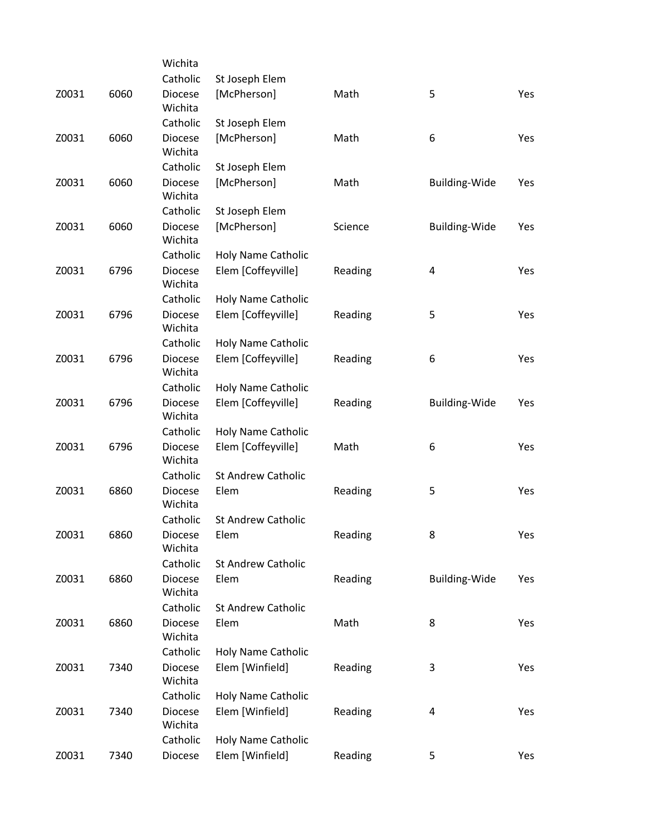|       |      | Wichita                   |                           |         |                      |     |
|-------|------|---------------------------|---------------------------|---------|----------------------|-----|
|       |      | Catholic                  | St Joseph Elem            |         |                      |     |
| Z0031 | 6060 | Diocese<br>Wichita        | [McPherson]               | Math    | 5                    | Yes |
|       |      | Catholic                  | St Joseph Elem            |         |                      |     |
| Z0031 | 6060 | <b>Diocese</b><br>Wichita | [McPherson]               | Math    | 6                    | Yes |
|       |      | Catholic                  | St Joseph Elem            |         |                      |     |
| Z0031 | 6060 | Diocese<br>Wichita        | [McPherson]               | Math    | Building-Wide        | Yes |
|       |      | Catholic                  | St Joseph Elem            |         |                      |     |
| Z0031 | 6060 | <b>Diocese</b><br>Wichita | [McPherson]               | Science | <b>Building-Wide</b> | Yes |
|       |      | Catholic                  | Holy Name Catholic        |         |                      |     |
| Z0031 | 6796 | <b>Diocese</b><br>Wichita | Elem [Coffeyville]        | Reading | 4                    | Yes |
|       |      | Catholic                  | Holy Name Catholic        |         |                      |     |
| Z0031 | 6796 | <b>Diocese</b><br>Wichita | Elem [Coffeyville]        | Reading | 5                    | Yes |
|       |      | Catholic                  | Holy Name Catholic        |         |                      |     |
| Z0031 | 6796 | <b>Diocese</b><br>Wichita | Elem [Coffeyville]        | Reading | 6                    | Yes |
|       |      | Catholic                  | Holy Name Catholic        |         |                      |     |
| Z0031 | 6796 | <b>Diocese</b><br>Wichita | Elem [Coffeyville]        | Reading | <b>Building-Wide</b> | Yes |
|       |      | Catholic                  | Holy Name Catholic        |         |                      |     |
| Z0031 | 6796 | Diocese<br>Wichita        | Elem [Coffeyville]        | Math    | 6                    | Yes |
|       |      | Catholic                  | <b>St Andrew Catholic</b> |         |                      |     |
| Z0031 | 6860 | Diocese<br>Wichita        | Elem                      | Reading | 5                    | Yes |
|       |      | Catholic                  | <b>St Andrew Catholic</b> |         |                      |     |
| Z0031 | 6860 | Diocese<br>Wichita        | Elem                      | Reading | 8                    | Yes |
|       |      | Catholic                  | <b>St Andrew Catholic</b> |         |                      |     |
| Z0031 | 6860 | Diocese<br>Wichita        | Elem                      | Reading | <b>Building-Wide</b> | Yes |
|       |      | Catholic                  | <b>St Andrew Catholic</b> |         |                      |     |
| Z0031 | 6860 | <b>Diocese</b><br>Wichita | Elem                      | Math    | 8                    | Yes |
|       |      | Catholic                  | Holy Name Catholic        |         |                      |     |
| Z0031 | 7340 | <b>Diocese</b><br>Wichita | Elem [Winfield]           | Reading | 3                    | Yes |
|       |      | Catholic                  | Holy Name Catholic        |         |                      |     |
| Z0031 | 7340 | <b>Diocese</b><br>Wichita | Elem [Winfield]           | Reading | 4                    | Yes |
|       |      | Catholic                  | Holy Name Catholic        |         |                      |     |
| Z0031 | 7340 | Diocese                   | Elem [Winfield]           | Reading | 5                    | Yes |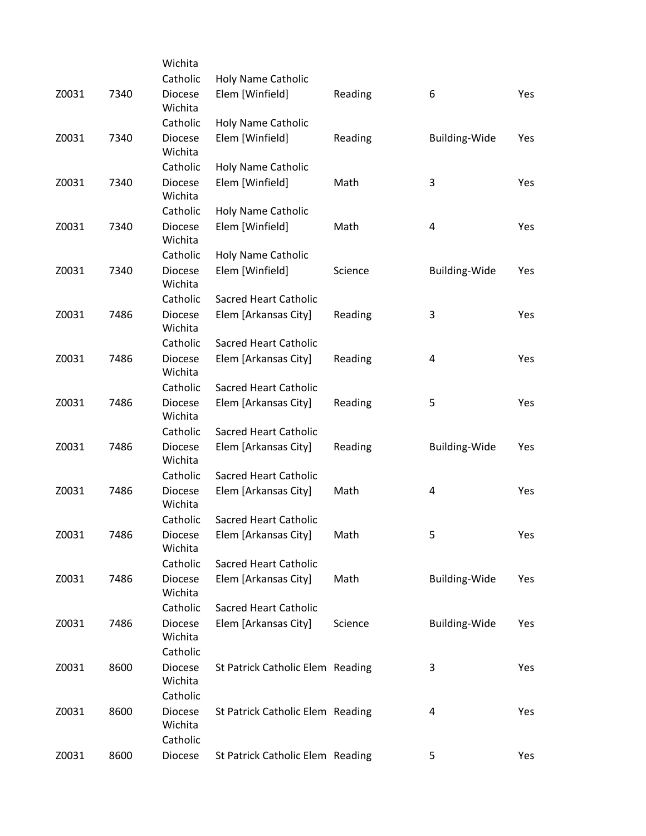|       |      | Wichita                               |                                  |         |                      |     |
|-------|------|---------------------------------------|----------------------------------|---------|----------------------|-----|
|       |      | Catholic                              | <b>Holy Name Catholic</b>        |         |                      |     |
| Z0031 | 7340 | <b>Diocese</b><br>Wichita             | Elem [Winfield]                  | Reading | 6                    | Yes |
|       |      | Catholic                              | <b>Holy Name Catholic</b>        |         |                      |     |
| Z0031 | 7340 | <b>Diocese</b><br>Wichita             | Elem [Winfield]                  | Reading | <b>Building-Wide</b> | Yes |
|       |      | Catholic                              | Holy Name Catholic               |         |                      |     |
| Z0031 | 7340 | <b>Diocese</b><br>Wichita             | Elem [Winfield]                  | Math    | 3                    | Yes |
|       |      | Catholic                              | Holy Name Catholic               |         |                      |     |
| Z0031 | 7340 | <b>Diocese</b><br>Wichita             | Elem [Winfield]                  | Math    | 4                    | Yes |
|       |      | Catholic                              | Holy Name Catholic               |         |                      |     |
| Z0031 | 7340 | <b>Diocese</b><br>Wichita             | Elem [Winfield]                  | Science | <b>Building-Wide</b> | Yes |
|       |      | Catholic                              | <b>Sacred Heart Catholic</b>     |         |                      |     |
| Z0031 | 7486 | <b>Diocese</b><br>Wichita             | Elem [Arkansas City]             | Reading | 3                    | Yes |
|       |      | Catholic                              | <b>Sacred Heart Catholic</b>     |         |                      |     |
| Z0031 | 7486 | <b>Diocese</b><br>Wichita             | Elem [Arkansas City]             | Reading | 4                    | Yes |
|       |      | Catholic                              | <b>Sacred Heart Catholic</b>     |         |                      |     |
| Z0031 | 7486 | <b>Diocese</b><br>Wichita             | Elem [Arkansas City]             | Reading | 5                    | Yes |
|       |      | Catholic                              | <b>Sacred Heart Catholic</b>     |         |                      |     |
| Z0031 | 7486 | <b>Diocese</b><br>Wichita             | Elem [Arkansas City]             | Reading | <b>Building-Wide</b> | Yes |
|       |      | Catholic                              | <b>Sacred Heart Catholic</b>     |         |                      |     |
| Z0031 | 7486 | <b>Diocese</b><br>Wichita             | Elem [Arkansas City]             | Math    | 4                    | Yes |
|       |      | Catholic                              | <b>Sacred Heart Catholic</b>     |         |                      |     |
| Z0031 | 7486 | Diocese<br>Wichita                    | Elem [Arkansas City]             | Math    | 5                    | Yes |
|       |      | Catholic                              | <b>Sacred Heart Catholic</b>     |         |                      |     |
| Z0031 | 7486 | <b>Diocese</b><br>Wichita             | Elem [Arkansas City]             | Math    | <b>Building-Wide</b> | Yes |
|       |      | Catholic                              | <b>Sacred Heart Catholic</b>     |         |                      |     |
| Z0031 | 7486 | <b>Diocese</b><br>Wichita             | Elem [Arkansas City]             | Science | Building-Wide        | Yes |
|       |      | Catholic                              |                                  |         |                      |     |
| Z0031 | 8600 | <b>Diocese</b><br>Wichita             | St Patrick Catholic Elem Reading |         | 3                    | Yes |
|       |      | Catholic                              |                                  |         |                      |     |
| Z0031 | 8600 | <b>Diocese</b><br>Wichita<br>Catholic | St Patrick Catholic Elem Reading |         | 4                    | Yes |
| Z0031 | 8600 | Diocese                               | St Patrick Catholic Elem Reading |         | 5                    | Yes |
|       |      |                                       |                                  |         |                      |     |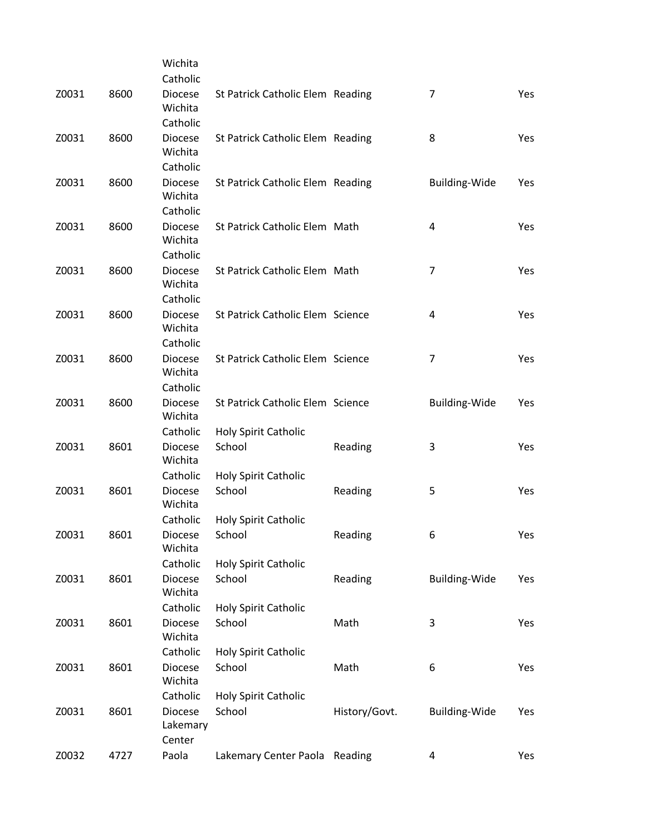|       |      | Wichita                               |                                  |               |                      |     |
|-------|------|---------------------------------------|----------------------------------|---------------|----------------------|-----|
|       |      | Catholic                              |                                  |               |                      |     |
| Z0031 | 8600 | <b>Diocese</b><br>Wichita             | St Patrick Catholic Elem Reading |               | $\overline{7}$       | Yes |
|       |      | Catholic                              |                                  |               |                      |     |
| Z0031 | 8600 | <b>Diocese</b><br>Wichita             | St Patrick Catholic Elem Reading |               | 8                    | Yes |
|       |      | Catholic                              |                                  |               |                      |     |
| Z0031 | 8600 | <b>Diocese</b><br>Wichita             | St Patrick Catholic Elem Reading |               | <b>Building-Wide</b> | Yes |
|       |      | Catholic                              |                                  |               |                      |     |
| Z0031 | 8600 | <b>Diocese</b><br>Wichita             | St Patrick Catholic Elem Math    |               | 4                    | Yes |
|       |      | Catholic                              |                                  |               |                      |     |
| Z0031 | 8600 | <b>Diocese</b><br>Wichita             | St Patrick Catholic Elem Math    |               | $\overline{7}$       | Yes |
|       |      | Catholic                              |                                  |               |                      |     |
| Z0031 | 8600 | <b>Diocese</b><br>Wichita<br>Catholic | St Patrick Catholic Elem Science |               | 4                    | Yes |
| Z0031 | 8600 | <b>Diocese</b>                        | St Patrick Catholic Elem Science |               | $\overline{7}$       | Yes |
|       |      | Wichita<br>Catholic                   |                                  |               |                      |     |
| Z0031 | 8600 | <b>Diocese</b>                        | St Patrick Catholic Elem Science |               |                      |     |
|       |      | Wichita                               |                                  |               | Building-Wide        | Yes |
|       |      | Catholic                              | Holy Spirit Catholic             |               |                      |     |
| Z0031 | 8601 | <b>Diocese</b><br>Wichita             | School                           | Reading       | 3                    | Yes |
|       |      | Catholic                              | Holy Spirit Catholic             |               |                      |     |
| Z0031 | 8601 | Diocese<br>Wichita                    | School                           | Reading       | 5                    | Yes |
|       |      | Catholic                              | Holy Spirit Catholic             |               |                      |     |
| Z0031 | 8601 | Diocese<br>Wichita                    | School                           | Reading       | 6                    | Yes |
|       |      | Catholic                              | Holy Spirit Catholic             |               |                      |     |
| Z0031 | 8601 | Diocese<br>Wichita                    | School                           | Reading       | <b>Building-Wide</b> | Yes |
|       |      | Catholic                              | Holy Spirit Catholic             |               |                      |     |
| Z0031 | 8601 | <b>Diocese</b><br>Wichita             | School                           | Math          | 3                    | Yes |
|       |      | Catholic                              | Holy Spirit Catholic             |               |                      |     |
| Z0031 | 8601 | <b>Diocese</b><br>Wichita             | School                           | Math          | 6                    | Yes |
|       |      | Catholic                              | Holy Spirit Catholic             |               |                      |     |
| Z0031 | 8601 | Diocese<br>Lakemary<br>Center         | School                           | History/Govt. | <b>Building-Wide</b> | Yes |
| Z0032 | 4727 | Paola                                 | Lakemary Center Paola Reading    |               | 4                    | Yes |
|       |      |                                       |                                  |               |                      |     |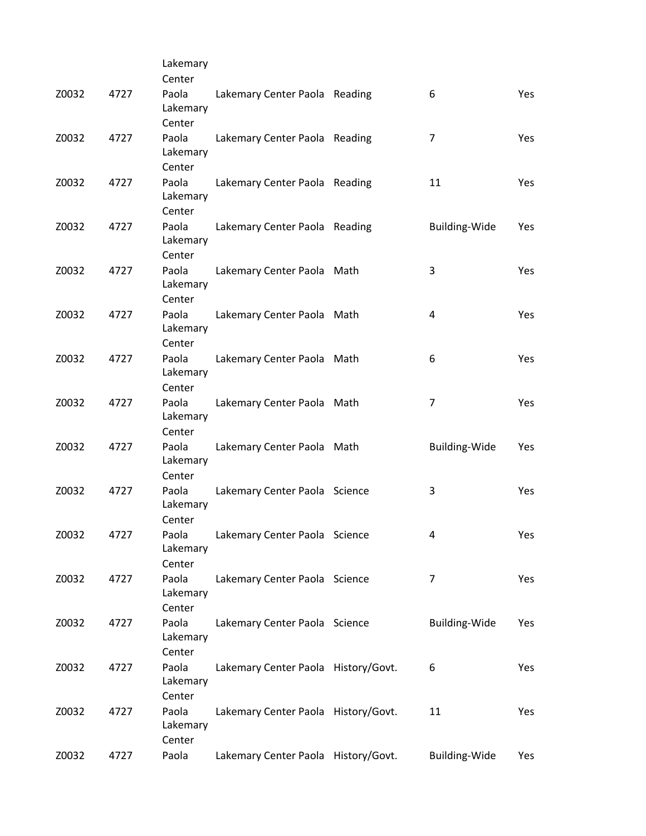|       |      | Lakemary                    |                                     |                      |            |
|-------|------|-----------------------------|-------------------------------------|----------------------|------------|
|       |      | Center                      |                                     |                      |            |
| Z0032 | 4727 | Paola<br>Lakemary<br>Center | Lakemary Center Paola Reading       | 6                    | <b>Yes</b> |
| Z0032 | 4727 | Paola<br>Lakemary<br>Center | Lakemary Center Paola Reading       | 7                    | Yes        |
| Z0032 | 4727 | Paola<br>Lakemary<br>Center | Lakemary Center Paola Reading       | 11                   | Yes        |
| Z0032 | 4727 | Paola<br>Lakemary<br>Center | Lakemary Center Paola Reading       | <b>Building-Wide</b> | Yes        |
| Z0032 | 4727 | Paola<br>Lakemary<br>Center | Lakemary Center Paola Math          | 3                    | Yes        |
| Z0032 | 4727 | Paola<br>Lakemary<br>Center | Lakemary Center Paola Math          | 4                    | Yes        |
| Z0032 | 4727 | Paola<br>Lakemary<br>Center | Lakemary Center Paola Math          | 6                    | Yes        |
| Z0032 | 4727 | Paola<br>Lakemary<br>Center | Lakemary Center Paola Math          | 7                    | Yes        |
| Z0032 | 4727 | Paola<br>Lakemary<br>Center | Lakemary Center Paola Math          | <b>Building-Wide</b> | Yes        |
| Z0032 | 4727 | Paola<br>Lakemary<br>Center | Lakemary Center Paola Science       | 3                    | Yes        |
| Z0032 | 4727 | Paola<br>Lakemary<br>Center | Lakemary Center Paola Science       | 4                    | Yes        |
| Z0032 | 4727 | Paola<br>Lakemary<br>Center | Lakemary Center Paola Science       | 7                    | Yes        |
| Z0032 | 4727 | Paola<br>Lakemary<br>Center | Lakemary Center Paola Science       | <b>Building-Wide</b> | Yes        |
| Z0032 | 4727 | Paola<br>Lakemary<br>Center | Lakemary Center Paola History/Govt. | 6                    | Yes        |
| Z0032 | 4727 | Paola<br>Lakemary<br>Center | Lakemary Center Paola History/Govt. | 11                   | Yes        |
| Z0032 | 4727 | Paola                       | Lakemary Center Paola History/Govt. | <b>Building-Wide</b> | Yes        |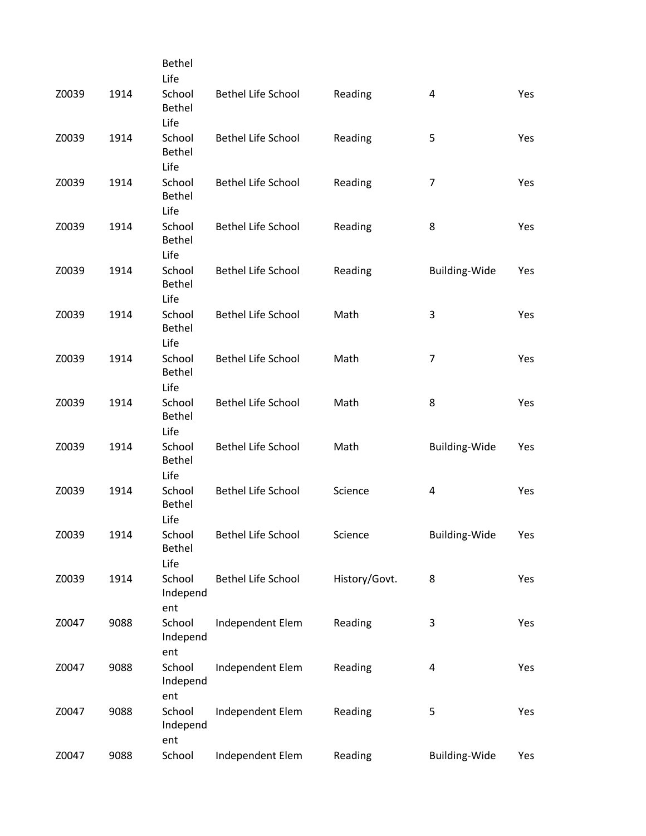|       |      | Bethel                           |                           |               |                         |     |
|-------|------|----------------------------------|---------------------------|---------------|-------------------------|-----|
|       |      | Life                             |                           |               |                         |     |
| Z0039 | 1914 | School<br>Bethel<br>Life         | <b>Bethel Life School</b> | Reading       | 4                       | Yes |
| Z0039 | 1914 | School<br>Bethel                 | <b>Bethel Life School</b> | Reading       | 5                       | Yes |
| Z0039 | 1914 | Life<br>School<br>Bethel<br>Life | Bethel Life School        | Reading       | $\overline{7}$          | Yes |
| Z0039 | 1914 | School<br>Bethel<br>Life         | Bethel Life School        | Reading       | 8                       | Yes |
| Z0039 | 1914 | School<br>Bethel<br>Life         | Bethel Life School        | Reading       | Building-Wide           | Yes |
| Z0039 | 1914 | School<br>Bethel<br>Life         | <b>Bethel Life School</b> | Math          | 3                       | Yes |
| Z0039 | 1914 | School<br>Bethel<br>Life         | <b>Bethel Life School</b> | Math          | $\overline{7}$          | Yes |
| Z0039 | 1914 | School<br>Bethel<br>Life         | <b>Bethel Life School</b> | Math          | 8                       | Yes |
| Z0039 | 1914 | School<br>Bethel<br>Life         | Bethel Life School        | Math          | <b>Building-Wide</b>    | Yes |
| Z0039 | 1914 | School<br>Bethel<br>Life         | <b>Bethel Life School</b> | Science       | 4                       | Yes |
| Z0039 | 1914 | School<br>Bethel<br>Life         | Bethel Life School        | Science       | <b>Building-Wide</b>    | Yes |
| Z0039 | 1914 | School<br>Independ<br>ent        | Bethel Life School        | History/Govt. | 8                       | Yes |
| Z0047 | 9088 | School<br>Independ<br>ent        | Independent Elem          | Reading       | 3                       | Yes |
| Z0047 | 9088 | School<br>Independ<br>ent        | Independent Elem          | Reading       | $\overline{\mathbf{4}}$ | Yes |
| Z0047 | 9088 | School<br>Independ<br>ent        | Independent Elem          | Reading       | 5                       | Yes |
| Z0047 | 9088 | School                           | Independent Elem          | Reading       | Building-Wide           | Yes |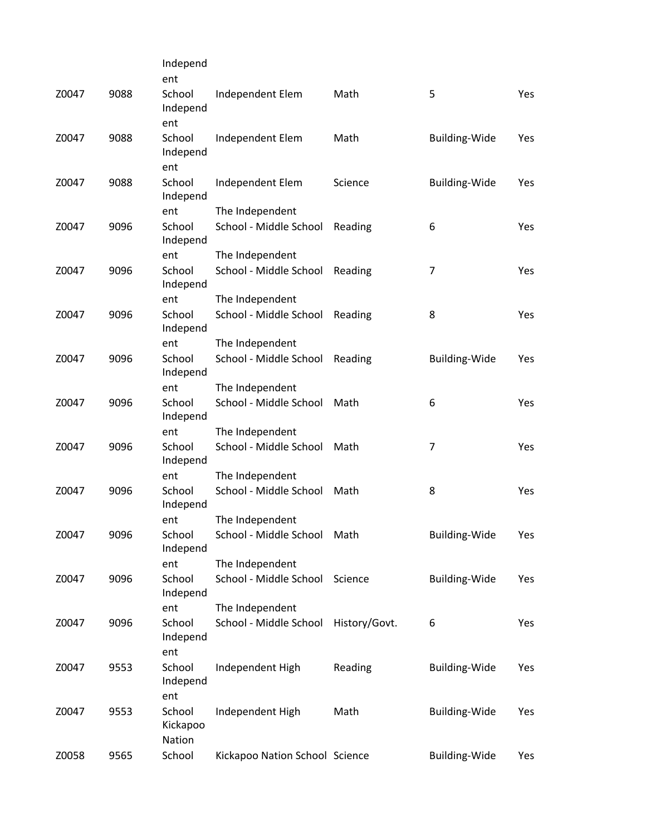|      | Independ                             |                                                                                        |                                                                                                        |                                                                                 |                                                                         |
|------|--------------------------------------|----------------------------------------------------------------------------------------|--------------------------------------------------------------------------------------------------------|---------------------------------------------------------------------------------|-------------------------------------------------------------------------|
|      |                                      |                                                                                        |                                                                                                        |                                                                                 | Yes                                                                     |
|      |                                      |                                                                                        |                                                                                                        |                                                                                 |                                                                         |
|      | ent                                  |                                                                                        |                                                                                                        |                                                                                 |                                                                         |
| 9088 | School                               | Independent Elem                                                                       | Math                                                                                                   | <b>Building-Wide</b>                                                            | Yes                                                                     |
|      | Independ                             |                                                                                        |                                                                                                        |                                                                                 |                                                                         |
|      |                                      |                                                                                        |                                                                                                        |                                                                                 |                                                                         |
|      | Independ                             |                                                                                        |                                                                                                        |                                                                                 | Yes                                                                     |
|      | ent                                  | The Independent                                                                        |                                                                                                        |                                                                                 |                                                                         |
|      | Independ                             |                                                                                        |                                                                                                        |                                                                                 | Yes                                                                     |
|      | ent                                  | The Independent                                                                        |                                                                                                        |                                                                                 |                                                                         |
| 9096 | School<br>Independ                   | School - Middle School                                                                 | Reading                                                                                                | 7                                                                               | Yes                                                                     |
|      | ent                                  | The Independent                                                                        |                                                                                                        |                                                                                 |                                                                         |
| 9096 | School<br>Independ                   | School - Middle School                                                                 | Reading                                                                                                | 8                                                                               | Yes                                                                     |
|      | ent                                  | The Independent                                                                        |                                                                                                        |                                                                                 |                                                                         |
| 9096 | School<br>Independ                   | School - Middle School                                                                 | Reading                                                                                                | <b>Building-Wide</b>                                                            | Yes                                                                     |
|      | ent                                  | The Independent                                                                        |                                                                                                        |                                                                                 |                                                                         |
| 9096 | School<br>Independ                   | School - Middle School                                                                 | Math                                                                                                   | 6                                                                               | Yes                                                                     |
|      | ent                                  | The Independent                                                                        |                                                                                                        |                                                                                 |                                                                         |
| 9096 | School<br>Independ                   | School - Middle School                                                                 | Math                                                                                                   | 7                                                                               | Yes                                                                     |
|      | ent                                  | The Independent                                                                        |                                                                                                        |                                                                                 |                                                                         |
| 9096 | School<br>Independ                   | School - Middle School                                                                 | Math                                                                                                   | 8                                                                               | Yes                                                                     |
|      | ent                                  | The Independent                                                                        |                                                                                                        |                                                                                 |                                                                         |
| 9096 | School<br>Independ                   | School - Middle School                                                                 | Math                                                                                                   | <b>Building-Wide</b>                                                            | Yes                                                                     |
|      | ent                                  | The Independent                                                                        |                                                                                                        |                                                                                 |                                                                         |
| 9096 | School<br>Independ                   | School - Middle School                                                                 | Science                                                                                                | <b>Building-Wide</b>                                                            | Yes                                                                     |
|      | ent                                  | The Independent                                                                        |                                                                                                        |                                                                                 |                                                                         |
| 9096 | School<br>Independ                   | School - Middle School                                                                 | History/Govt.                                                                                          | 6                                                                               | Yes                                                                     |
|      |                                      |                                                                                        |                                                                                                        |                                                                                 |                                                                         |
|      | Independ                             |                                                                                        |                                                                                                        |                                                                                 | Yes                                                                     |
|      |                                      |                                                                                        |                                                                                                        |                                                                                 |                                                                         |
|      | Kickapoo<br>Nation                   |                                                                                        |                                                                                                        |                                                                                 | Yes                                                                     |
| 9565 | School                               |                                                                                        |                                                                                                        | <b>Building-Wide</b>                                                            | Yes                                                                     |
|      | 9088<br>9088<br>9096<br>9553<br>9553 | ent<br>School<br>Independ<br>ent<br>School<br>School<br>ent<br>School<br>ent<br>School | Independent Elem<br>Independent Elem<br>School - Middle School<br>Independent High<br>Independent High | Math<br>Science<br>Reading<br>Reading<br>Math<br>Kickapoo Nation School Science | 5<br><b>Building-Wide</b><br>6<br>Building-Wide<br><b>Building-Wide</b> |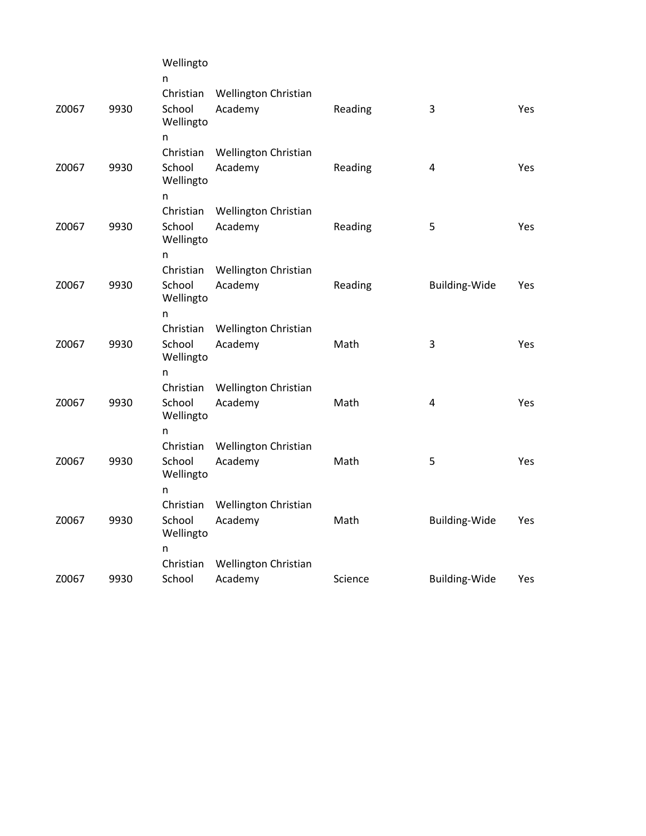|       |      | Wellingto                        |                                 |         |                      |            |
|-------|------|----------------------------------|---------------------------------|---------|----------------------|------------|
|       |      | n<br>Christian                   | Wellington Christian            |         |                      |            |
| Z0067 | 9930 | School<br>Wellingto              | Academy                         | Reading | 3                    | Yes        |
|       |      | n                                |                                 |         |                      |            |
| Z0067 | 9930 | Christian<br>School<br>Wellingto | Wellington Christian<br>Academy | Reading | 4                    | Yes        |
|       |      | n                                |                                 |         |                      |            |
|       |      | Christian                        | Wellington Christian            |         |                      |            |
| Z0067 | 9930 | School<br>Wellingto              | Academy                         | Reading | 5                    | Yes        |
|       |      | n                                |                                 |         |                      |            |
|       |      | Christian                        | Wellington Christian            |         |                      |            |
| Z0067 | 9930 | School<br>Wellingto              | Academy                         | Reading | <b>Building-Wide</b> | Yes        |
|       |      | n                                |                                 |         |                      |            |
|       |      | Christian                        | Wellington Christian            |         |                      |            |
| Z0067 | 9930 | School<br>Wellingto              | Academy                         | Math    | 3                    | Yes        |
|       |      | n                                |                                 |         |                      |            |
|       |      | Christian                        | Wellington Christian            |         |                      |            |
| Z0067 | 9930 | School<br>Wellingto              | Academy                         | Math    | 4                    | Yes        |
|       |      | n                                |                                 |         |                      |            |
|       |      | Christian                        | Wellington Christian            |         |                      |            |
| Z0067 | 9930 | School<br>Wellingto              | Academy                         | Math    | 5                    | Yes        |
|       |      | n                                |                                 |         |                      |            |
|       |      | Christian                        | Wellington Christian            |         |                      |            |
| Z0067 | 9930 | School<br>Wellingto              | Academy                         | Math    | <b>Building-Wide</b> | <b>Yes</b> |
|       |      | n                                |                                 |         |                      |            |
|       |      | Christian                        | Wellington Christian            |         |                      |            |
| Z0067 | 9930 | School                           | Academy                         | Science | Building-Wide        | Yes        |